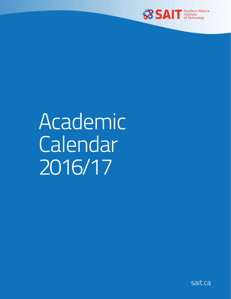

# Academic **Calendar** 2016/17

sait.ca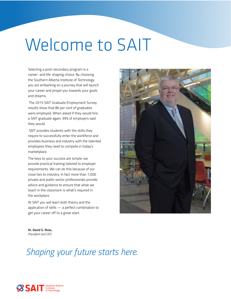# Welcome to SAIT

Selecting a post-secondary program is a career- and life-shaping choice. By choosing the Southern Alberta Institute of Technology you are embarking on a journey that will launch your career and propel you towards your goals and dreams.

 The 2015 SAIT Graduate Employment Survey results show that 86 per cent of graduates were employed. When asked if they would hire a SAIT graduate again, 99% of employers said they would.

 SAIT provides students with the skills they require to successfully enter the workforce and provides business and industry with the talented employees they need to compete in today's marketplace.

The keys to your success are simple: we provide practical training tailored to employer requirements. We can do this because of our close ties to industry. In fact more than 1,000 private and public sector professionals provide advice and guidance to ensure that what we teach in the classroom is what's required in the workplace.

At SAIT you will learn both theory and the application of skills — a perfect combination to get your career off to a great start.



**Dr. David G. Ross,** *President and CEO*

**SSAIT** Southern Alberta

# *Shaping your future starts here.*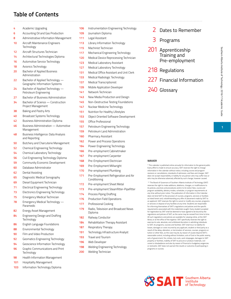# **Table of Contents**

| 4  | Academic Upgrading                                               |
|----|------------------------------------------------------------------|
| 6  | Accounting Oil and Gas Production                                |
| 8  | Administrative Information Management                            |
| 10 | Aircraft Maintenance Engineers<br>Technology                     |
| 12 | Aircraft Structures Technician                                   |
| 14 | Architectural Technologies Diploma                               |
| 16 | Automotive Service Technology                                    |
| 18 | Avionics Technology                                              |
| 20 | Bachelor of Applied Business<br>Administration                   |
| 22 | Bachelor of Applied Technology<br>Geographic Information Systems |
| 24 | Bachelor of Applied Technology —<br>Petroleum Engineering        |
| 27 | Bachelor of Business Administration                              |
| 34 | Bachelor of Science - Construction<br>Project Management         |
| 38 | Baking and Pastry Arts                                           |
| 40 | Broadcast Systems Technology                                     |
| 42 | Business Administration Diploma                                  |
| 46 | Business Administration - Automotive<br>Management               |
| 48 | Business Intelligence: Data Analysis<br>and Reporting            |
| 50 | Butchery and Charcuterie Management                              |
| 52 | Chemical Engineering Technology                                  |
| 54 | Chemical Laboratory Technology                                   |
| 56 | Civil Engineering Technology Diploma                             |
| 59 | Community Economic Development                                   |
| 60 | Database Administrator                                           |
| 62 | Dental Assisting                                                 |
| 65 | Diagnostic Medical Sonography                                    |
| 69 | Diesel Equipment Technician                                      |
| 71 | <b>Electrical Engineering Technology</b>                         |
| 73 | Electronics Engineering Technology                               |
| 75 | <b>Emergency Medical Technician</b>                              |
| 78 | Emergency Medical Technology -<br>Paramedic                      |
| 82 | Energy Asset Management                                          |
| 84 | Engineering Design and Drafting<br>Technology                    |
| 86 | English Language Foundations                                     |
| 88 | Environmental Technology                                         |
| 90 | Film and Video Production                                        |
| 92 | Geomatics Engineering Technology                                 |
| 94 | Geoscience Information Technology                                |
| 96 | Graphic Communications and Print<br>Technology                   |
| 98 | <b>Health Information Management</b>                             |

- 
- Hospitality Management
- Information Technology Diploma
- Instrumentation Engineering Technology Journalism Diploma Legal Assistant Library Information Technology Machinist Technician Mechanical Engineering Technology Medical Device Reprocessing Technician Medical Laboratory Assistant Medical Laboratory Technology Medical Office Assistant and Unit Clerk Medical Radiologic Technology Medical Transcriptionist Mobile Application Developer Network Technician 143 New Media Production and Design Non-Destructive Testing Foundations Nuclear Medicine Technology Nutrition for Healthy Lifestyles Object Oriented Software Development Office Professional Petroleum Engineering Technology Petroleum Land Administration Pharmacy Assistant Power and Process Operations Power Engineering Technology Pre-employment Cabinetmaker Pre-employment Carpenter Pre-Employment Electrician Pre-Employment Millwright Pre-employment Plumbing Pre-Employment Refrigeration and Air **Conditioning**  Pre-employment Sheet Metal Pre-employment Steamfitter-Pipefitter Process Piping Drafting Production Field Operations Professional Cooking Radio, Television and Broadcast News Diploma Railway Conductor Rehabilitation Therapy Assistant Respiratory Therapy
- 
- Technology Infrastructure Analyst
- Travel and Tourism
- Web Developer
- Welding Engineering Technology
- Welding Technician
- 2 Dates to Remember
- 3 Programs
- 201 Apprenticeship Training and Pre-employment
- Regulations
- 227 Financial Information
- 240 Glossary

#### **WAIVER**

\* This calendar is published online annually for information to the general public. Every effort is made to ensure accuracy. SAIT reserves the right to change information in the calendar without notice, including course and program revisions or cancellations, standards of admission, and fees and charges. SAIT does not accept responsibility or liability for any person who may suffer loss or who may be otherwise adversely affected by such change, however caused.

\*\* The Board of Governors of Southern Alberta Institute of Technology (SAIT) reserves the right to make additions, deletions, changes, or modifications to its policies, practices and procedures and/or to its tuition fees, course and program availability, delivery modes, schedules, or program requirements at any time without prior notice. The publication of information in this Calendar does not bind SAIT to the provision of courses, programs, services or facilitie as listed herein and, notwithstanding any offer of placement made by SAIT to an applicant, SAIT reserves the right to cancel or modify any courses, programs or services or dispose of any facilities at any time. Students are responsibl for informing themselves of SAIT's regulations and policies and the specific requirements associated with the credentials sought. Every student accepted for registration by SAIT shall be deemed to have agreed to be bound by the regulations and policies of SAIT, as the same may be revised from time to time. All such regulations and policies are available for viewing online, at the SAIT library or at the office of the registrar. SAIT specifically reserves the right to exercise its sole, absolute, and unfettered discretion in admitting individuals to SAIT, its programs, courses and facilities. SAIT shall incur no liability for losses, damages or costs incurred by any applicant, student or third party as a result of the delay, alteration, or termination of services, courses, programs or tuition or other fees, as the case may be, by reason of causes beyond SAIT's reasonable control, including without limitation, acts of God or the public enemy, acts of government, fire, strikes, lock-outs, work stoppages, damages to SAIT property or facilities, inability of SAIT to procure or produce materials, civil unrest or disobedience and also by reason of financial or budgetary exigencies or restraints. SAIT does not warrant the results or outcome of participating in programs or courses.

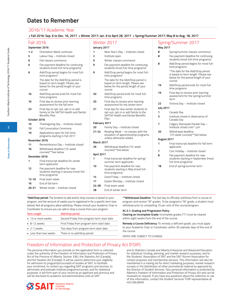# **Dates to Remember**

# 2016/17 Academic Year

| Fall 2016: Sep. 6 to Dec. 16, 2017 • Winter 2017: Jan. 9 to April 28, 2017 • Spring/Summer 2017: May 8 to Aug. 18, 2017 |  |  |
|-------------------------------------------------------------------------------------------------------------------------|--|--|
|                                                                                                                         |  |  |

| Orientation Week continues<br>Labour Day - Institute closed<br>Fall classes commence<br>Fee payment deadline for continuing<br>students (most full-time programs)<br>Add/Drop period begins for most full-<br>time programs*<br>The date for the Add/Drop period is<br>based on term length. Please see<br>below for the period length of your | January 2017<br>1<br>$\overline{2}$<br>9<br>9<br>9 | Winter 2017<br>New Year's Day - Institute closed<br>Institute open<br>Winter classes commence<br>Fee payment deadline for continuing<br>students (most full-time programs)<br>Add/Drop period begins for most full-<br>time programs* | May 2017<br>8<br>8<br>8                                    | Spring/Summer 2017<br>Spring/summer classes commence<br>Fee payment deadline for continuing<br>students (most full-time programs)<br>Add/Drop period begins for most full-<br>time programs |
|------------------------------------------------------------------------------------------------------------------------------------------------------------------------------------------------------------------------------------------------------------------------------------------------------------------------------------------------|----------------------------------------------------|---------------------------------------------------------------------------------------------------------------------------------------------------------------------------------------------------------------------------------------|------------------------------------------------------------|---------------------------------------------------------------------------------------------------------------------------------------------------------------------------------------------|
|                                                                                                                                                                                                                                                                                                                                                |                                                    |                                                                                                                                                                                                                                       |                                                            |                                                                                                                                                                                             |
|                                                                                                                                                                                                                                                                                                                                                |                                                    |                                                                                                                                                                                                                                       |                                                            |                                                                                                                                                                                             |
|                                                                                                                                                                                                                                                                                                                                                |                                                    |                                                                                                                                                                                                                                       |                                                            |                                                                                                                                                                                             |
|                                                                                                                                                                                                                                                                                                                                                |                                                    |                                                                                                                                                                                                                                       |                                                            |                                                                                                                                                                                             |
|                                                                                                                                                                                                                                                                                                                                                |                                                    |                                                                                                                                                                                                                                       |                                                            |                                                                                                                                                                                             |
|                                                                                                                                                                                                                                                                                                                                                |                                                    |                                                                                                                                                                                                                                       |                                                            |                                                                                                                                                                                             |
|                                                                                                                                                                                                                                                                                                                                                |                                                    |                                                                                                                                                                                                                                       |                                                            | *The date for the Add/Drop period<br>is based on term length. Please see<br>below for the period length of your                                                                             |
|                                                                                                                                                                                                                                                                                                                                                |                                                    | The date for the Add/Drop period is                                                                                                                                                                                                   |                                                            | course.                                                                                                                                                                                     |
|                                                                                                                                                                                                                                                                                                                                                |                                                    | based on term length. Please see<br>below for the period length of your<br>course.                                                                                                                                                    | 19                                                         | Add/Drop period ends for most full-<br>time programs                                                                                                                                        |
| Add/Drop period ends for most full-<br>time programs                                                                                                                                                                                                                                                                                           | 20                                                 | Add/Drop period ends for most full-<br>time programs                                                                                                                                                                                  | 19                                                         | Final day to receive prior learning<br>assessment for the spring/summer<br>term                                                                                                             |
| Final day to receive prior learning<br>assessment for the fall term                                                                                                                                                                                                                                                                            | 20                                                 | Final day to receive prior learning<br>assessment for the winter term                                                                                                                                                                 | 22                                                         | Victoria Day - Institute closed                                                                                                                                                             |
| Final day to opt-out, opt-in or add                                                                                                                                                                                                                                                                                                            | 27                                                 | Final day for new winter students to                                                                                                                                                                                                  | <b>July 2017</b>                                           |                                                                                                                                                                                             |
| family to the SAITSA Health and Dental                                                                                                                                                                                                                                                                                                         |                                                    | opt-out, opt-in or add family to the                                                                                                                                                                                                  | 1                                                          | Canada Day                                                                                                                                                                                  |
|                                                                                                                                                                                                                                                                                                                                                |                                                    | SAITSA Health and Dental Benefits<br>Plan                                                                                                                                                                                             | 3                                                          | Institute closed in observance of<br>Canada Day                                                                                                                                             |
| Thanksgiving Day - Institute closed                                                                                                                                                                                                                                                                                                            | February 2017                                      |                                                                                                                                                                                                                                       | 7                                                          | Calgary Stampede Parade Day -                                                                                                                                                               |
| <b>Fall Convocation Ceremony</b>                                                                                                                                                                                                                                                                                                               | 20                                                 | Family Day - Institute closed                                                                                                                                                                                                         |                                                            | Institute closed until 1 pm                                                                                                                                                                 |
| Applications open for full-time<br>programs starting in Fall 2017                                                                                                                                                                                                                                                                              | $21 - 24$                                          | Reading Week - no classes with the<br>exception of apprenticeship programs,                                                                                                                                                           | 20                                                         | Withdrawal deadline<br>(15-week courses)**See below                                                                                                                                         |
|                                                                                                                                                                                                                                                                                                                                                |                                                    | unless otherwise stated                                                                                                                                                                                                               |                                                            | August 2017                                                                                                                                                                                 |
| Remembrance Day – Institute closed                                                                                                                                                                                                                                                                                                             | <b>March 2017</b>                                  |                                                                                                                                                                                                                                       | 1                                                          | Final transcript deadline for fall term                                                                                                                                                     |
| Withdrawal deadline (15-week                                                                                                                                                                                                                                                                                                                   | 29                                                 | Withdrawal deadline (15-week<br>courses)**See below                                                                                                                                                                                   |                                                            | applicants                                                                                                                                                                                  |
| courses)**See below                                                                                                                                                                                                                                                                                                                            |                                                    |                                                                                                                                                                                                                                       | $\overline{7}$                                             | Civic Holiday - Institute closed                                                                                                                                                            |
|                                                                                                                                                                                                                                                                                                                                                |                                                    |                                                                                                                                                                                                                                       |                                                            | Fee payment deadline for new<br>students starting in September (most                                                                                                                        |
| Final transcript deadline for winter                                                                                                                                                                                                                                                                                                           |                                                    | summer term applicants                                                                                                                                                                                                                |                                                            | full-time programs)                                                                                                                                                                         |
| term applicants<br>Fee payment deadline for new<br>students starting in January (most full-                                                                                                                                                                                                                                                    | 10                                                 | Fee payment deadline for new<br>students starting in May (most full-<br>time programs)                                                                                                                                                | 18                                                         | End of spring/summer term                                                                                                                                                                   |
|                                                                                                                                                                                                                                                                                                                                                | 14                                                 | Good Friday - Institute closed                                                                                                                                                                                                        |                                                            |                                                                                                                                                                                             |
|                                                                                                                                                                                                                                                                                                                                                | 17                                                 | Easter Monday - Institute closed                                                                                                                                                                                                      |                                                            |                                                                                                                                                                                             |
| Final exam week                                                                                                                                                                                                                                                                                                                                | $24 - 28$                                          | Final exam week                                                                                                                                                                                                                       |                                                            |                                                                                                                                                                                             |
| End of fall term                                                                                                                                                                                                                                                                                                                               | 28                                                 |                                                                                                                                                                                                                                       |                                                            |                                                                                                                                                                                             |
| time programs)                                                                                                                                                                                                                                                                                                                                 | Winter break - Institute closed                    | 1                                                                                                                                                                                                                                     | <b>April 2017</b><br>Final transcript deadline for spring/ | 8<br>End of winter term                                                                                                                                                                     |

program, and the amount of weeks you're registered in for a specific term (see below). Not all programs allow add/drop. Please consult your Academic Chair or Coordinator to ensure you can add or drop a course from your program.

| <b>Term Length</b>    | <b>Add/Drop period</b>                     |
|-----------------------|--------------------------------------------|
| • 13 or more weeks    | Second Friday from program term start date |
| $-8-12$ weeks         | First Friday from program term start date  |
| $-2-7$ weeks          | Two days from program term start date      |
| • Less than two weeks | There is no add/drop period                |
|                       |                                            |

withdraw prior to completing 70 per cent of the course/program.

#### **AC.3.1: Grading and Progression Policy**

**Clearing an Incomplete Grade:** Incomplete grades ("I") must be cleared within eight weeks from the end of the course.

**Remedy a Course Deficiency:** To remedy a deficient grade, you must apply to your Academic Chair or Coordinator within 30 calendar days of the end of the course.

DATES ARE SUBJECT TO CHANGE.

# Freedom of Information and Protection of Privacy Act (FOIP)

The personal information you provide on the application form is collected under the authority of the Freedom of Information and Protection of Privacy Act of the Province of Alberta, Section 33(c), the Statistics Act (Canada), and the Taxation Act (Canada). It will be used to determine your eligibility for admission to program(s)/course(s) of studies at SAIT, to facilitate your enrolment, to contact you regarding SAIT programs and services, to administer and evaluate institute programs/courses, and for statistical purposes. It will form part of your record as an applicant and alumnus and will be disclosed to academic and administrative units at SAIT

and to Statistics Canada and Alberta Enterprise and Advanced Education for statistical, funding, planning, and market research purposes, and to the Students' Association of SAIT and the SAIT Alumni Association for contact purposes and membership services. This information will also be maintained in a mailing list for direct marketing purposes, market research surveys or the distribution of other promotional material as approved by the Director of Student Services. Your personal information is protected by Alberta's Freedom of Information and Protection of Privacy Act and can be reviewed on request. If you have any questions about the collection or use of this information, contact the Student Services' FOIP representative at 403.284.8069.

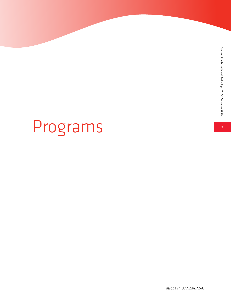# Programs

sait.ca /1.877.284.7248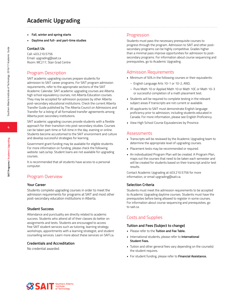# **Academic Upgrading**

- **• Fall, winter and spring starts**
- **• Daytime and full- and part-time studies**

#### **Contact Us**

Call: 403.210.5756 Email: upgrading@sait.ca Room: MC217, Stan Grad Centre

# Program Description

SAIT academic upgrading courses prepare students for admission to SAIT career programs. For SAIT program admission requirements, refer to the appropriate sections of the SAIT Academic Calendar. SAIT academic upgrading courses are Alberta high school equivalency courses, not Alberta Education courses. They may be accepted for admission purposes by other Alberta post-secondary educational institutions. Check the current Alberta Transfer Guide published by The Alberta Council on Admissions and Transfer for a listing of all formalized transfer agreements among Alberta post-secondary institutions.

SAIT academic upgrading courses provide students with a flexible approach for their transition into post-secondary studies. Courses can be taken part-time or full-time in the day, evening or online. Students become accustomed to the SAIT environment and culture and develop successful strategies for learning.

Government grant funding may be available for eligible students. For more information on funding, please check the following website: sait.ca/sip. Student loans are not available for upgrading courses.

It is recommended that all students have access to a personal computer.

# Program Overview

#### **Your Career**

Students complete upgrading courses in order to meet the admission requirements for programs at SAIT and most other post-secondary education institutions in Alberta.

#### **Student Success**

Attendance and punctuality are directly related to academic success. Students who attend all of their classes do better on assignments and tests. Students are encouraged to access free SAIT student services such as tutoring, learning strategy workshops, appointments with a learning strategist, and student counselling services. Learn more about these services on SAIT.ca.

#### **Credentials and Accreditation**

No credential awarded.

## Progression

Students must pass the necessary prerequisite courses to progress through the program. Admission to SAIT and other postsecondary programs can be highly competitive. Grades higher than a minimal pass improve opportunities for admission to postsecondary programs. For information about course sequencing and prerequisites, go to Academic Upgrading.

## Admission Requirements

- Minimum of 50% in the following courses or their equivalents:
	- English Language Arts 10-1 or 10-2, AND,
	- Pure Math 10 or Applied Math 10 or Math 10C or Math 10-3 or successful completion of a math placement test.
- Students will be required to complete testing in the relevant subject areas if transcripts are not current or available.
- All applicants to SAIT must demonstrate English language proficiency prior to admission, including students educated in Canada. For more information, please see English Proficiency.
- View High School Course Equivalencies by Province.

#### Assessments

- Transcripts will be reviewed by the Academic Upgrading team to determine the appropriate level of upgrading courses.
- Placement tests may be recommended or required.
- An individualized Program Plan will be created. A Program Plan, maps out the courses that need to be taken each semester and will be created for students based on their transcript and/or test results.

Contact Academic Upgrading at 403.210.5756 for more information, or email upgrading@sait.ca.

#### **Selection Criteria**

Students must meet the admission requirements to be accepted to Academic Upgrading daytime courses. Students must have the prerequisites before being allowed to register in some courses. For information about course sequencing and prerequisites, go to sait.ca.

# Costs and Supplies

#### **Tuition and Fees (Subject to change)**

- Please refer to the **Tuition and Fee Table.**
- International students, please refer to **International Student Fees.**
- Tuition and other general fees vary depending on the course(s) the student requires.
- For student funding, please refer to **Financial Assistance.**

**4**

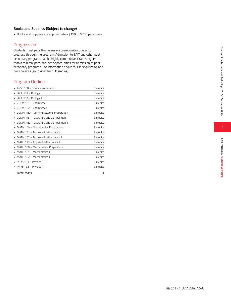#### **Books and Supplies (Subject to change)**

• Books and Supplies are approximately \$150 to \$200 per course.

# Progression

Students must pass the necessary prerequisite courses to progress through the program. Admission to SAIT and other postsecondary programs can be highly competitive. Grades higher than a minimal pass improve opportunities for admission to postsecondary programs. For information about course sequencing and prerequisites, go to Academic Upgrading.

# Program Outline

|   | APSC 180 - Science Preparation           | 3 credits |
|---|------------------------------------------|-----------|
| ٠ | BIOL 181 - Biology I                     | 3 credits |
| ٠ | BIOL 182 - Biology II                    | 3 credits |
|   | CHEM 181 - Chemistry I                   | 3 credits |
|   | CHEM 182 - Chemistry II                  | 3 credits |
|   | COMM 180 - Communications Preparation    | 3 credits |
|   | COMM 181 - Literature and Composition I  | 3 credits |
|   | COMM 182 - Literature and Composition II | 3 credits |
|   | MATH 100 - Mathematics Foundations       | 3 credits |
| ٠ | MATH 161 - Technical Mathematics I       | 3 credits |
|   | MATH 162 - Technical Mathematics II      | 3 credits |
| ٠ | MATH 172 - Applied Mathematics II        | 3 credits |
| ٠ | MATH 180 - Mathematics Preparation       | 3 credits |
| ٠ | MATH 181 - Mathematics I                 | 3 credits |
|   | MATH 182 - Mathematics II                | 3 credits |
|   | PHYS 181 - Physics I                     | 3 credits |
| ٠ | PHYS 182 - Physics II                    | 3 credits |
|   | <b>Total Credits</b>                     | 51        |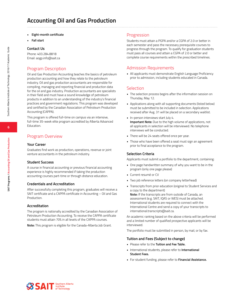- **• Eight-month certificate**
- **• Fall start**

#### **Contact Us**

Phone: 403.284.8818 Email: aogp.info@sait.ca

# Program Description

Oil and Gas Production Accounting teaches the basics of petroleum production accounting and how they relate to the petroleum industry. Oil and gas production accountants are responsible for compiling, managing and reporting financial and production data for the oil and gas industry. Production accountants are specialists in their field and must have a sound knowledge of petroleum products in addition to an understanding of the industry's financial practices and government regulations. This program was developed and certified by the Canadian Association of Petroleum Production Accounting (CAPPA).

This program is offered full-time on campus via an intensive, full-time 35-week elite program accredited by Alberta Advanced Education.

# Program Overview

#### **Your Career**

Graduates find work as production, operations, revenue or joint venture accountants in the petroleum industry.

#### **Student Success**

A course in financial accounting or previous financial accounting experience is highly recommended if taking the production accounting courses part-time or through distance education.

#### **Credentials and Accreditation**

After successfully completing this program, graduates will receive a SAIT certificate and a CAPPA certificate in Accounting – Oil and Gas Production.

#### **Accreditation**

The program is nationally accredited by the Canadian Association of Petroleum Production Accounting. To receive the CAPPA certificate students must attain 70% in all levels of the CAPPA courses.

**Note:** This program is eligible for the Canada-Alberta Job Grant.

### Progression

Students must attain a PGPA and/or a CGPA of 2.0 or better in each semester and pass the necessary prerequisite courses to progress through the program. To qualify for graduation students must pass all courses and attain a CGPA of 2.0 or better and complete course requirements within the prescribed timelines.

# Admission Requirements

• All applicants must demonstrate English Language Proficiency prior to admission, including students educated in Canada.

#### Selection

- The selection process begins after the information session on Thursday, May 12.
- Applications along with all supporting documents (listed below) must be submitted to be included in selection. Applications received after Aug. 31 will be placed on a secondary waitlist.
- In-person interviews start July 4. **Important Note:** Due to the high volume of applications, not all applicants in selection will be interviewed. No telephone interviews will be conducted.
- There will be 24 seats offered once per year.
- Those who have been offered a seat must sign an agreement prior to final acceptance to the program.

#### **Selection Criteria**

Applicants must submit a portfolio to the department, containing:

- One page handwritten summary of why you want to be in the program (only one page please)
- Current resumé or CV
- Two job reference letters (on company letterhead)
- Transcripts from prior education (original to Student Services and a copy to the department) **Note:** If the transcripts are from outside of Canada, an assessment (e.g. SAIT, IQAS or WES) must be attached. International students are required to connect with the International Centre and send a copy of your transcripts to

An academic ranking based on the above criteria will be performed and a limited number of qualified prospective applicants will be interviewed.

The portfolio must be submitted in person, by mail, or by fax.

#### **Tuition and Fees (Subject to change)**

international.transcripts@sait.ca.

- Please refer to the **Tuition and Fee Table.**
- International students, please refer to **International Student Fees.**
- For student funding, please refer to **Financial Assistance.**

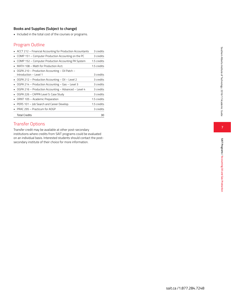# **Books and Supplies (Subject to change)**

• Included in the total cost of the courses or programs.

# Program Outline

| • ACCT 212 - Financial Accounting for Production Accountants | 3 credits   |
|--------------------------------------------------------------|-------------|
| COMP 151 - Computer Production Accounting on the PC          | 3 credits   |
| COMP 152 - Computer Production Accounting PA System          | 1.5 credits |
| MATH 108 - Math for Production Acct.                         | 1.5 credits |
| • OGPA 210 - Production Accounting - Oil Patch -             |             |
| Introduction - Level 1                                       | 3 credits   |
| • OGPA 212 - Production Accounting - Oil - Level 2           | 3 credits   |
| • OGPA 214 - Production Accounting - Gas - Level 3           | 3 credits   |
| OGPA 216 - Production Accounting - Advanced - Level 4        | 3 credits   |
| OGPA 226 - CAPPA Level 5: Case Study                         | 3 credits   |
| ORNT 105 - Academic Preparation                              | 1.5 credits |
| PERS 101 - Job Search and Career Develop.                    | 1.5 credits |
| PRAC 295 - Practicum for AOGP                                | 3 credits   |
| <b>Total Credits</b>                                         | 30          |

# Transfer Options

Transfer credit may be available at other post-secondary institutions where credits from SAIT programs could be evaluated on an individual basis. Interested students should contact the postsecondary institute of their choice for more information.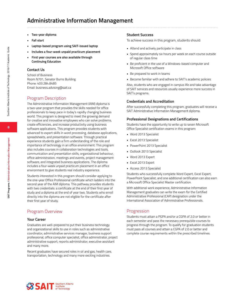# **Administrative Information Management**

- **• Two-year diploma**
- **• Fall start**
- **• Laptop-based program using SAIT-issued laptop**
- **• Includes a four-week unpaid practicum placement**
- **• First year courses are also available through Continuing Education**

#### **Contact Us**

School of Business Room N701, Senator Burns Building Phone: 403.284.8485 Email: business.advising@sait.ca

# Program Description

The Administrative Information Management (AIM) diploma is a two-year program that provides the skills needed for office professionals to keep pace in today's rapidly changing business world. This program is designed to meet the growing demand for creative and innovative employees who can solve problems, create efficiencies, and increase productivity using business software applications. This program provides students with advanced to expert skills in word processing, database applications, spreadsheets, and presentation software. Through practical experience students gain a firm understanding of the role and importance of technology in an office environment. This program also includes courses in collaboration technologies and tools, communication and presentation skills, organizational behaviour, office administration, meetings and events, project management software, and integrated business applications. The diploma includes a four-week unpaid practicum placement in an office environment to give students real industry experience.

Students interested in this program should consider applying to the one-year Office Professional certificate which ladders into the second year of the AIM diploma. This pathway provides students with two credentials: a certificate at the end of their first year of study and a diploma at the end of year two. Students who enroll directly into the diploma are not eligible for the certificate after their first year of study.

# Program Overview

#### **Your Career**

Graduates are well-prepared to put their business technology and organizational skills to use in roles such as administrative coordinator, administrative services manager, business support professional, office computer specialist, office administrator, project administrative support, reports administrator, executive assistant and many more.

Recent graduates have secured roles in oil and gas, health care, transportation, technology and many more exciting industries.

#### **Student Success**

To achieve success in this program, students should:

- Attend and actively participate in class
- Spend approximately six hours per week on each course outside of regular class time
- Be proficient in the use of a Windows-based computer and Microsoft Office software
- Be prepared to work in teams
- Become familiar with and adhere to SAIT's academic policies

Also, students who are engaged in campus life and take advantage of SAIT services and resources usually experience more success in SAIT's programs.

#### **Credentials and Accreditation**

After successfully completing this program, graduates will receive a SAIT Administrative Information Management diploma.

#### **Professional Designations and Certifications**

Students have the opportunity to write up to seven Microsoft Office Specialist certification exams in this program:

- Word 2013 Specialist
- Excel 2013 Specialist
- PowerPoint 2013 Specialist
- Outlook 2013 Specialist
- Word 2013 Expert
- Excel 2013 Expert
- Access 2013 Specialist

Students who successfully complete Word Expert, Excel Expert, PowerPoint Specialist, and one additional certification can also earn a Microsoft Office Specialist Master certification.

With additional work experience, Administrative Information Management graduates can write the exam for the Certified Administrative Professional (CAP) designation under the International Association of Administrative Professionals.

### Progression

Students must attain a PGPA and/or a CGPA of 2.0 or better in each semester and pass the necessary prerequisite courses to progress through the program. To qualify for graduation students must pass all courses and attain a CGPA of 2.0 or better and complete course requirements within the prescribed timelines.



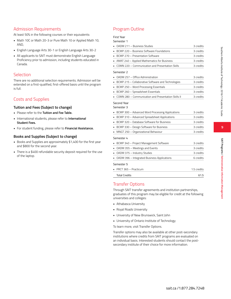# **9**

# Admission Requirements

At least 50% in the following courses or their equivalents:

- Math 10C or Math 20-3 or Pure Math 10 or Applied Math 10, AND,
- English Language Arts 30-1 or English Language Arts 30-2
- All applicants to SAIT must demonstrate English Language Proficiency prior to admission, including students educated in Canada.

# Selection

There are no additional selection requirements. Admission will be extended on a first-qualified, first-offered basis until the program is full.

# Costs and Supplies

### **Tuition and Fees (Subject to change)**

- Please refer to the **Tuition and Fee Table.**
- International students, please refer to **International Student Fees.**
- For student funding, please refer to **Financial Assistance.**

### **Books and Supplies (Subject to change)**

- Books and Supplies are approximately \$1,400 for the first year and \$800 for the second year.
- There is a \$400 refundable security deposit required for the use of the laptop.

# Program Outline

# First Year

| Semester 1                                            |           |
|-------------------------------------------------------|-----------|
| OADM 211 - Business Studies                           | 3 credits |
| • BCMP 220 - Business Software Foundations            | 3 credits |
| • BCMP 270 - Presentation Software                    | 3 credits |
| • AMAT 240 - Applied Mathematics for Business         | 3 credits |
| COMN 220 - Communication and Presentation Skills      | 3 credits |
| Semester 2                                            |           |
| OADM 257 - Office Administration<br>×.                | 3 credits |
| • BCMP 215 - Collaborative Software and Technologies  | 3 credits |
| BCMP 250 - Word Processing Essentials                 | 3 credits |
| • BCMP 260 - Spreadsheet Essentials                   | 3 credits |
| • COMN 280 - Communication and Presentation Skills II | 3 credits |
| Second Year<br>Semester 3                             |           |
| • BCMP 300 - Advanced Word Processing Applications    | 3 credits |
| • BCMP 310 - Advanced Spreadsheet Applications        | 3 credits |
| BCMP 320 - Database Software for Business             | 3 credits |
| • BCMP 330 - Design Software for Business             | 3 credits |
| MNGT 250 - Organizational Behaviour                   | 3 credits |
| Semester 4                                            |           |
| BCMP 340 - Project Management Software<br>٠.          | 3 credits |
| • OADM 355 - Meetings and Events                      | 3 credits |
| • OADM 375 - Industry Studies                         | 3 credits |
| • OADM 396 - Integrated Business Applications         | 6 credits |
| Semester 5                                            |           |

• PRCT 365 – Practicum 1.5 credits Total Credits 61.5

# Transfer Options

Through SAIT transfer agreements and institution partnerships, graduates of this program may be eligible for credit at the following universities and colleges:

- Athabasca University
- Royal Roads University
- University of New Brunswick, Saint John
- University of Ontario Institute of Technology
- To learn more, visit Transfer Options.

Transfer options may also be available at other post-secondary institutions where credits from SAIT programs are evaluated on an individual basis. Interested students should contact the postsecondary institute of their choice for more information.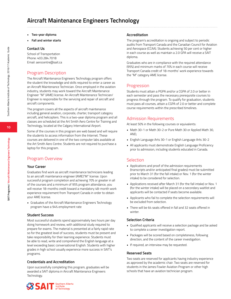- **• Two-year diploma**
- **• Fall and winter starts**

#### **Contact Us**

School of Transportation Phone: 403.284.7018 Email: aerocentre@sait.ca

# Program Description

The Aircraft Maintenance Engineers Technology program offers the student the knowledge and skills required to enter a career as an Aircraft Maintenance Technician. Once employed in the aviation industry, students may work toward the Aircraft Maintenance Engineer "M" (AME) license. An Aircraft Maintenance Technician/ Engineer is responsible for the servicing and repair of aircraft and aircraft components.

The program covers all the aspects of aircraft maintenance including general aviation, corporate, charter, transport category aircraft, and helicopters. This is a two-year diploma program and all classes are scheduled at the Art Smith Aero Centre for Training and Technology, located at the Calgary International Airport.

Some of the courses in this program are web based and will require the students to access information from the Internet. These courses are delivered in one of the two computer labs available at the Art Smith Aero Centre. Students are not required to purchase a laptop for this program.

# Program Overview

#### **Your Career**

Graduates find work as aircraft maintenance technicians leading to an aircraft maintenance engineer (AME)"M" license. Upon successful program completion and achieving 70% or greater in all of the courses and a minimum of 95% program attendance, you will receive 18-months credit toward a mandatory 48-month work experience requirement from Transport Canada in order to obtain your AME license.

• Graduates of the Aircraft Maintenance Engineers Technology program have a 94% employment rate

#### **Student Success**

Most successful students spend approximately two hours per day doing homework and review, with additional study required to prepare for exams. The material is presented at a fairly rapid rate so for the greatest level of success, students must be present and take responsibility for their learning experience. Students must be able to read, write and comprehend the English language at a level exceeding basic conversational English. Students with higher grades in high school usually experience more success in SAIT's programs.

#### **Credentials and Accreditation**

Upon successfully completing this program, graduates will be awarded a SAIT diploma in Aircraft Maintenance Engineers Technology.

#### **Accreditation**

The program's accreditation is ongoing and subject to periodic audits from Transport Canada and the Canadian Council for Aviation and Aerospace (CCAA). Students achieving 50 per cent or higher in each course as well as maintain a 2.0 GPA will receive a SAIT diploma.

Graduates who are in compliance with the required attendance (95%) and minimum marks of 70% in each course will receive Transport Canada credit of 18-months' work experience towards the "M" category AME license.

#### Progression

Students must attain a PGPA and/or a CGPA of 2.0 or better in each semester and pass the necessary prerequisite courses to progress through the program. To qualify for graduation, students must pass all courses, attain a CGPA of 2.0 or better and complete course requirements within the prescribed timelines.

### Admission Requirements

At least 50% in the following courses or equivalents:

- Math 30-1 or Math 30-2 or Pure Math 30 or Applied Math 30, AND,
- English Language Arts 30-1 or English Language Arts 30-2
- All applicants must demonstrate English Language Proficiency prior to admission, including students educated in Canada.

#### **Selection**

- Applications and proof of the admission requirements (transcripts and/or anticipated final grades) must be submitted prior to March 31 (for the fall intake) or Nov. 1 (for the winter intake) to be considered for selection.
- Applications received after March 31 (for the fall intake) or Nov. 1 (for the winter intake) will be placed on a secondary waitlist and applicants will be contacted if seats become available.
- Applicants who fail to complete the selection requirements will be excluded from selection.
- There will be 64 seats offered in fall and 32 seats offered in winter.

#### **Selection Criteria**

- Qualified applicants will receive a selection package and be asked to complete a career investigation report.
- Packages will be scored based on completeness, following direction, and the content of the career investigation.
- If required, an interview may be requested.

#### **Reserved Seats**

Two seats are reserved for applicants having industry experience as approved by the academic chair. Two seats are reserved for students in the James Fowler Aviation Program or other high schools that have an aviation technician program.



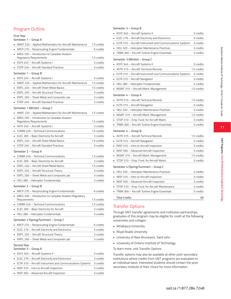# Program Outline

#### First Year

#### Semester 1 – Group A

|    | Semester 1 – Group A                                                    |             |
|----|-------------------------------------------------------------------------|-------------|
|    | AMAT 220 – Applied Mathematics for Aircraft Maintenance                 | 1.5 credits |
|    | ARCP 270 – Reciprocating Engine Fundamentals                            | 6 credits   |
| ٠. | AREG 250 - Introduction to Canadian Aviation                            |             |
|    | Regulatory Requirements                                                 | 1.5 credits |
| ٠  | ASYS 245 – Aircraft Systems I                                           | 3 credits   |
| ٠  | STDP 240 - Aircraft Standard Practices                                  | 3 credits   |
|    | Semester 1 – Group B                                                    |             |
|    | ASYS 245 - Aircraft Systems I                                           | 3 credits   |
|    | AMAT 220 - Applied Mathematics for Aircraft Maintenance                 | 1.5 credits |
|    | • EMTL 240 - Aircraft Sheet Metal Basics                                | 1.5 credits |
|    | • EMTL 255 - Aircraft Structural Theory                                 | 3 credits   |
|    | EMTL 260 – Sheet Metal and Composite Lab                                | 3 credits   |
|    | STDP 240 - Aircraft Standard Practices                                  | 3 credits   |
|    | Semester 1 (Winter) – Group C                                           |             |
|    | AMAT 220 - Applied Mathematics for Aircraft Maintenance                 | 1.5 credits |
|    | AREG 250 - Introduction to Canadian Aviation                            |             |
|    | Regulatory Requirements                                                 | 1.5 credits |
|    | • ASYS 245 – Aircraft Systems I                                         | 3 credits   |
|    | • COMM 249 - Technical Communications                                   | 1.5 credits |
|    | • ELEC 269 – Basic Electricity for Aircraft                             | 3 credits   |
|    | EMTL 240 - Aircraft Sheet Metal Basics                                  | 1.5 credits |
|    | STDP 240 - Aircraft Standard Practices                                  | 3 credits   |
|    | Semester 2 – Group A                                                    |             |
|    | COMM 249 - Technical Communications                                     | 1.5 credits |
|    | ELEC 269 - Basic Electricity for Aircraft                               | 3 credits   |
|    | EMTL 240 - Aircraft Sheet Metal Basics                                  | 1.5 credits |
|    | EMTL 255 – Aircraft Structural Theory                                   | 3 credits   |
| ٠  | EMTL 260 - Sheet Metal and Composite Lab                                | 3 credits   |
|    | HELI 280 - Helicopter Fundamentals                                      | 3 credits   |
|    |                                                                         |             |
|    | Semester 2 – Group B                                                    |             |
|    | ARCP 270 - Reciprocating Engine Fundamentals                            | 6 credits   |
|    | AREG 250 - Introduction to Canadian Aviation Regulatory<br>Requirements | 1.5 credits |
|    | COMM 249 - Technical Communications                                     | 1.5 credits |
|    | ELEC 269 - Basic Electricity for Aircraft                               |             |
|    |                                                                         | 3 credits   |
|    | HELI 280 – Helicopter Fundamentals                                      | 3 credits   |
|    | Semester 2 (Spring/Summer) - Group C                                    |             |
|    | ARCP 270 - Reciprocating Engine Fundamentals                            | 6 credits   |
|    | ELEC 279 - Aircraft Electricity and Electronics                         | 3 credits   |
|    | EMTL 255 - Aircraft Structural Theory                                   | 3 credits   |
|    | EMTL 260 – Sheet Metal and Composite Lab                                | 3 credits   |
|    | Second Year                                                             |             |
|    | Semester 3 – Group A                                                    |             |
|    | ASYS 340 - Aircraft Systems II                                          | 3 credits   |
|    | ELEC 279 - Aircraft Electricity and Electronics                         | 3 credits   |
|    | ELTR 310 - Aircraft Instrument and Communications Systems               | 3 credits   |

• INSP 310 – Intro to Aircraft Inspection 3 credits • INSP 350 – Advanced Aircraft Inspection 3 credits

#### Semester 3 – Group B

| ı  | ASYS 340 - Aircraft Systems II                              | 3 credits   |
|----|-------------------------------------------------------------|-------------|
| ı  | ELEC 279 – Aircraft Electricity and Electronics             | 3 credits   |
|    | • ELTR 310 – Aircraft Instrument and Communications Systems | 3 credits   |
| ı. | HELI 320 – Helicopter Maintenance Practices                 | 3 credits   |
| ı  | TRBN 360 - Aircraft Turbine Engine Essentials               | 3 credits   |
|    | Semester 3 (Winter) – Group C                               |             |
|    | ASYS 340 - Aircraft Systems II                              | 3 credits   |
| ı  | AVTR 315 - Aircraft Technical Records                       | 1.5 credits |
| ı  | ELTR 310 - Aircraft Instrument and Communications Systems   | 3 credits   |
|    | • ELTR 315 – Aircraft Navigation                            | 3 credits   |
| ı. | HELI 280 – Helicopter Fundamentals                          | 3 credits   |
|    | MGMT 315 – Aircraft Maint. Management                       | 1.5 credits |
|    | Semester 4 – Group A                                        |             |
|    | AVTR 315 - Aircraft Technical Records                       | 1.5 credits |
| ı  | ELTR 315 - Aircraft Navigation                              | 3 credits   |
| ٠  | HELI 320 – Helicopter Maintenance Practices                 | 3 credits   |
| ٠  | MGMT 315 – Aircraft Maint. Management                       | 1.5 credits |
|    | ▪ STDP 310 − Emp. Fund. for Aircraft Maint.                 | 3 credits   |
| ٠  | TRBN 360 - Aircraft Turbine Engine Essentials               | 3 credits   |
|    | Semester 4 – Group B                                        |             |
| a, | AVTR 315 - Aircraft Technical Records                       | 1.5 credits |
| ×, | ELTR 315 - Aircraft Navigation                              | 3 credits   |
| ı  | INSP 310 - Intro to Aircraft Inspection                     | 3 credits   |
| ı  | INSP 350 – Advanced Aircraft Inspection                     | 3 credits   |
|    | • MGMT 315 – Aircraft Maint. Management                     | 1.5 credits |
| ×. | STDP 310 - Emp. Fund. for Aircraft Maint.                   | 3 credits   |
|    | Semester 4 (Spring/Summer) – Group C                        |             |
|    | HELI 320 – Helicopter Maintenance Practices                 | 3 credits   |
| ı  | INSP 310 - Intro to Aircraft Inspection                     | 3 credits   |
| ı  | INSP 350 - Advanced Aircraft Inspection                     | 3 credits   |
| ٠  | STDP 310 - Emp. Fund. for Aircraft Maintenance              | 3 credits   |
| ٠  | TRBN 360 - Aircraft Turbine Engine Essentials               | 3 credits   |
|    | Total Credits                                               | 60          |

# Transfer Options

Through SAIT transfer agreements and institution partnerships, graduates of this program may be eligible for credit at the following universities and colleges:

- Athabasca University
- Royal Roads University
- University of New Brunswick, Saint John
- University of Ontario Institute of Technology
- To learn more, visit Transfer Options.

Transfer options may also be available at other post-secondary institutions where credits from SAIT programs are evaluated on an individual basis. Interested students should contact the postsecondary institute of their choice for more information.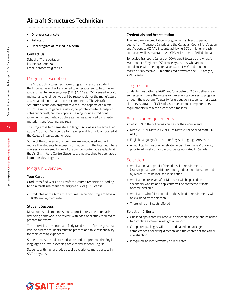- **• One-year certificate**
- **• Fall start**
- **• Only program of its kind in Alberta**

#### **Contact Us**

School of Transportation Phone: 403.284.7018 Email: aerocentre@sait.ca

# Program Description

The Aircraft Structures Technician program offers the student the knowledge and skills required to enter a career to become an aircraft maintenance engineer (AME) "S." As an "S" licensed aircraft maintenance engineer, you will be responsible for the manufacture and repair of aircraft and aircraft components. The Aircraft Structures Technician program covers all the aspects of aircraft structure repair to general aviation, corporate, charter, transport category aircraft, and helicopters. Training includes traditional aluminum sheet metal structure as well as advanced composite material manufacturing and repair.

The program is two semesters in length. All classes are scheduled at the Art Smith Aero Centre for Training and Technology, located at the Calgary International Airport.

Some of the courses in this program are web-based and will require the students to access information from the Internet. These courses are delivered in one of the two computer labs available at the Art Smith Aero Centre. Students are not required to purchase a laptop for this program.

# Program Overview

#### **Your Career**

Graduates find work as aircraft structures technicians leading to an aircraft maintenance engineer (AME) 'S' License.

• Graduates of the Aircraft Structures Technician program have a 100% employment rate

#### **Student Success**

Most successful students spend approximately one hour each day doing homework and review, with additional study required to prepare for exams.

The material is presented at a fairly rapid rate so for the greatest level of success students must be present and take responsibility for their learning experience.

Students must be able to read, write and comprehend the English language at a level exceeding basic conversational English.

Students with higher grades usually experience more success in SAIT programs.

#### **Credentials and Accreditation**

The program's accreditation is ongoing and subject to periodic audits from Transport Canada and the Canadian Council for Aviation and Aerospace (CCAA). Students achieving 50% or higher in each course as well as maintain a 2.0 CPA will receive a SAIT diploma.

To receive Transport Canada or CCAA credit towards the Aircraft Maintenance Engineers "S" license, graduates who are in compliance with the required attendance (95%) and minimum marks of 70% receive 10 months credit towards the "S" Category AME license.

# Progression

Students must attain a PGPA and/or a CGPA of 2.0 or better in each semester and pass the necessary prerequisite courses to progress through the program. To qualify for graduation, students must pass all courses, attain a CPGPA of 2.0 or better and complete course requirements within the prescribed timelines.

# Admission Requirements

At least 50% in the following courses or their equivalents:

- Math 20-1 or Math 20-2 or Pure Math 20 or Applied Math 20, AND,
- English Language Arts 30-1 or English Language Arts 30-2
- All applicants must demonstrate English Language Proficiency prior to admission, including students educated in Canada.

### **Selection**

- Applications and proof of the admission requirements (transcripts and/or anticipated final grades) must be submitted by March 31 to be included in selection.
- Applications received after March 31 will be placed on a secondary waitlist and applicants will be contacted if seats become available.
- Applicants who fail to complete the selection requirements will be excluded from selection.
- There will be 18 seats offered.

#### **Selection Criteria**

- Qualified applicants will receive a selection package and be asked to complete a career investigation report.
- Completed packages will be scored based on package completeness, following direction, and the content of the career investigation.
- If required, an interview may be requested.

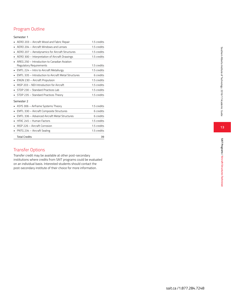# Program Outline

#### Semester 1

| AERO 203 - Aircraft Wood and Fabric Repair                              | 1.5 credits |
|-------------------------------------------------------------------------|-------------|
| AERO 204 - Aircraft Windows and Lenses                                  | 1.5 credits |
| AERO 207 - Aerodynamics for Aircraft Structures                         | 1.5 credits |
| AERO 300 - Interpretation of Aircraft Drawings                          | 1.5 credits |
| AREG 250 - Introduction to Canadian Aviation<br>Regulatory Requirements | 1.5 credits |
| EMTL 224 - Intro to Aircraft Metallurgy                                 | 1.5 credits |
| EMTL 335 - Introduction to Aircraft Metal Structures                    | 6 credits   |
| ENGN 230 - Aircraft Propulsion                                          | 1.5 credits |
| INSP 203 - NDI Introduction for Aircraft                                | 1.5 credits |
| STDP 230 - Standard Practices Lab                                       | 1.5 credits |
| STDP 235 - Standard Practices Theory                                    | 1.5 credits |
| Semester 2                                                              |             |
| ASYS 306 - Airframe Systems Theory                                      | 1.5 credits |
| EMTL 330 - Aircraft Composite Structures                                | 6 credits   |
| <b>EMTL 336 - Advanced Aircraft Metal Structures</b>                    | 6 credits   |
| HFAC 245 - Human Factors                                                | 1.5 credits |
| INSP 226 - Aircraft Corrosion                                           | 1.5 credits |
| PNTG 234 - Aircraft Sealing                                             | 1.5 credits |
| <b>Total Credits</b>                                                    | 39          |

# Transfer Options

Transfer credit may be available at other post-secondary institutions where credits from SAIT programs could be evaluated on an individual basis. Interested students should contact the post-secondary institute of their choice for more information.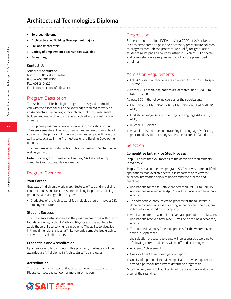# **Architectural Technologies Diploma**

- **• Two-year diploma**
- **• Architectural or Building Development majors**
- **• Fall and winter start**
- **• Variety of employment opportunities available**
- **• E-Learning**

#### **Contact Us**

School of Construction Room CB410, Aldred Centre Phone: 403.284.8367 Fax: 403.210.4271 Email: construction.info@sait.ca

# Program Description

The Architectural Technologies program is designed to provide you with the essential skills and knowledge required to work as an Architectural Technologist for architectural firms, residential builders and many other companies involved in the construction industry.

This Diploma program is two years in length, consisting of four 15-week semesters. The first three semesters are common to all students in the program. In the fourth semester, you will have the ability to specialize in the Architectural or the Building Development options.

This program accepts students into first semester in September as well as January.

**Note:** This program utilizes an e-Learning (SAIT issued laptop computer) instructional delivery method.

## Program Overview

#### **Your Career**

Graduates find diverse work in architectural offices and in building construction as architect assistants, building inspectors, building products sales and graphic designers.

• Graduates of the Architectural Technologies program have a 91% employment rate

#### **Student Success**

The most successful students in the program are those with a solid foundation in high school Math and Physics and the aptitude to apply those skills to solving real problems. The ability to visualize in three dimensions and an affinity towards computerized graphics software are valuable assets.

#### **Credentials and Accreditation**

Upon successfully completing this program, graduates will be awarded a SAIT diploma in Architectural Technologies.

#### **Accreditation**

There are no formal accreditation arrangements at this time. Please contact the school for more information.

#### Progression

Students must attain a PGPA and/or a CGPA of 2.0 or better in each semester and pass the necessary prerequisite courses to progress through the program. To qualify for graduation, students must pass all courses, attain a CGPA of 2.0 or better and complete course requirements within the prescribed timelines.

#### Admission Requirements

- Fall 2016 start: applications are accepted Oct. 21, 2015 to April 15, 2016.
- Winter 2017 start: applications are accepted June 1, 2016 to Nov. 15, 2016.

At least 50% in the following courses or their equivalents:

- Math 30-1 or Math 30-2 or Pure Math 30 or Applied Math 30, AND,
- English Language Arts 30-1 or English Language Arts 30-2, AND,
- A Grade 12 Science.
- All applicants must demonstrate English Language Proficiency prior to admission, including students educated in Canada.

# **Selection**

#### **Competitive Entry: Five Step Process**

**Step 1:** Ensure that you meet all of the admission requirements listed above.

**Step 2:** This is a competitive program; SAIT receives more qualified applications than available seats. It is important to review the selection information below to understand the process and deadlines.

- Applications for the fall intake are accepted Oct. 21 to April 15. Applications received after April 15 will be placed on a secondary waitlist.
- The competitive entry/selection process for the fall intake is done on a continuous basis starting in January and the program is typically waitlisted by early spring.
- Applications for the winter intake are accepted June 1 to Nov. 15. Applications received after Nov. 15 will be placed on a secondary waitlist.
- The competitive entry/selection process for the winter intake starts in September.

In the selection process, applicants will be assessed according to the following criteria and seats will be offered accordingly.

- Academic Achievement
- Quality of the Career Investigation Report
- Quality of a personal interview (applicants may be required to attend a personal interview to determine program fit)

Once the program is full, applicants will be placed on a waitlist in order of their ranking.

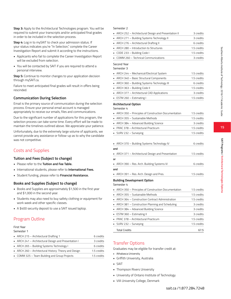**15**

**SAIT Programs / Architectural Technologies Diploma** 

SAIT Programs / Architectural Technologies Diplom

**Step 3:** Apply to the Architectural Technologies program. You will be required to submit your transcripts and/or anticipated final grades in order to be included in the selection process.

**Step 4:** Log in to mySAIT to check your admission status. If your status indicates you're "In Selection," complete the Career Investigation Report and submit it according to the instructions.

- Applicants who fail to complete the Career Investigation Report will be excluded from selection.
- You will be contacted by SAIT if you are required to attend a personal interview.

**Step 5:** Continue to monitor changes to your application decision through mySAIT.ca.

Failure to meet anticipated final grades will result in offers being rescinded.

#### **Communication During Selection**

Email is the primary source of communication during the selection process. Ensure your personal email account is managed appropriately to receive our emails, files and communications.

Due to the significant number of applications for this program, the selection process can take some time. Every effort will be made to maintain the timelines outlined above. We appreciate your patience.

Unfortunately, due to the extremely large volume of applicants, we cannot provide any assistance or follow-up as to why the candidate was not competitive.

# Costs and Supplies

#### **Tuition and Fees (Subject to change)**

- Please refer to the **Tuition and Fee Table.**
- International students, please refer to **International Fees.**
- Student funding, please refer to **Financial Assistance.**

#### **Books and Supplies (Subject to change)**

- Books and Supplies are approximately \$1,500 in the first year and \$1,000 in the second year.
- Students may also need to buy safety clothing or equipment for work week and other specific classes.
- A \$400 security deposit to use a SAIT issued laptop.

# Program Outline

#### First Year

Semester 1

| • ARCH 215 - Architectural Drafting 1                 | 6 credits   |
|-------------------------------------------------------|-------------|
| • ARCH 241 - Architectural Design and Presentation I  | 3 credits   |
| • ARCH 265 - Building Systems Technology I            | 6 credits   |
| • ARCH 260 - Architectural History: Theory and Design | 1.5 credits |
| • COMM 325 - Team Building and Group Projects         | 1.5 credits |

#### Semester 2

| • ARCH 252 - Architectural Design and Presentation II | 3 credits   |
|-------------------------------------------------------|-------------|
| • ARCH 271 - Building Systems Technology II           | 3 credits   |
| • ARCH 276 - Architectural Drafting II                | 6 credits   |
| • ARCH 280 – Introduction to Structures               | 1.5 credits |
| CODE 233 - Building Code I                            | 1.5 credits |
| • COMM 260 - Technical Communications                 | 3 credits   |
|                                                       |             |

#### Second Year Semester 3

| • ARCH 244 - Mechanical/Electrical System    | 1.5 credits |
|----------------------------------------------|-------------|
| • ARCH 340 - Basic Structural Components     | 1.5 credits |
| • ARCH 360 - Building Systems Technology III | 6 credits   |
| $\blacksquare$ ARCH 363 - Building Code II   | 1.5 credits |
| • ARCH 377 - Architectural CAD Applications  | 3 credits   |
| • ESTM 260 - Estimating I                    | 1.5 credits |

#### **Architectural Option**

Semester 4

| • ARCH 350 - Principles of Construction Documentation | 1.5 credits |
|-------------------------------------------------------|-------------|
| • ARCH 355 - Sustainable Methods                      | 1.5 credits |
| • ARCH 384 - Advanced Building Science                | 3 credits   |
| • PRAC 378 - Architectural Practicum                  | 1.5 credits |
| SURV 232 - Surveying                                  | 1.5 credits |

| • ARCH 370 - Building Systems Technology IV                     | 6 credits   |
|-----------------------------------------------------------------|-------------|
| and                                                             |             |
| $\blacksquare$ ARCH 371 – Architectural Design and Presentation | 1.5 credits |
| or                                                              |             |
| • ARCH 390 – Res. Arch. Building Systems IV                     | 6 credits   |
| and                                                             |             |
| • ARCH 391 – Res. Arch. Design and Pres.                        | 1.5 credits |
| Dullaling Development Ontion                                    |             |

#### **Building Development Option**

Semester 4

| <b>Total Credits</b>                                           | 67.5        |
|----------------------------------------------------------------|-------------|
| SURV 232 - Surveying                                           | 1.5 credits |
| • PRAC 378 - Architectural Practicum                           | 1.5 credits |
| • ESTM 360 - Estimating II                                     | 3 credits   |
| • ARCH 384 – Advanced Building Science                         | 3 credits   |
| • ARCH 381 – Construction Planning and Scheduling              | 3 credits   |
| $\blacksquare$ ARCH 364 – Construction Contract Administration | 1.5 credits |
| • ARCH 355 – Sustainable Methods                               | 1.5 credits |
| • ARCH 350 - Principles of Construction Documentation          | 1.5 credits |

## Transfer Options

Graduates may be eligible for transfer credit at:

- Athabasca University
- Griffith University, Australia
- SAIT
- Thompson Rivers University
- University of Ontario Institute of Technology
- VIA University College, Denmark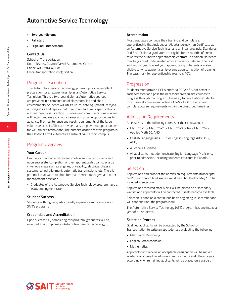# **Automotive Service Technology**

- **• Two-year diploma**
- **• Fall start**
- **• High-industry demand**

#### **Contact Us**

School of Transportation Room BA319, Clayton Carroll Automotive Centre Phone: 403.284.8471 or Email: transportation.info@sait.ca

# Program Description

This Automotive Service Technology program provides excellent preparation for an apprenticeship as an Automotive Service Technician. This is a two-year diploma. Automotive courses are provided in a combination of classroom, lab and shop environments. Students will utilize up-to-date equipment, carrying out diagnosis and repairs that meet manufacturer's specifications and customer's satisfaction. Business and communications courses will better prepare you in your career and provide opportunities to advance. The maintenance and repair requirements of the large volume vehicles in Alberta provide many employment opportunities for well trained technicians. The primary location for this program is the Clayton Carroll Automotive Centre at SAIT's main campus.

# Program Overview

#### **Your Career**

Graduates may find work as automotive service technicians and upon successful completion of their apprenticeship can specialize in various areas such as engines, driveability, electrical, chassis systems, wheel alignment, automatic transmissions, etc. There is potential to advance to shop foreman, service managers and other management positions.

• Graduates of the Automotive Service Technology program have a 100% employment rate

#### **Student Success**

Students with higher grades usually experience more success in SAIT's programs.

#### **Credentials and Accreditation**

Upon successfully completing this program, graduates will be awarded a SAIT diploma in Automotive Service Technology.

#### **Accreditation**

Most graduates continue their training and complete an apprenticeship that includes an Alberta Journeyman Certificate as an Automotive Service Technician and an Inter-provincial Standards Red Seal. Diploma graduates are eligible for 16 months of credit towards their Alberta apprenticeship contract. In addition, students may be granted trade-related work experience between the first and second year toward your apprenticeship. Students are also eligible to write apprenticeship exams upon completion of training. The pass mark for apprenticeship exams is 70%.

#### Progression

Students must attain a PGPA and/or a CGPA of 2.0 or better in each semester and pass the necessary prerequisite courses to progress through the program. To qualify for graduation students must pass all courses and attain a CGPA of 2.0 or better and complete course requirements within the prescribed timelines.

### Admission Requirements

At least 50% in the following courses or their equivalents:

- Math 20-1 or Math 20-2 or Math 20-3 or Pure Math 20 or Applied Math 20, AND,
- English Language Arts 30-1 or English Language Arts 30-2, AND,
- A Grade 11 Science
- All applicants must demonstrate English Language Proficiency prior to admission, including students educated in Canada.

### **Selection**

Applications and proof of the admission requirements (transcripts and/or anticipated final grades) must be submitted by May 1 to be included in selection.

Applications received after May 1 will be placed on a secondary waitlist and applicants will be contacted if seats become available.

Selection is done on a continuous basis beginning in December and will continue until the program is full.

The Automotive Service Technology (AST) program has one intake a year of 58 students.

#### **Selection Process**

Qualified applicants will be contacted by the School of Transportation to write an aptitude test evaluating the following:

- Mechanical Reasoning
- English Comprehension
- Mathematics

Applicants who receive an acceptable designation will be ranked academically based on admission requirements and offered seats accordingly. All remaining applicants will be placed on a waitlist.

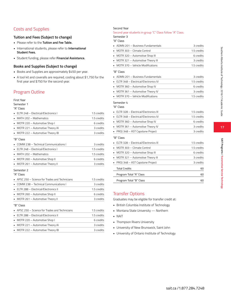# **17**

# Costs and Supplies

# **Tuition and Fees (Subject to change)**

- Please refer to the **Tuition and Fee Table.**
- International students, please refer to **International Student Fees.**
- Student funding, please refer **Financial Assistance.**

# **Books and Supplies (Subject to change)**

- Books and Supplies are approximately \$450 per year.
- A tool kit and coveralls are required, costing about \$1,750 for the first year and \$750 for the second year.

# Program Outline

# First Year

Semester 1 "A" Class

| • ELTR 248 - Electrical/Electronics I | 1.5 credits |
|---------------------------------------|-------------|
| $\blacksquare$ MATH 202 – Mathematics | 1.5 credits |
| • MOTR 220 - Automotive Shop I        | 6 credits   |
| • MOTR 221 - Automotive Theory IA     | 3 credits   |
| • MOTR 222 - Automotive Theory IB     | 3 credits   |
|                                       |             |

#### "B" Class

| • COMM 238 – Technical Communications L | 3 credits   |
|-----------------------------------------|-------------|
| • ELTR 248 - Electrical/Electronics I   | 1.5 credits |
| $\blacksquare$ MATH 202 – Mathematics   | 1.5 credits |
| MOTR 260 - Automotive Shop II           | 6 credits   |
| • MOTR 261 - Automotive Theory II       | 3 credits   |
|                                         |             |

#### Semester 2

"A" Class

| • APSC 250 – Science for Trades and Technicians     | 1.5 credits |
|-----------------------------------------------------|-------------|
| • COMM 238 – Technical Communications L             | 3 credits   |
| • ELTR 288 - Electrical/Electronics II              | 1.5 credits |
| • MOTR 260 – Automotive Shop II                     | 6 credits   |
| • MOTR 261 – Automotive Theory II                   | 3 credits   |
| "B" Class                                           |             |
| • APSC 250 – Science for Trades and Technicians     | 1.5 credits |
| $\blacksquare$ ELTR 288 - Electrical/Electronics II | 1.5 credits |
| • MOTR 220 – Automotive Shop I                      | 6 credits   |
| • MOTR 221 – Automotive Theory IA                   | 3 credits   |
|                                                     |             |

• MOTR 222 – Automotive Theory IB 3 credits

#### Second Year

#### Second year students in group "C" Class follow "A" Class. Semester 3

#### "A" Class

| • ADMN 201 – Business Fundamentals | 3 credits   |
|------------------------------------|-------------|
| • MOTR 303 - Climate Control       | 1.5 credits |
| • MOTR 320 - Automotive Shop III   | 6 credits   |
| • MOTR 321 - Automotive Theory III | 3 credits   |
| • MOTR 370 – Vehicle Modifications | 15 credits  |

#### "B" Class

| • ADMN 201 - Business Fundamentals                  | 3 credits   |
|-----------------------------------------------------|-------------|
| $\blacksquare$ ELTR 348 – Electrical/Electronics IV | 1.5 credits |
| • MOTR 360 – Automotive Shop IV                     | 6 credits   |
| • MOTR 361 - Automotive Theory IV                   | 3 credits   |
| • MOTR 370 - Vehicle Modifications                  | 1.5 credits |

#### Semester 4

#### "A" Class

| $\blacksquare$ ELTR 328 - Electrical/Electronics III | 1.5 credits |
|------------------------------------------------------|-------------|
| $\blacksquare$ ELTR 348 – Electrical/Electronics IV  | 1.5 credits |
| • MOTR 360 – Automotive Shop IV                      | 6 credits   |
| • MOTR 361 – Automotive Theory IV                    | 3 credits   |
| $\blacksquare$ PROJ 348 – AST Capstone Project       | 3 credits   |
| "B" Class                                            |             |

| $\blacksquare$ ELTR 328 - Electrical/Electronics III | 15 credits  |
|------------------------------------------------------|-------------|
| $\blacksquare$ MOTR 303 – Climate Control            | 1.5 credits |
| • MOTR 320 – Automotive Shop III                     | 6 credits   |
| • MOTR 321 – Automotive Theory III                   | 3 credits   |
| • PROJ 348 – AST Capstone Project                    | 3 credits   |
| <b>Total Credits</b>                                 | 60          |
| Program Total "A" Class                              | 60          |
| Program Total "B" Class                              |             |

# Transfer Options

Graduates may be eligible for transfer credit at:

- British Columbia Institute of Technology
- Montana State University Northern
- NAIT
- Thompson Rivers University
- University of New Brunswick, Saint John
- University of Ontario Institute of Technology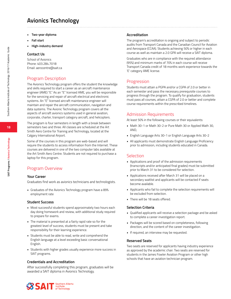# **Avionics Technology**

- **• Two-year diploma**
- **• Fall start**
- **• High-industry demand**

#### **Contact Us**

School of Avionics Phone: 403.284.7018 Email: aerocentre@sait.ca

# Program Description

The Avionics Technology program offers the student the knowledge and skills required to start a career as an aircraft maintenance engineer (AME) "E." As an "E" licensed AME, you will be responsible for the servicing and repair of aircraft electrical and electronic systems. An "E" licensed aircraft maintenance engineer will maintain and repair the aircraft communication, navigation and data systems. The Avionic Technology program covers all the aspects of aircraft avionics systems used in general aviation, corporate, charter, transport category aircraft, and helicopters.

The program is four semesters in length with a break between semesters two and three. All classes are scheduled at the Art Smith Aero Centre for Training and Technology, located at the Calgary International Airport.

Some of the courses in this program are web-based and will require the students to access information from the Internet. These courses are delivered in one of the two computer labs available at the Art Smith Aero Centre. Students are not required to purchase a laptop for this program.

# Program Overview

#### **Your Career**

Graduates find work as avionics technicians and technologists.

• Graduates of the Avionics Technology program have a 89% employment rate

#### **Student Success**

- Most successful students spend approximately two hours each day doing homework and review, with additional study required to prepare for exams.
- The material is presented at a fairly rapid rate so for the greatest level of success, students must be present and take responsibility for their learning experience.
- Students must be able to read, write and comprehend the English language at a level exceeding basic conversational English.
- Students with higher grades usually experience more success in SAIT programs.

#### **Credentials and Accreditation**

After successfully completing this program, graduates will be awarded a SAIT diploma in Avionics Technology.

#### **Accreditation**

The program's accreditation is ongoing and subject to periodic audits from Transport Canada and the Canadian Council for Aviation and Aerospace (CCAA). Students achieving 50% or higher in each course as well as maintain a 2.0 GPA will receive a SAIT diploma.

Graduates who are in compliance with the required attendance (95%) and minimum marks of 70% in each course will receive Transport Canada credit of 18 months work experience towards the 'E' category AME license.

#### Progression

Students must attain a PGPA and/or a CGPA of 2.0 or better in each semester and pass the necessary prerequisite courses to progress through the program. To qualify for graduation, students must pass all courses, attain a CGPA of 2.0 or better and complete course requirements within the prescribed timelines.

# Admission Requirements

At least 50% in the following courses or their equivalents:

- Math 30-1 or Math 30-2 or Pure Math 30 or Applied Math 30, AND,
- English Language Arts 30-1 or English Language Arts 30-2
- All applicants must demonstrate English Language Proficiency prior to admission, including students educated in Canada.

#### **Selection**

- Applications and proof of the admission requirements (transcripts and/or anticipated final grades) must be submitted prior to March 31 to be considered for selection.
- Applications received after March 31 will be placed on a secondary waitlist and applicants will be contacted if seats become available.
- Applicants who fail to complete the selection requirements will be excluded from selection.
- There will be 18 seats offered.

#### **Selection Criteria**

- Qualified applicants will receive a selection package and be asked to complete a career investigation report.
- Packages will be scored based on completeness, following direction, and the content of the career investigation.
- If required, an interview may be requested.

#### **Reserved Seats**

Two seats are reserved for applicants having industry experience as approved by the academic chair. Two seats are reserved for students in the James Fowler Aviation Program or other high schools that have an aviation technician program.

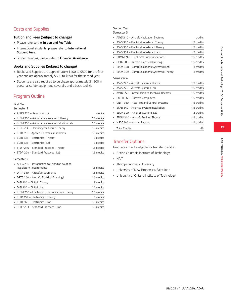# Costs and Supplies

#### **Tuition and Fees (Subject to change)**

- Please refer to the **Tuition and Fee Table.**
- International students, please refer to **International Student Fees.**
- Student funding, please refer to **Financial Assistance.**

#### **Books and Supplies (Subject to change)**

- Books and Supplies are approximately \$400 to \$500 for the first year and are approximately \$500 to \$650 for the second year.
- Students are also required to purchase approximately \$1,200 in personal safety equipment, coveralls and a basic tool kit.

# Program Outline

#### First Year

#### Semester 1

| $\blacksquare$ AERO 220 - Aerodynamics         | credits     |
|------------------------------------------------|-------------|
| • ELCM 355 - Avionics Systems Intro Theory     | 1.5 credits |
| • ELCM 356 - Avionics Systems Introduction Lab | 1.5 credits |
| • ELEC 214 - Electricity for Aircraft Theory   | 1.5 credits |
| • ELTR 216 - Applied Electronics Problems      | 1.5 credits |
| • ELTR 235 - Electronics I Theory              | 3 credits   |
| • ELTR 236 - Electronics I Lab                 | 3 credits   |
| • STDP 215 - Standard Practices I Theory       | 1.5 credits |
| • STDP 224 - Standard Practices I Lab          | 1.5 credits |
|                                                |             |

#### Semester 2

| AREG 250 - Introduction to Canadian Aviation        |             |
|-----------------------------------------------------|-------------|
| Regulatory Requirements                             | 1.5 credits |
| • DATA 310 - Aircraft Instruments                   | 1.5 credits |
| • DFTG 250 – Aircraft Electrical Drawing I          | 1.5 credits |
| • DIGI 235 – Digital I Theory                       | 3 credits   |
| • DIGI 236 – Digital I Lab                          | 1.5 credits |
| • ELCM 250 - Electronic Communications Theory       | 1.5 credits |
| • ELTR 259 – Electronics II Theory                  | 3 credits   |
| $\blacksquare$ ELTR 260 – Electronics II Lab        | 1.5 credits |
| $\blacksquare$ STDP 283 – Standard Practices II Lab | 1.5 credits |
|                                                     |             |

# Second Year

#### Semester 3

| ASYS 310 - Aircraft Navigation Systems       | credits     |  |
|----------------------------------------------|-------------|--|
| ASYS 320 - Electrical Interface I Theory     | 1.5 credits |  |
| ASYS 350 - Electrical Interface II Theory    | 1.5 credits |  |
| ASYS 351 - Electrical Interface II Lab       | 1.5 credits |  |
| COMM 249 - Technical Communications          | 1.5 credits |  |
| DFTG 305 - Aircraft Electrical Drawing II    | 1.5 credits |  |
| ELCM 348 - Communications Systems II Lab     | 3 credits   |  |
| ELCM 349 - Communications Systems II Theory  | 3 credits   |  |
| Semester 4                                   |             |  |
| ASYS 220 - Aircraft Systems Theory           | 1.5 credits |  |
| ASYS 225 - Aircraft Systems Lab              | 1.5 credits |  |
| AVTR 353 - Introduction to Technical Records | 1.5 credits |  |
| CMPH 365 - Aircraft Computers                | 1.5 credits |  |
| CNTR 360 - AutoPilot and Control Systems     | 1.5 credits |  |
| EFAB 340 - Avionics System Installation      | 1.5 credits |  |
| ELCM 390 - Avionics Systems Lab              | 3 credits   |  |
| ENGN 240 - Aircraft Engines Theory           | 1.5 credits |  |
| HFAC 245 - Human Factors                     | 1.5 credits |  |
| <b>Total Credits</b>                         | 63          |  |

# Transfer Options

Graduates may be eligible for transfer credit at:

- British Columbia Institute of Technology
- NAIT
- Thompson Rivers University
- University of New Brunswick, Saint John
- University of Ontario Institute of Technology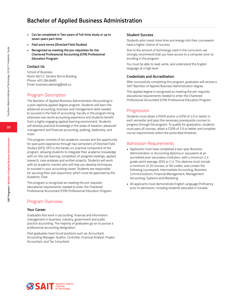# **Bachelor of Applied Business Administration**

- **• Can be completed in Two-years of full-time study or up to seven years part-time**
- **• Paid work terms (Directed Field Studies)**
- **• Recognized as meeting the pre-requisites for the Chartered Professional Accounting (CPA) Professional Education Program**

#### **Contact Us**

School of Business Room NJ212, Senator Burns Building Phone: 403.284.8485 Email: business.advising@sait.ca

# Program Description

The Bachelor of Applied Business Administration (Accounting) is a post-diploma applied degree program. Students will learn the advanced accounting, business and management skills needed to succeed in the field of accounting. Faculty in the program bring extensive real-world accounting experience and students benefit from a highly engaging applied learning environment. Students will develop practical knowledge in the areas of taxation, advanced management and financial accounting, auditing, leadership, and more.

This program consists of ten academic courses and the opportunity for paid work experience through two semesters of Directed Field Studies (DFS). DFS is the hands-on, practical component of the program, allowing students to integrate their academic knowledge with on-the-job learning, completion of assigned readings, applied research, case analyses and written projects. Students will work with an academic mentor who will help you develop techniques to succeed in your accounting career. Students are responsible for securing their own placement, which must be approved by the Academic Chair.

This program is recognized as meeting the pre-requisite educational requirements needed to enter the Chartered Professional Accountant (CPA) Professional Education Program.

# Program Overview

#### **Your Career**

Graduates find work in accounting, financial and information management in business, industry, government and public practice accounting. The majority of graduates go on to pursue a professional accounting designation.

Past graduates have found positions such as: Accountant, Accounting Manager, Auditor, Controller, Financial Analyst, Project Accountant, and Tax Consultant.

#### **Student Success**

Students who invest more time and energy into their coursework have a higher chance of success.

Due to the amount of technology used in the curriculum, we strongly recommend that you have access to a computer prior to enrolling in the program.

You must be able to read, write, and understand the English language at a high level.

#### **Credentials and Accreditation**

After successfully completing this program, graduates will receive a SAIT Bachelor of Applied Business Administration degree.

This applied degree is recognized as meeting the pre-requisite educational requirements needed to enter the Chartered Professional Accountant (CPA) Professional Education Program.

# Progression

Students must attain a PGPA and/or a CGPA of 2.0 or better in each semester and pass the necessary prerequisite courses to progress through the program. To qualify for graduation, students must pass all courses, attain a CGPA of 2.0 or better and complete course requirements within the prescribed timelines.

# Admission Requirements

- Applicants must have completed a two-year Business Administration or Accounting diploma or equivalent at an accredited post-secondary institution, with a minimum 2.3 grade-point average, (65% or C+). This diploma must include a minimum of 20 courses, or 60 credits, and contain the following coursework: Intermediate Accounting, Business Communications, Financial Management, Management Accounting, Systems and Marketing.
- All applicants must demonstrate English Language Proficiency prior to admission, including students educated in Canada.

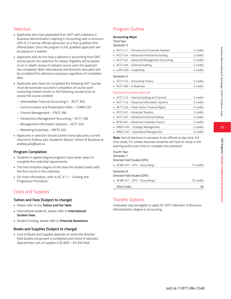# Selection

- Applicants who have graduated from SAIT with a diploma in Business Administration majoring in Accounting with a minimum GPA of 2.3 will be offered admission on a first-qualified, firstoffered basis. Once the program is full, qualified applicants will be placed on a waitlist.
- Applicants who do not have a diploma in accounting from SAIT will be placed into selection for review. Eligibility will be based on an in-depth review of relevant course work the applicant has completed. Both international and domestic education will be considered for admission purposes regardless of completion date.
- Applicants who have not completed the following SAIT courses must demonstrate successful completion of course work containing content similar to the following courses (click to review the course content):
	- Intermediate Financial Accounting II ACCT 350
	- Communication and Presentation Skills COMN 220
	- Finance Management FNCE 390
	- Introductory Management Accounting ACCT 338
	- Management Information Systems ACCT 320
	- Marketing Essentials MKTG 260
- Applicants in selection should submit transcripts and a current résumé to Andrew Julio, Academic Advisor, School of Business at andrew.julio@sait.ca.

#### **Program Completion**

- Students in applied degree programs have seven years to complete the credential requirements.
- The time limitation begins on the date the student starts with the first course in the credential.
- For more information, refer to AC 3.1.1 Grading and Progression Procedure.

# Costs and Supplies

#### **Tuition and Fees (Subject to change)**

- Please refer to the **Tuition and Fee Table**.
- International students, please refer to **International Student Fees.**
- Student funding, please refer to **Financial Assistance.**

#### **Books and Supplies (Subject to change)**

• Cost of Books and Supplies depends on when the directed field studies component is completed and choice of electives. Approximate cost of supplies is \$2,600 – \$3,200 total.

# Program Outline

#### **Accounting Major**

# Third Year

| Semester 5                                  |           |
|---------------------------------------------|-----------|
| ACCT 411 - Personal and Corporate Taxation  | 3 credits |
| ACCT 434 - Advanced Financial Accounting    | 3 credits |
| ACCT 491 - Advanced Management Accounting   | 3 credits |
| ACCT 495 - External Auditing                | 3 credits |
| LDSH 405 - Leadership                       | 3 credits |
| Semester 6                                  |           |
| $\blacksquare$ ACCT 415 – Accounting Theory | 3 credits |
| ACCT 480 - E-Business                       | 3 credits |
| Electives (3 courses required)              |           |
| ACCT 413 – Internal Auditing and Controls   | 3 credits |
| ACCT 416 - Advanced Information Systems     | 3 credits |
| ACCT 420 - Public Sector Financial Mgmt     | 3 credits |
| ACCT 451 - Advanced Taxation                | 3 credits |
| ACCT 497 - Advanced External Auditing       | 3 credits |
| BFIN 492 - Advanced Corporate Finance       | 3 credits |
| MNGT 405 - Strategic Management             | 3 credits |
| MNGT 407 - Operations Management            | 3 credits |

**Note:** Not all electives in semester 6 are offered as day time, full time study. For certain electives students will have to study in the evening and/or part time to complete this semester.

| Fourth Year                                |            |
|--------------------------------------------|------------|
| Semester 7                                 |            |
| Directed Field Studies (DFS)               |            |
| • ACWE 407 – DFS – Accounting I            | 15 credits |
| Semester 8<br>Directed Field Studies (DFS) |            |
| • ACWE 457 - DFS - Accounting II           | 15 credits |
| <b>Total Credits</b>                       | 60         |

# Transfer Options

Graduates may be eligible to apply for SAIT's Bachelor of Business Administration degree in Accounting.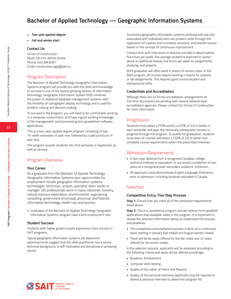- **• Two-year applied degree**
- **• Fall and winter start**

#### **Contact Us**

School of Construction Room CB 410, Aldred Centre Phone: 403.284.8367 Email: construction.bgis@sait.ca

# Program Description

The Bachelor of Applied Technology Geographic Information Systems program will provide you with the skills and knowledge to succeed in one of the fastest growing sectors of information technology. Geographic Information System (GIS) combines the power of relational database management systems with the flexibility of cartographic display technology and is used for problem solving and decision making.

To succeed in the program, you will need to be comfortable working in a computer environment, and have a good working knowledge of file management, word processing and spreadsheet software applications.

This is a two-year, applied degree program consisting of two 15-week semesters in year one, followed by a paid practicum in year two.

The program accepts students into first semester in September as well as January.

# Program Overview

#### **Your Career**

As a graduate from the Bachelor of Applied Technology Geographic Information Systems your opportunities for employment include geographic information systems technologist, technician, analyst, specialist, team leader or manager. GIS professionals work in many industries: forestry, natural resource exploration, environmental, engineering, consulting, government (municipal, provincial, and federal), information technology, health care and tourism.

• Graduates of the Bachelor of Applied Technology Geographic Information Systems program have a 82% employment rate.

#### **Student Success**

Students with higher grades usually experience more success in SAIT programs.

Typical geographic information systems job placement advertisements suggest that the ideal practitioner has a sound technical background, is self-motivated and disciplined in achieving results.

Successful geographic information systems professionals are also associated with individuals who can problem solve through the application of creative and innovative solutions, and provide service based on the concept of continuous improvement.

Contact time with instructors in lectures and labs is about twenty five hours per week. The average student is expected to spend about an additional twenty five hours per week on assignments, studying, and projects.

BGIS graduates will often work in teams of various sizes. In the BGIS program, all courses require working in teams for projects or lab assignments. This requires good communication and interpersonal skills.

#### **Credentials and Accreditation**

Although there are no formal accreditation arrangements at this time discussions are pending with several national level accreditation agencies. Please contact the School of Construction for more information.

# **Progression**

Students must attain a PGPA and/or a CGPA of 2.0 or better in each semester and pass the necessary prerequisite courses to progress through the program. To qualify for graduation, students must pass all courses and attain a CGPA of 2.0 or better and complete course requirements within the prescribed timelines.

### Admission Requirements

- A two-year diploma from a recognized Canadian college, technical institute or equivalent, or successful completion of two years at a recognized post-secondary academic institution.
- All applicants must demonstrate English Language Proficiency prior to admission, including students educated in Canada.

### **Selection**

#### **Competitive Entry: Five Step Process**

**Step 1:** Ensure that you meet all of the admission requirements listed above.

**Step 2:** This is a competitive program and we receive more qualified applications than available seats in the program. It is important to review the selection information below to understand the process and deadlines.

- The competitive entry/selection process is done on a continuous basis starting in January (fall intake) and August (winter intake).
- There will be 64 seats offered for the fall intake and 32 seats offered for the winter intake.

In the selection process, applicants will be assessed according to the following criteria and seats will be offered accordingly.

- Academic Achievement
- Computer skills testing
- Quality of the Letter of Intent and Resumé
- Quality of the personal interview (applicants may be required to attend a personal interview to determine program fit)

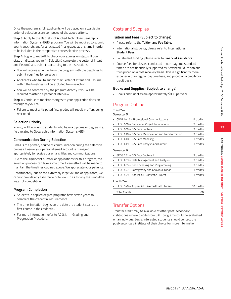Once the program is full, applicants will be placed on a waitlist in order of selection score composed of the above criteria.

**Step 3:** Apply to the Bachelor of Applied Technology Geographic Information Systems (BGIS) program. You will be required to submit your transcripts and/or anticipated final grades at this time in order to be included in the competitive entry/selection process.

**Step 4:** Log in to mySAIT to check your admission status. If your status indicates you're "In Selection," complete the Letter of Intent and Resumé and submit it according to the instructions.

- You will receive an email from the program with the deadlines to submit your files for selection.
- Applicants who fail to submit their Letter of Intent and Resumé within the timelines will be excluded from selection.
- You will be contacted by the program directly if you will be required to attend a personal interview.

**Step 5:** Continue to monitor changes to your application decision through mySAIT.ca.

• Failure to meet anticipated final grades will result in offers being rescinded.

#### **Selection Priority**

Priority will be given to students who have a diploma or degree in a field related to Geographic Information Systems (GIS).

#### **Communication During Selection**

Email is the primary source of communication during the selection process. Ensure your personal email account is managed appropriately to receive our emails, files and communications.

Due to the significant number of applications for this program, the selection process can take some time. Every effort will be made to maintain the timelines outlined above. We appreciate your patience.

Unfortunately, due to the extremely large volume of applicants, we cannot provide any assistance or follow-up as to why the candidate was not competitive.

#### **Program Completion**

- Students in applied degree programs have seven years to complete the credential requirements.
- The time limitation begins on the date the student starts the first course in the credential.
- For more information, refer to AC 3.1.1 Grading and Progression Procedure.

# Costs and Supplies

# **Tuition and Fees (Subject to change)**

- Please refer to the **Tuition and Fee Table.**
- International students, please refer to **International Student Fees.**
- For student funding, please refer to **Financial Assistance.**
- Course fees for classes conducted in non-daytime standard times are not financially supported by Advanced Education and thus priced on a cost recovery basis. This is significantly more expensive than regular daytime fees, and priced on a credit-bycredit basis.

#### **Books and Supplies (Subject to change)**

• Books and Supplies are approximately \$800 per year.

# Program Outline

| Third Year                                          |             |
|-----------------------------------------------------|-------------|
| Semester 5                                          |             |
| COMM 415 - Professional Communications              | 1.5 credits |
| GEOS 406 - Geospatial Project Foundations           | 1.5 credits |
| GEOS 409 - GIS Data Capture I                       | 3 credits   |
| GEOS 410 - GIS Data Manipulation and Transformation | 3 credits   |
| GEOS 418 - GIS Data Modeling<br>٠                   | 3 credits   |
| GEOS 419 - GIS Data Analysis and Output             | 3 credits   |
| Semester 6                                          |             |
| GEOS 451 - GIS Data Capture II                      | 3 credits   |
| GEOS 453 - Data Management and Analysis             | 3 credits   |
| GEOS 455 - Geoprocessing and Programming            | 3 credits   |
| GEOS 457 - Cartography and Geovisualization         | 3 credits   |
| GEOS 459 - Applied GIS Capstone Project             | 3 credits   |
| Fourth Year                                         |             |
| GEOS 540 - Applied GIS Directed Field Studies       | 30 credits  |
| <b>Total Credits</b>                                | 60          |

# Transfer Options

Transfer credit may be available at other post-secondary institutions where credits from SAIT programs could be evaluated on an individual basis. Interested students should contact the post-secondary institute of their choice for more information.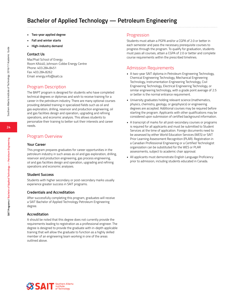# **Bachelor of Applied Technology — Petroleum Engineering**

- **• Two-year applied degree**
- **• Fall and winter starts**
- **• High-industry demand**

#### **Contact Us**

MacPhail School of Energy Room KA440, Johnson-Cobbe Energy Centre Phone: 403.284.8451 Fax: 403.284.8262 Email: energy.info@sait.ca

# Program Description

The BAPT program is designed for students who have completed technical degrees or diplomas and wish to receive training for a career in the petroleum industry. There are many optional courses providing detailed training in specialized fields such as oil and gas exploration, drilling, reservoir and production engineering, oil and gas facilities design and operation, upgrading and refining operations, and economic analysis. This allows students to personalize their training to better suit their interests and career needs.

# Program Overview

#### **Your Career**

This program prepares graduates for career opportunities in the petroleum industry in such areas as oil and gas exploration, drilling, reservoir and production engineering, gas process engineering, oil and gas facilities design and operation, upgrading and refining operations and economic analyses.

#### **Student Success**

Students with higher secondary or post-secondary marks usually experience greater success in SAIT programs.

#### **Credentials and Accreditation**

After successfully completing this program, graduates will receive a SAIT Bachelor of Applied Technology Petroleum Engineering degree.

#### **Accreditation**

It should be noted that this degree does not currently provide the requirements leading to registration as a professional engineer. The degree is designed to provide the graduate with in-depth applicable training that will allow the graduate to function as a highly skilled member of an engineering team working in one of the areas outlined above.

#### **Progression**

Students must attain a PGPA and/or a CGPA of 2.0 or better in each semester and pass the necessary prerequisite courses to progress through the program. To qualify for graduation, students must pass all courses, attain a CGPA of 2.0 or better and complete course requirements within the prescribed timelines.

## Admission Requirements

- A two-year SAIT diploma in Petroleum Engineering Technology, Chemical Engineering Technology, Mechanical Engineering Technology, Instrumentation Engineering Technology, Civil Engineering Technology, Electrical Engineering Technology, or similar engineering technology, with a grade point average of 2.5 or better is the normal entrance requirement.
- University graduates holding relevant science (mathematics, physics, chemistry, geology, or geophysics) or engineering degrees are accepted. Additional courses may be required before starting the program. Applicants with other qualifications may be considered upon submission of certified background information.
- A transcript of marks for all post-secondary courses or programs is required for all applicants and must be submitted to Student Services at the time of application. Foreign documents need to be assessed by either World Education Services (WES) or SAIT Prior Learning Assessment Recognition (PLAR). Registration in a Canadian Professional Engineering or a Certified Technologist organization can be substituted for the WES or PLAR assessments, subject to academic chair approval.
- All applicants must demonstrate English Language Proficiency prior to admission, including students educated in Canada.

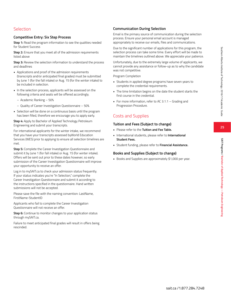**25**

**SAIT Programs / Bachelor of Applied Technology — Petroleum Engineering**

SAIT Programs / Bachelor of Applied Technology — Petroleum Engineerin

# Selection

#### **Competitive Entry: Six Step Process**

**Step 1:** Read the program information to see the qualities needed for Student Success

**Step 2:** Ensure that you meet all of the admission requirements listed above

**Step 3:** Review the selection information to understand the process and deadlines

- Applications and proof of the admission requirements (transcripts and/or anticipated final grades) must be submitted by June 1 (for the fall intake) or Aug. 15 (for the winter intake) to be included in selection.
- In the selection process, applicants will be assessed on the following criteria and seats will be offered accordingly.
	- Academic Ranking 50%
	- Quality of Career Investigation Questionnaire 50%
- Selection will be done on a continuous basis until the program has been filled, therefore we encourage you to apply early.

**Step 4:** Apply to Bachelor of Applied Technology Petroleum Engineering and submit your transcripts.

For international applicants for the winter intake, we recommend that you have your transcripts assessed byWorld Education Services (WES) prior to applying to ensure all selection timelines are met.

**Step 5:** Complete the Career Investigation Questionnaire and submit it by June 1 (for fall intake) or Aug. 15 (for winter intake). Offers will be sent out prior to these dates however, so early submission of the Career Investigation Questionnaire will improve your opportunity to receive an offer.

Log in to mySAIT.ca to check your admission status frequently. If your status indicates you're "In Selection," complete the Career Investigation Questionnaire and submit it according to the instructions specified in the questionnaire. Hand written submissions will not be accepted.

Please save the file with the naming convention: LastName, FirstName-StudentID

Applicants who fail to complete the Career Investigation Questionnaire will not receive an offer.

**Step 6:** Continue to monitor changes to your application status through mySAIT.ca.

Failure to meet anticipated final grades will result in offers being rescinded.

# **Communication During Selection**

Email is the primary source of communication during the selection process. Ensure your personal email account is managed appropriately to receive our emails, files and communications.

Due to the significant number of applications for this program, the selection process can take some time. Every effort will be made to maintain the timelines outlined above. We appreciate your patience.

Unfortunately, due to the extremely large volume of applicants, we cannot provide any assistance or follow-up as to why the candidate was not competitive.

Program Completion

- Students in applied degree programs have seven years to complete the credential requirements.
- The time limitation begins on the date the student starts the first course in the credential.
- For more information, refer to AC 3.1.1 Grading and Progression Procedure.

# Costs and Supplies

#### **Tuition and Fees (Subject to change)**

- Please refer to the **Tuition and Fee Table.**
- International students, please refer to **International Student Fees.**
- Student funding, please refer to **Financial Assistance.**

#### **Books and Supplies (Subject to change)**

• Books and Supplies are approximately \$1,000 per year.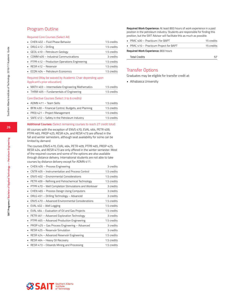# Program Outline

#### Required Core Courses (Select All)

| • CHEN 402 - Fluid Phase Behavior                   | 1.5 credits |
|-----------------------------------------------------|-------------|
| $\blacksquare$ DRLG 412 – Drilling                  | 1.5 credits |
| GEOL 410 - Petroleum Geology                        | 1.5 credits |
| $\blacksquare$ COMM 405 – Industrial Communications | 3 credits   |
| • PTPR 412 - Production Operations Engineering      | 1.5 credits |
| $RFSR 412 - Reservoir$                              | 1.5 credits |
| • ECON 404 - Petroleum Economics                    | 1.5 credits |

#### Required (May be waived by Academic Chair depending upon Applicant's prior education)

| • MATH 403 - Intermediate Engineering Mathematics     | 1.5 credits |
|-------------------------------------------------------|-------------|
| • THRM 405 - Fundamentals of Engineering              | 1.5 credits |
| Core Elective Courses (Select 3 to 6 credits)         |             |
| $\blacksquare$ ADMN 411 – Team Skills                 | 1.5 credits |
| • BFIN 430 - Financial Control, Budgets, and Planning | 1.5 credits |

#### • PROJ 421 – Project Management 1.5 credits • SAFE 412 – Safety in the Petroleum Industry 1.5 credits

#### **Additional Courses:** (Select remaining courses to reach 27 credit total)

All courses with the exception of ENVS 470, EVAL 464, PETR 409, PTPR 465, PROP 425, RESR 424, and RESR 473 are offered in the fall and winter semesters, although seat availability for some can be limited by demand.

The courses ENVS 470, EVAL 464, PETR 409, PTPR 465, PROP 425, RESR 424, and RESR 473 are only offered in the winter semester. Most of the required courses and some of the options are also available through distance delivery. International students are not able to take courses by distance delivery except for ADMN 411.

| CHEN 405 - Process Engineering                       | 3 credits   |
|------------------------------------------------------|-------------|
| CNTR 405 - Instrumentation and Process Control       | 1.5 credits |
| ENVS 402 - Environmental Considerations              | 1.5 credits |
| PETR 409 – Refining and Petrochemical Technology     | 1.5 credits |
| PTPR 470 - Well Completion Stimulations and Workover | 3 credits   |
| CHEN 465 - Process Design Using Computers            | 3 credits   |
| DRLG 451 – Drilling Technology – Advanced            | 3 credits   |
| ENVS 470 - Advanced Environmental Considerations     | 1.5 credits |
| EVAL 402 - Well Logging                              | 1.5 credits |
| EVAL 464 - Evaluation of Oil and Gas Projects        | 1.5 credits |
| PETR 461 – Advanced Exploration Technology           | 3 credits   |
| PTPR 465 - Advanced Production Engineering           | 1.5 credits |
| PROP 425 - Gas Process Engineering - Advanced        | 3 credits   |
| RESR 425 - Reservoir Simulation                      | 3 credits   |
| RESR 424 - Advanced Reservoir Engineering            | 1.5 credits |
| RESR 464 - Heavy Oil Recovery                        | 1.5 credits |
| RESR 473 - Oilsands Mining and Processing            | 1.5 credits |
|                                                      |             |

**Required Work Experience:** At least 800 hours of work experience in a paid position in the petroleum industry. Students are responsible for finding this position, but the SAIT Advisor will facilitate this as much as possible.

| $\blacksquare$ PRAC 400 – Practicum I for BAPT | 15 credits |
|------------------------------------------------|------------|
| • PRAC 410 - Practicum Project for BAPT        | 15 credits |
| <b>Required Work Experience: 800 hours</b>     |            |
| Total Credits                                  |            |

# Transfer Options

Graduates may be eligible for transfer credit at:

• Athabasca University

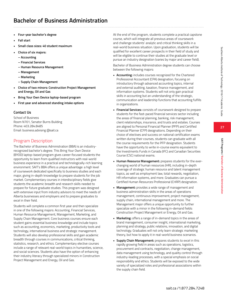- **• Four-year bachelor's degree**
- **• Fall start**
- **• Small class sizes: 40 student maximum**
- **• Choice of six majors:**
	- **Accounting**
	- **Financial Services**
	- **Human Resource Management**
	- **Management**
	- **Marketing**
	- **Supply Chain Management**
- **Choice of two minors: Construction Project Management and Energy, Oil and Gas**
- **• Bring Your Own Device laptop-based program**
- **• First year and advanced standing intake options**

### **Contact Us**

School of Business Room N701, Senator Burns Building Phone: 403.284.8485 Email: business.advising @sait.ca

# Program Description

The Bachelor of Business Administration (BBA) is an industryrecognized bachelor's degree. This Bring Your Own Device (BYOD) laptop-based program gives career-focused students the opportunity to learn from qualified instructors with real-world business experience in a practical and technologically-rich learning environment. SAIT's BBA offers a unique advantage: a high level of coursework dedicated specifically to business studies and each major, giving in-depth knowledge to prepare students for the job market. Complementary courses in interdisciplinary fields give students the academic breadth and research skills needed to prepare for future graduate studies. This program was designed with extensive input from industry advisors to meet the needs of Alberta businesses and employers and to prepare graduates to excel in their field.

Students will complete a common first year and then specialize in one of the following majors: Accounting, Financial Services, Human Resource Management, Management, Marketing, and Supply Chain Management. Core business courses ensure each student gains essential business knowledge and include topics such as accounting, economics, marketing, productivity tools and technology, international business and strategic management. Students will also develop professional skills and gain academic breadth through courses in communications, critical thinking, statistics, research, and ethics. Complementary elective courses include a range of relevant real-world topics in humanities, science, and social sciences. Students also have the option of enhancing their industry literacy through specialized minors in Construction Project Management and Energy, Oil and Gas.

At the end of the program, students complete a practical capstone course, which will integrate all previous areas of coursework and challenge students' analytic and critical thinking skills in a real-world business situation. Upon graduation, students will be qualified for excellent career prospects in their field of study and will be eligible to continue their studies at the graduate level or pursue an industry designation (varies by major and career field).

Bachelor of Business Administration degree students can choose between the following majors:

- **• Accounting:** includes courses recognized for the Chartered Professional Accountant (CPA) designation, focusing on introductory through advanced accounting topics, internal and external auditing, taxation, finance management, and information systems. Students will not only gain practical skills in accounting but an understanding of the strategic, communication and leadership functions that accounting fulfills in organizations.
- **• Financial Services:** consists of coursework designed to prepare students for the fast-paced financial services sector including the areas of financial planning, banking, risk management, client relationships, insurance, and trusts and estates. Courses are aligned to Personal Financial Planner (PFP) and Certified Financial Planner (CFP) designations. Depending on their choice of electives and success on national certification exams written during their courses, students can graduate with all the course requirements for the PFP designation. Students have the opportunity to write in-course exams equivalent to the Investments Funds in Canada (IFC) and Canadian Securities Course (CSC) national exams.
- **• Human Resource Management:** prepares students for the everchanging world of human resources (HR), including in-depth coverage of strategic human resource and talent management topics, as well as employment law, total rewards, negotiation, HR information systems, and more. Graduates can pursue a Certified Human Resources Professional (CHRP) designation.
- **• Management:** provides a wide range of management and business administration skills in the areas of operations management, continuous improvement, project management, supply chain, international management and more. The Management major offers a unique opportunity to further specialize with a minor in the following in-demand fields: Construction Project Management or Energy, Oil and Gas.
- **• Marketing:** offers a range of in-demand topics in the areas of brand management, consumer insight, international marketing, planning and strategy, public relations, innovation, and digital technology. Graduates will not only learn strategic marketing theory, but how to apply it in real-world business scenarios.
- **• Supply Chain Management:** prepares students to excel in this rapidly growing field in areas such as operations, logistics, procurement and contracts, negotiation, change management, data management using technology, and quality control through industry-leading processes, with a special emphasis on social responsibility and ethics. Students will be exposed to the wide variety of specialized roles and professional associations within the supply chain field.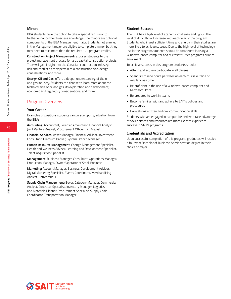#### **Minors**

BBA students have the option to take a specialized minor to further enhance their business knowledge. The minors are optional components of the BBA Management major. Students not enrolled in the Management major are eligible to complete a minor, but they may need to take more than the required 120 program credits.

**Construction Project Management:** exposes students to the project management process for large capital construction projects. They will gain insight into the Canadian construction industry, risk and conflict as they pertain to a construction site, design considerations, and more.

**Energy, Oil and Gas:** offers a deeper understanding of the oil and gas industry. Students can choose to learn more about the technical side of oil and gas, its exploration and development, economic and regulatory considerations, and more.

# Program Overview

#### **Your Career**

Examples of positions students can pursue upon graduation from the BBA:

**Accounting:** Accountant, Forensic Accountant, Financial Analyst, Joint Venture Analyst, Procurement Officer, Tax Analyst

**Financial Services:** Asset Manager, Financial Advisor, Investment Consultant, Premium Banker, System Branch Manager

**Human Resource Management:** Change Management Specialist, Health and Wellness Advisor, Learning and Development Specialist, Talent Acquisition Specialist

**Management:** Business Manager, Consultant, Operations Manager, Production Manager, Owner/Operator of Small Business

**Marketing:** Account Manager, Business Development Advisor, Digital Marketing Specialist, Events Coordinator, Merchandising Analyst, Entrepreneur

**Supply Chain Management:** Buyer, Category Manager, Commercial Analyst, Contracts Specialist, Inventory Manager, Logistics and Materials Planner, Procurement Specialist, Supply Chain Coordinator, Transportation Manager

#### **Student Success**

The BBA has a high level of academic challenge and rigour. The level of difficulty will increase with each year of the program. Students who invest sufficient time and energy in their studies are more likely to achieve success. Due to the high level of technology use in the program, students should be competent in using a Windows-based computer and Microsoft Office programs prior to enrollment.

To achieve success in this program students should:

- Attend and actively participate in all classes
- Spend six to nine hours per week on each course outside of regular class time
- Be proficient in the use of a Windows-based computer and Microsoft Office
- Be prepared to work in teams
- Become familiar with and adhere to SAIT's policies and procedures
- Have strong written and oral communication skills

Students who are engaged in campus life and who take advantage of SAIT services and resources are more likely to experience success in SAIT's programs.

#### **Credentials and Accreditation**

Upon successful completion of this program, graduates will receive a four year Bachelor of Business Administration degree in their choice of major.

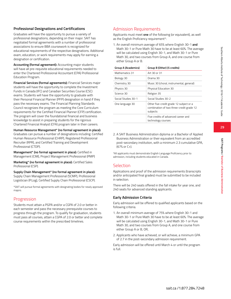# **29**

# **Professional Designations and Certifications**

Graduates will have the opportunity to pursue a variety of professional designations, depending on their major. SAIT has negotiated formal agreements with a number of professional associations to ensure BBA coursework is recognized for educational requirements of the respective designations. Additional exam, education, or work requirements may apply for earning a designation or certification.

**Accounting (formal agreement):** Accounting major students will have all pre-requisite educational requirements needed to enter the Chartered Professional Accountant (CPA) Professional Education Program.

**Financial Services (formal agreements):** Financial Services major students will have the opportunity to complete the Investment Funds in Canada (IFC) and Canadian Securities Course (CSC) exams. Students will have the opportunity to graduate with their Personal Financial Planner (PFP) designation in hand if they pass the necessary exams. The Financial Planning Standards Council recognizes the program as meeting the Core Curriculum requirements for the Certified Financial Planner (CFP) certification. The program will cover the foundational financial and business knowledge to assist in preparing students for the rigorous Chartered Financial Analyst (CFA) program later in their careers.

#### **Human Resource Management\* (no formal agreement in place):**

Graduates can pursue a number of designations including: Certified Human Resource Professional (CHRP), Registered Professional Recruiter (RPR), and Certified Training and Development Professional (CTDP).

**Management\* (no formal agreement in place):** Certified in Management (CIM), Project Management Professional (PMP)

**Marketing\* (no formal agreement in place):** Certified Sales Professional (CSP).

**Supply Chain Management\* (no formal agreement in place):** Supply Chain Management Professional (SCMP), Professional Logistician (P.Log), Certified Supply Chain Professional (CSCP).

\*SAIT will pursue formal agreements with designating bodies for newly approved majors.

# Progression

Students must attain a PGPA and/or a CGPA of 2.0 or better in each semester and pass the necessary prerequisite courses to progress through the program. To qualify for graduation, students must pass all courses, attain a CGPA of 2.0 or better and complete course requirements within the prescribed timelines.

# Admission Requirements

Applicants must meet **one** of the following (or equivalent), as well as the English Proficiency requirement\*:

1. An overall minimum average of 65% where English 30-1 **and** Math 30-1 or Pure Math 30 have to be at least 60%. The average will be calculated using English 30-1, and Math 30-1 or Pure Math 30, and two courses from Group A, and one course from either Group A or B.

| Group A (Academics) | Group B (Other) (5 credits)                                                                     |
|---------------------|-------------------------------------------------------------------------------------------------|
| Mathematics 31      | Art 30 or 31                                                                                    |
| Biology 30          | Drama 30                                                                                        |
| Chemistry 30        | Music 30 (choral, instrumental, general)                                                        |
| Physics 30          | Physical Education 30                                                                           |
| Science 30          | Religion 35                                                                                     |
| Social Studies 30-1 | Social Studies 30-2                                                                             |
| One language 30     | Other five-credit grade 12 subject or a<br>combination of two three-credit grade 12<br>subjects |
|                     | Five credits of advanced career and<br>technology courses                                       |

2. A SAIT Business Administration diploma or a Bachelor of Applied Business Administration or their equivalent from an accredited post-secondary institution, with a minimum 2.3 cumulative GPA, (67% or C+).

\*All applicants must demonstrate English Language Proficiency prior to admission, including students educated in Canada.

# **Selection**

Applications and proof of the admission requirements (transcripts and/or anticipated final grades) must be submitted to be included in selection.

There will be 240 seats offered in the fall intake for year one, and 240 seats for advanced standing applicants.

#### **Early Admission Criteria**

Early admission will be offered to qualified applicants based on the following criteria.

- 1. An overall minimum average of 75% where English 30-1 and Math 30-1 or Pure Math 30 have to be at least 60%. The average will be calculated using English 30-1, and Math 30-1 or Pure Math 30, and two courses from Group A, and one course from either Group A or B, OR,
- 2. Applicants who have achieved, or will achieve, a minimum GPA of 2.7 in the post-secondary admission requirement.

Early admission will be offered until March 4 or until the program is full.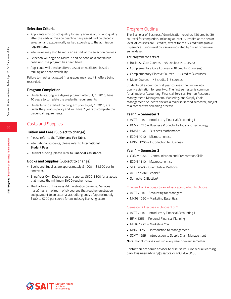#### **Selection Criteria**

- Applicants who do not qualify for early admission, or who qualify after the early admission deadline has passed, will be placed in selection and academically ranked according to the admission requirements.
- Interviews may also be required as part of the selection process.
- Selection will begin on March 7 and be done on a continuous basis until the program has been filled.
- Applicants will then be offered a seat or waitlisted, based on ranking and seat availability.

Failure to meet anticipated final grades may result in offers being rescinded.

#### **Program Completion**

- Students starting in a degree program after July 1, 2015, have 10 years to complete the credential requirements.
- Students who started the program prior to July 1, 2015, are under the previous policy and will have 7 years to complete the credential requirements.

# Costs and Supplies

#### **Tuition and Fees (Subject to change)**

- Please refer to the **Tuition and Fee Table**.
- International students, please refer to **International Student Fees.**
- Student funding, please refer to **Financial Assistance.**

#### **Books and Supplies (Subject to change)**

- Books and Supplies are approximately \$1,000 \$1,500 per fulltime year.
- Bring Your Own Device program: approx. \$600-\$800 for a laptop that meets the minimum BYOD requirements.
- The Bachelor of Business Administration (Financial Services major) has a maximum of six courses that require registration and payment to an external accrediting body of approximately \$400 to \$700 per course for an industry licensing exam.

# Program Outline

The Bachelor of Business Administration requires 120 credits (39 courses) for completion, including at least 72 credits at the senior level. All courses are 3 credits, except for the 6-credit Integrative Experience. Junior-level course are indicated by  $* -$  all others are senior-level.

The program consists of:

- Business Core Courses 45 credits (14 courses)
- Complementary Core Courses 18 credits (6 courses)
- Complementary Elective Courses 12 credits (4 courses)
- Major Courses 45 credits (15 courses)

Students take common first year courses, then move into open-registration for year two. The first semester is common for all majors: Accounting, Financial Services, Human Resource Management, Management, Marketing, and Supply Chain Management. Students declare a major in second semester, subject to a competitive screening process.

#### **Year 1 – Semester 1**

- ACCT 1010 Introductory Financial Accounting I
- BCMP 1225 Business Productivity Tools and Technology
- BMAT 1040 Business Mathematics
- ECON 1010 Microeconomics
- MNGT 1200 Introduction to Business

#### **Year 1 – Semester 2**

- COMM 1070 Communication and Presentation Skills
- ECON 1110 Macroeconomics
- STAT 2040 Quantitative Methods
- ACCT or MKTG choice<sup>1</sup>
- **Semester 2 Elective**<sup>2</sup>

#### 1 Choose 1 of 2 – Speak to an advisor about which to choose

- ACCT 2010 Accounting for Managers
- MKTG 1060 Marketing Essentials

#### 2 Semester 2 Electives – Choose 1 of 5

- ACCT 2110 Introductory Financial Accounting II
- BFIN 1255 Personal Financial Planning
- MKTG 1275 Marketing You
- MNGT 1255 Introduction to Management
- SCMT 1255 Introduction to Supply Chain Management

**Note:** Not all courses will run every year or every semester.

Contact an academic advisor to discuss your individual learning plan: business.advising@sait.ca or 403.284.8485.

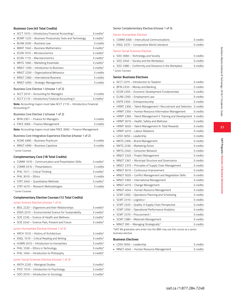#### **Business Core (45 Total Credits)**

| • ACCT 1010 - Introductory Financial Accounting I        | 3 credits* |
|----------------------------------------------------------|------------|
| • BCMP 1225 - Business Productivity Tools and Technology | 3 credits* |
| BLAW 2030 - Business Law                                 | 3 credits  |
| • BMAT 1040 – Business Mathematics                       | 3 credits* |
| $\blacksquare$ ECON 1010 – Microeconomics                | 3 credits* |
| $\blacksquare$ ECON 1110 – Macroeconomics                | 3 credits* |
| • MKTG 1060 – Marketing Essentials                       | 3 credits* |
| • MNGT 1200 - Introduction to Business                   | 3 credits* |
| • MNGT 2250 - Organizational Behaviour                   | 3 credits  |
| $\blacksquare$ MNGT 2360 $-$ International Business      | 3 credits  |
| • MNGT 4050 – Strategic Management                       | 3 credits  |
| Business Core Elective 1 (choose 1 of 2)                 |            |

| • ACCT 2010 – Accounting for Managers                              | 3 credits  |
|--------------------------------------------------------------------|------------|
| • ACCT 2110 - Introductory Financial Accounting II                 | 3 credits* |
| Note: Accounting majors must take ACCT 2110 Introductory Einancial |            |

**Note:** Accounting majors must take ACCT 2110 – Introductory Financial Accounting II\*.

#### Business Core Elective 2 (choose 1 of 2)

|                                                                          | • BFIN 2301 – Finance for Managers | 3 credits |  |
|--------------------------------------------------------------------------|------------------------------------|-----------|--|
|                                                                          | • FNCE 3060 – Finance Management   | 3 credits |  |
| <b>Note:</b> Accounting majors must take FNCE 3060 – Finance Management. |                                    |           |  |

Business Core Integrative Experience Elective (choose 1 of 2)

| • ACWE 4990 - Business Practicum | 6 credits |
|----------------------------------|-----------|
| MNGT 4990 – Business Capstone    | 6 credits |
|                                  |           |

\* Junior Courses

#### **Complementary Core (18 Total Credits)**

| • COMM 1070 – Communication and Presentation Skills | 3 credits* |
|-----------------------------------------------------|------------|
| $\Box$ COMM 3310 – Presentations                    | 3 credits  |
| • PHIL 1011 - Critical Thinking                     | 3 credits* |
| $\blacksquare$ PHIL 3010 – Ethics                   | 3 credits  |
| • STAT 2040 - Quantitative Methods                  | 3 credits* |
| • STAT 4010 – Research Methodologies                | 3 credits  |
| * Junior Courses                                    |            |

#### **Complementary Elective Courses (12 Total Credits)**

#### Junior Science Elective (choose 1 of 4)

| • BIOL 2220 - Organisms and their Relationships        | 3 credits* |
|--------------------------------------------------------|------------|
| • ENVS 2010 - Environmental Science for Sustainability | 3 credits* |
| SCIE 2230 – Science of Health and Wellness             | 3 credits* |
| • SCIE 2240 - Science Past, Present and Future         | 3 credits* |

#### Junior Humanities Elective (choose 1 of 5)

| • ARCH 1010 - History of Architecture      | 3 credits*      |
|--------------------------------------------|-----------------|
| • ENGL 1010 – Critical Reading and Writing | 3 credits*      |
| • HUMN 2010 - Introduction to Humanities   | 3 credits*      |
| • PHIL 1030 - Ethics in Technology         | 3 credits*      |
| • PHIL 1040 – Introduction to Philosophy   | $3$ credits $*$ |

#### Junior Social Sciences Elective (choose 1 of 3)

| • ANTH 2230 - Aboriginal Studies         | 3 credits* |
|------------------------------------------|------------|
| • PSYC 1010 - Introduction to Psychology | 3 credits* |
| • SOCI 2010 – Introduction to Sociology  | 3 credits* |

#### Senior Complementary Elective (choose 1 of 5)

#### Senior Humanities Elective

|   | COMM 3300 - Intercultural Communications                             | 3 credits |
|---|----------------------------------------------------------------------|-----------|
|   | ENGL 3370 - Comparative World Literature                             | 3 credits |
|   | <b>Senior Social Sciences Elective</b>                               |           |
|   | SOCI 3060 - Technology and Society                                   | 3 credits |
|   | SOCI 3340 - Society and the Workplace                                | 3 credits |
|   | SOCI 3380 – Conformity and Deviance in the Workplace                 | 3 credits |
|   | * Junior Courses                                                     |           |
|   | Senior Business Electives                                            |           |
|   | ACCT 2375 - Introduction to Taxation                                 | 3 credits |
|   | BFIN 2333 - Money and Banking                                        | 3 credits |
|   | ECON 2355 - Economic Development Fundamentals                        | 3 credits |
|   | ELAW 2350 - Employment Law                                           | 3 credits |
|   | ENTR 2350 - Entrepreneurship                                         | 3 credits |
|   | HRMT 2300 - Talent Management I: Recruitment and Selection 3 credits |           |
|   | HRMT 2350 - Human Resource Information Management                    | 3 credits |
|   | HRMT 2360 – Talent Management II: Training and Development 3 credits |           |
| п | HRMT 3010 – Health, Safety and Wellness                              | 3 credits |
|   | HRMT 3020 - Talent Management III: Total Rewards                     | 3 credits |
|   | HRMT 4010 - Labour Relations                                         | 3 credits |
|   | LDSH 3050 - Leadership                                               | 3 credits |
|   | MKTG 2306 - Brand Management                                         | 3 credits |
|   | MKTG 2336 – Marketing Action                                         | 3 credits |
|   | MKTG 2340 - Consumer Behavior                                        | 3 credits |
|   | MNGT 2320 – Project Management                                       | 3 credits |
|   | MNGT 2367 - Municipal Structure and Governance                       | 3 credits |
|   | MNGT 2370 – Principles of Supply Chain Management                    | 3 credits |
|   | MNGT 3010 - Continuous Improvement                                   | 3 credits |
|   | MNGT 3020 - Conflict Management and Negotiation Skills               | 3 credits |
|   | MNGT 3365 - International Management                                 | 3 credits |
|   | MNGT 4010 - Change Management                                        | 3 credits |
|   | MNGT 4040 – Human Resource Management                                | 3 credits |
|   | SCMT 2300 - Operations Planning and Scheduling                       | 3 credits |
|   | SCMT 2310 - Logistics I                                              | 3 credits |
|   | SCMT 2320 - Quality: A Supply Chain Perspective                      | 3 credits |
|   | SCMT 2350 - Operational Performance Analytics                        | 3 credits |
|   | SCMT 2370 - Procurement I                                            | 3 credits |
|   | SCMT 2380 - Materials Management                                     | 3 credits |

\*SAIT BA graduates who enter into the BBA may use this course as a senior business elective.

• MNGT 395 – Managing Strategically\* 3 credits

#### **Business Electives**

| • LDSH 3050 - Leadership                | 3 credits |
|-----------------------------------------|-----------|
| • MNGT 4040 – Human Resource Management | 3 credits |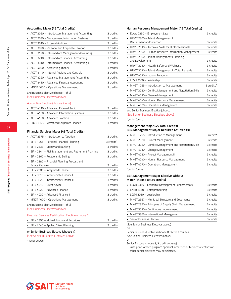#### **Accounting Major (45 Total Credits)**

| • ACCT 2020 - Introductory Management Accounting   | 3 credits |
|----------------------------------------------------|-----------|
| • ACCT 2030 - Management Information Systems       | 3 credits |
| • ACCT 3010 - External Auditing                    | 3 credits |
| • ACCT 3020 - Personal and Corporate Taxation      | 3 credits |
| • ACCT 3120 - Intermediate Management Accounting   | 3 credits |
| • ACCT 3210 - Intermediate Financial Accounting I  | 3 credits |
| • ACCT 3310 - Intermediate Financial Accounting II | 3 credits |
| • ACCT 4020 - Accounting Theory                    | 3 credits |
| • ACCT 4140 – Internal Auditing and Controls       | 3 credits |
| • ACCT 4220 – Advanced Management Accounting       | 3 credits |
| • ACCT 4410 - Advanced Financial Accounting        | 3 credits |
| • MNGT 4070 - Operations Management                | 3 credits |
| and Business Elective (choose 1 of 2)              |           |

(See Business Electives above)

#### Accounting Elective (choose 2 of 4)

| • ACCT 4110 - Advanced External Audit      | 3 credits |
|--------------------------------------------|-----------|
| • ACCT 4130 - Advanced Information Systems | 3 credits |
| • ACCT 4150 - Advanced Taxation            | 3 credits |
| • FNCE 4120 - Advanced Corporate Finance   | 3 credits |

#### **Financial Services Major (45 Total Credits)**

| ACCT 2375 - Introduction to Taxation                     | 3 credits  |
|----------------------------------------------------------|------------|
| BFIN 1255 - Personal Financial Planning                  | 3 credits* |
| BFIN 2333 - Money and Banking<br>٠                       | 3 credits  |
| BFIN 2341 – Risk Management and Retirement Planning<br>٠ | 3 credits  |
| BFIN 2360 - Relationship Selling<br>٠                    | 3 credits  |
| BFIN 2380 - Financial Planning Process and<br>٠.         |            |
| <b>Estate Planning</b>                                   | 3 credits  |
| BFIN 2386 - Integrated Finance<br>٠.                     | 3 credits  |
| BEIN 3010 - Intermediate Finance I                       | 3 credits  |
| BFIN 3020 - Intermediate Finance II                      | 3 credits  |
| BFIN 4010 - Client Advice<br>٠                           | 3 credits  |
| BEIN 4020 - Advanced Finance L                           | 3 credits  |
| BEIN 4030 - Advanced Finance II                          | 3 credits  |
| MNGT 4070 - Operations Management<br>٠                   | 3 credits  |
| and Business Elective (choose 1 of 2)                    |            |

(See Business Electives above)

#### Financial Services Certification Elective (choose 1)

| • BFIN 2356 - Mutual Funds and Securities | 3 credits |
|-------------------------------------------|-----------|
| • BFIN 4040 - Applied Client Planning     | 3 credits |

#### or Senior Business Elective (choose 1)

#### (See Senior Business Electives above)

\* Junior Course

#### **Human Resource Management Major (45 Total Credits)**

| ELAW 2350 - Employment Law                                    | 3 credits  |
|---------------------------------------------------------------|------------|
| HRMT 2300 - Talent Management I:<br>Recruitment and Selection | 3 credits  |
| HRMT 2310 - Technical Skills for HR Professionals             | 3 credits  |
| HRMT 2350 - Human Resource Information Management             | 3 credits  |
| HRMT 2360 - Talent Management II: Training<br>and Development | 3 credits  |
| HRMT 3010 - Health, Safety and Wellness                       | 3 credits  |
| HRMT 3020 - Talent Management III: Total Rewards              | 3 credits  |
| HRMT 4010 - Labour Relations                                  | 3 credits  |
| LDSH 3050 - Leadership                                        | 3 credits  |
| MNGT 1255 - Introduction to Management                        | 3 credits* |
| MNGT 3020 - Conflict Management and Negotiation Skills        | 3 credits  |
| MNGT 4010 - Change Management                                 | 3 credits  |
| MNGT 4040 - Human Resource Management                         | 3 credits  |
| MNGT 4070 - Operations Management                             | 3 credits  |
| and Senior Business Elective (choose 1)                       |            |

(See Senior Business Electives above)

\* Junior Course

#### **Management Major (45 Total Credits) BBA Management Major Required (21 credits)**

| • MNGT 1255 - Introduction to Management                 | 3 credits* |
|----------------------------------------------------------|------------|
| MNGT 2320 - Project Management                           | 3 credits  |
| • MNGT 3020 – Conflict Management and Negotiation Skills | 3 credits  |
| • MNGT 4010 - Change Management                          | 3 credits  |
| • MNGT 4020 - Project Management II                      | 3 credits  |
| • MNGT 4040 - Human Resource Management                  | 3 credits  |
| • MNGT 4070 - Operations Management                      | 3 credits  |
|                                                          |            |

\* Junior Course

#### **BBA Management Major Elective without Minor (choose 8) (24 credits)**

| • ECON 2355 - Economic Development Fundamentals     | 3 credits |
|-----------------------------------------------------|-----------|
| • ENTR 2350 - Entrepreneurship                      | 3 credits |
| • LDSH 3050 - Leadership                            | 3 credits |
| • MNGT 2367 - Municipal Structure and Governance    | 3 credits |
| • MNGT 2370 - Principles of Supply Chain Management | 3 credits |
| • MNGT 3010 - Continuous Improvement                | 3 credits |
| • MNGT 3365 - International Management              | 3 credits |
| • Senior Business Elective                          | 3 credits |
|                                                     |           |

(See Senior Business Electives above)

OR

Senior Business Electives (choose 8, 3 credit courses) (See Senior Business Electives above)

OR

Senior Elective (choose 8, 3 credit courses)

 – With prior, written program approval, other senior business electives or other senior electives may be selected.

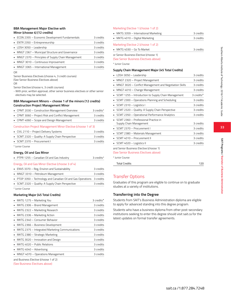**33**

**SAIT Programs / Bachelor of Business Administration** 

SAIT Programs / Bachelor of Business Administration

#### **BBA Management Major Elective with Minor (choose 4) (12 credits)**

| 3 credits                                                                                                                                                                                                                                                                                                  |
|------------------------------------------------------------------------------------------------------------------------------------------------------------------------------------------------------------------------------------------------------------------------------------------------------------|
| 3 credits                                                                                                                                                                                                                                                                                                  |
| 3 credits                                                                                                                                                                                                                                                                                                  |
| 3 credits                                                                                                                                                                                                                                                                                                  |
| 3 credits                                                                                                                                                                                                                                                                                                  |
| 3 credits                                                                                                                                                                                                                                                                                                  |
| 3 credits                                                                                                                                                                                                                                                                                                  |
| • ECON 2355 - Economic Development Fundamentals<br>• ENTR 2350 - Entrepreneurship<br>• LDSH 3050 - Leadership<br>• MNGT 2367 - Municipal Structure and Governance<br>• MNGT 2370 - Principles of Supply Chain Management<br>• MNGT 3010 - Continuous Improvement<br>• MNGT 3365 - International Management |

#### OR

Senior Business Electives (choose 4, 3 credit courses) (See Senior Business Electives above)

OR

Senior Elective (choose 4, 3 credit courses)

- With prior, written approval, other senior business electives or other senior electives may be selected.

#### **BBA Management Minors – choose 1 of the minors (12 credits) Construction Project Management Minor**

| • CPMT 2030 - Construction Management Overview     | 3 credits* |
|----------------------------------------------------|------------|
| • CPMT 3060 - Project Risk and Conflict Management | 3 credits  |
| • CPMT 4060 - Scope and Design Management          | 3 credits  |

#### Construction Project Management Minor Elective (choose 1 of 3)

| • CIVL 2110 – Project Delivery Systems            | 3 credits |
|---------------------------------------------------|-----------|
| • SCMT 2320 - Quality: A Supply Chain Perspective | 3 credits |
| SCMT 2370 - Procurement I                         | 3 credits |
| * Iunior Course                                   |           |

# **Energy, Oil and Gas Minor**

| • PTPR 1255 - Canadian Oil and Gas Industry                            | 3 credits* |
|------------------------------------------------------------------------|------------|
| Energy, Oil and Gas Minor Elective (choose 3 of 4)                     |            |
| • ENVS 3370 - Reg, Environ and Sustainability                          | 3 credits  |
| • MNGT 3310 – Petroleum Management                                     | 3 credits  |
| • PTOP 3350 - Technology and Canadian Oil and Gas Operations 3 credits |            |
| • SCMT 2320 - Quality: A Supply Chain Perspective                      | 3 credits  |
| * Junior Cource                                                        |            |

#### Junior Course

#### **Marketing Major (45 Total Credits)**

| MKTG 1275 - Marketing You                         | 3 credits* |
|---------------------------------------------------|------------|
| • MKTG 2306 - Brand Management                    | 3 credits  |
| • MKTG 2322 – Marketing Research                  | 3 credits  |
| • MKTG 2336 – Marketing Action                    | 3 credits  |
| MKTG 2340 - Consumer Behavior                     | 3 credits  |
| MKTG 2366 - Business Development                  | 3 credits  |
| • MKTG 2375 - Integrated Marketing Communications | 3 credits  |
| • MKTG 2380 – Strategic Marketing                 | 3 credits  |
| • MKTG 3020 - Innovation and Design               | 3 credits  |
| • MKTG 4020 - Public Relations                    | 3 credits  |
| MKTG 4040 - Advertising                           | 3 credits  |
| MNGT 4070 - Operations Management                 | 3 credits  |
| and Business Elective (choose 1 of 2)             |            |

(See Business Electives above)

#### Marketing Elective 1 (choose 1 of 2)

| • MKTG 3359 - International Marketing                                           | 3 credits |
|---------------------------------------------------------------------------------|-----------|
| • MKTG 4010 – Digital Marketing                                                 | 3 credits |
| Marketing Elective 2 (choose 1 of 2)                                            |           |
| $MKTG$ 4030 – Go To Market                                                      | 3 credits |
| or Senior Business Elective (choose 1)<br>(See Senior Business Electives above) |           |
| * Junior Course                                                                 |           |
|                                                                                 |           |

#### **Supply Chain Management Major (45 Total Credits)**

| LDSH 3050 - Leadership                                                           | 3 credits  |
|----------------------------------------------------------------------------------|------------|
| MNGT 2320 - Project Management<br>٠                                              | 3 credits  |
| MNGT 3020 - Conflict Management and Negotiation Skills<br>٠                      | 3 credits  |
| MNGT 4010 - Change Management<br>٠                                               | 3 credits  |
| SCMT 1255 - Introduction to Supply Chain Management                              | 3 credits* |
| SCMT 2300 - Operations Planning and Scheduling<br>٠                              | 3 credits  |
| SCMT 2310 - Logistics I<br>٠                                                     | 3 credits  |
| SCMT 2320 - Quality: A Supply Chain Perspective<br>٠                             | 3 credits  |
| SCMT 2350 - Operational Performance Analytics<br>٠                               | 3 credits  |
| SCMT 2360 - Professional Practice in<br>Supply Chain Management                  | 3 credits  |
| SCMT 2370 - Procurement I                                                        | 3 credits  |
| SCMT 2380 - Materials Management<br>٠                                            | 3 credits  |
| SCMT 4010 - Procurement II                                                       | 3 credits  |
| SCMT 4020 – Logistics II<br>٠                                                    | 3 credits  |
| and Senior Business Elective (choose 1)<br>(See Senior Business Electives above) |            |
| * Junior Course                                                                  |            |

| 120 |
|-----|
|     |

# Transfer Options

Graduates of this program are eligible to continue on to graduate studies at a variety of institutions.

# **Transferring into the Degree**

Students from SAIT's Business Administration diploma are eligible to apply for advanced standing into this degree program.

Students who have a business diploma from other post-secondary institutions seeking to enter this degree should visit sait.ca for the latest updates on formal transfer agreements.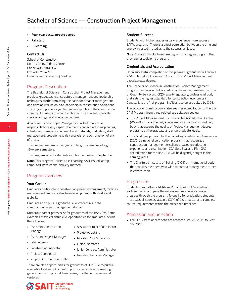- **• Four-year baccalaureate degree**
- **• Fall start**
- **• E-Learning**

#### **Contact Us**

School of Construction Room CB410, Aldred Centre Phone: 403.284.8367 Fax: 403.210.4271 Email: construction.cpm@sait.ca

# Program Description

The Bachelor of Science in Construction Project Management provides graduates with structured management and leadership techniques, further providing the basis for broader management decisions as well as on-site leadership in construction operations. The program prepares you for leadership roles in the construction industry. It consists of a combination of core courses, specialty courses and general education courses.

As a Construction Project Manager you will ultimately be responsible for every aspect of a client's project including planning, scheduling, managing equipment and materials, budgeting, staff management, procurement, risk analysis, or a combination of any of these.

This degree program is four years in length, consisting of eight 15-week semesters.

This program accepts students into first semester in September.

**Note:** This program utilizes an e-Learning (SAIT issued laptop computer) instructional delivery method.

# Program Overview

#### **Your Career**

Graduates participate in construction project management, facilities management, and infrastructure development both locally and globally.

Graduates also pursue graduate-level credentials in the construction project management domain.

Numerous career paths exist for graduates of the BSc CPM. Some examples of typical entry level opportunities for graduates include the following:

• Assistant Project Coordinator

• Junior Contract Administrator • Assistant Facilities Manager

• Assistant Site Supervisor

• Junior Estimator

- Assistant Construction Manager
- Assistant Project Manager • Project Assistant
- Site Supervisor
- 
- Construction Inspector • Project Coordinator
- 
- Project Document Controller

There are also opportunities for graduates of BSc CPM to pursue a variety of self-employment opportunities such as: consulting, general contracting, small businesses, or other entrepreneurial ventures.



#### **Student Success**

Students with higher grades usually experience more success in SAIT's programs. There is a direct correlation between the time and energy invested in studies to the success achieved.

**Note:** Course difficulty levels are higher for a degree program than they are for a diploma program.

#### **Credentials and Accreditation**

Upon successful completion of this program, graduates will receive a SAIT Bachelor of Science in Construction Project Management baccalaureate degree.

The Bachelor of Science in Construction Project Management program has received full accreditation from the Canadian Institute of Quantity Surveyors (CIQS), a self-regulatory, professional body that sets the highest standard for construction economics in Canada. It is the first program in Alberta to be accredited by CIQS.

The School of Construction is also seeking accreditation for the BSc CPM Program from three related accreditation bodies:

- The Project Management Institute Global Accreditation Center (PMIGAC). This is the only specialized international accrediting body that assures the quality of Project Management degree programs at the graduate and undergraduate levels.
- The Gold Seal program by the Canadian Construction Association (CCA) is a national certification program that recognizes construction management excellence, based on education, experience and examination. CCA Gold Seal and PMI-GAC accreditation for the BSc CPM will be diligently sought in the coming years.
- The Chartered Institute of Building (CIOB) an international body that enables members who wish to enter a management career in construction.

# Progression

Students must attain a PGPA and/or a CGPA of 2.0 or better in each semester and pass the necessary prerequisite courses to progress through the program. To qualify for graduation, students must pass all courses, attain a CGPA of 2.0 or better and complete course requirements within the prescribed timelines.

# Admission and Selection

• Fall 2016 start: applications are accepted Oct. 21, 2015 to Sept. 16, 2016.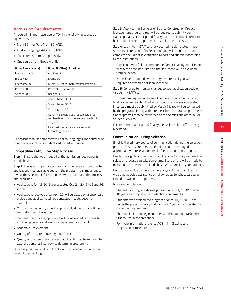# Admission Requirements

An overall minimum average of 70% in the following courses or equivalents:

- Math 30-1 or Pure Math 30, AND,
- English Language Arts 30-1, AND,
- Two courses from Group A, AND,
- One course from Group A or B.

| Group A (Academics) | Group B (Other) (5 credits)                                                                      |  |
|---------------------|--------------------------------------------------------------------------------------------------|--|
| Mathematics 31      | Art 30 or 31                                                                                     |  |
| Biology 30          | Drama 30                                                                                         |  |
| Chemistry 30        | Music 30 (choral, instrumental, general)                                                         |  |
| Physics 30          | Physical Education 30                                                                            |  |
| Science 30          | Religion 35                                                                                      |  |
|                     | Social Studies 30-1                                                                              |  |
|                     | Social Studies 30-2                                                                              |  |
|                     | One language 30                                                                                  |  |
|                     | Other five-credit grade 12 subjects or a<br>combination of two three-credit grade 12<br>subjects |  |
|                     | Five credits of advanced career and<br>technology courses                                        |  |

All applicants must demonstrate English Language Proficiency prior to admission, including students educated in Canada.

# **Competitive Entry: Five Step Process**

**Step 1:** Ensure that you meet all of the admission requirements listed above.

**Step 2:** This is a competitive program and we receive more qualified applications than available seats in the program. It is important to review the selection information below to understand the process and deadlines.

- Applications for fall 2016 are accepted Oct. 21, 2015 to Sept. 16, 2016.
- Applications received after April 29 will be placed on a secondary waitlist and applicants will be contacted if seats become available.
- The competitive entry/selection process is done on a continuous basis starting in November.

In the selection process, applicants will be assessed according to the following criteria and seats will be offered accordingly.

- Academic Achievement
- Quality of the Career Investigation Report
- Quality of the personal interview (applicants may be required to attend a personal interview to determine program fit)

Once the program is full, applicants will be placed on a waitlist in order of their ranking.

**Step 3:** Apply to the Bachelor of Science Construction Project Management program. You will be required to submit your transcripts and/or anticipated final grades at this time in order to be included in the competitive entry/selection process.

**Step 4:** Log in to mySAIT to check your admission status. If your status indicates you're "In Selection," you will be contacted to complete the Career Investigation Report and submit it according to the instructions.

- Applicants who fail to complete the Career Investigation Report within the timelines listed on the document will be excluded from selection.
- You will be contacted by the program directly if you will be required to attend a personal interview.

**Step 5:** Continue to monitor changes to your application decision through mySAIT.ca.

This program requires a review of courses for which anticipated final grades were submitted. A transcript for courses completed in January must be submitted by March 11. You will be contacted by the program directly with a request for these transcripts. These transcripts will then be forwarded to the Admissions office in SAIT Student Services.

Failure to meet anticipated final grades will result in offers being rescinded.

# **Communication During Selection**

Email is the primary source of communication during the selection process. Ensure your personal email account is managed appropriately to receive our emails, files and communications.

Due to the significant number of applications for this program, the selection process can take some time. Every effort will be made to maintain the timelines outlined above. We appreciate your patience.

Unfortunately, due to the extremely large volume of applicants, we do not provide assistance or follow-up as to why a particular candidate was not competitive.

Program Completion

- Students starting in a degree program after July 1, 2015, have 10 years to complete the credential requirements.
- Students who started the program prior to July 1, 2015, are under the previous policy and will have 7 years to complete the credential requirements.
- The time limitation begins on the date the student started the first course in the credential.
- For more information, refer to AC 3.1.1 Grading and Progression Procedure.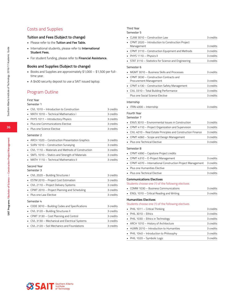# Costs and Supplies

### **Tuition and Fees (Subject to change)**

- Please refer to the **Tuition and Fee Table.**
- International students, please refer to **International Student Fees.**
- For student funding, please refer to **Financial Assistance.**

### **Books and Supplies (Subject to change)**

- Books and Supplies are approximately \$1,000 \$1,500 per fulltime year.
- A \$400 security deposit to use a SAIT issued laptop.

### Program Outline

### First Year

| Semester 1 |  |
|------------|--|
|------------|--|

| CIVL 1010 - Introduction to Construction          | 3 credits |
|---------------------------------------------------|-----------|
| MATH 1010 - Technical Mathematics I               | 3 credits |
| PHYS 1011 - Introductory Physics                  | 3 credits |
| Plus one Communications Elective                  | 3 credits |
| Plus one Science Elective                         | 3 credits |
| Semester 2                                        |           |
| ARCH 1020 - Construction Presentation Graphics    | 3 credits |
| SURV 1010 - Construction Surveying                | 3 credits |
| CIVL 1110 - Materials and Methods of Construction | 3 credits |
| SMTL 1010 - Statics and Strength of Materials     | 3 credits |
| MATH 1110 - Technical Mathematics II              | 3 credits |
| Second Year                                       |           |
| Semester 3                                        |           |
| CIVL 2020 - Building Structures I                 | 3 credits |
| ESTM 2010 - Project Cost Estimation               | 3 credits |
| CIVL 2110 - Project Delivery Systems              | 3 credits |
| CPMT 2010 - Project Planning and Scheduling       | 3 credits |
| Plus one Law Elective                             | 3 credits |
| Semester 4                                        |           |
| CODE 3010 - Building Codes and Specifications     | 3 credits |
|                                                   |           |

# • CIVL 3120 – Building Structures II • CPMT 3130 – Cost Planning and Control 3 credits • CIVL 3130 – Mechanical and Electrical Systems 3 credits

• CIVL 2120 – Soil Mechanics and Foundations 3 credits

# • CLAW 3010 – Construction Law 3 credits • CPMT 2020 – Introduction to Construction Project Management 3 credits • CPMT 3110 – Construction Equipment and Methods 3 credits • PHYS 1110 – Physics II 3 credits • STAT 3110 - Statistics for Science and Engineering 3 credits

Third Year Semester 5

Semester 6 • MGMT 3010 – Business Skills and Processes 3 credits • CPMT 3030 – Construction Contracts and Procurement Management 3 credits • CPMT 4130 – Construction Safety Management 3 credits • CIVL 3310 – Total Building Performance 3 credits Plus one Social Science Elective 3 credits Internship • ITRN 4000 – Internship 3 credits Fourth Year Semester 7 • ENVS 3010 – Environmental Issues in Construction 3 credits • CPMT 4110 - Project Organization and Supervision 3 credits • CIVL 4010 – Real Estate Principles and Construction Finance 3 credits • CPMT 4060 - Scope and Design Management 3 credits • Plus one Technical Elective 3 credits Semester 8 • CPMT 4990 – Capstone Project credits • CPMT 4310 – E-Project Management 3 credits • CPMT 4070 - International Construction Project Management 3 credits • Plus one Humanities Elective 3 credits • Plus one Technical Elective 3 credits

#### **Communications Electives**

Students choose one (1) of the following electives

| • COMM 1030 – Business Communications      | 3 credits |
|--------------------------------------------|-----------|
| • ENGL 1010 - Critical Reading and Writing | 3 credits |

#### **Humanities Electives**

Students choose one (1) of the following electives

| • PHIL 1011 - Critical Thinking          | 3 credits |
|------------------------------------------|-----------|
| $\blacksquare$ PHIL 3010 - Ethics        | 3 credits |
| • PHIL 1030 - Ethics in Technology       | 3 credits |
| • ARCH 1010 - History of Architecture    | 3 credits |
| • HUMN 2010 - Introduction to Humanities | 3 credits |
| • PHIL 1040 - Introduction to Philosophy | 3 credits |
| • PHIL 1020 - Symbolic Logic             | 3 credits |

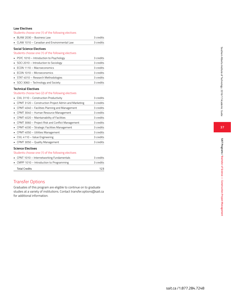#### **Law Electives**

Students choose one (1) of the following electives

| BLAW 2030 - Business Law                                  | 3 credits |
|-----------------------------------------------------------|-----------|
| $\blacksquare$ CLAW 1010 – Canadian and Environmental Law | a credits |

#### **Social Science Electives**

#### Students choose one (1) of the following electives

| • PSYC 1010 - Introduction to Psychology | 3 credits |
|------------------------------------------|-----------|
| • SOCI 2010 – Introduction to Sociology  | 3 credits |
| • ECON 1110 – Macroeconomics             | 3 credits |
| • ECON 1010 - Microeconomics             | 3 credits |
| • STAT 4010 - Research Methodologies     | 3 credits |
| SOCI 3060 - Technology and Society       | 3 credits |

### **Technical Electives**

### Students choose two (2) of the following electives

| • CIVL 3110 - Construction Productivity                | 3 credits |  |
|--------------------------------------------------------|-----------|--|
| • CPMT 3120 – Construction Project Admin and Marketing | 3 credits |  |
| • CPMT 4040 - Facilities Planning and Management       | 3 credits |  |
| • CPMT 3040 – Human Resource Management                | 3 credits |  |
| • CPMT 4020 – Maintainability of Facilities            | 3 credits |  |
| • CPMT 3060 – Project Risk and Conflict Management     | 3 credits |  |
| • CPMT 4030 – Strategic Facilities Management          | 3 credits |  |
| • CPMT 4050 - Utilities Management                     | 3 credits |  |
| • CIVL 4110 - Value Engineering                        | 3 credits |  |
| • CPMT 3050 - Quality Management                       | 3 credits |  |
| <b>Science Electives</b>                               |           |  |

# Students choose one (1) of the following electives

| • CPNT 1010 - Internetworking Fundamentals |                                           | 3 credits |
|--------------------------------------------|-------------------------------------------|-----------|
|                                            | • CMPP 1010 - Introduction to Programming | 3 credits |
|                                            | <b>Total Credits</b>                      | 123       |

# Transfer Options

Graduates of this program are eligible to continue on to graduate studies at a variety of institutions. Contact transfer.options@sait.ca for additional information.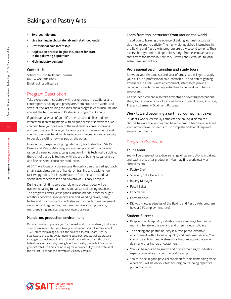# **Baking and Pastry Arts**

- **• Two-year diploma**
- **• Live training in chocolate lab and retail food outlet**
- **• Professional paid internship**
- **• Application process begins in October for start in the following September**
- **• High-industry demand**

### **Contact Us**

School of Hospitality and Tourism Phone: 403.284.8612 Email: culinary@sait.ca

## Program Description

Take exceptional instructors with backgrounds in traditional and contemporary baking and pastry arts from around the world, add state-of-the-art training facilities and a progressive curriculum, and you get the top Baking and Pastry Arts program in Canada.

If you have baked all of your life, have an artistic flair and are interested in creating magic with elegant dessert showpieces, we can help take your passion to the next level. A career in baking and pastry arts will have you balancing exact measurements and chemistry on one hand, while using your imagination and creativity to develop exciting new recipes on the other.

In an industry experiencing high demand, graduates from SAIT's Baking and Pastry Arts program are well prepared for a diverse range of career options after graduation. In this technical discipline, the craft of pastry is teamed with the art of baking, sugar artistry and fine artisanal chocolate production.

At SAIT, we focus on your success through a personalized approach, small class sizes, plenty of hands-on training and exciting new facility upgrades. Our labs are state-of-the-art and include a specialized chocolate lab and downtown Culinary Campus.

During this full-time two year diploma program, you will be trained in baking fundamentals and advanced baking practices. The program covers yeast goods, artisan breads, pastries, sugar artistry, chocolate, special occasion and wedding cakes, flans, tortes and much more. You will also learn important management skills on food regulations, customer service, costing, pricing, merchandising and starting your own business.

### **Hands-on, production environment**

Our main goal is to prepare you for the real world in a hands-on, productionstyle environment. Over your two-year education, you will receive about 1,400 practical training hours in the bakery labs. You'll learn Step-by-Step tactics and come away knowing best practices, as well as practical strategies to implement in the real world. You will also have the chance to feature your talents by baking bread and pastry products to sell in our gourmet retail food outlets including the renowned Highwood restaurant, the Market Place and the downtown Culinary Campus.

### **Learn from top instructors from around the world**

In addition to learning the science of baking, our instructors will also inspire your creativity. The highly distinguished instructors in the Baking and Pastry Arts program are truly second to none. Their diverse backgrounds and specialties range from executive pastry chefs from top hotels in New York, Hawaii and Bermuda, to local, entrepreneurial bakers.

### **Professional paid internship and study tours**

Between your first and second year of study, you will get to apply your skills in a professional paid internship. In addition to gaining experience in a real-world environment, internships provide valuable connections and opportunities to network with future employers.

As a student, you can also take advantage of exciting international study tours. Previous tour locations have included France, Australia, Thailand, Germany, Spain and Portugal.

### **Work toward becoming a certified journeyman baker**

Students who successfully complete the baking diploma can choose to write the journeyman baker exam. To become a certified journeyman baker, students must complete additional required employment hours.

# Program Overview

### **Your Career**

You will be prepared for a diverse range of career options in baking and pastry arts after graduation. You may find work locally or abroad as a(n):

- Pastry Chef
- Specialty Cake Decorator
- Bakery Manager
- Retail Baker
- Chocolatier
- Entrepreneur
- Did you know graduates of the Baking and Pastry Arts program have a 96% employment rate?

### **Student Success**

- Keep in mind hospitality industry hours can range from early morning to late in the evening and often include holidays.
- The baking and pastry industry is a fast-paced, dynamic environment with a focus on quality and customer service. You should be able to handle stressful situations appropriately (e.g., dealing with a line-up of customers).
- You will be required to groom and dress according to industry expectations while in your practical training.
- You must be in good physical condition for this demanding trade where you will be on your feet for long hours, doing repetitive production work.

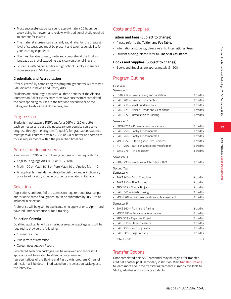- Most successful students spend approximately 20 hours per week doing homework and review, with additional study required to prepare for exams.
- The material is presented at a fairly rapid rate. For the greatest level of success you must be present and take responsibility for your learning experience.
- You must be able to read, write and comprehend the English language at a level exceeding basic conversational English.
- Students with higher grades in high school usually experience more success in SAIT programs.

### **Credentials and Accreditation**

After successfully completing this program, graduates will receive a SAIT diploma in Baking and Pastry Arts.

Students are encouraged to write all three periods of the Alberta Journeyman Baker exams after they have successfully completed the corresponding courses in the first and second year of the Baking and Pastry Arts diploma program.

### **Progression**

Students must attain a PGPA and/or a CGPA of 2.0 or better in each semester and pass the necessary prerequisite courses to progress through the program. To qualify for graduation, students must pass all courses, attain a CGPA of 2.0 or better and complete course requirements within the prescribed timelines.

### Admission Requirements

A minimum of 50% in the following courses or their equivalents:

- English Language Arts 10-1 or 10-2, AND,
- Math 10C or Math 10-3 or Pure Math 10 or Applied Math 10.
- All applicants must demonstrate English Language Proficiency prior to admission, including students educated in Canada.

### **Selection**

Applications and proof of the admission requirements (transcripts and/or anticipated final grades) must be submitted by July 1 to be included in selection.

Preference will be given to applicants who apply prior to April 1 and have industry experience or food training.

### **Selection Criteria**

Qualified applicants will be emailed a selection package and will be required to provide the following:

- Current resumé
- Two letters of reference
- Career Investigation Report

Completed selection packages will be reviewed and successful applicants will be invited to attend an interview with

representatives of the Baking and Pastry Arts program. Offers of admission will be determined based on the selection package and the interview.

# Costs and Supplies

### **Tuition and Fees (Subject to change)**

- Please refer to the **Tuition and Fee Table.**
- International students, please refer to **International Fees.**
- Student funding, please refer to **Financial Assistance.**

### **Books and Supplies (Subject to change)**

• Books and Supplies are approximately \$1,200.

# Program Outline

Transfer Options

SAIT graduates and incoming students.

### First Year

| Semester 1                                     |             |
|------------------------------------------------|-------------|
| • FSAN 212 – Bakery Safety and Sanitation      | 3 credits   |
| BAKE 209 - Bakery Fundamentals                 | 3 credits   |
| BAKE 219 - Yeast Fundamentals                  | 3 credits   |
| • BAKE 221 - Artisan Breads and Viennoiserie   | 3 credits   |
| • BAKE 227 - Introduction to Cooking           | 3 credits   |
| Semester 2                                     |             |
| COMM 209 - Business Communications<br>×.       | 1.5 credits |
| BAKE 256 - Pastry Fundamentals I               | 3 credits   |
| BAKE 266 - Pastry Fundamentals II              | 3 credits   |
| • MNGT 256 - Starting Your Own Business        | 3 credits   |
| • NUTR 256 – Nutrition and Recipe Modification | 1.5 credits |
| BAKE 276 - Art and Design                      | 3 credits   |
| Semester 3                                     |             |
| PRAC 293 - Professional Internship - BPA       | 3 credits   |
| Second Year<br>Semester 4                      |             |
| BAKE 300 - Art of Chocolate                    | 3 credits   |
| BAKE 320 - Fine Pastries                       | 3 credits   |
| PROJ 323 - Special Projects                    | 3 credits   |
| BAKE 365 - Artistic Baking                     | 3 credits   |
| • MNGT 209 - Customer Relationship Management  | 3 credits   |
| Semester 5                                     |             |
| BAKE 360 - Plating and Pairing                 | 3 credits   |
| • MNGT 350 - Sensational Alternatives          | 1.5 credits |

PROJ 353 – Capstone Project 1.5 credits • BAKE 310 – Classic Desserts 3 credits • BAKE 450 – Wedding Cakes 3 credits • BAKE 380 – Sugar Artistry 3 credits Total Credits 63

Once completed, this SAIT credential may be eligible for transfer credit at another post-secondary institution. Visit Transfer Options to learn more about the transfer agreements currently available to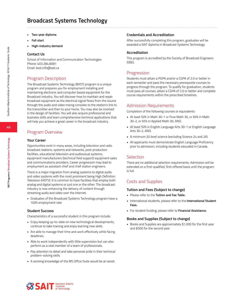# **Broadcast Systems Technology**

- **• Two-year diploma**
- **• Fall start**
- **• High-industry demand**

### **Contact Us**

School of Information and Communication Technologies Phone: 403.284.8081 Email: bxst.info@sait.ca

# Program Description

The Broadcast Systems Technology (BXST) program is a unique program and prepares you for employment installing and maintaining electronic and computer based equipment for the Broadcast industry. You will discover how to maintain and repair broadcast equipment as the electrical signal flows from the source through the audio and video mixing consoles to the station's link to the transmitter and then to your home. You may also be involved in the design of facilities. You will also acquire professional and business skills and learn comprehensive technical applications that will help you achieve a great career in the broadcast industry.

# Program Overview

### **Your Career**

Opportunities exist in many areas, including television and radio broadcast stations, systems and networks, post-production facilities, educational television and audiovisual systems, equipment manufacturers (technical field support) equipment sales and communications providers. Career progression may lead to employment as assistant chief and chief station engineers.

There is a major migration from analog systems to digital audio and video systems with the most prominent being High Definition Television (HDTV). It is common to have facilities that employ both analog and digital systems or just one or the other. The broadcast industry is now enhancing the delivery of content through streaming audio and video over the Internet.

• Graduates of the Broadcast Systems Technology program have a 100% employment rate

### **Student Success**

Characteristics of a successful student in this program include:

- Enjoy keeping up-to-date on new technological developments, continue to take training and enjoy learning new skills.
- Are able to manage their time and work effectively while facing deadlines.
- Able to work independently with little supervision but can also perform as a vital member of a team of professionals.
- Pay attention to detail and take personal pride in their technical problem-solving skills.
- A working knowledge of the MS Office Suite would be an asset.

### **Credentials and Accreditation**

After successfully completing this program, graduates will be awarded a SAIT diploma in Broadcast Systems Technology.

### **Accreditation**

This program is accredited by the Society of Broadcast Engineers (SBE).

### Progression

Students must attain a PGPA and/or a CGPA of 2.0 or better in each semester and pass the necessary prerequisite courses to progress through the program. To qualify for graduation, students must pass all courses, attain a CGPA of 2.0 or better and complete course requirements within the prescribed timelines.

### Admission Requirements

Completion of the following courses or equivalents:

- At least 50% in Math 30-1 or Pure Math 30, or 60% in Math 30-2, or 65% in Applied Math 30, AND,
- At least 50% in English Language Arts 30-1 or English Language Arts 30-2, AND,
- A minimum 20 level science (excluding Science 24 and 26)
- All applicants must demonstrate English Language Proficiency prior to admission, including students educated in Canada.

### **Selection**

There are no additional selection requirements. Admission will be extended on a first-qualified, first-offered basis until the program is full.

## Costs and Supplies

### **Tuition and Fees (Subject to change)**

- Please refer to the **Tuition and Fee Table.**
- International students, please refer to the **International Student Fees.**
- For student funding, please refer to **Financial Assistance.**

### **Books and Supplies (Subject to change)**

• Books and Supplies are approximately \$1,000 for the first year and \$500 for the second year.

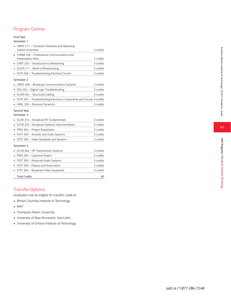# Program Outline

### First Year

#### Semester 1

| CMPH 211 - Computer Hardware and Operating                              |           |
|-------------------------------------------------------------------------|-----------|
| System Essentials                                                       | 3 credits |
| COMM 256 - Professional Communications and                              |           |
| <b>Presentation Skills</b>                                              | 3 credits |
| CPNT 220 - Introduction to Networking                                   | 3 credits |
| ELCM 211 - World of Broadcasting                                        | 3 credits |
| ELTR 209 - Troubleshooting Electrical Circuits                          | 3 credits |
| Semester 2                                                              |           |
| CMPS 268 - Broadcast Communications Systems                             | 3 credits |
| DIGI 252 - Digital Logic Troubleshooting                                | 3 credits |
| • ELCM 254 - Structured Cabling                                         | 3 credits |
| ELTR 263 - Troubleshooting Electronic Components and Circuits 3 credits |           |
| HREL 250 - Business Dynamics                                            | 3 credits |
| Second Year<br>Semester 3                                               |           |
| ELCM 314 - Broadcast RF Fundamentals                                    | 3 credits |
| ELCM 323 - Broadcast Systems Instrumentation                            | 3 credits |
| PROJ 304 - Project Preparation                                          | 3 credits |
| SYST 300 - Acoustic and Audio Systems                                   | 3 credits |
| SYST 305 - Video Standards and Systems                                  | 3 credits |
| Semester 4                                                              |           |
| ELCM 364 - RF Transmission Systems                                      | 3 credits |
| PROJ 354 - Capstone Project                                             | 3 credits |
| SYST 350 - Advanced Audio Systems                                       | 3 credits |
| SYST 355 - Playout and Automation                                       | 3 credits |
| SYST 365 - Broadcast Video Equipment                                    | 3 credits |
| <b>Total Credits</b>                                                    | 60        |

# Transfer Options

Graduates may be eligible for transfer credit at:<br>• British Columbia Institute of Technology<br>• NAIT<br>• Thompson Rivers University<br>• University of New Brunswick, Saint John

- 
- 
- 
- 
- University of Ontario Institute of Technology

41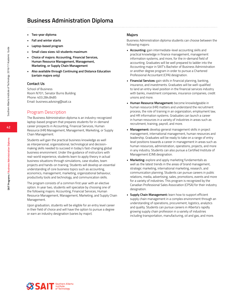# **Business Administration Diploma**

- **• Two-year diploma**
- **• Fall and winter starts**
- **• Laptop-based program**
- **• Small class sizes: 40 students maximum**
- **• Choice of majors: Accounting, Financial Services, Human Resource Management, Management, Marketing, or Supply Chain Management**
- **• Also available through Continuing and Distance Education (certain majors only)**

### **Contact Us**

School of Business Room N701, Senator Burns Building Phone: 403.284.8485 Email: business.advising@sait.ca

# Program Description

The Business Administration diploma is an industry-recognized laptop-based program that prepares students for in-demand career prospects in Accounting, Financial Services, Human Resource (HR) Management, Management, Marketing, or Supply Chain Management.

Students will gain the practical business knowledge as well as interpersonal, organizational, technological and decisionmaking skills needed to succeed in today's fast-changing global business environment. Under the guidance of instructors with real-world experience, students learn to apply theory in actual business situations through simulations, case studies, team projects and hands-on training. Students will develop an essential understanding of core business topics such as accounting, economics, management, marketing, organizational behaviour, productivity tools and technology, and communication skills.

The program consists of a common first year with an elective option. In year two, students will specialize by choosing one of the following majors: Accounting, Financial Services, Human Resource Management, Management, Marketing, and Supply Chain Management.

Upon graduation, students will be eligible for an entry level career in their field of choice and will have the option to pursue a degree or earn an industry designation (varies by major).

### **Majors**

Business Administration diploma students can choose between the following majors:

- **• Accounting:** gain intermediate-level accounting skills and practical knowledge in finance management, management information systems, and more, for the in-demand field of accounting. Graduates will be well prepared to ladder into the Accounting major in SAIT's Bachelor of Business Administration or another degree program in order to pursue a Chartered Professional Accountant (CPA) designation.
- **• Financial Services:** gain skills in financial planning, banking, insurance, and investments. Graduates will be well-qualified to land an entry-level position in the financial services industry with banks, investment companies, insurance companies, credit unions and more.
- **• Human Resource Management:** become knowledgeable in human resource (HR) matters and understand the recruitment process, the role of training in an organization, employment law, and HR information systems. Graduates can launch a career in human resources in a variety of industries in areas such as recruitment, training, payroll, and more.
- **• Management:** develop general management skills in project management, international management, human resources and leadership. Graduates will be ready to take on a range of entry level positions towards a career in management in areas such as human resources, administration, operations, projects, and more in any industry. Students can also pursue a Certified Institute of Management (CIM) designation.
- **• Marketing:** explore and apply marketing fundamentals as well as the latest trends in the areas of brand management, strategic marketing, international marketing, research, and communication planning. Students can pursue careers in public relations, media, advertising, sales, promotions, events and more for a variety of industries. This program is recognized by the Canadian Professional Sales Association (CPSA) for their industry designation.
- **• Supply Chain Management:** learn how to support efficient supply chain management in a complex environment through an understanding of operations, procurement, logistics, analytics and quality. Students can pursue careers in Alberta's rapidly growing supply chain profession in a variety of industries including transportation, manufacturing, oil and gas, and more.



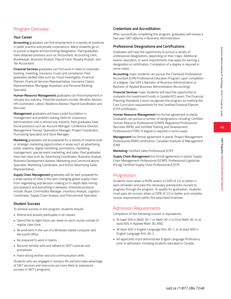# Program Overview

# **Your Career**

**Accounting** graduates can find employment in a variety of positions in public practice and private corporations. Many students go on to pursue a degree and accounting designation. Past graduates have obtained positions such as: Accountant, Accounting Clerk, Bookkeeper, Business Analyst, Payroll Clerk, Royalty Analyst, and Tax Accountant.

**Financial Services** graduates can find work in retail or corporate banking, investing, insurance, trusts and compliance. Past graduates landed roles such as: Fraud Investigator, Financial Planner, Financial Services Representative, Insurance Claims, Representative, Mortgage Assistant, and Personal Banking Specialist.

**Human Resource Management** graduates can find employment in virtually any industry. Potential positions include: Benefits Advisor, HR Coordinator, Labour Relations Advisor, Payroll Coordinator, and Recruiter.

**Management** graduates will have a solid foundation in management and problem solving skills for a business administration role in almost any industry. Past graduates have found positions such as: Account Manager, Conference Director, Management Trainee, Operations Manager, Project Coordinator, Purchasing Specialist, and Store Manager.

**Marketing** graduates will be prepared for a variety of creative and/ or strategic marketing opportunities in areas such as advertising, public relations, digital marketing, promotions, marketing management, special event marketing, and sales. Past graduates have had roles such as: Advertising Coordinator, Business Analyst, Business Development Advisor, Marketing and Communications Specialist, Marketing Coordinator, and Online Advertising Sales Representative.

**Supply Chain Management** graduates will be well-prepared for a wide variety of roles in the ever-changing global supply chain, from negotiating and decision-making to in-depth data mining and analytics and everything in between. Potential positions include: Buyer, Commodity Manager, Inventory Analyst, Logistics Coordinator, Supply Chain Analyst, and Procurement Specialist.

## **Student Success**

To achieve success in this program, students should:

- Attend and actively participate in all classes
- Spend five to eight hours per week on each course outside of regular class time
- Be proficient in the use of a Windows-based computer and Microsoft Office
- Be prepared to work in teams
- Become familiar with and adhere to SAIT's policies and procedures
- Have strong written and oral communication skills

Students who are engaged in campus life and who take advantage of SAIT services and resources are more likely to experience success in SAIT's programs.

# **Credentials and Accreditation**

After successfully completing this program, graduates will receive a two year SAIT diploma in Business Administration.

# **Professional Designations and Certifications**

Graduates will have the opportunity to pursue a variety of professional designations, depending on their major. Additional exams, education, or work requirements may apply for earning a designation or certification. Completion of a degree is required in some cases.

**Accounting** major students can pursue the Chartered Professional Accountant (CPA) Professional Education Program, upon completion of a degree. See SAIT's Bachelor of Business Administration or Bachelor of Applied Business Administration (Accounting).

**Financial Services** major students will have the opportunity to complete the Investment Funds in Canada (IFC) exam. The Financial Planning Standards Council recognizes the program as meeting the Core Curriculum requirements for the Certified Financial Planner (CFP) certification.

**Human Resource Management** (no formal agreement in place): Graduates can pursue a number of designations including: Certified Human Resource Professional (CHRP), Registered Professional Recruiter (RPR), and Certified Training and Development Professional (CTDP). A degree is required in some cases.

**Management** (no formal agreement in place): Project Management Professional (PMP) certification, Canadian Institute of Management (CIM)

**Marketing:** Certified Sales Professional (CSP)

**Supply Chain Management** (no formal agreement in place): Supply Chain Management Professional (SCMP), Professional Logistician (P.Log), Certified Supply Chain Professional (CSCP)

# Progression

Students must attain a PGPA and/or a CGPA of 2.0 or better in each semester and pass the necessary prerequisite courses to progress through the program. To qualify for graduation, students must pass all courses, attain a CGPA of 2.0 or better and complete course requirements within the prescribed timelines.

# Admission Requirements

Completion of the following courses or equivalents:

- At least 50% in Math 30-1 or Math 30-2 or Pure Math 30, or at least 60% in Applied Math 30, AND,
- At least 50% in English Language Arts 30-1, or at least 60% in English Language Arts 30-2
- All applicants must demonstrate English Language Proficiency prior to admission, including students educated in Canada.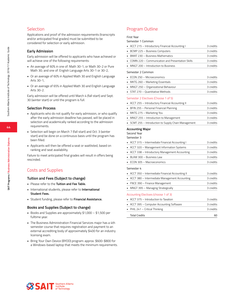# **Selection**

Applications and proof of the admission requirements (transcripts and/or anticipated final grades) must be submitted to be considered for selection or early admission.

### **Early Admission**

Early admission will be offered to applicants who have achieved or will achieve one of the following requirements:

- An average of 60% in one of: Math 30-1, or Math 30-2 or Pure Math 30; and one of: English Language Arts 30-1 or 30-2,
- Or an average of 60% in Applied Math 30 and English Language Arts 30-1,
- Or an average of 65% in Applied Math 30 and English Language Arts 30-2.

Early admission will be offered until March 4 (fall start) and Sept. 30 (winter start) or until the program is full.

### **Selection Process**

- Applicants who do not qualify for early admission, or who qualify after the early admission deadline has passed, will be placed in selection and academically ranked according to the admission requirements.
- Selection will begin on March 7 (fall start) and Oct. 3 (winter start) and be done on a continuous basis until the program has been filled.
- Applicants will then be offered a seat or waitlisted, based on ranking and seat availability.

Failure to meet anticipated final grades will result in offers being rescinded.

# Costs and Supplies

### **Tuition and Fees (Subject to change)**

- Please refer to the **Tuition and Fee Table.**
- International students, please refer to **International Student Fees.**
- Student funding, please refer to **Financial Assistance.**

### **Books and Supplies (Subject to change)**

- Books and Supplies are approximately \$1,000 \$1,500 per fulltime year.
- The Business Administration Financial Services major has a 4th semester course that requires registration and payment to an external accrediting body of approximately \$400 for an industry licensing exam.
- Bring Your Own Device (BYOD) program: approx. \$600-\$800 for a Windows-based laptop that meets the minimum requirements.

# Program Outline

First Year

| Semester 1 Common |  |
|-------------------|--|
|                   |  |

| • ACCT 215 - Introductory Financial Accounting I   | 3 credits |
|----------------------------------------------------|-----------|
| • BCMP 225 - Business Computers                    | 3 credits |
| BMAT 230 - Business Mathematics                    | 3 credits |
| • COMN 220 - Communication and Presentation Skills | 3 credits |
| • MNGT 200 - Introduction to Business              | 3 credits |

#### Semester 2 Common

| $\blacksquare$ ECON 250 – Microeconomics | 3 credits |
|------------------------------------------|-----------|
| MKTG 260 - Marketing Essentials          | 3 credits |
| • MNGT 250 - Organizational Behaviour    | 3 credits |
| • STAT 270 - Quantitative Methods        | 3 credits |

#### Semester 2 Electives (Choose 1 of 5)

| • ACCT 255 - Introductory Financial Accounting II    | 3 credits |
|------------------------------------------------------|-----------|
| • BFIN 255 - Personal Financial Planning             | 3 credits |
| • MKTG 275 - Marketing You                           | 3 credits |
| • MNGT 255 - Introduction to Management              | 3 credits |
| • SCMT 255 - Introduction to Supply Chain Management | 3 credits |

#### **Accounting Major**

Second Year

| Semester 3 |  |  |  |
|------------|--|--|--|
|            |  |  |  |

| • ACCT 315 - Intermediate Financial Accounting I | 3 credits |
|--------------------------------------------------|-----------|
| • ACCT 320 – Management Information Systems      | 3 credits |
| • ACCT 338 - Introductory Management Accounting  | 3 credits |
| • BLAW 300 - Business Law                        | 3 credits |
| • ECON 305 - Macroeconomics                      | 3 credits |
| Semester 4                                       |           |

| • ACCT 350 – Intermediate Financial Accounting II  | 3 credits |
|----------------------------------------------------|-----------|
| • ACCT 380 – Intermediate Management Accounting    | 3 credits |
| • FNCE 390 - Finance Management                    | 3 credits |
| • MNGT 395 – Managing Strategically                | 3 credits |
| Accounting Electives (choose 1 of 3)               |           |
| $\blacksquare$ ACCT 375 – Introduction to Taxation | 3 credits |
| • ACCT 395 - Computer Accounting Software          | 3 credits |
| • PHIL 241 – Critical Thinking                     | 3 credits |

Total Credits 60





Southern Alberta<br>
Institute<br>
of Technology **SSSA**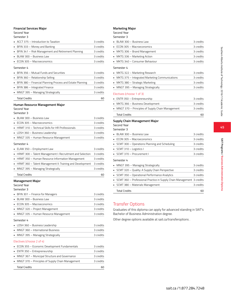#### **Financial Services Major**

### Second Year

Semester 3

| • ACCT 375 - Introduction to Taxation                | 3 credits |
|------------------------------------------------------|-----------|
| • BFIN 333 - Money and Banking                       | 3 credits |
| • BFIN 341 – Risk Management and Retirement Planning | 3 credits |
| • BLAW 300 - Business Law                            | 3 credits |
| • ECON 305 - Macroeconomics                          | 3 credits |

#### Semester 4

| • BFIN 356 - Mutual Funds and Securities                    | 3 credits |
|-------------------------------------------------------------|-----------|
| • BFIN 360 - Relationship Selling                           | 3 credits |
| • BFIN 380 – Financial Planning Process and Estate Planning | 3 credits |
| • BFIN 386 - Integrated Finance                             | 3 credits |
| • MNGT 395 – Managing Strategically                         | 3 credits |
| <b>Total Credits</b>                                        |           |

### **Human Resource Management Major**

### Second Year

Semester 3

| BLAW 300 - Business Law                                         | 3 credits |
|-----------------------------------------------------------------|-----------|
| • ECON 305 - Macroeconomics                                     | 3 credits |
| $\blacksquare$ HRMT 310 – Technical Skills for HR Professionals | 3 credits |
| • LDSH 360 - Business Leadership                                | 3 credits |
| • MNGT 335 – Human Resource Management                          | 3 credits |

#### Semester 4

| <b>Total Credits</b>                                        | 60        |
|-------------------------------------------------------------|-----------|
| • MNGT 395 - Managing Strategically                         | 3 credits |
| • HRMT 360 – Talent Management II: Training and Development | 3 credits |
| • HRMT 350 – Human Resource Information Management          | 3 credits |
| • HRMT 300 - Talent Management I: Recruitment and Selection | 3 credits |
| • ELAW 350 - Employment Law                                 | 3 credits |

### **Management Major**

Second Year Semester 3

| • BFIN 301 - Finance for Managers      | 3 credits |
|----------------------------------------|-----------|
| • BLAW 300 - Business Law              | 3 credits |
| • ECON 305 - Macroeconomics            | 3 credits |
| • MNGT 320 – Project Management        | 3 credits |
| • MNGT 335 – Human Resource Management | 3 credits |
|                                        |           |

#### Semester 4

| • LDSH 360 - Business Leadership                 | 3 credits |
|--------------------------------------------------|-----------|
| $\blacksquare$ MNGT 360 - International Business | 3 credits |
| • MNGT 395 - Managing Strategically              | 3 credits |
| Electives (choose 2 of 4)                        |           |

| <b>Total Credits</b>                               | 60        |
|----------------------------------------------------|-----------|
| • MNGT 370 - Principles of Supply Chain Management | 3 credits |
| • MNGT 367 - Municipal Structure and Governance    | 3 credits |
| • ENTR 350 - Entrepreneurship                      | 3 credits |
| • ECON 355 - Economic Development Fundamentals     | 3 credits |

### **Marketing Major**

Second Year

### Semester 3

| $\blacksquare$ BLAW 300 - Business Law | 3 credits |
|----------------------------------------|-----------|
| • ECON 305 - Macroeconomics            | 3 credits |
| MKTG 306 - Brand Management            | 3 credits |
| • MKTG 336 - Marketing Action          | 3 credits |
| MKTG 340 - Consumer Behaviour          | 3 credits |
|                                        |           |

### Semester 4

| • MKTG 322 – Marketing Research                  | 3 credits |
|--------------------------------------------------|-----------|
| • MKTG 375 - Integrated Marketing Communications | 3 credits |
| • MKTG 380 – Strategic Marketing                 | 3 credits |
| • MNGT 395 - Managing Strategically              | 3 credits |

### Electives (choose 1 of 3)

| • ENTR 350 - Entrepreneurship                      | 3 credits |
|----------------------------------------------------|-----------|
| MKTG 366 - Business Development                    | 3 credits |
| • MNGT 370 – Principles of Supply Chain Management | 3 credits |
| <b>Total Credits</b>                               | ഹ         |

### **Supply Chain Management Major**

Second Year Semester 3

| BLAW 300 - Business Law                                               | 3 credits |
|-----------------------------------------------------------------------|-----------|
| ECON 305 - Macroeconomics                                             | 3 credits |
| SCMT 300 - Operations Planning and Scheduling                         | 3 credits |
| SCMT 310 - Logistics I                                                | 3 credits |
| SCMT 370 - Procurement I                                              | 3 credits |
| Semester 4                                                            |           |
|                                                                       |           |
| MNGT 395 - Managing Strategically<br>٠                                | 3 credits |
| SCMT 320 - Quality: A Supply Chain Perspective                        | 3 credits |
| SCMT 350 - Operational Performance Analytics                          | 3 credits |
| SCMT 360 - Professional Practice in Supply Chain Management 3 credits |           |
| SCMT 380 - Materials Management                                       | 3 credits |

# Transfer Options

Graduates of this diploma can apply for advanced standing in SAIT's Bachelor of Business Administration degree.

Other degree options available at sait.ca/transferoptions .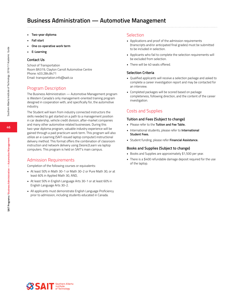# **Business Administration — Automotive Management**

- **• Two-year diploma**
- **• Fall start**
- **• One co-operative work term**
- **• E-Learning**

### **Contact Us**

School of Transportation Room BA319, Clayton Carroll Automotive Centre Phone: 403.284.8471 Email: transportation.info@sait.ca

# Program Description

The Business Administration — Automotive Management program is Western Canada's only management-oriented training program designed in cooperation with, and specifically for, the automotive industry.

The Student will learn from industry connected instructors the skills needed to get started on a path to a management position in car dealership, vehicle credit division, after-market companies and many other automotive related businesses. During this two-year diploma program, valuable industry experience will be gained through a paid practicum work term. This program will also utilize an e-Learning (SAIT-issued laptop computer) instructional delivery method. This format offers the combination of classroom instruction and network delivery using Desire2Learn via laptop computers. This program is held on SAIT's main campus.

# Admission Requirements

Completion of the following courses or equivalents:

- At least 50% in Math 30-1 or Math 30-2 or Pure Math 30, or at least 60% in Applied Math 30, AND,
- At least 50% in English Language Arts 30-1 or at least 60% in English Language Arts 30-2.
- All applicants must demonstrate English Language Proficiency prior to admission, including students educated in Canada.

### Selection

- Applications and proof of the admission requirements (transcripts and/or anticipated final grades) must be submitted to be included in selection.
- Applicants who fail to complete the selection requirements will be excluded from selection.
- There will be 40 seats offered.

### **Selection Criteria**

- Qualified applicants will receive a selection package and asked to complete a career investigation report and may be contacted for an interview.
- Completed packages will be scored based on package completeness, following direction, and the content of the career investigation.

## Costs and Supplies

### **Tuition and Fees (Subject to change)**

- Please refer to the **Tuition and Fee Table.**
- International students, please refer to **International Student Fees.**
- Student funding, please refer **Financial Assistance.**

### **Books and Supplies (Subject to change)**

- Books and Supplies are approximately \$1,500 per year.
- There is a \$400 refundable damage deposit required for the use of the laptop.

**46**

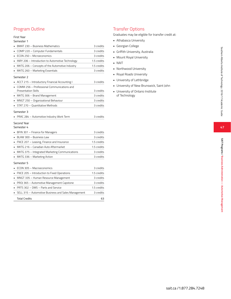# Program Outline

### First Year

#### Semester 1

|   | BMAT 230 - Business Mathematics                                          | 3 credits   |
|---|--------------------------------------------------------------------------|-------------|
|   | COMP 220 - Computer Fundamentals                                         | 3 credits   |
|   | ECON 250 - Microeconomics                                                | 3 credits   |
|   | INRY 206 - Introduction to Automotive Technology                         | 1.5 credits |
|   | MKTG 206 - Concepts of the Automotive Industry                           | 1.5 credits |
|   | MKTG 260 - Marketing Essentials                                          | 3 credits   |
|   | Semester 2                                                               |             |
|   | ACCT 215 - Introductory Financial Accounting I                           | 3 credits   |
|   | COMM 256 - Professional Communications and<br><b>Presentation Skills</b> | 3 credits   |
|   | MKTG 306 - Brand Management                                              | 3 credits   |
|   | MNGT 250 – Organizational Behaviour                                      | 3 credits   |
|   | STAT 270 - Quantitative Methods                                          | 3 credits   |
|   | Semester 3                                                               |             |
|   | PRAC 284 - Automotive Industry Work Term                                 | 3 credits   |
|   | Second Year<br>Semester 4                                                |             |
|   | BFIN 301 - Finance for Managers                                          | 3 credits   |
|   | BLAW 300 - Business Law                                                  | 3 credits   |
|   | FNCE 207 - Leasing, Finance and Insurance                                | 1.5 credits |
| ٠ | MKTG 216 - Canadian Auto Aftermarket                                     | 1.5 credits |
|   | MKTG 375 - Integrated Marketing Communications                           | 3 credits   |
|   | MKTG 336 - Marketing Action                                              | 3 credits   |
|   | Semester 5                                                               |             |
|   | ECON 305 - Macroeconomics                                                | 3 credits   |
|   | FNCE 205 - Introduction to Fixed Operations                              | 1.5 credits |
|   | MNGT 335 - Human Resource Management                                     | 3 credits   |
| ٠ | PROJ 365 - Automotive Management Capstone                                | 3 credits   |
|   | PRTS 302 - DMS - Parts and Service                                       | 1.5 credits |
|   | SELL 315 - Automotive Business and Sales Management                      | 3 credits   |
|   | <b>Total Credits</b>                                                     | 63          |

# Transfer Options

Graduates may be eligible for transfer credit at:<br>• Athabasca University

- 
- 
- 
- 
- 
- 
- 
- 
- Georgian College<br>• Griffith University, Australia<br>• Mount Royal University<br>• NAIT<br>• Northwood University<br>• Royal Roads University<br>• University of Lethbridge<br>• University of New Brunswick, Saint John<br>• University of Ontar
- of Technology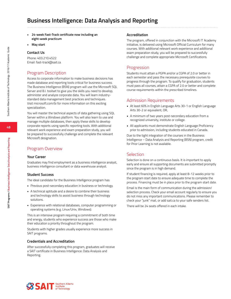# **Business Intelligence: Data Analysis and Reporting**

- **• 24-week Fast-Track certificate now including an eight-week practicum**
- **• May start**

### **Contact Us**

Phone: 403.210.4522 Email: fast-track@sait.ca

## Program Description

Access to corporate information to make business decisions has made database and reporting tools critical for business success. The Business Intelligence (BSN) program will use the Microsoft SQL Server and B.I. toolset to give you the skills you need to develop, administer and analyze corporate data. You will learn industrystandard data management best practices and techniques. Visit microsoft.com/bi for more information on this exciting specialization.

You will master the technical aspects of data gathering using SQL Server within a Windows platform. You will also learn to use and manage multiple databases, then apply these skills to develop corporate reports using specific reporting tools. With additional relevant work experience and exam preparation study, you will be prepared to successfully challenge and complete the relevant Microsoft designation.

### Program Overview

#### **Your Career**

Graduates may find employment as a business intelligence analyst, business intelligence consultant or data warehouse analyst.

### **Student Success**

The ideal candidate for the Business Intelligence program has:

- Previous post-secondary education in business or technology.
- A technical aptitude and a desire to combine their business and technology skills to assist business through technology solutions.
- Experience with relational databases, computer programming or operating systems (e.g. Linux/Unix, Windows).

This is an intensive program requiring a commitment of both time and energy, students who experience success are those who make their education a priority throughout the program.

Students with higher grades usually experience more success in SAIT programs.

### **Credentials and Accreditation**

After successfully completing this program, graduates will receive a SAIT certificate in Business Intelligence: Data Analysis and Reporting.

#### **Accreditation**

The program, offered in conjunction with the Microsoft IT Academy initiative, is delivered using Microsoft Official Curriculum for many courses. With additional relevant work experience and additional exam preparation study, you will be prepared to successfully challenge and complete appropriate Microsoft Certifications.

### Progression

Students must attain a PGPA and/or a CGPA of 2.0 or better in each semester and pass the necessary prerequisite courses to progress through the program. To qualify for graduation, students must pass all courses, attain a CGPA of 2.0 or better and complete course requirements within the prescribed timelines.

### Admission Requirements

- At least 60% in English Language Arts 30-1 or English Language Arts 30-2 or equivalent, OR,
- A minimum of two years post-secondary education from a recognized university, institute or college.
- All applicants must demonstrate English Language Proficiency prior to admission, including students educated in Canada.

Due to the tight integration of the courses in the Business Intelligence – Data Analysis and Reporting (BSN) program, credit for Prior Learning is not available.

### **Selection**

Selection is done on a continuous basis. It is important to apply early and ensure all supporting documents are submitted promptly since the program is in high demand.

If student financing is required, apply at least 8-12 weeks prior to the program start date to ensure adequate time to complete the process. Financing must be in place prior to the program start date.

Email is the main form of communication during the admission/ selection process. Check your email account regularly to ensure you do not miss any important communications. Please remember to check your "junk" mail, or add sait.ca to your safe senders list.

There will be 24 seats offered in each intake.

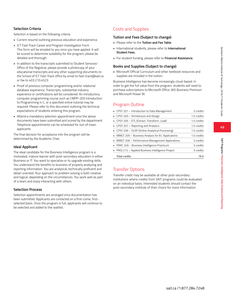**SAIT Programs / Business Intelligence: Data Analysis and Reporting**

SAIT Programs / Business Intelligence: Data Analysis and Reportin

# **Selection Criteria**

Selection is based on the following criteria:

- Current resumé outlining previous education and experience.
- ICT Fast-Track Career and Program Investigation Form This form will be emailed to you once you have applied. It will be scored to determine suitability for the program; please be detailed and thorough.
- In addition to the transcripts submitted to Student Services/ Office of the Registrar, please provide a photocopy of your educational transcripts and any other supporting documents to the School of ICT Fast-Track office by email to fast-track@sait.ca or fax to 403.210.4523.
- Proof of previous computer programming and/or relational database experience. Transcripts, substantial industry experience or certifications will be considered. An introductory computer programming course such as CMPP-205 Introduction to Programming in C, or a specified online tutorial may be required. Please refer to this document outlining the technical expectations of students entering this program.
- Attend a mandatory selection appointment once the above documents have been submitted and scored by the department. Telephone appointments can be scheduled for out-of-town applicants.

The final decision for acceptance into the program will be determined by the Academic Chair.

### **Ideal Applicant**

The ideal candidate for the Business Intelligence program is a motivated, mature learner with post-secondary education in either Business or IT. You want to specialize or to upgrade existing skills. You understand the benefits to business of properly analyzing and reporting information. You are analytical, technically proficient and detail-oriented. Your approach to problem solving is both creative and logical, depending on the circumstances. You work well as part of a team and enjoy interacting with others.

### **Selection Process**

Selection appointments are arranged once documentation has been submitted. Applicants are contacted on a first-come, firstselected basis. Once the program is full, applicants will continue to be selected and added to the waitlist.

# Costs and Supplies

### **Tuition and Fees (Subject to change)**

- Please refer to the **Tuition and Fee Table.**
- International students, please refer to **International Student Fees.**
- For student funding, please refer to **Financial Assistance.**

### **Books and Supplies (Subject to change)**

• Microsoft Official Curriculum and other textbook resources and supplies are included in the tuition.

Business Intelligence has become increasingly cloud-based. In order to get the full value from the program, students will need to purchase subscriptions to Microsoft Office 365 Business Premium and Microsoft Power BI.

# Program Outline

| • CPSY 201 - Introduction to Data Management         | 3 credits   |
|------------------------------------------------------|-------------|
| • CPSY 203 - Architecture and Design                 | 1.5 credits |
| • CPSY 205 – ETL (Extract, Transform, Load)          | 1.5 credits |
| • CPSY 207 - Reporting and Analytics                 | 1.5 credits |
| • CPSY 209 - OLAP (Online Analytical Processing)     | 1.5 credits |
| • MMGT 205 - Business Analysis for B.I. Applications | 1.5 credits |
| • MMGT 206 - Performance Management Applications     | 3 credits   |
| PRAC 249 - Business Intelligence Practicum           | 3 credits   |
| • PROJ 212 - Applied Business Intelligence Project   | 3 credits   |
| <b>Total credits</b>                                 | 19.5        |

# Transfer Options

Transfer credit may be available at other post-secondary institutions where credits from SAIT programs could be evaluated on an individual basis. Interested students should contact the post-secondary institute of their choice for more information.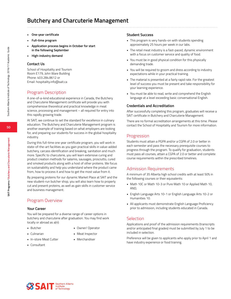# **Butchery and Charcuterie Management**

- **• One-year certificate**
- **• Full-time program**
- **• Application process begins in October for start in the following September**
- **• High-industry demand**

### **Contact Us**

School of Hospitality and Tourism Room E179, John Ware Building Phone: 403.284.8612 or Email: hospitality.info@sait.ca

# Program Description

A one-of-a-kind educational experience in Canada, the Butchery and Charcuterie Management certificate will provide you with comprehensive theoretical and practical knowledge in meat science, processing and management – all required for entry into this rapidly growing trade.

At SAIT, we continue to set the standard for excellence in culinary education. The Butchery and Charcuterie Management program is another example of training based on what employers are looking for, and preparing our students for success in the global hospitality industry.

During this full-time one year certificate program, you will work in state-of-the-art facilities as you gain practical skills in value-added butchery, carcass identification and breaking, sanitation and much more. Specific to charcuterie, you will learn extensive curing and product creation methods for salamis, sausages, prosciutto, cured and smoked products along with a host of other proteins. We focus on sustainability and help you understand where the product came from, how to process it and how to get the most value from it.

By preparing proteins for our dynamic Market Place at SAIT and the new student-run butcher shop, you will also learn how to properly cut and present proteins, as well as gain skills in customer service and business management.

# Program Overview

### **Your Career**

You will be prepared for a diverse range of career options in butchery and charcuterie after graduation. You may find work locally or abroad as a(n):

> • Owner/ Operator • Meat Inspector • Merchandiser

- Butcher
- Culinarian
- In-store Meat Cutter
- Consultant

### **Student Success**

- This program is very hands-on with students spending approximately 25 hours per week in our labs.
- The retail meat industry is a fast-paced, dynamic environment with a focus on customer service and quality of food.
- You must be in good physical condition for this physically demanding trade.
- You will be required to groom and dress according to industry expectations while in your practical training.
- The material is presented at a fairly rapid rate. For the greatest level of success you must be present and take responsibility for your learning experience.
- You must be able to read, write and comprehend the English language at a level exceeding basic conversational English.

### **Credentials and Accreditation**

After successfully completing this program, graduates will receive a SAIT certificate in Butchery and Charcuterie Management.

There are no formal accreditation arrangements at this time. Please contact the School of Hospitality and Tourism for more information.

### Progression

Students must attain a PGPA and/or a CGPA of 2.0 or better in each semester and pass the necessary prerequisite courses to progress through the program. To qualify for graduation, students must pass all courses, attain a CGPA of 2.0 or better and complete course requirements within the prescribed timelines.

## Admission Requirements

A minimum of 35 Alberta high school credits with at least 50% in the following courses or their equivalents:

- Math 10C or Math 10-3 or Pure Math 10 or Applied Math 10, AND,
- English Language Arts 10-1 or English Language Arts 10-2 or Humanities 10.
- All applicants must demonstrate English Language Proficiency prior to admission, including students educated in Canada.

### Selection

Applications and proof of the admission requirements (transcripts and/or anticipated final grades) must be submitted by July 1 to be included in selection.

Preference will be given to applicants who apply prior to April 1 and have industry experience or food training.

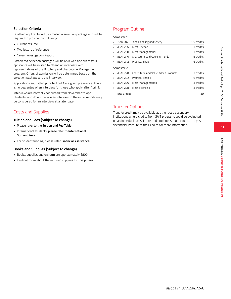### **Selection Criteria**

Qualified applicants will be emailed a selection package and will be required to provide the following:

- Current resumé
- Two letters of reference
- Career Investigation Report

Completed selection packages will be reviewed and successful applicants will be invited to attend an interview with representatives of the Butchery and Charcuterie Management program. Offers of admission will be determined based on the selection package and the interview.

Applications submitted prior to April 1 are given preference. There is no guarantee of an interview for those who apply after April 1.

Interviews are normally conducted from November to April. Students who do not receive an interview in the initial rounds may be considered for an interview at a later date.

# Costs and Supplies

### **Tuition and Fees (Subject to change)**

- Please refer to the **Tuition and Fee Table.**
- International students, please refer to **International Student Fees.**
- For student funding, please refer **Financial Assistance.**

### **Books and Supplies (Subject to change)**

- Books, supplies and uniform are approximately \$800.
- Find out more about the required supplies for this program.

# Program Outline

#### Semester 1

|   | • FSAN 207 – Food Handling and Safety                           | 1.5 credits |
|---|-----------------------------------------------------------------|-------------|
|   | • MEAT 206 - Meat Science I                                     | 3 credits   |
| ٠ | MEAT 208 – Meat Management I                                    | 3 credits   |
|   | • MEAT 210 – Charcuterie and Cooking Trends                     | 1.5 credits |
|   | • MEAT 212 – Practical Shop I                                   | 6 credits   |
|   | Semester 2<br>• MEAT 220 – Charcuterie and Value Added Products | 3 credits   |
|   |                                                                 |             |
|   | • MEAT 222 – Practical Shop II                                  | 6 credits   |
|   | • MEAT 226 – Meat Management II                                 | 3 credits   |
|   | • MEAT 228 - Meat Science II                                    | 3 credits   |
|   | <b>Total Credits</b>                                            | 30          |

# Transfer Options

Transfer credit may be available at other post-secondary institutions where credits from SAIT programs could be evaluated on an individual basis. Interested students should contact the postsecondary institute of their choice for more information.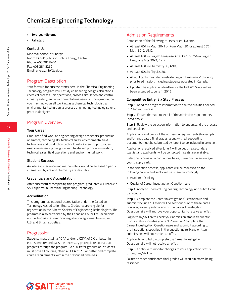# **Chemical Engineering Technology**

- **• Two-year diploma**
- **• Fall start**

#### **Contact Us**

MacPhail School of Energy Room KA440, Johnson-Cobbe Energy Centre Phone: 403.284.8451 Fax: 403.284.8262 Email: energy.info@sait.ca

## Program Description

Your formula for success starts here. In the Chemical Engineering Technology program you'll study engineering design calculations, chemical process unit operations, process simulation and control, industry safety, and environmental engineering. Upon graduation you may find yourself working as a chemical technologist, an environmental technician, a process engineering technologist, or a process designer.

## Program Overview

### **Your Career**

Graduates find work as engineering design assistants, production operators, technologists, technical sales, environmental field technicians and production technologists. Career opportunities exist in engineering design, computer-based process simulation, technical sales, field operations and environmental work.

### **Student Success**

An interest in science and mathematics would be an asset. Specific interest in physics and chemistry are desirable.

### **Credentials and Accreditation**

After successfully completing this program, graduates will receive a SAIT diploma in Chemical Engineering Technology.

### **Accreditation**

This program has national accreditation under the Canadian Technology Accreditation Board. Graduates are eligible for registration in the Alberta Society of Engineering Technologists. The program is also accredited by the Canadian Council of Technicians and Technologists. Periodical registration agreements exist with U.S. and British societies.

## Progression

Students must attain a PGPA and/or a CGPA of 2.0 or better in each semester and pass the necessary prerequisite courses to progress through the program. To qualify for graduation, students must pass all courses, attain a CGPA of 2.0 or better and complete course requirements within the prescribed timelines.

### Admission Requirements

Completion of the following courses or equivalents:

- At least 60% in Math 30-1 or Pure Math 30, or at least 75% in Math 30-2, AND,
- At least 60% in English Language Arts 30-1 or 75% in English Language Arts 30-2, AND,
- At least 60% in Chemistry 30, AND,
- At least 60% in Physics 20.
- All applicants must demonstrate English Language Proficiency prior to admission, including students educated in Canada.
- Update: The application deadline for the Fall 2016 intake has been extended to June 1, 2016.

### **Competitive Entry: Six Step Process**

**Step 1:** Read the program information to see the qualities needed for Student Success

**Step 2:** Ensure that you meet all of the admission requirements listed above

**Step 3:** Review the selection information to understand the process and deadlines

Applications and proof of the admission requirements (transcripts and/or anticipated final grades) along with all supporting documents must be submitted by June 1 to be included in selection.

Applications received after June 1 will be put on a secondary waitlist and applicants will be contacted if seats are available.

Selection is done on a continuous basis, therefore we encourage you to apply early.

In the selection process, applicants will be assessed on the following criteria and seats will be offered accordingly.

- Academic Ranking
- Quality of Career Investigation Questionnaire

**Step 4:** Apply to Chemical Engineering Technology and submit your transcripts

**Step 5:** Complete the Career Investigation Questionnaire and submit it by June 1. Offers will be sent out prior to these dates however, so early submission of the Career Investigation Questionnaire will improve your opportunity to receive an offer.

Log in to mySAIT.ca to check your admission status frequently. If your status indicates you're "In Selection," complete the Career Investigation Questionnaire and submit it according to the instructions specified in the questionnaire. Hand written submissions will not receive an offer.

Applicants who fail to complete the Career Investigation Questionnaire will not receive an offer.

**Step 6:** Continue to monitor changes to your application status through mySAIT.ca

Failure to meet anticipated final grades will result in offers being rescinded.

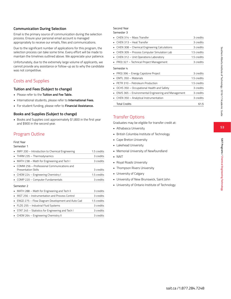**SAIT Programs / Chemical Engineering Technology**

SAIT Programs / Chemical Engineering Technology

### **Communication During Selection**

Email is the primary source of communication during the selection process. Ensure your personal email account is managed appropriately to receive our emails, files and communications.

Due to the significant number of applications for this program, the selection process can take some time. Every effort will be made to maintain the timelines outlined above. We appreciate your patience.

Unfortunately, due to the extremely large volume of applicants, we cannot provide any assistance or follow-up as to why the candidate was not competitive.

# Costs and Supplies

### **Tuition and Fees (Subject to change)**

- Please refer to the **Tuition and Fee Table.**
- International students, please refer to **International Fees.**
- For student funding, please refer to **Financial Assistance.**

### **Books and Supplies (Subject to change)**

• Books and Supplies cost approximately \$1,800 in the first year and \$900 in the second year.

# Program Outline

#### First Year

#### Semester 1

| • INRY 200 – Introduction to Chemical Engineering     | 1.5 credits |  |  |
|-------------------------------------------------------|-------------|--|--|
| • THRM 235 - Thermodynamics                           | 3 credits   |  |  |
| MATH 238 - Math for Engineering and Tech I            | 3 credits   |  |  |
| • COMM 256 - Professional Communications and          |             |  |  |
| Presentation Skills                                   | 3 credits   |  |  |
| • CHEM 224 – Engineering Chemistry I                  | 1.5 credits |  |  |
| • COMP 220 - Computer Fundamentals                    | 3 credits   |  |  |
| Semester 2                                            |             |  |  |
| • MATH 288 – Math for Engineering and Tech II         | 3 credits   |  |  |
| <b>INST 256 - Instrumentation and Process Control</b> | 3 credits   |  |  |
| ENGD 275 - Flow Diagram Development and Auto Cad      | 1.5 credits |  |  |
| • FLDS 255 - Industrial Fluid Systems                 | 3 credits   |  |  |

• STAT 245 – Statistics for Engineering and Tech I 3 credits • CHEM 264 – Engineering Chemistry II 3 credits

# Second Year

| Semester 3                                          |             |
|-----------------------------------------------------|-------------|
| CHEN 314 - Mass Transfer                            | 3 credits   |
| CHEN 313 - Heat Transfer                            | 3 credits   |
| CHEN 308 - Chemical Engineering Calculations        | 3 credits   |
| CHEN 309 - Process Computer Simulation Lab          | 1.5 credits |
| CHEN 312 - Unit Operations Laboratory               | 1.5 credits |
| PROJ 327 - Technical Project Management             | 3 credits   |
| Semester 4                                          |             |
| PROJ 396 – Energy Capstone Project                  | 3 credits   |
| EMTL 350 - Materials                                | 1.5 credits |
| PETR 310 - Petroleum Production                     | 1.5 credits |
| OCHS 350 - Occupational Health and Safety           | 3 credits   |
| ENVS 365 - Environmental Engineering and Management | 3 credits   |
| CHEN 350 - Analytical Instrumentation               | 3 credits   |
| <b>Total Credits</b>                                | 61.5        |

## Transfer Options

Graduates may be eligible for transfer credit at:

- Athabasca University
- British Columbia Institute of Technology
- Cape Breton University
- Lakehead University
- Memorial University of Newfoundland
- NAIT
- Royal Roads University
- Thompson Rivers University
- University of Calgary
- University of New Brunswick, Saint John
- University of Ontario Institute of Technology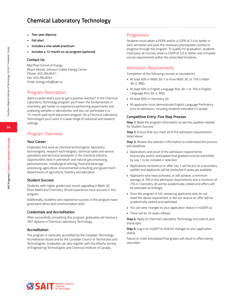# **Chemical Laboratory Technology**

- **• Two-year diploma**
- **• Fall start**
- **• Includes a one-week practicum**
- **• Includes a 12-month co-op program (optional)**

### **Contact Us**

MacPhail School of Energy Room KA440, Johnson-Cobbe Energy Centre Phone: 403.284.8451 Fax: 403.284.8262 Email: energy.info@sait.ca

# Program Description

Want a career that's sure to get a positive reaction? In the Chemical Laboratory Technology program you'll learn the fundamentals in chemistry, get hands-on experience performing experiments and analyzing samples in laboratories, and you can participate in a 12-month paid work placement program. As a Chemical Laboratory Technologist you'll work in a wide range of industrial and research settings.

# Program Overview

### **Your Career**

Graduates find work as chemical technologists, laboratory technologists, research technologists, technical sales and service specialists and technical assistants in the chemical industry. Opportunities exist in petroleum and natural gas processing, petrochemicals, metallurgical refining, food and beverage processing, agriculture, environmental consulting and government departments of agriculture, forestry and education.

### **Student Success**

Students with higher grades and recent upgrading in Math 30 (Pure Math) and Chemistry 30 will experience more success in this program.

Additionally, students who experience success in this program have good work ethics and communication skills.

### **Credentials and Accreditation**

After successfully completing this program, graduates will receive a SAIT diploma in Chemical Laboratory Technology.

### **Accreditation**

The program is nationally accredited by the Canadian Technology Accreditation Board and by the Canadian Council of Technicians and Technologists. Graduates can also register with the Alberta Society of Engineering Technologists and Chemical Institute of Canada.

### Progression

Students must attain a PGPA and/or a CGPA of 2.0 or better in each semester and pass the necessary prerequisite courses to progress through the program. To qualify for graduation, students must pass all courses, attain a CGPA of 2.0 or better and complete course requirements within the prescribed timelines.

## Admission Requirements

Completion of the following courses or equivalents:

- At least 60% in Math 30-1 or Pure Math 30, or 75% in Math 30-2, AND,
- At least 60% in English Language Arts 30-1 or 75% in English Language Arts 30-2, AND,
- At least 60% in Chemistry 30.
- All applicants must demonstrate English Language Proficiency prior to admission, including students educated in Canada.

### **Competitive Entry: Five Step Process**

**Step 1:** Read the program information to see the qualities needed for Student Success

**Step 2:** Ensure that you meet all of the admission requirements listed above

**Step 3:** Review the selection information to understand the process and deadlines

- Applications and proof of the admission requirements (transcripts and/or anticipated final grades) must be submitted by July 1 to be included in selection.
- Applications received on or after July 1 will be put on a secondary waitlist and applicants will be contacted if seats are available.
- Applicants who have achieved, or will achieve, a minimum average of 70% in the admission requirements and a minimum of 75% in Chemistry 30 will be academically ranked and offers will be extended accordingly.
- Once the program is full, remaining applicants who do not meet the above requirement or did not receive an offer will be academically ranked and waitlisted.
- You can view changes to your application status in mySAIT.ca.
- There will be 32 seats offered.

**Step 4:** Apply to Chemical Laboratory Technology and submit your transcripts

**Step 5:** Log in to mySAIT to look for changes to your application status

Failure to meet anticipated final grades will result in offers being rescinded.

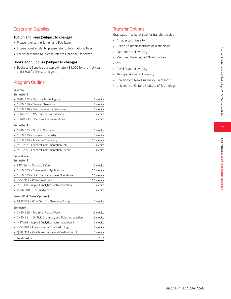**SAIT Programs / Chemical Laboratory Technology**

SAIT Programs / Chemical Laboratory Technology

# Costs and Supplies

### **Tuition and Fees (Subject to change)**

- Please refer to the Tuition and Fee Table
- International students, please refer to International Fees
- For student funding, please refer to Financial Assistance

### **Books and Supplies (Subject to change)**

• Books and Supplies are approximately \$1,000 for the first year and \$500 for the second year.

# Program Outline

### First Year

#### Semester 1

| MATH 237 - Math for Technologists                      | 3 credits   |
|--------------------------------------------------------|-------------|
| CHEM 240 - General Chemistry                           | 3 credits   |
| CHEM 270 - Basic Laboratory Techniques<br>٠            | 6 credits   |
| COMP 261 - MS Office: An Introduction                  | 1.5 credits |
| COMM 238 - Technical Communications I                  | 3 credits   |
| Semester 2                                             |             |
| CHEM 253 - Organic Chemistry                           | 6 credits   |
| CHEM 245 - Inorganic Chemistry                         | 3 credits   |
| CHEM 275 - Analytical Chemistry                        | 1.5 credits |
| INST 297 - Chemical Instrumentation Lab                | 3 credits   |
| INST 296 - Chemical Instrumentation Theory             | 1.5 credits |
| Second Year<br>Semester 3                              |             |
| SFTY 201 - Chemical Safety                             | 1.5 credits |
| CHEM 303 - Chemometric Applications<br>٠.              | 1.5 credits |
| CHEM 345 - Unit Chemical Process Operations            | 1.5 credits |
| ENVS 301 - Water Treatment<br>٠                        | 1.5 credits |
| INST 300 - Applied Analytical Instrumentation I        | 6 credits   |
| THRM 318 - Thermodynamics                              | 3 credits   |
| Co-op Work Term (Optional)                             |             |
| PRAC 303 - Work Term for Chemistry Co-op               | 0 credits   |
| Semester 4                                             |             |
| CHEM 325 - Technical Project Week                      | 1.5 credits |
| CHEM 351 - Oil Field Chemistry and Fluids Introduction | 1.5 credits |
| INST 396 - Applied Analytical Instrumentation II<br>٠  | 6 credits   |
| ENVS 320 - Environmental Science/Ecology               | 3 credits   |
| QUAL 352 - Quality Assurance and Quality Control       | 3 credits   |
| <b>Total Credits</b>                                   | 61.5        |

# Transfer Options

Graduates may be eligible for transfer credit at:

- Athabasca University
- British Columbia Institute of Technology
- Cape Breton University
- Memorial University of Newfoundland
- NAIT
- Royal Roads University
- Thompson Rivers University
- University of New Brunswick, Saint John
- University of Ontario Institute of Technology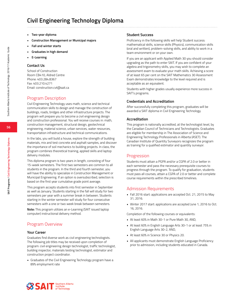# **Civil Engineering Technology Diploma**

- **• Two-year diploma**
- **• Construction Management or Municipal majors**
- **• Fall and winter starts**
- **• Graduates in high demand**
- **• E-Learning**

#### **Contact Us**

School of Construction Room CB410, Aldred Centre Phone: 403.284.8367 Fax: 403.210.4271 Email: construction.cvt@sait.ca

### Program Description

Civil Engineering Technology uses math, science and technical communication skills to design and manage the construction of buildings, roads, bridges and other infrastructure projects. The program will prepare you to become a civil engineering design and construction professional. You will receive courses in: math, construction management, structural design, geotechnical engineering, material science, urban services, water resources, transportation infrastructure and technical communications.

In the labs, you will build a house, explore the strength of building materials, mix and test concrete and asphalt samples, and discover the importance of soil mechanics to building projects. In class, the program combines theoretical training, applied skills and laptop delivery modules.

This diploma program is two years in length, consisting of four 15-week semesters. The first two semesters are common to all students in the program. In the third and fourth semester, you will have the ability to specialize in Construction Management or Municipal Engineering. If an option is oversubscribed, selection is based on the first year cumulative grade point average.

This program accepts students into first semester in September as well as January. Students starting in the fall will study for two semesters per year with a summer break in between. Students starting in the winter semester will study for four consecutive semesters with a one or two week break between semesters.

**Note:** This program utilizes an e-Learning (SAIT issued laptop computer) instructional delivery method.

# Program Overview

### **Your Career**

Graduates find diverse work as civil engineering technologists. The following job titles may be received upon completion of program: civil engineering design technologist, traffic technologist, building inspector, materials testing technologist, estimator and construction project coordinator.

• Graduates of the Civil Engineering Technology program have a 89% employment rate

### **Student Success**

Proficiency in the following skills will help Student success: mathematical skills, science skills (Physics), communication skills (oral and written), problem-solving skills, and ability to work in a team environment or on your own.

If you are an applicant with Applied Math 30 you should consider upgrading as the path to enter SAIT. If you are confident of your algebra and trigonometry skills, you may wish to complete an assessment exam to evaluate your math skills. Achieving a score of at least 65 per cent on the SAIT Mathematics 30 Assessment Exam demonstrates knowledge to the level required and is acceptable as an equivalent.

Students with higher grades usually experience more success in SAIT's programs.

### **Credentials and Accreditation**

After successfully completing this program, graduates will be awarded a SAIT diploma in Civil Engineering Technology.

#### **Accreditation**

This program is nationally accredited, at the technologist level, by the Canadian Council of Technicians and Technologists. Graduates are eligible for membership in The Association of Science and Engineering Technology Professionals in Alberta (ASET). The Canadian Institute of Quantity Surveyors recognizes the program as training for a qualified estimator and quantity surveyor.

### Progression

Students must attain a PGPA and/or a CGPA of 2.0 or better in each semester and pass the necessary prerequisite courses to progress through the program. To qualify for graduation, students must pass all courses, attain a CGPA of 2.0 or better and complete course requirements within the prescribed timelines.

### Admission Requirements

- Fall 2016 start: applications are accepted Oct. 21, 2015 to May 31, 2016.
- Winter 2017 start: applications are accepted June 1, 2016 to Oct. 16, 2016.

Completion of the following courses or equivalents:

- At least 60% in Math 30-1 or Pure Math 30, AND,
- At least 60% in English Language Arts 30-1 or at least 75% in English Language Arts 30-2, AND,
- At least 60% in Science 30 or Physics 20.
- All applicants must demonstrate English Language Proficiency prior to admission, including students educated in Canada.

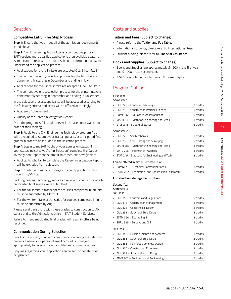### **Competitive Entry: Five Step Process**

**Step 1:** Ensure that you meet all of the admission requirements listed above.

**Step 2:** Civil Engineering Technology is a competitive program; SAIT receives more qualified applications than available seats. It is important to review the student selection information below to understand the application process.

- Applications for the fall intake are accepted Oct. 21 to May 31.
- The competitive entry/selection process for the fall intake is done monthly starting in December and ending in July.
- Applications for the winter intake are accepted June 1 to Oct. 16.
- The competitive entry/selection process for the winter intake is done monthly starting in September and ending in November.

In the selection process, applicants will be assessed according to the following criteria and seats will be offered accordingly.

- Academic Achievement
- Quality of the Career Investigation Report

Once the program is full, applicants will be placed on a waitlist in order of their ranking.

**Step 3:** Apply to the Civil Engineering Technology program. You will be required to submit your transcripts and/or anticipated final grades in order to be included in the selection process.

**Step 4:** Log in to mySAIT to check your admission status. If your status indicates you're "In Selection," complete the Career Investigation Report and submit it to construction.cvt@sait.ca.

• Applicants who fail to complete the Career Investigation Report will be excluded from selection.

**Step 5:** Continue to monitor changes to your application status through mySAIT.ca.

Civil Engineering Technology requires a review of courses for which anticipated final grades were submitted.

- For the fall intake, a transcript for courses completed in January must be submitted by March 1.
- For the winter intake, a transcript for courses completed in June must be submitted by Aug. 1.

Please send transcripts with these grades to construction.cvt@ sait.ca and to the Admissions office in SAIT Student Services.

Failure to meet anticipated final grades will result in offers being rescinded.

### **Communication During Selection**

Email is the primary source of communication during the selection process. Ensure your personal email account is managed appropriately to receive our emails, files and communications.

Enquiries regarding your application can be sent to construction. cvt@sait.ca.

# Costs and supplies

### **Tuition and Fees (Subject to change)**

- Please refer to the **Tuition and Fee Table.**
- International students, please refer to **International Fees.**
- Student funding, please refer to **Financial Assistance.**

### **Books and Supplies (Subject to change)**

- Books and Supplies are approximately \$1,500 in the first year and \$1,200 in the second year.
- A \$400 security deposit to use a SAIT issued laptop.

# Program Outline

First Year

Semester 1

| • CIVL 222 - Concrete Technology                     | 3 credits   |
|------------------------------------------------------|-------------|
| • CIVL 252 - Construction Practices Theory           | 3 credits   |
| $\blacksquare$ COMP 261 – MS Office: An Introduction | 1.5 credits |
| • MATH 238 – Math for Engineering and Tech I         | 3 credits   |
| STCS 242 - Structural Statics                        | 1.5 credits |
| Semester 2                                           |             |
|                                                      |             |
| $\blacksquare$ CIVL 226 – Soil Mechanics             | 3 credits   |
| • CIVL 255 – Civil Drafting and Surveying            | 1.5 credits |
| • MATH 288 – Math for Engineering and Tech II        | 3 credits   |
| • SMTL 246 – Strength of Materials                   | 3 credits   |
| • STAT 245 – Statistics for Engineering and Tech I   | 3 credits   |

Course offered in either Semester 1 or 2

| • COMM 238 – Technical Communications L               | 3 credits |
|-------------------------------------------------------|-----------|
| • ESTM 262 – Estimating I and Construction Laboratory | 3 credits |

### **Construction Management Option**

Second Year Semester 3

"A" Class

| • CIVL 312 - Contracts and Regulations  | 1.5 credits |
|-----------------------------------------|-------------|
| CIVL 315 - Construction Management      | 3 credits   |
| CIVL 326 - Geotechnical Design          | 3 credits   |
| • CIVL 351 - Structural Steel Design    | 3 credits   |
| • ESTM 360 - Estimating II              | 3 credits   |
| • SURV 325 - Surveys and GIS            | 1.5 credits |
| "B"Class                                |             |
| CIVL 340 - Building Science and Systems | 3 credits   |
| • CIVL 351 - Structural Steel Design    | 3 credits   |
| CIVL 355 - Reinforced Concrete Design   | 3 credits   |
| CIVL 356 - Construction Economics       | 3 credits   |
| CIVL 358 – Structural Wood Design       | 1.5 credits |
| • ENVS 302 – Environmental Engineering  | 1.5 credits |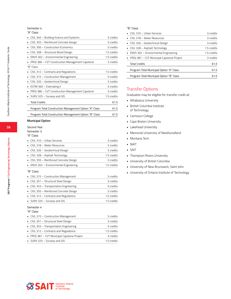### Semester 4

### "A" Class

| CIVL 340 - Building Science and Systems                | 3 credits   |
|--------------------------------------------------------|-------------|
| CIVL 355 - Reinforced Concrete Design                  | 3 credits   |
| CIVL 356 - Construction Economics                      | 3 credits   |
| CIVL 358 - Structural Wood Design                      | 1.5 credits |
| ENVS 302 - Environmental Engineering                   | 1.5 credits |
| PROJ 386 – CVT Construction Management Capstone        | 3 credits   |
| "B" Class                                              |             |
| CIVL 312 - Contracts and Regulations                   | 1.5 credits |
| CIVL 315 - Construction Management                     | 3 credits   |
| CIVL 326 - Geotechnical Design                         | 3 credits   |
| ESTM 360 - Estimating II                               | 3 credits   |
| PROJ 386 - CVT Construction Management Capstone        | 3 credits   |
| SURV 325 - Surveys and GIS                             | 1.5 credits |
| <b>Total Credits</b>                                   | 61.5        |
| Program Total Construction Management Option "A" Class | 61.5        |
| Program Total Construction Management Option "B" Class | 61.5        |

### **Municipal Option**

#### Second Year Semester 3

| ۰.<br>٧<br>×<br>w<br>×<br>٧<br>., |
|-----------------------------------|

| $\blacksquare$ CIVL 310 – Urban Services | 3 credits   |
|------------------------------------------|-------------|
| • CIVL 318 - Water Resources             | 3 credits   |
| • CIVL 326 – Geotechnical Design         | 3 credits   |
| • CIVL 328 - Asphalt Technology          | 1.5 credits |
| • CIVL 355 - Reinforced Concrete Design  | 3 credits   |
| • ENVS 302 – Environmental Engineering   | 1.5 credits |
|                                          |             |

### "B" Class

| • CIVL 315 – Construction Management    | 3 credits   |
|-----------------------------------------|-------------|
| • CIVL 351 - Structural Steel Design    | 3 credits   |
| • CIVL 353 – Transportation Engineering | 3 credits   |
| • CIVL 355 - Reinforced Concrete Design | 3 credits   |
| • CIVL 312 - Contracts and Regulations  | 1.5 credits |
| • SURV 325 - Surveys and GIS            | 1.5 credits |

#### Semester 4

| "A" Class                                   |             |
|---------------------------------------------|-------------|
| • CIVL 315 – Construction Management        | 3 credits   |
| • CIVL 351 - Structural Steel Design        | 3 credits   |
| • CIVL 353 – Transportation Engineering     | 3 credits   |
| • CIVL 312 - Contracts and Regulations      | 1.5 credits |
| • PROJ 387 - CVT Municipal Capstone Project | 3 credits   |
| • SURV 325 - Surveys and GIS                | 1.5 credits |
|                                             |             |

#### "B" Class

| $\blacksquare$ CIVL 310 – Urban Services    | 3 credits   |
|---------------------------------------------|-------------|
| $\blacksquare$ CIVL 318 – Water Resources   | 3 credits   |
| • CIVL 326 – Geotechnical Design            | 3 credits   |
| • CIVL 328 – Asphalt Technology             | 1.5 credits |
| • ENVS 302 – Environmental Engineering      | 1.5 credits |
| • PROJ 387 - CVT Municipal Capstone Project | 3 credits   |
| <b>Total Credits</b>                        | 61.5        |
| Program Total Municipal Option "A" Class    | 61.5        |
| Program Total Municipal Option "B" Class    | 61.5        |
|                                             |             |

# Transfer Options

Graduates may be eligible for transfer credit at:

- Athabasca University
- British Columbia Institute of Technology
- Camosun College
- Cape Breton University
- Lakehead University
- Memorial University of Newfoundland
- Montana Tech
- NAIT
- SAIT
- Thompson Rivers University
- University of British Columbia
- University of New Brunswick, Saint John
- University of Ontario Institute of Technology

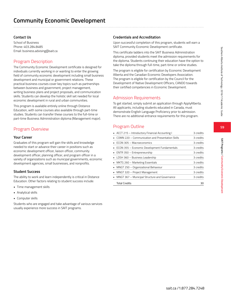**SAIT Programs / Community Economic Development**

SAIT Programs / Community Economic Developmer

# **Contact Us**

School of Business Phone: 403.284.8485 Email: business.advising@sait.ca

# Program Description

The Community Economic Development certificate is designed for individuals currently working in or wanting to enter the growing field of community economic development including small business development and municipal or government relations. These practical business courses cover key topics such as partnerships between business and government, project management, writing business plans and project proposals, and communication skills. Students can develop the holistic skill set needed for local economic development in rural and urban communities.

This program is available entirely online through Distance Education, with some courses also available through part-time studies. Students can transfer these courses to the full-time or part-time Business Administration diploma (Management major).

# Program Overview

### **Your Career**

Graduates of this program will gain the skills and knowledge needed to start or advance their career in positions such as economic development officer, liaison officer, community development officer, planning officer, and program officer in a variety of organizations such as municipal governments, economic development agencies, small businesses, and nonprofits.

### **Student Success**

The ability to work and learn independently is critical in Distance Education. Other factors relating to student success include:

- Time management skills
- Analytical skills
- Computer skills

Students who are engaged and take advantage of various services usually experience more success in SAIT programs.

# **Credentials and Accreditation**

Upon successful completion of this program, students will earn a SAIT Community Economic Development certificate.

This certificate ladders into the SAIT Business Administration diploma, provided students meet the admission requirements for the diploma. Students continuing their education have the option to take the diploma through full-time, part-time or online studies.

The program is eligible for certification by Economic Development Alberta and the Canadian Economic Developers Association. The program is eligible for certification by the Council for the Development of Native Development Officers, CANDO towards their certified competencies in Economic Development.

# Admission Requirements

To get started, simply submit an application through ApplyAlberta. All applicants, including students educated in Canada, must demonstrate English Language Proficiency prior to admission. There are no additional entrance requirements for this program.

# Program Outline

| • ACCT 215 - Introductory Financial Accounting I                   | 3 credits |
|--------------------------------------------------------------------|-----------|
| COMN 220 - Communication and Presentation Skills<br>$\blacksquare$ | 3 credits |
| $\blacksquare$ ECON 305 – Macroeconomics                           | 3 credits |
| • ECON 355 - Economic Development Fundamentals                     | 3 credits |
| • ENTR 350 - Entrepreneurship                                      | 3 credits |
| • LDSH 360 – Business Leadership                                   | 3 credits |
| • MKTG 260 - Marketing Essentials                                  | 3 credits |
| • MNGT 250 - Organizational Behaviour                              | 3 credits |
| • MNGT 320 – Project Management                                    | 3 credits |
| • MNGT 367 - Municipal Structure and Governance                    | 3 credits |
| <b>Total Credits</b>                                               | 30        |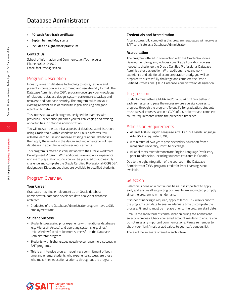# **Database Administrator**

- **• 40-week Fast-Track certificate**
- **• September and May starts**
- **• Includes an eight-week practicum**

### **Contact Us**

School of Information and Communication Technologies Phone: 403.210.4522 Email: fast-track@sait.ca

# Program Description

Industry relies on database technology to store, retrieve and present information in a customized and user-friendly format. The Database Administrator (DBA) program develops your knowledge of relational database design, system performance, backup and recovery, and database security. The program builds on your existing relevant skills of reliability, logical thinking and good attention to detail.

This intensive 40 week program, designed for learners with previous IT experience, prepares you for challenging and exciting opportunities in database administration.

You will master the technical aspects of database administration, using Oracle tools within Windows and Linux platforms. You will also learn to use and manage existing relational databases, then apply these skills in the design and implementation of new databases in accordance with user requirements.

This program is offered in conjunction with the Oracle Workforce Development Program. With additional relevant work experience and exam preparation study, you will be prepared to successfully challenge and complete the Oracle Certified Professional (OCP) DBA designation. Discount vouchers are available to qualified students.

# Program Overview

### **Your Career**

Graduates may find employment as an Oracle database administrator, database developer, data analyst or database architect.

• Graduates of the Database Administrator program have a 93% employment rate

### **Student Success**

- Students possessing prior experience with relational databases (e.g. Microsoft Access) and operating systems (e.g. Linux/ Unix, Windows) tend to be more successful in the Database Administrator program.
- Students with higher grades usually experience more success in SAIT programs.
- This is an intensive program requiring a commitment of both time and energy; students who experience success are those who make their education a priority throughout the program.

### **Credentials and Accreditation**

After successfully completing this program, graduates will receive a SAIT certificate as a Database Administrator.

### **Accreditation**

The program, offered in conjunction with the Oracle Workforce Development Program, includes core Oracle Education courses needed to challenge the Oracle Certified Professional Database Administrator designation. With additional relevant work experience and additional exam preparation study, you will be prepared to successfully challenge and complete the Oracle Certified Professional (OCP) Database Administration designation.

### Progression

Students must attain a PGPA and/or a CGPA of 2.0 or better in each semester and pass the necessary prerequisite courses to progress through the program. To qualify for graduation, students must pass all courses, attain a CGPA of 2.0 or better and complete course requirements within the prescribed timelines.

### Admission Requirements

- At least 60% in English Language Arts 30-1 or English Language Arts 30-2 or equivalent, OR,
- A minimum of two years post-secondary education from a recognized university, institute or college.
- All applicants must demonstrate English Language Proficiency prior to admission, including students educated in Canada.

Due to the tight integration of the courses in the Database Administrator (DBA) program, credit for Prior Learning is not available.

## Selection

Selection is done on a continuous basis. It is important to apply early and ensure all supporting documents are submitted promptly since the program is in high demand.

If student financing is required, apply at least 8-12 weeks prior to the program start date to ensure adequate time to complete the process. Financing must be in place prior to the program start date.

Email is the main form of communication during the admission/ selection process. Check your email account regularly to ensure you do not miss any important communications. Please remember to check your "junk" mail, or add sait.ca to your safe senders list.

There will be 24 seats offered in each intake.



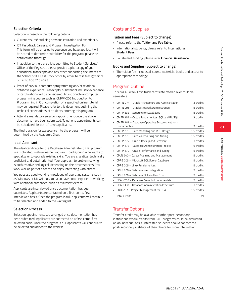**SAIT Programs / Database Administrator**

SAIT Programs / Database Administrato

# **Selection Criteria**

Selection is based on the following criteria:

- Current resumé outlining previous education and experience.
- ICT Fast-Track Career and Program Investigation Form This form will be emailed to you once you have applied. It will be scored to determine suitability for the program; please be detailed and thorough.
- In addition to the transcripts submitted to Student Services/ Office of the Registrar, please provide a photocopy of your educational transcripts and any other supporting documents to the School of ICT Fast-Track office by email to fast-track@sait.ca or fax to 403.210.4523.
- Proof of previous computer programming and/or relational database experience. Transcripts, substantial industry experience or certifications will be considered. An introductory computer programming course such as CMPP-205 Introduction to Programming in C or completion of a specified online tutorial may be required. Please refer to this document outlining the technical expectations of students entering this program.
- Attend a mandatory selection appointment once the above documents have been submitted. Telephone appointments can be scheduled for out-of-town applicants.

The final decision for acceptance into the program will be determined by the Academic Chair.

### **Ideal Applicant**

The ideal candidate for the Database Administrator (DBA) program is a motivated, mature learner with an IT background who wants to specialize or to upgrade existing skills. You are analytical, technically proficient and detail-oriented. Your approach to problem solving is both creative and logical, depending on the circumstances. You work well as part of a team and enjoy interacting with others.

You possess good working knowledge of operating systems such as Windows or UNIX/Linux. You also have some experience working with relational databases, such as Microsoft Access.

Applicants are interviewed once documentation has been submitted. Applicants are contacted on a first-come, firstinterviewed basis. Once the program is full, applicants will continue to be selected and added to the waiting list.

### **Selection Process**

Selection appointments are arranged once documentation has been submitted. Applicants are contacted on a first-come, firstselected basis. Once the program is full, applicants will continue to be selected and added to the waitlist.

# Costs and Supplies

### **Tuition and Fees (Subject to change)**

- Please refer to the **Tuition and Fee Table.**
- International students, please refer to **International Student Fees.**
- For student funding, please refer **Financial Assistance.**

### **Books and Supplies (Subject to change)**

• The tuition fee includes all course materials, books and access to appropriate technology.

# Program Outline

This is a 40 week Fast-track certificate offered over multiple semesters.

| CMPN 274 - Oracle Architecture and Administration | 3 credits   |
|---------------------------------------------------|-------------|
| CMPN 295 - Oracle: Network Administration         | 1.5 credits |
| CMPP 238 - Scripting for Databases                | 1.5 credits |
| CMPP 252 - Oracle Fundamentals: SQL and PL/SQL    | 3 credits   |
| CMPP 267 - Database Operating Systems Network     |             |
| <b>Fundamentals</b>                               | 3 credits   |
| CMPP 273 - Data Modelling and RDB Design          | 1.5 credits |
| CMPP 276 - Data Warehousing and Mining            | 1.5 credits |
| CMPP 277 - Oracle: Backup and Recovery            | 3 credits   |
| CMPP 278 - Database Administration Project        | 6 credits   |
| CMPP 279 - Oracle Performance and Tuning          | 1.5 credits |
| CPLN 240 - Career Planning and Management         | 1.5 credits |
| CPRG 203 - Microsoft SQL Server Database          | 1.5 credits |
| CPRG 205 - Linux Fundamentals                     | 1.5 credits |
| CPRG 206 - Database Web Integration               | 1.5 credits |
| CPRG 209 - Database Skills in Unix/Linux          | 1.5 credits |
| DBAD 205 - Database Security Fundamentals         | 1.5 credits |
| DBAD 390 - Database Administration Practicum      | 3 credits   |
| PROJ 237 - Project Management for DBA             | 1.5 credits |
| <b>Total Credits</b>                              | 39          |

# Transfer Options

Transfer credit may be available at other post-secondary institutions where credits from SAIT programs could be evaluated on an individual basis. Interested students should contact the post-secondary institute of their choice for more information.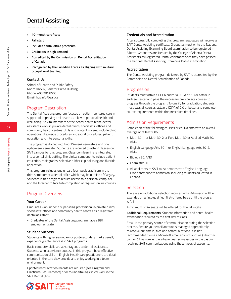# **Dental Assisting**

- **• 10-month certificate**
- **• Fall start**
- **• Includes dental office practicum**
- **• Graduates in high demand**
- **• Accredited by the Commission on Dental Accreditation of Canada**
- **• Recognized by the Canadian Forces as aligning with military occupational training**

### **Contact Us**

School of Health and Public Safety Room NR502, Senator Burns Building Phone: 403.284.8500 Email: hps.info@sait.ca

## Program Description

The Dental Assisting program focuses on patient-centered care in support of improving oral health as a key to personal health and well-being. As vital members of the dental health team, dental assistants work in private dental clinics, specialists' offices and community health centres. Skills and content covered include clinic operations, chair-side procedures, intra-oral procedures, patient education and interpersonal skills.

The program is divided into two 15-week semesters and one eight-week semester. Students are required to attend classes on SAIT campus for this program. Classroom learning is integrated into a dental clinic setting. The clinical components include patient education, radiographs, selective rubber cup polishing and fluoride application.

This program includes one unpaid four-week practicum in the third semester at a dental office which may be outside of Calgary. Students in this program require access to a personal computer and the Internet to facilitate completion of required online courses.

## Program Overview

### **Your Career**

Graduates work under a supervising professional in private clinics, specialists' offices and community health centres as a registered dental assistant.

• Graduates of the Dental Assisting program have a 98% employment rate

### **Student Success**

Students with higher secondary or post-secondary marks usually experience greater success in SAIT programs.

Basic computer skills are advantageous to dental assistants. Students who experience success in this program have effective communication skills in English. Health care practitioners are detail oriented in the care they provide and enjoy working in a team environment.

Updated immunization records are required (see Program and Practicum Requirements) prior to undertaking clinical work in the SAIT Dental Clinic.

### **Credentials and Accreditation**

After successfully completing this program, graduates will receive a SAIT Dental Assisting certificate. Graduates must write the National Dental Assisting Examining Board examination to be registered in Alberta. Graduates are licensed by the College of Alberta Dental Assistants as Registered Dental Assistants once they have passed the National Dental Assisting Examining Board examination.

### **Accreditation**

The Dental Assisting program delivered by SAIT is accredited by the Commission on Dental Accreditation of Canada.

## Progression

Students must attain a PGPA and/or a CGPA of 2.0 or better in each semester and pass the necessary prerequisite courses to progress through the program. To qualify for graduation, students must pass all courses, attain a CGPA of 2.0 or better and complete course requirements within the prescribed timelines.

## Admission Requirements

Completion of the following courses or equivalents with an overall average of at least 60%:

- Math 30-1 or Math 30-2 or Pure Math 30 or Applied Math 30, AND,
- English Language Arts 30-1 or English Language Arts 30-2, AND,
- Biology 30, AND,
- Chemistry 30.
- All applicants to SAIT must demonstrate English Language Proficiency prior to admission, including students educated in Canada.

### Selection

There are no additional selection requirements. Admission will be extended on a first-qualified, first-offered basis until the program is full.

A minimum of 74 seats will be offered for the fall intake.

**Additional Requirements:** Student information and dental health examination required by the first day of class.

Email is the primary source of communication during the selection process. Ensure your email account is managed appropriately to receive our emails, files and communications. It is not recommended to use a Microsoft email account such as @hotmail. com or @live.com as there have been some issues in the past in receiving SAIT communications using these types of accounts.

**62**

Southern Alberta Institute of Technology 2016/17 Academic Guide

Southern Alberta Institute of Technology 2016/17 Academic Guide

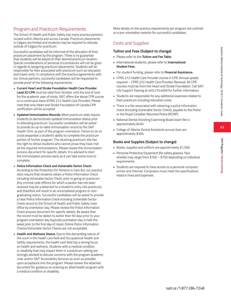**SAIT Programs / Dental Assisting**

SAIT Programs / Dental Assisting

# Program and Practicum Requirements

The School of Health and Public Safety has many practica partners located within Alberta and across Canada. Practicum placements in Calgary are limited and students may be required to relocate outside of Calgary for practicum.

Successful candidates will be informed of the allocation of their practicum placement by the program. There is no guarantee that students will be placed at their desired practicum location. Special considerations of personal circumstances will not be given in regards to assigning practicum placements. Students will be responsible for fees associated with practicum such as relocation and travel costs. In compliance with the practica agreements with our clinical partners, successful candidates will be requested to provide proof of the following requirements:

- **Current Heart and Stroke Foundation Health Care Provider Level (C) CPR** must be valid from October until the end of June for the academic year of study. SAIT offers the above CPR course on a continuous basis (CPRS 212 Health Care Provider). Please note that only Heart and Stroke Foundation of Canada CPR certification will be accepted.
- **• Updated Immunization Records:** Most practicum sites require students to demonstrate updated immunization status prior to attending practicum. Successful candidates will be asked to provide an up-to-date immunization record to the SAIT Health Clinic as part of the program orientation. Failure to do so could jeopardize a student's ability to complete the practicum portion of his/her program. The receiving practicum site has the right to refuse students who cannot prove they have met all the required immunizations. Please review the immunization process document for specific details. It is advised to start the immunization process early as it can take some time to complete.
- **• Police Information Check and Vulnerable Sector Check:** According to the Protection for Persons in Care Act, our practica sites require that students obtain a Police Information Check including Vulnerable Sector Check, prior to going on practicum. Any criminal code offence for which a pardon has not been received may be a deterrent to a student's entry into practicum, and therefore will result in an uncompleted program or nongraduating status. Successful candidates will be asked to provide a clear Police Information Check including Vulnerable Sector Check record to the School of Health and Public Safety main office by orientation day. Please review the Police Information Check process document for specific details. Be aware that the record must be dated no earlier than 90 days prior to your program orientation day (typically orientation day is held the week prior to the first day of class). Online Police Information Checks/Vulnerable Sector Checks are not acceptable.
- **• Health and Wellness Status:** Due to the demanding nature of the work in the health care field and Occupational Health and Safety requirements, the health care field has a strong focus on health and wellness. Students with a medical condition or disability that may impact them in a practicum setting are strongly advised to discuss concerns with the program academic chair and/or SAIT Accessibility Services as soon as possible upon acceptance into the program. Please review the attached document for guidance on entering an allied health program with a medical condition or disability.

More details on the practica requirements per program are outlined on a pre-orientation website for successful candidates.

# Costs and Supplies

### **Tuition and Fees (Subject to change)**

- Please refer to the **Tuition and Fee Table.**
- International students, please refer to **International Student Fees.**
- For student funding, please refer to **Financial Assistance.**
- CPRS 212 Health Care Provider course in CPR. Annual update required – CPRS 222 Health Care Provider Renewal. All CPR courses must be from the Heart and Stroke Foundation. Call SAIT Life Support Training at 403.210.4009 for further information.
- Students are responsible for any additional expenses related to their practicum including relocation costs.
- There is a fee associated with obtaining a police information check (including Vulnerable Sector Check), payable to the Police or the Royal Canadian Mounted Police (RCMP).
- National Dental Assisting Examining Board exam fee is approximately \$450.
- College of Alberta Dental Assistants annual dues are approximately \$300.

### **Books and Supplies (Subject to change)**

- Books, supplies and uniform are approximately \$1,500.
- Personal Protective Equipment (Rx safety glasses, face shields) may range from \$100 – \$750 depending on individual requirements.
- Students are required to have access to a personal computer, printer and Internet. Computers must meet the specifications listed in Fees and Expenses.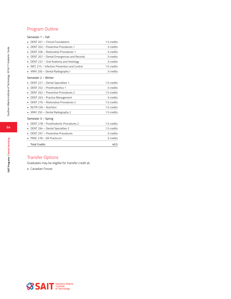# Program Outline

### Semester 1 – Fall

| DENT 201 - Clinical Foundations             | 1.5 credits |
|---------------------------------------------|-------------|
| DENT 202 - Preventive Procedures 1          | 3 credits   |
| DENT 206 - Restorative Procedures 1         | 3 credits   |
| DENT 207 - Dental Emergencies and Records   | 3 credits   |
| DENT 237 - Oral Anatomy and Histology       | 3 credits   |
| INFC 215 - Infection Prevention and Control | 1.5 credits |
| XRAY 200 - Dental Radiography I             | 3 credits   |
| Semester 2 - Winter                         |             |
| DENT 227 - Dental Specialties 1             | 1.5 credits |
| DENT 252 - Prosthodontics 1                 | 3 credits   |
| DENT 262 - Preventive Procedures 2          | 1.5 credits |
| DENT 263 - Practice Management              | 3 credits   |
| DENT 276 - Restorative Procedures 2         | 1.5 credits |
| NUTR 230 - Nutrition                        | 1.5 credits |
| XRAY 250 – Dental Radiography 2             | 1.5 credits |
| Semester 3 - Spring                         |             |
| DENT 278 - Prosthodontic Procedures 2       | 1.5 credits |
| DENT 294 - Dental Specialties 2             | 1.5 credits |
| DENT 297 - Preventive Procedures            | 3 credits   |
| PRAC 278 - DA Practicum                     | 3 credits   |
| <b>Total Credits</b>                        | 40.5        |

# Transfer Options

Graduates may be eligible for transfer credit at:

• Canadian Forces

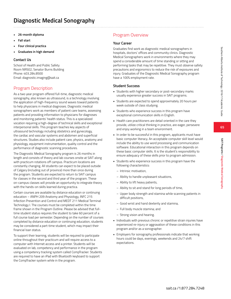- **• 26-month diploma**
- **• Fall start**
- **• Four clinical practica**
- **• Graduates in high demand**

### **Contact Us**

School of Health and Public Safety Room NR502, Senator Burns Building Phone: 403.284.8500 Email: diagnostic.imaging@sait.ca

# Program Description

As a two year program offered full-time, diagnostic medical sonography, also known as ultrasound, is a technology involving the application of high-frequency sound waves toward patients to help physicians in medical diagnoses. Diagnostic medical sonographers work as members of patient care teams, assessing patients and providing information to physicians for diagnoses and monitoring patients' health status. This is a specialized vocation requiring a high-degree of technical skills and exceptional interpersonal skills. This program teaches key aspects of ultrasound technology including obstetrics and gynecology, the cardiac and vascular systems and abdomen and superficial structures. Studies also include patient care, physics, anatomy and physiology, equipment instrumentation, quality control and the performance of diagnostic scanning procedures.

The Diagnostic Medical Sonography program is 26 months in length and consists of theory and lab courses onsite at SAIT along with practicum rotations off campus. Practicum locations are constantly changing. All students can expect to be placed outside of Calgary (including out of province) more than once during the program. Students are expected to return to SAIT campus for classes in the second and third year of the program. These on-campus classes will provide an opportunity to integrate theory with the hands-on skills learned during practica.

Certain courses are available by distance education or continuing education – ANPH 209 Anatomy and Physiology, INFC 215 Infection Prevention and Control and MEDT 211 Medical Terminal Technology I. The courses must be completed within the time frame shown in the Program Outline. Please be advised that fulltime student status requires the student to take 60 percent of a full course load per semester. Depending on the number of courses completed by distance education or continuing education, students may be considered a part-time student, which may impact their financial loan status.

To support their learning, students will be required to participate online throughout their practicum and will require access to a computer with Internet access and a printer. Students will be evaluated on lab, competency and performance in the program using a competency tracking system called CompTracker. Students are required to have an iPad with Bluetooth keyboard to support the CompTracker system while in the program.

# Program Overview

### **Your Career**

Graduates find work as diagnostic medical sonographers in hospitals, doctors' offices and community clinics. Diagnostic Medical Sonographers work in environments where they may spend a considerable amount of time standing or sitting and performing tasks that may be repetitive. They must observe safety precautions and ergonomics to reduce the risk of exposures and injury. Graduates of the Diagnostic Medical Sonography program have a 100% employment rate.

### **Student Success**

- Students with higher secondary or post-secondary marks usually experience greater success in SAIT programs.
- Students are expected to spend approximately 20 hours per week outside of class studying.
- Students who experience success in this program have exceptional communication skills in English.
- Health care practitioners are detail oriented in the care they provide, utilize critical thinking in practice, are eager, persevere and enjoy working in a team environment.
- In order to be successful in this program, applicants must have basic computer literacy. An acceptable computer skill level would include the ability to use word processing and communication software. Educational interaction in this program depends on these basic computer skills. It is the student's responsibility to ensure adequacy of these skills prior to program admission.
- Students who experience success in this program have the following characteristics:
	- Intrinsic motivation,
	- Ability to handle unpleasant situations,
	- Ability to lift heavy patients,
	- Ability to sit and stand for long periods of time,
	- Upper body strength and stamina while scanning patients in difficult positions,
	- Good wrist and hand dexterity and stamina,
	- Full body muscle stamina; and
	- Strong vision and hearing.
- Individuals with previous chronic or repetitive strain injuries have experienced re-injury or aggravation of these conditions in this program and/or as a sonographer.
- Employers for sonography professionals indicate that working hours could be days, evenings, weekends and 24/7 shift expectations.

**65**

**SAIT Programs / Diagnostic Medical Sonography**

SAIT Programs / Diagnostic Medical Sonography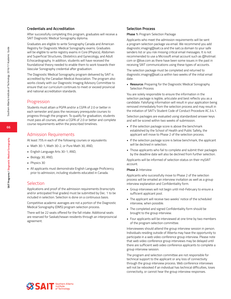### **Credentials and Accreditation**

After successfully completing this program, graduates will receive a SAIT Diagnostic Medical Sonography diploma.

Graduates are eligible to write Sonography Canada and American Registry for Diagnostic Medical Sonography exams. Graduates will be eligible to write registry exams in Core (Physics), Abdomen and Superficial Structures, Obstetrics and Gynecology, and Adult Echocardiography. In addition, students will have received the foundational theory needed to enable them to work towards their Vascular Sonography credential after graduation.

The Diagnostic Medical Sonography program delivered by SAIT is accredited by the Canadian Medical Association. The program also works closely with our Diagnostic Imaging Advisory Committee to ensure that our curriculum continues to meet or exceed provincial and national accreditation standards.

### Progression

Students must attain a PGPA and/or a CGPA of 2.0 or better in each semester and pass the necessary prerequisite courses to progress through the program. To qualify for graduation, students must pass all courses, attain a CGPA of 2.0 or better and complete course requirements within the prescribed timelines.

### Admission Requirements

At least 75% in each of the following courses or equivalents:

- Math 30-1, Math 30-2, or Pure Math 30, AND,
- English Language Arts 30-1, AND,
- Biology 30, AND,
- Physics 30
- All applicants must demonstrate English Language Proficiency prior to admission, including students educated in Canada.

### Selection

Applications and proof of the admission requirements (transcripts and/or anticipated final grades) must be submitted by Dec. 1 to be included in selection. Selection is done on a continuous basis.

Competitive academic averages are not a portion of the Diagnostic Medical Sonography (DMS) program selection process.

There will be 22 seats offered for the fall intake. Additional seats are reserved for Saskatchewan residents through an interprovincial agreement.

#### **Selection Process**

**Phase 1:** Program Selection Package

Applicants who meet the admission requirements will be sent a program selection package via email. We recommend you add diagnostic.imaging@sait.ca and the sait.ca domain to your safe senders list or you risk missing critical email messages. It is not recommended to use a Microsoft email account such as @hotmail. com or @live.com as there have been some issues in the past in receiving SAIT communications using these types of accounts.

The selection package must be completed and returned to diagnostic.imaging@sait.ca within two weeks of the initial email date.

**• Resource:** Preparing for the Diagnostic Medical Sonography Selection Process

You are solely responsible to ensure the information in the selection package is legible, articulate and best reflects you as a candidate. Falsifying information will result in your application being removed immediately from the selection process and may result in the initiation of SAIT's Student Code of Conduct Procedure AC.3.4.1.

Selection packages are evaluated using standardized answer keys and will be scored within two weeks of submission.

- If the selection package score is above the benchmark established by the School of Health and Public Safety, the applicant will move to Phase 2 of the selection process.
- If the selection package score is below benchmark, the applicant will be declined in selection.
- Those applicants who fail to complete and submit their packages by the deadline date will also be declined from further selection.

Applicants will be informed of selection status on their mySAIT account.

#### **Phase 2:** Interview

Applicants who successfully move to Phase 2 of the selection process will be emailed an interview invitation as well as a group interview explanation and Confidentiality form.

- Group interviews will not begin until mid-February to ensure a sufficient applicant pool.
- The applicant will receive two weeks' notice of the scheduled interview, when possible.
- The completed and signed Confidentiality form should be brought to the group interview.
- Four applicants will be interviewed at one time by two members of the program selection committee.

Interviewees should attend the group interview session in person. Individuals residing outside of Alberta may have the opportunity to participate in a web video conference group interview. Please note that web video conference group interviews may be delayed until there are sufficient web video conference applicants to complete a group interview session.

The program and selection committee are not responsible for technical support to the applicant or any loss of connectivity through the group interview process. Web conference interviews will not be rebooked if an individual has technical difficulties, loses connectivity, or cannot hear the group interview responses.





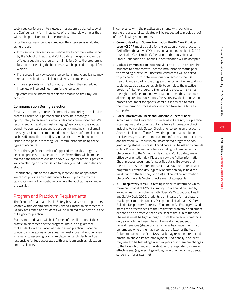**SAIT Programs / Diagnostic Medical Sonography**

SAIT Programs / Diagnostic Medical Sonography

Web video conference interviewees must submit a signed copy of the Confidentiality form in advance of their interview time or they will not be permitted to join the interview.

Once the interview round is complete, the interview is evaluated using a rubric.

- If the group interview score is above the benchmark established by the School of Health and Public Safety, the applicant will be offered a seat in the program until it is full. Once the program is full, those exceeding the benchmark will be placed on a qualified waitlist.
- If the group interview score is below benchmark, applicants may remain in selection until all interviews are completed.
- Those applicants who fail to notify or attend their scheduled interview will be declined from further selection.

Applicants will be informed of selection status on their mySAIT account.

## **Communication During Selection**

Email is the primary source of communication during the selection process. Ensure your personal email account is managed appropriately to receive our emails, files and communications. We recommend you add diagnostic.imaging@sait.ca and the sait.ca domain to your safe senders list or you risk missing critical email messages. It is not recommended to use a Microsoft email account such as @hotmail.com or @live.com as there have been some issues in the past in receiving SAIT communications using these types of accounts.

Due to the significant number of applications for this program, the selection process can take some time. Every effort will be made to maintain the timelines outlined above. We appreciate your patience. You can also log on to mySAIT.ca to check your admission decision status.

Unfortunately, due to the extremely large volume of applicants, we cannot provide any assistance or follow-up as to why the candidate was not competitive or where the applicant is ranked on the waitlist.

# Program and Practicum Requirements

The School of Health and Public Safety has many practica partners located within Alberta and across Canada. Practicum placements in Calgary are limited and students will be required to relocate outside of Calgary for practicum.

Successful candidates will be informed of the allocation of their practicum placement by the program. There is no guarantee that students will be placed at their desired practicum location. Special considerations of personal circumstances will not be given in regards to assigning practicum placements. Students will be responsible for fees associated with practicum such as relocation and travel costs.

In compliance with the practica agreements with our clinical partners, successful candidates will be requested to provide proof of the following requirements:

- **Current Heart and Stroke Foundation Health Care Provider Level (C) CPR** must be valid for the duration of your practicum. SAIT offers the above CPR course on a continuous basis (CPRS 212 Health Care Provider). Please note that only Heart and Stroke Foundation of Canada CPR certification will be accepted.
- **• Updated Immunization Records:** Most practicum sites require students to demonstrate updated immunization status prior to attending practicum. Successful candidates will be asked to provide an up-to-date immunization record to the SAIT Health Clinic as part of the program orientation. Failure to do so could jeopardize a student's ability to complete the practicum portion of his/her program. The receiving practicum site has the right to refuse students who cannot prove they have met all the required immunizations. Please review the immunization process document for specific details. It is advised to start the immunization process early as it can take some time to complete.
- **• Police Information Check and Vulnerable Sector Check:** According to the Protection for Persons in Care Act, our practica sites require that students obtain a Police Information Check including Vulnerable Sector Check, prior to going on practicum. Any criminal code offence for which a pardon has not been received may be a deterrent to a student's entry into practicum, and therefore will result in an uncompleted program or nongraduating status. Successful candidates will be asked to provide a clear Police Information Check including Vulnerable Sector Check record to the School of Health and Public Safety main office by orientation day. Please review the Police Information Check process document for specific details. Be aware that the record must be dated no earlier than 90 days prior to your program orientation day (typically orientation day is held the week prior to the first day of class). Online Police Information Checks/Vulnerable Sector Checks are not acceptable.
- **• N95 Respiratory Mask:** Fit testing is done to determine which make and model of N95 respiratory mask should be used by an individual. In compliance with Alberta's Occupational Health and Safety Code 2009, students are fit-tested for respiratory masks prior to their practica. Occupational Health and Safety Bulletin, Respiratory Protective Equipment: An Employer's Guide states the effectiveness of the respiratory protective equipment depends on an effective face piece seal to the skin of the face. The mask must be tight enough so that the person is breathing only air which has been filtered. The seal is dependent on facial differences (shape or size) or facial hair. Facial hair must be removed where the mask contacts the face for the test. Failure to adequately fit an N95 mask may result in a restricted practicum and\or limited employment. Additionally, a student may need to be tested again in two years or if there are changes to the face which impact the ability of the respirator to form an effective seal (e.g. weight gain/loss, growth of facial hair, dental surgery, or facial scarring).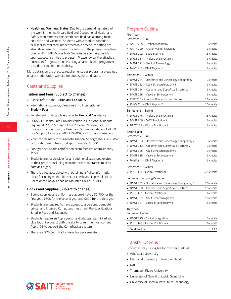**• Health and Wellness Status:** Due to the demanding nature of the work in the health care field and Occupational Health and Safety requirements, the health care field has a strong focus on health and wellness. Students with a medical condition or disability that may impact them in a practicum setting are strongly advised to discuss concerns with the program academic chair and/or SAIT Accessibility Services as soon as possible upon acceptance into the program. Please review the attached document for guidance on entering an allied health program with a medical condition or disability.

More details on the practica requirements per program are outlined on a pre-orientation website for successful candidates.

# Costs and Supplies

### **Tuition and Fees (Subject to change)**

- Please refer to the **Tuition and Fee Table.**
- International students, please refer to **International Student Fees.**
- For student funding, please refer to **Financial Assistance.**
- CPRS 212 Health Care Provider course in CPR. Annual update required (CPRS 222 Health Care Provider Renewal). All CPR courses must be from the Heart and Stroke Foundation. Call SAIT Life Support Training at 403.210.4009 for further information.
- American Registry for Diagnostic Medical Sonographers (ARDMS) certification exam fees total approximately \$1,000.
- Sonography Canada certification exam fees are approximately \$950.
- Students are responsible for any additional expenses related to their practica including relocation costs to practicum sites outside Calgary.
- There is a fee associated with obtaining a Police Information check (including vulnerable sector check) and is payable to the Police or the Royal Canadian Mounted Police (RCMP).

### **Books and Supplies (Subject to change)**

- Books, supplies and uniform are approximately \$2,700 for the first year, \$600 for the second year and \$500 for the third year.
- Students are required to have access to a personal computer, printer and Internet. Computers must meet the specifications listed in Fees and Expenses.
- Students require an Apple personal digital assistant (iPad with blue tooth keyboard) with the ability to run the most current Apple iOS to support the CompTracker system.
- There is a \$75 CompTracker user fee per semester.

# Program Outline

### First Year

Semester 1 – Fall

| ANPH 205 - Sectional Anatomy                                                                           | 3 credits   |
|--------------------------------------------------------------------------------------------------------|-------------|
| ANPH 209 - Anatomy and Physiology<br>٠                                                                 | 3 credits   |
| DMST 202 - Basic Scanning<br>٠                                                                         | 1.5 credits |
| DMST 217 - Professional Practice 1<br>٠                                                                | 3 credits   |
| MEDT 211 - Medical Terminology 1<br>٠                                                                  | 1.5 credits |
| PHYS 216 - DMS Physics 1                                                                               | 3 credits   |
| Semester 2 – Winter                                                                                    |             |
| DMST 244 - Obstetrics and Gynecology Sonography 1                                                      | 3 credits   |
| DMST 253 - Adult Echocardiography 1<br>٠                                                               | 3 credits   |
| DMST 254 - Abdomen and Superficial Structures 1<br>٠                                                   | 3 credits   |
| DMST 265 - Vascular Sonography 1<br>٠                                                                  | 3 credits   |
| INFC 215 - Infection Prevention and Control                                                            | 1.5 credits |
| PHYS 254 - DMS Physics 2                                                                               | 1.5 credits |
| Semester 3 - Spring                                                                                    |             |
| DMST 276 - Professional Practice 2                                                                     | 1.5 credits |
| DMST 305 - DMS Simulation 1                                                                            | 1.5 credits |
| PRCT 265 - Clinical Practicum 1                                                                        | 3 credits   |
|                                                                                                        |             |
| Second Year<br>Semester 4 - Fall                                                                       |             |
|                                                                                                        | 3 credits   |
| DMST 303 - Obstetrics and Gynecology Sonography 2<br>• DMST 313 - Abdomen and Superficial Structures 2 | 3 credits   |
| • DMST 325 - Adult Echocardiography 2                                                                  | 3 credits   |
| DMST 335 - Vascular Sonography 2                                                                       | 3 credits   |
| PHYS 314 - DMS Physics 3                                                                               | 3 credits   |
|                                                                                                        |             |
| Semester 5 - Winter                                                                                    |             |
| PRCT 310 - Clinical Practicum 2                                                                        | 7.5 credits |
| Semester 6 - Spring/Summer                                                                             |             |
| DMST 352 - Obstetrics and Gynecology Sonography 3                                                      | 1.5 credits |
| DMST 359 - Abdomen and Superficial Structures 3                                                        | 1.5 credits |
| PRCT 362 - Clinical Practicum 3                                                                        | 6 credits   |
| DMST 367 - Adult Echocardiography 3                                                                    | 1.5 credits |
| DMST 381 - Vascular Sonography 3                                                                       | 1.5 credits |
| <b>Third Year</b>                                                                                      |             |
| Semester 7 - Fall                                                                                      |             |
| DMST 375 – Clinical Integration                                                                        | 3 credits   |
| PRCT 370 - Clinical Practicum 4                                                                        | 6 credits   |
| <b>Total Credits</b>                                                                                   | 79.5        |

## Transfer Options

Graduates may be eligible for transfer credit at:

- Athabasca University
- Memorial University of Newfoundland
- NAIT
- Thompson Rivers University
- University of New Brunswick, Saint John
- University of Ontario Institute of Technology



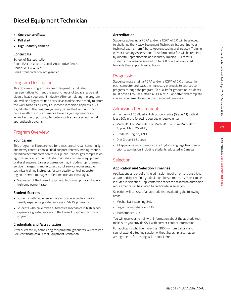# **Diesel Equipment Technician**

- **• One-year certificate**
- **• Fall start**
- **• High-industry demand**

### **Contact Us**

School of Transportation Room BA319, Clayton Carroll Automotive Centre Phone: 403.284.8471 Email: transportation.info@sait.ca

# Program Description

This 30-week program has been designed by industry representatives to meet the specific needs of today's large and diverse heavy equipment industry. After completing the program, you will be a highly trained entry-level tradesperson ready to enter the work force as a Heavy Equipment Technician apprentice. As a graduate of the program you may be credited with up to 600 hours worth of work experience towards your apprenticeship, as well as the opportunity to write your first and second period apprenticeship exams.

# Program Overview

### **Your Career**

This program will prepare you for a mechanical repair career in light and heavy construction, oil field support, forestry, mining, marine, on-highway transportation trucks, public utilities, gas compression, agriculture or any other industry that relies on heavy equipment or diesel engines. Career progression may include shop foreman, service manager, manufacturer district service representative, technical training instructor, factory quality control inspector, regional service manager or fleet maintenance manager.

• Graduates of the Diesel Equipment Technician program have a high employment rate

## **Student Success**

- Students with higher secondary or post-secondary marks usually experience greater success in SAIT's programs.
- Students who have taken automotive mechanics in high school experience greater success in the Diesel Equipment Technician program.

## **Credentials and Accreditation**

After successfully completing this program, graduates will receive a SAIT certificate as a Diesel Equipment Technician.

# **Accreditation**

Students achieving a PGPA and/or a CGPA of 2.0 will be allowed to challenge the Heavy Equipment Technician 1st and 2nd year technical exams from Alberta Apprenticeship and Industry Training. A Prior Learning Assessment (PLA) form and a fee will be required by Alberta Apprenticeship and Industry Training. Successful students may also be granted up to 600 hours of work credit towards their apprenticeship hours.

# Progression

Students must attain a PGPA and/or a CGPA of 2.0 or better in each semester and pass the necessary prerequisite courses to progress through the program. To qualify for graduation, students must pass all courses, attain a CGPA of 2.0 or better and complete course requirements within the prescribed timelines.

# Admission Requirements

A minimum of 70 Alberta High School credits (Grade 11) with at least 50% in the following courses or equivalents:

- Math 20-1 or Math 20-2 or Math 20-3 or Pure Math 20 or Applied Math 20, AND,
- Grade 11 English, AND,
- One Grade 11 Science
- All applicants must demonstrate English Language Proficiency prior to admission, including students educated in Canada.

# **Selection**

## **Application and Selection Timelines**

Applications and proof of the admission requirements (transcripts and/or anticipated final grades) must be submitted by May 1 to be included in selection. Applicants who meet the minimum admission requirements will be invited to participate in selection.

Selection will consist of an aptitude test evaluating the following areas:

- Mechanical reasoning 34%
- English comprehension 33%
- Mathematics 33%

You will receive an email with information about the aptitude test; make sure you provide SAIT with current contact information.

For applicants who live more than 300 km from Calgary and cannot attend a testing session without hardship, alternative arrangements for testing will be considered.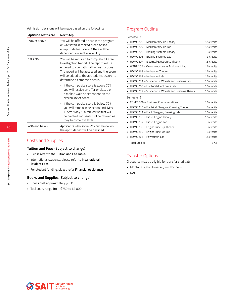Admission decisions will be made based on the following:

| <b>Aptitude Test Score</b> | <b>Next Step</b>                                                                                                                                                                                                                                               |
|----------------------------|----------------------------------------------------------------------------------------------------------------------------------------------------------------------------------------------------------------------------------------------------------------|
| 70% or above               | You will be offered a seat in the program<br>or waitlisted in ranked order, based<br>on aptitude test score. Offers will be<br>dependent on seat availability.                                                                                                 |
| 50-69%                     | You will be required to complete a Career<br>Investigation Report. The report will be<br>emailed to you with further instructions.<br>The report will be assessed and the score<br>will be added to the aptitude test score to<br>determine a composite score. |
|                            | • If the composite score is above 70%<br>you will receive an offer or placed on<br>a ranked waitlist dependent on the<br>availability of seats.                                                                                                                |
|                            | ■ If the composite score is below 70%<br>you will remain in selection until May<br>1. After May 1, a ranked waitlist will<br>be created and seats will be offered as<br>they become available.                                                                 |
| 49% and below              | Applicants who score 49% and below on<br>the aptitude test will be declined.                                                                                                                                                                                   |

# Costs and Supplies

### **Tuition and Fees (Subject to change)**

- Please refer to the **Tuition and Fee Table.**
- International students, please refer to **International Student Fees.**
- For student funding, please refer **Financial Assistance.**

### **Books and Supplies (Subject to change)**

- Books cost approximately \$650.
- Tool costs range from \$750 to \$3,000.

# Program Outline

### Semester 1

| HDMC 200 - Mechanical Skills Theory              | 1.5 credits |
|--------------------------------------------------|-------------|
| HDMC 204 - Mechanical Skills Lab                 | 1.5 credits |
| HDMC 205 - Braking Systems Theory                | 3 credits   |
| HDMC 206 - Braking Systems Lab                   | 3 credits   |
| HDMC 207 - Electrical/Electronics Theory         | 1.5 credits |
| WEPR 207 - Oxygen-Acetylene Equipment Lab        | 1.5 credits |
| HDMC 268 - Hydraulics Theory                     | 1.5 credits |
| HDMC 269 - Hydraulics Lab                        | 1.5 credits |
| HDMC 231 - Suspension, Wheels and Systems Lab    | 1.5 credits |
| HDMC 208 - Electrical/Electronics Lab            | 1.5 credits |
| HDMC 232 - Suspension, Wheels and Systems Theory | 1.5 credits |
| Semester 2                                       |             |
| COMM 209 - Business Communications               | 1.5 credits |
| HDMC 240 - Electrical Charging, Cranking Theory  | 3 credits   |
| HDMC 241 - Elect Charging, Cranking Lab          | 1.5 credits |
| HDMC 255 - Diesel Engine Theory                  | 1.5 credits |
| HDMC 257 - Diesel Engine Lab                     | 3 credits   |
| HDMC 258 - Engine Tune-up Theory                 | 3 credits   |
| HDMC 259 - Engine Tune-Up Lab                    | 3 credits   |
| HDMC 266 - Powertrain Lab                        | 1.5 credits |
| <b>Total Credits</b>                             | 37.5        |

# Transfer Options

Graduates may be eligible for transfer credit at:

- Montana State University Northern
- NAIT

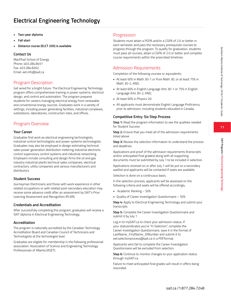# **Electrical Engineering Technology**

- **• Two-year diploma**
- **• Fall start**
- **• Distance course (ELCT 205) is available**

## **Contact Us**

MacPhail School of Energy Phone: 403.284.8451 Fax: 403.284.8262 Email: eet.info@sait.ca

## Program Description

Get wired for a bright future. The Electrical Engineering Technology program offers comprehensive training in power systems, electrical design, and control and automation. The program prepares students for careers managing electrical energy from renewable and conventional energy sources. Graduates work in a variety of settings, including power generating facilities, industrial complexes, substations, laboratories, construction sites, and offices.

## Program Overview

### **Your Career**

Graduates find work as electrical engineering technologists, industrial control technologists and power systems technologists. Graduates may also be employed in design estimating technical sales power generation distribution metering industrial electronic control supervisory control systems and industrial networking. Employers include consulting and design firms the oil and gas industry industrial plants technical sales companies, electrical contractors, utility companies and various manufacturers and distributors.

## **Student Success**

Journeyman Electricians and those with work experience in other related occupations or with related post-secondary education may receive some advance credit after an assessment by SAIT's Prior Learning Assessment and Recognition (PLAR).

## **Credentials and Accreditation**

After successfully completing this program, graduates will receive a SAIT diploma in Electrical Engineering Technology.

### **Accreditation**

The program is nationally accredited by the Canadian Technology Accreditation Board and Canadian Council of Technicians and Technologists at the technologist level.

Graduates are eligible for membership in the following professional association: Association of Science and Engineering Technology Professionals of Alberta (ASET).

## Progression

Students must attain a PGPA and/or a CGPA of 2.0 or better in each semester and pass the necessary prerequisite courses to progress through the program. To qualify for graduation, students must pass all courses, attain a CGPA of 2.0 or better and complete course requirements within the prescribed timelines.

## Admission Requirements

Completion of the following courses or equivalents:

- At least 60% in Math 30-1 or Pure Math 30, or at least 75% in Math 30-2, AND,
- At least 60% in English Language Arts 30-1 or 75% in English Language Arts 30-2, AND,
- At least 60% in Physics 20.
- All applicants must demonstrate English Language Proficiency prior to admission, including students educated in Canada.

## **Competitive Entry: Six Step Process**

**Step 1:** Read the program information to see the qualities needed for Student Success

**Step 2:** Ensure that you meet all of the admission requirements listed above

**Step 3:** Review the selection information to understand the process and deadlines

Applications and proof of the admission requirements (transcripts and/or anticipated final grades) along with all supporting documents must be submitted by July 1 to be included in selection.

Applications received on or after July 1 will be put on a secondary waitlist and applicants will be contacted if seats are available.

Selection is done on a continuous basis.

In the selection process, applicants will be assessed on the following criteria and seats will be offered accordingly.

- Academic Ranking 50%
- Quality of Career Investigation Questionnaire 50%

**Step 4:** Apply to Electrical Engineering Technology and submit your transcripts

**Step 5:** Complete the Career Investigation Questionnaire and submit it by July 1

Log in to mySAIT.ca to check your admission status. If your statusindicates you're "In Selection", complete the Career Investigation Questionnaire, save it in the format of LastName\_FirstName\_IDNumber and submit it to eet.selectionprocess@sait.ca in a PDFformat.

Applicants who fail to complete the Career Investigation Questionnaire will be excluded from selection.

**Step 6:** Continue to monitor changes to your application status through mySAIT.ca

Failure to meet anticipated final grades will result in offers being rescinded.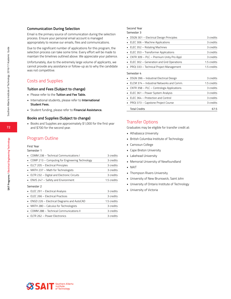#### **Communication During Selection**

Email is the primary source of communication during the selection process. Ensure your personal email account is managed appropriately to receive our emails, files and communications.

Due to the significant number of applications for this program, the selection process can take some time. Every effort will be made to maintain the timelines outlined above. We appreciate your patience.

Unfortunately, due to the extremely large volume of applicants, we cannot provide any assistance or follow-up as to why the candidate was not competitive.

## Costs and Supplies

#### **Tuition and Fees (Subject to change)**

- Please refer to the **Tuition and Fee Table.**
- International students, please refer to **International Student Fees.**
- Student funding, please refer to **Financial Assistance.**

#### **Books and Supplies (Subject to change)**

• Books and Supplies are approximately \$1,000 for the first year and \$700 for the second year.

## Program Outline

#### First Year

#### Semester 1

| COMM 238 - Technical Communications I             | 3 credits   |
|---------------------------------------------------|-------------|
| • COMP 213 – Computing for Engineering Technology | 3 credits   |
| ELCT 205 - Electrical Principles                  | 3 credits   |
| MATH 237 - Math for Technologists                 | 3 credits   |
| ELTR 232 - Digital and Electronic Circuits        | 3 credits   |
| • ENVS 247 - Safety and Environment               | 1.5 credits |
| Semester 2                                        |             |
| • ELEC 291 - Electrical Analysis                  | 3 credits   |
| ELEC 266 - Electrical Practices                   | 3 credits   |
| ENGD 226 - Electrical Diagrams and AutoCAD        | 1.5 credits |
| • MATH 280 – Calculus for Technologists           | 3 credits   |

• COMM 288 – Technical Communications II 3 credits • ELTR 262 – Power Electronics 3 credits

## Second Year

Semester 3

| DSGN 301 - Electrical Design Principles   | 3 credits   |
|-------------------------------------------|-------------|
| ELEC 306 - Machine Applications           | 3 credits   |
| ELEC 352 - Rotating Machines              | 3 credits   |
| ELEC 353 - Transformer Applications       | 3 credits   |
| CNTR 309 – PLC – Premium Unity Pro Appl.  | 3 credits   |
| ELEC 302 - Generation and Grid Operations | 1.5 credits |
| PROJ 333 - Technical Project Management   | 1.5 credits |
| Semester 4                                |             |
| DSGN 396 - Industrial Electrical Design   | 3 credits   |
| ELCM 374 - Industrial Networks and Comm.  | 1.5 credits |
| CNTR 358 - PLC - Contrologix Applications | 3 credits   |
| ELEC 361 - Power System Analysis          | 3 credits   |
| ELEC 364 - Protection and Control         | 3 credits   |
| PROJ 373 - Capstone Project Course        | 3 credits   |
| <b>Total Credits</b>                      | 67.5        |

## Transfer Options

Graduates may be eligible for transfer credit at:

- Athabasca University
- British Columbia Institute of Technology
- Camosun College
- Cape Breton University
- Lakehead University
- Memorial University of Newfoundland
- NAIT
- Thompson Rivers University
- University of New Brunswick, Saint John
- University of Ontario Institute of Technology
- University of Victoria

**72**

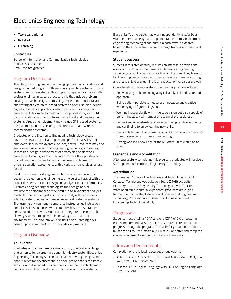# **Electronics Engineering Technology**

- **• Two-year diploma**
- **• Fall start**
- **• E-Learning**

## **Contact Us**

School of Information and Communication Technologies Phone: 403.284.8081 Email: ent.info@sait.ca

## Program Description

The Electronics Engineering Technology program is an analysis and design-oriented program with emphasis given to electronic circuits, systems and sub-systems. This program prepares graduates with professional, technical and practical skills that include problemsolving, research, design, prototyping, implementation, installation and testing of electronics-based systems. Specific studies include digital and analog applications, electronic controls, computerbased circuit design and simulation, microprocessor systems, RF communications, and computer-enhanced test and measurement systems. Areas of employment may include GPS-based systems, measurement, control, security and surveillance and wireless communication systems.

Graduates of the Electronics Engineering Technology program have the relevant technical, applied and professional skills that employers seek in this dynamic industry sector. Graduates may find employment as an electronic engineering technologist assisting in research, design, development of prototyping of electronicbased circuits and systems. They will also have the opportunity to continue their studies toward an Engineering Degree. SAIT offers articulation agreements with a variety of universities across Canada.

Working with electrical engineers who provide the conceptual design, the electronics engineering technologist will assist with the practical aspects of circuit design and analyze circuit performance. Electronics engineering technologists may design and/or evaluate the performance of the circuit using a variety of analysis methods. The technologist also works closely with technicians who fabricate, troubleshoot, measure and calibrate the systems. The learning environment incorporates instructor-led instruction and discussions enhanced with computer-based presentations and simulation software. Most classes integrate time in the lab, allowing students to apply their knowledge in a real, practical environment. This program will also utilize an e-learning (SAIT issued laptop computer) instructional delivery method.

# Program Overview

## **Your Career**

Graduates of this program possess a broad, practical knowledge of electronics for a career in a dynamic industry sector. Electronics Engineering Technologists can expect above-average wages and opportunities for advancement in an occupation that is constantly evolving and diversified. This person will use their creativity, math and science skills to develop and maintain electronics systems.

Electronics Technologists may work independently and/or be a vital member of a design and implementation team. An electronics engineering technologist can pursue a path toward a degree based on the knowledge they gain through training and their work experience.

## **Student Success**

Success in this area of study requires an interest in physics and a strong foundation in mathematics. Electronics Engineering Technologists apply science to practical applications. They learn to think like Engineers while using their experience in manufacturing and analysis. Lifelong learning is an expectation for career growth.

Characteristics of a successful student in this program include:

- Enjoy solving problems using a logical, analytical and systematic approach.
- Being patient persistent meticulous innovative and creative when trying to figure things out.
- Working independently with little supervision but also capable of performing as a vital member of a team of professionals.
- Enjoys keeping up-to-date on new technological developments and continuing to enjoy learning new skills.
- Being able to learn how something works from a written manual, from observations or from experimenting.
- Having working knowledge of the MS office Suite would be an asset.

## **Credentials and Accreditation**

After successfully completing this program, graduates will receive a SAIT diploma in Electronics Engineering Technology.

## **Accreditation**

The Canadian Council of Technicians and Technologists (CCTT) Canadian Technology Accreditation Board (CTAB) accredits this program at the Engineering Technologist level. After two years of suitable industrial experience, graduates are eligible for membership in The Association of Science and Engineering Technology Professionals of Alberta (ASET) as a Certified Engineering Technologist (CET).

## Progression

Students must attain a PGPA and/or a CGPA of 2.0 or better in each semester and pass the necessary prerequisite courses to progress through the program. To qualify for graduation, students must pass all courses, attain a CGPA of 2.0 or better and complete course requirements within the prescribed timelines.

# Admission Requirements

Completion of the following courses or equivalents:

- At least 50% in Pure Math 30, or at least 60% in Math 30-1, or at least 75% in Math 30-2, AND,
- At least 50% in English Language Arts 30-1 or English Language Arts 30-2, AND,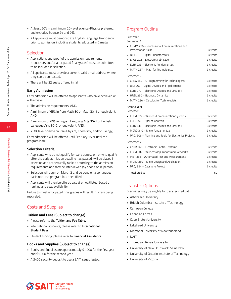**74**

- At least 50% in a minimum 20-level science (Physics preferred, and excludes Science 24 and 26).
- All applicants must demonstrate English Language Proficiency prior to admission, including students educated in Canada.

## **Selection**

- Applications and proof of the admission requirements (transcripts and/or anticipated final grades) must be submitted to be included in selection.
- All applicants must provide a current, valid email address where they can be contacted.
- There will be 32 seats offered in fall.

#### **Early Admission**

Early admission will be offered to applicants who have achieved or will achieve:

- The admission requirements, AND,
- A minimum of 65% in Pure Math 30 or Math 30-1 or equivalent, AND,
- A minimum of 60% in English Language Arts 30-1 or English Language Arts 30-2, or equivalent, AND,
- A 30-level science course (Physics, Chemistry, and/or Biology).

Early admission will be offered until February 15 or until the program is full.

#### **Selection Criteria**

- Applicants who do not qualify for early admission, or who qualify after the early admission deadline has passed, will be placed in selection and academically ranked according to the admission requirements and may be interviewed (by phone or in-person).
- Selection will begin on March 2 and be done on a continuous basis until the program has been filled.
- Applicants will then be offered a seat or waitlisted, based on ranking and seat availability.

Failure to meet anticipated final grades will result in offers being rescinded.

## Costs and Supplies

#### **Tuition and Fees (Subject to change)**

- Please refer to the **Tuition and Fee Table.**
- International students, please refer to **International Student Fees.**
- Student funding, please refer to **Financial Assistance.**

#### **Books and Supplies (Subject to change)**

- Books and Supplies are approximately \$1,000 for the first year and \$1,000 for the second year.
- A \$400 security deposit to use a SAIT issued laptop.

## Program Outline

First Year

| emester 1 |  |
|-----------|--|
|           |  |

| COMM 256 - Professional Communications and             |           |
|--------------------------------------------------------|-----------|
| <b>Presentation Skills</b>                             | 3 credits |
| DIGI 210 - Digital Fundamentals<br>٠                   | 3 credits |
| EFAB 202 - Electronic Fabrication                      | 3 credits |
| ELTR 238 - Electronic Fundamentals                     | 3 credits |
| MATH 237 - Math for Technologists                      | 3 credits |
| Semester 2                                             |           |
| CPRG 252 - C Programming for Technologists             | 3 credits |
| DIGI 260 - Digital Devices and Applications            | 3 credits |
| ELTR 270 - Electronic Devices and Circuits I           | 3 credits |
| HREL 250 - Business Dynamics<br>п                      | 3 credits |
| MATH 280 - Calculus for Technologists                  | 3 credits |
| Second Year                                            |           |
| Semester 3                                             |           |
| ELCM 322 - Wireless Communication Systems              | 3 credits |
| ELEC 305 - Applied Analysis                            | 3 credits |
| ELTR 338 - Electronic Devices and Circuits II          | 3 credits |
| MCRO 310 - Micro Fundamentals<br>٠                     | 3 credits |
| PROJ 306 - Planning and Tools for Electronics Projects | 3 credits |
| Semester 4                                             |           |
| CNTR 362 - Electronic Control Systems                  | 3 credits |
| ELCM 382 - Wireless Applications and Networks<br>٠     | 3 credits |
| INST 355 - Automated Test and Measurement              | 3 credits |
| MCRO 350 - Micro Design and Application                | 3 credits |
| PROJ 354 - Capstone Project                            | 3 credits |
| <b>Total Credits</b>                                   | 60        |

## Transfer Options

Graduates may be eligible for transfer credit at:

- Athabasca University
- British Columbia Institute of Technology
- Camosun College
- Canadian Forces
- Cape Breton University
- Lakehead University
- Memorial University of Newfoundland
- NAIT
- Thompson Rivers University
- University of New Brunswick, Saint John
- University of Ontario Institute of Technology
- University of Victoria

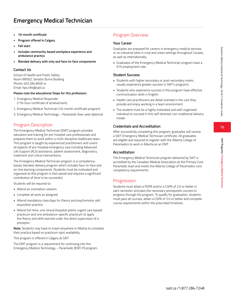- **• 10-month certificate**
- **• Program offered in Calgary**
- **• Fall start**
- **• Includes community-based workplace experience and ambulance practica**
- **• Blended delivery with only and face-to-face components**

#### **Contact Us**

School of Health and Public Safety Room NR502, Senator Burns Building Phone: 403.284.8500 or Email: hps.info@sait.ca

#### **Please note the educational Steps for this profession:**

- 1. Emergency Medical Responder (176-hour certificate of achievement)
- 2. Emergency Medical Technician (10-month certificate program)
- 3. Emergency Medical Technology Paramedic (two-year diploma)

## Program Description

The Emergency Medical Technician (EMT) program provides education and training for pre-hospital care professionals and prepares them to work within a multi-discipline healthcare team. This program is taught by experienced practitioners and covers all aspects of pre-hospital emergency care including Advanced Life Support (ALS) assistance, patient assessment, diagnostics, treatment and critical interventions.

The Emergency Medical Technician program is a competencybased, blended-delivery program which includes face-to-face and on-line learning components. Students must be motivated and organized as this program is fast-paced and requires a significant contribution of time to be successful.

Students will be required to:

- Attend an orientation session.
- Complete all work as assigned.
- Attend mandatory class days for theory and psychomotor skill acquisition practice.
- Attend full-time, one clinical (hospital and/or urgent care based) practicum and one ambulance-specific practicum to apply the theory and skills learned under the direct supervision of a preceptor.

**Note:** Students may have to travel anywhere in Alberta to complete their practica based on practicum spot availability.

This program is offered in Calgary at SAIT .

The EMT program is a requirement for continuing into the Emergency Medical Technology – Paramedic (EMT-P) program.

## Program Overview

### **Your Career**

Graduates are prepared for careers in emergency medical services or on industrial sites in rural and urban settings throughout Canada, as well as internationally.

• Graduates of the Emergency Medical Technician program have a 91% employment rate

#### **Student Success**

- Students with higher secondary or post-secondary marks usually experience greater success in SAIT's programs.
- Students who experience success in this program have effective communication skills in English.
- Health care practitioners are detail oriented in the care they provide and enjoy working in a team environment.
- The student must be a highly motivated and well-organized individual to succeed in this self-directed, non-traditional delivery model.

### **Credentials and Accreditation**

After successfully completing this program, graduates will receive a SAIT Emergency Medical Technician certificate. All graduates are eligible and required to register with the Alberta College of Paramedics to work in Alberta as an EMT.

### **Accreditation**

The Emergency Medical Technician program delivered by SAIT is accredited by the Canadian Medical Association at the Primary Care Paramedic level and meets the Alberta College of Paramedics core competency requirements.

## Progression

Students must attain a PGPA and/or a CGPA of 2.0 or better in each semester and pass the necessary prerequisite courses to progress through the program. To qualify for graduation, students must pass all courses, attain a CGPA of 2.0 or better and complete course requirements within the prescribed timelines.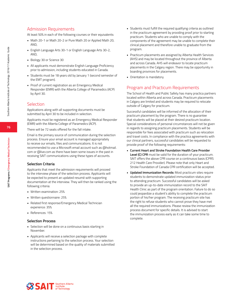## Admission Requirements

At least 50% in each of the following courses or their equivalents:

- Math 20-1 or Math 20-2 or Pure Math 20 or Applied Math 20, AND,
- English Language Arts 30-1 or English Language Arts 30-2, AND,
- Biology 30 or Science 30
- All applicants must demonstrate English Language Proficiency prior to admission, including students educated in Canada.
- Students must be 18 years old by January 1 (second semester of the EMT program).
- Proof of current registration as an Emergency Medical Responder (EMR) with the Alberta College of Paramedics (ACP) by April 30.

## **Selection**

Applications along with all supporting documents must be submitted by April 30 to be included in selection.

Applicants must be registered as an Emergency Medical Responder (EMR) with the Alberta College of Paramedics (ACP).

There will be 72 seats offered for the fall intake.

Email is the primary source of communication during the selection process. Ensure your email account is managed appropriately to receive our emails, files and communications. It is not recommended to use a Microsoft email account such as @hotmail. com or @live.com as there have been some issues in the past in receiving SAIT communications using these types of accounts.

### **Selection Criteria**

Applicants that meet the admission requirements will proceed to the interview phase of the selection process. Applicants will be expected to present an updated resumé with supporting documentation at the interview. They will then be ranked using the following criteria:

- Written examination: 25%
- Written questionnaire: 25%
- Related first response/Emergency Medical Technician experience: 35%
- References: 15%

### **Selection Process**

- Selection will be done on a continuous basis starting in November.
- Applicants will receive a selection package with complete instructions pertaining to the selection process. Your selection will be determined based on the quality of materials submitted in the selection process.
- Students must fulfill the required qualifying criteria as outlined in the practicum agreement by providing proof prior to starting practicum. Students who are unable to comply with the components of the agreement may be unable to complete their clinical placement and therefore unable to graduate from the program.
- Practicum placements are assigned by Alberta Health Services (AHS) and may be located throughout the province of Alberta and across Canada. AHS will endeavor to locate practicum placements in the Calgary region. There may be opportunity in boarding provinces for placements.
- Orientation is mandatory.

## Program and Practicum Requirements

The School of Health and Public Safety has many practica partners located within Alberta and across Canada. Practicum placements in Calgary are limited and students may be required to relocate outside of Calgary for practicum.

Successful candidates will be informed of the allocation of their practicum placement by the program. There is no guarantee that students will be placed at their desired practicum location. Special considerations of personal circumstances will not be given in regards to assigning practicum placements. Students will be responsible for fees associated with practicum such as relocation and travel costs. In compliance with the practica agreements with our clinical partners, successful candidates will be requested to provide proof of the following requirements:

- **Current Heart and Stroke Foundation Health Care Provider Level (C) CPR** must be valid for the duration of your practicum. SAIT offers the above CPR course on a continuous basis (CPRS 212 Health Care Provider). Please note that only Heart and Stroke Foundation of Canada CPR certification will be accepted.
- **• Updated Immunization Records:** Most practicum sites require students to demonstrate updated immunization status prior to attending practicum. Successful candidates will be asked to provide an up-to-date immunization record to the SAIT Health Clinic as part of the program orientation. Failure to do so could jeopardize a student's ability to complete the practicum portion of his/her program. The receiving practicum site has the right to refuse students who cannot prove they have met all the required immunizations. Please review the immunization process document for specific details. It is advised to start the immunization process early as it can take some time to complete.



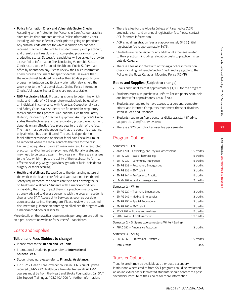- **• Police Information Check and Vulnerable Sector Check:** According to the Protection for Persons in Care Act, our practica sites require that students obtain a Police Information Check including Vulnerable Sector Check, prior to going on practicum. Any criminal code offence for which a pardon has not been received may be a deterrent to a student's entry into practicum, and therefore will result in an uncompleted program or nongraduating status. Successful candidates will be asked to provide a clear Police Information Check including Vulnerable Sector Check record to the School of Health and Public Safety main office by orientation day. Please review the Police Information Check process document for specific details. Be aware that the record must be dated no earlier than 90 days prior to your program orientation day (typically orientation day is held the week prior to the first day of class). Online Police Information Checks/Vulnerable Sector Checks are not acceptable.
- **• N95 Respiratory Mask:** Fit testing is done to determine which make and model of N95 respiratory mask should be used by an individual. In compliance with Alberta's Occupational Health and Safety Code 2009, students are fit-tested for respiratory masks prior to their practica. Occupational Health and Safety Bulletin, Respiratory Protective Equipment: An Employer's Guide states the effectiveness of the respiratory protective equipment depends on an effective face piece seal to the skin of the face. The mask must be tight enough so that the person is breathing only air which has been filtered. The seal is dependent on facial differences (shape or size) or facial hair. Facial hair must be removed where the mask contacts the face for the test. Failure to adequately fit an N95 mask may result in a restricted practicum and\or limited employment. Additionally, a student may need to be tested again in two years or if there are changes to the face which impact the ability of the respirator to form an effective seal (e.g. weight gain/loss, growth of facial hair, dental surgery, or facial scarring).
- **• Health and Wellness Status:** Due to the demanding nature of the work in the health care field and Occupational Health and Safety requirements, the health care field has a strong focus on health and wellness. Students with a medical condition or disability that may impact them in a practicum setting are strongly advised to discuss concerns with the program academic chair and/or SAIT Accessibility Services as soon as possible upon acceptance into the program. Please review the attached document for guidance on entering an allied health program with a medical condition or disability.

More details on the practica requirements per program are outlined on a pre-orientation website for successful candidates.

## Costs and Supplies

#### **Tuition and Fees (Subject to change)**

- Please refer to the **Tuition and Fee Table.**
- International students, please refer to **International Student Fees.**
- Student funding, please refer to **Financial Assistance.**
- CPRS 212 Health Care Provider course in CPR. Annual update required (CPRS 222 Health Care Provider Renewal). All CPR courses must be from the Heart and Stroke Foundation. Call SAIT Life Support Training at 403.210.4009 for further information.
- There is a fee for the Alberta College of Paramedics (ACP) provincial exam and an annual registration fee. Please contact ACP for more information
- ACP annual registration fees are approximately \$425 (initial registration fee is approximately \$475).
- Students are responsible for any additional expenses related to their practicum including relocation costs to practicum sites outside Calgary.
- There is a fee associated with obtaining a police information check including Vulnerable Sector Check and is payable to the Police or the Royal Canadian Mounted Police (RCMP).

### **Books and Supplies (Subject to change)**

- Books and Supplies cost approximately \$1,900 for the program.
- Students must also purchase a uniform (jacket, pants, shirt, belt, and boots) for approximately \$500-\$700.
- Students are required to have access to a personal computer, printer and Internet. Computers must meet the specifications listed in Fees and Expenses.
- Students require an Apple personal digital assistant (iPad) to support the CompTracker system.
- There is a \$75 CompTracker user fee per semester.

## Program Outline

Semester 1 – Fall

| • ANPH 201 – Physiology and Physical Assessment              | 1.5 credits |
|--------------------------------------------------------------|-------------|
| • EMRG 223 – Basic Pharmacology                              | 1.5 credits |
| • EMRG 230 – Community Integration                           | 1.5 credits |
| • EMRG 233 – Respiratory Emergencies                         | 3 credits   |
| $\blacksquare$ EMRG 236 - EMT Lab 1                          | 3 credits   |
| $\blacksquare$ EMRG 244 – Professional Practice 1            | 1.5 credits |
| • EMRG 262 - Cardiac Emergencies                             | 3 credits   |
| Semester 2 - Winter                                          |             |
| $\blacksquare$ FMRG 227 $\blacksquare$ Traumatic Emergencies | a credits   |

| <b>Total Credits</b>                                 | 34.5        |
|------------------------------------------------------|-------------|
| • EMRG 265 - Professional Practice 2                 | 1.5 credits |
| Semester 3 – Spring                                  |             |
| • PRAC 252 - Ambulance Practicum                     | 3 credits   |
| Semester 2 - 3 (Spans two semesters: Winter/ Spring) |             |
| $\blacksquare$ PRAC 242 – Clinical Practicum         | 1.5 credits |
| $\blacksquare$ FTNS 202 – Fitness and Wellness       | 1.5 credits |
| $\blacksquare$ EMRG 266 – EMT Lab 2                  | 3 credits   |
| • EMRG 251 – Special Populations                     | 3 credits   |
| • EMRG 249 - Medical Emergencies                     | 3 credits   |
| • EMRG 227 – Traumatic Emergencies                   | 3 credits   |

## Transfer Options

Transfer credit may be available at other post-secondary institutions where credits from SAIT programs could be evaluated on an individual basis. Interested students should contact the postsecondary institute of their choice for more information.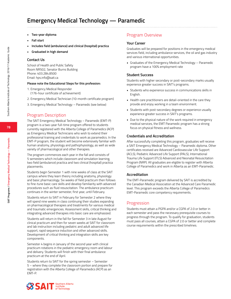# **Emergency Medical Technology — Paramedic**

- **• Two-year diploma**
- **• Fall start**
- **• Includes field (ambulance) and clinical (hospital) practica**
- **• Graduated in high demand**

#### **Contact Us**

School of Health and Public Safety Room NR502, Senator Burns Building Phone: 403.284.8500 Email: hps.info@sait.ca

#### **Please note the Educational Steps for this profession:**

- 1. Emergency Medical Responder (176-hour certificate of achievement)
- 2. Emergency Medical Technician (10-month certificate program)
- 3. Emergency Medical Technology Paramedic (see below)

### Program Description

The SAIT Emergency Medical Technology – Paramedic (EMT-P) program is a two-year full-time program offered to students currently registered with the Alberta College of Paramedics (ACP) as Emergency Medical Technicians who wish to extend their professional training and credentials to work as paramedics. In the EMT-P program, the student will become extensively familiar with human anatomy, physiology and pathophysiology, as well as wide variety of pharmacological and other therapies.

The program commences each year in the fall and consists of 5 semesters which include classroom and simulation learning, two field (ambulance) practica and two clinical (hospital) practica placements.

Students begin Semester 1 with nine weeks of class at the SAIT campus where they learn theory including anatomy, physiology and basic pharmacology. Six weeks of field practicum then follows to fine-tune basic care skills and develop familiarity with advanced procedures such as fluid resuscitation. The ambulance practicum continues in the winter semester, first year, until February.

Students return to SAIT in February for Semester 2 where they will spend nine weeks in class continuing their studies expanding on pharmacological therapies and treatments for various medical and traumatic emergencies. Assessment skills, critical thinking and integrating advanced therapies into basic care are emphasized.

Students will return in the fall for Semester 3 in late August for clinical practicum and then for seven weeks at SAIT for classroom and lab instruction including pediatric and adult advanced life support, rapid sequence induction and other advanced skills. Development of critical thinking and integration skills are key components.

Semester 4 begins in January of the second year with clinical practicum rotations in the pediatric emergency room and labour and delivery. Students will finish with their final ambulance practicum at the end of April.

Students return to SAIT for the spring semester – Semester 5 – where they complete the classroom portion and prepare for registration with the Alberta College of Paramedics (ACP) as an EMT-P.

## Program Overview

#### **Your Career**

Graduates will be prepared for positions in the emergency medical services field, including ambulance services, the oil and gas industry and various international opportunities.

• Graduates of the Emergency Medical Technology – Paramedic program have a 100% employment rate

#### **Student Success**

Students with higher secondary or post-secondary marks usually experience greater success in SAIT's programs.

- Students who experience success in communications skills in English.
- Health care practitioners are detail-oriented in the care they provide and enjoy working in a team environment.
- Students with post-secondary degrees or experience usually experience greater success in SAIT's programs.
- Due to the physical nature of the work required in emergency medical services, the EMT Paramedic program has a strong focus on physical fitness and wellness.

#### **Credentials and Accreditation**

After successfully completing this program, graduates will receive a SAIT Emergency Medical Technology – Paramedic diploma. Other certificates received are Advanced Cardiovascular Life Support (ACLS), Pediatric Advanced Life Support (PALS), International Trauma Life Support (ITLS) Advanced and Neonatal Resuscitation Program (NRP). All graduates are eligible to register with Alberta College of Paramedics and work in Alberta as an EMT-Paramedic.

#### **Accreditation**

The EMT-Paramedic program delivered by SAIT is accredited by the Canadian Medical Association at the Advanced Care Paramedic level. This program exceeds the Alberta College of Paramedics EMT-Paramedic core competency requirements.

### Progression

Students must attain a PGPA and/or a CGPA of 2.0 or better in each semester and pass the necessary prerequisite courses to progress through the program. To qualify for graduation, students must pass all courses, attain a CGPA of 2.0 or better and complete course requirements within the prescribed timelines.

**78**

**SAIT Programs / Emergency Medical Technology — Paramedic**

SAIT Programs / Emergency Medical Technology - Paramedic

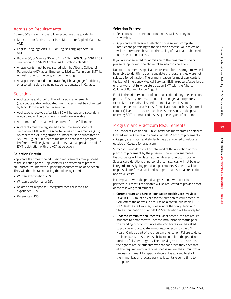## Admission Requirements

At least 50% in each of the following courses or equivalents:

- Math 20-1 or Math 20-2 or Pure Math 20 or Applied Math 20, AND,
- English Language Arts 30-1 or English Language Arts 30-2, AND,
- Biology 30, or Science 30, or SAIT's ANPH 209 **Note:** ANPH 209 can be found in SAIT's Continuing Education calendar.
- All applicants must be registered with the Alberta College of Paramedics (ACP) as an Emergency Medical Technician (EMT) by August 1 prior to the program commencing.
- All applicants must demonstrate English Language Proficiency prior to admission, including students educated in Canada.

### **Selection**

- Applications and proof of the admission requirements (transcripts and/or anticipated final grades) must be submitted by May 30 to be included in selection.
- Applications received after May 30 will be put on a secondary waitlist and will be considered if seats are available.
- A minimum of 40 seats will be offered for the fall intake.
- Applicants must be registered as an Emergency Medical Technician (EMT) with the Alberta College of Paramedics (ACP). An applicant's ACP registration number must be submitted to SAIT by August 1 in order to maintain a seat in the program. Preference will be given to applicants that can provide proof of EMT registration with the ACP at selection.

### **Selection Criteria**

Applicants that meet the admission requirements may proceed to the selection phase. Applicants will be expected to present an updated resumé with supporting documentation at selection. They will then be ranked using the following criteria:

- Written examination: 25%
- Written questionnaire: 25%
- Related first response/Emergency Medical Technician experience: 35%
- References: 15%

### **Selection Process**

- Selection will be done on a continuous basis starting in November.
- Applicants will receive a selection package with complete instructions pertaining to the selection process. Your selection will be determined based on the quality of materials submitted in the selection process.

If you are not selected for admission to the program this year, please re-apply with the above taken into consideration.

Due to the numerous applications received for this program, we will be unable to identify to each candidate the reasons they were not selected for admission. The primary reason for most applicants is the lack of Emergency Medical Services (EMS) exposure/experience, or they were not fully registered as an EMT with the Alberta College of Paramedics by August 1.

Email is the primary source of communication during the selection process. Ensure your email account is managed appropriately to receive our emails, files and communications. It is not recommended to use a Microsoft email account such as @hotmail. com or @live.com as there have been some issues in the past in receiving SAIT communications using these types of accounts.

## Program and Practicum Requirements

The School of Health and Public Safety has many practica partners located within Alberta and across Canada. Practicum placements in Calgary are limited and students may be required to relocate outside of Calgary for practicum.

Successful candidates will be informed of the allocation of their practicum placement by the program. There is no guarantee that students will be placed at their desired practicum location. Special considerations of personal circumstances will not be given in regards to assigning practicum placements. Students will be responsible for fees associated with practicum such as relocation and travel costs.

In compliance with the practica agreements with our clinical partners, successful candidates will be requested to provide proof of the following requirements:

- **Current Heart and Stroke Foundation Health Care Provider Level (C) CPR** must be valid for the duration of your practicum. SAIT offers the above CPR course on a continuous basis (CPRS 212 Health Care Provider). Please note that only Heart and Stroke Foundation of Canada CPR certification will be accepted.
- **• Updated Immunization Records:** Most practicum sites require students to demonstrate updated immunization status prior to attending practicum. Successful candidates will be asked to provide an up-to-date immunization record to the SAIT Health Clinic as part of the program orientation. Failure to do so could jeopardize a student's ability to complete the practicum portion of his/her program. The receiving practicum site has the right to refuse students who cannot prove they have met all the required immunizations. Please review the immunization process document for specific details. It is advised to start the immunization process early as it can take some time to complete.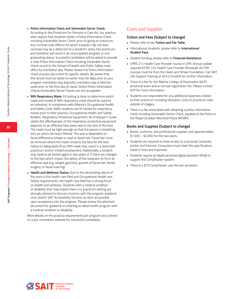- **• Police Information Check and Vulnerable Sector Check:**
	- According to the Protection for Persons in Care Act, our practica sites require that students obtain a Police Information Check including Vulnerable Sector Check, prior to going on practicum. Any criminal code offence for which a pardon has not been received may be a deterrent to a student's entry into practicum, and therefore will result in an uncompleted program or nongraduating status. Successful candidates will be asked to provide a clear Police Information Check including Vulnerable Sector Check record to the School of Health and Public Safety main office by orientation day. Please review the Police Information Check process document for specific details. Be aware that the record must be dated no earlier than 90 days prior to your program orientation day (typically orientation day is held the week prior to the first day of class). Online Police Information Checks/Vulnerable Sector Checks are not acceptable.
- **• N95 Respiratory Mask:** Fit testing is done to determine which make and model of N95 respiratory mask should be used by an individual. In compliance with Alberta's Occupational Health and Safety Code 2009, students are fit-tested for respiratory masks prior to their practica. Occupational Health and Safety Bulletin, Respiratory Protective Equipment: An Employer's Guide states the effectiveness of the respiratory protective equipment depends on an effective face piece seal to the skin of the face. The mask must be tight enough so that the person is breathing only air which has been filtered. The seal is dependent on facial differences (shape or size) or facial hair. Facial hair must be removed where the mask contacts the face for the test. Failure to adequately fit an N95 mask may result in a restricted practicum and\or limited employment. Additionally, a student may need to be tested again in two years or if there are changes to the face which impact the ability of the respirator to form an effective seal (e.g. weight gain/loss, growth of facial hair, dental surgery, or facial scarring).
- **• Health and Wellness Status:** Due to the demanding nature of the work in the health care field and Occupational Health and Safety requirements, the health care field has a strong focus on health and wellness. Students with a medical condition or disability that may impact them in a practicum setting are strongly advised to discuss concerns with the program academic chair and/or SAIT Accessibility Services as soon as possible upon acceptance into the program. Please review the attached document for guidance on entering an allied health program with a medical condition or disability.

More details on the practica requirements per program are outlined on a pre-orientation website for successful candidates.

## Costs and Supplies

#### **Tuition and Fees (Subject to change)**

- Please refer to the **Tuition and Fee Table.**
- International students, please refer to **International Student Fees.**
- Student funding, please refer to **Financial Assistance.**
- CPRS 212 Health Care Provider course in CPR. Annual update required (CPRS 222 Health Care Provider Renewal). All CPR courses must be from the Heart and Stroke Foundation. Call SAIT Life Support Training at 403.210.4009 for further information.
- There is a fee for the Alberta College of Paramedics (ACP) provincial exam and an annual registration fee. Please contact ACP for more information
- Students are responsible for any additional expenses related to their practicum including relocation costs to practicum sites outside of Calgary.
- There is a fee associated with obtaining a police information check including Vulnerable Sector Check, payable to the Police or the Royal Canadian Mounted Police (RCMP).

#### **Books and Supplies (Subject to change)**

- Books, uniforms, and professional supplies cost approximately  $$1,500 - $2,000$  for the two years.
- Students are required to have access to a personal computer, printer and Internet. Computers must meet the specifications listed in Fees and Expenses.
- Students require an Apple personal digital assistant (iPad) to support the CompTracker system.
- There is a \$75 CompTracker user fee per semester.

**80**

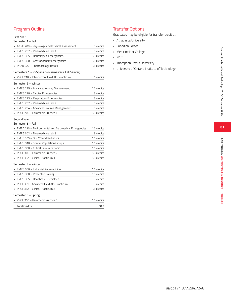## Program Outline

#### First Year

#### Semester 1 – Fall

| • ANPH 200 – Physiology and Physical Assessment    | 3 credits   |
|----------------------------------------------------|-------------|
| • EMRG 202 - Paramedicine Lab 1                    | 3 credits   |
| • EMRG 305 - Neurological Emergencies              | 1.5 credits |
| • EMRG 320 - Gastro/Urinary Emergencies            | 1.5 credits |
| • PHAR 222 - Pharmacology Basics                   | 1.5 credits |
| Semesters 1 - 2 (Spans two semesters: Fall/Winter) |             |
| • PRCT 210 - Introductory Field ALS Practicum      | 6 credits   |

#### Semester 2 – Winter

| • EMRG 215 - Advanced Airway Management | 1.5 credits |
|-----------------------------------------|-------------|
| • EMRG 270 - Cardiac Emergencies        | 3 credits   |
| • EMRG 273 – Respiratory Emergencies    | 3 credits   |
| • EMRG 252 – Paramedicine Lab 2         | 3 credits   |
| • EMRG 254 – Advanced Trauma Management | 3 credits   |
| PROF 200 - Paramedic Practice 1         | 1.5 credits |
| Second Year<br>Semester 3 - Fall        |             |

| EMED 223 - Environmental and Aeromedical Emergencies | 1.5 credits |
|------------------------------------------------------|-------------|
| EMRG 302 - Paramedicine Lab 3                        | 3 credits   |
| EMED 305 - OBGYN and Pediatrics                      | 1.5 credits |
| EMRG 310 - Special Population Groups                 | 1.5 credits |
| EMRG 330 - Critical Care Paramedic                   | 1.5 credits |
| PROF 300 - Paramedic Practice 2                      | 15 credits  |
| PRCT 302 - Clinical Practicum 1                      | 1.5 credits |
| Semester 4 - Winter                                  |             |
| EMRG 340 - Industrial Paramedicine                   | 1.5 credits |
| EMRG 350 - Preceptor Training                        | 1.5 credits |
| EMRG 365 - Healthcare Specialties                    | 3 credits   |
| PRCT 351 - Advanced Field ALS Practicum              | 6 credits   |
| PRCT 352 - Clinical Practicum 2                      | 1.5 credits |
| Semester 5 – Spring                                  |             |
| PROF 350 - Paramedic Practice 3                      | 1.5 credits |
| <b>Total Credits</b>                                 | 58.5        |

## Transfer Options

- 
- 
- 
- 
- 
- Graduates may be eligible for transfer credit at:<br>• Athabasca University<br>• Canadian Forces<br>• Medicine Hat College<br>• NAIT<br>• Thompson Rivers University<br>• University of Ontario Institute of Technology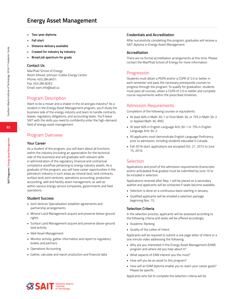# **Energy Asset Management**

- **• Two-year diploma**
- **• Fall start**
- **• Distance delivery available**
- **• Created for industry by industry**
- **• Broad job spectrum for grads**

#### **Contact Us**

MacPhail School of Energy Room KA440, Johnson-Cobbe Energy Centre Phone: 403.284.8451 Fax: 403.284.8262 Email: eam.info@sait.ca

### Program Description

Want to be a mover and a shaker in the oil and gas industry? As a student in the Energy Asset Management program, you'll study the business side of the energy industry and learn to handle contracts, leases, regulatory obligations, and accounting tasks. You'll leave SAIT with the skills you need to confidently enter the high-demand field of energy asset management.

#### Program Overview

#### **Your Career**

As a student of the program, you will learn about all functions within the industry (including an appreciation for the technical side of the business) and will graduate with relevant skills in administration of the regulatory, financial and contractual compliance workflow pertaining to energy industry assets. As a graduate of this program, you will have career opportunities in the petroleum industry in such areas as mineral land, land contracts, surface land, joint ventures, operations accounting, production accounting, well and facility asset management, as well as within various energy service companies, governments and field operations.

#### **Student Success**

- Joint Venture Specialization establish agreements and partnership arrangements
- Mineral Land Management acquire and preserve below-ground rights
- Surface Land Management acquire and preserve above-ground land activity
- Well Asset Management
- Monitor activity, gather information and report to regulatory bodies and partners
- Operations Accounting
- Gather, calculate and report production and financial data

#### **Credentials and Accreditation**

After successfully completing this program, graduates will receive a SAIT diploma in Energy Asset Management.

#### **Accreditation**

There are no formal accreditation arrangements at this time. Please contact the MacPhail School of Energy for more information.

#### Progression

Students must attain a PGPA and/or a CGPA of 2.0 or better in each semester and pass the necessary prerequisite courses to progress through the program. To qualify for graduation, students must pass all courses, attain a CGPA of 2.0 or better and complete course requirements within the prescribed timelines.

### Admission Requirements

Completion of the following courses or equivalents:

- At least 60% in Math 30-1 or Pure Math 30, or 75% in Math 30-2 or Applied Math 30, AND,
- At least 60% in English Language Arts 30-1 or 75% in English Language Arts 30-2.
- All applicants must demonstrate English Language Proficiency prior to admission, including students educated in Canada.
- Fall 2016 start: applications are accepted Oct. 21, 2015 to June 15, 2016.

#### Selection

Applications and proof of the admission requirements (transcripts and/or anticipated final grades) must be submitted by June 15 to be included in selection.

Applications received after May 1 will be placed on a secondary waitlist and applicants will be contacted if seats become available.

- Selection is done on a continuous basis starting in January.
- Qualified applicants will be emailed a selection package beginning Nov. 15.

#### **Selection Criteria**

In the selection process, applicants will be assessed according to the following criteria and seats will be offered accordingly.

- Academic Ranking
- Quality of the Letter of Intent

Applicants will be required to submit a one page letter of intent or a one minute video addressing the following:

- Why are you interested in the Energy Asset Management (EAM) program and where did you hear about it?
- What aspects of EAM interest you the most?
- How will you be an asset to this program?
- How will an EAM diploma enable you to reach your career goals? Please be specific.

Applicants who fail to complete the selection criteria will be

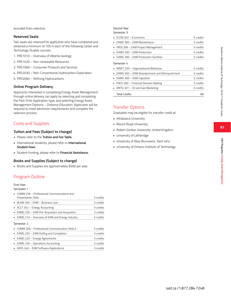excluded from selection.

#### **Reserved Seats**

Two seats are reserved for applicants who have completed and obtained a minimum of 70% in each of the following Career and Technology Studies courses:

- 1. PRS1010 Overview of Alberta Geology
- 2. PRS1020 Non-renewable Resources
- 3. PRS1060 Consumer Products and Services
- 4. PRS2030 Non-Conventional Hydrocarbon Exploration
- 5. PRS2060 Refining Hydrocarbons

#### **Online Program Delivery**

Applicants interested in completing Energy Asset Management through online delivery can apply by selecting and completing the Part-Time Application type, and selecting Energy Asset Management Diploma – Distance Education. Applicants will be required to meet admission requirements and complete the selection process.

## Costs and Supplies

### **Tuition and Fees (Subject to change)**

- Please refer to the **Tuition and Fee Table.**
- International students, please refer to **International Student Fees.**
- Student funding, please refer to **Financial Assistance.**

### **Books and Supplies (Subject to change)**

• Books and Supplies are approximately \$500 per year.

## Program Outline

### First Year

Semester 1

| • COMM 256 - Professional Communications and                   |           |
|----------------------------------------------------------------|-----------|
| Presentation Skills                                            | 3 credits |
| BLAW 205 – EAM – Business Law                                  | 3 credits |
| $\blacksquare$ ACCT 352 – Energy Accounting                    | 3 credits |
| $\blacksquare$ EAMG 250 – EAM Pre-Acquisition and Acquisition  | 3 credits |
| • EAMG 210 – Overview of EAM and Energy Industry               | 3 credits |
| Semester 2                                                     |           |
| $\blacksquare$ COMM 266 – Professional Communication Skills II | 3 credits |
| • EAMG 255 – EAM Drilling and Completion                       | 3 credits |
| • EAMG 220 - Energy Agreements                                 | 3 credits |
| EAMG 230 - Operations Accounting                               | 3 credits |
| • DATA 240 - EAM Software Applications                         | 3 credits |

#### Second Year Semester 3

| $\blacksquare$ ECON 302 – Economics                 | 3 credits |
|-----------------------------------------------------|-----------|
| • EAMG 300 – EAM Maintenance                        | 3 credits |
| • PROJ 399 – EAM Project Management                 | 3 credits |
| • EAMG 350 - EAM Production                         | 3 credits |
| $\blacksquare$ EAMG 306 – EAM Production Facilities | 3 credits |
| Semester 4                                          |           |
| • MNGT 250 - Organizational Behaviour               | 3 credits |
| • EAMG 355 – EAM Abandonment and Relinguishment     | 3 credits |
|                                                     |           |
| EAMG 360 - EAM Capstone                             | 3 credits |
| • FNCE 360 – Financial Decision Making              | 3 credits |
| • MKTG 301 – Oil and Gas Marketing                  | 3 credits |

## Transfer Options

Graduates may be eligible for transfer credit at:

- Athabasca University
- Mount Royal University
- Robert Gordon University, United Kingdom
- University of Lethbridge
- University of New Brunswick, Saint John
- University of Ontario Institute of Technology

**83**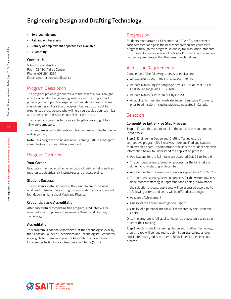# **Engineering Design and Drafting Technology**

- **• Two-year diploma**
- **• Fall and winter starts**
- **• Variety of employment opportunities available**
- **• E-Learning**

#### **Contact Us**

School of Construction Room CB410, Aldred Centre Phone: 403.284.8367 Email: construction.eddt@sait.ca

## Program Description

The program provides graduates with the essential skills sought after by a variety of engineering enterprises. The program will provide you with practical experience through hands-on classes in engineering and drafting principles. Your instructors will be experienced practitioners who will help you develop your technical and professional skills based on relevant practices.

This diploma program is two years in length, consisting of four 15-week semesters.

This program accepts students into first semester in September as well as January.

**Note:** This program also utilizes an e-Learning (SAIT issued laptop computer) instructional delivery method.

## Program Overview

#### **Your Career**

Graduates may find work as junior technologists in fields such as mechanical, electrical, civil, structural and process piping.

#### **Student Success**

The most successful students in the program are those who work well in teams, have strong communication skills and a solid foundation in high school Math and Physics.

### **Credentials and Accreditation**

After successfully completing this program, graduates will be awarded a SAIT diploma in Engineering Design and Drafting Technology.

### **Accreditation**

This program is nationally accredited, at the technologist level, by the Canadian Council of Technicians and Technologists. Graduates are eligible for membership in the Association of Science and Engineering Technology Professionals in Alberta (ASET).

### Progression

Students must attain a PGPA and/or a CGPA of 2.0 or better in each semester and pass the necessary prerequisite courses to progress through the program. To qualify for graduation, students must pass all courses, attain a CGPA of 2.0 or better and complete course requirements within the prescribed timelines.

## Admission Requirements

Completion of the following courses or equivalents:

- At least 60% in Math 30-1 or Pure Math 30, AND,
- At least 60% in English Language Arts 30-1 or at least 75% in English Language Arts 30-2, AND,
- At least 60% in Science 30 or Physics 20.
- All applicants must demonstrate English Language Proficiency prior to admission, including students educated in Canada.

## Selection

#### **Competitive Entry: Five Step Process**

**Step 1:** Ensure that you meet all of the admission requirements listed above.

**Step 2:** Engineering Design and Drafting Technology is a competitive program; SAIT receives more qualified applications than available seats. It is important to review the student selection information below to understand the application process.

- Applications for the fall intake are accepted Oct. 21 to Sept. 6.
- The competitive entry/selection process for the fall intake is done monthly starting in December.
- Applications for the winter intake are accepted June 1 to Oct. 16.
- The competitive entry/selection process for the winter intake is done monthly starting in September and ending in November.

In the selection process, applicants will be assessed according to the following criteria and seats will be offered accordingly.

- Academic Achievement
- Quality of the Career Investigation Report
- Quality of a personal interview (if requested by the Academic Chair)

Once the program is full, applicants will be placed on a waitlist in order of their ranking.

**Step 3:** Apply to the Engineering Design and Drafting Technology program. You will be required to submit yourtranscripts and/or anticipated final grades in order to be included in the selection process.



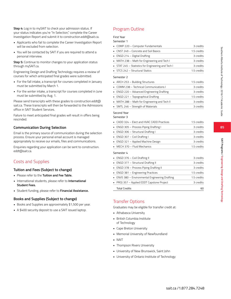**85**

**Step 4:** Log in to mySAIT to check your admission status. If your status indicates you're "In Selection," complete the Career Investigation Report and submit it to construction.eddt@sait.ca.

- Applicants who fail to complete the Career Investigation Report will be excluded from selection.
- You will be contacted by SAIT if you are required to attend a personal interview.

**Step 5:** Continue to monitor changes to your application status through mySAIT.ca.

Engineering Design and Drafting Technology requires a review of courses for which anticipated final grades were submitted.

- For the fall intake, a transcript for courses completed in January must be submitted by March 1.
- For the winter intake, a transcript for courses completed in June must be submitted by Aug. 1.

Please send transcripts with these grades to construction.eddt@ sait.ca. These transcripts will then be forwarded to the Admissions office in SAIT Student Services.

Failure to meet anticipated final grades will result in offers being rescinded.

### **Communication During Selection**

Email is the primary source of communication during the selection process. Ensure your personal email account is managed appropriately to receive our emails, files and communications.

Enquiries regarding your application can be sent to construction. eddt@sait.ca.

## Costs and Supplies

### **Tuition and Fees (Subject to change)**

- Please refer to the **Tuition and Fee Table.**
- International students, please refer to **International Student Fees.**
- Student funding, please refer to **Financial Assistance.**

### **Books and Supplies (Subject to change)**

- Books and Supplies are approximately \$1,500 per year.
- A \$400 security deposit to use a SAIT issued laptop.

## Program Outline

### First Year

#### Semester 1

| ו ואפאוופכ                                       |             |
|--------------------------------------------------|-------------|
| COMP 220 - Computer Fundamentals                 | 3 credits   |
| CNST 249 - Concrete and Soil Basics              | 1.5 credits |
| ENGD 214 - Digital Drafting                      | 3 credits   |
| MATH 238 - Math for Engineering and Tech I       | 3 credits   |
| STAT 245 - Statistics for Engineering and Tech I | 3 credits   |
| STCS 242 - Structural Statics                    | 1.5 credits |
| Semester 2                                       |             |
| ARCH 253 - Building Structures                   | 1.5 credits |
| COMM 238 - Technical Communications I            | 3 credits   |
| ENGD 220 - Advanced Engineering Drafting         | 3 credits   |
| ENGD 221 - Topographical Drafting                | 1.5 credits |
| MATH 288 - Math for Engineering and Tech II      | 3 credits   |
| SMTL 246 - Strength of Materials                 | 3 credits   |
| Second Year                                      |             |
| Semester 3                                       |             |
| CADD 324 - Elect and HVAC CADD Practices         | 1.5 credits |
| ENGD 305 - Process Piping Drafting I             | 3 credits   |
| ENGD 306 - Structural Drafting I                 | 3 credits   |
| ENGD 307 - Civil Drafting I                      | 3 credits   |
| ENGD 321 - Applied Machine Design                | 3 credits   |
| MECH 370 - Fluid Mechanics                       | 1.5 credits |
| Semester 4                                       |             |
| ENGD 376 - Civil Drafting II                     | 3 credits   |
| • FNGD 377 – Structural Drafting II              | a cradits   |

| <b>Total Credits</b>                            | 60          |
|-------------------------------------------------|-------------|
| • PROJ 357 - Applied EDDT Capstone Project      | 3 credits   |
| • ENVS 380 - Environmental Engineering Drafting | 1.5 credits |
| • ENGD 381 - Engineering Practices              | 1.5 credits |
| • ENGD 378 - Process Piping Drafting II         | 3 credits   |
| • ENGD 377 - Structural Drafting II             | 3 credits   |
| $\blacksquare$ ENGD 370 – CIVII DI dI UIIR II   | 3 credits   |

## Transfer Options

Graduates may be eligible for transfer credit at:

- Athabasca University
- British Columbia Institute of Technology
- Cape Breton University
- Memorial University of Newfoundland
- NAIT
- Thompson Rivers University
- University of New Brunswick, Saint John
- University of Ontario Institute of Technology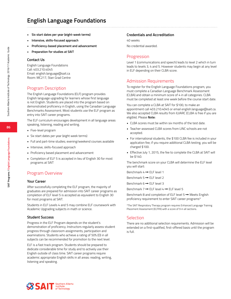# **English Language Foundations**

- **• Six start dates per year (eight-week terms)**
- **• Intensive, skills-focused approach**
- **• Proficiency-based placement and advancement**
- **• Preparation for studies at SAIT**

#### **Contact Us**

English Language Foundations Call: 403.210.4045 Email: english.language@sait.ca Room: MC217, Stan Grad Centre

## Program Description

The English Language Foundations (ELF) program provides English language upgrading for learners whose first language is not English. Students are placed into the program based on demonstrated proficiency in English, using the Canadian Language Benchmarks Assessment. Most students use the ELF program as entry into SAIT career programs.

The ELF curriculum encourages development in all language areas: speaking, listening, reading and writing.

- Five-level program
- Six start dates per year (eight week terms)
- Full and part-time studies; evening/weekend courses available
- Intensive, skills-focused approach
- Proficiency based placement and advancement
- Completion of ELF 5 is accepted in lieu of English 30 for most programs at SAIT

### Program Overview

#### **Your Career**

After successfully completing the ELF program, the majority of graduates are prepared for admission into SAIT career programs as completion of ELF level 5 is accepted as equivalent to English 30 for most programs at SAIT.

Students in ELF Levels 4 and 5 may combine ELF coursework with Academic Upgrading subjects in math or science.

#### **Student Success**

Progress in the ELF Program depends on the student's demonstration of proficiency. Instructors regularly assess student progress through classroom assignments, participation and examinations. Students who achieve a rating of 50% (D) in all subjects can be recommended for promotion to the next level.

ELF is a fast track program. Students should be prepared to dedicate considerable time for study and to actively use their English outside of class time. SAIT career programs require academic appropriate English skills in all areas: reading, writing, listening and speaking.

#### **Credentials and Accreditation**

40 weeks

No credential awarded.

### Progression

Level 1 (communications and speech) leads to level 2 which in turn leads to levels 3, 4 and 5. However students may begin at any level in ELF depending on their CLBA score.

## Admission Requirements

To register for the English Language Foundations program, you must complete a Canadian Language Benchmark Assessment (CLBA) and obtain a minimum score of 4 in all categories. CLBA must be completed at least one week before the course start date.

You can complete a CLBA at SAIT for \$100, to make an appointment call 403.210.4045 or email english.language@sait.ca. We also accepted CLBA results from ILVARC (CLBA is free if you are eligible). Please **Note:**

- CLBA scores must be within six months of the test date.
- Teacher-assessed CLBA scores from LINC schools are not accepted.
- For international students, the \$100 CLBA fee is included in your application fee; if you require additional CLBA testing, you will be charged \$100.
- Effective July 1, 2015, the fee to complete the CLBA at SAIT will be \$140.

The benchmark score on your CLBA will determine the ELF level you will start:

Benchmark  $4 \rightarrow$  ELF level 1

Benchmark  $5 \rightarrow FI$  FLF level 2

Benchmark  $6 \rightarrow$  ELF level 3

Benchmark  $7 \rightarrow$  ELF level  $4 \rightarrow$  ELF level 5

Benchmark 8 and completion of ELF level 5 → Meets English proficiency requirement to enter SAIT career programs\*

\*The SAIT Respiratory Therapy program requires Enhanced Language Training Placement Assessment (ELTPA) with a score of 9 in all sections.

### **Selection**

There are no additional selection requirements. Admission will be extended on a first-qualified, first-offered basis until the program is full.

**86**

**SAIT Programs / English Language Foundations**

SAIT Programs / English Language Foundations

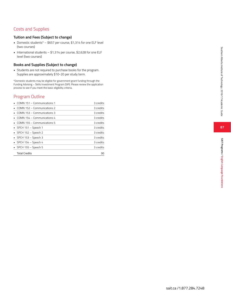## Costs and Supplies

### **Tuition and Fees (Subject to change)**

- Domestic students\* \$657 per course, \$1,314 for one ELF level (two courses)
- International students \$1,314 per course, \$2,628 for one ELF level (two courses)

### **Books and Supplies (Subject to change)**

• Students are not required to purchase books for the program. Supplies are approximately \$10-20 per study term.

\*Domestic students may be eligible for government grant funding through the Funding Advising – Skills Investment Program (SIP). Please review the application process to see if you meet the basic eligibility criteria.

## Program Outline

| $\blacksquare$ COMN 151 – Communications 1 | 3 credits |
|--------------------------------------------|-----------|
| $\blacksquare$ COMN 152 – Communications 2 | 3 credits |
| $\blacksquare$ COMN 153 – Communications 3 | 3 credits |
| $\blacksquare$ COMN 154 – Communications 4 | 3 credits |
| $\blacksquare$ COMN 155 – Communications 5 | 3 credits |
| $\blacksquare$ SPCH 151 – Speech 1         | 3 credits |
| $\blacksquare$ SPCH 152 - Speech 2         | 3 credits |
| $\blacksquare$ SPCH 153 - Speech 3         | 3 credits |
| $\blacksquare$ SPCH 154 – Speech 4         | 3 credits |
| $\blacksquare$ SPCH 155 – Speech 5         | 3 credits |
| <b>Total Credits</b>                       | 30        |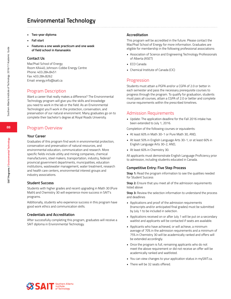# **Environmental Technology**

- **• Two-year diploma**
- **• Fall start**
- **• Features a one week practicum and one week of field school in Kananaskis**

#### **Contact Us**

MacPhail School of Energy Room KA440, Johnson-Cobbe Energy Centre Phone: 403.284.8451 Fax: 403.284.8262 Email: energy.info@sait.ca

## Program Description

Want a career that really makes a difference? The Environmental Technology program will give you the skills and knowledge you need to work in the lab or the field. As an Environmental Technologist you'll work in the protection, conservation, and preservation of our natural environment. Many graduates go on to complete their bachelor's degree at Royal Roads University.

## Program Overview

#### **Your Career**

Graduates of this program find work in environmental protection, conservation and preservation of natural resources, and environmental education, communication and research. More specific fields include utility and mining companies, chemical manufacturers, steel makers, transportation, industry, federal/ provincial government departments, municipalities, education institutions, wastewater management, water treatment, research and health care centers, environmental interest groups and industry associations.

### **Student Success**

Students with higher grades and recent upgrading in Math 30 (Pure Math) and Chemistry 30 will experience more success in SAIT's programs.

Additionally, students who experience success in this program have good work ethics and communication skills.

### **Credentials and Accreditation**

After successfully completing this program, graduates will receive a SAIT diploma in Environmental Technology.

### **Accreditation**

This program will be accredited in the future. Please contact the MacPhail School of Energy for more information. Graduates are eligible for membership in the following professional associations:

- Association of Science and Engineering Technology Professionals of Alberta (ASET)
- ECO Canada
- Chemical Institute of Canada (CIC)

## **Progression**

Students must attain a PGPA and/or a CGPA of 2.0 or better in each semester and pass the necessary prerequisite courses to progress through the program. To qualify for graduation, students must pass all courses, attain a CGPA of 2.0 or better and complete course requirements within the prescribed timelines.

## Admission Requirements

• Update: The application deadline for the Fall 2016 intake has been extended to July 1, 2016.

Completion of the following courses or equivalents:

- At least 60% in Math 30-1 or Pure Math 30, AND,
- At least 50% in English Language Arts 30-1, or at least 60% in English Language Arts 30-2, AND,
- At least 60% in Chemistry 30.

All applicants must demonstrate English Language Proficiency prior to admission, including students educated in Canada.

### **Competitive Entry: Five Step Process**

**Step 1:** Read the program information to see the qualities needed for Student Success

**Step 2:** Ensure that you meet all of the admission requirements listed above

**Step 3:** Review the selection information to understand the process and deadlines

- Applications and proof of the admission requirements (transcripts and/or anticipated final grades) must be submitted by July 1 to be included in selection.
- Applications received on or after July 1 will be put on a secondary waitlist and applicants will be contacted if seats are available.
- Applicants who have achieved, or will achieve, a minimum average of 70% in the admission requirements and a minimum of 75% in Chemistry 30 will be academically ranked and offers will be extended accordingly.
- Once the program is full, remaining applicants who do not meet the above requirement or did not receive an offer will be academically ranked and waitlisted.
- You can view changes to your application status in mySAIT.ca.
- There will be 32 seats offered.

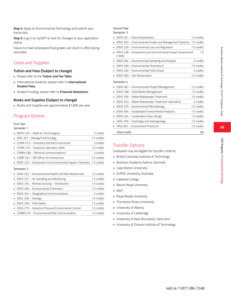**89**

**Step 4:** Apply to Environmental Technology and submit your transcripts

**Step 5:** Log in to mySAIT to look for changes to your application status.

Failure to meet anticipated final grades will result in offers being rescinded.

## Costs and Supplies

## **Tuition and Fees (Subject to change)**

- Please refer to the **Tuition and Fee Table.**
- International students, please refer to **International Student Fees.**
- Student funding, please refer to **Financial Assistance.**

## **Books and Supplies (Subject to change)**

• Books and Supplies are approximately \$1,800 per year.

## Program Outline

### First Year

Semester 1

| • MATH 237 - Math for Technologists                                      | 3 credits   |
|--------------------------------------------------------------------------|-------------|
| BIOL 201 - Biology/Field Ecology                                         | 1.5 credits |
| • CHEM 213 – Chemistry and the Environment                               | 3 credits   |
| • CHEM 276 - Analytical Laboratory Skills                                | 1.5 credits |
| • COMM 238 - Technical Communications I                                  | 3 credits   |
| • COMP 261 – MS Office: An Introduction                                  | 1.5 credits |
| • ENVS 222 – Introduction to Environmental Organic Chemistry 1.5 credits |             |

#### Semester 2

| . ENVS 252 - Environmental Health and Risk Assessment | 1.5 credits |
|-------------------------------------------------------|-------------|
| • ENVS 251 – Air Sampling and Monitoring              | 1.5 credits |
| • ENVS 254 – Remote Sensing – Introduction            | 1.5 credits |
| • ENVS 260 - Environmental Chemistry I                | 1.5 credits |
| • ENVS 344 – Geographical Communications              | 3 credits   |
| GEOL 230 – Geology                                    | 1.5 credits |
| • ENVS 250 – Field Safety                             | 1.5 credits |
| · ENVS 219 - Industrial Process/Environmental Control | 1.5 credits |
| • COMM 270 - Environmental Risk Communication         | 1.5 credits |
|                                                       |             |

#### Second Year Semester 3

| DATA 201 - Data Interpretation                                             | 1.5 credits |
|----------------------------------------------------------------------------|-------------|
| ENVS 303 - Environmental Audits and Management Systems 1.5 credits<br>٠    |             |
| ENVS 229 - Environmental Law and Regulation<br>٠                           | 1.5 credits |
| ENVS 236 - Ecosystems and Environmental Impact Assessment<br>×.<br>credits | 1.5         |
| ENVS 304 - Environmental Sampling and Analysis<br>٠                        | 3 credits   |
| ENVS 360 - Environmental Chemistry II<br>$\blacksquare$                    | 1.5 credits |
| ENVS 330 - Environmental Field School                                      | 3 credits   |
| ENVS 300 - Site Reclamation                                                | 1.5 credits |
| Semester 4                                                                 |             |
| ENVS 361 - Environmental Project Management<br>٠                           | 1.5 credits |
| ENVS 358 - Solid Waste Management<br>٠                                     | 1.5 credits |
|                                                                            |             |
| FNVS 359 - Water/Wastewater Treatment                                      | 1.5 credits |
| ENVS 343 - Water/Wastewater Treatment Laboratory<br>٠                      | 3 credits   |
| ENVS 375 - Environmental Microbiology<br>٠                                 | 1.5 credits |
| ENVS 364 - Sustainable Environmental Analytics                             | 1.5 credits |
| ENVS 354 - Sustainable Urban Design<br>٠                                   | 1.5 credits |
| GEOL 350 - Hydrology and Hydrogeology<br>٠                                 | 1.5 credits |
| PROJ 367 - Environment Practicum<br>٠                                      | 1.5 credits |

## Transfer Options

Graduates may be eligible for transfer credit at:

- British Columbia Institute of Technology
- Business Academy Aarhus, Denmark
- Cape Breton University
- Griffith University, Australia
- Lakeland College
- Mount Royal University
- NAIT
- Royal Roads University
- Thompson Rivers University
- University of Alberta
- University of Lethbridge
- University of New Brunswick, Saint John
- University of Ontario Institute of Technology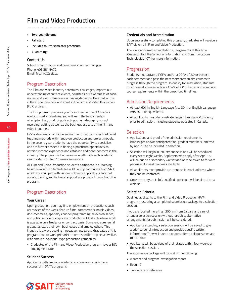# **Film and Video Production**

- **• Two-year diploma**
- **• Fall start**
- **• Includes fourth semester practicum**
- **• E-Learning**

#### **Contact Us**

School of Information and Communication Technologies Phone: 403.284.8470 Email: fvp.info@sait.ca

## Program Description

The Film and video industry entertains, challenges, impacts our understanding of current events, heightens our awareness of social issues, and even influences our buying decisions. Be a part of this cultural phenomenon, and enroll in the Film and Video Production (FVP) program.

The FVP program prepares you for a career in one of Canada's evolving media industries. You will learn the fundamentals of scriptwriting, producing, directing, cinematography, sound recording, editing as well as the business aspects of the film and video industries.

FVP is delivered in a unique environment that combines traditional teaching methods with hands-on production and project models. In the second year, students have the opportunity to specialize, and are further assisted in finding a practicum opportunity to obtain firsthand experience and establish additional contacts in the industry. The program is two years in length with each academic year divided into two 15-week semesters.

All Film and Video Production students participate in e-learning based curriculum. Students lease PC laptop computers from SAIT, which are equipped with various software applications. Internet access, training and technical support are provided throughout the program.

## Program Description

#### **Your Career**

Upon graduation, you may find employment on productions such as: movies of the week, feature films, commercials, music videos, documentaries, specialty channel programming, television series, and public service or corporate productions. Most entry-level work is available on a freelance or contract basis. Some entrepreneurial graduates start their own businesses and employ others. This industry is always seeking innovative new talent. Graduates of this program tend to work primarily on term specific projects as well as with smaller "boutique" type production companies.

• Graduates of the Film and Video Production program have a 89% employment rate

#### **Student Success**

Applicants with previous academic success are usually more successful in SAIT's programs.

#### **Credentials and Accreditation**

Upon successfully completing this program, graduates will receive a SAIT diploma in Film and Video Production.

There are no formal accreditation arrangements at this time. Please contact the School of Information and Communications Technologies (ICT) for more information.

## **Progression**

Students must attain a PGPA and/or a CGPA of 2.0 or better in each semester and pass the necessary prerequisite courses to progress through the program. To qualify for graduation, students must pass all courses, attain a CGPA of 2.0 or better and complete course requirements within the prescribed timelines.

### Admission Requirements

- At least 60% in English Language Arts 30-1 or English Language Arts 30-2 or equivalents.
- All applicants must demonstrate English Language Proficiency prior to admission, including students educated in Canada.

## **Selection**

- Applications and proof of the admission requirements (transcripts and/or anticipated final grades) must be submitted by April 15 to be included in selection.
- Selection will begin in January and sessions will be scheduled every six to eight weeks. Applicants who apply after April 15 will be put on a secondary waitlist and only be asked to forward packages if a seat becomes available.
- All applicants must provide a current, valid email address where they can be contacted.
- Once the program is full, qualified applicants will be placed on a waitlist.

### **Selection Criteria**

Qualified applicants to the Film and Video Production (FVP) program must bring a completed submission package to a selection session.

If you are located more than 300 km from Calgary and cannot attend a selection session without hardship, alternative arrangements for submission will be considered.

- Applicants attending a selection session will be asked to give a brief personal introduction and provide specific written information. They will have an opportunity to ask questions and to do a tour.
- Applicants will be advised of their status within four weeks of the selection session.

The submission package will consist of the following:

- A career and program investigation report
- Resumé
- Two letters of reference

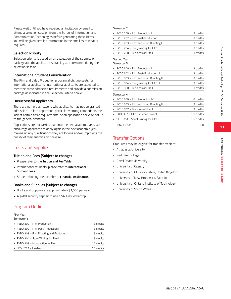**91**

**SAIT Programs / Film and Video Production**

SAIT Programs / Film and Video Productio

Please wait until you have received an invitation by email to attend a selection session from the School of Information and Communication Technologies before generating these items. You will be given detailed information in the email as to what is required.

#### **Selection Priority**

Selection priority is based on an evaluation of the submission package and the applicant's suitability as determined during the selection session.

#### **International Student Consideration**

The Film and Video Production program allots two seats for international applicants. International applicants are expected to meet the same admission requirements and provide a submission package as indicated in the Selection Criteria above.

### **Unsuccessful Applicants**

There are numerous reasons why applicants may not be granted admission – a late application, particularly strong competition, the lack of certain basic requirements, or an application package not up to the general standard.

Applications are not carried over into the next academic year. We encourage applicants to apply again in the next academic year, making up any qualifications they are lacking and/or improving the quality of their submission package.

## Costs and Supplies

#### **Tuition and Fees (Subject to change)**

- Please refer to the **Tuition and Fee Table.**
- International students, please refer to **International Student Fees.**
- Student funding, please refer to **Financial Assistance.**

### **Books and Supplies (Subject to change)**

- Books and Supplies are approximately \$1,500 per year.
- A \$400 security deposit to use a SAIT issued laptop.

## Program Outline

#### First Year

#### Semester 1

| • FVDO 200 - Film Production I                 | 3 credits   |
|------------------------------------------------|-------------|
| • FVDO 202 – Film Post-Production I            | 3 credits   |
| • FVDO 203 - Film Directing and Producing      | 3 credits   |
| • FVDO 204 - Story Writing for Film I          | 3 credits   |
| $\blacksquare$ FVDO 208 – Introduction to Film | 1.5 credits |
| • LDSH 243 - Leadership                        | 1.5 credits |

#### Semester 2

| • FVDO 250 – Film Production II              | 3 credits |
|----------------------------------------------|-----------|
| • FVDO 252 - Film Post-Production II         | 3 credits |
| • FVDO 253 - Film and Video Directing I      | 3 credits |
| • FVDO 254 - Story Writing for Film II       | 3 credits |
| $\blacksquare$ FVDO 258 – Business of Film L | 3 credits |

### Second Year

## Semester 3 • FVDO 300 – Film Production III 3 credits • FVDO 302 – Film Post-Production III 3 credits • FVDO 303 – Film and Video Directing II 3 credits • FVDO 304 – Story Writing for Film III 3 credits • FVDO 308 – Business of Film II 3 credits Semester 4 • FVDO 350 – Film Production IV 6 credits • FVDO 353 – Film and Video Directing III 3 credits • FVDO 357 – Business of Film III 3 credits PROJ 352 – Film Capstone Project 1.5 credits • SCPT 351 – Script Writing for Film 1.5 credits

Total Credits 60

## Transfer Options

Graduates may be eligible for transfer credit at:

- Athabasca University
- Red Deer College
- Royal Roads University
- University of Calgary
- University of Gloucestershire, United Kingdom
- University of New Brunswick, Saint John
- University of Ontario Institute of Technology
- University of South Wales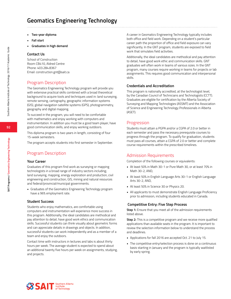# **Geomatics Engineering Technology**

- **• Two-year diploma**
- **• Fall start**
- **• Graduates in high demand**

#### **Contact Us**

School of Construction Room CB410, Aldred Centre Phone: 403.284.8367 Email: construction.gnt@sait.ca

## Program Description

The Geomatics Engineering Technology program will provide you with extensive practical skills combined with a broad theoretical background to acquire tools and techniques used in: land surveying, remote sensing, cartography, geographic information systems (GIS), global navigation satellite systems (GPS), photogrammetry, geography and digital mapping.

To succeed in the program, you will need to be comfortable with mathematics and enjoy working with computers and instrumentation. In addition you must be a good team player, have good communication skills, and enjoy working outdoors.

This diploma program is two years in length, consisting of four 15-week semesters.

The program accepts students into first semester in September.

## Program Description

#### **Your Career**

Graduates of this program find work as surveying or mapping technologists in a broad range of industry sectors including; land surveying, mapping, energy exploration and production, civil engineering and construction, GIS, mining and natural resources and federal/provincial/municipal governments.

• Graduates of the Geomatics Engineering Technology program have a 96% employment rate.

#### **Student Success**

Students who enjoy mathematics, are comfortable using computers and instrumentation will experience more success in this program. Additionally, the ideal candidates are methodical and pay attention to detail, have good work ethics and communication skills. Successful students can think visually about geometric forms and can appreciate details in drawings and objects. In addition, successful students can work independently and as a member of a team and enjoy the outdoors.

Contact time with instructors in lectures and labs is about thirty hours per week. The average student is expected to spend about an additional twenty five hours per week on assignments, studying, and projects.

A career in Geomatics Engineering Technology typically includes both office and field work. Depending on a student's particular career path the proportion of office and field exposure can vary significantly. In the GNT program, students are exposed to field work that simulates field activities.

Additionally, the ideal candidates are methodical and pay attention to detail, have good work ethic and communication skills. GNT graduates will often work in teams of various sizes. In the GNT program, many courses require working in teams for projects or lab assignments. This requires good communication and interpersonal skills.

#### **Credentials and Accreditation**

This program is nationally accredited, at the technologist level, by the Canadian Council of Technicians and Technologists (CCTT). Graduates are eligible for certification by the Alberta Society of Surveying and Mapping Technologies (ASSMT) and the Association of Science and Engineering Technology Professionals in Alberta (ASET).

## Progression

Students must attain a PGPA and/or a CGPA of 2.0 or better in each semester and pass the necessary prerequisite courses to progress through the program. To qualify for graduation, students must pass all courses, attain a CGPA of 2.0 or better and complete course requirements within the prescribed timelines.

### Admission Requirements

Completion of the following courses or equivalents:

- At least 50% in Math 30-1 or Pure Math 30, or at least 70% in Math 30-2, AND,
- At least 50% in English Language Arts 30-1 or English Language Arts 30-2, AND,
- At least 50% in Science 30 or Physics 20.
- All applicants to must demonstrate English Language Proficiency prior to admission, including students educated in Canada.

#### **Competitive Entry: Five Step Process**

**Step 1:** Ensure that you meet all of the admission requirements listed above.

**Step 2:** This is a competitive program and we receive more qualified applications than available seats in the program. It is important to review the selection information below to understand the process and deadlines.

- Applications for fall 2016 are accepted Oct. 21 to July 15.
- The competitive entry/selection process is done on a continuous basis starting in January and the program is typically waitlisted by early spring.

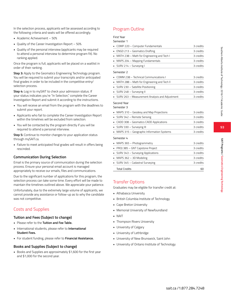In the selection process, applicants will be assessed according to the following criteria and seats will be offered accordingly.

- Academic Achievement 50%
- Quality of the Career Investigation Report 50%
- Quality of the personal interview (applicants may be required to attend a personal interview to determine program fit). No ranking applied.

Once the program is full, applicants will be placed on a waitlist in order of their ranking.

**Step 3:** Apply to the Geomatics Engineering Technology program. You will be required to submit your transcripts and/or anticipated final grades in order to be included in the competitive entry/ selection process.

**Step 4:** Log in to mySAIT to check your admission status. If your status indicates you're "In Selection," complete the Career Investigation Report and submit it according to the instructions.

- You will receive an email from the program with the deadlines to submit your report.
- Applicants who fail to complete the Career Investigation Report within the timelines will be excluded from selection.
- You will be contacted by the program directly if you will be required to attend a personal interview.

**Step 5:** Continue to monitor changes to your application status through mySAIT.ca.

• Failure to meet anticipated final grades will result in offers being rescinded.

### **Communication During Selection**

Email is the primary source of communication during the selection process. Ensure your personal email account is managed appropriately to receive our emails, files and communications.

Due to the significant number of applications for this program, the selection process can take some time. Every effort will be made to maintain the timelines outlined above. We appreciate your patience.

Unfortunately, due to the extremely large volume of applicants, we cannot provide any assistance or follow-up as to why the candidate was not competitive.

## Costs and Supplies

#### **Tuition and Fees (Subject to change)**

- Please refer to the **Tuition and Fee Table.**
- International students, please refer to **International Student Fees.**
- For student funding, please refer to **Financial Assistance.**

### **Books and Supplies (Subject to change)**

• Books and Supplies are approximately \$1,600 for the first year and \$1,000 for the second year.

## Program Outline

### First Year

#### Semester 1

| COMP 220 - Computer Fundamentals                             | 3 credits |
|--------------------------------------------------------------|-----------|
| ENGD 213 - Geomatics Drafting                                | 3 credits |
| MATH 238 - Math for Engineering and Tech I                   | 3 credits |
| MAPS 204 - Mapping Fundamentals                              | 3 credits |
| SURV 214 - Surveying I                                       | 3 credits |
| Semester 2                                                   |           |
| COMM 238 - Technical Communications I                        | 3 credits |
| MATH 288 - Math for Engineering and Tech II                  | 3 credits |
| SURV 230 - Satellite Positioning                             | 3 credits |
| SURV 248 - Surveying II                                      | 3 credits |
| SURV 263 - Measurement Analysis and Adjustment               | 3 credits |
| Second Year                                                  |           |
| Semester 3                                                   |           |
| MAPS 310 - Geodesy and Map Projections                       | 3 credits |
| SURV 342 - Remote Sensing                                    | 3 credits |
| CADD 308 - Geomatics CADD Applications                       | 3 credits |
| SURV 330 - Surveying III                                     | 3 credits |
| MAPS 315 - Geographic Information Systems                    | 3 credits |
| Semester 4                                                   |           |
| MAPS 365 - Photogrammetry                                    | 3 credits |
| PROJ 385 - GNT Capstone Project                              | 3 credits |
| SURV 343 - Surveying Applications                            | 3 credits |
| MAPS 362 - 3D Modeling                                       | 3 credits |
| $C \cup D \cup D \cup E$ $C \cup D \cup D \cup D$ $C \cup D$ |           |

• SURV 345 – Cadastral Surveying 3 credits Total Credits 60

## Transfer Options

Graduates may be eligible for transfer credit at:

- Athabasca University
- British Columbia Institute of Technology
- Cape Breton University
- Memorial University of Newfoundland
- NAIT
- Thompson Rivers University
- University of Calgary
- University of Lethbridge
- University of New Brunswick, Saint John
- University of Ontario Institute of Technology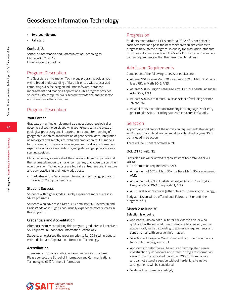# **Geoscience Information Technology**

- **• Two-year diploma**
- **• Fall start**

#### **Contact Us**

School of Information and Communication Technologies Phone: 403.210.5753 Email: expt-info@sait.ca

## Program Description

The Geoscience Information Technology program provides you with a broad understanding of Earth Sciences with specialized computing skills focusing on industry software, database management and mapping applications. This program provides students with computer skills geared towards the energy sector and numerous other industries.

## Program Description

### **Your Career**

Graduates may find employment as a geoscience, geological or geophysical technologist, applying your expertise in the areas of geological processing and interpretation, computer mapping of geographic variables, manipulation of geophysical data, integration of geological and geophysical data and production of 3-D models for the reservoir. There is a growing market for digital information experts to work as assistants to geologists and geophysicists as a starting position.

Many technologists may start their career in large companies and then ultimately move to smaller companies, or choose to start their own operation. Technologists are typically entrepreneurial in nature and very practical in their knowledge base.

• Graduates of the Geoscience Information Technology program have an 88% employment rate.

#### **Student Success**

Students with higher grades usually experience more success in SAIT's programs.

Students who have taken Math 30, Chemistry 30, Physics 30 and Basic Windows in High School usually experience more success in this program.

#### **Credentials and Accreditation**

After successfully completing this program, graduates will receive a SAIT diploma in Geoscience Information Technology.

Students who started the program prior to fall 2014 will graduate with a diploma in Exploration Information Technology.

#### **Accreditation**

There are no formal accreditation arrangements at this time. Please contact the School of Information and Communications Technologies (ICT) for more information.

### Progression

Students must attain a PGPA and/or a CGPA of 2.0 or better in each semester and pass the necessary prerequisite courses to progress through the program. To qualify for graduation, students must pass all courses, attain a CGPA of 2.0 or better and complete course requirements within the prescribed timelines.

### Admission Requirements

Completion of the following courses or equivalents:

- At least 50% in Pure Math 30, or at least 55% in Math 30-1, or at least 75% in Math 30-2, AND,
- At least 50% in English Language Arts 30-1 or English Language Arts 30-2, AND,
- At least 50% in a minimum 20-level science (excluding Science 24 and 26).
- All applicants must demonstrate English Language Proficiency prior to admission, including students educated in Canada.

### Selection

Applications and proof of the admission requirements (transcripts and/or anticipated final grades) must be submitted by June 30 to be included in selection.

There will be 32 seats offered in fall.

#### **Oct. 21 to Feb. 15**

Early admission will be offered to applicants who have achieved or will achieve:

- The admission requirements, AND,
- A minimum of 65% in Math 30-1 or Pure Math 30 or equivalent, AND,
- A minimum of 60% in English Language Arts 30-1 or English Language Arts 30-2 or equivalent, AND,
- A 30-level science course (either Physics, Chemistry, or Biology).

Early admission will be offered until February 15 or until the program is full.

#### **March 2 to June 30**

#### **Selection is ongoing**

- Applicants who do not qualify for early admission, or who qualify after the early admission deadline has passed, will be academically ranked according to admission requirements and sent an email with selection information.
- Selection will begin on March 2 and will occur on a continuous basis until the program is full.
- Applicants in selection will be required to complete a career investigation questionnaire and attend a program information session. If you are located more than 200 km from Calgary and cannot attend a session without hardship, alternative arrangements will be considered.
- Seats will be offered accordingly.

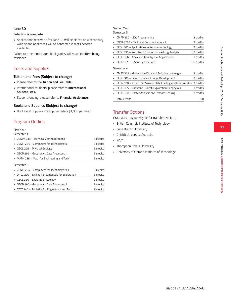#### **June 30**

#### **Selection is complete**

• Applications received after June 30 will be placed on a secondary waitlist and applicants will be contacted if seats become available.

Failure to meet anticipated final grades will result in offers being rescinded.

## Costs and Supplies

### **Tuition and Fees (Subject to change)**

- Please refer to the **Tuition and Fee Table.**
- International students, please refer to **International Student Fees.**
- Student funding, please refer to **Financial Assistance.**

### **Books and Supplies (Subject to change)**

• Books and Supplies are approximately \$1,000 per year.

## Program Outline

#### First Year

### Semester 1

| • COMM 238 – Technical Communications L      | 3 credits |
|----------------------------------------------|-----------|
| • COMP 274 - Computers for Technologists I   | 3 credits |
| GEOL 225 - Physical Geology                  | 3 credits |
| GEOP 295 - Geophysics Data Processes I       | 3 credits |
| • MATH 238 – Math for Engineering and Tech I | 3 credits |
|                                              |           |

#### Semester 2

| COMP 284 - Computers for Technologists II          | 3 credits |
|----------------------------------------------------|-----------|
| • DRLG 220 - Drilling Fundamentals for Exploration | 3 credits |
| • GEOL 380 – Exploration Geology                   | 3 credits |
| GEOP 296 - Geophysics Data Processes II            | 3 credits |
| • STAT 245 - Statistics for Engineering and Tech I | 3 credits |

## Second Year

### Semester 3

| • CMPP 230 - SQL Programming                                           | 3 credits   |
|------------------------------------------------------------------------|-------------|
| COMM 288 - Technical Communications II                                 | 3 credits   |
| GEOL 306 - Applications in Petroleum Geology                           | 3 credits   |
| GEOL 390 - Petroleum Exploration Well Log Analysis                     | 1.5 credits |
| GEOP 396 - Advanced Geophysical Applications                           | 3 credits   |
| GEOS 301 – GIS for Geosciences                                         | 1.5 credits |
| Semester 4                                                             |             |
| • CMPS 359 – Geoscience Data and Scripting Languages                   | 3 credits   |
| GEOL 386 - Case Studies in Energy Development                          | 3 credits   |
| GEOP 350 - 2D and 3D Seismic Data Loading and Interpretation 3 credits |             |
| GEOP 355 - Capstone Project: Exploration Geophysics                    | 3 credits   |
| GEOS 350 - Raster Analysis and Remote Sensing                          | 3 credits   |
| <b>Total Credits</b>                                                   | 60          |

## Transfer Options

Graduates may be eligible for transfer credit at:

- British Columbia Institute of Technology • Cape Breton University
- Griffith University, Australia
- NAIT
- Thompson Rivers University
- University of Ontario Institute of Technology

**95**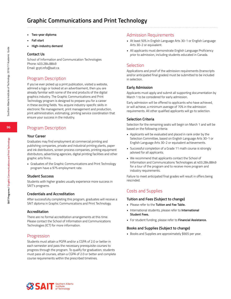# **Graphic Communications and Print Technology**

- **• Two-year diploma**
- **• Fall start**
- **• High-industry demand**

#### **Contact Us**

School of Information and Communication Technologies Phone: 403.284.8849 Email: gcpt.info@sait.ca

## Program Description

If you've ever picked up a print publication, visited a website, admired a logo or looked at an advertisement, then you are already familiar with some of the end products of the digital graphics industry. The Graphic Communications and Print Technology program is designed to prepare you for a career in these exciting fields. You acquire industry-specific skills in electronic file management, print management and production, print administration, estimating, printing service coordination that ensure your success in the industry.

## Program Description

#### **Your Career**

Graduates may find employment at commercial printing and publishing companies, private and industrial printing plants, paper and ink distributors, screen process companies, printing equipment distributors, advertising agencies, digital printing facilities and other graphic arts firms.

• Graduates of the Graphic Communications and Print Technology program have a 97% employment rate.

#### **Student Success**

Students with higher grades usually experience more success in SAIT's programs.

#### **Credentials and Accreditation**

After successfully completing this program, graduates will receive a SAIT diploma in Graphic Communications and Print Technology.

#### **Accreditation**

There are no formal accreditation arrangements at this time. Please contact the School of Information and Communications Technologies (ICT) for more information.

### Progression

Students must attain a PGPA and/or a CGPA of 2.0 or better in each semester and pass the necessary prerequisite courses to progress through the program. To qualify for graduation, students must pass all courses, attain a CGPA of 2.0 or better and complete course requirements within the prescribed timelines.

### Admission Requirements

- At least 50% in English Language Arts 30-1 or English Language Arts 30-2 or equivalent.
- All applicants must demonstrate English Language Proficiency prior to admission, including students educated in Canada.

## Selection

Applications and proof of the admission requirements (transcripts and/or anticipated final grades) must be submitted to be included in selection.

### **Early Admission**

Applicants must apply and submit all supporting documentation by March 1 to be considered for early admission.

Early admission will be offered to applicants who have achieved, or will achieve, a minimum average of 70% in the admission requirements. All other qualified applicants will go to selection.

### **Selection Criteria**

Selection for the remaining seats will begin on March 1 and will be based on the following criteria:

- Applicants will be evaluated and placed in rank order by the Selection Committee, based on English Language Arts 30-1 or English Language Arts 30-2 or equivalent achievements.
- Successful completion of a Grade 11 math course is strongly advised for all applicants.
- We recommend that applicants contact the School of Information and Communications Technologies at 403.284.8849 for a tour of the program and to receive more program and industry requirements.

Failure to meet anticipated final grades will result in offers being rescinded.

## Costs and Supplies

#### **Tuition and Fees (Subject to change)**

- Please refer to the **Tuition and Fee Table.**
- International students, please refer to **International Student Fees.**
- For student funding, please refer to **Financial Assistance.**

#### **Books and Supplies (Subject to change)**

• Books and Supplies are approximately \$665 per year.



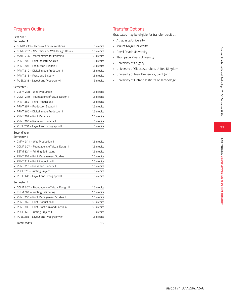## Program Outline

### First Year

#### Semester 1

| • COMM 238 - Technical Communications I      | 3 credits   |
|----------------------------------------------|-------------|
| • COMP 267 – MS Office and Web Design Basics | 1.5 credits |
| • MATH 206 - Mathematics for Printers I      | 1.5 credits |
| • PRNT 203 - Print Industry Studies          | 3 credits   |
| • PRNT 207 - Production Support I            | 1.5 credits |
| • PRNT 210 - Digital Image Production I      | 1.5 credits |
| • PRNT 216 - Press and Bindery I             | 1.5 credits |
| • PUBL 218 - Layout and Typography I         | 3 credits   |
|                                              |             |

#### Semester 2

| • CMPN 278 - Web Production I               | 1.5 credits |
|---------------------------------------------|-------------|
| • COMP 270 – Foundations of Visual Design I | 1.5 credits |
| • PRNT 252 - Print Production I             | 1.5 credits |
| • PRNT 257 – Production Support II          | 1.5 credits |
| • PRNT 260 - Digital Image Production II    | 1.5 credits |
| • PRNT 262 – Print Materials                | 1.5 credits |
| • PRNT 266 - Press and Bindery II           | 3 credits   |
| • PUBL 258 - Layout and Typography II       | 3 credits   |

#### Second Year

| Semester |  |  |  |
|----------|--|--|--|
|          |  |  |  |

| CMPN 341 - Web Production II                | 1.5 credits |
|---------------------------------------------|-------------|
| COMP 307 - Foundations of Visual Design II  | 1.5 credits |
| ESTM 324 - Printing Estimating I            | 1.5 credits |
| PRNT 303 - Print Management Studies I       | 1.5 credits |
| PRNT 312 - Print Production II              | 1.5 credits |
| PRNT 316 – Press and Bindery III            | 1.5 credits |
| PROJ 326 – Printing Project I               | 3 credits   |
| PUBL 328 - Layout and Typography III        | 3 credits   |
| Semester 4                                  |             |
| COMP 357 - Foundations of Visual Design III | 1.5 credits |
| ESTM 364 - Printing Estimating II           | 1.5 credits |
| PRNT 353 - Print Management Studies II      | 1.5 credits |
| PRNT 362 - Print Production III             | 1.5 credits |
| PRNT 385 - Print Practicum and Portfolio    | 1.5 credits |
| PROJ 366 – Printing Project II              | 6 credits   |
| PUBL 368 - Layout and Typography IV         | 1.5 credits |
| <b>Total Credits</b>                        | 61.5        |

## Transfer Options

- 
- 
- 
- 
- 
- Graduates may be eligible for transfer credit at:<br>• Athabasca University<br>• Mount Royal University<br>• Royal Roads University<br>• Thompson Rivers University<br>• University of Calgary<br>• University of Gloucestershire, United Kingdo
- University of New Brunswick, Saint John
- University of Ontario Institute of Technology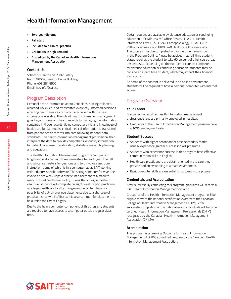# **Health Information Management**

- **• Two-year diploma**
- **• Fall start**
- **• Includes two clinical practica**
- **• Graduates in high demand**
- **• Accredited by the Canadian Health Information Management Association**

#### **Contact Us**

School of Health and Public Safety Room NR502, Senator Burns Building Phone: 403.284.8500 Email: hps.info@sait.ca

### Program Description

Personal health information about Canadians is being collected, recorded, reviewed, and transmitted every day. Informed decisions affecting health services can only be achieved with the best information available. The role of health information management goes beyond managing health records to managing the information contained in those records. Using computer skills and knowledge of healthcare fundamentals, critical medical information is translated from patient health records into data following national data standards. The health information management professional then interprets the data to provide comprehensive quality information for patient care, resource allocation, statistics, research, planning and education.

The Health Information Management program is two years in length and is divided into three semesters for each year. The fall and winter semesters for year one and two involve classroom instruction, some of which is in a computer lab at SAIT working with industry-specific software. The spring semester for year one involves a six-week unpaid practicum placement at a small to medium sized healthcare facility. During the spring semester of year two, students will complete an eight-week unpaid practicum at a large healthcare facility or organization. Note: There is a possibility of out-of-province placements due to a shortage of practicum sites within Alberta. It is also common for placement to be outside the city of Calgary.

Due to the heavy computer component of this program, students are required to have access to a computer outside regular class time.

Certain courses are available by distance education or continuing education – COMP 264 MS Office Basics, HILA 200 Health Information Law 1, PATH 242 Pathophysiology 1, PATH 252 Pathophysiology 2 and PROF 240 Healthcare Professionalism. The courses must be completed within the time frame shown in the Program Outline. Please be advised that full-time student status requires the student to take 60 percent of a full course load per semester. Depending on the number of courses completed by distance education or continuing education, students may be considered a part-time student, which may impact their financial loan status.

As some of the content is delivered in an online environment, students will be required to have a personal computer with Internet access.

## Program Overview

#### **Your Career**

Graduates find work as health information management professionals and are primarily employed in hospitals.

• Graduates of the Health Information Management program have a 100% employment rate.

#### **Student Success**

- Students with higher secondary or post-secondary marks usually experience greater success in SAIT programs.
- Students who experience success in this program have effective communication skills in English.
- Health care practitioners are detail-oriented in the care they provide and enjoy working in a team environment.
- Basic computer skills are essential for success in the program.

#### **Credentials and Accreditation**

After successfully completing this program, graduates will receive a SAIT Health Information Management diploma.

Graduates of the Health Information Management program will be eligible to write the national certification exam with the Canadian College of Health Information Management (CCHIM). After successful completion of the national exam, individuals will become certified Health Information Management Professionals (CHIM) recognized by the Canadian Health Information Management Association (CHIMA).

#### **Accreditation**

This program is a Learning Outcome for Health Information Management (LOHIM) accredited program by the Canadian Health Information Management Association.

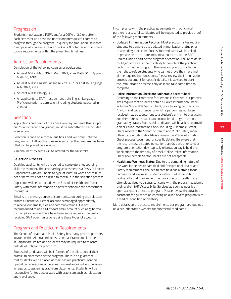**99**

**SAIT Programs / Health Information Management**

SAIT Programs / Health Information Management

## **Progression**

Students must attain a PGPA and/or a CGPA of 2.0 or better in each semester and pass the necessary prerequisite courses to progress through the program. To qualify for graduation, students must pass all courses, attain a CGPA of 2.0 or better and complete course requirements within the prescribed timelines.

## Admission Requirements

Completion of the following courses or equivalents:

- At least 60% in Math 30-1, Math 30-2, Pure Math 30 or Applied Math 30, AND,
- At least 60% in English Language Arts 30-1 or English Language Arts 30-2, AND,
- At least 60% in Biology 30
- All applicants to SAIT must demonstrate English Language Proficiency prior to admission, including students educated in Canada.

## Selection

Applications and proof of the admission requirements (transcripts and/or anticipated final grades) must be submitted to be included in selection.

Selection is done on a continuous basis and will occur until the program is full. All applications received after the program has been filled will be placed on a waitlist.

A minimum of 25 seats will be offered for the fall intake.

### **Selection Process**

Qualified applicants will be required to complete a keyboarding skills assessment. The keyboarding assessment is a Pass/Fail exam – applicants who are unable to type at least 30 words per minute net or better will not be eligible to continue in the selection process.

Applicants will be contacted by the School of Health and Public Safety with more information on how to schedule the assessment through SAIT.

Email is the primary source of communication during the selection process. Ensure your email account is managed appropriately to receive our emails, files and communications. It is not recommended to use a Microsoft email account such as @hotmail. com or @live.com as there have been some issues in the past in receiving SAIT communications using these types of accounts.

## Program and Practicum Requirements

The School of Health and Public Safety has many practica partners located within Alberta and across Canada. Practicum placements in Calgary are limited and students may be required to relocate outside of Calgary for practicum.

Successful candidates will be informed of the allocation of their practicum placement by the program. There is no guarantee that students will be placed at their desired practicum location. Special considerations of personal circumstances will not be given in regards to assigning practicum placements. Students will be responsible for fees associated with practicum such as relocation and travel costs.

In compliance with the practica agreements with our clinical partners, successful candidates will be requested to provide proof of the following requirements:

- **• Updated Immunization Records:** Most practicum sites require students to demonstrate updated immunization status prior to attending practicum. Successful candidates will be asked to provide an up-to-date immunization record to the SAIT Health Clinic as part of the program orientation. Failure to do so could jeopardize a student's ability to complete the practicum portion of his/her program. The receiving practicum site has the right to refuse students who cannot prove they have met all the required immunizations. Please review the immunization process document for specific details. It is advised to start the immunization process early as it can take some time to complete.
- **• Police Information Check and Vulnerable Sector Check:** According to the Protection for Persons in Care Act, our practica sites require that students obtain a Police Information Check including Vulnerable Sector Check, prior to going on practicum. Any criminal code offence for which a pardon has not been received may be a deterrent to a student's entry into practicum, and therefore will result in an uncompleted program or nongraduating status. Successful candidates will be asked to provide a clear Police Information Check including Vulnerable Sector Check record to the School of Health and Public Safety main office by orientation day. Please review the Police Information Check process document for specific details. Be aware that the record must be dated no earlier than 90 days prior to your program orientation day (typically orientation day is held the week prior to the first day of class). Online Police Information Checks/Vulnerable Sector Checks are not acceptable.
- **• Health and Wellness Status:** Due to the demanding nature of the work in the health care field and Occupational Health and Safety requirements, the health care field has a strong focus on health and wellness. Students with a medical condition or disability that may impact them in a practicum setting are strongly advised to discuss concerns with the program academic chair and/or SAIT Accessibility Services as soon as possible upon acceptance into the program. Please review the attached document for guidance on entering an allied health program with a medical condition or disability.

More details on the practica requirements per program are outlined on a pre-orientation website for successful candidates.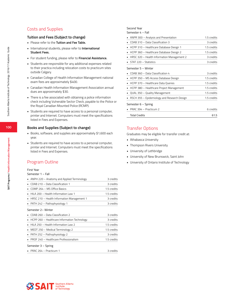## Costs and Supplies

### **Tuition and Fees (Subject to change)**

- Please refer to the **Tuition and Fee Table.**
- International students, please refer to **International Student Fees.**
- For student funding, please refer to **Financial Assistance.**
- Students are responsible for any additional expenses related to their practica including relocation costs to practicum sites outside Calgary.
- Canadian College of Health Information Management national exam fees are approximately \$400.
- Canadian Health Information Management Association annual dues are approximately \$30.
- There is a fee associated with obtaining a police information check including Vulnerable Sector Check, payable to the Police or the Royal Canadian Mounted Police (RCMP).
- Students are required to have access to a personal computer, printer and Internet. Computers must meet the specifications listed in Fees and Expenses.

#### **Books and Supplies (Subject to change)**

- Books, software, and supplies are approximately \$1,600 each year.
- Students are required to have access to a personal computer, printer and Internet. Computers must meet the specifications listed in Fees and Expenses.

## Program Outline

#### First Year

#### Semester 1 – Fall

| ANPH 220 - Anatomy and Applied Terminology   | 3 credits   |
|----------------------------------------------|-------------|
| CDAB 210 - Data Classification 1             | 3 credits   |
| COMP 264 – MS Office Basics                  | 1.5 credits |
| HILA 200 - Health Information Law 1          | 1.5 credits |
| HRSC 210 - Health Information Management 1   | 3 credits   |
| PATH 242 - Pathophysiology 1                 | 3 credits   |
| Semester 2- Winter                           |             |
| CDAB 260 - Data Classification 2             | 3 credits   |
| HCPP 260 - Healthcare Information Technology | 3 credits   |
| HILA 250 - Health Information Law 2          | 1.5 credits |
| MEDT 250 - Medical Terminology 2<br>٠        | 1.5 credits |
| PATH 252 - Pathophysiology 2                 | 3 credits   |
| PROF 240 - Healthcare Professionalism        | 1.5 credits |
| Semester 3 – Spring                          |             |
| $\blacksquare$ PRAC 264 – Practicum 1        | 3 credits   |

#### Second Year

Semester 4 – Fall

| ANPR 300 - Analysis and Presentation        | 1.5 credits |  |
|---------------------------------------------|-------------|--|
| CDAB 310 - Data Classification 3            | 3 credits   |  |
| HCPP 310 - Healthcare Database Design 1     | 1.5 credits |  |
| HCPP 360 - Healthcare Database Design 2     | 1.5 credits |  |
| HRSC 320 - Health Information Management 2  | 3 credits   |  |
| STAT 220 - Statistics                       | 3 credits   |  |
| Semester 5 – Winter                         |             |  |
| CDAB 360 - Data Classification 4            | 3 credits   |  |
| HCPP 350 - MS Access Database Design        | 1.5 credits |  |
| HCPP 370 - Healthcare Data Queries          | 1.5 credits |  |
| HCPP 380 - Healthcare Project Management    | 1.5 credits |  |
| QUAL 350 - Quality Management               | 15 credits  |  |
| RSCH 355 – Epidemiology and Research Design | 1.5 credits |  |
| Semester 6 - Spring                         |             |  |
| PRAC 394 - Practicum 2                      | 6 credits   |  |
| <b>Total Credits</b>                        | 61.5        |  |

### Transfer Options

Graduates may be eligible for transfer credit at:

- Athabasca University
- Thompson Rivers University
- University of Lethbridge
- University of New Brunswick, Saint John
- University of Ontario Institute of Technology

**100**

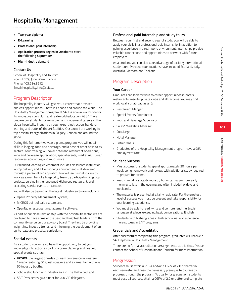# **Hospitality Management**

- **• Two-year diploma**
- **• E-Learning**
- **• Professional paid internship**
- **• Application process begins in October to start the following September**
- **• High-industry demand**

#### **Contact Us**

School of Hospitality and Tourism Room E179, John Ware Building Phone: 403.284.8612 Email: hospitality.info@sait.ca

## Program Description

The hospitality industry will give you a career that provides endless opportunities – both in Canada and around the world. The Hospitality Management program at SAIT is known worldwide for its innovative curriculum and real-world education. At SAIT, we prepare our students for rewarding and in-demand careers in the global hospitality industry through expert instruction, hands-on learning and state-of-the art facilities. Our alumni are working in top hospitality organizations in Calgary, Canada and around the globe.

During this full-time two year diploma program, you will obtain skills in lodging, food and beverage, and a host of other hospitality sectors. Your training will cover hotel and restaurant operations, wine and beverage appreciation, special events, marketing, human resources, accounting and much more.

Our blended learning environment includes classroom instruction, laptop delivery and a live working environment – all delivered through a personalized approach. You will learn what it's like to work as a member of a hospitality team by participating in group projects, serving in the renowned Highwood restaurant, and executing special events on campus.

You will also be trained on the latest industry software including:

- Opera Property Management System,
- MICROS point of sale system, and
- OpenTable restaurant management software.

As part of our close relationship with the hospitality sector, we are privileged to have some of the best and brightest leaders from the community serve on our advisory board. They help by providing insight into industry trends, and informing the development of an up-to-date and practical curriculum.

### **Special events**

As a student, you will also have the opportunity to put your knowledge into action as part of a team planning and hosting special events such as:

- **• HOSPO:** the largest one-day tourism conference in Western Canada featuring 50 guest speakers and a career fair with over 50 industry booths,
- Scholarship lunch and industry gala in The Highwood, and
- SAIT President's gala dinner for 400 VIP delegates.

### **Professional paid internship and study tours**

Between your first and second year of study, you will be able to apply your skills in a professional paid internship. In addition to gaining experience in a real-world environment, internships provide valuable connections and opportunities to network with future employers.

As a student, you can also take advantage of exciting international study tours. Previous tour locations have included Scotland, Italy, Australia, Vietnam and Thailand.

## Program Description

#### **Your Career**

Graduates can look forward to career opportunities in hotels, restaurants, resorts, private clubs and attractions. You may find work locally or abroad as a(n):

- Restaurant Manger
- Special Events Coordinator
- Food and Beverage Supervisor
- Sales/ Marketing Manager
- Concierge
- Hotel Manager
- Entrepreneur
- Graduates of the Hospitality Management program have a 98% employment rate.

### **Student Success**

- Most successful students spend approximately 20 hours per week doing homework and review, with additional study required to prepare for exams.
- Keep in mind hospitality industry hours can range from early morning to late in the evening and often include holidays and weekends.
- The material is presented at a fairly rapid rate. For the greatest level of success you must be present and take responsibility for your learning experience.
- You must be able to read, write and comprehend the English language at a level exceeding basic conversational English.
- Students with higher grades in high school usually experience more success in SAIT programs.

### **Credentials and Accreditation**

After successfully completing this program, graduates will receive a SAIT diploma in Hospitality Management.

There are no formal accreditation arrangements at this time. Please contact the School of Hospitality and Tourism for more information.

## Progression

Students must attain a PGPA and/or a CGPA of 2.0 or better in each semester and pass the necessary prerequisite courses to progress through the program. To qualify for graduation, students must pass all courses, attain a CGPA of 2.0 or better and complete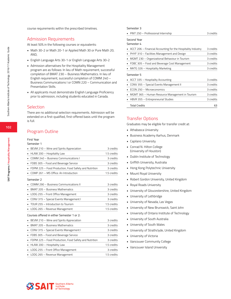course requirements within the prescribed timelines.

### Admission Requirements

At least 50% in the following courses or equivalents:

- Math 30-2 or Math 20-1 or Applied Math 30 or Pure Math 20, AND,
- English Language Arts 30-1 or English Language Arts 30-2
- Admission alternatives for the Hospitality Management program are as follows: In lieu of Math requirement, successful completion of BMAT 230 – Business Mathematics. In lieu of English requirement, successful completion of COMM 240 – Business Communications I or COMN 220 – Communication and Presentation Skills.
- All applicants must demonstrate English Language Proficiency prior to admission, including students educated in Canada.

### Selection

There are no additional selection requirements. Admission will be extended on a first-qualified, first-offered basis until the program is full.

### Program Outline

#### First Year

#### Semester 1

| • BEVM 210 - Wine and Spirits Appreciation                  | 3 credits   |
|-------------------------------------------------------------|-------------|
| HLAW 200 - Hospitality Law<br>$\blacksquare$                | 1.5 credits |
| COMM 240 - Business Communications I                        | 3 credits   |
| FDBS 305 - Food and Beverage Service<br>٠.                  | 3 credits   |
| FDPM 225 - Food Production, Food Safety and Nutrition<br>٠. | 3 credits   |
| COMP 261 – MS Office: An Introduction                       | 1.5 credits |
| Semester 2                                                  |             |
| COMM 290 - Business Communications II                       | 3 credits   |
| BMAT 205 - Business Mathematics                             | 3 credits   |
| LODG 255 - Front Office Management                          | 3 credits   |
| CONV 315 - Special Events Management I                      | 3 credits   |
| TOUR 255 – Introduction to Tourism                          | 1.5 credits |
| LODG 265 - Revenue Management                               | 1.5 credits |
|                                                             |             |

#### Courses offered in either Semester 1 or 2:

| • BEVM 210 - Wine and Spirits Appreciation              | 3 credits   |
|---------------------------------------------------------|-------------|
| • BMAT 205 - Business Mathematics                       | 3 credits   |
| CONV 315 - Special Events Management I                  | 3 credits   |
| • FDBS 305 - Food and Beverage Service                  | 3 credits   |
| • FDPM 225 - Food Production, Food Safety and Nutrition | 3 credits   |
| - HLAW 200 - Hospitality Law                            | 1.5 credits |
| • LODG 255 - Front Office Management                    | 3 credits   |
| • LODG 265 - Revenue Management                         | 1.5 credits |

#### Semester 3

| • PINT 250 - Professional Internship                         | 3 credits |
|--------------------------------------------------------------|-----------|
| Second Year                                                  |           |
| Semester 4                                                   |           |
| ACCT 206 – Financial Accounting for the Hospitality Industry | 3 credits |
| PHYF 310 – Facilities Management and Design                  | 3 credits |
| MGMT 230 - Organizational Behaviour in Tourism               | 3 credits |
| FDBC 305 – Food and Beverage Cost Management                 | 3 credits |
| MKTG 326 - Hospitality Marketing                             | 3 credits |
| Semester 5                                                   |           |
| ACCT 335 - Hospitality Accounting                            | 3 credits |
| CONV 355 - Special Events Management II                      | 3 credits |
| ECON 250 - Microeconomics                                    | 3 credits |
| MGMT 365 - Human Resource Management in Tourism              | 3 credits |
| HBVR 355 - Entrepreneurial Studies                           | 3 credits |
| <b>Total Credits</b>                                         | 63        |

## Transfer Options

Graduates may be eligible for transfer credit at:

- Athabasca University
- Business Academy Aarhus, Denmark
- Capilano University
- Conrad N. Hilton College (University of Houston)
- Dublin Institute of Technology
- Griffith University, Australia
- Hong Kong Polytechnic University
- Mount Royal University
- Robert Gordon University, United Kingdom
- Royal Roads University
- University of Gloucestershire, United Kingdom
- University of Lethbridge
- University of Nevada, Las Vegas
- University of New Brunswick, Saint John
- University of Ontario Institute of Technology
- University of South Australia
- University of South Wales
- University of Strathclyde, United Kingdom
- University of Victoria
- Vancouver Community College
- Vancouver Island University

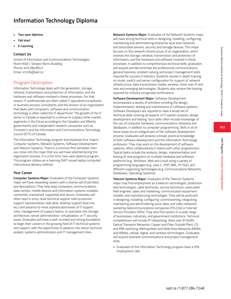- **• Two-year diploma**
- **• Fall start**
- **• E-Learning**

### **Contact Us**

School of Information and Communications Technologies Room N401, Senator Burns Building Phone: 403.284.8543 Email: ict.info@sait.ca

## Program Description

Information Technology deals with the generation, storage, retrieval, transmission and protection of information, and the hardware and software involved in these processes. For that reason, IT professionals are often called IT specialists/consultants or business process consultants, and the division of an organization that deals with computers, software and communication technology is often called the IT department. The growth of the IT sector in Canada is expected to continue to outpace other market segments in the future according to the Canadian and Alberta governments and independent research companies such as Forrester's and the Information and Communications Technology Council (ICTC) of Canada.

The Information Technology program encompasses four majors: Computer Systems, Network Systems, Software Development and Telecom Systems. There is a common first semester, then you move into the major that you will have selected during the registration process. It is a full-time, two-year diploma program. This program utilizes an e-learning (SAIT issued laptop computer) instructional delivery method.

### **Your Career**

**Computer Systems Major:** Graduates of the Computer Systems major will have rewarding careers with a diverse set of job titles and descriptions. They help keep computers, communications, data centres, mobile devices and information systems installed, connected, maintained, supported and secure. Graduates will often start in entry-level technical support roles (customer support representative, help desk, desktop support level one, etc.) and advance to more sophisticated levels of IT support roles, management of support teams; or specialize into storage architecture, server administration, virtualization; or IT security areas. Graduates will have a well-rounded and strong foundation to begin their careers in the growing field of IT technical systems and support, with the opportunity to advance into senior technical analyst, systems administration and IT management roles.

**Network Systems Major:** Graduates of the Network Systems major will have strong technical skills in designing, installing, configuring, maintaining and administering enterprise local area networks and associated servers, security and storage devices. This major focuses on the network infrastructure of an organization, which involves the storage, retrieval, transmission and protection of information, and the hardware and software involved in these processes. In addition to comprehensive technical skills, graduates will acquire and demonstrate the professional communications, general business, problem solving and project management skills required for success in industry. Students receive in depth training on router, switch and server configuration for support of network infrastructure, data transmission media, wireless, Voice over IP and new and emerging technologies. Students also receive the training required for industry recognized certifications.

**Software Development Major:** Software Development encompasses a variety of activities including the design, implementation, testing and maintenance of software systems. Software Developers are required to have a broad set of technical skills covering all aspects of IT system analysis, design, development and testing. Such skills often include knowledge of the use of computer hardware, communications networks and databases, in addition to computer programming. Skills in all of these areas are an integral part of the software development process. Graduates will possess a broad, practical knowledge of both software development and the Information Technology profession. They may work on the development of software systems, often collaboratively in teams with other programmers. Typical tasks include the analysis, design, implementation and testing of new programs on multiple hardware and software platforms (e.g., Windows, Web and Linux) using a variety of programming languages (e.g., Java, C, PHP, XML, PL/SQL) and different supporting technologies (e.g. Communications Networks, Databases, Operating Systems).

**Telecom Systems Major:** Graduates of the Telecom Systems major may find employment as a telecom technologist, production test technologist, cable technician, service technician, associated field engineer, sales and marketing, communication equipment installer and manufacturing technologist. They will be proficient in designing, installing, configuring, commissioning, integrating, maintaining and administering voice, data, and video networks owned by telecommunications companies (TELCOs) or Internet Service Providers (ISPs). They also find careers in a wide range of businesses, industries, and government institutions. Technical competencies will include IP networking, Voice over IP (VoIP), Optical Transport Networks, Copper and Fiber Outside Plant, CO and PBX switching, Metropolitan and Wide Area Networks (MANs and WANs), cellular, digital, and wireless technologies. Graduates will acquire business communications and project management skills.

• Graduates of the Information Technology program have a 93% employment rate.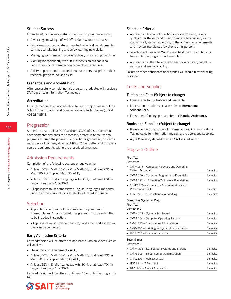### **Student Success**

Characteristics of a successful student in this program include:

- A working knowledge of MS Office Suite would be an asset.
- Enjoy keeping up-to-date on new technological developments, continue to take training and enjoy learning new skills.
- Managing your time and work effectively while facing deadlines.
- Working independently with little supervision but can also perform as a vital member of a team of professionals.
- Ability to pay attention to detail and take personal pride in their technical problem-solving skills.

### **Credentials and Accreditation**

After successfully completing this program, graduates will receive a SAIT diploma in Information Technology.

#### **Accreditation**

For information about accreditation for each major, please call the School of Information and Communications Technologies (ICT) at 403.284.8543.

#### Progression

Students must attain a PGPA and/or a CGPA of 2.0 or better in each semester and pass the necessary prerequisite courses to progress through the program. To qualify for graduation, students must pass all courses, attain a CGPA of 2.0 or better and complete course requirements within the prescribed timelines.

### Admission Requirements

Completion of the following courses or equivalents:

- At least 50% in Math 30-1 or Pure Math 30, or at least 60% in Math 30-2 or Applied Math 30, AND,
- At least 55% in English Language Arts 30-1, or at least 60% in English Language Arts 30-2.
- All applicants must demonstrate English Language Proficiency prior to admission, including students educated in Canada.

### **Selection**

- Applications and proof of the admission requirements (transcripts and/or anticipated final grades) must be submitted to be included in selection.
- All applicants must provide a current, valid email address where they can be contacted.

#### **Early Admission Criteria**

Early admission will be offered to applicants who have achieved or will achieve:

- The admission requirements, AND,
- At least 60% in Math 30-1 or Pure Math 30, or at least 70% in Math 30-2 or Applied Math 30, AND,
- At least 65% in English Language Arts 30-1, or at least 70% in English Language Arts 30-2.

Early admission will be offered until Feb. 15 or until the program is full.



#### **Selection Criteria**

- Applicants who do not qualify for early admission, or who qualify after the early admission deadline has passed, will be academically ranked according to the admission requirements and may be interviewed (by phone or in-person).
- Selection will begin on March 2 and be done on a continuous basis until the program has been filled.
- Applicants will then be offered a seat or waitlisted, based on ranking and seat availability.

Failure to meet anticipated final grades will result in offers being rescinded.

### Costs and Supplies

#### **Tuition and Fees (Subject to change)**

- Please refer to the **Tuition and Fee Table.**
- International students, please refer to **International Student Fees.**
- For student funding, please refer to **Financial Assistance.**

#### **Books and Supplies (Subject to change)**

- Please contact the School of Information and Communications Technologies for information regarding the books and supplies.
- A \$400 security deposit to use a SAIT issued laptop.

### Program Outline

#### First Year

Semester 1

| • CMPH 211 – Computer Hardware and Operating                                               |             |
|--------------------------------------------------------------------------------------------|-------------|
| System Essentials                                                                          | 3 credits   |
| • CMPP 269 - Computer Programming Essentials                                               | 3 credits   |
| • CMPS 237 – Information Technology Foundations                                            | 3 credits   |
| COMM 256 - Professional Communications and<br>$\blacksquare$<br><b>Presentation Skills</b> | 3 credits   |
| • CPNT 220 – Introduction to Networking                                                    | 3 credits   |
| <b>Computer Systems Major</b><br>First Year<br>Semester 2                                  |             |
| • CMPH 252 - Systems Hardware I                                                            | 3 credits   |
| • CMPS 254 - Computer Operating Systems                                                    | 3 credits   |
| - CMDC 275 Client Corver Administration                                                    | $2$ crodite |

| • CMPS 275 – Client-Server Administration        | 3 credits |
|--------------------------------------------------|-----------|
| • CPRG 260 - Scripting for System Administrators | 3 credits |
| $\blacksquare$ HREL 250 – Business Dynamics      | 3 credits |

Second Year

#### Semester 3

| • CMPH 308 - Data Center Systems and Storage | 3 credits |
|----------------------------------------------|-----------|
| • CMPS 305 - Server Service Administration   | 3 credits |
| $\blacksquare$ CPRG 302 – Web Essentials     | 3 credits |
| ITSC 311 - IT Security I                     | 3 credits |
| • PROJ 304 - Project Preparation             | 3 credits |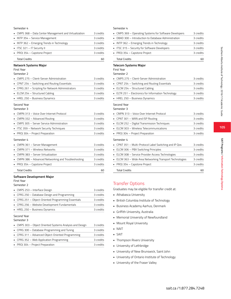#### Semester 4

| • CMPS 368 – Data Center Management and Virtualization | 3 credits |
|--------------------------------------------------------|-----------|
| • INTP 354 - Service Management                        | 3 credits |
| • INTP 362 – Emerging Trends in Technology             | 3 credits |
| ITSC 321 - IT Security II                              | 3 credits |
| • PROJ 354 - Capstone Project                          | 3 credits |
| <b>Total Credits</b>                                   | 60        |

#### **Network Systems Major**

#### First Year

#### Semester 2

| • CMPS 275 - Client-Server Administration         | 3 credits |
|---------------------------------------------------|-----------|
| • CPNT 254 – Switching and Routing Essentials     | 3 credits |
| • CPRG 261 - Scripting for Network Administrators | 3 credits |
| • ELCM 254 - Structured Cabling                   | 3 credits |
| HREL 250 - Business Dynamics                      | 3 credits |

#### Second Year

#### Semester 3

|            | • CMPN 313 – Voice Over Internet Protocol  | 3 credits |
|------------|--------------------------------------------|-----------|
|            | • CMPN 332 – Advanced Routing              | 3 credits |
|            | • CMPS 305 - Server Service Administration | 3 credits |
|            | . ITSC 359 – Network Security Techniques   | 3 credits |
|            | • PROJ 304 – Project Preparation           | 3 credits |
| Semester 4 |                                            |           |
|            | • CMPN 361 – Server Management             | 3 credits |

| • CMPN 361 – Server Management                       | 3 credits |
|------------------------------------------------------|-----------|
| • CMPN 371 - Wireless Networks                       | 3 credits |
| • CMPN 383 - Server Virtualization                   | 3 credits |
| • CMPN 386 – Advanced Networking and Troubleshooting | 3 credits |
| $\blacksquare$ PROJ 354 – Capstone Project           | 3 credits |
| <b>Total Credits</b>                                 | 60        |

#### **Software Development Major**

#### First Year Semester 2

| • CMPS 253 – Interface Design                       | 3 credits |
|-----------------------------------------------------|-----------|
| • CPRG 250 - Database Design and Programming        | 3 credits |
| • CPRG 251 - Object-Oriented Programming Essentials | 3 credits |
| • CPRG 256 - Website Development Fundamentals       | 3 credits |
| • HREL 250 - Business Dynamics                      | 3 credits |

#### Second Year Semester 3

| -----------                                              |           |
|----------------------------------------------------------|-----------|
| • CMPS 303 - Object Oriented Systems Analysis and Design | 3 credits |
| • CPRG 300 - Database Programming and Tuning             | 3 credits |
| • CPRG 311 – Advanced Object-Oriented Programming        | 3 credits |
| • CPRG 352 - Web Application Programming                 | 3 credits |
| • PROJ 304 - Project Preparation                         | 3 credits |

#### Semester 4

| • CMPS 369 - Operating Systems for Software Developers | 3 credits |
|--------------------------------------------------------|-----------|
| • DBAD 300 - Introduction to Database Administration   | 3 credits |
| • INTP 362 – Emerging Trends in Technology             | 3 credits |
| • ITSC 315 - Security for Software Developers          | 3 credits |
| • PROJ 354 - Capstone Project                          | 3 credits |
| <b>Total Credits</b>                                   |           |

#### **Telecom Systems Major**

#### First Year Semester 2

| JEHE SLEIZ                                           |           |  |
|------------------------------------------------------|-----------|--|
| CMPS 275 - Client-Server Administration              | 3 credits |  |
| CPNT 254 - Switching and Routing Essentials          | 3 credits |  |
| ELCM 254 - Structured Cabling                        | 3 credits |  |
| ELTR 251 - Electronics for Information Technology    | 3 credits |  |
| HREL 250 - Business Dynamics                         | 3 credits |  |
| Second Year<br>Semester 3                            |           |  |
| CMPN 313 - Voice Over Internet Protocol              | 3 credits |  |
| CPNT 301 – WAN and ISP Routing                       | 3 credits |  |
| ELCM 252 - Digital Transmission Techniques           | 3 credits |  |
| ELCM 303 - Wireless Telecommunications               | 3 credits |  |
| PROJ 304 - Project Preparation                       | 3 credits |  |
| Semester 4                                           |           |  |
| CPNT 351 - Multi-Protocol Label Switching and IP Qos | 3 credits |  |
| ELCM 306 - PBX Switching Principles                  | 3 credits |  |
|                                                      |           |  |

| • ELCM 308 - Service Provider Access Technologies        | 3 credits |
|----------------------------------------------------------|-----------|
| • ELCM 363 - Wide Area Networking Transport Technologies | 3 credits |
| $\blacksquare$ PROJ 354 – Capstone Project               | 3 credits |
|                                                          |           |

Total Credits 60

## Transfer Options

Graduates may be eligible for transfer credit at:

- Athabasca University
- British Columbia Institute of Technology
- Business Academy Aarhus, Denmark
- Griffith University, Australia
- Memorial University of Newfoundland
- Mount Royal University
- NAIT
- SAIT
- Thompson Rivers University
- University of Lethbridge
- University of New Brunswick, Saint John
- University of Ontario Institute of Technology
- University of the Fraser Valley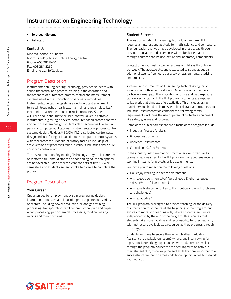- **• Two-year diploma**
- **• Fall start**

#### **Contact Us**

MacPhail School of Energy Room KA440, Johnson-Cobbe Energy Centre Phone: 403.284.8451 Fax: 403.284.8262 Email: energy.info@sait.ca

## Program Description

Instrumentation Engineering Technology provides students with sound theoretical and practical training in the operation and maintenance of automated process control and measurement systems used in the production of various commodities. Instrumentation technologists use electronic test equipment to install, troubleshoot, calibrate, maintain and repair electrical/ electronic measurement and control instruments. Students will learn about pneumatic devices, control valves, electronic instruments, digital logic devices, computer based process controls and control system design. Students also become well versed in personal computer applications in instrumentation, process control systems design, Fieldbus™ SCADA, PLC, distributed control system design and interfacing of industrial microcomputer control systems with real processes. Modern laboratory facilities include pilotscale versions of processes found in various industries and a fully equipped control room.

The Instrumentation Engineering Technology program is currently only offered full-time; distance and continuing education options are not available. Each academic year consists of two 15-week semesters and students generally take two years to complete the program.

## Program Description

#### **Your Career**

Opportunities for employment exist in engineering design, instrumentation sales and industrial process plants in a variety of sectors, including power production, oil and gas refining, processing, transportation, fertilizer production, pulp and paper, wood processing, petrochemical processing, food processing, mining and manufacturing.

#### **Student Success**

The Instrumentation Engineering Technology program (IIET) requires an interest and aptitude for math, science and computers. The foundation that you have developed in these areas through previous education and experience will be further enhanced through courses that include lecture and laboratory components.

Contact time with instructors in lectures and labs is thirty hours per week. The average student is expected to spend about an additional twenty five hours per week on assignments, studying and projects.

A career in Instrumentation Engineering Technology typically includes both office and field work. Depending on someone's particular career path the proportion of office and field exposure can vary significantly. In the IIET program students are exposed to lab work that simulates field activities. This includes using machinery and hand tools to assemble, calibrate and troubleshoot industrial instrumentation components, following safety requirements including the use of personal protective equipment like safety glasses and footwear.

Some of the subject areas that are a focus of the program include:

- Industrial Process Analysis
- Process Instruments
- Analytical Instruments
- Control and Safety Systems

In the industry, instrumentation practitioners will often work in teams of various sizes. In the IIET program many courses require working in teams for projects or lab assignments.

We invite you to reflect on the following questions:

- Do I enjoy working in a team environment?
- Am I a good communicator? Verbal (good English language skills); Written (clear, concise)
- Am I a self-starter who likes to think critically through problems and challenges?
- Am I adaptable?

The IIET program is designed to provide teaching, or the delivery of information to students, at the beginning of the program, but evolves to more of a coaching role, where students learn more independently, by the end of the program. This requires that students take more initiative and responsibility for their learning, with instructors available as a resource, as they progress through the program.

Students will have to secure their own job after graduation. Assistance is available on resumé writing and interviewing for a position. Networking opportunities with industry are available through the program. Students are encouraged to be active in their student club, to develop the soft skills that are important to a successful career and to access additional opportunities to network with industry.

Southern Alberta Institute of Technology 2016/17 Academic Guide

Southern Alberta Institute of Technology 2016/17 Academic Guide

**106**

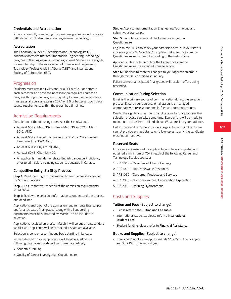#### **Credentials and Accreditation**

After successfully completing this program, graduates will receive a SAIT diploma in Instrumentation Engineering Technology.

#### **Accreditation**

The Canadian Council of Technicians and Technologists (CCTT) nationally accredits the Instrumentation Engineering Technology program at the Engineering Technologist level. Students are eligible for membership in the Association of Science and Engineering Technology Professionals in Alberta (ASET) and International Society of Automation (ISA).

#### **Progression**

Students must attain a PGPA and/or a CGPA of 2.0 or better in each semester and pass the necessary prerequisite courses to progress through the program. To qualify for graduation, students must pass all courses, attain a CGPA of 2.0 or better and complete course requirements within the prescribed timelines.

### Admission Requirements

Completion of the following courses or their equivalents:

- At least 60% in Math 30-1 or Pure Math 30, or 75% in Math 30-2, AND,
- At least 60% in English Language Arts 30-1 or 75% in English Language Arts 30-2, AND,
- At least 60% in Physics 20, AND,
- At least 60% in Chemistry 20.
- All applicants must demonstrate English Language Proficiency prior to admission, including students educated in Canada.

#### **Competitive Entry: Six Step Process**

**Step 1:** Read the program information to see the qualities needed for Student Success

**Step 2:** Ensure that you meet all of the admission requirements listed above

**Step 3:** Review the selection information to understand the process and deadlines

Applications and proof of the admission requirements (transcripts and/or anticipated final grades) along with all supporting documents must be submitted by March 1 to be included in selection.

Applications received on or after March 1 will be put on a secondary waitlist and applicants will be contacted if seats are available.

Selection is done on a continuous basis starting in January.

In the selection process, applicants will be assessed on the following criteria and seats will be offered accordingly.

- Academic Ranking
- Quality of Career Investigation Questionnaire

**Step 4:** Apply to Instrumentation Engineering Technology and submit your transcripts

**Step 5:** Complete and submit the Career Investigation Questionnaire

Log in to mySAIT.ca to check your admission status. If your status indicates you're "In Selection," complete theCareer Investigation Questionnaire and submit it according to the instructions.

Applicants who fail to complete the Career Investigation Questionnaire will be excluded from selection.

**Step 6:** Continue to monitor changes to your application status through mySAIT.ca starting in January.

Failure to meet anticipated final grades will result in offers being rescinded.

#### **Communication During Selection**

Email is the primary source of communication during the selection process. Ensure your personal email account is managed appropriately to receive our emails, files and communications.

Due to the significant number of applications for this program, the selection process can take some time. Every effort will be made to maintain the timelines outlined above. We appreciate your patience.

Unfortunately, due to the extremely large volume of applicants, we cannot provide any assistance or follow-up as to why the candidate was not competitive.

#### **Reserved Seats**

Four seats are reserved for applicants who have completed and obtained a minimum of 70% in each of the following Career and Technology Studies courses:

- 1. PRS1010 Overview of Alberta Geology
- 2. PRS1020 Non-renewable Resources
- 3. PRS1060 Consumer Products and Services
- 4. PRS2030 Non-Conventional Hydrocarbon Exploration
- 5. PRS2060 Refining Hydrocarbons

#### Costs and Supplies

#### **Tuition and Fees (Subject to change)**

- Please refer to the **Tuition and Fee Table.**
- International students, please refer to **International Student Fees.**
- Student funding, please refer to **Financial Assistance.**

#### **Books and Supplies (Subject to change)**

• Books and Supplies are approximately \$1,775 for the first year and \$1,215 for the second year.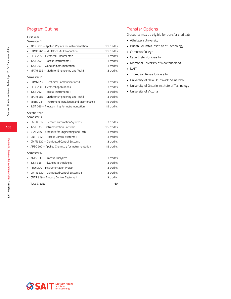### Program Outline

#### First Year

#### Semester 1

|                | APSC 215 - Applied Physics for Instrumentation     | 1.5 credits |
|----------------|----------------------------------------------------|-------------|
|                | COMP 261 - MS Office: An Introduction              | 1.5 credits |
|                | ELEC 256 - Electrical Fundamentals                 | 3 credits   |
|                | INST 202 - Process Instruments I                   | 3 credits   |
| $\blacksquare$ | INST 257 - World of Instrumentation                | 3 credits   |
|                | MATH 238 - Math for Engineering and Tech I         | 3 credits   |
|                | Semester 2                                         |             |
|                | COMM 238 - Technical Communications I              | 3 credits   |
|                | ELEC 258 - Electrical Applications                 | 3 credits   |
|                | INST 262 - Process Instruments II                  | 3 credits   |
|                | MATH 288 - Math for Engineering and Tech II        | 3 credits   |
|                | MNTN 231 - Instrument Installation and Maintenance | 1.5 credits |
|                | INST 265 - Programming for Instrumentation         | 1.5 credits |
|                | Second Year                                        |             |
|                | Semester 3                                         |             |
|                | CMPN 317 - Remote Automation Systems               | 3 credits   |
|                | INST 335 - Instrumentation Software                | 1.5 credits |
|                | STAT 245 - Statistics for Engineering and Tech I   | 3 credits   |
| ٠              | CNTR 322 - Process Control Systems I               | 3 credits   |
|                | CMPN 337 - Distributed Control Systems I           | 3 credits   |
|                | APSC 202 - Applied Chemistry for Instrumentation   | 1.5 credits |
|                | Semester 4                                         |             |
|                | ANLS 330 - Process Analyzers                       | 3 credits   |
| ٠              | INST 345 - Advanced Technologies                   | 3 credits   |
|                | PROJ 370 - Instrumentation Project                 | 3 credits   |
|                | CMPN 330 - Distributed Control Systems II          | 3 credits   |
|                | CNTR 359 - Process Control Systems II              | 3 credits   |

Total Credits 60

### Transfer Options

Graduates may be eligible for transfer credit at:

- Athabasca University
- British Columbia Institute of Technology
- Camosun College
- Cape Breton University
- Memorial University of Newfoundland
- NAIT
- Thompson Rivers University
- University of New Brunswick, Saint John
- University of Ontario Institute of Technology
- University of Victoria

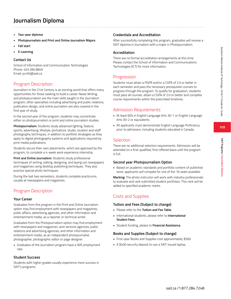**SAIT Programs / Journalism Diploma**

SAIT Programs / Journalism Diploma

# **Journalism Diploma**

- **• Two-year diploma**
- **• Photojournalism and Print and Online Journalism Majors**
- **• Fall start**
- **• E-Learning**

#### **Contact Us**

School of Information and Communication Technologies Phone: 403.284.8849 Email: ja.info@sait.ca

### Program Description

Journalism in the 21st Century is an exciting world that offers many opportunities for those seeking to build a career. News Writing, and photojournalism are the main skills taught in the Journalism program; other specialties including advertising and public relations, publication design, and online journalism are also covered in the first year of study.

In the second year of the program, students may concentrate either on photojournalism or print and online journalism studies.

**Photojournalism:** Students study advanced lighting, feature, sports, advertising, lifestyle, portraiture, studio, location and staff photography techniques, in addition to portfolio strategies as they apply to digital photography systems and applications required by print media publications.

Students secure their own placements, which are approved by the program, to complete a 4-week work experience internship.

**Print and Online Journalism:** Students study professional techniques of writing, editing, designing, and laying out newspapers and magazines using desktop publishing techniques. They also practice special photo techniques.

During the last two semesters, students complete practicums, usually at newspapers and magazines.

### Program Description

#### **Your Career**

Graduates from this program in the Print and Online Journalism option may find employment with newspapers and magazines, public affairs, advertising agencies, and other information and entertainment media, as a reporter or technical writer.

Graduates from the Photojournalism option may find employment with newspapers and magazines, wire services agencies, public relations and advertising agencies, and other information and entertainment media, as an independent photojournalist, photographer, photographic editor or page designer.

• Graduates of the Journalism program have a 90% employment rate.

#### **Student Success**

Students with higher grades usually experience more success in SAIT's programs.

#### **Credentials and Accreditation**

After successfully completing this program, graduates will receive a SAIT diploma in Journalism with a major in Photojournalism.

#### **Accreditation**

There are no formal accreditation arrangements at this time. Please contact the School of Information and Communications Technologies (ICT) for more information.

### **Progression**

Students must attain a PGPA and/or a CGPA of 2.0 or better in each semester and pass the necessary prerequisite courses to progress through the program. To qualify for graduation, students must pass all courses, attain a CGPA of 2.0 or better and complete course requirements within the prescribed timelines.

### Admission Requirements

- At least 60% in English Language Arts 30-1 or English Language Arts 30-2 or equivalents.
- All applicants must demonstrate English Language Proficiency prior to admission, including students educated in Canada.

### Selection

There are no additional selection requirements. Admission will be extended on a first-qualified, first-offered basis until the program is full.

#### **Second year Photojournalism Option**

• Based on academic standards and portfolio content of published work, applicants will compete for one of the 16 seats available.

**Marking:** The photo instructor will work with industry professionals to evaluate and rank submitted student portfolios. This rank will be added to specified academic marks.

### Costs and Supplies

#### **Tuition and Fees (Subject to change)**

- Please refer to the **Tuition and Fee Table.**
- International students, please refer to **International Student Fees.**
- Student funding, please to **Financial Assistance.**

#### **Books and Supplies (Subject to change)**

- First-year Books and Supplies cost approximately \$500.
- A \$400 security deposit to use a SAIT issued laptop.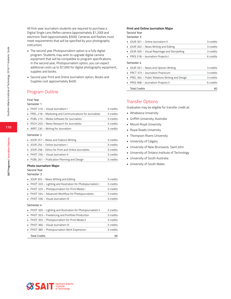All first-year Journalism students are required to purchase a Digital Single Lens Reflex camera (approximately \$1,200) and electronic flash (approximately \$500). Cameras and flashes must meet requirements that will be specified by your photography instructors.

- The second year Photojournalism option is a fully digital program. Students may wish to upgrade digital camera equipment that will be compatible to program specifications. In the second year, Photojournalism option, you can expect additional costs up to \$7,000 for digital photography equipment, supplies and books.
- Second year Print and Online Journalism option, Books and Supplies cost approximately \$400.

### Program Outline

#### First Year

#### Semester 1

| • PHOT 216 - Visual Journalism I                          | 3 credits |
|-----------------------------------------------------------|-----------|
| • PREL 218 - Marketing and Communications for Journalists | 3 credits |
| • PUBL 210 - Media Software for Journalists               | 3 credits |
| • RSCH 203 - News Research for Journalists                | 3 credits |
| • WRIT 230 - Writing for Journalism                       | 3 credits |
|                                                           |           |

#### Semester 2

| • JOUR 251 - News and Feature Writing                | 3 credits |
|------------------------------------------------------|-----------|
| • JOUR 254 - Online Journalism I                     | 3 credits |
| • JOUR 258 – Ethics for Print and Online Journalists | 3 credits |
| • PHOT 256 - Visual lournalism II                    | 3 credits |
| • PUBL 261 – Publication Planning and Design         | 3 credits |

#### **Photo Journalism Major**

#### Second Year

Semester 3

| • JOUR 302 – News Writing and Editing                         | 3 credits |
|---------------------------------------------------------------|-----------|
| • PHOT 320 – Lighting and Illustration for Photojournalists I | 3 credits |
| PHOT 325 - Photojournalism for Print Media I                  | 3 credits |
| • PHOT 334 - Advanced Workflow for Photojournalists           | 3 credits |
| • PHOT 336 - Visual Journalism III                            | 3 credits |
| Semester 4                                                    |           |
|                                                               |           |
| PHOT 350 – Lighting and Illustration for Photojournalists II  | 3 credits |
| PHOT 353 - Freelancing and Portfolio Production               | 3 credits |
| • PHOT 355 - Photojournalism for Print Media II               | 3 credits |
| PHOT 366 - Visual Journalism IV                               | 3 credits |
| PHOT 385 - Photojournalism Work Experience                    | 3 credits |

#### **Print and Online Journalism Major**

#### Second Year Semester 3

| • IOUR 301 - Online Iournalism II                | 3 credits |
|--------------------------------------------------|-----------|
| • JOUR 302 – News Writing and Editing            | 3 credits |
| • JOUR 305 - Visual Reportage and Storytelling   | 3 credits |
| • PROJ 318 – Journalism Projects I               | 6 credits |
| Semester 4                                       |           |
| • JOUR 357 – News and Opinion Writing            | 3 credits |
| • PRCT 375 - Journalism Practicum                | 3 credits |
| • PREL 364 – Public Relations Writing and Design | 3 credits |
| • PROJ 368 - Journalism Projects II              | 6 credits |
| <b>Total Credits</b>                             | 60        |
|                                                  |           |

#### Transfer Options

Graduates may be eligible for transfer credit at:

- Athabasca University
- Griffith University, Australia
- Mount Royal University
- Royal Roads University
- Thompson Rivers University
- **University of Calgary**
- University of New Brunswick, Saint John
- University of Ontario Institute of Technology
- University of South Australia
- University of South Wales

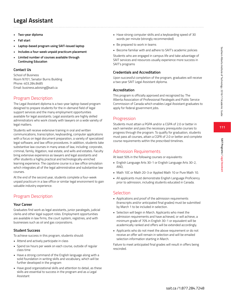# **Legal Assistant**

- **• Two-year diploma**
- **• Fall start**
- **• Laptop-based program using SAIT-issued laptop**
- **• Includes a four-week unpaid practicum placement**
- **• Limited number of courses available through Continuing Education**

#### **Contact Us**

School of Business Room N701, Senator Burns Building Phone: 403.284.8485 Email: business.advising@sait.ca

### Program Description

The Legal Assistant diploma is a two-year laptop-based program designed to prepare students for the in-demand field of legal support services and the many employment opportunities available for legal assistants. Legal assistants are highly skilled administrators who work closely with lawyers on a wide variety of legal matters.

Students will receive extensive training in oral and written communications, transcription, keyboarding, computer applications with a focus on legal document preparation, a variety of specialized legal software, and law office procedures. In addition, students take substantive law courses in many areas of law, including: corporate, criminal, family, litigation, real estate, and wills and estates. Faculty bring extensive experience as lawyers and legal assistants and offer students a highly practical and technologically-enriched learning experience. The capstone course is a law office simulation which integrates all of the legal administrative and substantive law courses.

At the end of the second year, students complete a four-week unpaid practicum in a law office or similar legal environment to gain valuable industry experience.

### Program Description

#### **Your Career**

Graduates find work as legal assistants, junior paralegals, judicial clerks and other legal support roles. Employment opportunities are available in law firms, the court system, registries, and with businesses such as oil and gas corporations.

#### **Student Success**

To achieve success in this program, students should:

- Attend and actively participate in class
- Spend six hours per week on each course, outside of regular class time
- Have a strong command of the English language along with a solid foundation in writing skills and vocabulary, which will be further developed in the program
- Have good organizational skills and attention to detail, as these skills are essential to success in the program and as a Legal Assistant
- Have strong computer skills and a keyboarding speed of 30 words per minute (strongly recommended)
- Be prepared to work in teams
- Become familiar with and adhere to SAIT's academic policies

Students who are engaged in campus life and take advantage of SAIT services and resources usually experience more success in SAIT's programs

#### **Credentials and Accreditation**

Upon successful completion of the program, graduates will receive a two year SAIT Legal Assistant diploma.

#### **Accreditation**

This program is officially approved and recognized by: The Alberta Association of Professional Paralegals and Public Service Commission of Canada which enables Legal Assistant graduates to apply for federal government jobs.

### Progression

Students must attain a PGPA and/or a CGPA of 2.0 or better in each semester and pass the necessary prerequisite courses to progress through the program. To qualify for graduation, students must pass all courses, attain a CGPA of 2.0 or better and complete course requirements within the prescribed timelines.

### Admission Requirements

At least 50% in the following courses or equivalents:

- English Language Arts 30-1 or English Language Arts 30-2, AND,
- Math 10C or Math 20-3 or Applied Math 10 or Pure Math 10.
- All applicants must demonstrate English Language Proficiency prior to admission, including students educated in Canada.

### **Selection**

- Applications and proof of the admission requirements (transcripts and/or anticipated final grades) must be submitted by March 1 to be included in selection.
- Selection will begin in March. Applicants who meet the admission requirements and have achieved, or will achieve, a minimum grade of 70% in English 30-1 or equivalent will be academically ranked and offers will be extended accordingly.
- Applicants who do not meet the above requirement or do not receive an offer will remain in selection and will be emailed selection information starting in March.

Failure to meet anticipated final grades will result in offers being rescinded.

**SAIT Programs / Legal Assistant**

SAIT Programs / Legal Assistan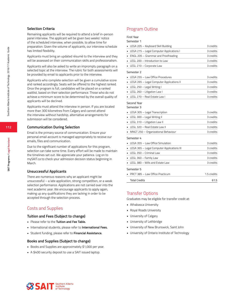#### **Selection Criteria**

Remaining applicants will be required to attend a brief in-person panel interview. The applicant will be given two weeks' notice of the scheduled interview, when possible, to allow time for preparation. Given the volume of applicants, our interview schedule has limited flexibility.

Applicants must bring an updated résumé to the interview and they will be assessed on their communication skills and professionalism.

Applicants will also be asked to write an impromptu paragraph on a selected topic at the interview. The rubric for both assessments will be provided by email to applicants prior to the interview.

Applicants who complete selection will be given a cumulative score and ranked accordingly. Seats will be offered to the highest ranked. Once the program is full, candidates will be placed on a ranked waitlist, based on their selection performance. Those who do not achieve a minimum score to be determined by the overall quality of applicants will be declined.

Applicants must attend the interview in person. If you are located more than 300 kilometres from Calgary and cannot attend the interview without hardship, alternative arrangements for submission will be considered.

#### **Communication During Selection**

Email is the primary source of communication. Ensure your personal email account is managed appropriately to receive our emails, files and communication.

Due to the significant number of applications for this program, selection can take some time. Every effort will be made to maintain the timelines set out. We appreciate your patience. Log on to mySAIT.ca to check your admission decision status beginning in March.

#### **Unsuccessful Applicants**

There are numerous reasons why an applicant might be unsuccessful – a late application, strong competition, or a weak selection performance. Applications are not carried over into the next academic year. We encourage applicants to apply again, making up any qualifications they are lacking in order to be accepted through the selection process.

### Costs and Supplies

#### **Tuition and Fees (Subject to change)**

- Please refer to the **Tuition and Fee Table.**
- International students, please refer to **International Fees.**
- Student funding, please refer to **Financial Assistance.**

#### **Books and Supplies (Subject to change)**

- Books and Supplies are approximately \$1,000 per year.
- A \$400 security deposit to use a SAIT issued laptop.

### Program Outline

| First Year |  |
|------------|--|
|------------|--|

| Semester 1 |  |
|------------|--|
|------------|--|

| Semester i                                                 |             |
|------------------------------------------------------------|-------------|
| LEGA 205 - Keyboard Skill Building                         | 3 credits   |
| LEGA 215 - Legal Computer Applications I<br>$\blacksquare$ | 3 credits   |
| ENGL 205 - Grammar and Proofreading                        | 3 credits   |
| LEGL 200 - Introduction to Law                             | 3 credits   |
| LEGL 210 - Corporate Law                                   | 3 credits   |
| Semester 2                                                 |             |
| LEGA 255 - Law Office Procedures                           | 3 credits   |
| LEGA 265 - Legal Computer Applications II                  | 3 credits   |
| LEGL 250 - Legal Writing I<br>٠                            | 3 credits   |
| LEGL 260 - Litigation Law I                                | 3 credits   |
| LEGL 270 - Real Estate Law I                               | 3 credits   |
| Second Year<br>Semester 3                                  | 3 credits   |
| LEGA 305 - Legal Transcription                             |             |
| LEGL 300 - Legal Writing II<br>٠                           | 3 credits   |
| LEGL 310 - Litigation Law II<br>٠                          | 3 credits   |
| LEGL 320 - Real Estate Law II                              | 3 credits   |
| MNGT 250 - Organizational Behaviour                        | 3 credits   |
| Semester 4                                                 |             |
| LEGA 355 - Law Office Simulation                           | 3 credits   |
| LEGA 365 - Legal Computer Applications III                 | 3 credits   |
| LEGL 350 - Criminal Law<br>$\blacksquare$                  | 3 credits   |
| LEGL 360 - Family Law                                      | 3 credits   |
| LEGL 380 - Wills and Estate Law                            | 3 credits   |
| Semester 5                                                 |             |
| PRCT 385 - Law Office Practicum                            | 1.5 credits |
| <b>Total Credits</b>                                       | 61.5        |

#### Transfer Options

Graduates may be eligible for transfer credit at:

- Athabasca University
- Royal Roads University
- University of Calgary
- University of Lethbridge
- University of New Brunswick, Saint John
- University of Ontario Institute of Technology



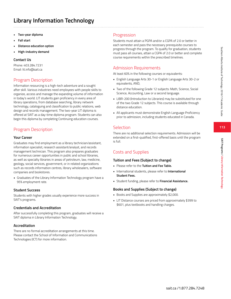**SAIT Programs / Library Information Technology**

SAIT Programs / Library Information Technolog

# **Library Information Technology**

- **• Two-year diploma**
- **• Fall start**
- **• Distance education option**
- **• High-industry demand**

### **Contact Us**

Phone: 403.284.7231 Email: lit.info@sait.ca

### Program Description

Information resourcing is a high-tech adventure and a sought after skill. Various industries need employees with people skills to organize, access and manage the expanding volume of information in today's world. LIT students gain proficiency in every area of library operations, from database searching, library network technology, cataloguing and classification to public relations, web design and records management. The two-year LIT diploma is offered at SAIT as a day-time diploma program. Students can also begin this diploma by completing Continuing education courses.

### Program Description

#### **Your Career**

Graduates may find employment as a library technician/assistant, information specialist, research assistant/analyst, and records management technician. This program also prepares graduates for numerous career opportunities in public and school libraries, as well as specialty libraries in areas of petroleum, law, medicine, geology, social services, government, or in related organizations such as records information centres, library wholesalers, software companies and bookstores.

• Graduates of the Library Information Technology program have a 95% employment rate.

#### **Student Success**

Students with higher grades usually experience more success in SAIT's programs.

#### **Credentials and Accreditation**

After successfully completing this program, graduates will receive a SAIT diploma in Library Information Technology.

#### **Accreditation**

There are no formal accreditation arrangements at this time. Please contact the School of Information and Communications Technologies (ICT) for more information.

### Progression

Students must attain a PGPA and/or a CGPA of 2.0 or better in each semester and pass the necessary prerequisite courses to progress through the program. To qualify for graduation, students must pass all courses, attain a CGPA of 2.0 or better and complete course requirements within the prescribed timelines.

### Admission Requirements

At least 60% in the following courses or equivalents:

- English Language Arts 30-1 or English Language Arts 30-2 or equivalents, AND,
- Two of the following Grade 12 subjects: Math, Science, Social Science, Accounting, Law or a second language.
- LIBR-200 (Introduction to Libraries) may be substituted for one of the two Grade 12 subjects. This course is available through distance education.
- All applicants must demonstrate English Language Proficiency prior to admission, including students educated in Canada.

### Selection

There are no additional selection requirements. Admission will be extended on a first-qualified, first-offered basis until the program is full.

### Costs and Supplies

#### **Tuition and Fees (Subject to change)**

- Please refer to the **Tuition and Fee Table.**
- International students, please refer to **International Student Fees.**
- Student funding, please refer to **Financial Assistance.**

### **Books and Supplies (Subject to change)**

- Books and Supplies are approximately \$2,000.
- LIT Distance courses are priced from approximately \$399 to \$601, plus textbooks and handling charges.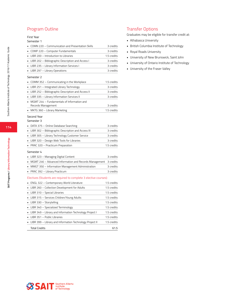### Program Outline

#### First Year

#### Semester 1

|                | COMN 220 - Communication and Presentation Skills                  | 3 credits   |
|----------------|-------------------------------------------------------------------|-------------|
|                | COMP 220 - Computer Fundamentals                                  | 3 credits   |
| ٠              | LIBR 200 - Introduction to Libraries                              | 1.5 credits |
| $\blacksquare$ | LIBR 202 - Bibliographic Description and Access I                 | 3 credits   |
| $\blacksquare$ | LIBR 235 - Library Information Services I                         | 3 credits   |
|                | LIBR 297 - Library Operations                                     | 3 credits   |
|                | Semester 2                                                        |             |
|                | COMM 352 - Communicating in the Workplace                         | 1.5 credits |
|                | LIBR 251 - Integrated Library Technology                          | 3 credits   |
|                | LIBR 252 - Bibliographic Description and Access II                | 3 credits   |
|                | LIBR 335 - Library Information Services II                        | 3 credits   |
|                | MGMT 244 - Fundamentals of Information and                        |             |
|                | Records Management                                                | 3 credits   |
|                | MKTG 360 - Library Marketing                                      | 1.5 credits |
|                | Second Year<br>Semester 3                                         |             |
|                | DATA 375 - Online Database Searching                              | 3 credits   |
|                | LIBR 302 - Bibliographic Description and Access III               | 3 credits   |
|                | LIBR 305 - Library Technology Customer Service                    | 3 credits   |
|                | LIBR 320 - Design Web Tools for Libraries                         | 3 credits   |
|                | PRAC 320 - Practicum Preparation                                  | 1.5 credits |
|                | Semester 4                                                        |             |
|                | LIBR 323 - Managing Digital Content                               | 3 credits   |
|                | MGMT 246 - Advanced Information and Records Management            | 3 credits   |
|                | MMGT 350 - Information Management Administration                  | 3 credits   |
|                | PRAC 392 - Library Practicum                                      | 3 credits   |
|                | Electives (Students are required to complete 3 elective courses): |             |
|                | ENGL 322 - Contemporary World Literature                          | 1.5 credits |
|                | LIBR 260 - Collection Development for Adults                      | 1.5 credits |
|                | LIBR 310 - Special Libraries                                      | 1.5 credits |
|                | LIBR 315 - Services Children/Young Adults                         | 1.5 credits |
| $\blacksquare$ | LIBR 330 - Storytelling                                           | 1.5 credits |
| ٠              | LIBR 340 - Specialized Terminology                                | 1.5 credits |
|                | LIBR 349 - Library and Information Technology Project I           | 1.5 credits |
|                | LIBR 351 - Public Libraries                                       | 1.5 credits |
|                | LIBR 399 - Library and Information Technology Project II          | 1.5 credits |
|                | <b>Total Credits</b>                                              | 61.5        |

### Transfer Options

Graduates may be eligible for transfer credit at:

- Athabasca University
- British Columbia Institute of Technology
- Royal Roads University
- University of New Brunswick, Saint John
- University of Ontario Institute of Technology
- University of the Fraser Valley

**114**

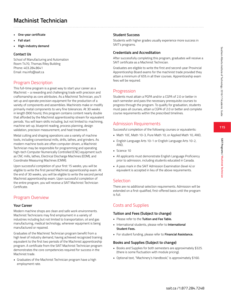### Costs and Supplies

#### **Tuition and Fees (Subject to change)**

- Please refer to the **Tuition and Fee Table.**
- International students, please refer to **International Student Fees.**
- For student funding, please refer to **Financial Assistance.**

### **Books and Supplies (Subject to change)**

- Books and Supplies for both semesters are approximately \$325. (there is some fluctuation with module pricing).
- Optional text, "Machinery's Handbook," is approximately \$160.

# **Machinist Technician**

- **• One-year certificate**
- **• Fall start**
- **• High-industry demand**

#### **Contact Us**

School of Manufacturing and Automation Room T470, Thomas Riley Building Phone: 403.284.8641 Email: ma.info@sait.ca

### Program Description

This full-time program is a great way to start your career as a Machinist – a rewarding and challenging trade with precision and craftsmanship as core attributes. As a Machinist Technician, you'll set up and operate precision equipment for the production of a variety of components and assemblies. Machinists make or modify primarily metal components to very fine tolerances. At 30 weeks in length (900 hours), this program contains content nearly double that afforded by the Machinist apprenticeship stream for equivalent periods. You will learn skills including, but not limited to: machining, machine set-up, blueprint reading, process planning, design validation, precision measurement, and heat treatment.

Metal cutting and shaping operations use a variety of machine tools, including conventional mills, drills, lathes, and grinders. As modern machine tools are often computer-driven, a Machinist Technician may be responsible for programming and operating high-tech Computer Numerically Controlled (CNC) equipment such as CNC mills, lathes, Electrical Discharge Machines (EDM), and Coordinate Measuring Machines (CMM).

Upon successful completion of your first 15 weeks, you will be eligible to write the first period Machinist apprenticeship exam. At the end of 30 weeks, you will be eligible to write the second period Machinist apprenticeship exam. Upon successful completion of the entire program, you will receive a SAIT Machinist Technician Certificate.

### Program Overview

### **Your Career**

Modern machine shops are clean and safe work environments. Machinist Technicians may find employment in a variety of industries including but not limited to transportation, oil and gas manufacturing, medical technology, wherever equipment is being manufactured or repaired.

Graduates of the Machinist Technician program benefit from a high level of industry demand, having achieved recognized training equivalent to the first two periods of the Machinist apprenticeship program. A certificate from the SAIT Machinist Technician program demonstrates the core competencies required for success in the Machinist trade.

• Graduates of the Machinist Technician program have a high employment rate.

### **Student Success**

Students with higher grades usually experience more success in SAIT's programs.

### **Credentials and Accreditation**

After successfully completing this program, graduates will receive a SAIT certificate as a Machinist Technician.

Graduates are eligible to write the first and second-year Provincial Apprenticeship Board exams for the machinist trade provided they attain a minimum of 65% in all their courses. Apprenticeship exam fees will be required.

### Progression

Students must attain a PGPA and/or a CGPA of 2.0 or better in each semester and pass the necessary prerequisite courses to progress through the program. To qualify for graduation, students must pass all courses, attain a CGPA of 2.0 or better and complete course requirements within the prescribed timelines.

### Admission Requirements

Successful completion of the following courses or equivalents:

- Math 10C, Math 10-3, Pure Math 10, or Applied Math 10, AND,
- English Language Arts 10-1 or English Language Arts 10-2, AND,
- Science 10
- All applicants must demonstrate English Language Proficiency prior to admission, including students educated in Canada.
- A pass mark in the SAIT Admission Examination (level 4) or equivalent is accepted in lieu of the above requirements.

### Selection

There are no additional selection requirements. Admission will be extended on a first-qualified, first-offered basis until the program is full.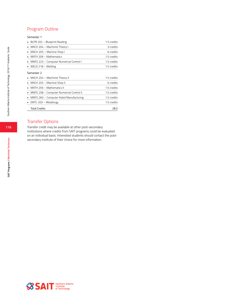### Program Outline

#### Semester 1

| BLPR 202 - Blueprint Reading             | 1.5 credits |
|------------------------------------------|-------------|
| MACH 204 - Machinist Theory I            | 3 credits   |
| MACH 205 - Machine Shop I<br>٠           | 6 credits   |
| MATH 209 - Mathematics                   | 1.5 credits |
| MNFG 223 - Computer Numerical Control I  | 1.5 credits |
| WELD 218 - Welding                       | 1.5 credits |
| Semester 2                               |             |
|                                          |             |
| MACH 254 - Machinist Theory II           | 1.5 credits |
| MACH 255 - Machine Shop II<br>٠          | 6 credits   |
| MATH 259 - Mathematics II                | 1.5 credits |
| MNFG 258 - Computer Numerical Control II | 1.5 credits |
| MNFG 260 - Computer Aided Manufacturing  | 1.5 credits |
| EMTL 203 - Metallurgy                    | 1.5 credits |

### Transfer Options

Transfer credit may be available at other post-secondary institutions where credits from SAIT programs could be evaluated on an individual basis. Interested students should contact the postsecondary institute of their choice for more information.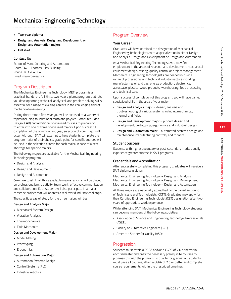- **• Two-year diploma**
- **• Design and Analysis, Design and Development, or Design and Automation majors**
- **• Fall start**

#### **Contact Us**

School of Manufacturing and Automation Room T470, Thomas Riley Building Phone: 403.284.864 Email: ma.info@sait.ca

### Program Description

The Mechanical Engineering Technology (MET) program is a practical, hands-on, full-time, two-year diploma program that lets you develop strong technical, analytical, and problem solving skills essential for a range of exciting careers in the challenging field of mechanical engineering.

During the common first year you will be exposed to a variety of topics including foundational math and physics, Computer Aided Design (CAD) and additional specialized courses to prepare you to enter into one of three specialized majors. Upon successful completion of the common first year, selection of your major will occur. Although SAIT will attempt to help students complete the program major of their choice, grade point for specific courses will be used in the selection criteria for each major, in case of a seat shortage for specific majors.

The following majors are available for the Mechanical Engineering Technology program:

- Design and Analysis
- Design and Development
- Design and Automation

**Common to all:** In all three available majors, a focus will be placed on professionalism, creativity, team work, effective communication and collaboration. Each student will also participate in a major capstone project that will address a real-world industry challenge.

The specific areas of study for the three majors will be:

#### **Design and Analysis Major:**

- Mechanical System Design
- Vibration Analysis
- Thermodynamics
- Fluid Mechanics

#### **Design and Development Major:**

- Model Making
- Prototyping
- Ergonomics

#### **Design and Automation Major:**

- Automation Systems Design
- Control Systems (PLC)
- Industrial robotics

### Program Overview

#### **Your Career**

Graduates will have obtained the designation of Mechanical Engineering Technologists, with a specialization in either Design and Analysis, Design and Development or Design and Automation.

As a Mechanical Engineering Technologist, you may find employment in the areas of research and development, mechanical equipment design, testing, quality control or project management. Mechanical Engineering Technologists are needed in a wide range of professional and technical industry sectors including: manufacturing, oil and gas, energy production, electronics, aerospace, plastics, wood products, warehousing, food processing and technical sales.

Upon successful completion of this program, you will have gained specialized skills in the area of your major:

- **Design and Analysis major** design, analysis and troubleshooting of various systems including mechanical, thermal and fluids
- **Design and Development major**  product design and development, prototyping, ergonomics and industrial design.
- **Design and Automation major** automated systems design and maintenance, manufacturing controls, and robotics.

#### **Student Success**

Students with higher secondary or post-secondary marks usually experience greater success in SAIT programs.

#### **Credentials and Accreditation**

After successfully completing this program, graduates will receive a SAIT diploma in either:

Mechanical Engineering Technology – Design and Analysis Mechanical Engineering Technology – Design and Development Mechanical Engineering Technology – Design and Automation

All three majors are nationally accredited by the Canadian Council of Technicians and Technologists (CCTT). Graduates may apply for their Certified Engineering Technologist (CET) designation after two years of appropriate work experience.

While attending SAIT, Mechanical Engineering Technology students can become members of the following societies:

- Association of Science and Engineering Technology Professionals (ASET).
- Society of Automotive Engineers (SAE).
- American Society for Quality (ASQ).

#### Progression

Students must attain a PGPA and/or a CGPA of 2.0 or better in each semester and pass the necessary prerequisite courses to progress through the program. To qualify for graduation, students must pass all courses, attain a CGPA of 2.0 or better and complete course requirements within the prescribed timelines.

**SAIT Programs / Mechanical Engineering Technology**

SAIT Programs / Mechanical Engineering Technology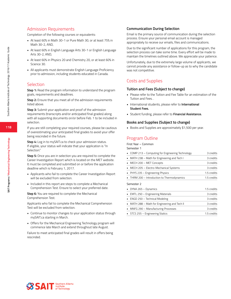### Admission Requirements

Completion of the following courses or equivalents:

- At least 60% in Math 30-1 or Pure Math 30, or at least 75% in Math 30-2, AND,
- At least 60% in English Language Arts 30-1 or English Language Arts 30-2, AND,
- At least 60% in Physics 20 and Chemistry 20, or at least 60% in Science 30.
- All applicants must demonstrate English Language Proficiency prior to admission, including students educated in Canada.

### **Selection**

**Step 1:** Read the program information to understand the program goals, requirements and deadlines.

**Step 2:** Ensure that you meet all of the admission requirements listed above.

**Step 3:** Submit your application and proof of the admission requirements (transcripts and/or anticipated final grades) along with all supporting documents on/or before Feb. 1 to be included in selection.

If you are still completing your required courses, please be cautious of overestimating your anticipated final grades to avoid your offer being rescinded in the future.

**Step 4:** Log in to mySAIT.ca to check your admission status. If eligible, your status will indicate that your application is "In Selection."

**Step 5:** Once you are in selection you are required to complete the Career Investigation Report which is located on the MET website. It must be completed and submitted on or before the application deadline which is February 1, 2017.

- Applicants who fail to complete the Career Investigation Report will be excluded from selection.
- Included in this report are steps to complete a Mechanical Comprehension Test. Ensure to select your preferred date.

**Step 6:** You are required to complete the Mechanical Comprehension Test.

Applicants who fail to complete the Mechanical Comprehension Test will be excluded from selection.

- Continue to monitor changes to your application status through mySAIT.ca starting in March.
- Offers for the Mechanical Engineering Technology program will commence late March and extend throughout late August.

Failure to meet anticipated final grades will result in offers being rescinded.

#### **Communication During Selection**

Email is the primary source of communication during the selection process. Ensure your personal email account is managed appropriately to receive our emails, files and communications.

Due to the significant number of applications for this program, the selection process can take some time. Every effort will be made to maintain the timelines outlined above. We appreciate your patience.

Unfortunately, due to the extremely large volume of applicants, we cannot provide any assistance or follow-up as to why the candidate was not competitive.

### Costs and Supplies

#### **Tuition and Fees (Subject to change)**

- Please refer to the Tuition and Fee Table for an estimation of the Tuition and Fees. .
- International students, please refer to **International Student Fees.**
- Student funding, please refer to **Financial Assistance.**

#### **Books and Supplies (Subject to change)**

• Books and Supplies are approximately \$1,500 per year.

### Program Outline

First Year – Common

Semester 1

| • COMP 213 - Computing for Engineering Technology | 3 credits   |
|---------------------------------------------------|-------------|
| MATH 238 - Math for Engineering and Tech I        | 3 credits   |
| MECH 200 - MET Concepts                           | 3 credits   |
| • MECH 205 - Electro-Mechanical Systems           | 3 credits   |
| • PHYS 235 - Engineering Physics                  | 1.5 credits |
| • THRM 200 - Introduction to Thermodynamics       | 1.5 credits |
| Semester 2                                        |             |
| • DYNA 265 – Dynamics                             | 1.5 credits |
| EMTL 250 - Engineering Materials                  | 3 credits   |
| ENGD 250 - Technical Modeling                     | 3 credits   |
| MATH 288 - Math for Engineering and Tech II       | 3 credits   |
| MNFG 290 - Manufacturing Processes                | 3 credits   |
|                                                   |             |

• STCS 255 – Engineering Statics 1.5 credits

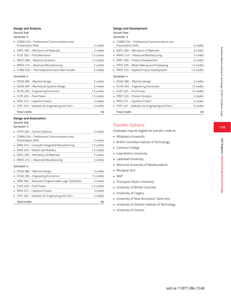#### **Design and Analysis**

Second Year

Semester 3

| $\blacksquare$ COMM 256 – Professional Communications and |             |  |
|-----------------------------------------------------------|-------------|--|
| Presentation Skills                                       | 3 credits   |  |
| $\blacksquare$ EMTL 300 – Mechanics of Materials          | 3 credits   |  |
| · FLDS 350 - Fluid Mechanics                              | 1.5 credits |  |
| • MACH 380 – Machine Dynamics                             | 1.5 credits |  |
| • MNFG 310 - Advanced Manufacturing                       | 3 credits   |  |
| • THRM 320 - Thermodynamics and Heat Transfer             | 3 credits   |  |
| Semester 4                                                |             |  |
| • DSGN 380 - Machine Design                               | 3 credits   |  |
| • DSGN 390 - Mechanical Systems Design                    | 3 credits   |  |
| ECON 209 - Engineering Economics                          | 1.5 credits |  |
| • FLDS 320 - Fluid Power                                  | 1.5 credits |  |

| Total Credits                                      | 60        |
|----------------------------------------------------|-----------|
| • STAT 245 - Statistics for Engineering and Tech I | 3 credits |
| PROJ 375 - Capstone Project                        | 3 credits |

#### **Design and Automation**

#### Second Year Semester 3

| CNTR 300 - Control Systems                                               | 3 credits   |
|--------------------------------------------------------------------------|-------------|
| COMM 256 – Professional Communications and<br><b>Presentation Skills</b> | 3 credits   |
| EMSI 310 - Computer Integrated Manufacturing<br>٠                        | 1.5 credits |
| EMSI 320 - Robots and Robotics                                           | 1.5 credits |
| EMTL 300 - Mechanics of Materials                                        | 3 credits   |
| MNFG 310 – Advanced Manufacturing                                        | 3 credits   |
| Semester 4                                                               |             |
| DSGN 380 - Machine Design                                                | 3 credits   |
| ECON 209 - Engineering Economics                                         | 1.5 credits |
| EMSI 360 - Advanced Programmable Logic Controllers                       | 3 credits   |
| FLDS 320 - Fluid Power                                                   | 1.5 credits |
| PROJ 375 - Capstone Project                                              | 3 credits   |
| STAT 245 – Statistics for Engineering and Tech I                         | 3 credits   |
| <b>Total Credits</b>                                                     | 60          |

#### **Design and Development**

Second Year Semester 3

| COMM 256 – Professional Communications and<br><b>Presentation Skills</b> | 3 credits   |
|--------------------------------------------------------------------------|-------------|
| EMTL 300 - Mechanics of Materials                                        | 3 credits   |
| MNFG 310 - Advanced Manufacturing<br>٠                                   | 3 credits   |
| PRDT 300 - Product Development<br>٠                                      | 3 credits   |
| PRDT 305 - Model Making and Prototyping                                  | 1.5 credits |
| PRDT 310 - Applied Product Development                                   | 1.5 credits |
| Semester 4                                                               |             |
| DSGN 380 - Machine Design                                                | 3 credits   |
| ECON 209 - Engineering Economics<br>٠                                    | 1.5 credits |
| FLDS 320 - Fluid Power                                                   | 1.5 credits |
| PRDT 320 - Product Analysis                                              | 3 credits   |
| PROJ 375 - Capstone Project                                              | 3 credits   |
| STAT 245 - Statistics for Engineering and Tech I                         | 3 credits   |
| <b>Total Credits</b>                                                     | 60          |

### Transfer Options

Graduates may be eligible for transfer credit at:

- Athabasca University
- British Columbia Institute of Technology
- Camosun College
- Cape Breton University
- Lakehead University
- Memorial University of Newfoundland
- Montana Tech
- NAIT
- Thompson Rivers University
- University of British Columbia
- University of Calgary
- University of New Brunswick, Saint John
- University of Ontario Institute of Technology
- University of Victoria

**SAIT Programs / Mechanical Engineering Technology**

SAIT Programs / Mechanical Engineering Technology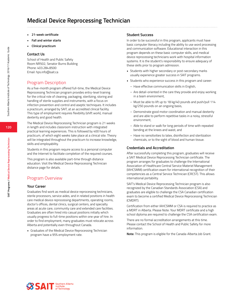- **• 21-week certificate**
- **• Fall and winter starts**
- **• Clinical practicum**

#### **Contact Us**

School of Health and Public Safety Room NR502, Senator Burns Building Phone: 403.284.8500 Email: hps.info@sait.ca

#### Program Description

As a five-month program offered full-time, the Medical Device Reprocessing Technician program provides entry-level training for the critical role of cleaning, packaging, sterilizing, storing and handling of sterile supplies and instruments, with a focus on infection prevention and control and aseptic techniques. It includes a practicum, arranged by SAIT, at an accredited clinical facility. This type of employment requires flexibility (shift work), manual dexterity and good health.

The Medical Device Reprocessing Technician program is 21 weeks in length and includes classroom instruction with integrated practical learning experiences. This is followed by 400 hours of practicum, of which eight weeks take place at a clinical site. Theory will be integrated throughout the practicum to increase knowledge, skills and employability.

Students in this program require access to a personal computer and the Internet to facilitate completion of the required courses.

This program is also available part-time through distance education. Visit the Medical Device Reprocessing Technician distance page for details.

### Program Overview

#### **Your Career**

Graduates find work as medical device reprocessing technicians, sterile processors, service aides, and in related positions in health care medical device reprocessing departments, operating rooms, doctor's offices, dental clinics, surgical centers, and specialty areas at acute care, community care and extended care facilities. Graduates are often hired into casual positions initially which usually progress to full-time positions within one year of hire. In order to find employment, many graduates must relocate across Alberta and potentially even throughout Canada.

• Graduates of the Medical Device Reprocessing Technician program have a 95% employment rate.

#### **Student Success**

In order to be successful in this program, applicants must have basic computer literacy including the ability to use word processing and communication software. Educational interaction in this program depends on these basic computer skills, and medical device reprocessing technicians work with hospital information systems. It is the student's responsibility to ensure adequacy of these skills prior to program admission.

- Students with higher secondary or post-secondary marks usually experience greater success in SAIT programs.
- Students who experience success in this program and career:
	- Have effective communication skills in English,
	- Are detail-oriented in the care they provide and enjoy working in a team environment,
	- Must be able to lift up to 18 kg/40 pounds and push/pull 114 kg/250 pounds on an ongoing basis,
	- Demonstrate good motor coordination and manual dexterity and are able to perform repetitive tasks in a noisy, stressful environment,
	- Able to stand or walk for long periods of time with repeated bending at the knees and waist, and
	- Have no sensitivities to latex, disinfection and sterilization chemicals, or to the sight of blood and human tissue.

#### **Credentials and Accreditation**

After successfully completing this program, graduates will receive a SAIT Medical Device Reprocessing Technician certificate. The program arranges for graduates to challenge the International Association of Healthcare Central Service Materiel Management (IAHCSMM) certification exam for international recognition of their competencies as a Central Service Technician (CRCST). This allows international portability.

SAIT's Medical Device Reprocessing Technician program is also recognized by the Canadian Standards Association (CSA) and graduates are eligible to challenge the CSA Canadian certification exam to become a certified Medical Device Reprocessing Technician (CMDRT).

Certification from either IAHCSMM or CSA is required to practice as a MDRT in Alberta. Please Note: Your MDRT certificate and a high school diploma are required to challenge the CSA certification exam.

There are no formal accreditation arrangements at this time. Please contact the School of Health and Public Safety for more information.

**Note:** This program is eligible for the Canada-Alberta Job Grant.

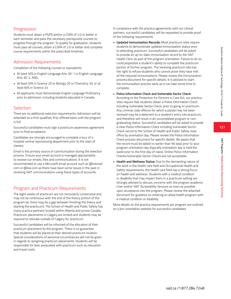**SAIT Programs / Medical Device Reprocessing Technician**

SAIT Programs / Medical Device Reprocessing Techniciar

### **Progression**

Students must attain a PGPA and/or a CGPA of 2.0 or better in each semester and pass the necessary prerequisite courses to progress through the program. To qualify for graduation, students must pass all courses, attain a CGPA of 2.0 or better and complete course requirements within the prescribed timelines.

### Admission Requirements

Completion of the following courses or equivalents:

- At least 50% in English Language Arts 30-1 or English Language Arts 30-2, AND,
- At least 50% in Science 20 or Biology 20 or Chemistry 20, or at least 60% in Science 24
- All applicants must demonstrate English Language Proficiency prior to admission, including students educated in Canada.

### **Selection**

There are no additional selection requirements. Admission will be extended on a first-qualified, first-offered basis until the program is full.

Successful candidates must sign a practicum awareness agreement prior to final acceptance.

Candidates are strongly encouraged to complete a tour of a hospital central reprocessing department prior to the start of classes.

Email is the primary source of communication during the selection process. Ensure your email account is managed appropriately to receive our emails, files and communications. It is not recommended to use a Microsoft email account such as @hotmail. com or @live.com as there have been some issues in the past in receiving SAIT communications using these types of accounts.

### Program and Practicum Requirements

The eight weeks of practicum are not necessarily consecutive and may not be continuous with the end of the theory portion of the program (ie. there may be a gap between finishing the theory and starting the practicum). The School of Health and Public Safety has many practica partners located within Alberta and across Canada. Practicum placements in Calgary are limited and students may be required to relocate outside of Calgary for practicum.

Successful candidates will be informed of the allocation of their practicum placement by the program. There is no guarantee that students will be placed at their desired practicum location. Special considerations of personal circumstances will not be given in regards to assigning practicum placements. Students will be responsible for fees associated with practicum such as relocation and travel costs.

In compliance with the practica agreements with our clinical partners, successful candidates will be requested to provide proof of the following requirements:

- **• Updated Immunization Records:** Most practicum sites require students to demonstrate updated immunization status prior to attending practicum. Successful candidates will be asked to provide an up-to-date immunization record to the SAIT Health Clinic as part of the program orientation. Failure to do so could jeopardize a student's ability to complete the practicum portion of his/her program. The receiving practicum site has the right to refuse students who cannot prove they have met all the required immunizations. Please review the immunization process document for specific details. It is advised to start the immunization process early as it can take some time to complete.
- **• Police Information Check and Vulnerable Sector Check:** According to the Protection for Persons in Care Act, our practica sites require that students obtain a Police Information Check including Vulnerable Sector Check, prior to going on practicum. Any criminal code offence for which a pardon has not been received may be a deterrent to a student's entry into practicum, and therefore will result in an uncompleted program or nongraduating status. Successful candidates will be asked to provide a clear Police Information Check including Vulnerable Sector Check record to the School of Health and Public Safety main office by orientation day. Please review the Police Information Check process document for specific details. Be aware that the record must be dated no earlier than 90 days prior to your program orientation day (typically orientation day is held the week prior to the first day of class). Online Police Information Checks/Vulnerable Sector Checks are not acceptable.
- **• Health and Wellness Status:** Due to the demanding nature of the work in the health care field and Occupational Health and Safety requirements, the health care field has a strong focus on health and wellness. Students with a medical condition or disability that may impact them in a practicum setting are strongly advised to discuss concerns with the program academic chair and/or SAIT Accessibility Services as soon as possible upon acceptance into the program. Please review the attached document for guidance on entering an allied health program with a medical condition or disability.

More details on the practica requirements per program are outlined on a pre-orientation website for successful candidates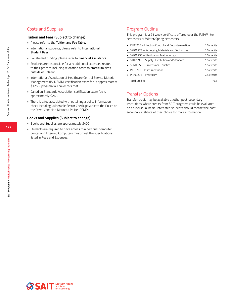### Costs and Supplies

#### **Tuition and Fees (Subject to change)**

- Please refer to the **Tuition and Fee Table.**
- International students, please refer to **International Student Fees.**
- For student funding, please refer to **Financial Assistance.**
- Students are responsible for any additional expenses related to their practica including relocation costs to practicum sites outside of Calgary.
- International Association of Healthcare Central Service Materiel Management (IAHCSMM) certification exam fee is approximately \$125 – program will cover this cost.
- Canadian Standards Association certification exam fee is approximately \$263.
- There is a fee associated with obtaining a police information check including Vulnerable Sector Check, payable to the Police or the Royal Canadian Mounted Police (RCMP).

#### **Books and Supplies (Subject to change)**

- Books and Supplies are approximately \$400
- Students are required to have access to a personal computer, printer and Internet. Computers must meet the specifications listed in Fees and Expenses.

### Program Outline

This program is a 21 week certificate offered over the Fall/Winter semesters or Winter/Spring semesters.

| • INFC 206 - Infection Control and Decontamination | 1.5 credits |
|----------------------------------------------------|-------------|
| • SPRO 227 – Packaging Materials and Techniques    | 1.5 credits |
| • SPRO 235 – Sterilization Methodology             | 1.5 credits |
| • STDP 246 - Supply Distribution and Standards     | 1.5 credits |
| • SPRO 255 – Professional Practice                 | 1.5 credits |
| • INST 263 – Instrumentation                       | 1.5 credits |
| • PRAC 296 – Practicum                             | 7.5 credits |
| <b>Total Credits</b>                               | 16.5        |

### Transfer Options

Transfer credit may be available at other post-secondary institutions where credits from SAIT programs could be evaluated on an individual basis. Interested students should contact the postsecondary institute of their choice for more information.

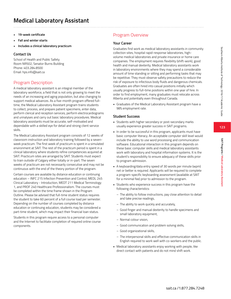- **• 19-week certificate**
- **• Fall and winter starts**
- **• Includes a clinical laboratory practicum**

#### **Contact Us**

School of Health and Public Safety Room NR502, Senator Burns Building Phone: 403.284.8500 Email: hps.info@sait.ca

### Program Description

A medical laboratory assistant is an integral member of the laboratory workforce, a field that is not only growing to meet the needs of an increasing and aging population, but also changing to support medical advances. As a five-month program offered fulltime, the Medical Laboratory Assistant program trains students to collect, process, and prepare patient specimens, enter data, perform clerical and reception services, perform electrocardiograms and urinalyses and carry out basic laboratory procedures. Medical laboratory assistants must be accurate, self-motivated and dependable with a skilled eye for detail and strong client service skills.

The Medical Laboratory Assistant program consists of 12 weeks of classroom instruction and laboratory training followed by a sevenweek practicum. The first week of practicum is spent in a simulated environment at SAIT. The rest of the practicum period is spent in a clinical laboratory where students refine competencies acquired at SAIT. Practicum sites are arranged by SAIT. Students must expect to train outside of Calgary either totally or in-part. The seven weeks of practicum are not necessarily consecutive and may not be continuous with the end of the theory portion of the program.

Certain courses are available by distance education or continuing education – INFC 215 Infection Prevention and Control, MEDL 245 Clinical Laboratory - Introduction, MEDT 211 Medical Terminology 1, and PROF 240 Healthcare Professionalism. The courses must be completed within the time frame shown in the Program Outline. Please be advised that full-time student status requires the student to take 60 percent of a full course load per semester. Depending on the number of courses completed by distance education or continuing education, students may be considered a part-time student, which may impact their financial loan status.

Students in this program require access to a personal computer and the Internet to facilitate completion of required online course components.

### Program Overview

#### **Your Career**

Graduates find work as medical laboratory assistants in community collection sites, hospital rapid-response laboratories, highvolume medical laboratories and private insurance or home care companies. The employment requires flexibility (shift-work), good health and manual dexterity. Medical laboratory assistants work in laboratory environments where they may spend a considerable amount of time standing or sitting and performing tasks that may be repetitive. They must observe safety precautions to reduce the risk of exposure to infectious body fluids and dangerous chemicals. Graduates are often hired into casual positions initially which usually progress to full-time positions within one year of hire. In order to find employment, many graduates must relocate across Alberta and potentially even throughout Canada.

• Graduates of the Medical Laboratory Assistant program have a 98% employment rate.

#### **Student Success**

- Students with higher secondary or post-secondary marks usually experience greater success in SAIT programs.
- In order to be successful in this program, applicants must have basic computer literacy. An acceptable computer skill level would include the ability to use word processing and communication software. Educational interaction in this program depends on these basic computer skills and medical laboratory assistants work with laboratory and hospital information systems. It is the student's responsibility to ensure adequacy of these skills prior to program admission.
- A keyboarding/data entry speed of 30 words per minute (wpm) net or better is required. Applicants will be required to complete a program-specific keyboarding assessment (available at SAIT for a minimal fee) prior to admission to the program.
- Students who experience success in this program have the following characteristics:
	- The ability to follow instructions, pay close attention to detail and take precise readings,
	- The ability to work quickly and accurately,
	- Good finger and manual dexterity to handle specimens and small laboratory equipment,
	- Normal colour vision,
	- Good communication and problem solving skills,
	- Good organizational skills,
	- The interpersonal skills and effective communication skills in English required to work well with co-workers and the public.
- Medical laboratory assistants enjoy working with people, like direct contact with patients and do not mind shift work.

**SAIT Programs / Medical Laboratory Assistant**

SAIT Programs / Medical Laboratory Assistani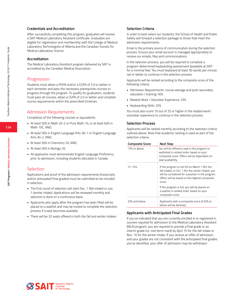#### **Credentials and Accreditation**

After successfully completing this program, graduates will receive a SAIT Medical Laboratory Assistant certificate. Graduates are eligible for registration and membership with the College of Medical Laboratory Technologists of Alberta and the Canadian Society for Medical Laboratory Science.

#### **Accreditation**

The Medical Laboratory Assistant program delivered by SAIT is accredited by the Canadian Medical Association.

#### Progression

Students must attain a PGPA and/or a CGPA of 2.0 or better in each semester and pass the necessary prerequisite courses to progress through the program. To qualify for graduation, students must pass all courses, attain a CGPA of 2.0 or better and complete course requirements within the prescribed timelines.

#### Admission Requirements

Completion of the following courses or equivalents:

- At least 50% in Math 20-2 or Pure Math 10, or at least 60% in Math 10C, AND,
- At least 50% in English Language Arts 30-1 or English Language Arts 30-2, AND,
- At least 50% in Chemistry 20, AND,
- At least 50% in Biology 20.
- All applicants must demonstrate English Language Proficiency prior to admission, including students educated in Canada.

#### Selection

Applications and proof of the admission requirements (transcripts and/or anticipated final grades) must be submitted to be included in selection.

- The first round of selection will start Dec. 1 (fall intake) or July 1 (winter intake). Applications will be reviewed monthly and selection is done on a continuous basis.
- Applicants who apply after the program has been filled will be placed on a waitlist and may be invited to complete the selection process if a seat becomes available.
- There will be 32 seats offered in both the fall and winter intakes.

#### **Selection Criteria**

In order to best select our students, the School of Health and Public Safety will forward a selection package to those that meet the admission requirements.

Email is the primary source of communication during the selection process. Ensure your email account is managed appropriately to receive our emails, files and communications.

In the selection process, you will be required to complete a program-determined keyboarding assessment (available at SAIT for a minimal fee). You must keyboard at least 30 words per minute net or better to continue in the selection process.

Applicants will be ranked according to the composite score of the following criteria:

- Admission Requirements: course average and post-secondary education / training: 50%
- Related Work / Volunteer Experience: 25%
- Keyboarding Skills: 25%

You must also score 10 out of 25 or higher in the related work/ volunteer experience to continue in the selection process.

#### **Selection Process**

Applicants will be ranked monthly according to the selection criteria outlined above. Note that academic ranking is used as part of the selection criteria.

| <b>Composite Score</b> | <b>Next Step</b>                                                                                                                                                                                                       |
|------------------------|------------------------------------------------------------------------------------------------------------------------------------------------------------------------------------------------------------------------|
| 75% or above           | You will be offered a seat in the program or<br>waitlisted in ranked order, based on your<br>composite score. Offers will be dependent on<br>seat availability.                                                        |
| $51 - 74%$             | If the program is not full on March 1 (for the<br>fall intake), or Oct. 1 (for the winter intake), you<br>will be considered for a position in the program.<br>Offers will be based on the highest composite<br>score. |
|                        | If the program is full, you will be placed on<br>a waitlist in ranked order, based on your<br>composite score.                                                                                                         |
| 50% and below          | Applicants with a composite score of 50% or<br>below will be declined.                                                                                                                                                 |

#### **Applicants with Anticipated Final Grades**

If you've indicated that you are currently enrolled in or registered in courses required for admission to the Medical Laboratory Assistant (MLA) program, you are required to provide a final grade or an interim grade (i.e. mid-term mark) by April 15 for the fall intake or Nov. 15 for the winter intake. If you receive an offer of admission and your grades are not consistent with the anticipated final grades you've identified, your offer of admission may be withdrawn.

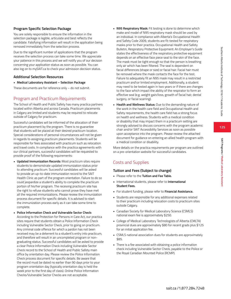**SAIT Programs / Medical Laboratory Assistant**

SAIT Programs / Medical Laboratory Assistan

### **Program Specific Selection Package**

You are solely responsible to ensure the information in the selection package is legible, articulate and best reflects the candidate. Falsifying information will result in the application being removed immediately from the selection process.

Due to the significant number of applications that the program receives the selection process can take some time. We appreciate your patience in this process and we will notify you of our decision concerning your application status as soon as possible. You can also log on to mySAIT.ca to check your admission decision status.

### **Additional Selection Resources**

**• Medical Laboratory Assistant – Selection Package**

These documents are for reference only – do not submit.

### Program and Practicum Requirements

The School of Health and Public Safety has many practica partners located within Alberta and across Canada. Practicum placements in Calgary are limited and students may be required to relocate outside of Calgary for practicum.

Successful candidates will be informed of the allocation of their practicum placement by the program. There is no guarantee that students will be placed at their desired practicum location. Special considerations of personal circumstances will not be given in regards to assigning practicum placements. Students will be responsible for fees associated with practicum such as relocation and travel costs. In compliance with the practica agreements with our clinical partners, successful candidates will be requested to provide proof of the following requirements:

- **• Updated Immunization Records:** Most practicum sites require students to demonstrate updated immunization status prior to attending practicum. Successful candidates will be asked to provide an up-to-date immunization record to the SAIT Health Clinic as part of the program orientation. Failure to do so could jeopardize a student's ability to complete the practicum portion of his/her program. The receiving practicum site has the right to refuse students who cannot prove they have met all the required immunizations. Please review the immunization process document for specific details. It is advised to start the immunization process early as it can take some time to complete.
- **• Police Information Check and Vulnerable Sector Check:** According to the Protection for Persons in Care Act, our practica sites require that students obtain a Police Information Check including Vulnerable Sector Check, prior to going on practicum. Any criminal code offence for which a pardon has not been received may be a deterrent to a student's entry into practicum, and therefore will result in an uncompleted program or nongraduating status. Successful candidates will be asked to provide a clear Police Information Check including Vulnerable Sector Check record to the School of Health and Public Safety main office by orientation day. Please review the Police Information Check process document for specific details. Be aware that the record must be dated no earlier than 90 days prior to your program orientation day (typically orientation day is held the week prior to the first day of class). Online Police Information Checks/Vulnerable Sector Checks are not acceptable.
- **• N95 Respiratory Mask:** Fit testing is done to determine which make and model of N95 respiratory mask should be used by an individual. In compliance with Alberta's Occupational Health and Safety Code 2009, students are fit-tested for respiratory masks prior to their practica. Occupational Health and Safety Bulletin, Respiratory Protective Equipment: An Employer's Guide states the effectiveness of the respiratory protective equipment depends on an effective face piece seal to the skin of the face. The mask must be tight enough so that the person is breathing only air which has been filtered. The seal is dependent on facial differences (shape or size) or facial hair. Facial hair must be removed where the mask contacts the face for the test. Failure to adequately fit an N95 mask may result in a restricted practicum and\or limited employment. Additionally, a student may need to be tested again in two years or if there are changes to the face which impact the ability of the respirator to form an effective seal (e.g. weight gain/loss, growth of facial hair, dental surgery, or facial scarring).
- **• Health and Wellness Status:** Due to the demanding nature of the work in the health care field and Occupational Health and Safety requirements, the health care field has a strong focus on health and wellness. Students with a medical condition or disability that may impact them in a practicum setting are strongly advised to discuss concerns with the program academic chair and/or SAIT Accessibility Services as soon as possible upon acceptance into the program. Please review the attached document for guidance on entering an allied health program with a medical condition or disability.

More details on the practica requirements per program are outlined on a pre-orientation website for successful candidates.

### Costs and Supplies

#### **Tuition and Fees (Subject to change)**

- Please refer to the **Tuition and Fee Table.**
- International students, please refer to **International Student Fees.**
- For student funding, please refer to **Financial Assistance.**
- Students are responsible for any additional expenses related to their practicum including relocation costs to practicum sites outside Calgary.
- Canadian Society for Medical Laboratory Science (CSMLS) national exam fee is approximately \$250.
- College of Medical Laboratory Technologists of Alberta (CMLTA) provincial dues are approximately \$80 for recent grads plus \$125 for an initial application fee.
- CSMLS national association dues for students are approximately \$85.
- There is a fee associated with obtaining a police information check including Vulnerable Sector Check, payable to the Police or the Royal Canadian Mounted Police (RCMP).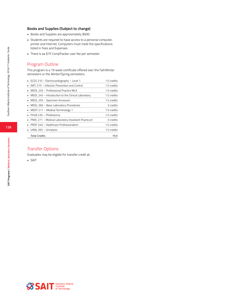#### **Books and Supplies (Subject to change)**

- Books and Supplies are approximately \$600.
- Students are required to have access to a personal computer, printer and Internet. Computers must meet the specifications listed in Fees and Expenses.
- There is aa \$75 CompTracker user fee per semester.

### Program Outline

This program is a 19 week certificate offered over the Fall/Winter semesters or the Winter/Spring semesters.

| • ECGS 210 - Electrocardiography - Level 1           | 1.5 credits |
|------------------------------------------------------|-------------|
| INFC 215 - Infection Prevention and Control          | 1.5 credits |
| MEDL 235 - Professional Practice MLA                 | 1.5 credits |
| • MEDL 245 – Introduction to the Clinical Laboratory | 1.5 credits |
| • MEDL 255 - Specimen Accession                      | 1.5 credits |
| MEDL 260 - Basic Laboratory Procedures               | 3 credits   |
| • MEDT 211 - Medical Terminology 1                   | 1.5 credits |
| PHLB 235 – Phlebotomy                                | 1.5 credits |
| • PRAC 271 – Medical Laboratory Assistant Practicum  | 3 credits   |
| PROF 240 - Healthcare Professionalism                | 1.5 credits |
| UANL 265 - Urinalysis                                | 1.5 credits |
| <b>Total Credits</b>                                 | 19.5        |

### Transfer Options

Graduates may be eligible for transfer credit at:

• SAIT

Southern Alberta Institute of Technology 2016/17 Academic Guide

Southern Alberta Institute of Technology 2016/17 Academic Guide

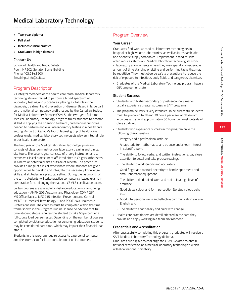- **• Two-year diploma**
- **• Fall start**
- **• Includes clinical practica**
- **• Graduates in high demand**

#### **Contact Us**

School of Health and Public Safety Room NR502, Senator Burns Building Phone: 403.284.8500 Email: hps.info@sait.ca

### Program Description

As integral members of the health care team, medical laboratory technologists are trained to perform a broad spectrum of laboratory testing and procedures, playing a vital role in the diagnosis, treatment and prevention of disease. Based in large part on the national competency profile issued by the Canadian Society for Medical Laboratory Science (CSMLS), the two-year, full-time Medical Laboratory Technology program trains students to become skilled in applying the scientific, technical, and medical principles needed to perform and evaluate laboratory testing in a health care setting. As part of Canada's fourth largest group of health care professionals, medical laboratory technologists play an integral role in our health care system.

The first year of the Medical laboratory Technology program consists of classroom instruction, laboratory training and clinical site tours. The second year consists of theory instruction and an extensive clinical practicum at affiliated sites in Calgary, other sites in Alberta or potentially sites outside of Alberta. The practicum provides a range of clinical experiences where students are given opportunities to develop and integrate the necessary knowledge, skills and attitudes in a practical setting. During the last month of the term, students will write practice competency-based exams in preparation for challenging the national CSMLS certification exam.

Certain courses are available by distance education or continuing education – ANPH 209 Anatomy and Physiology, COMP 264 MS Office Basics, INFC 215 Infection Prevention and Control, MEDT 211 Medical Terminology 1, and PROF 240 Healthcare Professionalism. The courses must be completed within the time frame shown in the Program Outline. Please be advised that fulltime student status requires the student to take 60 percent of a full course load per semester. Depending on the number of courses completed by distance education or continuing education, students may be considered part-time, which may impact their financial loan status.

Students in this program require access to a personal computer and the Internet to facilitate completion of online courses.

### Program Overview

#### **Your Career**

Graduates find work as medical laboratory technologists in hospital or high-volume laboratories, as well as in research labs and scientific supply companies. Employment in medical labs often requires shiftwork. Medical laboratory technologists work in laboratory environments where they may spend a considerable amount of time standing or sitting and performing tasks that may be repetitive. They must observe safety precautions to reduce the risk of exposure to infectious body fluids and dangerous chemicals.

• Graduates of the Medical Laboratory Technology program have a 95% employment rate.

#### **Student Success**

- Students with higher secondary or post-secondary marks usually experience greater success in SAIT programs.
- The program delivery is very intensive. To be successful students must be prepared to attend 30 hours per week of classroom activities and spend approximately 30 hours per week outside of class studying.
- Students who experience success in this program have the following characteristics:
	- Integrity and a professional attitude,
	- An aptitude for mathematics and science and a keen interest in scientific work,
	- The ability to follow verbal and written instructions, pay close attention to detail and take precise readings,
	- The ability to work quickly and accurately,
	- Good finger and manual dexterity to handle specimens and small laboratory equipment,
	- The ability to do detailed work and maintain a high level of accuracy,
	- Good visual colour and form perception (to study blood cells, etc.),
	- Good interpersonal skills and effective communication skills in English, and
	- The ability to adapt easily and quickly to change.
- Health care practitioners are detail oriented in the care they provide and enjoy working in a team environment.

#### **Credentials and Accreditation**

After successfully completing this program, graduates will receive a SAIT Medical Laboratory Technology diploma.

Graduates are eligible to challenge the CSMLS exams to obtain national certification as a medical laboratory technologist, which will allow national portability.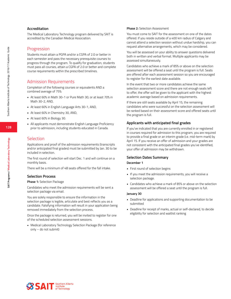#### **Accreditation**

The Medical Laboratory Technology program delivered by SAIT is accredited by the Canadian Medical Association.

#### Progression

Students must attain a PGPA and/or a CGPA of 2.0 or better in each semester and pass the necessary prerequisite courses to progress through the program. To qualify for graduation, students must pass all courses, attain a CGPA of 2.0 or better and complete course requirements within the prescribed timelines.

#### Admission Requirements

Completion of the following courses or equivalents AND a combined average of 75%:

- At least 60% in Math 30-1 or Pure Math 30, or at least 70% in Math 30-2, AND,
- At least 60% in English Language Arts 30-1, AND,
- At least 60% in Chemistry 30, AND,
- At least 60% in Biology 30.
- All applicants must demonstrate English Language Proficiency prior to admission, including students educated in Canada.

#### Selection

Applications and proof of the admission requirements (transcripts and/or anticipated final grades) must be submitted by Jan. 30 to be included in selection.

The first round of selection will start Dec. 1 and will continue on a monthly basis.

There will be a minimum of 48 seats offered for the fall intake.

#### **Selection Process**

#### **Phase 1:** Selection Package

Candidates who meet the admission requirements will be sent a selection package via email.

You are solely responsible to ensure the information in the selection package is legible, articulate and best reflects you as a candidate. Falsifying information will result in your application being removed immediately from the selection process.

Once the package is returned, you will be invited to register for one of the scheduled selection assessment sessions.

• Medical Laboratory Technology Selection Package (for reference only – do not submit)

#### **Phase 2:** Selection Assessment

You must come to SAIT for the assessment on one of the dates offered. If you reside outside of a 400 km radius of Calgary and cannot attend a selection session without undue hardship, you can request alternative arrangements, which may be considered.

You will be assessed on your ability to answer questions delivered both in written and verbal format. Multiple applicants may be assessed simultaneously.

Candidates who achieve a mark of 85% or above on the selection assessment will be offered a seat until the program is full. Seats are offered after each assessment session so you are encouraged to register for the earliest date available.

In the event that two or more candidates achieve the same selection assessment score and there are not enough seats left to offer, the offer will be given to the applicant with the highest academic average based on admission requirements.

If there are still seats available by April 15, the remaining candidates who were successful on the selection assessment will be ranked based on their assessment score and offered seats until the program is full.

#### **Applicants with anticipated final grades**

If you've indicated that you are currently enrolled in or registered in courses required for admission to this program, you are required to provide a final grade or an interim grade (i.e. mid-term mark) by April 15. If you receive an offer of admission and your grades are not consistent with the anticipated final grades you've identified, your offer of admission may be withdrawn.

#### **Selection Dates Summary**

#### **December 1**

- First round of selection begins
- If you meet the admission requirements, you will receive a selection package.
- Candidates who achieve a mark of 85% or above on the selection assessment will be offered a seat until the program is full.

#### **January 30**

- Deadline for applications and supporting documentation to be submitted
- Deadline for receipt of marks, actual or self-declared, to decide eligibility for selection and waitlist ranking



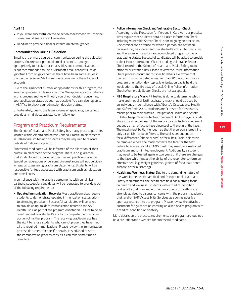### **April 15**

- If you were successful on the selection assessment, you may be considered if seats are still available.
- Deadline to provide a final or interim (midterm) grades

### **Communication During Selection**

Email is the primary source of communication during the selection process. Ensure your personal email account is managed appropriately to receive our emails, files and communications. It is not recommended to use a Microsoft email account such as @hotmail.com or @live.com as there have been some issues in the past in receiving SAIT communications using these types of accounts.

Due to the significant number of applications for this program, the selection process can take some time. We appreciate your patience in this process and we will notify you of our decision concerning your application status as soon as possible. You can also log on to mySAIT.ca to check your admission decision status.

Unfortunately, due to the large volume of applicants, we cannot provide any individual assistance or follow-up.

### Program and Practicum Requirements

The School of Health and Public Safety has many practica partners located within Alberta and across Canada. Practicum placements in Calgary are limited and students may be required to relocate outside of Calgary for practicum.

Successful candidates will be informed of the allocation of their practicum placement by the program. There is no guarantee that students will be placed at their desired practicum location. Special considerations of personal circumstances will not be given in regards to assigning practicum placements. Students will be responsible for fees associated with practicum such as relocation and travel costs.

In compliance with the practica agreements with our clinical partners, successful candidates will be requested to provide proof of the following requirements:

**• Updated Immunization Records:** Most practicum sites require students to demonstrate updated immunization status prior to attending practicum. Successful candidates will be asked to provide an up-to-date immunization record to the SAIT Health Clinic as part of the program orientation. Failure to do so could jeopardize a student's ability to complete the practicum portion of his/her program. The receiving practicum site has the right to refuse students who cannot prove they have met all the required immunizations. Please review the immunization process document for specific details. It is advised to start the immunization process early as it can take some time to complete.

**• Police Information Check and Vulnerable Sector Check:**

According to the Protection for Persons in Care Act, our practica sites require that students obtain a Police Information Check including Vulnerable Sector Check, prior to going on practicum. Any criminal code offence for which a pardon has not been received may be a deterrent to a student's entry into practicum, and therefore will result in an uncompleted program or nongraduating status. Successful candidates will be asked to provide a clear Police Information Check including Vulnerable Sector Check record to the School of Health and Public Safety main office by orientation day. Please review the Police Information Check process document for specific details. Be aware that the record must be dated no earlier than 90 days prior to your program orientation day (typically orientation day is held the week prior to the first day of class). Online Police Information Checks/Vulnerable Sector Checks are not acceptable.

- **• N95 Respiratory Mask:** Fit testing is done to determine which make and model of N95 respiratory mask should be used by an individual. In compliance with Alberta's Occupational Health and Safety Code 2009, students are fit-tested for respiratory masks prior to their practica. Occupational Health and Safety Bulletin, Respiratory Protective Equipment: An Employer's Guide states the effectiveness of the respiratory protective equipment depends on an effective face piece seal to the skin of the face. The mask must be tight enough so that the person is breathing only air which has been filtered. The seal is dependent on facial differences (shape or size) or facial hair. Facial hair must be removed where the mask contacts the face for the test. Failure to adequately fit an N95 mask may result in a restricted practicum and\or limited employment. Additionally, a student may need to be tested again in two years or if there are changes to the face which impact the ability of the respirator to form an effective seal (e.g. weight gain/loss, growth of facial hair, dental surgery, or facial scarring).
- **• Health and Wellness Status:** Due to the demanding nature of the work in the health care field and Occupational Health and Safety requirements, the health care field has a strong focus on health and wellness. Students with a medical condition or disability that may impact them in a practicum setting are strongly advised to discuss concerns with the program academic chair and/or SAIT Accessibility Services as soon as possible upon acceptance into the program. Please review the attached document for guidance on entering an allied health program with a medical condition or disability.

More details on the practica requirements per program are outlined on a pre-orientation website for successful candidates.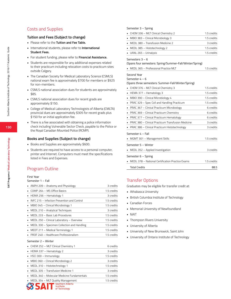### Costs and Supplies

#### **Tuition and Fees (Subject to change)**

- Please refer to the **Tuition and Fee Table.**
- International students, please refer to **International Student Fees.**
- For student funding, please refer to **Financial Assistance.**
- Students are responsible for any additional expenses related to their practicum including relocation costs to practicum sites outside Calgary.
- The Canadian Society for Medical Laboratory Science (CSMLS) national exam fee is approximately \$700 for members or \$925 for non-members.
- CSMLS national association dues for students are approximately \$85.
- CSMLS national association dues for recent grads are approximately \$150.
- College of Medical Laboratory Technologists of Alberta (CMLTA) provincial dues are approximately \$305 for recent grads plus \$150 for an initial application fee.
- There is a fee associated with obtaining a police information check including Vulnerable Sector Check, payable to the Police or the Royal Canadian Mounted Police (RCMP).

#### **Books and Supplies (Subject to change)**

- Books and Supplies are approximately \$600.
- Students are required to have access to a personal computer, printer and Internet. Computers must meet the specifications listed in Fees and Expenses.

### Program Outline

#### First Year

#### Semester 1 – Fall

| ANPH 209 - Anatomy and Physiology           | 3 credits   |
|---------------------------------------------|-------------|
| COMP 264 - MS Office Basics                 | 1.5 credits |
| HEMA 256 - Hematology 1<br>٠                | 3 credits   |
| INFC 215 - Infection Prevention and Control | 1.5 credits |
| MBIO 345 - Clinical Microbiology 1<br>٠     | 1.5 credits |
| MEDL 210 - Analytical Techniques            | 3 credits   |
| MEDL 233 - Basic Lab Procedures             | 1.5 credits |
| MEDL 250 - Clinical Laboratory - Overview   | 1.5 credits |
| MEDL 330 - Specimen Collection and Handling | 1.5 credits |
| MEDT 211 - Medical Terminology 1            | 1.5 credits |
| PROF 240 - Healthcare Professionalism       | 1.5 credits |
| Semester 2 - Winter                         |             |
| CHEM 252 - MLT Clinical Chemistry 1         | 6 credits   |
| HEMA 337 - Hematology 2<br>٠                | 3 credits   |
| HSCI 300 - Immunology                       | 1.5 credits |
| MBIO 360 - Clinical Microbiology 2<br>٠     | 3 credits   |
| MEDL 310 - Histotechnology 1<br>٠           | 1.5 credits |
| MEDL 335 - Transfusion Medicine 1           | 3 credits   |

MEDL 340 – Molecular Medicine Fundamentals 1.5 credits

of Technology

| Semester 3 – Spring                   |             |
|---------------------------------------|-------------|
| • CHEM 336 - MLT Clinical Chemistry 2 | 1.5 credits |
| • MBIO 383 - Clinical Microbiology 3  | 1.5 credits |
| • MEDL 380 - Transfusion Medicine 2   | 3 credits   |
| • MEDL 385 - Histotechnology 2        | 1.5 credits |
| UANL 265 - Urinalysis                 | 1.5 credits |
| $\sim$ $\sim$                         |             |

#### Semesters 3 – 6

(Spans four semesters: Spring/Summer-Fall/Winter/Spring)

| • MEDL 365 - Professional Practice MLT | 1.5 credits |
|----------------------------------------|-------------|
|                                        |             |

Second Year

Semester 4 – 6

(Spans three semesters: Summer-Fall/Winter/Spring)

| CHEM 376 - MLT Clinical Chemistry 3                | 1.5 credits |
|----------------------------------------------------|-------------|
| HEMA 377 - Hematology 3                            | 1.5 credits |
| MBIO 390 - Clinical Microbiology 4                 | 1.5 credits |
| PRAC 329 - Spec Coll and Handling Practicum        | 1.5 credits |
| PRAC 367 - Clinical Practicum Microbiology         | 6 credits   |
| PRAC 369 - Clinical Practicum Chemistry            | 6 credits   |
| PRAC 377 - Clinical Practicum Hematology           | 6 credits   |
| PRAC 380 - Clinical Practicum Transfusion Medicine | 3 credits   |
| PRAC 386 - Clinical Practicum Histotechnology      | 3 credits   |
| Semester 4 - Fall                                  |             |
| MGMT 301 – Management Skills                       | 1.5 credits |
| Semester 5 - Winter                                |             |
| MEDL 352 - Applied Investigation                   | 3 credits   |
| Semester 6 - Spring                                |             |
| MEDL 378 - National Certification Practice Exams   | 1.5 credits |
| <b>Total Credits</b>                               | 88.5        |

### Transfer Options

Graduates may be eligible for transfer credit at:

- Athabasca University
- British Columbia Institute of Technology
- Canadian Forces
- Memorial University of Newfoundland
- NAIT
- Thompson Rivers University
- University of Alberta
- University of New Brunswick, Saint John
- University of Ontario Institute of Technology

**MEDL 354 – MLT Quality Management** 1.5 credits<br> **ALL Exercises**<br> **ALL Exercises**<br> **ALL Exercises** 

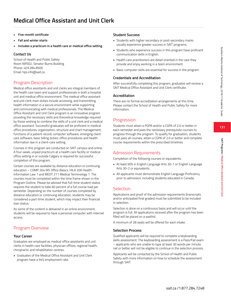**SAIT Programs / Medical Office Assistant and Unit Clerk**

SAIT Programs / Medical Office Assistant and Unit Clerk

- **• Five-month certificate**
- **• Fall and winter starts**
- **• Includes a practicum in a health care or medical office setting**

#### **Contact Us**

School of Health and Public Safety Room NR502, Senator Burns Building Phone: 403.284.8500 Email: hps.info@sait.ca

### Program Description

Medical office assistants and unit clerks are integral members of the health care team and support professionals in both a hospital unit and medical office environment. The medical office assistant and unit clerk main duties include accessing, and transmitting health information in a secure environment while supporting and communicating with medical professionals. The Medical Office Assistant and Unit Clerk program is an innovative program providing the necessary skills and theoretical knowledge required by those wishing to combine the skills of a unit clerk and a medical office assistant. Successful graduates will be proficient in medical office procedures; organization; structure and chart management; functions of a patient record; computer software; emerging client care software; basic billing duties; office procedures and health information law in a client-care setting.

Courses in this program are conducted on SAIT campus and online. A four-week, unpaid practicum at a health care facility or medical office setting in or outside Calgary is required for successful completion of this program.

Certain courses are available by distance education or continuing education – COMP 264 MS Office Basics, HILA 200 Health Information Law 1 and MEDT 211 Medical Terminology 1. The courses must be completed within the time frame shown in the Program Outline. Please be advised that full-time student status requires the student to take 60 percent of a full course load per semester. Depending on the number of courses completed by distance education or continuing education, students may be considered a part-time student, which may impact their financial loan status.

As some of the content is delivered in an online environment, students will be required to have a personal computer with Internet access.

### Program Overview

#### **Your Career**

Graduates are employed as medical office assistants and unit clerks in health care facilities, physician offices, regional health, chiropractic and rehabilitation centres.

• Graduates of the Medical Office Assistant and Unit Clerk program have a 94% employment rate.

### **Student Success**

- Students with higher secondary or post-secondary marks usually experience greater success in SAIT programs.
- Students who experience success in this program have proficient communication skills in English.
- Health care practitioners are detail oriented in the care they provide and enjoy working in a team environment.
- Basic computer skills are essential for success in the program.

#### **Credentials and Accreditation**

After successfully completing this program, graduates will receive a SAIT Medical Office Assistant and Unit Clerk certificate.

#### **Accreditation**

There are no formal accreditation arrangements at this time. Please contact the School of Health and Public Safety for more information.

### **Progression**

Students must attain a PGPA and/or a CGPA of 2.0 or better in each semester and pass the necessary prerequisite courses to progress through the program. To qualify for graduation, students must pass all courses, attain a CGPA of 2.0 or better and complete course requirements within the prescribed timelines.

### Admission Requirements

Completion of the following courses or equivalents:

- At least 60% in English Language Arts 30-1 or English Language Arts 30-2 or equivalents.
- All applicants must demonstrate English Language Proficiency prior to admission, including students educated in Canada.

### **Selection**

Applications and proof of the admission requirements (transcripts and/or anticipated final grades) must be submitted to be included in selection.

Selection is done on a continuous basis and will occur until the program is full. All applications received after the program has been filled will be placed on a waitlist.

A minimum of 28 seats will be offered for each intake.

#### **Selection Process**

Qualified applicants will be required to complete a keyboarding skills assessment. The keyboarding assessment is a Pass/Fail exam – applicants who are unable to type at least 30 words per minute net or better will not be eligible to continue in the selection process.

Applicants will be contacted by the School of Health and Public Safety with more information on how to schedule the assessment through SAIT.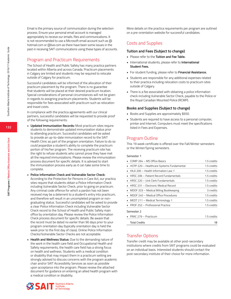Email is the primary source of communication during the selection process. Ensure your personal email account is managed appropriately to receive our emails, files and communications. It is not recommended to use a Microsoft email account such as @ hotmail.com or @live.com as there have been some issues in the past in receiving SAIT communications using these types of accounts.

### Program and Practicum Requirements

The School of Health and Public Safety has many practica partners located within Alberta and across Canada. Practicum placements in Calgary are limited and students may be required to relocate outside of Calgary for practicum.

Successful candidates will be informed of the allocation of their practicum placement by the program. There is no guarantee that students will be placed at their desired practicum location. Special considerations of personal circumstances will not be given in regards to assigning practicum placements. Students will be responsible for fees associated with practicum such as relocation and travel costs.

In compliance with the practica agreements with our clinical partners, successful candidates will be requested to provide proof of the following requirements:

- **• Updated Immunization Records:** Most practicum sites require students to demonstrate updated immunization status prior to attending practicum. Successful candidates will be asked to provide an up-to-date immunization record to the SAIT Health Clinic as part of the program orientation. Failure to do so could jeopardize a student's ability to complete the practicum portion of his/her program. The receiving practicum site has the right to refuse students who cannot prove they have met all the required immunizations. Please review the immunization process document for specific details. It is advised to start the immunization process early as it can take some time to complete.
- **• Police Information Check and Vulnerable Sector Check:** According to the Protection for Persons in Care Act, our practica sites require that students obtain a Police Information Check including Vulnerable Sector Check, prior to going on practicum. Any criminal code offence for which a pardon has not been received may be a deterrent to a student's entry into practicum, and therefore will result in an uncompleted program or nongraduating status. Successful candidates will be asked to provide a clear Police Information Check including Vulnerable Sector Check record to the School of Health and Public Safety main office by orientation day. Please review the Police Information Check process document for specific details. Be aware that the record must be dated no earlier than 90 days prior to your program orientation day (typically orientation day is held the week prior to the first day of class). Online Police Information Checks/Vulnerable Sector Checks are not acceptable.
- **• Health and Wellness Status:** Due to the demanding nature of the work in the health care field and Occupational Health and Safety requirements, the health care field has a strong focus on health and wellness. Students with a medical condition or disability that may impact them in a practicum setting are strongly advised to discuss concerns with the program academic chair and/or SAIT Accessibility Services as soon as possible upon acceptance into the program. Please review the attached document for guidance on entering an allied health program with a medical condition or disability.

More details on the practica requirements per program are outlined on a pre-orientation website for successful candidates.

### Costs and Supplies

#### **Tuition and Fees (Subject to change)**

- Please refer to the **Tuition and Fee Table.**
- International students, please refer to **International Student Fees.**
- For student funding, please refer to **Financial Assistance.**
- Students are responsible for any additional expenses related to their practica including relocation costs to practicum sites outside of Calgary.
- There is a fee associated with obtaining a police information check including Vulnerable Sector Check, payable to the Police or the Royal Canadian Mounted Police (RCMP).

#### **Books and Supplies (Subject to change)**

- Books and Supplies are approximately \$650.
- Students are required to have access to a personal computer, printer and Internet. Computers must meet the specifications listed in Fees and Expenses.

### Program Outline

This 19 week certificate is offered over the Fall/Winter semesters or the Winter/Spring semesters.

#### Semester 1

| $\blacksquare$ COMP 264 – MS Office Basics | 1.5 credits |
|--------------------------------------------|-------------|
| HCPP 220 - Healthcare Systems Fundamental  | 1.5 credits |
| HILA 200 - Health Information Law 1        | 1.5 credits |
| HRSC 206 - Patient Record Fundamentals     | 1.5 credits |
| HRSC 220 - Unit Clerk Fundamentals         | 1.5 credits |
| HRSC 231 – Electronic Medical Record       | 1.5 credits |
| MDOF 203 - Medical Billing Bookkeeping     | 3 credits   |
| MDOF 240 - Medical Office Procedures       | 1.5 credits |
| • MEDT 211 – Medical Terminology 1         | 1.5 credits |
| PROF 252 - Professional Practice           | 1.5 credits |
| Semester 2                                 |             |
| PRAC 279 - Practicum                       | 1.5 credits |
| <b>Total Credits</b>                       | 18          |

### Transfer Options

Transfer credit may be available at other post-secondary institutions where credits from SAIT programs could be evaluated on an individual basis. Interested students should contact the post-secondary institute of their choice for more information.

**132**

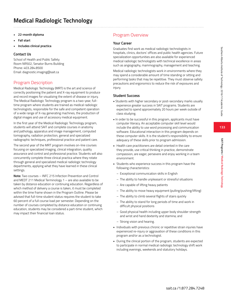- **• 22-month diploma**
- **• Fall start**
- **• Includes clinical practica**

#### **Contact Us**

School of Health and Public Safety Room NR502, Senator Burns Building Phone: 403.284.8500 Email: diagnostic.imaging@sait.ca

### Program Description

Medical Radiologic Technology (MRT) is the art and science of correctly positioning the patient and X-ray equipment to produce and record images for visualizing the extent of disease or injury. The Medical Radiologic Technology program is a two-year, fulltime program where students are trained as medical radiologic technologists, responsible for the safe and competent operation of a wide range of X-ray generating machines, the production of digital images and use of accessory medical equipment.

In the first year of the Medical Radiologic Technology program, students will attend SAIT and complete courses in anatomy and pathology, apparatus and image management, computed tomography, radiation protection, general and specialized radiographic techniques, professional practice and patient care.

The second year of the MRT program involves on-line courses focusing on specialized imaging, clinical integration, quality assurance and control and professional practice. Students will also concurrently complete three clinical practica where they rotate through general and specialized medical radiologic technology departments, applying what they have learned in these clinical settings.

**Note:** Two courses – INFC 215 Infection Prevention and Control and MEDT 211 Medical Terminology 1 – are also available to be taken by distance education or continuing education. Regardless of which method of delivery a course is taken, it must be completed within the time frame shown in the Program Outline. Please be advised that full-time student status requires the student to take 60 percent of a full course load per semester. Depending on the number of courses completed by distance education or continuing education, students may be considered a part-time student, which may impact their financial loan status.

### Program Overview

#### **Your Career**

Graduates find work as medical radiologic technologists in hospitals, clinics, doctors' offices and public health agencies. Future specialization opportunities are also available for experienced medical radiologic technologists with technical excellence in areas such as angiography, mammography, management and teaching.

Medical radiologic technologists work in environments where they may spend a considerable amount of time standing or sitting and performing tasks that may be repetitive. They must observe safety precautions and ergonomics to reduce the risk of exposures and injury.

#### **Student Success**

- Students with higher secondary or post-secondary marks usually experience greater success in SAIT programs. Students are expected to spend approximately 20 hours per week outside of class studying.
- In order to be successful in this program, applicants must have computer literacy. An acceptable computer skill level would include the ability to use word processing and communication software. Educational interaction in this program depends on these computer skills. It is the student's responsibility to ensure adequacy of these skills prior to program admission.
- Health care practitioners are detail oriented in the care they provide, use critical thinking in practice, demonstrate compassion, are eager, persevere and enjoy working in a team environment.
- Students who experience success in this program have the following characteristics:
	- Exceptional communication skills in English
	- The ability to handle unpleasant or stressful situations
	- Are capable of lifting heavy patients
	- The ability to move heavy equipment (pulling/pushing/lifting)
	- The ability to climb several flights of stairs quickly
	- The ability to stand for long periods of time and work in difficult physical positions
	- Good physical health including upper body shoulder strength and wrist and hand dexterity and stamina; and
	- Strong vision and hearing.
- Individuals with previous chronic or repetitive strain injuries have experienced re-injury or aggravation of these conditions in this program and/or as a technologist.
- During the clinical portion of the program, students are expected to participate in normal medical radiologic technology shift work including evenings, weekends and statutory holidays.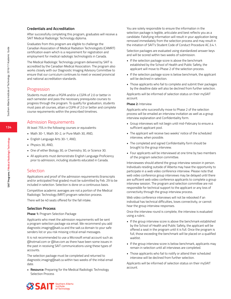#### **Credentials and Accreditation**

After successfully completing this program, graduates will receive a SAIT Medical Radiologic Technology diploma.

Graduates from this program are eligible to challenge the Canadian Association of Medical Radiation Technologists (CAMRT) certification exam which is a requirement for registration and employment for medical radiologic technologists in Canada.

The Medical Radiologic Technology program delivered by SAIT is accredited by the Canadian Medical Association. The program also works closely with our Diagnostic Imaging Advisory Committee to ensure that our curriculum continues to meet or exceed provincial and national accreditation standards.

#### Progression

Students must attain a PGPA and/or a CGPA of 2.0 or better in each semester and pass the necessary prerequisite courses to progress through the program. To qualify for graduation, students must pass all courses, attain a CGPA of 2.0 or better and complete course requirements within the prescribed timelines.

#### Admission Requirements

At least 75% in the following courses or equivalents:

- Math 30-1, Math 30-2, or Pure Math 30, AND,
- English Language Arts 30-1, AND,
- · Physics 30, AND,
- One of either Biology 30, or Chemistry 30, or Science 30.
- All applicants must demonstrate English Language Proficiency prior to admission, including students educated in Canada.

#### **Selection**

Applications and proof of the admission requirements (transcripts and/or anticipated final grades) must be submitted by Feb. 29 to be included in selection. Selection is done on a continuous basis.

Competitive academic averages are not a portion of the Medical Radiologic Technology (MRT) program selection process.

There will be 40 seats offered for the fall intake.

#### **Selection Process**

#### **Phase 1:** Program Selection Package

Applicants who meet the admission requirements will be sent a program selection package via email. We recommend you add diagnostic.imaging@sait.ca and the sait.ca domain to your safe senders list or you risk missing critical email messages.

It is not recommended to use a Microsoft email account such as @hotmail.com or @live.com as there have been some issues in the past in receiving SAIT communications using these types of accounts.

The selection package must be completed and returned to diagnostic.imaging@sait.ca within two weeks of the initial email date.

**• Resource:** Preparing for the Medical Radiologic Technology Selection Process

You are solely responsible to ensure the information in the selection package is legible, articulate and best reflects you as a candidate. Falsifying information will result in your application being removed immediately from the selection process and may result in the initiation of SAIT's Student Code of Conduct Procedure AC.3.4.1.

Selection packages are evaluated using standardized answer keys and will be scored within two weeks of submission.

- If the selection package score is above the benchmark established by the School of Health and Public Safety, the applicant will move to Phase 2 of the selection process.
- If the selection package score is below benchmark, the applicant will be declined in selection.
- Those applicants who fail to complete and submit their packages by the deadline date will also be declined from further selection.

Applicants will be informed of selection status on their mySAIT account.

#### **Phase 2:** Interview

Applicants who successfully move to Phase 2 of the selection process will be emailed an interview invitation as well as a group interview explanation and Confidentiality form.

- Group interviews will not begin until mid-February to ensure a sufficient applicant pool.
- The applicant will receive two weeks' notice of the scheduled interview, when possible.
- The completed and signed Confidentiality form should be brought to the group interview.
- Four applicants will be interviewed at one time by two members of the program selection committee.

Interviewees should attend the group interview session in person. Individuals residing outside of Alberta may have the opportunity to participate in a web video conference interview. Please note that web video conference group interviews may be delayed until there are sufficient web video conference applicants to complete a group interview session. The program and selection committee are not responsible for technical support to the applicant or any loss of connectivity through the group interview process.

Web video conference interviews will not be rebooked if an individual has technical difficulties, loses connectivity, or cannot hear the group interview responses.

Once the interview round is complete, the interview is evaluated using a rubric.

- If the group interview score is above the benchmark established by the School of Health and Public Safety, the applicant will be offered a seat in the program until it is full. Once the program is full, those exceeding the benchmark will be placed on a qualified waitlist.
- If the group interview score is below benchmark, applicants may remain in selection until all interviews are completed.
- Those applicants who fail to notify or attend their scheduled interview will be declined from further selection.

Applicants will be informed of selection status on their mySAIT account.



**SAIT Programs / Medical Radiologic Technology**

**SAIT Programs / Medical Radiologic Technology**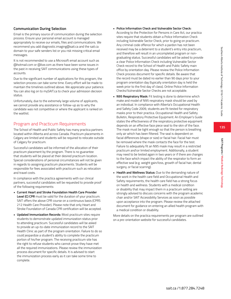### **Communication During Selection**

Email is the primary source of communication during the selection process. Ensure your personal email account is managed appropriately to receive our emails, files and communications. We recommend you add diagnostic.imaging@sait.ca and the sait.ca domain to your safe senders list or you risk missing critical email messages.

It is not recommended to use a Microsoft email account such as @hotmail.com or @live.com as there have been some issues in the past in receiving SAIT communications using these types of accounts.

Due to the significant number of applications for this program, the selection process can take some time. Every effort will be made to maintain the timelines outlined above. We appreciate your patience. You can also log on to mySAIT.ca to check your admission decision status.

Unfortunately, due to the extremely large volume of applicants, we cannot provide any assistance or follow-up as to why the candidate was not competitive or where the applicant is ranked on the waitlist.

### Program and Practicum Requirements

The School of Health and Public Safety has many practica partners located within Alberta and across Canada. Practicum placements in Calgary are limited and students will be required to relocate outside of Calgary for practicum.

Successful candidates will be informed of the allocation of their practicum placement by the program. There is no guarantee that students will be placed at their desired practicum location. Special considerations of personal circumstances will not be given in regards to assigning practicum placements. Students will be responsible for fees associated with practicum such as relocation and travel costs.

In compliance with the practica agreements with our clinical partners, successful candidates will be requested to provide proof of the following requirements:

- **Current Heart and Stroke Foundation Health Care Provider Level (C) CPR** must be valid for the duration of your practicum. SAIT offers the above CPR course on a continuous basis (CPRS 212 Health Care Provider). Please note that only Heart and Stroke Foundation of Canada CPR certification will be accepted.
- **• Updated Immunization Records:** Most practicum sites require students to demonstrate updated immunization status prior to attending practicum. Successful candidates will be asked to provide an up-to-date immunization record to the SAIT Health Clinic as part of the program orientation. Failure to do so could jeopardize a student's ability to complete the practicum portion of his/her program. The receiving practicum site has the right to refuse students who cannot prove they have met all the required immunizations. Please review the immunization process document for specific details. It is advised to start the immunization process early as it can take some time to complete.

#### **• Police Information Check and Vulnerable Sector Check:**

According to the Protection for Persons in Care Act, our practica sites require that students obtain a Police Information Check including Vulnerable Sector Check, prior to going on practicum. Any criminal code offence for which a pardon has not been received may be a deterrent to a student's entry into practicum, and therefore will result in an uncompleted program or nongraduating status. Successful candidates will be asked to provide a clear Police Information Check including Vulnerable Sector Check record to the School of Health and Public Safety main office by orientation day. Please review the Police Information Check process document for specific details. Be aware that the record must be dated no earlier than 90 days prior to your program orientation day (typically orientation day is held the week prior to the first day of class). Online Police Information Checks/Vulnerable Sector Checks are not acceptable.

- **• N95 Respiratory Mask:** Fit testing is done to determine which make and model of N95 respiratory mask should be used by an individual. In compliance with Alberta's Occupational Health and Safety Code 2009, students are fit-tested for respiratory masks prior to their practica. Occupational Health and Safety Bulletin, Respiratory Protective Equipment: An Employer's Guide states the effectiveness of the respiratory protective equipment depends on an effective face piece seal to the skin of the face. The mask must be tight enough so that the person is breathing only air which has been filtered. The seal is dependent on facial differences (shape or size) or facial hair. Facial hair must be removed where the mask contacts the face for the test. Failure to adequately fit an N95 mask may result in a restricted practicum and\or limited employment. Additionally, a student may need to be tested again in two years or if there are changes to the face which impact the ability of the respirator to form an effective seal (e.g. weight gain/loss, growth of facial hair, dental surgery, or facial scarring).
- **• Health and Wellness Status:** Due to the demanding nature of the work in the health care field and Occupational Health and Safety requirements, the health care field has a strong focus on health and wellness. Students with a medical condition or disability that may impact them in a practicum setting are strongly advised to discuss concerns with the program academic chair and/or SAIT Accessibility Services as soon as possible upon acceptance into the program. Please review the attached document for guidance on entering an allied health program with a medical condition or disability.

More details on the practica requirements per program are outlined on a pre-orientation website for successful candidates.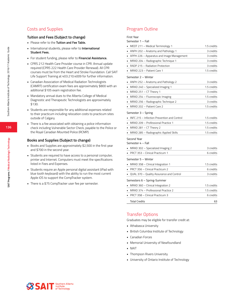### Costs and Supplies

#### **Tuition and Fees (Subject to change)**

- Please refer to the **Tuition and Fee Table.**
- International students, please refer to **International Student Fees.**
- For student funding, please refer to **Financial Assistance.**
- CPRS 212 Health Care Provider course in CPR. Annual update required (CPRS 222 Health Care Provider Renewal). All CPR courses must be from the Heart and Stroke Foundation. Call SAIT Life Support Training at 403.210.4009 for further information.
- Canadian Association of Medical Radiation Technologists (CAMRT) certification exam fees are approximately \$800 with an additional \$105 exam registration fee.
- Mandatory annual dues to the Alberta College of Medical Diagnostic and Therapeutic Technologists are approximately \$130.
- Students are responsible for any additional expenses related to their practicum including relocation costs to practicum sites outside of Calgary.
- There is a fee associated with obtaining a police information check including Vulnerable Sector Check, payable to the Police or the Royal Canadian Mounted Police (RCMP).

#### **Books and Supplies (Subject to change)**

- Books and Supplies are approximately \$2,500 in the first year and \$700 in the second year.
- Students are required to have access to a personal computer, printer and Internet. Computers must meet the specifications listed in Fees and Expenses.
- Students require an Apple personal digital assistant (iPad with blue tooth keyboard) with the ability to run the most current Apple iOS to support the CompTracker system.
- There is a \$75 CompTracker user fee per semester.

### Program Outline

| <b>First Year</b>                                                       |                          |
|-------------------------------------------------------------------------|--------------------------|
| Semester 1 – Fall                                                       |                          |
| MEDT 211 - Medical Terminology 1                                        | 1.5 credits              |
| ANPH 202 - Anatomy and Pathology 1                                      | 3 credits                |
| APPH 226 - Apparatus and Image Management<br>٠                          | 3 credits                |
| MRAD 204 – Radiographic Technique 1<br>٠                                | 3 credits                |
| • RADP 215 – Radiation Protection                                       | 3 credits                |
| MRAD 223 - Patient Care 1                                               | 1.5 credits              |
| Semester 2 – Winter                                                     |                          |
| ANPH 252 - Anatomy and Pathology 2                                      | 3 credits                |
| MRAD 240 - Specialized Imaging 1                                        | 1.5 credits              |
| MRAD 251 - CT Theory 1                                                  | 3 credits                |
| MRAD 254 - Fluoroscopic Imaging<br>٠                                    | 1.5 credits              |
| MRAD 256 – Radiographic Technique 2<br>×.                               | 3 credits                |
| MRAD 202 - Patient Care 2<br>٠                                          | 1.5 credits              |
| Semester 3 – Spring                                                     |                          |
| INFC 215 - Infection Prevention and Control                             | 1.5 credits              |
| MRAD 209 - Professional Practice 1                                      | 1.5 credits              |
| MRAD 281 - CT Theory 2                                                  | 1.5 credits              |
| MRAD 285 - Radiographic Applied Skills                                  | 1.5 credits              |
| Second Year<br>Semester 4 - Fall<br>MRAD 302 - Specialized Imaging 2    | 3 credits                |
| PRCT 353 - Clinical Practicum 1                                         | 6 credits                |
| Semester 5 – Winter                                                     |                          |
| MRAD 358 - Clinical Integration 1                                       | 1.5 credits              |
| PRCT 356 - Clinical Practicum 2                                         | 6 credits                |
| QUAL 370 - Quality Assurance and Control                                | 3 credits                |
|                                                                         |                          |
|                                                                         |                          |
| Semesters 6 - Spring-Summer                                             |                          |
| MRAD 360 - Clinical Integration 2                                       | 1.5 credits              |
| • MRAD 374 – Professional Practice 2<br>PRCT 358 - Clinical Practicum 3 | 1.5 credits<br>6 credits |

### Transfer Options

Graduates may be eligible for transfer credit at:

- Athabasca University
- British Columbia Institute of Technology
- Canadian Forces
- Memorial University of Newfoundland
- NAIT
- Thompson Rivers University
- University of Ontario Institute of Technology





**SAIT Programs / Medical Radiologic Technology**

**SAIT Programs / Medical Radiologic Technology**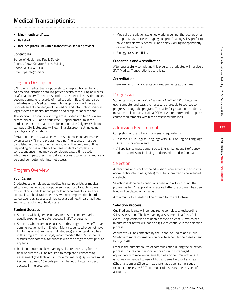**SAIT Programs / Medical Transcriptionist**

SAIT Programs / Medical Transcriptionist

- **• Nine-month certificate**
- **• Fall start**
- **• Includes practicum with a transcription service provider**

### **Contact Us**

School of Health and Public Safety Room NR502, Senator Burns Building Phone: 403.284.8500 Email: hps.info@sait.ca

### Program Description

SAIT trains medical transcriptionists to interpret, transcribe and edit medical dictation detailing patient health care during an illness or after an injury. The records produced by medical transcriptionists become permanent records of medical, scientific and legal value. Graduates of the Medical Transcriptionist program will have a unique blend of knowledge of biomedical and information sciences, legal aspects of health information and computer applications.

The Medical Transcriptionist program is divided into two 15-week semesters at SAIT, and a four-week, unpaid practicum in the third semester at a healthcare site in or outside Calgary. While on campus at SAIT, students will learn in a classroom setting using real physicians' dictations.

Certain courses are available by correspondence and are marked by an asterisk (\*) in the program outline. The courses must be completed within the time frame shown in the program outline. Depending on the number of courses students complete by correspondence, they may be considered a part-time student which may impact their financial loan status. Students will require a personal computer with Internet access.

## Program Overview

### **Your Career**

Graduates are employed as medical transcriptionists or medical editors with various transcription services, hospitals, physicians' offices, clinics, radiology and pathology departments, insurance companies, rehabilitation centres, worker compensation boards, cancer agencies, specialty clinics, specialized health care facilities, and sectors outside of health care.

### **Student Success**

- Students with higher secondary or post-secondary marks usually experience greater success in SAIT programs.
- Students who experience success in this program have effective communication skills in English. Many students who do not have English as a first language (ESL students) encounter difficulties in this program. It is strongly recommended that ESL students discuss their potential for success with the program staff prior to applying.
- Basic computer and keyboarding skills are necessary for this field. Applicants will be required to complete a keyboarding assessment (available at SAIT for a minimal fee). Applicants must keyboard at least 40 words per minute net or better for best success in the program.
- Medical transcriptionists enjoy working behind-the-scenes on a computer, have excellent typing and proofreading skills, prefer to have a flexible work schedule, and enjoy working independently or even from home.
- Biology 30 is beneficial.

### **Credentials and Accreditation**

After successfully completing this program, graduates will receive a SAIT Medical Transcriptionist certificate.

### **Accreditation**

There are no formal accreditation arrangements at this time.

### Progression

Students must attain a PGPA and/or a CGPA of 2.0 or better in each semester and pass the necessary prerequisite courses to progress through the program. To qualify for graduation, students must pass all courses, attain a CGPA of 2.0 or better and complete course requirements within the prescribed timelines.

## Admission Requirements

Completion of the following courses or equivalents:

- At least 60% in English Language Arts 30-1 or English Language Arts 30-2 or equivalents.
- All applicants must demonstrate English Language Proficiency prior to admission, including students educated in Canada.

### Selection

Applications and proof of the admission requirements (transcripts and/or anticipated final grades) must be submitted to be included in selection.

Selection is done on a continuous basis and will occur until the program is full. All applications received after the program has been filled will be placed on a waitlist.

A minimum of 24 seats will be offered for the fall intake.

### **Selection Process**

Qualified applicants will be required to complete a Keyboarding Skills assessment. The keyboarding assessment is a Pass/Fail exam – applicants who are unable to type at least 30 words per minute net or better will not be eligible to continue in the selection process.

Applicants will be contacted by the School of Health and Public Safety with more information on how to schedule the assessment through SAIT.

Email is the primary source of communication during the selection process. Ensure your personal email account is managed appropriately to receive our emails, files and communications. It is not recommended to use a Microsoft email account such as @hotmail.com or @live.com as there have been some issues in the past in receiving SAIT communications using these types of accounts.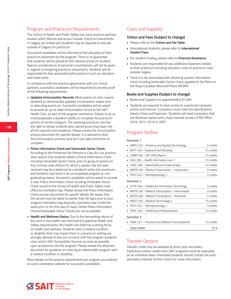### Program and Practicum Requirements

The School of Health and Public Safety has many practica partners located within Alberta and across Canada. Practicum placements in Calgary are limited and students may be required to relocate outside of Calgary for practicum.

Successful candidates will be informed of the allocation of their practicum placement by the program. There is no guarantee that students will be placed at their desired practicum location. Special considerations of personal circumstances will not be given in regards to assigning practicum placements. Students will be responsible for fees associated with practicum such as relocation and travel costs.

In compliance with the practica agreements with our clinical partners, successful candidates will be requested to provide proof of the following requirements:

- **• Updated Immunization Records:** Most practicum sites require students to demonstrate updated immunization status prior to attending practicum. Successful candidates will be asked to provide an up-to-date immunization record to the SAIT Health Clinic as part of the program orientation. Failure to do so could jeopardize a student's ability to complete the practicum portion of his/her program. The receiving practicum site has the right to refuse students who cannot prove they have met all the required immunizations. Please review the immunization process document for specific details. It is advised to start the immunization process early as it can take some time to complete.
- **• Police Information Check and Vulnerable Sector Check:**
	- According to the Protection for Persons in Care Act, our practica sites require that students obtain a Police Information Check including Vulnerable Sector Check, prior to going on practicum. Any criminal code offence for which a pardon has not been received may be a deterrent to a student's entry into practicum, and therefore will result in an uncompleted program or nongraduating status. Successful candidates will be asked to provide a clear Police Information Check including Vulnerable Sector Check record to the School of Health and Public Safety main office by orientation day. Please review the Police Information Check process document for specific details. Be aware that the record must be dated no earlier than 90 days prior to your program orientation day (typically orientation day is held the week prior to the first day of class). Online Police Information Checks/Vulnerable Sector Checks are not acceptable.
- **• Health and Wellness Status:** Due to the demanding nature of the work in the health care field and Occupational Health and Safety requirements, the health care field has a strong focus on health and wellness. Students with a medical condition or disability that may impact them in a practicum setting are strongly advised to discuss concerns with the program academic chair and/or SAIT Accessibility Services as soon as possible upon acceptance into the program. Please review the attached document for guidance on entering an allied health program with a medical condition or disability.

More details on the practica requirements per program are outlined on a pre-orientation website for successful candidates.

### Costs and Supplies

#### **Tuition and Fees (Subject to change)**

- Please refer to the **Tuition and Fee Table.**
- International students, please refer to **International Student Fees.**
- For student funding, please refer to **Financial Assistance.**
- Students are responsible for any additional expenses related to their practicum including relocation costs to practicum sites outside Calgary.
- There is a fee associated with obtaining a police information check including Vulnerable Sector Check, payable to the Police or the Royal Canadian Mounted Police (RCMP).

#### **Books and Supplies (Subject to change)**

- Books and Supplies are approximately \$1,600.
- Students are required to have access to a personal computer, printer and Internet. Computers must meet the specifications listed in Fees and Expenses. Students will need computers that are Windows-based with a fully licensed version of MS Office 2016, 2013, 2010 or 2007.

### Program Outline

Semester 1

| ANPH 220 - Anatomy and Applied Terminology           | 3 credits   |
|------------------------------------------------------|-------------|
| BCPT 240 - Keyboard Skill Building I                 | 1.5 credits |
| COMP 264 - MS Office Basics                          | 1.5 credits |
| HILA 200 - Health Information Law 1                  | 1.5 credits |
| HRSC 206 - Patient Record Fundamentals               | 1.5 credits |
| MDTR 200 - Medical Transcription - Introduction      | 3 credits   |
| PATH 242 - Pathophysiology 1                         | 3 credits   |
| Semester 2                                           |             |
| HCPP 260 - Healthcare Information Technology         | 3 credits   |
| MDTR 230 - Medical Transcription - Intermediate<br>٠ | 3 credits   |
| MDTR 260 - Medical Transcription - Advanced          | 3 credits   |
| MEDT 250 - Medical Terminology 2                     | 1.5 credits |
| PATH 252 - Pathophysiology 2                         | 3 credits   |
| PROF 240 - Healthcare Professionalism                | 1.5 credits |
| Semester 3                                           |             |
| PRAC 351 – Practicum for Medical Transcriptionist    | 1.5 credits |
| <b>Total Credits</b>                                 | 31.5        |

### Transfer Options

Transfer credit may be available at other post-secondary institutions where credits from SAIT programs could be evaluated on an individual basis. Interested students should contact the postsecondary institute of their choice for more information.

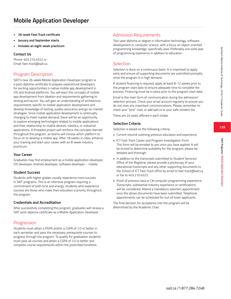**SAIT Programs / Mobile Application Developer**

SAIT Programs / Mobile Application Develope

- **• 26-week Fast-Track certificate**
- **• January and September starts**
- **• Includes an eight-week practicum**

### **Contact Us**

Phone: 403.210.4522 or Email: fast-track@sait.ca

### Program Description

SAIT's new 26-week Mobile Application Developer program is a post-diploma certificate to prepare experienced developers for exciting opportunities in native mobile app development in iOS and Android platforms. You will learn the concepts of mobile app development from ideation and requirements gathering to testing and launch. You will gain an understanding of architecture requirements specific to mobile application development and develop knowledge of testing, quality assurance and go-to-market strategies. Since mobile application development is continually changing to meet market demand, there will be an opportunity to explore emerging technologies related to mobile applications and their relationship to mobile devices, robotics, or industrial applications. A threaded project will reinforce the concepts learned throughout the program, as teams will choose which platform to focus on to develop a mobile app. After 18 weeks in class, enhance your training and start your career with an 8-week industry practicum.

#### **Your Career**

Graduates may find employment as a mobile application developer, iOS developer, Android developer, software developer – mobile.

### **Student Success**

Students with higher grades usually experience more success in SAIT programs. This is an intensive program requiring a commitment of both time and energy; students who experience success are those who make their education a priority throughout the program.

### **Credentials and Accreditation**

After successfully completing this program, graduates will receive a SAIT post-diploma certificate as a Mobile Application Developer.

### Progression

Students must attain a PGPA and/or a CGPA of 2.0 or better in each semester and pass the necessary prerequisite courses to progress through the program. To qualify for graduation students must pass all courses and attain a CGPA of 2.0 or better and complete course requirements within the prescribed timelines.

### Admission Requirements

Two-year diploma or degree in information technology, software development or computer science, with a focus on object-oriented programming knowledge, specifically Java. Preferably one solid year of programming experience in addition to education

### Selection

Selection is done on a continuous basis. It is important to apply early and ensure all supporting documents are submitted promptly since the program is in high demand.

If student financing is required, apply at least 8-12 weeks prior to the program start date to ensure adequate time to complete the process. Financing must be in place prior to the program start date.

Email is the main form of communication during the admission/ selection process. Check your email account regularly to ensure you do not miss any important communications. Please remember to check your "junk" mail, or add sait.ca to your safe senders list.

There are 24 seats offered in each intake.

#### **Selection Criteria**

Selection is based on the following criteria:

- Current resumé outlining previous education and experience.
- ICT Fast-Track Career and Program Investigation Form This form will be emailed to you once you have applied. It will be scored to determine suitability for the program; please be detailed and thorough.
- In addition to the transcripts submitted to Student Services/ Office of the Registrar, please provide a photocopy of your educational transcripts and any other supporting documents to the School of ICT Fast-Track office by email to fast-track@sait.ca or fax to 403.210.4523.
- Proof of previous Java or C# computer programming experience. Transcripts, substantial industry experience or certifications will be considered. Attend a mandatory selection appointment once the above documents have been submitted. Telephone appointments can be scheduled for out-of-town applicants.

The final decision for acceptance into the program will be determined by the Academic Chair.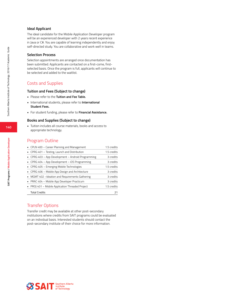#### **Ideal Applicant**

The ideal candidate for the Mobile Application Developer program will be an experienced developer with 2 years recent experience in Java or C#. You are capable of learning independently and enjoy self-directed study. You are collaborative and work well in teams.

#### **Selection Process**

Selection appointments are arranged once documentation has been submitted. Applicants are contacted on a first-come, firstselected basis. Once the program is full, applicants will continue to be selected and added to the waitlist.

### Costs and Supplies

#### **Tuition and Fees (Subject to change)**

- Please refer to the **Tuition and Fee Table.**
- International students, please refer to **International Student Fees.**
- For student funding, please refer to **Financial Assistance.**

#### **Books and Supplies (Subject to change)**

• Tuition includes all course materials, books and access to appropriate technology.

### Program Outline

| • CPLN 400 - Career Planning and Management            | 1.5 credits |
|--------------------------------------------------------|-------------|
| CPRG 401 - Testing, Launch and Distribution<br>۰.      | 1.5 credits |
| CPRG 403 - App Development - Android Programming<br>۰. | 3 credits   |
| • CPRG 404 - App Development - iOS Programming         | 3 credits   |
| • CPRG 405 - Emerging Mobile Technologies              | 1.5 credits |
| • CPRG 406 - Mobile App Design and Architecture        | 3 credits   |
| • MGMT 402 - Ideation and Requirements Gathering       | 3 credits   |
| • PRAC 404 - Mobile App Developer Practicum            | 3 credits   |
| • PROJ 401 - Mobile Application Threaded Project       | 1.5 credits |
| <b>Total Credits</b>                                   | 21          |

### Transfer Options

Transfer credit may be available at other post-secondary institutions where credits from SAIT programs could be evaluated on an individual basis. Interested students should contact the post-secondary institute of their choice for more information.

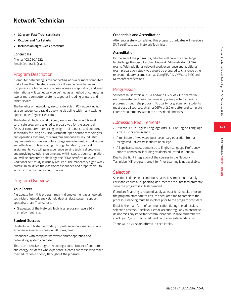- **• 32-week Fast-Track certificate**
- **• October and April starts**
- **• Includes an eight-week practicum**

#### **Contact Us**

Phone: 403.210.4522 Email: fast-track@sait.ca

### Program Description

"Computer networking is the connecting of two or more computers that allows them to share resources. It can be done between computers in a home, in a business, across a corporation, and even internationally. It can equally be defined as a method of connecting two or more computer systems together including printers and other devices.

The benefits of networking are considerable ... PC networking is, as a consequence, a rapidly evolving discipline with many exciting opportunities." (goarticles.com)

The Network Technician (NT) program is an intensive 32-week certificate program designed to prepare you for the essential fields of computer networking design, maintenance and support. Technically focusing on Cisco, Microsoft, open source technologies and operating systems, this program emphasizes key industry requirements such as security, storage management, virtualization and effective troubleshooting. Through hands-on, practical assignments, you will gain experience solving technical problems and providing solutions on time and within scope. Upon completion, you will be prepared to challenge the CCNA certification exam. Additional self-study is usually required. The mandatory eight-week practicum solidifies the classroom experience and prepares you to launch into or continue your IT career.

### Program Overview

#### **Your Career**

A graduate from this program may find employment as a network technician, network analyst, help desk analyst, system support specialist or an IT consultant.

• Graduates of the Network Technician program have a 96% employment rate.

#### **Student Success**

Students with higher secondary or post-secondary marks usually experience greater success in SAIT programs.

Experience with computer hardware and/or operating and networking systems an asset.

This is an intensive program requiring a commitment of both time and energy; students who experience success are those who make their education a priority throughout the program.

#### **Credentials and Accreditation**

After successfully completing this program, graduates will receive a SAIT certificate as a Network Technician.

#### **Accreditation**

By the end of the program, graduates will have the knowledge to challenge the Cisco Certified Network Administrator (CCNA) exams. With additional relevant work experience and additional exam preparation study, you would be prepared to challenge other relevant industry exams such as CompTIA A+, VMWare, EMC and Microsoft certifications.

#### **Progression**

Students must attain a PGPA and/or a CGPA of 2.0 or better in each semester and pass the necessary prerequisite courses to progress through the program. To qualify for graduation, students must pass all courses, attain a CGPA of 2.0 or better and complete course requirements within the prescribed timelines.

### Admission Requirements

- At least 60% in English Language Arts 30-1 or English Language Arts 30-2 or equivalent, OR,
- A minimum of two years post-secondary education from a recognized university, institute or college.
- All applicants must demonstrate English Language Proficiency prior to admission, including students educated in Canada.

Due to the tight integration of the courses in the Network Technician (NT) program, credit for Prior Learning is not available.

### Selection

Selection is done on a continuous basis. It is important to apply early and ensure all supporting documents are submitted promptly since the program is in high demand.

If student financing is required, apply at least 8-12 weeks prior to the program start date to ensure adequate time to complete the process. Financing must be in place prior to the program start date.

Email is the main form of communication during the admission/ selection process. Check your email account regularly to ensure you do not miss any important communications. Please remember to check your "junk" mail, or add sait.ca to your safe senders list.

There will be 24 seats offered in each intake.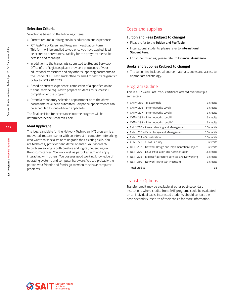#### **Selection Criteria**

Selection is based on the following criteria:

- Current resumé outlining previous education and experience.
- ICT Fast-Track Career and Program Investigation Form This form will be emailed to you once you have applied. It will be scored to determine suitability for the program; please be detailed and thorough.
- In addition to the transcripts submitted to Student Services/ Office of the Registrar, please provide a photocopy of your educational transcripts and any other supporting documents to the School of ICT Fast-Track office by email to fast-track@sait.ca or fax to 403.210.4523.
- Based on current experience, completion of a specified online tutorial may be required to prepare students for successful completion of the program.
- Attend a mandatory selection appointment once the above documents have been submitted. Telephone appointments can be scheduled for out-of-town applicants.

The final decision for acceptance into the program will be determined by the Academic Chair.

#### **Ideal Applicant**

The ideal candidate for the Network Technician (NT) program is a motivated, mature learner with an interest in computer networking, who wants to specialize or to upgrade their existing skills. You are technically proficient and detail-oriented. Your approach to problem solving is both creative and logical, depending on the circumstances. You work well as part of a team and enjoy interacting with others. You possess good working knowledge of operating systems and computer hardware. You are probably the person your friends and family go to when they have computer problems.

### Costs and supplies

#### **Tuition and Fees (Subject to change)**

- Please refer to the **Tuition and Fee Table.**
- International students, please refer to **International Student Fees.**
- For student funding, please refer to **Financial Assistance.**

#### **Books and Supplies (Subject to change)**

• The tuition fee includes all course materials, books and access to appropriate technology.

#### Program Outline

This is a 32 week Fast-track certificate offered over multiple semesters.

| CMPH 239 - IT Essentials                               | 3 credits   |
|--------------------------------------------------------|-------------|
| CMPN 276 - Internetworks Level I                       | 3 credits   |
| CMPN 277 - Internetworks Level II                      | 3 credits   |
| CMPN 287 - Internetworks Level III                     | 3 credits   |
| CMPN 288 - Internetworks Level IV                      | 3 credits   |
| CPLN 240 – Career Planning and Management              | 1.5 credits |
| CPNT 208 - Data Storage and Management                 | 1.5 credits |
| CPNT 211 - Virtualization                              | 1.5 credits |
| CPNT 223 - CCNA Security                               | 3 credits   |
| NETT 262 - Network Design and Implementation Project   | 3 credits   |
| NETT 270 - Linux Installation and Administration       | 1.5 credits |
| NETT 275 - Microsoft Directory Services and Networking | 3 credits   |
| NETT 350 - Network Technician Practicum                | 3 credits   |
| <b>Total Credits</b>                                   | 33          |

### Transfer Options

Transfer credit may be available at other post-secondary institutions where credits from SAIT programs could be evaluated on an individual basis. Interested students should contact the post-secondary institute of their choice for more information.

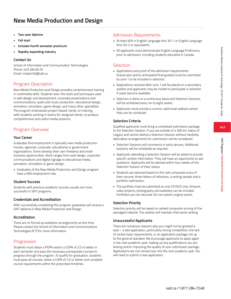**143**

**SAIT Programs / New Media Production and Design**

SAIT Programs / New Media Production and Desig

# **New Media Production and Design**

- **• Two-year diploma**
- **• Fall start**
- **• Includes fourth semester practicum**
- **• Rapidly-expanding industry**

### **Contact Us**

School of Information and Communication Technologies Phone: 403.284.8470 Email: nmpd.info@sait.ca

## Program Description

New Media Production and Design provides comprehensive training in multimedia skills. Students learn the tools and techniques used in web design and development, corporate presentations and communications, audio and music production, educational design, animation, simulation, game design, and many other specialties. The program emphasizes project-based, hands-on training, with students working in teams for assigned clients, to produce comprehensive and useful media products.

## Program Overview

#### **Your Career**

Graduates find employment in specialty new media production houses, agencies, corporate, educational or government organizations. Some develop their own freelance and small business opportunities. Work ranges from web design, corporate communications and digital signage to educational media, animation, simulation or game design.

• Graduates of the New Media Production and Design program have a 90% employment rate.

#### **Student Success**

Students with previous academic success usually are more successful in SAIT programs.

#### **Credentials and Accreditation**

After successfully completing this program, graduates will receive a SAIT diploma in New Media Production and Design.

### **Accreditation**

There are no formal accreditation arrangements at this time. Please contact the School of Information and Communications Technologies (ICT) for more information.

### Progression

Students must attain a PGPA and/or a CGPA of 2.0 or better in each semester and pass the necessary prerequisite courses to progress through the program. To qualify for graduation, students must pass all courses, attain a CGPA of 2.0 or better and complete course requirements within the prescribed timelines.

## Admission Requirements

- At least 60% in English Language Arts 30-1 or English Language Arts 30-2 or equivalents.
- All applicants must demonstrate English Language Proficiency prior to admission, including students educated in Canada.

### Selection

- Applications and proof of the admission requirements (transcripts and/or anticipated final grades) must be submitted by June 1 to be included in selection.
- Applications received after June 1 will be placed on a secondary waitlist and applicants may be invited to participate in selection if seats become available.
- Selection is done on a continuous basis and Selection Sessions will be scheduled every six to eight weeks.
- Applicants must provide a current, valid email address where they can be contacted.

### **Selection Criteria**

Qualified applicants must bring a completed submission package to the Selection Session. If you are outside of a 300 km radius of Calgary and cannot attend a Selection Session without hardship, alternative arrangements for submission will be considered.

- Selection Sessions will commence in early January. Additional sessions will be scheduled as required.
- Applicants attending a Selection Session will be asked to provide specific written information. They will have an opportunity to ask questions. Applicants will be advised within four weeks of the Selection Session of their status.
- Students are selected based on the rank composite score of their resume, three letters of reference, a writing sample and a portfolio submission.
- The portfolio must be submitted on one CD/DVD only. Artwork, video projects, photography and websites can be included. Portfolios are not returned. Do not submit original works.

### **Selection Priority**

Selection priority will be based on ranked composite scoring of the packaged material. The waitlist will maintain that same ranking.

### **Unsuccessful Applicants**

There are numerous reasons why you might not be granted a seat – a late application, particularly strong competition, the lack of certain basic requirements, or an application package not up to the general standard. We encourage applicants to apply again in the next academic year, making up any qualifications you are lacking and/or improving the quality of your submission package. Applications are not carried over into the next academic year. You will need to submit a new application.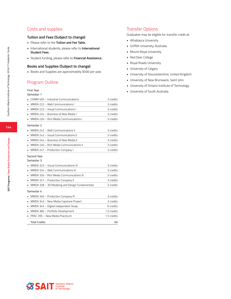## Costs and supplies

#### **Tuition and Fees (Subject to change)**

- Please refer to the **Tuition and Fee Table.**
- International students, please refer to **International Student Fees.**
- Student funding, please refer to **Financial Assistance.**

#### **Books and Supplies (Subject to change)**

• Books and Supplies are approximately \$500 per year.

### Program Outline

#### First Year

#### Semester 1

| COMM 405 - Industrial Communications                              | 3 credits   |
|-------------------------------------------------------------------|-------------|
| MMDA 222 - Web Communications I                                   | 3 credits   |
| MMDA 223 - Visual Communications I                                | 3 credits   |
| MMDA 224 - Business of New Media I                                | 3 credits   |
| MMDA 226 - Rich Media Communications L                            | 3 credits   |
| Semester <sub>2</sub>                                             |             |
| MMDA 242 - Web Communications II                                  | 3 credits   |
| MMDA 243 - Visual Communications II                               | 3 credits   |
| MMDA 244 - Business of New Media II                               | 3 credits   |
| MMDA 246 - Rich Media Communications II                           | 3 credits   |
| MMDA 247 - Production Company I                                   | 3 credits   |
| Second Year<br>Semester 3<br>MMDA 323 - Visual Communications III | 3 credits   |
| MMDA 324 - Web Communications III                                 | 3 credits   |
| MMDA 326 - Rich Media Communications III                          | 3 credits   |
| MMDA 327 - Production Company II                                  | 3 credits   |
| MMDA 328 - 3D Modeling and Design Fundamentals                    | 3 credits   |
| Semester 4                                                        |             |
| MMDA 340 - Production Company III                                 | 3 credits   |
| MMDA 343 - New Media Capstone Project<br>٠                        | 3 credits   |
| MMDA 344 - Digital Independent Study<br>٠                         | 6 credits   |
| MMDA 385 - Portfolio Development                                  | 1.5 credits |
| PRAC 395 - New Media Practicum                                    | 1.5 credits |
| <b>Total Credits</b>                                              | 60          |

### Transfer Options

Graduates may be eligible for transfer credit at:

- Athabasca University
- Griffith University, Australia
- Mount Royal University
- Red Deer College
- Royal Roads University
- University of Calgary
- University of Gloucestershire, United Kingdom
- University of New Brunswick, Saint John
- University of Ontario Institute of Technology
- University of South Australia

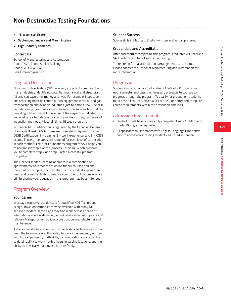## **Non-Destructive Testing Foundations**

- **• 15-week certificate**
- **• September, January and March intakes**
- **• High-industry demands**

#### **Contact Us**

School of Manufacturing and Automation Room T470, Thomas Riley Building Phone: 403.284.8641 Email: ma.info@sait.ca

### Program Description

Non-Destructive Testing (NDT) is a very important component of many industries. Identifying potential mechanical and structural failures can save time, money and lives. For example, inspection and reporting must be carried out on equipment in the oil and gas, transportation and aviation industries, just to name a few. The NDT Foundations program assists you to enter the growing NDT field by providing a basic overall knowledge of the inspection industry. This knowledge is a foundation for you to progress through all levels of inspection methods. It is a full-time, 15 week program.

In Canada, NDT Certification is regulated by the Canadian General Standards Board (CGSB). There are three steps required to obtain CGSB Certification; 1 – training, 2 – work experience, and 3 – CGSB exams. These three steps are required for each level of certification in each method. The NDT Foundations program at SAIT helps you to accomplish step 1 of this process – training, which prepares you to complete step 2 and step 3 after successful program completion.

The Online/Blended Learning approach is a combination of approximately four months of online theory courses and one month of on-campus practical labs. If you are self-disciplined, and need additional flexibility to balance your other obligations – while still furthering your education – this program may be a fit for you.

## Program Overview

#### **Your Career**

In today's economy, the demand for qualified NDT Technicians is high. Travel opportunities may be available with many NDT service providers. Technicians may find work across Canada or internationally in a wide variety of industries including: pipeline and refinery, transportation, utilities, construction, manufacturing and maintenance.

To be successful as a Non-Destructive Testing Technician, you may need the following skills: the ability to work independently – often with little supervision, math skills, communication skills, attention to detail, ability to work flexible hours in varying locations, and the ability to physically maneuver a job site freely.

### **Student Success**

Strong skills in Math and English (written and verbal) preferred.

#### **Credentials and Accreditation**

After successfully completing this program, graduates will receive a SAIT certificate in Non-Destructive Testing.

There are no formal accreditation arrangements at this time. Please contact the School of Manufacturing and Automation for more information.

### Progression

Students must attain a PGPA and/or a CGPA of 2.0 or better in each semester and pass the necessary prerequisite courses to progress through the program. To qualify for graduation, students must pass all courses, attain a CGPA of 2.0 or better and complete course requirements within the prescribed timelines.

## Admission Requirements

- Students must have successfully completed Grade 10 Math and Grade 10 English or equivalent.
- All applicants must demonstrate English Language Proficiency prior to admission, including students educated in Canada.

**145**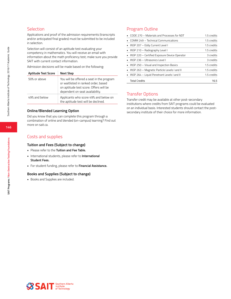### **Selection**

Applications and proof of the admission requirements (transcripts and/or anticipated final grades) must be submitted to be included in selection.

Selection will consist of an aptitude test evaluating your competency in mathematics. You will receive an email with information about the math proficiency test; make sure you provide SAIT with current contact information.

Admission decisions will be made based on the following:

| <b>Aptitude Test Score</b> | <b>Next Step</b>                                                                                                                                               |
|----------------------------|----------------------------------------------------------------------------------------------------------------------------------------------------------------|
| 50% or above               | You will be offered a seat in the program<br>or waitlisted in ranked order, based<br>on aptitude test score. Offers will be<br>dependent on seat availability. |
| 49% and below              | Applicants who score 49% and below on<br>the aptitude test will be declined.                                                                                   |

#### **Online/Blended Learning Option**

Did you know that you can complete this program through a combination of online and blended (on-campus) learning? Find out more on sait.ca.

### Costs and supplies

#### **Tuition and Fees (Subject to change)**

- Please refer to the **Tuition and Fee Table.**
- International students, please refer to **International Student Fees.**
- For student funding, please refer to **Financial Assistance.**

#### **Books and Supplies (Subject to change)**

• Books and Supplies are included.

### Program Outline

| • CODE 270 – Materials and Processes for NDT    | 1.5 credits |
|-------------------------------------------------|-------------|
| • COMM 249 - Technical Communications           | 1.5 credits |
| • INSP 207 - Eddy Current Level I               | 1.5 credits |
| $\blacksquare$ INSP 210 – Radiography Level I   | 1.5 credits |
| • INSP 220 - Certified Exposure Device Operator | 3 credits   |
| • INSP 236 - Ultrasonics Level I                | 3 credits   |
| • INSP 250 - Visual and Inspection Basics       | 1.5 credits |
| • INSP 263 – Magnetic Particle Levels I and II  | 1.5 credits |
| • INSP 264 - Liquid Penetrant Levels I and II   | 1.5 credits |
| <b>Total Credits</b>                            | 16.5        |

### Transfer Options

Transfer credit may be available at other post-secondary institutions where credits from SAIT programs could be evaluated on an individual basis. Interested students should contact the postsecondary institute of their choice for more information.

**146**

Southern Alberta Institute of Technology 2016/17 Academic Guide

Southern Alberta Institute of Technology 2016/17 Academic Guide

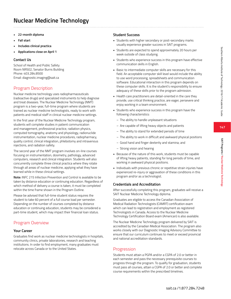**147**

**SAIT Programs / Nuclear Medicine Technology**

SAIT Programs / Nuclear Medicine Technology

# **Nuclear Medicine Technology**

- **• 22-month diploma**
- **• Fall start**
- **• Includes clinical practica**
- **• Applications close on April 1**

### **Contact Us**

School of Health and Public Safety Room NR502, Senator Burns Building Phone: 403.284.8500 Email: diagnostic.imaging@sait.ca

## Program Description

Nuclear medicine technology uses radiopharmaceuticals (radioactive drugs) and specialized instruments to help diagnose and treat diseases. The Nuclear Medicine Technology (NMT) program is a two-year, full-time program where students are trained as nuclear medicine technologists, ready to work with patients and medical staff in clinical nuclear medicine settings.

In the first year of the Nuclear Medicine Technology program, students will complete studies in patient communication and management, professional practice, radiation physics, computed tomography, anatomy and physiology, radionuclide instrumentation, nuclear medicine procedures, radiopharmacy, quality control, clinical integration, phlebotomy and intravenous injections, and radiation safety.

The second year of the NMT program involves on-line courses focusing on instrumentation, dosimetry, pathology, advanced computers, research and clinical integration. Students will also concurrently complete three clinical practica where they rotate through all areas of nuclear medicine, applying what they have learned while in these clinical settings.

**Note:** INFC 215 Infection Prevention and Control is available to be taken by distance education or continuing education. Regardless of which method of delivery a course is taken, it must be completed within the time frame shown in the Program Outline.

Please be advised that full-time student status requires the student to take 60 percent of a full course load per semester. Depending on the number of courses completed by distance education or continuing education, students may be considered a part-time student, which may impact their financial loan status.

## Program Overview

### **Your Career**

Graduates find work as nuclear medicine technologists in hospitals, community clinics, private laboratories, research and teaching institutions. In order to find employment, many graduates must relocate across Canada or to the United States.

### **Student Success**

- Students with higher secondary or post-secondary marks usually experience greater success in SAIT programs.
- Students are expected to spend approximately 20 hours per week outside of class studying.
- Students who experience success in this program have effective communication skills in English.
- Basic to intermediate computer skills are necessary for this field. An acceptable computer skill level would include the ability to use word processing, spreadsheets and communication software. Educational interaction in this program depends on these computer skills. It is the student's responsibility to ensure adequacy of these skills prior to the program admission.
- Health care practitioners are detail-oriented in the care they provide, use critical thinking practice, are eager, persevere and enjoy working in a team environment.
- Students who experience success in this program have the following characteristics:
	- The ability to handle unpleasant situations
	- Are capable of lifting heavy objects and patients
	- The ability to stand for extended periods of time
	- The ability to work in difficult and awkward physical positions
	- Good hand and finger dexterity and stamina; and
	- Strong vision and hearing
- Because of the nature of this work, students must be capable of lifting heavy patients, standing for long periods of time, and working in awkward physical positions.
- Individuals with previous chronic or repetitive strain injuries have experienced re-injury or aggravation of these conditions in this program and/or as a technologist.

### **Credentials and Accreditation**

After successfully completing this program, graduates will receive a SAIT Nuclear Medicine Technology diploma.

Graduates are eligible to access the Canadian Association of Medical Radiation Technologists (CAMRT) certification exam which can lead to registration and employment as registered Technologists in Canada. Access to the Nuclear Medicine Technology Certification Board exam (American) is also available.

The Nuclear Medicine Technology program delivered by SAIT is accredited by the Canadian Medical Association. The program also works closely with our Diagnostic Imaging Advisory Committee to ensure that our curriculum continues to meet or exceed provincial and national accreditation standards.

### **Progression**

Students must attain a PGPA and/or a CGPA of 2.0 or better in each semester and pass the necessary prerequisite courses to progress through the program. To qualify for graduation, students must pass all courses, attain a CGPA of 2.0 or better and complete course requirements within the prescribed timelines.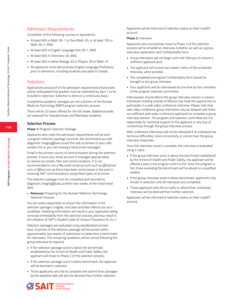### Admission Requirements

Completion of the following courses or equivalents:

- At least 60% in Math 30-1 or Pure Math 30, or at least 70% in Math 30-2, AND,
- At least 60% in English Language Arts 30-1, AND,
- At least 60% in Chemistry 30, AND,
- At least 60% in either Biology 30 or Physics 30 or Math 31.
- All applicants must demonstrate English Language Proficiency prior to admission, including students educated in Canada.

#### **Selection**

Applications and proof of the admission requirements (transcripts and/or anticipated final grades) must be submitted by April 1 to be included in selection. Selection is done on a continuous basis.

Competitive academic averages are not a portion of the Nuclear Medicine Technology (NMT) program selection process.

There will be 20 seats offered for the fall intake. Additional seats are reserved for Saskatchewan and Manitoba residents.

#### **Selection Process**

#### **Phase 1:** Program Selection Package

Applicants who meet the admission requirements will be sent a program selection package via email. We recommend you add diagnostic.imaging@sait.ca and the sait.ca domain to your safe senders list or you risk missing critical email messages.

Email is the primary source of communication during the selection process. Ensure your email account is managed appropriately to receive our emails, files and communications. It is not recommended to use a Microsoft email account such as @hotmail. com or @live.com as there have been some issues in the past in receiving SAIT communications using these types of accounts.

The selection package must be completed and returned to diagnostic.imaging@sait.ca within two weeks of the initial email date.

**• Resource:** Preparing for the Nuclear Medicine Technology Selection Process

You are solely responsible to ensure the information in the selection package is legible, articulate and best reflects you as a candidate. Falsifying information will result in your application being removed immediately from the selection process and may result in the initiation of SAIT's Student Code of Conduct Procedure AC.3.4.1.

Selection packages are evaluated using standardized answer keys. A portion of the selection package will be scored within approximately two weeks of submission to determine a benchmark for interviews. The remaining questions will be scored following the group interview as required.

- If the selection package score is above the benchmark established by the School of Health and Public Safety, the applicant will move to Phase 2 of the selection process.
- If the selection package score is below benchmark, the applicant will be declined in selection.
- Those applicants who fail to complete and submit their packages by the deadline date will also be declined from further selection.



Applicants will be informed of selection status on their mySAIT account.

#### **Phase 2:** Interview

Applicants who successfully move to Phase 2 of the selection process will be emailed an interview invitation as well as a group interview explanation and Confidentiality form.

- Group interviews will not begin until mid-February to ensure a sufficient applicant pool.
- The applicant will receive two weeks' notice of the scheduled interview, when possible.
- The completed and signed Confidentiality form should be brought to the group interview.
- Four applicants will be interviewed at one time by two members of the program selection committee.

Interviewees should attend the group interview session in person. Individuals residing outside of Alberta may have the opportunity to participate in a web video conference interview. Please note that web video conference group interviews may be delayed until there are sufficient web video conference applicants to complete a group interview session. The program and selection committee are not responsible for technical support to the applicant or any loss of connectivity through the group interview process.

Web conference interviews will not be rebooked if an individual has technical difficulties, loses connectivity, or cannot hear the group interview responses.

Once the interview round is complete, the interview is evaluated using a rubric.

- If the group interview score is above the benchmark established by the School of Health and Public Safety, the applicant will be offered a seat in the program until it is full. Once the program is full, those exceeding the benchmark will be placed on a qualified waitlist.
- If the group interview score is below benchmark, applicants may remain in selection until all interviews are completed.
- Those applicants who fail to notify or attend their scheduled interview will be declined from further selection.

Applicants will be informed of selection status on their mySAIT account.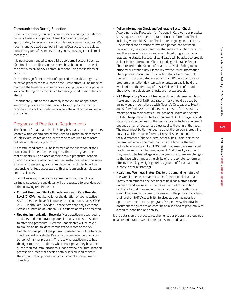# **149**

### **Communication During Selection**

Email is the primary source of communication during the selection process. Ensure your personal email account is managed appropriately to receive our emails, files and communications. We recommend you add diagnostic.imaging@sait.ca and the sait.ca domain to your safe senders list or you risk missing critical email messages.

It is not recommended to use a Microsoft email account such as @hotmail.com or @live.com as there have been some issues in the past in receiving SAIT communications using these types of accounts.

Due to the significant number of applications for this program, the selection process can take some time. Every effort will be made to maintain the timelines outlined above. We appreciate your patience. You can also log on to mySAIT.ca to check your admission decision status.

Unfortunately, due to the extremely large volume of applicants, we cannot provide any assistance or follow-up as to why the candidate was not competitive or where the applicant is ranked on the waitlist.

## Program and Practicum Requirements

The School of Health and Public Safety has many practica partners located within Alberta and across Canada. Practicum placements in Calgary are limited and students may be required to relocate outside of Calgary for practicum.

Successful candidates will be informed of the allocation of their practicum placement by the program. There is no guarantee that students will be placed at their desired practicum location. Special considerations of personal circumstances will not be given in regards to assigning practicum placements. Students will be responsible for fees associated with practicum such as relocation and travel costs.

In compliance with the practica agreements with our clinical partners, successful candidates will be requested to provide proof of the following requirements:

- **Current Heart and Stroke Foundation Health Care Provider Level (C) CPR** must be valid for the duration of your practicum. SAIT offers the above CPR course on a continuous basis (CPRS 212 – Health Care Provider). Please note that only Heart and Stroke Foundation of Canada CPR certification will be accepted.
- **• Updated Immunization Records:** Most practicum sites require students to demonstrate updated immunization status prior to attending practicum. Successful candidates will be asked to provide an up-to-date immunization record to the SAIT Health Clinic as part of the program orientation. Failure to do so could jeopardize a student's ability to complete the practicum portion of his/her program. The receiving practicum site has the right to refuse students who cannot prove they have met all the required immunizations. Please review the immunization process document for specific details. It is advised to start the immunization process early as it can take some time to complete.

#### **• Police Information Check and Vulnerable Sector Check:**

According to the Protection for Persons in Care Act, our practica sites require that students obtain a Police Information Check including Vulnerable Sector Check, prior to going on practicum. Any criminal code offence for which a pardon has not been received may be a deterrent to a student's entry into practicum, and therefore will result in an uncompleted program or nongraduating status. Successful candidates will be asked to provide a clear Police Information Check including Vulnerable Sector Check record to the School of Health and Public Safety main office by orientation day. Please review the Police Information Check process document for specific details. Be aware that the record must be dated no earlier than 90 days prior to your program orientation day (typically orientation day is held the week prior to the first day of class). Online Police Information Checks/Vulnerable Sector Checks are not acceptable.

- **• N95 Respiratory Mask:** Fit testing is done to determine which make and model of N95 respiratory mask should be used by an individual. In compliance with Alberta's Occupational Health and Safety Code 2009, students are fit-tested for respiratory masks prior to their practica. Occupational Health and Safety Bulletin, Respiratory Protective Equipment: An Employer's Guide states the effectiveness of the respiratory protective equipment depends on an effective face piece seal to the skin of the face. The mask must be tight enough so that the person is breathing only air which has been filtered. The seal is dependent on facial differences (shape or size) or facial hair. Facial hair must be removed where the mask contacts the face for the test. Failure to adequately fit an N95 mask may result in a restricted practicum and\or limited employment. Additionally, a student may need to be tested again in two years or if there are changes to the face which impact the ability of the respirator to form an effective seal (e.g. weight gain/loss, growth of facial hair, dental surgery, or facial scarring).
- **• Health and Wellness Status:** Due to the demanding nature of the work in the health care field and Occupational Health and Safety requirements, the health care field has a strong focus on health and wellness. Students with a medical condition or disability that may impact them in a practicum setting are strongly advised to discuss concerns with the program academic chair and/or SAIT Accessibility Services as soon as possible upon acceptance into the program. Please review the attached document for guidance on entering an allied health program with a medical condition or disability.

More details on the practica requirements per program are outlined on a pre-orientation website for successful candidates.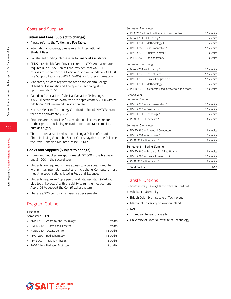## Costs and Supplies

#### **Tuition and Fees (Subject to change)**

- Please refer to the **Tuition and Fee Table.**
- International students, please refer to **International Student Fees.**
- For student funding, please refer to **Financial Assistance.**
- CPRS 212 Health Care Provider course in CPR. Annual update required (CPRS 222 Health Care Provider Renewal). All CPR courses must be from the Heart and Stroke Foundation. Call SAIT Life Support Training at 403.210.4009 for further information.
- Mandatory student registration fee to the Alberta College of Medical Diagnostic and Therapeutic Technologists is approximately \$100.
- Canadian Association of Medical Radiation Technologist (CAMRT) certification exam fees are approximately \$800 with an additional \$105 exam administration fee.
- Nuclear Medicine Technology Certification Board (NMTCB) exam fees are approximately \$175.
- Students are responsible for any additional expenses related to their practica including relocation costs to practicum sites outside Calgary.
- There is a fee associated with obtaining a Police Information Check including Vulnerable Sector Check, payable to the Police or the Royal Canadian Mounted Police (RCMP).

#### **Books and Supplies (Subject to change)**

- Books and Supplies are approximately \$2,600 in the first year and \$1,200 in the second year.
- Students are required to have access to a personal computer with printer, Internet, headset and microphone. Computers must meet the specifications listed in Fees and Expenses
- Students require an Apple personal digital assistant (iPad with blue tooth keyboard) with the ability to run the most current Apple iOS to support the CompTracker system.
- There is a \$75 CompTracker user fee per semester.

### Program Outline

#### First Year

#### Semester 1 – Fall

| • ANPH 215 $-$ Anatomy and Physiology | 3 credits   |
|---------------------------------------|-------------|
| • NMED 210 - Professional Practice    | 3 credits   |
| • NMED 220 - Quality Control 1        | 1.5 credits |
| • PHAR 230 - Radiopharmacy 1          | 1.5 credits |
| • PHYS 209 - Radiation Physics        | 3 credits   |
| • RADP 210 - Radiation Protection     | 3 credits   |
|                                       |             |

| Semester 2 - Winter                                     |             |
|---------------------------------------------------------|-------------|
| INFC 215 - Infection Prevention and Control             | 1.5 credits |
| MRAD 251 - CT Theory 1                                  | 3 credits   |
| NMED 251 - Methodology 1<br>٠                           | 3 credits   |
| NMED 260 - Instrumentation 1                            | 1.5 credits |
| NMED 270 - Quality Control 2<br>٠                       | 3 credits   |
| PHAR 262 - Radiopharmacy 2<br>٠                         | 3 credits   |
| Semester 3 - Spring                                     |             |
| MRAD 281 - CT Theory 2                                  | 1.5 credits |
| NMED 256 - Patient Care<br>$\blacksquare$               | 1.5 credits |
| NMED 275 - Clinical Integration 1                       | 1.5 credits |
| NMED 291 - Methodology 2                                | 3 credits   |
| PHLB 236 - Phlebotomy and Intravenous Injections<br>٠.  | 1.5 credits |
| Semester 4 - Fall<br>NMED 310 - Instrumentation 2       | 1.5 credits |
|                                                         |             |
| NMED 320 - Dosimetry                                    | 1.5 credits |
| NMED 331 – Pathology 1<br>$\blacksquare$                | 3 credits   |
| PRAC 309 - Practicum 1                                  | 6 credits   |
| Semester 5 - Winter                                     |             |
| NMED 350 - Advanced Computers                           | 1.5 credits |
| NMED 381 - Pathology 2                                  | 3 credits   |
| PRAC 322 - Practicum 2                                  | 6 credits   |
| Semester 6 - Spring-Summer                              |             |
| NMED 360 - Research for Allied Health<br>$\blacksquare$ | 1.5 credits |
| NMED 390 - Clinical Integration 2<br>٠                  | 1.5 credits |
| PRAC 343 - Practicum 3<br>٠                             | 6 credits   |
| <b>Total Credits</b>                                    | 70.5        |

### Transfer Options

Graduates may be eligible for transfer credit at:

- Athabasca University
- British Columbia Institute of Technology
- Memorial University of Newfoundland
- NAIT
- Thompson Rivers University
- University of Ontario Institute of Technology

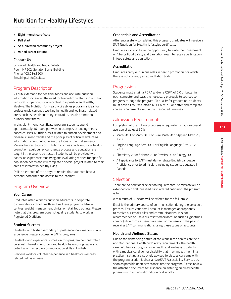### **151**

# **Nutrition for Healthy Lifestyles**

- **• Eight-month certificate**
- **• Fall start**
- **• Self-directed community project**
- **• Varied career options**

### **Contact Us**

School of Health and Public Safety Room NR502, Senator Burns Building Phone: 403.284.8500 Email: hps.info@sait.ca

## Program Description

As public demand for healthier foods and accurate nutrition information increases, the need for trained consultants in nutrition is critical. Proper nutrition is central to a positive and healthy lifestyle. The Nutrition for Healthy Lifestyles program is ideal for professionals currently working in health and wellness-related areas such as health coaching, education, health promotion, culinary and fitness.

In this eight-month certificate program, students spend approximately 16 hours per week on campus attending theorybased courses. Nutrition, as it relates to human development and disease, current trends and the principles of critically evaluating information about nutrition are the focus of the first semester. More advanced topics on nutrition such as sports nutrition, health promotion, adult behaviour change process and education are taught in the second semester. Students will be provided with hands-on experience modifying and evaluating recipes for specific population needs and will complete a special project related to their areas of interest in healthy living.

Online elements of the program require that students have a personal computer and access to the Internet.

## Program Overview

### **Your Career**

Graduates often work as nutrition educators in corporate, community or school health and wellness programs, fitness centres, weight management clinics, or retail food outlets. Please note that this program does not qualify students to work as Registered Dietitians.

### **Student Success**

Students with higher secondary or post-secondary marks usually experience greater success in SAIT's programs.

Students who experience success in this program demonstrate a personal interest in nutrition and health, have strong leadership potential and effective communication skills in English.

Previous work or volunteer experience in a health or wellness related field is an asset.

### **Credentials and Accreditation**

After successfully completing this program, graduates will receive a SAIT Nutrition for Healthy Lifestyles certificate.

Graduates will also have the opportunity to write the Government of Alberta Food Safety and Sanitation exam to receive certification in food safety and sanitation.

### **Accreditation**

Graduates carry out unique roles in health promotion, for which there is not currently an accreditation body.

### **Progression**

Students must attain a PGPA and/or a CGPA of 2.0 or better in each semester and pass the necessary prerequisite courses to progress through the program. To qualify for graduation, students must pass all courses, attain a CGPA of 2.0 or better and complete course requirements within the prescribed timelines.

## Admission Requirements

Completion of the following courses or equivalents with an overall average of at least 60%:

- Math 20-1 or Math 20-2 or Pure Math 20 or Applied Math 20, AND,
- English Language Arts 30-1 or English Language Arts 30-2, AND,
- Chemistry 20 or Science 20 or Physics 30 or Biology 30.
- All applicants to SAIT must demonstrate English Language Proficiency prior to admission, including students educated in Canada.

### **Selection**

There are no additional selection requirements. Admission will be extended on a first-qualified, first-offered basis until the program is full.

A minimum of 30 seats will be offered for the fall intake.

Email is the primary source of communication during the selection process. Ensure your email account is managed appropriately to receive our emails, files and communications. It is not recommended to use a Microsoft email account such as @hotmail. com or @live.com as there have been some issues in the past in receiving SAIT communications using these types of accounts.

### **Health and Wellness Status**

Due to the demanding nature of the work in the health care field and Occupational Health and Safety requirements, the health care field has a strong focus on health and wellness. Students with a medical condition or disability that may impact them in a practicum setting are strongly advised to discuss concerns with the program academic chair and/orSAIT Accessibility Services as soon as possible upon acceptance into the program. Please review the attached document for guidance on entering an allied health program with a medical condition or disability.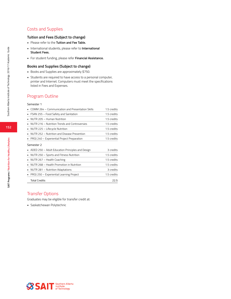## Costs and Supplies

### **Tuition and Fees (Subject to change)**

- Please refer to the **Tuition and Fee Table.**
- International students, please refer to **International Student Fees.**
- For student funding, please refer **Financial Assistance.**

#### **Books and Supplies (Subject to change)**

- Books and Supplies are approximately \$750.
- Students are required to have access to a personal computer, printer and Internet. Computers must meet the specifications listed in Fees and Expenses.

### Program Outline

#### Semester 1

| COMM 264 - Communication and Presentation Skills | 1.5 credits |
|--------------------------------------------------|-------------|
| FSAN 255 - Food Safety and Sanitation            | 1.5 credits |
| NUTR 205 - Human Nutrition                       | 1.5 credits |
| NUTR 216 - Nutrition Trends and Controversies    | 1.5 credits |
| NUTR 225 - Lifecycle Nutrition<br>٠              | 1.5 credits |
| NUTR 252 - Nutrition and Disease Prevention      | 1.5 credits |
| PROJ 240 - Experiential Project Preparation      | 1.5 credits |
| Semester 2                                       |             |
| ADED 250 – Adult Education Principles and Design | 3 credits   |
| NUTR 250 - Sports and Fitness Nutrition          | 1.5 credits |
| NUTR 267 - Health Coaching                       | 1.5 credits |
| NUTR 268 - Health Promotion in Nutrition         | 1.5 credits |
| NUTR 281 - Nutrition Adaptations                 | 3 credits   |
| PROJ 250 - Experiential Learning Project         | 1.5 credits |

Total Credits 22.5

#### Transfer Options

Graduates may be eligible for transfer credit at:

• Saskatchewan Polytechnic

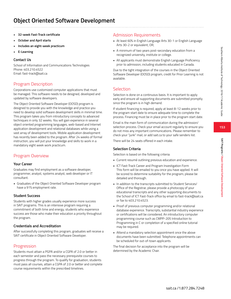- **• 32-week Fast-Track certificate**
- **• October and April starts**
- **• Includes an eight-week practicum**
- **• E-Learning**

School of Information and Communications Technologies Phone: 403.210.4522 Email: fast-track@sait.ca

## Program Description

Corporations use customized computer applications that must be managed. This software needs to be designed, developed and updated by software developers.

The Object Oriented Software Developer (OOSD) program is designed to provide you with the knowledge and practice you need to develop solid software development skills in minimal time. This program takes you from introductory concepts to advanced techniques in only 32 weeks. You will gain experience in several object oriented programming languages, web-based and Internet application development and relational databases while using a vast array of development tools. Mobile application development has recently been added to the program. After 24 weeks of formal instruction, you will put your knowledge and skills to work in a mandatory eight week work practicum.

## Program Overview

### **Your Career**

Graduates may find employment as a software developer, programmer, analyst, systems analyst, web developer or IT consultant.

• Graduates of the Object Oriented Software Developer program have a 91% employment rate.

### **Student Success**

Students with higher grades usually experience more success in SAIT programs. This is an intensive program requiring a commitment of both time and energy; students who experience success are those who make their education a priority throughout the program.

### **Credentials and Accreditation**

After successfully completing this program, graduates will receive a SAIT certificate in Object Oriented Software Developer.

## Progression

Students must attain a PGPA and/or a CGPA of 2.0 or better in each semester and pass the necessary prerequisite courses to progress through the program. To qualify for graduation, students must pass all courses, attain a CGPA of 2.0 or better and complete course requirements within the prescribed timelines.

## Admission Requirements

- At least 60% in English Language Arts 30-1 or English Language Arts 30-2 or equivalent, OR,
- A minimum of two years post-secondary education from a recognized university, institute or college.
- All applicants must demonstrate English Language Proficiency prior to admission, including students educated in Canada.

Due to the tight integration of the courses in the Object Oriented Software Developer (OOSD) program, credit for Prior Learning is not available.

## Selection

Selection is done on a continuous basis. It is important to apply early and ensure all supporting documents are submitted promptly since the program is in high demand.

If student financing is required, apply at least 8-12 weeks prior to the program start date to ensure adequate time to complete the process. Financing must be in place prior to the program start date.

Email is the main form of communication during the admission/ selection process. Check your email account regularly to ensure you do not miss any important communications. Please remember to check your "junk" mail, or add sait.ca to your safe senders list.

There will be 24 seats offered in each intake.

## **Selection Criteria**

Selection is based on the following criteria:

- Current resumé outlining previous education and experience.
- ICT Fast-Track Career and Program Investigation Form This form will be emailed to you once you have applied. It will be scored to determine suitability for the program; please be detailed and thorough.
- In addition to the transcripts submitted to Student Services/ Office of the Registrar, please provide a photocopy of your educational transcripts and any other supporting documents to the School of ICT Fast-Track office by email to fast-track@sait.ca or fax to 403.210.4523.
- Proof of previous computer programming and/or relational database experience. Transcripts, substantial industry experience or certifications will be considered. An introductory computer programming course such as CMPP-205 Introduction to Programming in C or completion of a specified online tutorial may be required.
- Attend a mandatory selection appointment once the above documents have been submitted. Telephone appointments can be scheduled for out-of-town applicants.

The final decision for acceptance into the program will be determined by the Academic Chair.

**SAIT Programs / Object Oriented Software Development**

SAIT Programs / Object Oriented Software Developmen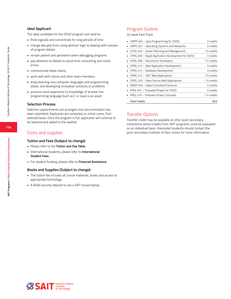#### **Ideal Applicant**

The ideal candidate for the OOSD program will need to:

- think logically and concentrate for long periods of time
- change abruptly from using abstract logic to dealing with masses of program details
- remain patient and persistent when debugging programs
- pay attention to details to avoid time-consuming and costly errors
- communicate ideas clearly
- work well with clients and other team members.
- enjoy learning new computer languages and programming styles, and developing innovative solutions to problems.
- previous work experience or knowledge of at least one programming language (such as C or Java) is an asset.

#### **Selection Process**

Selection appointments are arranged once documentation has been submitted. Applicants are contacted on a first-come, firstselected basis. Once the program is full, applicants will continue to be selected and added to the waitlist.

### Costs and supplies

#### **Tuition and Fees (Subject to change)**

- Please refer to the **Tuition and Fee Table.**
- International students, please refer to **International Student Fees.**
- For student funding, please refer to **Financial Assistance.**

#### **Books and Supplies (Subject to change)**

- The tuition fee includes all course materials, books and access to appropriate technology.
- A \$400 security deposit to use a SAIT issued laptop.

## Program Outline

32 week Fast-Track

| CMPP 264 - Java Programming for OOSD              | 3 credits   |
|---------------------------------------------------|-------------|
| CMPS 207 - Operating Systems and Networks         | 3 credits   |
| CPLN 240 - Career Planning and Management         | 1.5 credits |
| CPRG 200 - Rapid Application Development for OOSD | 3 credits   |
| CPRG 208 - Security for Developers                | 1.5 credits |
| CPRG 210 - Web Application Development            | 3 credits   |
| CPRG 212 - Database Development                   | 3 credits   |
| CPRG 214 - .NET Web Applications                  | 1.5 credits |
| CPRG 220 - Open Source Web Applications           | 1.5 credits |
| OBOR 350 - Object Oriented Practicum              | 3 credits   |
| PROJ 207 - Threaded Project for OOSD              | 3 credits   |
| PROJ 216 - Software Project Concepts              | 1.5 credits |
| <b>Total Credits</b>                              | 28.5        |

## Transfer Options

Transfer credit may be available at other post-secondary institutions where credits from SAIT programs could be evaluated on an individual basis. Interested students should contact the post-secondary institute of their choice for more information.

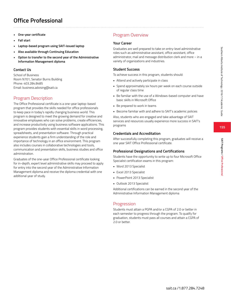- **• One-year certificate**
- **• Fall start**
- **• Laptop-based program using SAIT-issued laptop**
- **• Also available through Continuing Education**
- **• Option to transfer to the second year of the Administrative Information Management diploma**

School of Business Room N701, Senator Burns Building Phone: 403.284.8485 Email: business.advising@sait.ca

### Program Description

The Office Professional certificate is a one-year laptop-based program that provides the skills needed for office professionals to keep pace in today's rapidly changing business world. This program is designed to meet the growing demand for creative and innovative employees who can solve problems, create efficiencies, and increase productivity using business software applications. This program provides students with essential skills in word processing, spreadsheets, and presentation software. Through practical experience students gain a firm understanding of the role and importance of technology in an office environment. This program also includes courses in collaborative technologies and tools, communication and presentation skills, business studies and office administration.

Graduates of the one-year Office Professional certificate looking for in-depth, expert level administrative skills may proceed to apply for entry into the second year of the Administrative Information Management diploma and receive the diploma credential with one additional year of study.

## Program Overview

#### **Your Career**

Graduates are well prepared to take on entry-level administrative roles such as administrative assistant, office assistant, office administrator, mail and message distribution clerk and more – in a variety of organizations and industries.

#### **Student Success**

To achieve success in this program, students should:

- Attend and actively participate in class
- Spend approximately six hours per week on each course outside of regular class time
- Be familiar with the use of a Windows-based computer and have basic skills in Microsoft Office
- Be prepared to work in teams
- Become familiar with and adhere to SAIT's academic policies

Also, students who are engaged and take advantage of SAIT services and resources usually experience more success in SAIT's programs

#### **Credentials and Accreditation**

After successfully completing this program, graduates will receive a one year SAIT Office Professional certificate.

#### **Professional Designations and Certifications**

Students have the opportunity to write up to four Microsoft Office Specialist certification exams in this program:

- Word 2013 Specialist
- Excel 2013 Specialist
- PowerPoint 2013 Specialist
- Outlook 2013 Specialist

Additional certifications can be earned in the second year of the Administrative Information Management diploma

#### Progression

Students must attain a PGPA and/or a CGPA of 2.0 or better in each semester to progress through the program. To qualify for graduation, students must pass all courses and attain a CGPA of 2.0 or better.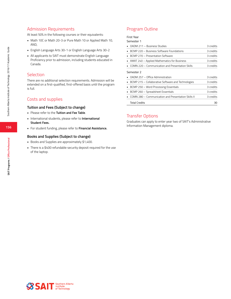### Admission Requirements

At least 50% in the following courses or their equivalents:

- Math 10C or Math 20-3 or Pure Math 10 or Applied Math 10, AND,
- English Language Arts 30-1 or English Language Arts 30-2
- All applicants to SAIT must demonstrate English Language Proficiency prior to admission, including students educated in Canada.

### Selection

There are no additional selection requirements. Admission will be extended on a first-qualified, first-offered basis until the program is full.

### Costs and supplies

#### **Tuition and Fees (Subject to change)**

- Please refer to the **Tuition and Fee Table**.
- International students, please refer to **International Student Fees.**
- For student funding, please refer to **Financial Assistance.**

#### **Books and Supplies (Subject to change)**

- Books and Supplies are approximately \$1,400.
- There is a \$400 refundable security deposit required for the use of the laptop.

## Program Outline

First Year

| nemester |  |
|----------|--|
|          |  |

| • OADM 211 - Business Studies                         | 3 credits |
|-------------------------------------------------------|-----------|
| • BCMP 220 - Business Software Foundations            | 3 credits |
| • BCMP 270 – Presentation Software                    | 3 credits |
| • AMAT 240 - Applied Mathematics for Business         | 3 credits |
| • COMN 220 – Communication and Presentation Skills    | 3 credits |
| Semester 2                                            |           |
| • OADM 257 – Office Administration                    | 3 credits |
| • BCMP 215 – Collaborative Software and Technologies  | 3 credits |
| • BCMP 250 - Word Processing Essentials               | 3 credits |
| • BCMP 260 - Spreadsheet Essentials                   | 3 credits |
| • COMN 280 - Communication and Presentation Skills II | 3 credits |

Total Credits 30

### Transfer Options

Graduates can apply to enter year two of SAIT's Administrative Information Management diploma.

Southern Alberta Institute of Technology 2016/17 Academic Guide

Southern Alberta Institute of Technology 2016/17 Academic Guide

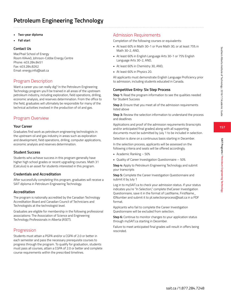**157**

**SAIT Programs / Petroleum Engineering Technology**

SAIT Programs / Petroleum Engineering Technolog

- **• Two-year diploma**
- **• Fall start**

### **Contact Us**

MacPhail School of Energy Room KA440, Johnson-Cobbe Energy Centre Phone: 403.284.8451 Fax: 403.284.8262 Email: energy.info@sait.ca

## Program Description

Want a career you can really dig? In the Petroleum Engineering Technology program you'll be trained in all areas of the upstream petroleum industry, including exploration, field operations, drilling, economic analysis, and reserves determination. From the office to the field, graduates will ultimately be responsible for many of the technical activities involved in the production of oil and gas.

## Program Overview

### **Your Career**

Graduates find work as petroleum engineering technologists in the upstream oil and gas industry in areas such as exploration and development, field operations, drilling, computer applications, economic analysis and reserves determination.

#### **Student Success**

Students who achieve success in this program generally have higher high school grades or recent upgrading courses. Math 31 (Calculus) is an asset for students interested in this program.

#### **Credentials and Accreditation**

After successfully completing this program, graduates will receive a SAIT diploma in Petroleum Engineering Technology.

### **Accreditation**

The program is nationally accredited by the Canadian Technology Accreditation Board and Canadian Council of Technicians and Technologists at the technologist level.

Graduates are eligible for membership in the following professional associations: The Association of Science and Engineering Technology Professionals in Alberta (ASET).

## Progression

Students must attain a PGPA and/or a CGPA of 2.0 or better in each semester and pass the necessary prerequisite courses to progress through the program. To qualify for graduation, students must pass all courses, attain a CGPA of 2.0 or better and complete course requirements within the prescribed timelines.

## Admission Requirements

Completion of the following courses or equivalents:

- At least 60% in Math 30-1 or Pure Math 30, or at least 75% in Math 30-2, AND,
- At least 60% in English Language Arts 30-1 or 75% English Language Arts 30-2, AND,
- At least 60% in Chemistry 30, AND,
- At least 60% in Physics 20.

All applicants must demonstrate English Language Proficiency prior to admission, including students educated in Canada.

### **Competitive Entry: Six Step Process**

**Step 1:** Read the program information to see the qualities needed for Student Success

**Step 2:** Ensure that you meet all of the admission requirements listed above

**Step 3:** Review the selection information to understand the process and deadlines

Applications and proof of the admission requirements (transcripts and/or anticipated final grades) along with all supporting documents must be submitted by July 1 to be included in selection.

Selection is done on a continuous basis starting in December.

In the selection process, applicants will be assessed on the following criteria and seats will be offered accordingly.

- Academic Ranking 50%
- Quality of Career Investigation Questionnaire 50%

**Step 4:** Apply to Petroleum Engineering Technology and submit your transcripts

**Step 5:** Complete the Career Investigation Questionnaire and submit it by July 1

Log in to mySAIT.ca to check your admission status. If your status indicates you're "In Selection," complete theCareer Investigation Questionnaire, save it in the format of LastName, FirstName\_ IDNumber and submit it to pt.selectionprocess@sait.ca in a PDF format.

Applicants who fail to complete the Career Investigation Questionnaire will be excluded from selection.

**Step 6:** Continue to monitor changes to your application status through mySAIT.ca starting in December.

Failure to meet anticipated final grades will result in offers being rescinded.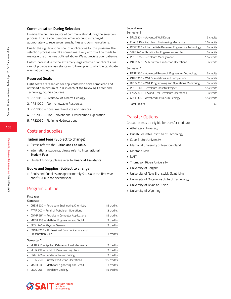#### **Communication During Selection**

Email is the primary source of communication during the selection process. Ensure your personal email account is managed appropriately to receive our emails, files and communications.

Due to the significant number of applications for this program, the selection process can take some time. Every effort will be made to maintain the timelines outlined above. We appreciate your patience.

Unfortunately, due to the extremely large volume of applicants, we cannot provide any assistance or follow-up as to why the candidate was not competitive.

#### **Reserved Seats**

Eight seats are reserved for applicants who have completed and obtained a minimum of 70% in each of the following Career and Technology Studies courses:

- 1. PRS1010 Overview of Alberta Geology
- 2. PRS1020 Non-renewable Resources
- 3. PRS1060 Consumer Products and Services
- 4. PRS2030 Non-Conventional Hydrocarbon Exploration
- 5. PRS2060 Refining Hydrocarbons

#### Costs and supplies

#### **Tuition and Fees (Subject to change)**

- Please refer to the **Tuition and Fee Table.**
- International students, please refer to **International Student Fees.**
- Student funding, please refer to **Financial Assistance.**

#### **Books and Supplies (Subject to change)**

• Books and Supplies are approximately \$1,800 in the first year and \$1,200 in the second year.

#### Program Outline

#### First Year

#### Semester 1

| • CHEM 232 - Petroleum Engineering Chemistry                             | 1.5 credits |
|--------------------------------------------------------------------------|-------------|
| • PTPR 207 – Fund. of Petroleum Operations                               | 3 credits   |
| COMP 254 - Petroleum Computer Applications                               | 1.5 credits |
| MATH 238 - Math for Engineering and Tech I<br>٠                          | 3 credits   |
| GEOL 246 - Physical Geology<br>٠                                         | 3 credits   |
| COMM 256 - Professional Communications and<br><b>Presentation Skills</b> | 3 credits   |
| Semester 2                                                               |             |
| · PETR 215 - Applied Petroleum Fluid Mechanics                           | 3 credits   |
| RESR 252 - Fund. of Reservoir Eng. Tech.                                 | 3 credits   |
| DRLG 266 - Fundamentals of Drilling<br>٠.                                | 3 credits   |
| • PTPR 250 - Surface Production Operations                               | 1.5 credits |
| MATH 288 - Math for Engineering and Tech II<br>$\blacksquare$            | 3 credits   |
| • GEOL 256 – Petroleum Geology                                           | 1.5 credits |

### Second Year

Semester 3

| DRLG 304 – Advanced Well Design                                    | 3 credits   |
|--------------------------------------------------------------------|-------------|
| EVAL 315 - Petroleum Engineering Mechanics                         | 1.5 credits |
| RESR 335 - Intermediate Reservoir Engineering Technology           | 3 credits   |
| STAT 245 - Statistics for Engineering and Tech I                   | 3 credits   |
| PROJ 336 - Petroleum Management                                    | 1.5 credits |
| PTPR 322 - Sub-surface Production Operations                       | 3 credits   |
| Semester 4<br>RESR 350 - Advanced Reservoir Engineering Technology | 3 credits   |
| PTPR 360 - Well Stimulations and Completions                       | 3 credits   |
| DRLG 356 – Well Programming and Operations Monitoring              | 3 credits   |
| PROJ 310 - Petroleum Industry Project                              | 1.5 credits |
| ENVS 363 - HS and E for Petroleum Operations                       | 3 credits   |
| GEOL 366 – Advanced Petroleum Geology                              | 1.5 credits |
| <b>Total Credits</b>                                               | 60          |

#### Transfer Options

Graduates may be eligible for transfer credit at:

- Athabasca University
- British Columbia Institute of Technology
- Cape Breton University
- Memorial University of Newfoundland
- Montana Tech
- NAIT
- Thompson Rivers University
- University of Calgary
- University of New Brunswick, Saint John
- University of Ontario Institute of Technology
- University of Texas at Austin
- University of Wyoming

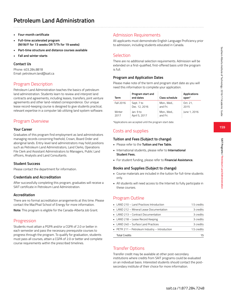# **Petroleum Land Administration**

- **• Four-month certificate**
- **• Full-time accelerated program (M/W/F for 13 weeks OR T/Th for 19 weeks)**
- **• Part-time structure and distance courses available**
- **• Fall and winter starts**

### **Contact Us**

Phone: 403.284.8818 Email: petroleum.land@sait.ca

## Program Description

Petroleum Land Administration teaches the basics of petroleum land administration. Students learn to review and interpret land contracts and agreements, including leases, transfers, joint venture agreements and other land-related correspondence. Our unique lease record-keeping course is designed to give students practical, relevant expertise in a computer lab utilizing land system software.

## Program Overview

#### **Your Career**

Graduates of this program find employment as land administrators managing records concerning freehold, Crown, Board Order and aboriginal lands. Entry-level land administrators may hold positions such as Petroleum Land Administrators, Land Clerks, Operations File Clerk and Assistant Administrators to Managers, Public Land officers, Analysts and Land Consultants.

#### **Student Success**

Please contact the department for information.

#### **Credentials and Accreditation**

After successfully completing this program, graduates will receive a SAIT certificate in Petroleum Land Administration.

#### **Accreditation**

There are no formal accreditation arrangements at this time. Please contact the MacPhail School of Energy for more information.

**Note:** This program is eligible for the Canada-Alberta Job Grant.

## Progression

Students must attain a PGPA and/or a CGPA of 2.0 or better in each semester and pass the necessary prerequisite courses to progress through the program. To qualify for graduation, students must pass all courses, attain a CGPA of 2.0 or better and complete course requirements within the prescribed timelines.

## Admission Requirements

All applicants must demonstrate English Language Proficiency prior to admission, including students educated in Canada.

### **Selection**

There are no additional selection requirements. Admission will be extended on a first-qualified, first-offered basis until the program is full.

### **Program and Application Dates**

Please make note of the term and program start date as you will need this information to complete your application.

| Term      | Program start and<br>end dates | <b>Class schedule</b> | Applications<br>open* |
|-----------|--------------------------------|-----------------------|-----------------------|
| Fall 2016 | : Sept. 7 to                   | : Mon., Wed.,         | : Oct. 21,            |
|           | Dec. 12, 2016                  | and Fri.              | 2015                  |
| Winter    | lan. 9 to                      | Mon., Wed.,           | : June 1, 2016        |
| 2017      | April 5, 2017                  | and Fri.              |                       |

\*Applications are accepted until the program start date.

### Costs and supplies

#### **Tuition and Fees (Subject to change)**

- Please refer to the **Tuition and Fee Table.**
- International students, please refer to **International Student Fees.**
- For student funding, please refer to **Financial Assistance.**

#### **Books and Supplies (Subject to change)**

- Course materials are included in the tuition for full-time students only.
- All students will need access to the Internet to fully participate in these courses.

### Program Outline

| • LAND 210 – Land Practices Introduction       | 1.5 credits |
|------------------------------------------------|-------------|
| • LAND 212 - Mineral Lease Documentation       | 3 credits   |
| • LAND 213 – Contract Documentation            | 3 credits   |
| • LAND 218 - Lease Record Keeping              | 3 credits   |
| • LAND 240 - Surface Land Practices            | 3 credits   |
| • PETR 211 - Petroleum Industry - Introduction | 1.5 credits |
| <b>Total Credits</b>                           | 15          |

### Transfer Options

Transfer credit may be available at other post-secondary institutions where credits from SAIT programs could be evaluated on an individual basis. Interested students should contact the postsecondary institute of their choice for more information.

**SAIT Programs / Petroleum Land Administration**

SAIT Programs / Petroleum Land Administration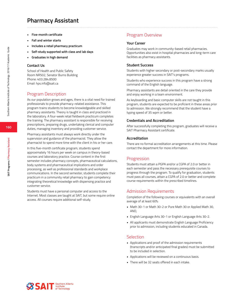## **Pharmacy Assistant**

- **• Five-month certificate**
- **• Fall and winter starts**
- **• Includes a retail pharmacy practicum**
- **• Self-study supported with class and lab days**
- **• Graduates in high demand**

#### **Contact Us**

School of Health and Public Safety Room NR502, Senator Burns Building Phone: 403.284.8500 Email: hps.info@sait.ca

#### Program Description

As our population grows and ages, there is a vital need for trained professionals to provide pharmacy-related assistance. This program trains students to become knowledgeable and skilled pharmacy assistants. Theory is taught in class and practiced in the laboratory. A four-week retail fieldwork practicum completes the training. The pharmacy assistant is responsible for receiving prescriptions, preparing drugs, undertaking clerical and computer duties, managing inventory and providing customer service.

Pharmacy assistants must always work directly under the supervision and guidance of the pharmacist. They allow the pharmacist to spend more time with the client in his or her care.

In this five-month certificate program, students spend approximately 16 hours per week on campus in theory-based courses and laboratory practice. Course content in the first semester includes pharmacy concepts, pharmaceutical calculations, body systems and pharmaceutical implications and order processing, as well as professional standards and workplace communications. In the second semester, students complete their practicum in a community retail pharmacy to gain competency integrating theoretical knowledge with dispensing practice and customer service.

Students must have a personal computer and access to the Internet. Most classes are taught at SAIT, but some require online access. All courses require additional self-study.

### Program Overview

#### **Your Career**

Graduates may work in community-based retail pharmacies. Opportunities also exist in hospital pharmacies and long-term care facilities as pharmacy assistants.

#### **Student Success**

Students with higher secondary or post-secondary marks usually experience greater success in SAIT's programs.

Students who experience success in this program have a strong command of the English language.

Pharmacy assistants are detail oriented in the care they provide and enjoy working in a team environment.

As keyboarding and basic computer skills are not taught in this program, students are expected to be proficient in these areas prior to admission. We strongly recommend that the student have a typing speed of 35 wpm or better.

#### **Credentials and Accreditation**

After successfully completing this program, graduates will receive a SAIT Pharmacy Assistant certificate.

#### **Accreditation**

There are no formal accreditation arrangements at this time. Please contact the department for more information.

#### **Progression**

Students must attain a PGPA and/or a CGPA of 2.0 or better in each semester and pass the necessary prerequisite courses to progress through the program. To qualify for graduation, students must pass all courses, attain a CGPA of 2.0 or better and complete course requirements within the prescribed timelines.

#### Admission Requirements

Completion of the following courses or equivalents with an overall average of at least 60%:

- Math 30-1 or Math 30-2 or Pure Math 30 or Applied Math 30, AND,
- English Language Arts 30-1 or English Language Arts 30-2.
- All applicants must demonstrate English Language Proficiency prior to admission, including students educated in Canada.

#### **Selection**

- Applications and proof of the admission requirements (transcripts and/or anticipated final grades) must be submitted to be included in selection.
- Applications will be reviewed on a continuous basis.
- There will be 32 seats offered in each intake.



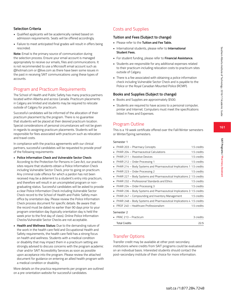### **Selection Criteria**

- Qualified applicants will be academically ranked based on admission requirements. Seats will be offered accordingly.
- Failure to meet anticipated final grades will result in offers being rescinded.

**Note:** Email is the primary source of communication during the selection process. Ensure your email account is managed appropriately to receive our emails, files and communications. It is not recommended to use a Microsoft email account such as @hotmail.com or @live.com as there have been some issues in the past in receiving SAIT communications using these types of accounts.

## Program and Practicum Requirements

The School of Health and Public Safety has many practica partners located within Alberta and across Canada. Practicum placements in Calgary are limited and students may be required to relocate outside of Calgary for practicum.

Successful candidates will be informed of the allocation of their practicum placement by the program. There is no guarantee that students will be placed at their desired practicum location. Special considerations of personal circumstances will not be given in regards to assigning practicum placements. Students will be responsible for fees associated with practicum such as relocation and travel costs.

In compliance with the practica agreements with our clinical partners, successful candidates will be requested to provide proof of the following requirements:

- **• Police Information Check and Vulnerable Sector Check:** According to the Protection for Persons in Care Act, our practica sites require that students obtain a Police Information Check including Vulnerable Sector Check, prior to going on practicum. Any criminal code offence for which a pardon has not been received may be a deterrent to a student's entry into practicum, and therefore will result in an uncompleted program or nongraduating status. Successful candidates will be asked to provide a clear Police Information Check including Vulnerable Sector Check record to the School of Health and Public Safety main office by orientation day. Please review the Police Information Check process document for specific details. Be aware that the record must be dated no earlier than 90 days prior to your program orientation day (typically orientation day is held the week prior to the first day of class). Online Police Information Checks/Vulnerable Sector Checks are not acceptable.
- **• Health and Wellness Status:** Due to the demanding nature of the work in the health care field and Occupational Health and Safety requirements, the health care field has a strong focus on health and wellness. Students with a medical condition or disability that may impact them in a practicum setting are strongly advised to discuss concerns with the program academic chair and/or SAIT Accessibility Services as soon as possible upon acceptance into the program. Please review the attached document for guidance on entering an allied health program with a medical condition or disability.

More details on the practica requirements per program are outlined on a pre-orientation website for successful candidates.

## Costs and Supplies

### **Tuition and Fees (Subject to change)**

- Please refer to the **Tuition and Fee Table.**
- International students, please refer to **International Student Fees.**
- For student funding, please refer to **Financial Assistance.**
- Students are responsible for any additional expenses related to their practicum including relocation costs to practicum sites outside of Calgary.
- There is a fee associated with obtaining a police information check including Vulnerable Sector Check and is payable to the Police or the Royal Canadian Mounted Police (RCMP).

### **Books and Supplies (Subject to change)**

- Books and Supplies are approximately \$500.
- Students are required to have access to a personal computer, printer and Internet. Computers must meet the specifications listed in Fees and Expenses.

## Program Outline

This is a 19 week certificate offered over the Fall/Winter semesters or Winter/Spring semesters.

#### Semester 1

|   | PHAR 203 - Pharmacy Concepts                                          | 1.5 credits |
|---|-----------------------------------------------------------------------|-------------|
|   | PHAR 204 - Pharmaceutical Calculations                                | 1.5 credits |
| ٠ | PHAR 211 - Assistive Devices                                          | 1.5 credits |
| ٠ | PHAR 212 - Order Processing 1                                         | 1.5 credits |
| ٠ | PHAR 214 - Body Systems and Pharmaceutical Implications 1 1.5 credits |             |
| ٠ | PHAR 223 - Order Processing 2                                         | 1.5 credits |
| ٠ | PHAR 227 – Body Systems and Pharmaceutical Implications 2 1.5 credits |             |
| ٠ | PHAR 232 - Professional Standards and Ethics                          | 1.5 credits |
| ٠ | PHAR 234 - Order Processing 3                                         | 1.5 credits |
| ٠ | PHAR 236 – Body Systems and Pharmaceutical Implications 3 1.5 credits |             |
|   | PHAR 247 - Compounding and Inventory Management                       | 1.5 credits |
|   | PHAR 248 - Body Systems and Pharmaceutical Implications 4 1.5 credits |             |
|   | PROF 240 - Healthcare Professionalism                                 | 1.5 credits |
|   | Semester 2                                                            |             |
|   | PRAC 213 - Practicum                                                  | 3 credits   |
|   | <b>Total Credits</b>                                                  | 22.5        |

### Transfer Options

Transfer credit may be available at other post-secondary institutions where credits from SAIT programs could be evaluated on an individual basis. Interested students should contact the post-secondary institute of their choice for more information.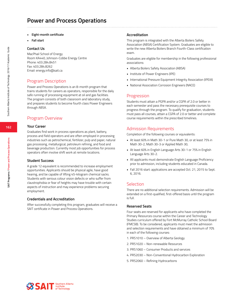- **• Eight-month certificate**
- **• Fall start**

MacPhail School of Energy Room KA440, Johnson-Cobbe Energy Centre Phone: 403.284.8451 Fax: 403.284.8262 Email: energy.info@sait.ca

### Program Description

Power and Process Operations is an 8-month program that trains students for careers as operators, responsible for the daily safe running of processing equipment at oil and gas facilities. The program consists of both classroom and laboratory study, and prepares students to become fourth class Power Engineers through ABSA.

### Program Overview

#### **Your Career**

Graduates find work in process operations as plant, battery, process and field operators and are often employed in processing industries such as petrochemical, fertilizer, pulp and paper, natural gas processing, metallurgical, petroleum refining, and food and beverage production. Currently most job opportunities for process operators often involve shift work at remote locations.

#### **Student Success**

A grade 12 equivalent is recommended to increase employment opportunities. Applicants should be physical agile, have good hearing, and be capable of lifting 45-kilogram chemical sacks. Students with serious colour vision defects or who suffer from claustrophobia or fear of heights may have trouble with certain aspects of instruction and may experience problems securing employment.

#### **Credentials and Accreditation**

After successfully completing this program, graduates will receive a SAIT certificate in Power and Process Operations.

#### **Accreditation**

This program is integrated with the Alberta Boilers Safety Association (ABSA) Certification System. Graduates are eligible to write the new Alberta Boilers Branch Fourth-Class certification exam.

Graduates are eligible for membership in the following professional associations:

- Alberta Boilers Safety Association (ABSA)
- Institute of Power Engineers (IPE)
- International Pressure Equipment Integrity Association (IPEIA)
- National Association Corrosion Engineers (NACE)

#### Progression

Students must attain a PGPA and/or a CGPA of 2.0 or better in each semester and pass the necessary prerequisite courses to progress through the program. To qualify for graduation, students must pass all courses, attain a CGPA of 2.0 or better and complete course requirements within the prescribed timelines.

#### Admission Requirements

Completion of the following courses or equivalents:

- At least 60% in Math 30-1 or Pure Math 30, or at least 75% in Math 30-2, Math 30-3 or Applied Math 30,
- At least 60% in English Language Arts 30-1 or 75% in English Language Arts 30-2.
- All applicants must demonstrate English Language Proficiency prior to admission, including students educated in Canada.
- Fall 2016 start: applications are accepted Oct. 21, 2015 to Sept. 6, 2016.

#### **Selection**

There are no additional selection requirements. Admission will be extended on a first-qualified, first-offered basis until the program is full.

#### **Reserved Seats**

Four seats are reserved for applicants who have completed the Primary Resources course within the Career and Technology Studies curriculum offered by Fort McMurray Catholic School Board (FMCSB). To be considered, applicants must meet the admission and selection requirements and have obtained a minimum of 70% in each of the following courses:

- 1. PRS1010 Overview of Alberta Geology
- 2. PRS1020 Non-renewable Resources
- 3. PRS1060 Consumer Products and services
- 4. PRS2030 Non-Conventional Hydrocarbon Exploration
- 5. PRS2060 Refining Hydrocarbons

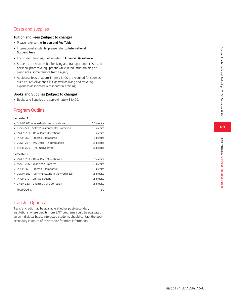## Costs and supplies

#### **Tuition and Fees (Subject to change)**

- Please refer to the **Tuition and Fee Table.**
- International students, please refer to **International Student Fees.**
- For student funding, please refer to **Financial Assistance.**
- Students are responsible for living and transportation costs and personal protective equipment while in industrial training at plant sites, some remote from Calgary.
- Additional fees of approximately \$100 are required for courses such as H2S Alive and CPR, as well as living and traveling expenses associated with industrial training.

#### **Books and Supplies (Subject to change)**

• Books and Supplies are approximately \$1,400.

## Program Outline

#### Semester 1

| PROP 266 - Process Operations II<br>COMM 352 - Communicating in the Workplace<br>PROP 270 - Unit Operations<br>CHEM 233 - Chemistry and Corrosion | 3 credits<br>1.5 credits<br>1.5 credits<br>1.5 credits |
|---------------------------------------------------------------------------------------------------------------------------------------------------|--------------------------------------------------------|
|                                                                                                                                                   |                                                        |
|                                                                                                                                                   |                                                        |
|                                                                                                                                                   |                                                        |
|                                                                                                                                                   |                                                        |
| MACH 226 - Workshop Practices                                                                                                                     | 1.5 credits                                            |
| PWEN 281 - Basic Plant Operations II                                                                                                              | 6 credits                                              |
| Semester 2                                                                                                                                        |                                                        |
| THRM 224 - Thermodynamics                                                                                                                         | 1.5 credits                                            |
| COMP 261 - MS Office: An Introduction                                                                                                             | 1.5 credits                                            |
| PROP 262 - Process Operations I                                                                                                                   | 3 credits                                              |
| PWEN 201 - Basic Plant Operations I                                                                                                               | 6 credits                                              |
| ENVS 221 - Safety/Environmental Protection                                                                                                        | 1.5 credits                                            |
|                                                                                                                                                   |                                                        |

### Transfer Options

Transfer credit may be available at other post-secondary institutions where credits from SAIT programs could be evaluated on an individual basis. Interested students should contact the postsecondary institute of their choice for more information.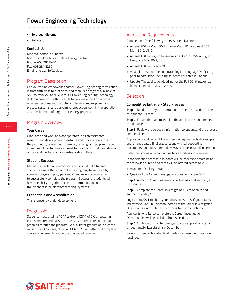## **Power Engineering Technology**

- **• Two-year diploma**
- **• Fall start**

#### **Contact Us**

MacPhail School of Energy Room KA440, Johnson-Cobbe Energy Centre Phone: 403.284.8451 Fax: 403.284.8262 Email: energy.info@sait.ca

### Program Description

Get yourself an empowering career. Power Engineering certification is from fifth class to first class, and there is a program available at SAIT to train you at all levels! Our Power Engineering Technology diploma arms you with the skills to become a third class power engineer responsible for controlling large, complex power and process systems, and performing production work in the operation and development of large-scale energy projects.

### Program Overview

#### **Your Career**

Graduates find work as plant operators, design assistants, research and development assistants and process operators in the petroleum, power, petrochemical, refining, and pulp and paper industries. Opportunities also exist for positions in field and design offices and mechanical or industrial sales outlets.

#### **Student Success**

Manual dexterity and mechanical ability is helpful. Students should be aware that colour blind testing may be required by some employers. Eighty per cent attendance is a requirement to successfully complete the program. Successful students will have the ability to gather technical information and use it to troubleshoot large electromechanical systems.

#### **Credentials and Accreditation**

This is presently under development.

#### Progression

Students must attain a PGPA and/or a CGPA of 2.0 or better in each semester and pass the necessary prerequisite courses to progress through the program. To qualify for graduation, students must pass all courses, attain a CGPA of 2.0 or better and complete course requirements within the prescribed timelines.

#### Admission Requirements

Completion of the following courses or equivalents:

- At least 60% in Math 30-1 or Pure Math 30, or at least 75% in Math 30-2, AND,
- At least 60% in English Language Arts 30-1 or 75% in English Language Arts 30-2, AND,
- At least 60% in Physics 30.
- All applicants must demonstrate English Language Proficiency prior to admission, including students educated in Canada.
- Update: The application deadline for the Fall 2016 intake has been extended to May 1, 2016.

### Selection

#### **Competitive Entry: Six Step Process**

**Step 1:** Read the program information to see the qualities needed for Student Success

**Step 2:** Ensure that you meet all of the admission requirements listed above

**Step 3:** Review the selection information to understand the process and deadlines

Applications and proof of the admission requirements (transcripts and/or anticipated final grades) along with all supporting documents must be submitted by May 1 to be included in selection.

Selection is done on a continuous basis starting in December.

In the selection process, applicants will be assessed according to the following criteria and seats will be offered accordingly.

- Academic Ranking 50%
- Quality of the Career Investigation Questionnaire 50%

**Step 4:** Apply to Power Engineering Technology and submit your transcripts

**Step 5:** Complete the Career Investigation Questionnaire and submit it by May 1

Log in to mySAIT to check your admission status. If your status indicates you›re «In Selection," complete theCareer Investigation Questionnaire and submit it according to the instructions.

Applicants who fail to complete the Career Investigation Questionnaire will be excluded from selection.

**Step 6:** Continue to monitor changes to your application status through mySAIT.ca starting in December.

Failure to meet anticipated final grades will result in offers being rescinded.



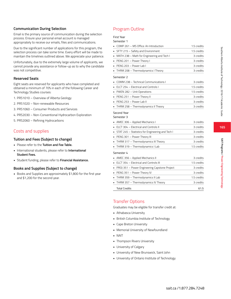### **165**

#### **Communication During Selection**

Email is the primary source of communication during the selection process. Ensure your personal email account is managed appropriately to receive our emails, files and communications.

Due to the significant number of applications for this program, the selection process can take some time. Every effort will be made to maintain the timelines outlined above. We appreciate your patience.

Unfortunately, due to the extremely large volume of applicants, we cannot provide any assistance or follow-up as to why the candidate was not competitive.

#### **Reserved Seats**

Eight seats are reserved for applicants who have completed and obtained a minimum of 70% in each of the following Career and Technology Studies courses:

- 1. PRS1010 Overview of Alberta Geology
- 2. PRS1020 Non-renewable Resources
- 3. PRS1060 Consumer Products and Services
- 4. PRS2030 Non-Conventional Hydrocarbon Exploration
- 5. PRS2060 Refining Hydrocarbons

### Costs and supplies

#### **Tuition and Fees (Subject to change)**

- Please refer to the **Tuition and Fee Table.**
- International students, please refer to **International Student Fees.**
- Student funding, please refer to **Financial Assistance.**

#### **Books and Supplies (Subject to change)**

• Books and Supplies are approximately \$1,800 for the first year and \$1,200 for the second year.

## Program Outline

#### First Year  $S_{\ell}$

| emester |  |
|---------|--|
|         |  |

| COMP 261 - MS Office: An Introduction                 | 1.5 credits |
|-------------------------------------------------------|-------------|
| SFTY 215 - Safety and Environment<br>٠                | 1.5 credits |
| MATH 238 - Math for Engineering and Tech I<br>٠       | 3 credits   |
| PENG 201 - Power Theory I<br>٠                        | 3 credits   |
| PENG 203 - Power Lab I                                | 3 credits   |
| THRM 208 - Thermodynamics I Theory                    | 3 credits   |
| Semester 2                                            |             |
| COMM 238 - Technical Communications I<br>٠            | 3 credits   |
| ELCT 254 - Electrical and Controls I                  | 1.5 credits |
| PWEN 282 - Unit Operations<br>٠                       | 1.5 credits |
| PENG 251 - Power Theory II<br>٠                       | 3 credits   |
| PENG 253 - Power Lab II<br>٠                          | 3 credits   |
| THRM 258 - Thermodynamics II Theory                   | 3 credits   |
| Second Year                                           |             |
| Semester 3                                            |             |
| AMEC 306 - Applied Mechanics I                        | 3 credits   |
| ELCT 304 - Electrical and Controls II<br>٠            | 3 credits   |
| STAT 245 - Statistics for Engineering and Tech I<br>٠ | 3 credits   |
| PENG 301 - Power Theory III<br>٠                      | 3 credits   |
| THRM 317 - Thermodynamics III Theory<br>п             | 3 credits   |
| THRM 319 - Thermodynamics I Lab<br>٠                  | 1.5 credits |
| Semester 4                                            |             |
| AMEC 356 - Applied Mechanics II                       | 3 credits   |
| ELCT 354 - Electrical and Controls III                | 1.5 credits |
| PROJ 351 - Power Engineering Capstone Project<br>٠    | 3 credits   |
| PENG 351 - Power Theory IV                            | 3 credits   |
| THRM 359 - Thermodynamics II Lab<br>٠                 | 1.5 credits |
| THRM 357 - Thermodynamics IV Theory                   | 3 credits   |
| <b>Total Credits</b>                                  | 61.5        |

### Transfer Options

Graduates may be eligible for transfer credit at:

- Athabasca University
- British Columbia Institute of Technology
- Cape Breton University
- Memorial University of Newfoundland
- NAIT
- Thompson Rivers University
- University of Calgary
- University of New Brunswick, Saint John
- University of Ontario Institute of Technology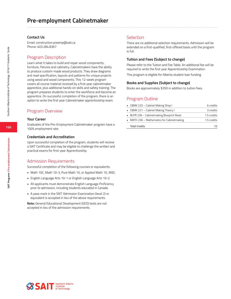Email: construction.preemp@sait.ca Phone: 403.284.8367

### Program Description

Learn what it takes to build and repair wood components, furniture, fixtures and cabinetry. Cabinetmakers have the ability to produce custom-made wood products. They draw diagrams and read specification, layouts and patterns for unique projects using wood and wood components. This 12-week program covers all course material received by a first year cabinetmaker apprentice, plus additional hands-on skills and safety training. The program prepares students to enter the workforce and become an apprentice. On successful completion of the program, there is an option to write the first year Cabinetmaker apprenticeship exam.

### Program Overview

#### **Your Career**

Graduates of the Pre-Employment Cabinetmaker program have a 100% employment rate.

#### **Credentials and Accreditation**

Upon successful completion of the program, students will receive a SAIT Certificate and may be eligible to challenge the written and practical exams for first-year Apprenticeship.

### Admission Requirements

Successful completion of the following courses or equivalents:

- Math 10C, Math 10-3, Pure Math 10, or Applied Math 10, AND,
- English Language Arts 10-1 or English Language Arts 10-2
- All applicants must demonstrate English Language Proficiency prior to admission, including students educated in Canada.
- A pass mark in the SAIT Admission Examination (level 2) or equivalent is accepted in lieu of the above requirements.

**Note:** General Educational Development (GED) tests are not accepted in lieu of the admission requirements.

### Selection

There are no additional selection requirements. Admission will be extended on a first-qualified, first-offered basis until the program is full.

#### **Tuition and Fees (Subject to change)**

Please refer to the Tuition and Fee Table. An additional fee will be required to write the first year Apprenticeship Examination.

This program is eligible for Alberta student loan funding.

#### **Books and Supplies (Subject to change)**

Books are approximately \$350 in addition to tuition fees.

### Program Outline

| • CBMK 220 – Cabinet Making Shop I         | 6 credits   |
|--------------------------------------------|-------------|
| • CBMK 221 - Cabinet Making Theory I       | 3 credits   |
| BLPR 239 - Cabinetmaking Blueprint Read.   | 1.5 credits |
| • MATH 236 - Mathematics for Cabinetmaking | 1.5 credits |
| <b>Total Credits</b>                       |             |

**166**

**SAIT Programs / Pre-employment Cabinetmaker**

SAIT Programs / Pre-employment Cabinetmaker

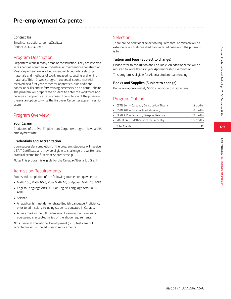Email: construction.preemp@sait.ca Phone: 403.284.8367

### Program Description

Carpenters work in many areas of construction. They are involved in residential, commercial, industrial or maintenance construction. Most carpenters are involved in reading blueprints, selecting materials and methods of work, measuring, cutting and joining materials. This 12-week program covers all course material received by a first year carpenter apprentice, plus additional hands-on skills and safety training necessary on an actual jobsite. The program will prepare the student to enter the workforce and become an apprentice. On successful completion of the program, there is an option to write the first year Carpenter apprenticeship exam.

### Program Overview

#### **Your Career**

Graduates of the Pre-Employment Carpenter program have a 95% employment rate.

#### **Credentials and Accreditation**

Upon successful completion of the program, students will receive a SAIT Certificate and may be eligible to challenge the written and practical exams for first-year Apprenticeship.

**Note:** This program is eligible for the Canada-Alberta Job Grant.

### Admission Requirements

Successful completion of the following courses or equivalents:

- Math 10C, Math 10-3, Pure Math 10, or Applied Math 10, AND
- English Language Arts 20-1 or English Language Arts 20-2, AND,
- Science 10
- All applicants must demonstrate English Language Proficiency prior to admission, including students educated in Canada.
- A pass mark in the SAIT Admission Examination (Level 4) or equivalent is accepted in lieu of the above requirements.

**Note:** General Educational Development (GED) tests are not accepted in lieu of the admission requirements.

### Selection

There are no additional selection requirements. Admission will be extended on a first-qualified, first-offered basis until the program is full.

#### **Tuition and Fees (Subject to change)**

Please refer to the Tuition and Fee Table. An additional fee will be required to write the first year Apprenticeship Examination.

This program is eligible for Alberta student loan funding.

#### **Books and Supplies (Subject to change)**

Books are approximately \$350 in addition to tuition fees.

### Program Outline

| • CSTN 201 – Carpentry Construction Theory | 3 credits   |
|--------------------------------------------|-------------|
| • CSTN 202 – Construction Laboratory I     | 6 credits   |
| BLPR 214 - Carpentry Blueprint Reading     | 1.5 credits |
| • MATH 249 - Mathematics for Carpentry     | 1.5 credits |
| <b>Total Credits</b>                       | าว          |

**167**

Southern Alberta Institute of Technology 2016/17 Academic Guide

Southern Alberta Institute of Technology 2016/17 Academic Guide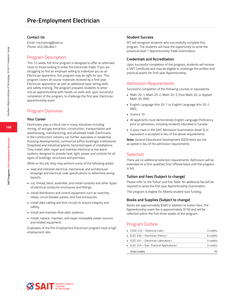Email: ma.training@sait.ca Phone: 403.284.8641

#### Program Description

This 12-week, full-time program is designed to offer an alternate route to those looking to enter the Electrician trade. If you are struggling to find an employer willing to indenture you as an Electrician apprentice, this program may be right for you. This program covers all course materials received by a first-year Electrician apprentice, as well as additional basic wiring skills and safety training. The program prepares students to enter into an apprenticeship with hands-on skills and, upon successful completion of the program, to challenge the first year Electrician apprenticeship exam.

#### Program Overview

#### **Your Career**

Electricians play a critical role in many industries including mining, oil and gas extraction, construction, transportation and warehousing, manufacturing, and wholesale trade. Electricians in the construction industry can further specialize in residential (housing developments), commercial (office buildings), institutional (hospitals) and industrial (plants, factories) types of installations. They install, alter, repair and maintain electrical or live alarm systems designed to provide heat, light, power and controls for all types of buildings, structures and premises.

While on the job, they may perform some of the following duties:

- read and interpret electrical, mechanical, and architectural drawings and electrical code specifications to determine wiring layouts;
- cut, thread, bend, assemble, and install conduits and other types of electrical conductor enclosures and fittings;
- install distribution and control equipment such as switches, relays, circuit breaker panels, and fuse enclosures;
- install data cabling and test circuits to ensure integrity and safety;
- install and maintain fibre optic systems;
- install, replace, maintain, and repair renewable power sources and related equipment.

Graduates of the Pre-Employment Electrician program have a high employment rate.

#### **Student Success**

AIT will recognize students who successfully complete this program. The students will have the opportunity to write the provincial level 1 Apprenticeship Trade Examination.

#### **Credentials and Accreditation**

Upon successful completion of the program, students will receive a SAIT Certificate and may be eligible to challenge the written and practical exams for first-year Apprenticeship.

#### Admission Requirements

Successful completion of the following courses or equivalents:

- Math 20-1, Math 20-2, Math 20-3, Pure Math 20, or Applied Math 20, AND,
- English Language Arts 20-1 or English Language Arts 20-2, AND,
- Science 10
- All applicants must demonstrate English Language Proficiency prior to admission, including students educated in Canada.
- A pass mark in the SAIT Admission Examination (level 5) or equivalent is accepted in lieu of the above requirements.

**Note:** General Educational Development (GED) tests are not accepted in lieu of the admission requirements.

#### **Selection**

There are no additional selection requirements. Admission will be extended on a first-qualified, first-offered basis until the program is full.

#### **Tuition and Fees (Subject to change)**

Please refer to the Tuition and Fee Table. An additional fee will be required to write the first year Apprenticeship Examination.

This program is eligible for Alberta student loan funding.

#### **Books and Supplies (Subject to change)**

Books are approximately \$500 in addition to tuition fees. The Apprenticeship exam fee is approximately \$150 and will be collected within the first three weeks of the program.

| • ELEC 245 - Elec. Practical Applications I | 3 credits |
|---------------------------------------------|-----------|
| ELEC 231 - Electrician Laboratory I         | 3 credits |
| • ELEC 230 - Electrician Theory I           | 6 credits |
| $\Box$ CODE 232 – Electrical Code L         | 3 credits |



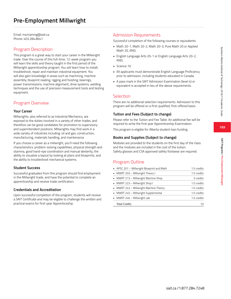Email: ma.training@sait.ca Phone: 403.284.8641

### Program Description

This program is a great way to start your career in the Millwright trade. Over the course of this full-time, 12-week program you will learn the skills and theory taught in the first period of the Millwright apprenticeship program. You will learn how to install, troubleshoot, repair and maintain industrial equipment. You will also gain knowledge in areas such as machining, machine assembly, blueprint reading, rigging and hoisting, bearings, power transmissions, machine alignment, drive systems, welding techniques and the use of precision measurement tools and testing equipment.

## Program Overview

### **Your Career**

Millwrights, also referred to as Industrial Mechanics, are exposed to the duties involved in a variety of other trades, and therefore can be good candidates for promotion to supervisory and superintendent positions. Millwrights may find work in a wide variety of industries including: oil and gas, construction, manufacturing, materials handling, and maintenance.

If you choose a career as a millwright, you'll need the following characteristics: problem-solving capabilities, physical strength and stamina, good hand-eye coordination and manual dexterity, the ability to visualize a layout by looking at plans and blueprints, and the ability to troubleshoot mechanical systems.

### **Student Success**

Successful graduates from this program should find employment in the Millwright trade, and have the potential to complete an apprenticeship and receive trade certification.

### **Credentials and Accreditation**

Upon successful completion of the program, students will receive a SAIT Certificate and may be eligible to challenge the written and practical exams for first-year Apprenticeship.

## Admission Requirements

Successful completion of the following courses or equivalents:

- Math 20-1, Math 20-2, Math 20-3, Pure Math 20 or Applied Math 20, AND,
- English Language Arts 20-1 or English Language Arts 20-2, AND,
- Science 10
- All applicants must demonstrate English Language Proficiency prior to admission, including students educated in Canada.
- A pass mark in the SAIT Admission Examination (level 4) or equivalent is accepted in lieu of the above requirements.

### Selection

There are no additional selection requirements. Admission to this program will be offered on a first-qualified, first-offered basis.

### **Tuition and Fees (Subject to change)**

Please refer to the Tuition and Fee Table. An additional fee will be required to write the first year Apprenticeship Examination.

This program is eligible for Alberta student loan funding.

#### **Books and Supplies (Subject to change)**

Modules are provided to the students on the first day of the class and the modules are included in the cost of the tuition. Safety glasses and CSA approved safety footwear are required.

| • APSC 201 - Millwright Blueprint and Math | 1.5 credits |
|--------------------------------------------|-------------|
| • MWRT 203 - Millwright Theory I           | 1.5 credits |
| • MWRT 213 - Millwright Machine Shop       | 3 credits   |
| • MWRT 223 - Millwright Shop I             | 1.5 credits |
| • MWRT 243 - Millwright Machine Theory     | 1.5 credits |
| • MWRT 245 - Millwright Supplemental       | 1.5 credits |
| • MWRT 246 - Millwright Lab                | 1.5 credits |
| <b>Total Credits</b>                       | 12          |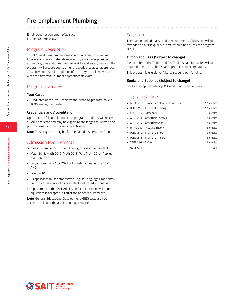Email: construction.preemp@sait.ca Phone: 403.284.8367

### Program Description

This 12-week program prepares you for a career in plumbing. It covers all course materials received by a first year plumber apprentice, plus additional hands-on skills and safety training. The program will prepare you to enter the workforce as an apprentice and, after successful completion of the program, allows you to write the first year Plumber apprenticeship exam.

### Program Overview

#### **Your Career**

• Graduates of the Pre-Employment Plumbing program have a 100% employment rate.

#### **Credentials and Accreditation**

Upon successful completion of the program, students will receive a SAIT Certificate and may be eligible to challenge the written and practical exams for first-year Apprenticeship.

**Note:** This program is eligible for the Canada-Alberta Job Grant.

### Admission Requirements

Successful completion of the following courses or equivalents:

- Math 20-1, Math 20-2, Math 20-3, Pure Math 20, or Applied Math 20, AND,
- English Language Arts 20-1 or English Language Arts 20-2, AND,
- Science 10
- All applicants must demonstrate English Language Proficiency prior to admission, including students educated in Canada.
- A pass mark in the SAIT Admission Examination (Level 4) or equivalent is accepted in lieu of the above requirements.

**Note:** General Educational Development (GED) tests are not accepted in lieu of the admission requirements.

### Selection

There are no additional selection requirements. Admission will be extended on a first-qualified, first-offered basis until the program is full.

#### **Tuition and Fees (Subject to change)**

Please refer to the Tuition and Fee Table. An additional fee will be required to write the first year Apprenticeship Examination.

This program is eligible for Alberta student loan funding.

#### **Books and Supplies (Subject to change)**

Books are approximately \$600 in addition to tuition fees.

| • APPH 215 – Properties of Air and Gas-Basic | 1.5 credits |
|----------------------------------------------|-------------|
| BLPR 218 - Blueprint Reading I               | 1.5 credits |
| EMTL 217 - Materials                         | 3 credits   |
| GFTG 213 - Gasfitting Theory I               | 1.5 credits |
| GFTG 214 - Gasfitting Shop I                 | 1.5 credits |
| • HTNG 212 – Heating Theory I                | 1.5 credits |
| • PLBG 210 - Plumbing Shop I                 | 3 credits   |
| • PLBG 211 - Plumbing Theory                 | 1.5 credits |
| $S$ AFE 216 – Safety                         | 1.5 credits |
| <b>Total Credits</b>                         | 16.5        |

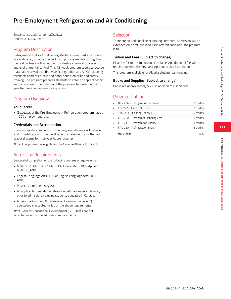# **Pre-Employment Refrigeration and Air Conditioning**

Email: construction.preemp@sait.ca Phone: 403.284.8367

## Program Description

Refrigeration and Air Conditioning Mechanics are used extensively in a wide array of industries including process manufacturing, the medical profession, the petroleum industry, chemical processing and environmental control. This 12-week program covers all course materials received by a first year Refrigeration and Air Conditioning Mechanic apprentice, plus additional hands-on skills and safety training. The program prepares students to enter an apprenticeship and, on successful completion of the program, to write the first year Refrigeration apprenticeship exam.

## Program Overview

### **Your Career**

• Graduates of the Pre-Employment Refrigeration program have a 100% employment rate.

### **Credentials and Accreditation**

Upon successful completion of the program, students will receive a SAIT Certificate and may be eligible to challenge the written and practical exams for first-year Apprenticeship.

**Note:** This program is eligible for the Canada-Alberta Job Grant.

## Admission Requirements

Successful completion of the following courses or equivalents:

- Math 30-1, Math 30-2, Math 30-3, Pure Math 30 or Applied Math 30, AND,
- English Language Arts 30-1 or English Language Arts 30-2, AND,
- Physics 20 or Chemistry 20
- All applicants must demonstrate English Language Proficiency prior to admission, including students educated in Canada.
- A pass mark in the SAIT Admission Examination (level 5) or equivalent is accepted in lieu of the above requirements.

**Note:** General Educational Development (GED) tests are not accepted in lieu of the admission requirements.

## Selection

There are no additional selection requirements. Admission will be extended on a first-qualified, first-offered basis until the program is full.

### **Tuition and Fees (Subject to change)**

Please refer to the Tuition and Fee Table. An additional fee will be required to write the first year Apprenticeship Examination.

This program is eligible for Alberta student loan funding.

### **Books and Supplies (Subject to change)**

Books are approximately \$600 in addition to tuition fees.

## Program Outline

| • CNTR 224 - Refrigeration Controls I    | 1.5 credits |
|------------------------------------------|-------------|
| • ELEC 227 - Electrical Theory           | 3 credits   |
| • HTNG 223 – Heating Theory I            | 1.5 credits |
| • RFRG 200 – Refrigerant Handling Cert.  | 1.5 credits |
| <b>RERG 211 – Refrigeration Theory I</b> | 3 credits   |
| • RFRG 220 – Refrigeration Shop I        | 6 credits   |
| <b>Total Credits</b>                     | 165         |

**171**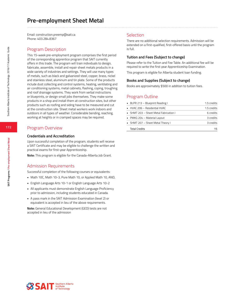Email: construction.preemp@sait.ca Phone: 403.284.8367

### Program Description

This 15-week pre-employment program comprises the first period of the corresponding apprentice program that SAIT currently offers in this trade. The program will train individuals to design, fabricate, assemble, install and repair sheet metals products in a wide variety of industries and settings. They will use many types of metals, such as black and galvanized steel, copper, brass, nickel and stainless steel, aluminum and tin plate. Some of the products include dust collecting and control systems, heating, ventilating and air conditioning systems, metal cabinets, flashing, coping, troughing and roof drainage systems. They work from verbal instructions or blueprints, or design small jobs themselves. They make some products in a shop and install them at construction sites, but other products such as roofing and siding have to be measured and cut at the construction site. Sheet metal workers work indoors and outdoors in all types of weather. Considerable bending, reaching, working at heights or in cramped spaces may be required.

### Program Overview

#### **Credentials and Accreditation**

Upon successful completion of the program, students will receive a SAIT Certificate and may be eligible to challenge the written and practical exams for first-year Apprenticeship.

**Note:** This program is eligible for the Canada-Alberta Job Grant.

### Admission Requirements

Successful completion of the following courses or equivalents:

- Math 10C, Math 10-3, Pure Math 10, or Applied Math 10, AND,
- English Language Arts 10-1 or English Language Arts 10-2
- All applicants must demonstrate English Language Proficiency prior to admission, including students educated in Canada.
- A pass mark in the SAIT Admission Examination (level 2) or equivalent is accepted in lieu of the above requirements.

**Note:** General Educational Development (GED) tests are not accepted in lieu of the admission

### Selection

There are no additional selection requirements. Admission will be extended on a first-qualified, first-offered basis until the program is full.

#### **Tuition and Fees (Subject to change)**

Please refer to the Tuition and Fee Table. An additional fee will be required to write the first year Apprenticeship Examination.

This program is eligible for Alberta student loan funding.

#### **Books and Supplies (Subject to change)**

Books are approximately \$500 in addition to tuition fees.

| • BLPR 213 - Blueprint Reading I           | 1.5 credits |
|--------------------------------------------|-------------|
| $\blacksquare$ HVAC 206 - Residential HVAC | 1.5 credits |
| • SHMT 203 - Sheet Metal Fabrication I     | 6 credits   |
| • PMKG 204 – Material Layout               | 3 credits   |
| • SHMT 207 - Sheet Metal Theory I          | 3 credits   |
| <b>Total Credits</b>                       | 15          |

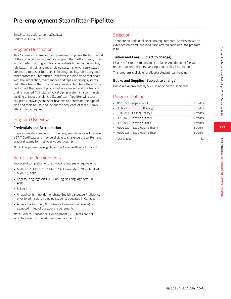Email: construction.preemp@sait.ca Phone: 403.284.8367

## Program Description

This 12-week pre-employment program comprises the first period of the corresponding apprentice program that SAIT currently offers in this trade. The program trains individuals to lay out, assemble, fabricate, maintain and repair piping systems which carry water, steam, chemicals or fuel used in heating, cooling, lubricating and other processes. Steamfitter- Pipefitter is a pipe trade that deals with the installation, maintenance and repair of piping systems, but differs from other pipe trades in relation to where the work is performed, the types of piping that are involved and the training that is required. To install a typical piping system in a commercial building or industrial plant, a Steamfitter- Pipefitter will study blueprints, drawings and specifications to determine the type of pipe and tools to use, and lay out the sequence of tasks. Heavy lifting may be required.

## Program Overview

### **Credentials and Accreditation**

Upon successful completion of the program, students will receive a SAIT Certificate and may be eligible to challenge the written and practical exams for first-year Apprenticeship.

**Note:** This program is eligible for the Canada-Alberta Job Grant.

## Admission Requirements

Successful completion of the following courses or equivalents:

- Math 20-1, Math 20-2, Math 20-3, Pure Math 20, or Applied Math 20, AND,
- English Language Arts 20-1 or English Language Arts 20-2, AND,
- Science 10
- All applicants must demonstrate English Language Proficiency prior to admission, including students educated in Canada.
- A pass mark in the SAIT Entrance Examination (level 4) is accepted in lieu of the above requirements.

**Note:** General Educational Development (GED) tests are not accepted in lieu of the admission requirements.

## Selection

There are no additional selection requirements. Admission will be extended on a first-qualified, first-offered basis until the program is full.

#### **Tuition and Fees (Subject to change)**

Please refer to the Tuition and Fee Table. An additional fee will be required to write the first year Apprenticeship Examination.

This program is eligible for Alberta student loan funding.

#### **Books and Supplies (Subject to change)**

Books are approximately \$500 in addition to tuition fees.

## Program Outline

| $\blacksquare$ APPH 221 – Applications I | 1.5 credits |
|------------------------------------------|-------------|
| • BLPR 215 - Blueprint Reading I         | 1.5 credits |
| • HTNG 241 – Heating Theory I            | 1.5 credits |
| • PIPE 207 - Pipefitting Theory I        | 1.5 credits |
| • PIPE 208 - Pipefitting Shop I          | 3 credits   |
| • WLDG 222 – Basic Welding Theory        | 1.5 credits |
| • WLDG 223 – Basic Welding Shop          | 1.5 credits |
| <b>Total Credits</b>                     | 17          |

**173**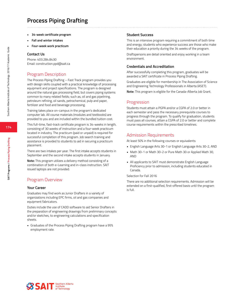## **Process Piping Drafting**

- **• 34-week certificate program**
- **• Fall and winter intakes**
- **• Four-week work practicum**

#### **Contact Us**

Phone: 403.284.8430 Email: construction.ppd@sait.ca

### Program Description

The Process Piping Drafting – Fast Track program provides you with design skills coupled with a practical knowledge of processing equipment and project specifications. The program is designed around the natural gas processing field, but covers piping systems common to many related fields; such as, oil and gas pipelining, petroleum refining, oil sands, petrochemical, pulp and paper, fertilizer and food and beverage processing.

Training takes place on-campus in the program's dedicated computer lab. All course materials (modules and textbooks) are provided to you and are included within the bundled tuition cost.

This full-time, fast-track certificate program is 34-weeks in length, consisting of 30 weeks of instruction and a four-week practicum located in industry. The practicum (paid or unpaid) is required for successful completion of this program. Job search training and assistance is provided to students to aid in securing a practicum placement.

There are two intakes per year. The first intake accepts students in September and the second intake accepts students in January.

**Note:** This program utilizes a delivery method consisting of a combination of both e-Learning and in-class instruction. SAIT issued laptops are not provided.

### Program Overview

#### **Your Career**

Graduates may find work as Junior Drafters in a variety of organizations including EPC firms, oil and gas companies and equipment fabricators.

Duties include the use of CADD software to aid Senior Drafters in the preparation of engineering drawings from preliminary concepts and/or sketches, to engineering calculations and specification sheets.

• Graduates of the Process Piping Drafting program have a 95% employment rate.

#### **Student Success**

This is an intensive program requiring a commitment of both time and energy; students who experience success are those who make their education a priority during the 34 weeks of the program.

Draftspersons are detail oriented and enjoy working in a team environment.

#### **Credentials and Accreditation**

After successfully completing this program, graduates will be awarded a SAIT certificate in Process Piping Drafting.

Graduates are eligible for membership in The Association of Science and Engineering Technology Professionals in Alberta (ASET).

**Note:** This program is eligible for the Canada-Alberta Job Grant.

#### Progression

Students must attain a PGPA and/or a CGPA of 2.0 or better in each semester and pass the necessary prerequisite courses to progress through the program. To qualify for graduation, students must pass all courses, attain a CGPA of 2.0 or better and complete course requirements within the prescribed timelines.

#### Admission Requirements

At least 50% in the following courses or equivalents:

- English Language Arts 30-1 or English Language Arts 30-2, AND
- Math 30-1 or Math 30-2 or Pure Math 30 or Applied Math 30, AND
- All applicants to SAIT must demonstrate English Language Proficiency prior to admission, including students educated in Canada.

#### Selection for Fall 2016

There are no additional selection requirements. Admission will be extended on a first-qualified, first-offered basis until the program is full.



**SAIT Programs / Process Piping Drafting**

SAIT Programs / Process Piping Drafting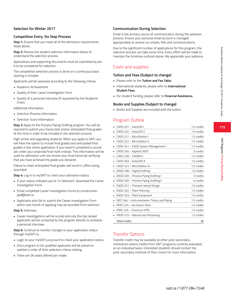### **Selection for Winter 2017**

### **Competitive Entry: Six Step Process**

**Step 1:** Ensure that you meet all of the admission requirements listed above.

**Step 2:** Review the student selection information below to understand the selection process.

Applications and supporting documents must be submitted by Jan. 6 to be considered for selection.

The competitive selection process is done on a continuous basis starting in October.

Applicants will be assessed according to the following criteria:

- Academic Achievement
- Quality of their Career Investigation Form
- Quality of a personal interview (if requested by the Academic Chair)

Additional information

- Selection Process Information
- Selection Score Information

**Step 3:** Apply to the Process Piping Drafting program. You will be required to submit your transcripts and/or anticipated final grades at this time in order to be included in the selection process.

High school and upgrading students: When you apply to SAIT, you will have the option to include final grades and anticipated final grades in the online application. If you haven't completed a course yet, enter your projected final mark instead. This information will be used for admission until we receive your final transcript verifying that you have achieved the grade you declared.

Failure to meet anticipated final grades will result in offers being rescinded.

**Step 4:** Log in to mySAIT to check your admission status.

- If your status indicates you're "In Selection," download the Career Investigation Form.
- Email completed Career Investigation Forms to construction. ppd@sait.ca.
- Applicants who fail to submit the Career Investigation Form within one month of applying may be excluded from selection.

#### **Step 5:** Interview

• Career investigations will be scored and only the top ranked applicants will be contacted by the program directly to schedule a personal interview.

**Step 6:** Continue to monitor changes to your application status through mySAIT.ca.

- Login to your mySAIT.ca account to check your application status.
- Once program is full, qualified applicants will be placed on waitlist in order of their selection criteria ranking.
- There are 36 seats offered per intake.

#### **Communication During Selection**

Email is the primary source of communication during the selection process. Ensure your personal email account is managed appropriately to receive our emails, files and communications.

Due to the significant number of applications for this program, the selection process can take some time. Every effort will be made to maintain the timelines outlined above. We appreciate your patience.

### Costs and supplies

#### **Tuition and Fees (Subject to change)**

- Please refer to the **Tuition and Fee Table.**
- International students, please refer to **International Student Fees.**
- For student funding, please refer to **Financial Assistance.**

#### **Books and Supplies (Subject to change)**

• Books and Supplies are included with the tuition.

### Program Outline

| CADD 201 - AutoCAD I                         | 1.5 credits |
|----------------------------------------------|-------------|
| CADD 202 - AutoCAD II                        | 1.5 credits |
| CADD 221 - MicroStation I                    | 1.5 credits |
| CADD 222 - MicroStation II                   | 1.5 credits |
| CADD 241 - CADD System Management I          | 1.5 credits |
| CADD 250 - Applied CADD                      | 3 credits   |
| $CADD 228 - CADW$ orx                        | 1.5 credits |
| CADD 303 - AutoCAD III                       | 1.5 credits |
| CADD 323 - MicroStation III                  | 1.5 credits |
| ENGD 208 - Digital Drafting                  | 1.5 credits |
| ENGD 320 - Process Piping Drafting I         | 3 credits   |
| ENGD 350 - Process Piping Drafting II        | 6 credits   |
| ENGD 351 - Pressure Vessel Design            | 1.5 credits |
| ENGD 352 - Plant Planning                    | 1.5 credits |
| ENGD 353 - Plant Equipment<br>٠              | 1.5 credits |
| INST 346 - Instrumentation Theory and Piping | 1.5 credits |
| PERS 225 - Job Search Skills                 | 1.5 credits |
| PRAC 225 - Practicum PPD                     | 1.5 credits |
| PROP 310 - Natural Gas Processing            | 1.5 credits |
| <b>Total Credits</b>                         | 36          |

### Transfer Options

Transfer credit may be available at other post-secondary institutions where credits from SAIT programs could be evaluated on an individual basis. Interested students should contact the post-secondary institute of their choice for more information.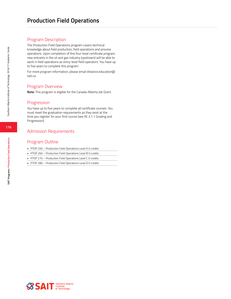### Program Description

The Production Field Operations program covers technical knowledge about field production, field operations and process operations. Upon completion of this four-level certificate program, new entrants in the oil and gas industry (upstream) will be able to work in field operations as entry-level field operators. You have up to five years to complete this program.

For more program information, please email distance.education@ sait.ca.

### Program Overview

**Note:** This program is eligible for the Canada-Alberta Job Grant.

### **Progression**

You have up to five years to complete all certificate courses. You must meet the graduation requirements as they exist at the time you register for your first course (see AC.3.1.1 Grading and Progression).

### Admission Requirements

| • PTOP 250 - Production Field Operations Level A 0 credits |
|------------------------------------------------------------|
|                                                            |

- PTOP 260 Production Field Operations Level B 0 credits
- PTOP 270 Production Field Operations Level C 0 credits
- PTOP 280 Production Field Operations Level D 0 credits

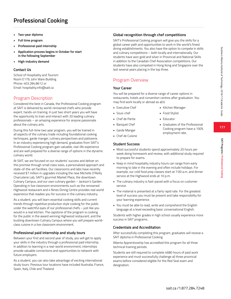# **Professional Cooking**

- **• Two-year diploma**
- **• Full time program**
- **• Professional paid internship**
- **• Application process begins in October for start in the following September**
- **• High-industry demand**

#### **Contact Us**

School of Hospitality and Tourism Room E179, John Ware Building Phone: 403.284.8612 or Email: hospitality.info@sait.ca

### Program Description

Considered the best in Canada, the Professional Cooking program at SAIT is delivered by world-renowned chefs who provide expert, hands-on training. In just two short years you will have the opportunity to train and interact with 20 leading culinary professionals – an amazing experience for anyone passionate about the culinary arts.

During this full-time two year program, you will be trained in all aspects of the culinary trade including foundational cooking techniques, garde manger, culinary perspectives and patisserie. In an industry experiencing high demand, graduates from SAIT's Professional Cooking program gain valuable, real-life experience and are well prepared for a diverse range of options in the dynamic culinary world.

At SAIT, we are focused on our students' success and deliver on this promise through small class sizes, a personalized approach and state-of-the-art facilities. Our classrooms and labs have recently received \$7 million in upgrades including the new Michelle O'Reilly Charcuterie Lab, SAIT's gourmet Market Place, the downtown Culinary Campus, and our own culinary garden – Jackson's Garden. Operating in live classroom environments such as the renowned Highwood restaurant and 4 Nines Dining Centre provides real world experience that readies you for success in the culinary industry.

As a student, you will learn essential cooking skills and current trends through repetitive production style cooking for the public under the watchful eyes of our professional chefs – just like you would in a real kitchen. The capstone of the program is cooking for the public in the award winning Highwood restaurant, and the bustling downtown Culinary Campus where you will prepare worldclass cuisine in a live classroom environment.

#### **Professional paid internship and study tours**

Between your first and second year of study, you will get to apply your skills in the industry through a professional paid internship. In addition to learning in a real-world environment, internships provide valuable connections and opportunities to network with future employers.

As a student, you can also take advantage of exciting international study tours. Previous tour locations have included Australia, France, Spain, Italy, Chile and Thailand.

#### **Global recognition through chef competitions**

SAIT's Professional Cooking program will give you the skills for a global career path and opportunities to work in the world's finest dining establishments. You also have the option to compete in skills and culinary competitions – both locally and internationally. Our students have won gold and silver in Provincial and National Skills in addition to the Canadian Chef Association competitions. Our students have also competed in Hong Kong and Singapore over the last several years placing in the top three.

### Program Overview

#### **Your Career**

You will be prepared for a diverse range of career options in restaurants, hotels and convention centres after graduation. You may find work locally or abroad as a(n):

- Executive Chef
- Kitchen Manager

• Food Stylist • Educator

- Sous-chef
- Chef de Partie
- Banquet Chef
- Garde Manger
- Chef de Cuisine
- Graduates of the Professional Cooking program have a 100% employment rate.
- 

#### **Student Success**

- Most successful students spend approximately 20 hours per week doing homework and review, with additional study required to prepare for exams.
- Keep in mind hospitality industry hours can range from early morning to late in the evening and often include holidays. For example, our cold food prep classes start at 7:00 a.m. and dinner service at the Highwood ends at 10 p.m.
- The culinary industry is fast-paced with a focus on customer service.
- The material is presented at a fairly rapid rate. For the greatest level of success you must be present and take responsibility for your learning experience.
- You must be able to read, write and comprehend the English language at a level exceeding basic conversational English.

Students with higher grades in high school usually experience more success in SAIT programs.

#### **Credentials and Accreditation**

After successfully completing this program, graduates will receive a SAIT diploma in Professional Cooking.

Alberta Apprenticeship has accredited this program for all three technical training periods.

Students are still required to complete 4680 hours of paid work experience and must successfully challenge all three provincial exams before considered eligible for the Red Seal exam and designation.

**177**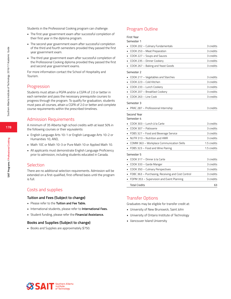Students in the Professional Cooking program can challenge:

- The first year government exam after successful completion of their first year in the diploma program.
- The second year government exam after successful completion of the third and fourth semesters provided they passed the first year government exam.
- The third year government exam after successful completion of the Professional Cooking diploma provided they passed the first and second year government exams.

For more information contact the School of Hospitality and Tourism.

### **Progression**

Students must attain a PGPA and/or a CGPA of 2.0 or better in each semester and pass the necessary prerequisite courses to progress through the program. To qualify for graduation, students must pass all courses, attain a CGPA of 2.0 or better and complete course requirements within the prescribed timelines.

### Admission Requirements

A minimum of 35 Alberta high school credits with at least 50% in the following courses or their equivalents:

- English Language Arts 10-1 or English Language Arts 10-2 or Humanities 10, AND,
- Math 10C or Math 10-3 or Pure Math 10 or Applied Math 10.
- All applicants must demonstrate English Language Proficiency prior to admission, including students educated in Canada.

#### **Selection**

There are no additional selection requirements. Admission will be extended on a first-qualified, first-offered basis until the program is full.

#### Costs and supplies

#### **Tuition and Fees (Subject to change)**

- Please refer to the **Tuition and Fee Table.**
- International students, please refer to **International Fees.**
- Student funding, please refer the **Financial Assistance.**

#### **Books and Supplies (Subject to change)**

• Books and Supplies are approximately \$750.

### Program Outline

Semester 1

| COOK 202 - Culinary Fundamentals                  | 3 credits   |
|---------------------------------------------------|-------------|
| COOK 253 - Meat Preparation<br>n                  | 3 credits   |
| COOK 227 - Soups and Sauces                       | 3 credits   |
| COOK 235 - Dinner Cookery                         | 3 credits   |
| COOK 267 - Baking and Yeast Goods                 | 3 credits   |
| Semester 2                                        |             |
| COOK 217 - Vegetables and Starches                | 3 credits   |
| COOK 223 - Cold Kitchen                           | 3 credits   |
| COOK 233 - Lunch Cookery                          | 3 credits   |
| COOK 207 - Breakfast Cookery                      | 3 credits   |
| COOK 263 - Line Cook                              | 3 credits   |
| Semester 3                                        |             |
| PRAC 287 - Professional Internship                | 3 credits   |
| Second Year                                       |             |
| Semester 4                                        |             |
| COOK 303 - Lunch á la Carte                       | 3 credits   |
| COOK 307 - Patisserie                             | 3 credits   |
| FDBS 327 - Food and Beverage Service<br>٠         | 3 credits   |
| NUTR 313 - Nutrition and HMR                      | 3 credits   |
| COMM 363 - Workplace Communication Skills         | 1.5 credits |
| FDBS 323 - Food and Wine Pairing                  | 1.5 credits |
| Semester 5                                        |             |
| COOK 317 - Dinner á la Carte                      | 3 credits   |
| COOK 333 - Garde Manger                           | 3 credits   |
| COOK 350 - Culinary Perspectives                  | 3 credits   |
| FDBC 363 - Purchasing, Receiving and Cost Control | 3 credits   |
| FDPM 353 - Supervision and Event Planning         | 3 credits   |
| <b>Total Credits</b>                              | 63          |
|                                                   |             |

#### Transfer Options

Graduates may be eligible for transfer credit at:

- University of New Brunswick, Saint John
- University of Ontario Institute of Technology
- Vancouver Island University

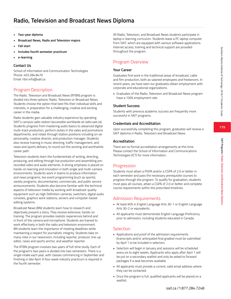**179**

**SAIT Programs / Radio, Television and Broadcast News Diploma**

SAIT Programs / Radio, Television and Broadcast News Diploma

# **Radio, Television and Broadcast News Diploma**

- **• Two-year diploma**
- **• Broadcast News, Radio and Television majors**
- **• Fall start**
- **• Includes fourth semester practicum**
- **• e-learning**

# **Contact Us**

School of Information and Communication Technologies Phone: 403.284.8470 Email: rtbn.info@sait.ca

# Program Description

The Radio, Television and Broadcast News (RTBN) program is divided into three options: Radio, Television or Broadcast News. Students choose the option that best fits their individual skills and interests, in preparation for a challenging, creative and exciting career in the media.

Radio students gain valuable industry experience by operating SAIT's campus radio station (accessible worldwide at radio.sait.ca). Students progress from mastering audio basics to advanced digital multi-track production, perform duties in the sales and promotions departments, and rotate through station positions including on-air personality, creative director, and production manager. Students also receive training in music directing, traffic management, and news and sports delivery, to round out this exciting and worthwhile career path.

Television students learn the fundamentals of writing, directing, producing, and editing through live production and assembling prerecorded video and audio elements. A strong emphasis is placed on hands-on learning and innovation in both single and multi-camera environments. Students work in teams to produce information and news programs, live event programming (such as sports), variety programs, documentaries, commercials, and public service announcements. Students also become familiar with the technical aspects of television media by working with broadcast-quality equipment such as High Definition cameras, switchers, digital audio consoles, graphics work stations, servers and computer-based editing systems.

Broadcast News (BN) students learn how to research and objectively present a story. They receive extensive, hands-on training. The program provides realistic experiences behind and in front of the camera and microphone. Students are trained to work effectively in both the radio and television environment. BN students learn the importance of meeting deadlines while maintaining a respect for journalistic integrity. Students take on many roles in our newsroom, including reporter, producer, line-up editor, news and sports anchor, and weather reporter.

The RTBN program involves two years of full-time study. Each of the program's two years is divided into two semesters. There is a single intake each year, with classes commencing in September and finishing in late April. A four-week industry practicum is required in the fourth semester.

All Radio, Television, and Broadcast News students participate in laptop e-learning curriculum. Students lease a PC laptop computer from SAIT, which are equipped with various software applications. Internet access, training and technical support are provided throughout the program.

# Program Overview

# **Your Career**

Graduates find work in the traditional areas of broadcast, cable and film production, both as salaried employees and freelancers. In recent years, we have seen our graduates obtain employment with corporate and educational organizations.

• Graduates of the Radio, Television and Broadcast News program have a 100% employment rate.

# **Student Success**

Students with previous academic success are frequently more successful in SAIT programs.

## **Credentials and Accreditation**

Upon successfully completing this program, graduates will receive a SAIT diploma in Radio, Television and Broadcast News.

## **Accreditation**

There are no formal accreditation arrangements at this time. Please contact the School of Information and Communications Technologies (ICT) for more information.

# Progression

Students must attain a PGPA and/or a CGPA of 2.0 or better in each semester and pass the necessary prerequisite courses to progress through the program. To qualify for graduation, students must pass all courses, attain a CGPA of 2.0 or better and complete course requirements within the prescribed timelines.

# Admission Requirements

- At least 60% in English Language Arts 30-1 or English Language Arts 30-2 or equivalents.
- All applicants must demonstrate English Language Proficiency prior to admission, including students educated in Canada.

# **Selection**

- Applications and proof of the admission requirements (transcripts and/or anticipated final grades) must be submitted by April 1 to be included in selection.
- Selection will begin in January and sessions will be scheduled every six to eight weeks. Applicants who apply after April 1 will be put on a secondary waitlist and only be asked to forward packages if a seat becomes available.
- All applicants must provide a current, valid email address where they can be contacted.
- Once the program is full, qualified applicants will be placed on a waitlist.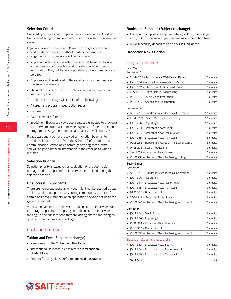## **Selection Criteria**

Qualified applicants in each option (Radio, Television or Broadcast News) must bring a completed submission package to the selection session.

If you are located more than 300 km from Calgary and cannot attend a selection session without hardship, alternative arrangements for submission will be considered.

- Applicants attending a selection session will be asked to give a brief personal introduction and provide specific written information. They will have an opportunity to ask questions and do a tour.
- Applicants will be advised of their status within four weeks of the selection session.
- The applicant can expect to be interviewed in a group by an instructor panel.

The submission package will consist of the following:

- A career and program investigation report
- Resumé
- Two letters of reference
- In addition, Broadcast News applicants are expected to provide a short (two minute maximum) video synopsis of their career and program investigation report (as an .avi or .mov file on a CD).

Please wait until you have received an invitation by email to attend a selection session from the School of Information and Communication Technologies before generating these items. You will be given detailed information in the email as to what is required.

#### **Selection Priority**

Selection priority is based on an evaluation of the submission package and the applicant's suitability as determined during the selection session.

#### **Unsuccessful Applicants**

There are numerous reasons why you might not be granted a seat – a late application, particularly strong competition, the lack of certain basic requirements, or an application package not up to the general standard.

Applications are not carried over into the next academic year. We encourage applicants to apply again in the next academic year, making up any qualifications they are lacking and/or improving the quality of their submission package.

# Costs and supplies

#### **Tuition and Fees (Subject to change)**

- Please refer to the **Tuition and Fee Table.**
- International students, please refer to **International Student Fees.**
- Student funding, please refer to **Financial Assistance.**

#### **Books and Supplies (Subject to change)**

- Books and Supplies are approximately \$720 for the first year and \$500 for the second year depending on the option taken.
- A \$400 security deposit to use a SAIT issued laptop.

#### **Broadcast News Option**

# Program Outline

First Year Semester 1

| • COMP 267 – MS Office and Web Design Basics | 1.5 credits |
|----------------------------------------------|-------------|
| • JOUR 206 - Writing Fundamentals for Media  | 3 credits   |
| • JOUR 207 - Introduction to Broadcast News  | 3 credits   |
| • LDSH 239 - Leadership in Broadcasting      | 1.5 credits |
| • PRDT 217 - Audio Video Production          | 3 credits   |
| • PRES 209 - Speech and Presentation         | 3 credits   |
|                                              |             |

#### Semester 2

| • AUDI 279 - Broadcast News Technical Operations I   | 1.5 credits |
|------------------------------------------------------|-------------|
| • COMP 269 – Social Media in Broadcasting            | 1.5 credits |
| • JOUR 256 - Reporting I                             | 1.5 credits |
| • JOUR 263 - Broadcast Newswriting                   | 3 credits   |
| • JOUR 264 - Broadcast News Radio News I             | 1.5 credits |
| • IOUR 265 – Broadcast News TV News I                | 1.5 credits |
| • POLS 252 - Reporting in Canadian Political Systems | 1.5 credits |
| • PRES 225 – Stage Production II                     | 3 credits   |
| • SPCH 262 – Broadcast News Speech I                 | 1.5 credits |
| • VDEO 230 - Electronic News Gathering Editing       | 1.5 credits |
|                                                      |             |

Second Year

Semester 3

| • AUDI 329 - Broadcast News Technical Operations II | 1.5 credits |
|-----------------------------------------------------|-------------|
| • JOUR 306 - Reporting II                           | 3 credits   |
| • JOUR 314 - Broadcast News Radio News II           | 3 credits   |
| • JOUR 315 - Broadcast News TV News II              | 3 credits   |
| • PRES 320 - Presentation I                         | 1.5 credits |
| • SPCH 312 - Broadcast News Speech II               | 1.5 credits |
| • VDEO 345 - Electronic News Gathering Production I | 1.5 credits |

#### Semester 4

| $\blacksquare$ IOUR 354 – Media Ethics               | 1.5 credits |
|------------------------------------------------------|-------------|
| • JOUR 356 – Reporting III                           | 3 credits   |
| • PRAC 391 - Broadcast News Practicum                | 1.5 credits |
| $\blacksquare$ PRES 350 – Presentation II            | 1.5 credits |
| • VDEO 355 - Electronic News Gathering Production II | 1.5 credits |
|                                                      |             |

#### Electives – Students choose 2 of 3

| Total Credits                              | 63        |
|--------------------------------------------|-----------|
| UUR 365 – Broadcast News TV News III       | 3 credits |
| • JOUR 364 - Broadcast News Radio News III | 3 credits |
| • JOUR 363 – Broadcast News Sports         | 3 credits |



**180**

**SAIT Programs / Radio, Television and Broadcast News Diploma**

**SAIT Programs / Radio, Television and Broadcast News Diploma**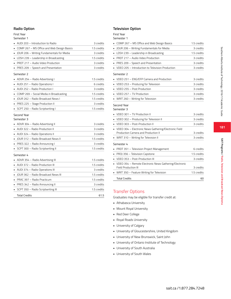#### **Radio Option**

#### First Year

#### Semester 1

|    | AUDI 203 - Introduction to Radio           | 3 credits   |
|----|--------------------------------------------|-------------|
|    | COMP 267 - MS Office and Web Design Basics | 1.5 credits |
|    | JOUR 206 - Writing Fundamentals for Media  | 3 credits   |
|    | LDSH 239 - Leadership in Broadcasting      | 1.5 credits |
|    | PRDT 217 - Audio Video Production          | 3 credits   |
|    | PRES 209 - Speech and Presentation         | 3 credits   |
|    | Semester 2                                 |             |
|    | ADVR 254 - Radio Advertising I             | 1.5 credits |
|    | AUDI 251 - Radio Operations I              | 6 credits   |
|    | AUDI 252 - Radio Production I              | 3 credits   |
|    | COMP 269 - Social Media in Broadcasting    | 1.5 credits |
|    | JOUR 262 - Radio Broadcast News I          | 1.5 credits |
|    | PRES 225 - Stage Production II             | 3 credits   |
|    | SCPT 250 - Radio Scriptwriting I           | 1.5 credits |
|    | Semester 3                                 | 3 credits   |
|    | ADVR 304 - Radio Advertising II            |             |
|    | AUDI 322 - Radio Production II             | 3 credits   |
|    | • AUDI 324 - Radio Operations II           | 3 credits   |
|    | IOUR 312 - Radio Broadcast News II         | 1.5 credits |
|    | PRES 322 - Radio Announcing I              | 3 credits   |
|    | SCPT 300 - Radio Scriptwriting II          | 1.5 credits |
|    | Semester 4                                 |             |
|    | ADVR 354 - Radio Advertising III           | 1.5 credits |
| ×. | AUDI 372 - Radio Production III            | 1.5 credits |
|    | AUDI 374 - Radio Operations III            | 3 credits   |
| ٠  | JOUR 362 - Radio Broadcast News III        | 1.5 credits |
| ٠. | PRAC 397 - Radio Practicum                 | 1.5 credits |
|    | PRES 342 - Radio Announcing II             | 3 credits   |
|    | SCPT 350 - Radio Scriptwriting III         | 1.5 credits |
|    | <b>Total Credits</b>                       | 61.5        |

#### **Television Option**

## First Year

# Semester 1

| COMP 267 - MS Office and Web Design Basics                                                   | 1.5 credits |
|----------------------------------------------------------------------------------------------|-------------|
| JOUR 206 - Writing Fundamentals for Media                                                    | 3 credits   |
| LDSH 239 - Leadership in Broadcasting                                                        | 1.5 credits |
| PRDT 217 - Audio Video Production                                                            | 3 credits   |
| PRES 209 - Speech and Presentation                                                           | 3 credits   |
| VDEO 205 - Introduction to Television Production                                             | 3 credits   |
| Semester 2                                                                                   |             |
| VDEO 251 - ENG/EFP Camera and Production                                                     | 3 credits   |
| VDEO 253 - Producing for Television<br>٠                                                     | 3 credits   |
| VDEO 255 - Post Production                                                                   | 3 credits   |
| VDEO 257 - TV Production                                                                     | 3 credits   |
| WRIT 260 - Writing for Television                                                            | 3 credits   |
| Second Year<br>Semester 3                                                                    |             |
| VDEO 301 - TV Production II                                                                  | 3 credits   |
| VDEO 302 - Producing for Television II                                                       | 3 credits   |
| VDEO 303 - Post-Production II                                                                | 3 credits   |
| VDEO 304 - Electronic News Gathering/Electronic Field<br>Production Camera and Production II | 3 credits   |
| WRIT 310 - Writing for Television II                                                         | 3 credits   |
| Semester 4                                                                                   |             |
| PRDT 351 - Television Project Management                                                     | 6 credits   |
| PROJ 356 - Television Capstone                                                               | 1.5 credits |
| VDEO 353 - Post-Production III                                                               | 3 credits   |
| VDEO 354 - Remote Electronic News Gathering/Electronic<br>Field Production III               | 3 credits   |
| WRIT 350 - Feature Writing for Television                                                    | 1.5 credits |
| <b>Total Credits</b>                                                                         | 60          |
|                                                                                              |             |

# Transfer Options

Graduates may be eligible for transfer credit at:

- Athabasca University
- Mount Royal University
- Red Deer College
- Royal Roads University
- University of Calgary
- University of Gloucestershire, United Kingdom
- University of New Brunswick, Saint John
- University of Ontario Institute of Technology
- University of South Australia
- University of South Wales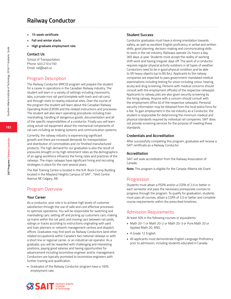# **Railway Conductor**

- **• 15-week certificate**
- **• Fall and winter starts**
- **• High graduate employment rate**

#### **Contact Us**

School of Transportation Phone: 403.210.4150 Email: rail@sait.ca

## Program Description

The Railway Conductor (RRCD) program will prepare the student for a career in operations in the Canadian Railway industry. The student will learn in a variety of settings including classrooms, labs, a private mini rail yard (complete with track and rail cars), and through visits to nearby industrial sites. Over the course of the program the student will learn about the Canadian Railway Operating Rules (CROR) and the related instructions and processes. The student will also learn operating procedures including train marshalling, handling of dangerous goods, documentation and all of the specific responsibilities of a conductor. Finally you will learn using actual rail equipment about the mechanical components of rail cars including air braking systems and communication systems.

Currently, the railway industry is experiencing significant growth and there are increased demands for transportation and distribution of commodities and /or finished manufactured products. The high demand for our graduates is also the result of pressures brought on by high retirement rates as the demographics of an aging workforce influence the hiring rates and practices of the railways. The major railways have significant hiring and recruiting strategies in place for the next several years.

The Rail Training Centre is located in the N.R. Buck Crump Building located in the Mayland Heights Campus of SAIT , 1940 Centre Avenue NE Calgary, AB.

# Program Overview

#### **Your Career**

As a conductor, your role is to achieve high levels of customer satisfaction through the use of safe and cost effective processes to optimize operations. You will be responsible for switching and marshalling cars; setting off and picking up customers cars; making up trains within the rail yard; and moving cars between rail yards, sidings or tracks according to instructions originating with yard and train planners or network management centres and dispatch offices. Graduates may find work as Railway Conductors (and other related occupations) within Canada's two national railways or with a short line or regional carrier, or an industrial rail operator. As a graduate, you will be rewarded with challenging and interesting positions, paying good salaries and having opportunities for advancement including locomotive engineer and/or management. Conductors are typically promoted to locomotive engineers with further training and qualification.

• Graduates of the Railway Conductor program have a 100% employment rate.

#### **Student Success**

Conductor graduates must have a strong orientation towards safety, as well as excellent English proficiency in verbal and written skills, good planning, decision-making and communicating skills to work in the rail industry. Railways operate 24-hours a day, 365 days-a-year. Students must accept the reality of working shift work and having irregular days off. The work of a conductor requires regular physical activity outdoors in all types of weather. Conductors need to be in good physical condition and be able to lift heavy objects (up to 85 lbs.). Applicants to the railway companies are expected to pass government-mandated medical examinations including testing for vision including colour, hearing acuity and drug screening. Persons with medical concerns should consult with the employment office(s) of the respective railway(s). Applicants to railway jobs are also given security screening by the hiring railway. Anyone with a concern should consult with the employment office (s) of the respective railway(s). Personal security information may be obtained from the local police force for a fee. To gain employment in the rail industry as a Conductor, the student is responsible for determining the minimum medical and physical standards required by individual rail companies. SAIT does not provide screening services for the purpose of meeting these standards.

#### **Credentials and Accreditation**

After successfully completing this program, graduates will receive a SAIT certificate as a Railway Conductor.

#### **Accreditation**

SAIT will seek accreditation from the Railway Association of Canada.

**Note:** This program is eligible for the Canada-Alberta Job Grant.

#### Progression

Students must attain a PGPA and/or a CGPA of 2.0 or better in each semester and pass the necessary prerequisite courses to progress through the program. To qualify for graduation, students must pass all courses, attain a CGPA of 2.0 or better and complete course requirements within the prescribed timelines.

#### Admission Requirements

At least 50% in the following courses or equivalents:

- Math 20-1 or Math 20-2 or Math 20-3 or Pure Math 20 or Applied Math 20, AND,
- A Grade 12 English.
- All applicants must demonstrate English Language Proficiency prior to admission, including students educated in Canada.

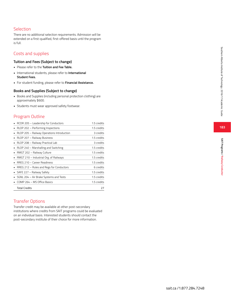# **Selection**

There are no additional selection requirements. Admission will be extended on a first-qualified, first-offered basis until the program is full.

# Costs and supplies

#### **Tuition and Fees (Subject to change)**

- Please refer to the **Tuition and Fee Table.**
- International students, please refer to **International Student Fees.**
- For student funding, please refer to **Financial Assistance.**

#### **Books and Supplies (Subject to change)**

- Books and Supplies (including personal protection clothing) are approximately \$600.
- Students must wear approved safety footwear.

# Program Outline

| RCDR 205 - Leadership for Conductors       | 1.5 credits |
|--------------------------------------------|-------------|
| RLOP 202 - Performing Inspections          | 1.5 credits |
| RLOP 205 - Railway Operations Introduction | 3 credits   |
| RLOP 207 - Railway Business                | 1.5 credits |
| RLOP 208 - Railway Practical Lab           | 3 credits   |
| RLOP 240 - Marshalling and Switching       | 1.5 credits |
| RMGT 202 - Railway Culture                 | 1.5 credits |
| RMGT 210 - Industrial Org. of Railways     | 1.5 credits |
| RREG 210 - Career Readiness                | 1.5 credits |
| RREG 212 - Rules and Regs for Conductors   | 6 credits   |
| SAFE 227 - Railway Safety                  | 1.5 credits |
| SGNL 204 – Air Brake Systems and Tests     | 1.5 credits |
| COMP 264 – MS Office Basics                | 1.5 credits |
| <b>Total Credits</b>                       | 77          |

# Transfer Options

Transfer credit may be available at other post-secondary institutions where credits from SAIT programs could be evaluated on an individual basis. Interested students should contact the post-secondary institute of their choice for more information.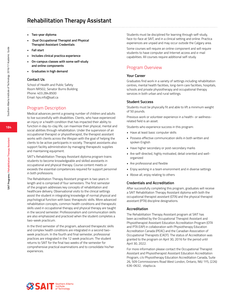# **Rehabilitation Therapy Assistant**

- **• Two-year diploma**
- **• ■Dual Occupational Therapist and Physical Therapist Assistant Credentials**
- **• Fall start**
- **• Includes clinical practica experience**
- **• On-campus classes with some self-study and online components**
- **• Graduates in high demand**

#### **Contact Us**

School of Health and Public Safety Room NR502, Senator Burns Building Phone: 403.284.8500 Email: hps.info@sait.ca

#### Program Description

Medical advances permit a growing number of children and adults to live successfully with disabilities. Clients, who have experienced an injury or a health condition that has impacted their ability to function in day-to-clay life, can maximize their physical, mental and social abilities through rehabilitation. Under the supervision of an occupational therapist or physiotherapist, the therapist assistant works with clients across the lifespan with the goal of helping the clients to be active participants in society. Therapist assistants also support facility administration by managing therapeutic supplies and maintaining equipment.

SAIT's Rehabilitation Therapy Assistant diploma program trains students to become knowledgeable and skilled assistants in occupational and physical therapy. Course content meets or exceeds the essential competencies required for support personnel in both professions.

The Rehabilitation Therapy Assistant program is two years in length and is comprised of four semesters. The first semester of the program addresses key concepts of rehabilitation and healthcare delivery. Observational visits to the clinical settings assist the student in integrating knowledge of normal physical and psychological function with basic therapeutic skills. More advanced rehabilitation concepts, common health conditions and therapeutic skills used in occupational therapy and physical therapy are taught in the second semester. Professionalism and communication skills are also emphasized and practiced when the student completes a two-week practicum.

In the third semester of the program, advanced therapeutic skills and complex health conditions are integrated in a second twoweek practicum. In the fourth and final semester, professional practices are integrated in the 12 week practicum. The student returns to SAIT for the final two weeks of the semester for comprehensive practical examinations and to consolidate his/her experiences.

Students must be disciplined for learning through self-study, face-to-face at SAIT, and in a clinical setting and online. Practica experiences are unpaid and may occur outside the Calgary area.

Some courses will require an online component and will require students to have computer and Internet access and e-mail capabilities. All courses require additional self-study.

# Program Overview

#### **Your Career**

Graduates find work in a variety of settings including rehabilitation centres, mental health facilities, long-term care facilities, hospitals, schools and private physiotherapy and occupational therapy services in both urban and rural settings.

#### **Student Success**

Students must be physically fit and able to lift a minimum weight of 50 pounds.

Previous work or volunteer experience in a health- or wellnessrelated field is an asset.

Students who experience success in this program:

- Have at least basic computer skills
- Possess effective communication skills in both written and spoken English
- Have higher secondary or post-secondary marks
- Are self-directed, highly motivated, detail oriented and wellorganized
- Are professional and flexible
- Enjoy working in a team environment and in diverse settings
- Above all, enjoy relating to others

#### **Credentials and Accreditation**

After successfully completing this program, graduates will receive a SAIT Rehabilitation Therapy Assistant diploma with both the occupational therapist assistant (OTA) and the physical therapist assistant (PTA) discipline designations.

#### **Accreditation**

The Rehabilitation Therapy Assistant program at SAIT has been accredited by the Occupational Therapist Assistant and Physiotherapist Assistant Education Accreditation Program (OTA and PTA EAP) in collaboration with Physiotherapy Education Accreditation Canada (PEAC) and the Canadian Association of Occupational Therapists (CAOT). The status of Accreditation was granted to the program on April 30, 2016 for the period until April 30, 2022.

For more information please contact the Occupational Therapist Assistant and Physiotherapist Assistant Education Accreditation Program, c/o Physiotherapy Education Accreditation Canada, Suite 26, 509 Commissioners Road West London, Ontario, N6J 1Y5, (226) 636-0632, otapta.ca.

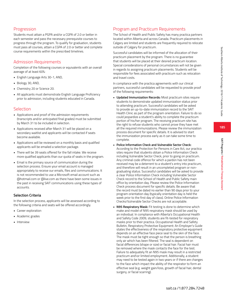**185**

**SAIT Programs / Rehabilitation Therapy Assistant**

SAIT Programs / Rehabilitation Therapy Assistant

# Progression

Students must attain a PGPA and/or a CGPA of 2.0 or better in each semester and pass the necessary prerequisite courses to progress through the program. To qualify for graduation, students must pass all courses, attain a CGPA of 2.0 or better and complete course requirements within the prescribed timelines.

# Admission Requirements

Completion of the following courses or equivalents with an overall average of at least 60%:

- English Language Arts 30-1, AND,
- Biology 30, AND,
- Chemistry 20 or Science 20.
- All applicants must demonstrate English Language Proficiency prior to admission, including students educated in Canada.

# **Selection**

- Applications and proof of the admission requirements (transcripts and/or anticipated final grades) must be submitted by March 31 to be included in selection.
- Applications received after March 31 will be placed on a secondary waitlist and applicants will be contacted if seats become available.
- Applications will be reviewed on a monthly basis and qualified applicants will be emailed a selection package.
- There will be 39 seats offered for the fall intake. We receive more qualified applicants than our quota of seats in the program.
- Email is the primary source of communication during the selection process. Ensure your email account is managed appropriately to receive our emails, files and communications. It is not recommended to use a Microsoft email account such as @hotmail.com or @live.com as there have been some issues in the past in receiving SAIT communications using these types of accounts.

# **Selection Criteria**

In the selection process, applicants will be assessed according to the following criteria and seats will be offered accordingly.

- Career exploration
- Academic grades
- Interview

# Program and Practicum Requirements

The School of Health and Public Safety has many practica partners located within Alberta and across Canada. Practicum placements in Calgary are limited and students are frequently required to relocate outside of Calgary for practicum.

Successful candidates will be informed of the allocation of their practicum placement by the program. There is no guarantee that students will be placed at their desired practicum location. Special considerations of personal circumstances will not be given in regards to assigning practicum placements. Students will be responsible for fees associated with practicum such as relocation and travel costs.

In compliance with the practica agreements with our clinical partners, successful candidates will be requested to provide proof of the following requirements:

- **• Updated Immunization Records:** Most practicum sites require students to demonstrate updated immunization status prior to attending practicum. Successful candidates will be asked to provide an up-to-date immunization record to the SAIT Health Clinic as part of the program orientation. Failure to do so could jeopardize a student's ability to complete the practicum portion of his/her program. The receiving practicum site has the right to refuse students who cannot prove they have met all the required immunizations. Please review the immunization process document for specific details. It is advised to start the immunization process early as it can take some time to complete.
- **• Police Information Check and Vulnerable Sector Check:** According to the Protection for Persons in Care Act, our practica sites require that students obtain a Police Information Check including Vulnerable Sector Check, prior to going on practicum. Any criminal code offence for which a pardon has not been received may be a deterrent to a student's entry into practicum, and therefore will result in an uncompleted program or nongraduating status. Successful candidates will be asked to provide a clear Police Information Check including Vulnerable Sector Check record to the School of Health and Public Safety main office by orientation day. Please review the Police Information Check process document for specific details. Be aware that the record must be dated no earlier than 90 days prior to your program orientation day (typically orientation day is held the week prior to the first day of class). Online Police Information Checks/Vulnerable Sector Checks are not acceptable.
- **• N95 Respiratory Mask:** Fit testing is done to determine which make and model of N95 respiratory mask should be used by an individual. In compliance with Alberta's Occupational Health and Safety Code 2009, students are fit-tested for respiratory masks prior to their practica. Occupational Health and Safety Bulletin, Respiratory Protective Equipment: An Employer's Guide states the effectiveness of the respiratory protective equipment depends on an effective face piece seal to the skin of the face. The mask must be tight enough so that the person is breathing only air which has been filtered. The seal is dependent on facial differences (shape or size) or facial hair. Facial hair must be removed where the mask contacts the face for the test. Failure to adequately fit an N95 mask may result in a restricted practicum and\or limited employment. Additionally, a student may need to be tested again in two years or if there are changes to the face which impact the ability of the respirator to form an effective seal (e.g. weight gain/loss, growth of facial hair, dental surgery, or facial scarring).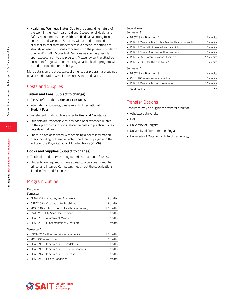**• Health and Wellness Status:** Due to the demanding nature of the work in the health care field and Occupational Health and Safety requirements, the health care field has a strong focus on health and wellness. Students with a medical condition or disability that may impact them in a practicum setting are strongly advised to discuss concerns with the program academic chair and/or SAIT Accessibility Services as soon as possible upon acceptance into the program. Please review the attached document for guidance on entering an allied health program with a medical condition or disability.

More details on the practica requirements per program are outlined on a pre-orientation website for successful candidates.

# Costs and Supplies

#### **Tuition and Fees (Subject to change)**

- Please refer to the **Tuition and Fee Table.**
- International students, please refer to **International Student Fees.**
- For student funding, please refer to **Financial Assistance.**
- Students are responsible for any additional expenses related to their practicum including relocation costs to practicum sites outside of Calgary.
- There is a fee associated with obtaining a police information check including Vulnerable Sector Check and is payable to the Police or the Royal Canadian Mounted Police (RCMP).

#### **Books and Supplies (Subject to change)**

- Textbooks and other learning materials cost about \$1,500.
- Students are required to have access to a personal computer, printer and Internet. Computers must meet the specifications listed in Fees and Expenses.

# Program Outline

# First Year

| Semester 1 |
|------------|
| ABIDILSOR  |

| 3 credits   |
|-------------|
| 3 credits   |
| 1.5 credits |
| 3 credits   |
| 3 credits   |
| 3 credits   |
|             |
|             |
| 1.5 credits |
| 3 credits   |
| 3 credits   |
| 3 credits   |
| 3 credits   |
|             |

# Second Year

Semester 3

| $\blacksquare$ PRCT 232 – Practicum 2                  | 3 credits   |
|--------------------------------------------------------|-------------|
| • RHAB 260 – Practice Skills – Mental Health Concepts  | 3 credits   |
| $\blacksquare$ RHAB 262 – OTA Advanced Practice Skills | 3 credits   |
| $\blacksquare$ RHAB 264 – PTA Advanced Practice Skills | 3 credits   |
| $\blacksquare$ RHAB 266 – Communication Disorders      | 1.5 credits |
| $\blacksquare$ RHAB 268 – Health Conditions 2          | 3 credits   |
| Semester 4                                             |             |
| $\blacksquare$ PRCT 234 – Practicum 3                  | 6 credits   |
| PROF 260 - Professional Practice                       | 3 credits   |
| $\blacksquare$ RHAB 270 – Practicum Consolidation      | 1.5 credits |
| <b>Total Credits</b>                                   | 60          |

# Transfer Options

Graduates may be eligible for transfer credit at:

- Athabasca University
- NAIT
- University of Calgary
- University of Northampton, England
- University of Ontario Institute of Technology

**186**

**SAIT Programs / Rehabilitation Therapy Assistant**

SAIT Programs / Rehabilitation Therapy Assistant

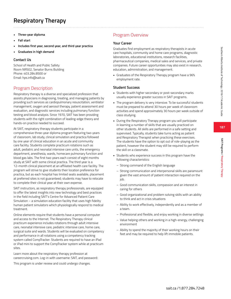- **• Three-year diploma**
- **• Fall start**
- **• Includes first year, second year, and third year practica**
- **• Graduates in high demand**

## **Contact Us**

School of Health and Public Safety Room NR502, Senator Burns Building Phone: 403.284.8500 or Email: hps.info@sait.ca

# Program Description

Respiratory therapy is a diverse and specialized profession that assists physicians in diagnosing, treating, and managing patients by providing such services as cardiopulmonary resuscitation, ventilator management, oxygen and aerosol therapy, patient assessment and evaluation, and diagnostic services including pulmonary function testing and blood analysis. Since 1970, SAIT has been providing students with the right combination of leading-edge theory and hands-on practice needed to succeed.

At SAIT, respiratory therapy students participate in a comprehensive three-year diploma program featuring two years of classroom, lab study, clinical simulation and practica followed by one year of clinical education in an acute and community care facility. Students complete practicum rotations such as adult, pediatric and neonatal intensive care units, the emergency department, anesthesia, wards, homecare pulmonary function and blood gas labs. The first two years each consist of eight months study at SAIT with some clinical practica. The third year is a 12-month clinical placement at an affiliated health care facility. The program will strive to give students their location preference for practica, but as each hospital has limited seats available, placement at preferred sites is not guaranteed; students may have to relocate to complete their clinical year at their own expense.

SAIT instructors, as respiratory therapy professionals, are equipped to offer the latest insights into new technology and best practices in the field including SAIT's Centre for Advanced Patient Care Simulation – a simulation education facility that uses high fidelity human patient simulators which physiologically respond to medical treatment.

Online elements require that students have a personal computer and access to the Internet. The Respiratory Therapy clinical practicum experience includes rotations through adult intensive care, neonatal intensive care, pediatric intensive care, home care, surgical suite and wards. Students will be evaluated on competency and performance in all rotations using a competency tracking system called CompTracker. Students are required to have an iPad or iPad mini to support the CompTracker system while at practicum sites.

Learn more about the respiratory therapy profession at careercruising.com. Log-in with username: SAIT, and password:

This program is under review and could undergo changes.

# Program Overview

## **Your Career**

Graduates find employment as respiratory therapists in acute care hospitals, community and home care programs, diagnostic laboratories, educational institutions, research facilities, pharmaceutical companies, medical sales and services, and private companies. Future career opportunities may also exist in research, education, administration, and management.

• Graduates of the Respiratory Therapy program have a 96% employment rate.

## **Student Success**

- Students with higher secondary or post-secondary marks usually experience greater success in SAIT programs.
- The program delivery is very intensive. To be successful students must be prepared to attend 30 hours per week of classroom activities and spend approximately 30 hours per week outside of class studying.
- During the Respiratory Therapy program you will participate in learning a number of skills that are usually practiced on other students. All skills are performed in a safe setting and supervised. Typically, students take turns acting as patient and Respiratory Therapist when practicing these exercises. The students have the option to opt out of role-playing as the patient, however the student may still be required to perform the skill on a classmate.
- Students who experience success in this program have the following characteristics:
	- Strong command of the English language
	- Strong communication and interpersonal skills are paramount given the vast amount of patient interaction required on the job.
	- Good communication skills, compassion and an interest in caring for others
	- Good organizational and problem solving skills with an ability to think and act in crisis situations
	- Ability to work effectively, independently and as a member of a team.
	- Professional and flexible, and enjoy working in diverse settings
	- Value helping others and working in a high-energy, challenging environment
- Ability to spend the majority of their working hours on their feet and may be required to help lift immobile patients.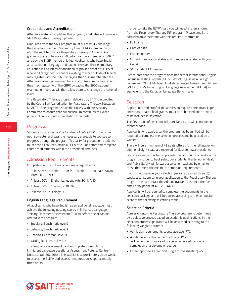#### **Credentials and Accreditation**

After successfully completing this program, graduates will receive a SAIT Respiratory Therapy diploma.

Graduates from the SAIT program must successfully challenge the Canadian Board of Respiratory Care (CBRC) examination to earn the right to practice Respiratory Therapy in Canada. Any graduate wishing to work in Alberta must be a member of CARTA and pay the \$425 membership fee. Applicants who have English as an additional language and haven't received their elementary education in English must additionally provide proof of ELTPA of nine in all categories. Graduates wishing to work outside of Alberta may register with the CSRT by paying the \$185 membership fee. After graduates become members of a professional organization they may register with the CBRC by paying the \$900 national examination fee that will then allow them to challenge the national exam.

The Respiratory Therapy program delivered by SAIT is accredited by the Council on Accreditation for Respiratory Therapy Education (CoARTE). The program also works closely with our Advisory Committee to ensure that our curriculum continues to exceed provincial and national accreditation standards.

#### Progression

Students must attain a PGPA and/or a CGPA of 2.0 or better in each semester and pass the necessary prerequisite courses to progress through the program. To qualify for graduation, students must pass all courses, attain a CGPA of 2.0 or better and complete course requirements within the prescribed timelines.

## Admission Requirements

Completion of the following courses or equivalents:

- At least 60% in Math 30-1 or Pure Math 30, or at least 70% in Math 30-2, AND,
- At least 60% in English Language Arts 30-1, AND,
- At least 60% in Chemistry 30, AND,
- At least 60% in Biology 30.

#### **English Language Requirement**

All applicants who have English as an additional language must achieve the following passing scores in Enhanced Language Training Placement Assessment (ELTPA) before a seat can be offered in the program:

- Speaking Benchmark level 9
- Listening Benchmark level 9
- Reading Benchmark level 9
- Writing Benchmark level 9

The language assessment can be completed through the Immigrant Language Vocational Assessment Referral Centre (contact: 403.262.2656). The waitlist is approximately three weeks to access the ELTPA and assessment duration is approximately three hours.

In order to take the ELTPA test, you will need a referral form from the Respiratory Therapy (RT) program. Please email the administrative assistant with this required information:

- Full name
- Date of birth
- Phone number
- Current immigration status and number associated with your status
- SAIT student ID number

Please note that the program does not accept International English Language Testing System (IELTS), Test of English as a Foreign Language (TOEFL), Michigan English Language Assessment Battery (MELAB) or Michener English Language Assessment (MELA) as equivalent to the Canadian Language Benchmarks.

#### **Selection**

Applications and proof of the admission requirements (transcripts and/or anticipated final grades) must be submitted prior to April 30 to be included in selection.

The first round of selection will start Dec. 1 and will continue on a monthly basis.

Applicants who apply after the program has been filled will be required to complete the selection process and be placed on a waitlist.

There will be a minimum of 48 seats offered for the fall intake. An additional eight seats are reserved for Saskatchewan residents.

We receive more qualified applicants than our quota of seats in the program. In order to best select our students, the School of Health and Public Safety will forward a selection package by email to those that meet the minimum admission requirements.

If you do not receive your selection package by email three (3) weeks after submitting your application to the Respiratory Therapy program please contact the Administrative Assistant either by email or by phone at 403.210.4498.

Applicants will be required to complete the documents in the selection package and will be ranked according to the composite score of the following selection criteria.

#### **Selection Criteria**

Admission into the Respiratory Therapy program is determined by a selective process based on academic qualifications. In the selection process applicants will be assessed according to the following weighted criteria:

- Admission requirements course average: 77%
- Additional education or certifications: 19% – The number of years of post-secondary education, and completion of a diploma or degree.
- Career aptitude (Career and Program Investigation): 4%

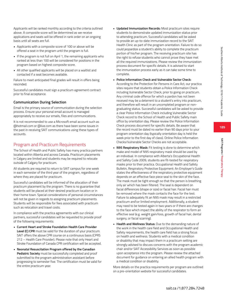Applicants will be ranked monthly according to the criteria outlined above. A composite score will be determined as we receive applications and seats will be offered in rank order on an ongoing basis until all seats are full.

- Applicants with a composite score of 100 or above will be offered a seat in the program until the program is full.
- If the program is not full on April 1, the remaining applicants who ranked at less than 100 will be considered for positions in the program based on highest composite score.
- All other qualified applicants will be placed on a waitlist and contacted if a seat becomes available.

Failure to meet anticipated final grades will result in offers being rescinded.

Successful candidates must sign a practicum agreement contract prior to final acceptance.

# **Communication During Selection**

Email is the primary source of communication during the selection process. Ensure your personal email account is managed appropriately to receive our emails, files and communications.

It is not recommended to use a Microsoft email account such as @hotmail.com or @live.com as there have been some issues in the past in receiving SAIT communications using these types of accounts.

# Program and Practicum Requirements

The School of Health and Public Safety has many practica partners located within Alberta and across Canada. Practicum placements in Calgary are limited and students may be required to relocate outside of Calgary for practicum.

All students are required to return to SAIT campus for one week in each semester of the third year of the program, regardless of where they are placed for practicum.

Successful candidates will be informed of the allocation of their practicum placement by the program. There is no guarantee that students will be placed at their desired practicum location or in their home town. Special considerations of personal circumstances will not be given in regards to assigning practicum placements. Students will be responsible for fees associated with practicum such as relocation and travel costs.

In compliance with the practica agreements with our clinical partners, successful candidates will be requested to provide proof of the following requirements:

- **Current Heart and Stroke Foundation Health Care Provider Level (C) CPR** must be valid for the duration of your practicum. SAIT offers the above CPR course on a continuous basis (CPRS 212 – Health Care Provider). Please note that only Heart and Stroke Foundation of Canada CPR certification will be accepted.
- **Neonatal Resuscitation Program offered by the Canadian Pediatric Society** must be successfully completed and proof submitted to the program administration assistant before progressing to semester five. The certification must be valid for the entire practicum year.
- **• Updated Immunization Records:** Most practicum sites require students to demonstrate updated immunization status prior to attending practicum. Successful candidates will be asked to provide an up-to-date immunization record to the SAIT Health Clinic as part of the program orientation. Failure to do so could jeopardize a student's ability to complete the practicum portion of his/her program. The receiving practicum site has the right to refuse students who cannot prove they have met all the required immunizations. Please review the immunization process document for specific details. It is advised to start the immunization process early as it can take some time to complete.
- **• Police Information Check and Vulnerable Sector Check:** According to the Protection for Persons in Care Act, our practica sites require that students obtain a Police Information Check including Vulnerable Sector Check, prior to going on practicum. Any criminal code offence for which a pardon has not been received may be a deterrent to a student's entry into practicum, and therefore will result in an uncompleted program or nongraduating status. Successful candidates will be asked to provide a clear Police Information Check including Vulnerable Sector Check record to the School of Health and Public Safety main office by orientation day. Please review the Police Information Check process document for specific details. Be aware that the record must be dated no earlier than 90 days prior to your program orientation day (typically orientation day is held the week prior to the first day of class). Online Police Information Checks/Vulnerable Sector Checks are not acceptable.
- **• N95 Respiratory Mask:** Fit testing is done to determine which make and model of N95 respiratory mask should be used by an individual. In compliance with Alberta's Occupational Health and Safety Code 2009, students are fit-tested for respiratory masks prior to their practica. Occupational Health and Safety Bulletin, Respiratory Protective Equipment: An Employer's Guide states the effectiveness of the respiratory protective equipment depends on an effective face piece seal to the skin of the face. The mask must be tight enough so that the person is breathing only air which has been filtered. The seal is dependent on facial differences (shape or size) or facial hair. Facial hair must be removed where the mask contacts the face for the test. Failure to adequately fit an N95 mask may result in a restricted practicum and\or limited employment. Additionally, a student may need to be tested again in two years or if there are changes to the face which impact the ability of the respirator to form an effective seal (e.g. weight gain/loss, growth of facial hair, dental surgery, or facial scarring).
- **• Health and Wellness Status:** Due to the demanding nature of the work in the health care field and Occupational Health and Safety requirements, the health care field has a strong focus on health and wellness. Students with a medical condition or disability that may impact them in a practicum setting are strongly advised to discuss concerns with the program academic chair and/or SAIT Accessibility Services as soon as possible upon acceptance into the program. Please review the attached document for guidance on entering an allied health program with a medical condition or disability.

More details on the practica requirements per program are outlined on a pre-orientation website for successful candidates.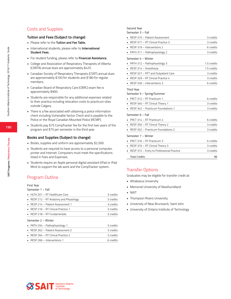# Costs and Supplies

#### **Tuition and Fees (Subject to change)**

- Please refer to the **Tuition and Fee Table.**
- International students, please refer to **International Student Fees.**
- For student funding, please refer to **Financial Assistance.**
- College and Association of Respiratory Therapists of Alberta (CARTA) annual dues are approximately \$425.
- Canadian Society of Respiratory Therapists (CSRT) annual dues are approximately \$100 for students and \$180 for regular members.
- Canadian Board of Respiratory Care (CBRC) exam fee is approximately \$900.
- Students are responsible for any additional expenses related to their practica including relocation costs to practicum sites outside Calgary.
- There is a fee associated with obtaining a police information check including Vulnerable Sector Check and is payable to the Police or the Royal Canadian Mounted Police (RCMP).
- Students pay \$75 CompTracker fee for the first two years of the program and \$75 per semester in the third year.

#### **Books and Supplies (Subject to change)**

- Books, supplies and uniform are approximately \$2,500.
- Students are required to have access to a personal computer, printer and Internet. Computers must meet the specifications listed in Fees and Expenses.
- Students require an Apple personal digital assistant (iPad or iPad Mini) to support the lab work and the CompTracker system.

# Program Outline

## First Year

Semester 1 – Fall

| $HITH 201 - RT Health Care$                    | 3 credits |
|------------------------------------------------|-----------|
| RESP 212 – RT Anatomy and Physiology           | 3 credits |
| $\blacksquare$ RESP 214 – Patient Assessment 1 | 3 credits |
| RESP 216 - RT Clinical Practice 1              | 3 credits |
| $RFSP 218 - RT Fundamentals$                   | 3 credits |
|                                                |           |

#### Semester 2 – Winter

| • PATH $254$ – Pathophysiology 1               | 3 credits |
|------------------------------------------------|-----------|
| $\blacksquare$ RESP 262 – Patient Assessment 2 | 3 credits |
| $RESP 264 - RT Clinical Practice 2$            | 3 credits |
| RESP 266 - Interventions 1                     | 6 credits |

#### Second Year

Semester 3 – Fall

| RESP 315 - Patient Assessment             | 3 credits  |
|-------------------------------------------|------------|
| <b>RESP 317 – RT Clinical Practice 3</b>  | 3 credits  |
| $\blacksquare$ RESP 319 – Interventions 2 | 6 credits  |
| • PATH 311 - Pathophysiology 2            | 3 credits  |
| Semester 4 - Winter                       |            |
| • PATH $312 -$ Pathophysiology 3          | 15 credits |

| $RESP 314 - Anesthesia$                          | 1.5 credits |
|--------------------------------------------------|-------------|
| • RESP 327 - PFT and Outpatient Care             | 3 credits   |
| $\blacksquare$ RESP 329 – RT Clinical Practice 4 | 3 credits   |
| $\blacksquare$ RESP 330 – Interventions 3        | 6 credits   |

#### Third Year

Semester 5 – Spring/Summer

| PRCT 312 – RT Practicum 1                         | 6 credits |
|---------------------------------------------------|-----------|
| RESP 340 - RT Clinical Theory 1                   | 3 credits |
| $\blacksquare$ RESP 342 – Practicum Foundations 1 | 3 credits |
| Semester 6 – Fall                                 |           |
| $\blacksquare$ PRCT 314 – RT Practicum 2          | 6 credits |
| RESP 350 - RT Clinical Theory 2                   | 3 credits |
| RESP 352 - Practicum Foundations 2                | 3 credits |
| Semester 7 - Winter                               |           |
| $\blacksquare$ PRCT 316 – RT Practicum 3          | 6 credits |
| RESP 370 - RT Clinical Theory 3                   | 3 credits |
| RESP 372 - Entry to Professional Practice         | 3 credits |
| <b>Total Credits</b>                              | 96        |

# Transfer Options

Graduates may be eligible for transfer credit at:

- Athabasca University
- Memorial University of Newfoundland
- NAIT
- Thompson Rivers University
- University of New Brunswick, Saint John
- University of Ontario Institute of Technology

**190**

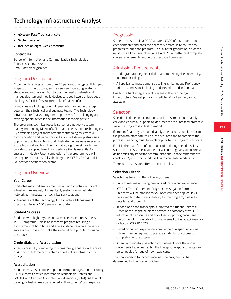- **• 40-week Fast-Track certificate**
- **• September start**
- **• Includes an eight-week practicum**

# **Contact Us**

School of Information and Communication Technologies Phone: 403.210.4522 or Email: fast-track@sait.ca

# Program Description

"According to analysts more than 70 per cent of a typical IT budget is spent on infrastructure, such as servers, operating systems, storage and networking. Add to this the need to refresh and manage desktop and mobile devices and you have a unique set of challenges for IT infrastructure to face" (Microsoft).

Companies are looking for employees who can bridge the gap between their technical and business teams. The Technology Infrastructure Analyst program prepares you for challenging and exciting opportunities in the information technology field.

The program's technical focus is server and network system management using Microsoft, Cisco and open source technologies. By developing project management methodologies, effective communication and leadership skills, you will develop strategies to provide quality solutions that illustrate the business relevance in the technical solution. The mandatory eight week practicum provides the applied learning experience that is essential for success in industry. Upon completion of the program, you will be prepared to successfully challenge the MCSE, CCNA and ITIL Foundations certification exams.

# Program Overview

# **Your Career**

Graduates may find employment as an infrastructure architect, infrastructure analyst, IT consultant, systems administrator, network administrator, or technical service agent.

• Graduates of the Technology Infrastructure Management program have a 100% employment rate.

# **Student Success**

Students with higher grades usually experience more success in SAIT programs. This is an intensive program requiring a commitment of both time and energy; students who experience success are those who make their education a priority throughout the program.

# **Credentials and Accreditation**

After successfully completing this program, graduates will receive a SAIT post-diploma certificate as a Technology Infrastructure Analyst.

# **Accreditation**

Students may also choose to pursue further designations, including A+, Microsoft Certified Information Technology Professional (MCITP), and Certified Cisco Network Associate (CCNA). Additional training or testing may be required at the students' own expense.

# Progression

Students must attain a PGPA and/or a CGPA of 2.0 or better in each semester and pass the necessary prerequisite courses to progress through the program. To qualify for graduation, students must pass all courses, attain a CGPA of 2.0 or better and complete course requirements within the prescribed timelines.

# Admission Requirements

- Undergraduate degree or diploma from a recognized university, institute or college.
- All applicants must demonstrate English Language Proficiency prior to admission, including students educated in Canada.

Due to the tight integration of courses in the Technology Infrastructure Analyst program, credit for Prior Learning is not available.

# Selection

Selection is done on a continuous basis. It is important to apply early and ensure all supporting documents are submitted promptly since the program is in high demand.

If student financing is required, apply at least 8-12 weeks prior to the program start date to ensure adequate time to complete the process. Financing must be in place prior to the program start date.

Email is the main form of communication during the admission/ selection process. Check your email account regularly to ensure you do not miss any important communications. Please remember to check your "junk" mail, or add sait.ca to your safe senders list.

There will be 24 seats offered in each intake.

# **Selection Criteria**

Selection is based on the following criteria:

- Current resumé outlining previous education and experience.
- ICT Fast-Track Career and Program Investigation Form This form will be emailed to you once you have applied. It will be scored to determine suitability for the program; please be detailed and thorough.
- In addition to the transcripts submitted to Student Services/ Office of the Registrar, please provide a photocopy of your educational transcripts and any other supporting documents to the School of ICT Fast-Track office by email to fast-track@sait.ca or fax to 403.210.4523.
- Based on current experience, completion of a specified online tutorial may be required to prepare students for successful completion of the program.
- Attend a mandatory selection appointment once the above documents have been submitted. Telephone appointments can be scheduled for out-of-town applicants.

The final decision for acceptance into the program will be determined by the Academic Chair.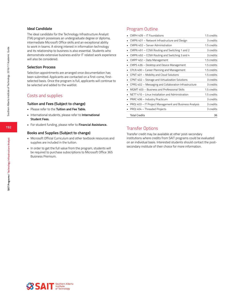#### **Ideal Candidate**

The ideal candidate for the Technology Infrastructure Analyst (TIA) program possesses an undergraduate degree or diploma, intermediate Microsoft Office skills and an exceptional ability to work in teams. A strong interest in information technology and its relationship to business is also essential. Students who demonstrate extensive business and/or IT related work experience will also be considered.

#### **Selection Process**

Selection appointments are arranged once documentation has been submitted. Applicants are contacted on a first-come, firstselected basis. Once the program is full, applicants will continue to be selected and added to the waitlist.

# Costs and supplies

#### **Tuition and Fees (Subject to change)**

- Please refer to the **Tuition and Fee Table.**
- International students, please refer to **International Student Fees.**
- For student funding, please refer to **Financial Assistance.**

#### **Books and Supplies (Subject to change)**

- Microsoft Official Curriculum and other textbook resources and supplies are included in the tuition.
- In order to get the full value from the program, students will be required to purchase subscriptions to Microsoft Office 365 Business Premium.

# Program Outline

| CMPH 409 - IT Foundations                              | 1.5 credits |
|--------------------------------------------------------|-------------|
| CMPN 401 - Network Infrastructure and Design           | 3 credits   |
| CMPN 402 - Server Administration                       | 1.5 credits |
| CMPN 491 - CCNA Routing and Switching 1 and 2          | 3 credits   |
| CMPN 492 $-$ CCNA Routing and Switching 3 and 4        | 3 credits   |
| CMPP 402 - Data Management                             | 1.5 credits |
| CMPS 436 - Desktop and Device Management<br>٠          | 1.5 credits |
| CPLN 400 - Career Planning and Management              | 1.5 credits |
| CPNT 401 - Mobility and Cloud Solutions                | 1.5 credits |
| CPNT 402 - Storage and Virtualization Solutions        | 3 credits   |
| CPRG 402 - Messaging and Collaboration Infrastructure  | 3 credits   |
| MGMT 403 - Business and Professional Skills            | 1.5 credits |
| NETT 410 - Linux Installation and Administration       | 1.5 credits |
| PRAC 406 - Industry Practicum                          | 3 credits   |
| PROJ 403 - IT Project Management and Business Analysis | 3 credits   |
| PROJ 404 - Threaded Projects                           | 3 credits   |
| <b>Total Credits</b>                                   | 36          |

# Transfer Options

Transfer credit may be available at other post-secondary institutions where credits from SAIT programs could be evaluated on an individual basis. Interested students should contact the postsecondary institute of their choice for more information.

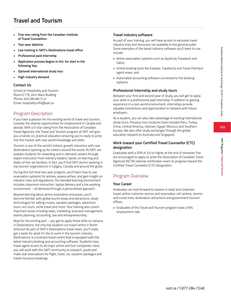**193**

**SAIT Programs / Travel and Tourism**

SAIT Programs / Travel and Tourisn

# **Travel and Tourism**

- **• Five-star rating from the Canadian Institute of Travel Counsellors**
- **• Two-year diploma**
- **• Live training in SAIT's Destinations travel office**
- **• Professional paid internship**
- **• Application process begins in Oct. for start in the following Sep.**
- **• Optional international study tour**
- **• High-industry demand**

## **Contact Us**

School of Hospitality and Tourism Room E179, John Ware Building Phone: 403.284.8612 or Email: hospitality.info@sait.ca

# Program Description

If you have a passion for the exciting world of travel and tourism, consider the diverse opportunities for employment in Canada and abroad. With a 5-star rating from the Association of Canadian Travel Agencies, the Travel and Tourism program at SAIT will give you a hands-on, practical education ensuring you're ready to jump into the market with real-world knowledge and skills.

Tourism is one of the world's hottest growth industries with new destinations opening up for visitors around the world. At SAIT, we prepare students for rewarding and in-demand careers through expert instruction from industry leaders, hands-on learning and state-of-the-art facilities. In fact, you'll find SAIT alumni working in top tourism organizations in Calgary, Canada and around the globe.

During this full-time two year program, you'll learn how to use reservation systems for airlines, assess airfare, and gain insight on industry rules and regulations. Our blended learning environment includes classroom instruction, laptop delivery and a live working environment – all delivered through a personalized approach.

Beyond learning about airline reservation processes, you'll become familiar with global tourist areas and attractions, study technologies for selling cruises, vacation packages, adventure tours, eco tours, niche travel and more. Your training also covers important areas including sales, marketing, business management, events planning, accounting, law and entrepreneurship.

Now for the exciting part – you get to apply these skills on campus in Destinations, the only live student-run travel centre in North America! As part of SAIT's Destinations travel team, you'll really get a taste for what it's like to work in the tourism industry. Destinations is a licensed travel centre that is equipped with the latest industry booking and accounting software. Students have travel agent access to all major airline and tour companies. Here, you will work with the SAIT community to research, quote and make real reservations for flight, hotel, car, vacation packages and travel insurance bookings.

# **Travel industry software**

As part of your training, you will have access to exclusive travel industry links and resources not available to the general public. Some examples of the latest industry software you'll learn to use include:

- Airline reservation systems such as Apollo by Travelport and Sabre,
- Online booking tools like Expedia, Travelocity and Travel Partners' agent areas, and
- Automated accounting software connected to the booking systems.

## **Professional internship and study tours**

Between your first and second year of study, you will get to apply your skills in a professional paid internship. In addition to gaining experience in a real-world environment, internships provide valuable connections and opportunities to network with future employers.

As a student, you can also take advantage of exciting international study tours. Previous tour locations have included Peru, Turkey, China, Central America, Vietnam, Egypt, Morocco and Southern Europe. We also offer study exchanges through the global education network to Australia and Singapore.

## **Work toward your Certified Travel Counsellor (CTC) designation**

Graduates with a GPA of 3.0 or higher at the end of semester five are encouraged to apply to write the Association of Canadian Travel Agencies (ACTA) national certification exam to progress toward the Certified Travel Counsellor (CTC) designation.

# Program Overview

## **Your Career**

Graduates can look forward to careers in retail and corporate travel, airline customer service and reservation call centres, resorts and cruise lines, destination attractions and government tourism offices.

• Graduates of the Travel and Tourism program have a 95% employment rate.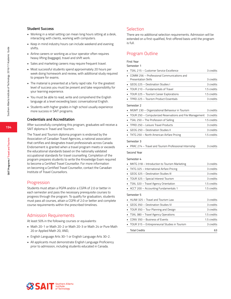#### **Student Success**

- Working in a retail setting can mean long hours sitting at a desk, interacting with clients, working with computers.
- Keep in mind industry hours can include weekend and evening shifts.
- Airline careers or working as a tour operator often requires heavy lifting (baggage), travel and shift work.
- Sales and marketing careers may require frequent travel.
- Most successful students spend approximately 20 hours per week doing homework and review, with additional study required to prepare for exams.
- The material is presented at a fairly rapid rate. For the greatest level of success you must be present and take responsibility for your learning experience.
- You must be able to read, write and comprehend the English language at a level exceeding basic conversational English.
- Students with higher grades in high school usually experience more success in SAIT programs.

#### **Credentials and Accreditation**

After successfully completing this program, graduates will receive a SAIT diploma in Travel and Tourism.

The Travel and Tourism diploma program is endorsed by the Association of Canadian Travel Agencies, a national association that certifies and designates travel professionals across Canada. Endorsement is granted when a travel program meets or exceeds the educational standards based on the nationally validated occupational standards for travel counselling. Completion of the program prepares students to write the Knowledge Exam required to become a Certified Travel Counsellor. For more information on becoming a Certified Travel Counsellor, contact the Canadian Institute of Travel Counsellors.

## **Progression**

Students must attain a PGPA and/or a CGPA of 2.0 or better in each semester and pass the necessary prerequisite courses to progress through the program. To qualify for graduation, students must pass all courses, attain a CGPA of 2.0 or better and complete course requirements within the prescribed timelines.

# Admission Requirements

At least 50% in the following courses or equivalents:

- Math 20-1 or Math 20-2 or Math 20-3 or Math 24 or Pure Math 20 or Applied Math 20, AND,
- English Language Arts 30-1 or English Language Arts 30-2.
- All applicants must demonstrate English Language Proficiency prior to admission, including students educated in Canada.

# Selection

There are no additional selection requirements. Admission will be extended on a first-qualified, first-offered basis until the program is full.

# Program Outline

# First Year

| Semester 1                                               |             |
|----------------------------------------------------------|-------------|
| TSAL 215 - Customer Service Excellence                   | 3 credits   |
| COMM 256 - Professional Communications and               |             |
| <b>Presentation Skills</b>                               | 3 credits   |
| GEOG 225 - Destination Studies I                         | 3 credits   |
| TOUR 210 - Fundamentals of Travel                        | 1.5 credits |
| TOUR 225 - Tourism Career Explorations                   | 1.5 credits |
| TPRD 225 - Tourism Product Essentials                    | 3 credits   |
| Semester 2                                               |             |
| MGMT 230 - Organizational Behaviour in Tourism           | 3 credits   |
| TOUR 250 – Computerized Reservations and File Management | 3 credits   |
| TSAL 250 - The Profession of Selling                     | 1.5 credits |
| • TPRD 250 - Leisure Travel Products                     | 3 credits   |
| GEOG 250 - Destination Studies II                        | 3 credits   |
| TKTG 250 - North American Airfare Pricing                | 1.5 credits |
| Semester 3                                               |             |
| PRAC 274 - Travel and Tourism Professional Internship    | 3 credits   |
| Second Year                                              |             |
|                                                          |             |
| Semester 4                                               |             |
| MKTG 318 - Introduction to Tourism Marketing             | 3 credits   |
| TKTG 325 - International Airfare Pricing                 | 3 credits   |
| GEOG 325 - Destination Studies III                       | 3 credits   |
| TOUR 325 - Special Interest Tourism                      | 3 credits   |
| TSAL 320 - Travel Agency Orientation                     | 1.5 credits |
| ACCT 200 - Accounting Fundamentals 1                     | 1.5 credits |
| Semester 5                                               |             |
| HLAW 325 - Travel and Tourism Law                        | 3 credits   |
| GEOG 350 - Destination Studies IV                        | 3 credits   |
| TOUR 350 - Tour Planning and Design                      | 3 credits   |
| · TSAL 380 - Travel Agency Operations                    | 1.5 credits |
| CONV 350 - Business of Events                            | 1.5 credits |
| TOUR 315 - Entrepreneurial Studies in Tourism            | 3 credits   |

Total Credits 63

**SSAIT** Southern Alberta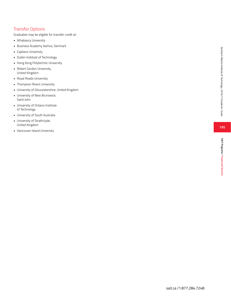# Transfer Options

Graduates may be eligible for transfer credit at:<br>
• Athabasca University<br>
• Business Academy Aarhus, Denmark<br>
• Capilano University<br>
• Dublin Institute of Technology<br>
• Hong Kong Polytechnic University<br>
• Robert Gordon Un

- 
- 
- 
- 
- 
- United Kingdom
- 
- 
- Royal Roads University Thompson Rivers University University of Gloucestershire, United Kingdom University of New Brunswick,
- Saint John
- University of Ontario Institute of Technology
- University of South Australia University of Strathclyde,
- United Kingdom
- Vancouver Island University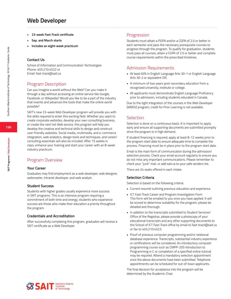# **Web Developer**

- **• 23-week Fast-Track certificate**
- **• Sep. and March starts**
- **• Includes an eight-week practicum**

#### **Contact Us**

School of Information and Communication Technologies Phone: 403.210.4522 or Email: fast-track@sait.ca

# Program Description

Can you imagine a world without the Web? Can you make it through a day without accessing an online service like Google, Facebook, or Wikipedia? Would you like to be a part of the industry that invents and advances the tools that make the online world possible?

SAIT's new 23-week Web Developer program will provide you with the skills required to enter this exciting field. Whether you want to create corporate websites, develop your own consulting business, or create the next hot Web service, this program will help you develop the creative and technical skills to design and construct user-friendly websites. Social media, multimedia, and e-commerce integration, web analytics, design tools and techniques, and career/ consulting essentials will also be included. After 15 weeks in class, enhance your training and start your career with an 8-week industry practicum.

# Program Overview

#### **Your Career**

Graduates may find employment as a web developer, web designer, webmaster, Intranet developer, and web analyst.

#### **Student Success**

Students with higher grades usually experience more success in SAIT programs. This is an intensive program requiring a commitment of both time and energy; students who experience success are those who make their education a priority throughout the program.

#### **Credentials and Accreditation**

After successfully completing this program, graduates will receive a SAIT certificate as a Web Developer.

## Progression

Students must attain a PGPA and/or a CGPA of 2.0 or better in each semester and pass the necessary prerequisite courses to progress through the program. To qualify for graduation, students must pass all courses, attain a CGPA of 2.0 or better and complete course requirements within the prescribed timelines.

## Admission Requirements

- At least 60% in English Language Arts 30-1 or English Language Arts 30-2 or equivalent OR,
- A minimum of two years post-secondary education from a recognized university, institute or college.
- All applicants must demonstrate English Language Proficiency prior to admission, including students educated in Canada.

Due to the tight integration of the courses in the Web Developer (WBDV) program, credit for Prior Learning is not available.

# Selection

Selection is done on a continuous basis. It is important to apply early and ensure all supporting documents are submitted promptly since the program is in high demand.

If student financing is required, apply at least 8-12 weeks prior to the program start date to ensure adequate time to complete the process. Financing must be in place prior to the program start date.

Email is the main form of communication during the admission/ selection process. Check your email account regularly to ensure you do not miss any important communications. Please remember to check your "junk" mail, or add sait.ca to your safe senders list.

There are 24 seats offered in each intake.

#### **Selection Criteria**

Selection is based on the following criteria:

- Current resumé outlining previous education and experience.
- ICT Fast-Track Career and Program Investigation Form This form will be emailed to you once you have applied. It will be scored to determine suitability for the program; please be detailed and thorough.
- In addition to the transcripts submitted to Student Services/ Office of the Registrar, please provide a photocopy of your educational transcripts and any other supporting documents to the School of ICT Fast-Track office by email to fast-track@sait.ca or fax to 403.210.4523.
- Proof of previous computer programming and/or relational database experience. Transcripts, substantial industry experience or certifications will be considered. An introductory computer programming course such as CMPP-205 Introduction to Programming in C or completion of a specified online tutorial may be required. Attend a mandatory selection appointment once the above documents have been submitted. Telephone appointments can be scheduled for out-of-town applicants.

The final decision for acceptance into the program will be determined by the Academic Chair.

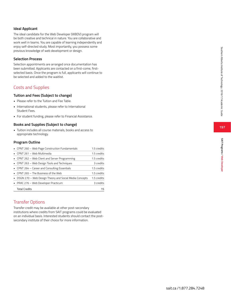#### **Ideal Applicant**

The ideal candidate for the Web Developer (WBDV) program will be both creative and technical in nature. You are collaborative and work well in teams. You are capable of learning independently and enjoy self-directed study. Most importantly, you possess some previous knowledge of web development or design.

#### **Selection Process**

Selection appointments are arranged once documentation has been submitted. Applicants are contacted on a first-come, firstselected basis. Once the program is full, applicants will continue to be selected and added to the waitlist.

# Costs and Supplies

#### **Tuition and Fees (Subject to change)**

- Please refer to the Tuition and Fee Table.
- International students, please refer to International Student Fees.
- For student funding, please refer to Financial Assistance.

#### **Books and Supplies (Subject to change)**

• Tuition includes all course materials, books and access to appropriate technology.

#### **Program Outline**

| • CPNT 260 - Web Page Construction Fundamentals          | 1.5 credits |
|----------------------------------------------------------|-------------|
| • CPNT 261 - Web Multimedia                              | 1.5 credits |
| • CPNT 262 – Web Client and Server Programming           | 1.5 credits |
| • CPNT 263 - Web Design Tools and Techniques             | 3 credits   |
| • CPNT 264 – Career and Consulting Essentials            | 1.5 credits |
| • CPNT 265 – The Business of the Web                     | 1.5 credits |
| • DSGN 270 - Web Design Theory and Social Media Concepts | 1.5 credits |
| • PRAC 276 - Web Developer Practicum                     | 3 credits   |
| <b>Total Credits</b>                                     | 15          |

# Transfer Options

Transfer credit may be available at other post-secondary institutions where credits from SAIT programs could be evaluated on an individual basis. Interested students should contact the postsecondary institute of their choice for more information.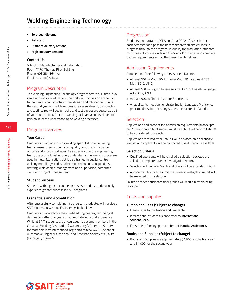# **Welding Engineering Technology**

- **• Two-year diploma**
- **• Fall start**
- **• Distance delivery options**
- **• High-industry demand**

#### **Contact Us**

School of Manufacturing and Automation Room T470, Thomas Riley Building Phone: 403.284.8641 or Email: ma.info@sait.ca

# Program Description

The Welding Engineering Technology program offers full- time, two years of hands-on education. The first year focuses on academic fundamentals and structural steel design and fabrication. During the second year you will learn pressure vessel design, construction and testing. You will design, build and test a pressure vessel as part of your final project. Practical welding skills are also developed to gain an in-depth understanding of welding processes.

# Program Overview

#### **Your Career**

Graduates may find work as welding specialist on engineering teams, researchers, supervisors, quality control and inspection officers and in technical sales. As a specialist on the engineering team, the technologist not only understands the welding processes used in metal fabrication, but is also trained in quality control, welding metallurgy, codes, fabrication techniques, inspections, drafting, weld design, management and supervision, computer skills, and project management.

#### **Student Success**

Students with higher secondary or post-secondary marks usually experience greater success in SAIT programs.

#### **Credentials and Accreditation**

After successfully completing this program, graduates will receive a SAIT diploma in Welding Engineering Technology.

Graduates may apply for their Certified Engineering Technologist designation after two years of appropriate industrial experience. While at SAIT, students are encouraged to become members in the Canadian Welding Association (cwa-arcs.org/), American Society for Materials (asminternational.org/portal/site/www/), Society of Automotive Engineers (sae.org/) and American Society of Quality (asqcalgary.org/ee/).

## Progression

Students must attain a PGPA and/or a CGPA of 2.0 or better in each semester and pass the necessary prerequisite courses to progress through the program. To qualify for graduation, students must pass all courses, attain a CGPA of 2.0 or better and complete course requirements within the prescribed timelines.

## Admission Requirements

Completion of the following courses or equivalents:

- At least 50% in Math 30-1 or Pure Math 30, or at least 70% in Math 30-2, AND,
- At least 50% in English Language Arts 30-1 or English Language Arts 30-2, AND,
- At least 50% in Chemistry 20 or Science 30.
- All applicants must demonstrate English Language Proficiency prior to admission, including students educated in Canada.

## Selection

Applications and proof of the admission requirements (transcripts and/or anticipated final grades) must be submitted prior to Feb. 28 to be considered for selection.

Applications received after Feb. 28 will be placed on a secondary waitlist and applicants will be contacted if seats become available.

#### **Selection Criteria**

- Qualified applicants will be emailed a selection package and asked to complete a career investigation report.
- Selection will begin in March and offers will be extended in April.
- Applicants who fail to submit the career investigation report will be excluded from selection.

Failure to meet anticipated final grades will result in offers being rescinded.

# Costs and supplies

#### **Tuition and Fees (Subject to change)**

- Please refer to the **Tuition and Fee Table.**
- International students, please refer to **International Student Fees.**
- For student funding, please refer to **Financial Assistance.**

#### **Books and Supplies (Subject to change)**

• Books and Supplies are approximately \$1,600 for the first year and \$1,000 for the second year.





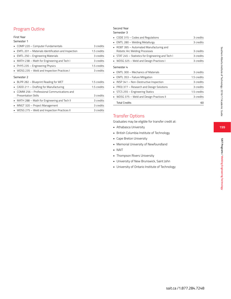# Program Outline

#### First Year

#### Semester 1

| COMP 220 - Computer Fundamentals                           | 3 credits   |
|------------------------------------------------------------|-------------|
| EMTL 201 - Materials Identification and Inspection         | 1.5 credits |
| EMTL 250 - Engineering Materials                           | 3 credits   |
| MATH 238 - Math for Engineering and Tech I                 | 3 credits   |
| PHYS 235 - Engineering Physics                             | 1.5 credits |
| WDSG 235 – Weld and Inspection Practices I                 | 3 credits   |
| Semester 2                                                 |             |
| BLPR 282 – Blueprint Reading for WET                       | 1.5 credits |
| CADD 211 - Drafting for Manufacturing                      | 1.5 credits |
| COMM 256 - Professional Communications and                 |             |
| <b>Presentation Skills</b>                                 | 3 credits   |
| $\blacksquare$ MATH 288 – Math for Engineering and Tech II | 3 credits   |
| MNGT 320 - Project Management<br>٠                         | 3 credits   |
| • WDSG 275 – Weld and Inspection Practices II              | 3 credits   |

#### Second Year Semester 3

# • CODE 315 – Codes and Regulations 3 credits • EMTL 280 – Welding Metallurgy 3 credits • ROBT 395 – Automated Manufacturing and Robotic Arc Welding Processes 3 credits • STAT 245 – Statistics for Engineering and Tech I 3 credits • WDSG 325 – Weld and Design Practices I 3 credits Semester 4 • EMTL 300 – Mechanics of Materials 3 credits • EMTL 353 – Failure Mitigation 1.5 credits • INSP 341 – Non-Destructive Inspection 3 credits • PROJ 377 – Research and Design Solutions 3 credits • STCS 255 – Engineering Statics 1.5 credits • WDSG 375 – Weld and Design Practices II 3 credits Total Credits 60

# Transfer Options

- 
- Graduates may be eligible for transfer credit at:<br>• Athabasca University<br>• British Columbia Institute of Technology<br>• Cape Breton University<br>• Memorial University of Newfoundland<br>• NAIT<br>• Thompson Rivers University<br>• Unive
- 
- 
- 
- 
- 
- University of Ontario Institute of Technology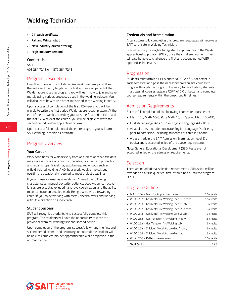# **Welding Technician**

- **• 24-week certificate**
- **• Fall and Winter start**
- **• New industry-driven offering**
- **• High-industry demand**

#### **Contact Us**

SAIT 403.284.7248 or 1.877.284.7248

## Program Description

Over the course of this full-time, 24-week program you will learn the skills and theory taught in the first and second period of the Welder apprenticeship program. You will learn how to join and sever metals using various processes used in the welding industry. You will also learn how to use other tools used in the welding industry.

Upon successful completion of the first 12-weeks, you will be eligible to write the first period Welder apprenticeship exam. At the end of the 24-weeks, providing you pass the first period exam and the last 12-weeks of the course, you will be eligible to write the second period Welder apprenticeship exam.

Upon successful completion of the entire program you will earn a SAIT Welding Technician Certificate.

## Program Overview

#### **Your Career**

Work conditions for welders vary from one job to another. Welders may work outdoors on construction sites, or indoors in production and repair shops. Travel may also be required on jobs such as oilfield-related welding. A 40-hour work week is typical, but overtime is occasionally required to meet project deadlines.

If you choose a career as a welder you'll need the following characteristics: manual dexterity, patience, good vision (corrective lenses are acceptable), good hand-eye coordination, and the ability to concentrate on detailed work. Being a welder is a rewarding career if you enjoy working with metal, physical work and working with little direction or supervision.

#### **Student Success**

SAIT will recognize students who successfully complete this program. The students will have the opportunity to write the provincial exam for welding first and second period.

Upon completion of the program, successfully writing the first and second period exams, and becoming indentured; the student will be able to complete his/her apprenticeship while employed in the normal manner.

#### **Credentials and Accreditation**

After successfully completing this program, graduates will receive a SAIT certificate in Welding Technician.

Graduates may be eligible to register as apprentices in the Welder apprenticeship program (WEP), once they find employment. They will also be able to challenge the first and second period WEP apprenticeship exams.

## Progression

Students must attain a PGPA and/or a CGPA of 2.0 or better in each semester and pass the necessary prerequisite courses to progress through the program. To qualify for graduation, students must pass all courses, attain a CGPA of 2.0 or better and complete course requirements within the prescribed timelines.

#### Admission Requirements

Successful completion of the following courses or equivalents:

- Math 10C, Math 10-3, Pure Math 10, or Applied Math 10, AND,
- English Language Arts 10-1 or English Language Arts 10-2
- All applicants must demonstrate English Language Proficiency prior to admission, including students educated in Canada.
- A pass mark in the SAIT Admission Examination (level 2) or equivalent is accepted in lieu of the above requirements.

**Note:** General Educational Development (GED) tests are not accepted in lieu of the admission requirements.

## Selection

There are no additional selection requirements. Admission will be extended on a first-qualified, first-offered basis until the program is full.

## Program Outline

| • MATH 104 - Math for Apprentice Trades           | 1.5 credits |
|---------------------------------------------------|-------------|
| • WLDG 202 - Gas Metal Arc Welding Level 1 Theory | 1.5 credits |
| • WLDG 203 - Gas Metal Arc Welding Level 1 Lab    | 3 credits   |
| • WLDG 212 - Gas Metal Arc Welding Level 2 Theory | 3 credits   |
| • WLDG 213 - Gas Metal Arc Welding Level 2 Lab    | 3 credits   |
| • WLDG 252 - Gas Tungsten Arc Welding Theory      | 1.5 credits |
| • WLDG 253 - Gas Tungsten Arc Welding Lab         | 3 credits   |
| • WLDG 254 - Shielded Metal Arc Welding Theory    | 1.5 credits |
| • WLDG 255 - Shielded Metal Arc Welding Lab       | 3 credits   |
| • WLDG 256 - Pattern Development                  | 1.5 credits |
| <b>Total Credits</b>                              | 22.5        |



**SAIT Programs / Welding Technician**

SAIT Programs / Welding Technician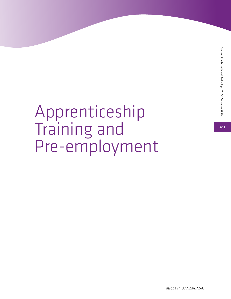Southern Alberta Institute of Technology 2016/17 Academic Guide **201**Southern Alberta Institute of Technology 2016/17 Academic Guide

201

# Apprenticeship Training and Pre-employment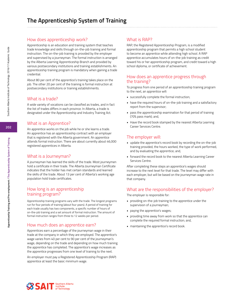# How does apprenticeship work?

Apprenticeship is an education and training system that teaches trade knowledge and skills through on-the-job training and formal instruction. The on-the-job training is provided by the employer and supervised by a journeyman. The formal instruction is arranged by the Alberta Learning Apprenticeship Branch and provided by various postsecondary institutions and training establishments. An apprenticeship training program is mandatory when gaining a trade credential.

About 80 per cent of the apprentice's training takes place on the job. The other 20 per cent of the training is formal instruction at postsecondary institutions or training establishments.

# What is a trade?

A wide variety of vocations can be classified as trades, and in fact the list of trades differs in each province. In Alberta, a trade is designated under the Apprenticeship and Industry Training Act.

# What is an Apprentice?

An apprentice works on the job while he or she learns a trade. An apprentice has an apprenticeship contract with an employer that is registered with the Alberta government. An apprentice attends formal instruction. There are about currently about 46,000 registered apprentices in Alberta.

# What is a Journeyman?

A journeyman has learned the skills of the trade. Most journeymen hold a certificate in their trade. The Alberta Journeyman Certificate indicates that the holder has met certain standards and learned the skills of the trade. About 13 per cent of Alberta's working age population hold trade certificates.

# How long is an apprenticeship training program?

Apprenticeship training programs vary with the trade. The longest programs run for four periods of training (about four years). A period of training for each trade usually has two components, a specific number of hours of on-the-job training and a set amount of formal instruction. The amount of formal instruction ranges from three to 12 weeks per period.

# How much does an apprentice earn?

Apprentices earn a percentage of the journeyman wage in their trade at the company in which they are employed. The apprentice's wage varies from 40 per cent to 90 per cent of the journeyman's wage, depending on the trade and depending on how much training the apprentice has completed. The apprentice's wage increases as the apprentice progresses from one level of training to the next.

An employer must pay a Registered Apprenticeship Program (RAP) apprentice at least the basic minimum wage.

# What is RAP?

RAP, the Registered Apprenticeship Program, is a modified apprenticeship program that permits a high school student to become an apprentice while attending high school. A RAP apprentice accumulates hours of on-the-job training as credit toward his or her apprenticeship program, and credit toward a high school diploma, or certificate of achievement.

# How does an apprentice progress through the training?

To progress from one period of an apprenticeship training program to the next, an apprentice will:

- successfully complete the formal instruction;
- have the required hours of on-the-job training and a satisfactory report from the supervisor;
- pass the apprenticeship examination for that period of training (70% pass mark); and,
- Have the record book stamped by the nearest Alberta Learning Career Services Centre.

# The employer will:

- update the apprentice's record book by recording the on-the-job training provided, the hours worked, the type of work performed, and by evaluating the apprentice; and,
- forward the record book to the nearest Alberta Learning Career Services Centre.

After completing these steps an apprentice's wages should increase to the next level for that trade. The level may differ with each employer, but will be based on the journeyman wage rate in that company.

# What are the responsibilities of the employer?

The employer is responsible for:

- providing on-the-job training to the apprentice under the supervision of a journeyman;
- paying the apprentice's wages;
- providing time away from work so that the apprentice can complete the required formal instruction; and,
- maintaining the apprentice's record book.

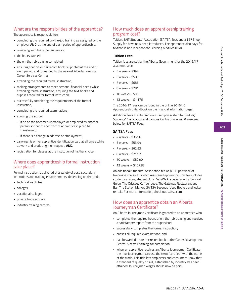**203**

# What are the responsibilities of the apprentice?

The apprentice is responsible for:

- completing the required on-the-job training as assigned by the employer **AND**, at the end of each period of apprenticeship,
- reviewing with his or her supervisor:
- the hours worked;
- the on-the-job training completed;
- ensuring that his or her record book is updated at the end of each period, and forwarded to the nearest Alberta Learning Career Services Centre;
- attending the required formal instruction;
- making arrangements to meet personal financial needs while attending formal instruction; acquiring the text books and supplies required for formal instruction;
- successfully completing the requirements of the formal instruction;
- completing the required examinations;
- advising the school:
	- if he or she becomes unemployed or employed by another person so that the contract of apprenticeship can be transferred;
	- if there is a change in address or employment;
- carrying his or her apprentice identification card at all times while at work and producing it on request; **AND**,
- registration for classes at the institution of his/her choice.

# Where does apprenticeship formal instruction take place?

Formal instruction is delivered at a variety of post-secondary institutions and training establishments, depending on the trade:

- technical institutes
- colleges
- vocational colleges
- private trade schools
- industry training centres.

# How much does an apprenticeship training program cost?

Tuition, SAIT Students' Association (SAITSA) fees and a \$67 Shop Supply fee have now been introduced. The apprentice also pays for textbooks and Independent Learning Modules (ILM).

#### **Tuition Fees**

Tuition fees are set by the Alberta Government for the 2016/17 academic year:

- $-4$  weeks  $-$  \$392
- 6 weeks \$588
- 7 weeks \$686
- 8 weeks \$784
- 10 weeks \$980
- $-12$  weeks  $-51,176$

The 2016/17 fees can be found in the online 2016/17 Apprenticeship Handbook on the financial information page.

Additional fees are charged on a user-pay system for parking, Students' Association and Campus Centre privileges. Please see below for SAITSA Fees.

#### **SAITSA Fees**

- $-4$  weeks \$35.96
- 6 weeks \$53.94
- 7 weeks \$62.93
- 8 weeks \$71.92
- 10 weeks \$89.90
- 12 weeks \$107.88

An additional Students' Association fee of \$8.99 per week of training is charged for each registered apprentice. This fee includes student services, student clubs, SafeWalk, special events, Survival Guide, The Odyssey Coffeehouse, The Gateway Restaurant and Bar, The Station Market, SAITSA Seconds (Used Books), and locker rentals. For more information, check out saitsa.com.

# How does an apprentice obtain an Alberta Journeyman Certificate?

An Alberta Journeyman Certificate is granted to an apprentice who:

- completes the required hours of on-the-job training and receives a satisfactory report from the supervisor;
- successfully completes the formal instruction;
- passes all required examinations; and,
- has forwarded his or her record book to the Career Development Centre, Alberta Learning, for completion.
- when an apprentice receives an Alberta Journeyman Certificate, the new journeyman can use the term "certified" with the name of the trade. This title lets employers and consumers know that a standard of quality or skill, established by industry, has been attained. Journeyman wages should now be paid.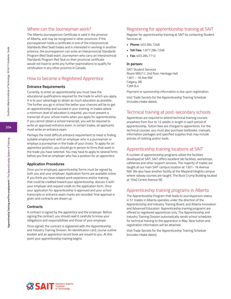# Where can the Journeyman work?

The Alberta Journeyperson Certificate is valid in the province of Alberta, and may be recognized in other provinces. If the journeyperson holds a certificate in one of the Interprovincial Standards (Red Seal) trades and is interested in working in another province, the journeyperson can write an Interprovincial Standards Program (Red Seal) exam. Journeymen who carry an Interprovincial Standards Program Red Seal on their provincial certificate would not have to write any further examinations to qualify for certification in any other province in Canada.

# How to become a Registered Apprentice

#### **Entrance Requirements**

Currently, to enter an apprenticeship you must have the educational qualifications required for the trade to which you apply. It is to your advantage to obtain as much education as possible. The further you go in school the better your chances will be to get an apprenticeship and succeed in your training. In trades where a minimum level of education is required, you must present a transcript of your school marks when you apply for apprenticeship. If you cannot obtain a school transcript, you will be required to write an approved entrance exam. In certain trades, all applicants must write an entrance exam.

Perhaps the most difficult entrance requirement to meet is finding suitable employment with an employer who is a journeyman or employs a journeyman in the trade of your choice. To apply for an apprentice position, you should go in person to firms that work in the trade you have selected. You may have to apply to several firms before you find an employer who has a position for an apprentice.

#### **Application Procedures**

Once you're employed, apprenticeship forms must be signed by both you and your employer. Application forms are available online. If you think you have related work experience and/or training that could be credited toward your apprenticeship, discuss it with your employer and request credit on the application form. Once your application for apprenticeship is approved and your school transcripts or entrance exam marks are recorded, final approval is given and contracts are drawn up.

#### **Contracts**

A contract is signed by the apprentice and the employer. Before signing the contract, you should read it carefully to know your obligations and responsibilities and those of your employer.

Once signed, the contract is registered with the Apprenticeship and Industry Training Division. An identification card, course outline booklet and an apprentice record book are issued to you. At this point your apprenticeship training begins.

# Registering for apprenticeship training at SAIT

Register for apprenticeship training at SAIT by contacting Student Services at:

- **• Phone:** 403.284.7248
- **• Toll free:** 1.877.284.7248
- **• Fax:** 403.284.7112

#### **In person:**

SAIT Student Services Room MA211, 2nd floor, Heritage Hall 1301 – 16 Ave NW Calgary, AB T2M 0L4

Payment or sponsorship information is due upon registration.

Visit Trade Secrets for the Apprenticeship Training Schedule (includes intake dates).

## Technical training at post-secondary schools

Apprentices are required to attend technical training courses anywhere from four to 12 weeks in length in each period of apprenticeship. Tuition fees are charged to apprentices. For the technical courses, you must also purchase textbooks, manuals, information packages and specified supplies that may include articles of clothing and/or tools.

#### Apprenticeship training locations at SAIT

A number of apprenticeship programs utilize the facilities developed at SAIT. SAIT offers excellent lab facilities, workshops, cafeterias and other support services. The majority of trades are taught at our main SAIT campus location at 1301- 16 Avenue NW. We also have another facility at the Mayland Heights campus where railway courses are taught. The Buck Crump Building located at 1940 Centre Avenue NE.

#### Apprenticeship training programs in Alberta

The Apprenticeship Program that leads to Journeyperson status in 51 trades in Alberta operates under the direction of the Apprenticeship and Industry Training Board, and Alberta Innovation and Advanced Education. Apprenticeship training programs are offered to registered apprentices only. The Apprenticeship and Industry Training Division automatically sends school schedules for technical training to the apprentice in May. New tuition and registration information will be attached.

Visit Trade Secrets for the Apprenticeship Training Schedule (includes intake dates).

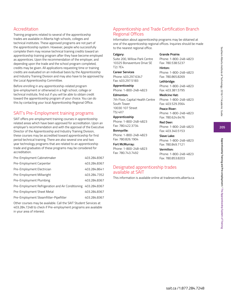# **205**

# Accreditation

Training programs related to several of the apprenticeship trades are available in Alberta high schools, colleges and technical institutes. These approved programs are not part of the apprenticeship system. However, people who successfully complete them may receive technical training credits toward an apprenticeship training program after they have become employed as apprentices. Upon the recommendation of the employer, and depending upon the trade and the school program completed, credits may be given. All applications requesting time or training credits are evaluated on an individual basis by the Apprenticeship and Industry Training Division and may also have to be approved by the Local Apprenticeship Committee.

Before enrolling in any apprenticeship-related program (pre-employment or otherwise) in a high school, college or technical institute, find out if you will be able to obtain credit toward the apprenticeship program of your choice. You can do this by contacting your local Apprenticeship Regional Office.

# SAIT's Pre-Employment training programs

SAIT offers pre-employment training courses in apprenticeship related areas which have been approved for accreditation. Upon an employer's recommendation and with the approval of the Executive Director of the Apprenticeship and Industry Training Division, these courses may be accredited toward apprenticeship for first period technical training. There are also several one and two year technology programs that are related to an apprenticeship trade and graduates of these programs may be considered for accreditation.

| Pre-Employment Cabinetmaker                                    | 403.284.8367 |
|----------------------------------------------------------------|--------------|
| Pre-Employment Carpenter                                       | 403.284.8367 |
| Pre-Employment Electrician                                     | 403.284.8641 |
| Pre-Employment Millwright                                      | 403.284.7352 |
| Pre-Employment Plumbing                                        | 403.284.8367 |
| Pre-Employment Refrigeration and Air Conditioning 403.284.8367 |              |
| Pre-Employment Sheet Metal                                     | 403.284.8367 |
| Pre-Employment Steamfitter-Pipefitter                          | 403.284.8367 |

Other courses may be available. Call the SAIT Student Services at 403.284.7248 to check if Pre-employment programs are available in your area of interest.

# Apprenticeship and Trade Certification Branch Regional Offices

Information about apprenticeship programs may be obtained at one of the apprenticeship regional offices. Inquiries should be made to the nearest regional office.

**Grande Prairie:**

**Hinton:**

Phone: 1-800-248-4823 Fax: 780.538.5237

Phone: 1-800-248-4823 Fax: 780.865.8269 **Lethbridge:**

Phone: 1-800-248-4823 Fax: 403.381.5795 **Medicine Hat:**

Phone: 1-800-248-4823 Fax: 403.529.3564 **Peace River:**

Phone: 1-800-248-4823 Fax: 780.624.6476

Phone: 1-800-248-4823 Fax: 403.340.5153 **Slave Lake:**

Phone: 1-800-248-4823 Fax: 780.849.7121 **Vermilion:**

Phone: 1-800-248-4823 Fax: 780.853.8203

**Red Deer:**

#### **Calgary:**

Suite 200, Willow Park Centre 10325 Bonaventure Drive SE T2J 7E4

**Career Services** Phone: 403.297.6347 Fax: 403.297.5183

# **Apprenticeship**

Phone: 1-800-248-4823

**Edmonton:** 7th Floor, Capital Health Centre South Tower 10030 107 Street T5J 4X7

#### **Apprenticeship**

Phone: 1-800-248-4823 Fax: 780.422.3734

#### **Bonnyville:**

Phone: 1-800-248-4823 Fax: 780.826.1904

## **Fort McMurray:**

Phone: 1-800-248-4823 Fax: 780.743.7492

# Designated apprenticeship trades available at SAIT

This information is available online at tradesecrets.alberta.ca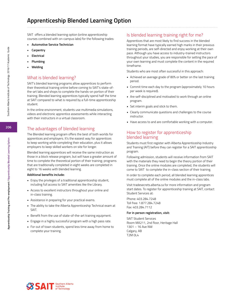SAIT offers a blended learning option (online apprenticeship courses combined with on-campus labs) for the following trades:

- **• Automotive Service Technician**
- **• Carpentry**
- **• Electrical**
- **• Plumbing**
- **• Welding**

# What is blended learning?

SAIT's blended learning programs allow apprentices to perform their theoretical training online before coming to SAIT's state-ofthe-art labs and shops to complete the hands-on portion of their training. Blended learning apprentices typically spend half the time at SAIT compared to what is required by a full-time apprenticeship student.

In the online environment, students use multimedia simulations, videos and electronic apprentice assessments while interacting with their instructors in a virtual classroom.

# The advantages of blended learning

The Blended learning program offers the best of both worlds for apprentices and employers. It's the easiest way for apprentices to keep working while completing their education, plus it allows employers to keep skilled workers on site for longer.

Blended learning apprentices will receive the same instruction as those in a block release program, but will have a greater amount of time to complete the theoretical portion of their training; programs that are traditionally completed in eight weeks are completed in eight to 16 weeks with blended learning.

#### **Additional benefits include:**

- Enjoy the privileges of a traditional apprenticeship student, including full access to SAIT amenities like the Library.
- Access to excellent instructors throughout your online and in-class training.
- Assistance in preparing for your practical exams.
- The ability to take the Alberta Apprenticeship Technical exam at SAIT.
- Benefit from the use of state-of-the-art training equipment.
- Engage in a highly successful program with a high pass rate.
- For out of town students, spend less time away from home to complete your training.

# Is blended learning training right for me?

Apprentices that are most likely to find success in the blended learning format have typically earned high marks in their previous training periods, are self-directed and enjoy working at their own pace. Although you have access to industry-trained instructors throughout your studies, you are responsible for setting the pace of your own learning and must complete the content in the required timeframe.

Students who are most often successful in this approach:

- Achieved an average grade of 80% or better on the last training period.
- Commit time each day to the program (approximately 10 hours per week is required).
- Are self-disciplined and motivated to work through an online program.
- Set interim goals and stick to them.
- Clearly communicate questions and challenges to the course instructor.
- Have access to and are comfortable working with a computer.

# How to register for apprenticeship blended learning

Students must first register with Alberta Apprenticeship Industry and Training (AIT) before they can register for a SAIT apprenticeship program.

Following admission, students will receive information from SAIT with the materials they need to begin the theory portion of their training. Once the online modules are completed, the students will come to SAIT to complete the in-class section of their training.

In order to complete each period, all blended learning apprentices must complete all of the online modules and the in-class labs.

Visit tradesecrets.alberta.ca for more information and program start dates. To register for apprenticeship training at SAIT, contact Student Services at:

Phone: 403.284.7248 Toll free: 1.877.284.7248 Fax: 403.284.7112

#### **For in person registration, visit:**

SAIT Student Services Room MA211, 2nd floor, Heritage Hall 1301 – 16 Ave NW Calgary, AB T2M 0L4

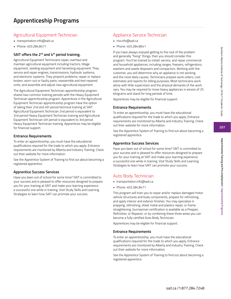# Agricultural Equipment Technician

- transportation.info@sait.ca
- Phone: 403.284.8471

## **SAIT offers the 2nd and 4th period training.**

Agricultural Equipment Technicians repair, overhaul and maintain agricultural equipment including tractors, tillage equipment, seeding equipment and harvesting equipment. They service and repair engines, transmissions, hydraulic systems, and electronic systems. They pinpoint problems; repair or replace broken, worn-out or faulty parts; reassemble and test repaired units; and assemble and adjust new agricultural equipment.

The Agricultural Equipment Technician apprenticeship program shares two common training periods with the Heavy Equipment Technician apprenticeship program. Apprentices in the Agricultural Equipment Technician apprenticeship program have the option of taking their 2nd and 4th period technical training at SAIT. Agricultural Equipment Technician 2nd period is equivalent to 2nd period Heavy Equipment Technician training and Agricultural Equipment Technician 4th period is equivalent to 3rd period Heavy Equipment Technician training. Apprentices may be eligible for financial support.

## **Entrance Requirements**

To enter an apprenticeship, you must have the educational qualifications required for the trade to which you apply. Entrance requirements are monitored by Alberta and Industry Training. Check out their website for more information.

See the Apprentice System of Training to find out about becoming a registered apprentice.

## **Apprentice Success Services**

Have you been out of school for some time? SAIT is committed to your success and is pleased to offer resources designed to prepare you for your training at SAIT and make your learning experience a successful one while in training. Visit Study Skills and Learning Strategies to learn how SAIT can promote your success.

# Appliance Service Technician

- ma.info@sait.ca
- Phone: 403.284.8641

If you have always enjoyed getting to the root of the problem and generally "fixing" things, then you should consider this program. You'll be trained to install, service, and repair commercial and household appliances, including ranges, freezers, refrigerators, washers and waste disposers and compactors. Working with the customer, you will determine why an appliance is not working and the most likely causes. Technicians prepare work orders, cost estimates and reports for billing purposes. Most technicians work alone with little supervision and the physical demands of the work vary. You may be required to move heavy appliances in excess of 25 kilograms and stand for long periods of time.

Apprentices may be eligible for financial support.

#### **Entrance Requirements**

To enter an apprenticeship, you must have the educational qualifications required for the trade to which you apply. Entrance requirements are monitored by Alberta and Industry Training. Check out their website for more information.

See the Apprentice System of Training to find out about becoming a registered apprentice.

#### **Apprentice Success Services**

Have you been out of school for some time? SAIT is committed to your success and is pleased to offer resources designed to prepare you for your training at SAIT and make your learning experience a successful one while in training. Visit Study Skills and Learning Strategies to learn how SAIT can promote your success.

# Auto Body Technician

- transportation.info@sait.ca
- Phone: 403.284.8471

This program will train you to repair and/or replace damaged motor vehicle structures and body components, prepare for refinishing, and apply interior and exterior finishes. You may specialize in prepping, refinishing, sheet metal and plastics repair, or frame straightening. Journeyman certification is available as a Prepper, Refinisher, or Repairer; or by combining these three areas you can become a fully certified Auto Body Technician.

Apprentices may be eligible for financial support.

#### **Entrance Requirements**

To enter an apprenticeship, you must have the educational qualifications required for the trade to which you apply. Entrance requirements are monitored by Alberta and Industry Training. Check out their website for more information.

See the Apprentice System of Training to find out about becoming a registered apprentice.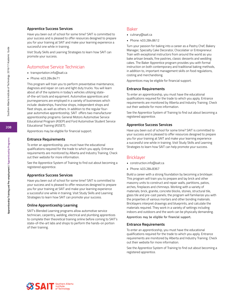#### **Apprentice Success Services**

Have you been out of school for some time? SAIT is committed to your success and is pleased to offer resources designed to prepare you for your training at SAIT and make your learning experience a successful one while in training.

Visit Study Skills and Learning Strategies to learn how SAIT can promote your success.

## Automotive Service Technician

- transportation.info@sait.ca
- Phone: 403.284.8471

This program will train you to perform preventative maintenance, diagnosis and repair on cars and light duty trucks. You will learn about all of the systems in today's vehicles utilizing stateof-the-art tools and equipment. Automotive apprentices and journeypersons are employed in a variety of businesses which include: dealerships, franchise shops, independent shops and fleet shops, as well as others. In addition to the regular fouryear automotive apprenticeship, SAIT offers two manufacturer apprenticeship programs: General Motors Automotive Service Educational Program (ASEP) and Ford Automotive Student Service Educational Training (ASSET).

Apprentices may be eligible for financial support.

#### **Entrance Requirements**

To enter an apprenticeship, you must have the educational qualifications required for the trade to which you apply. Entrance requirements are monitored by Alberta and Industry Training. Check out their website for more information.

See the Apprentice System of Training to find out about becoming a registered apprentice.

#### **Apprentice Success Services**

Have you been out of school for some time? SAIT is committed to your success and is pleased to offer resources designed to prepare you for your training at SAIT and make your learning experience a successful one while in training. Visit Study Skills and Learning Strategies to learn how SAIT can promote your success.

#### **Online Apprenticeship Learning**

SAIT's Blended Learning programs allow automotive service technician, carpentry, welding, electrical and plumbing apprentices to complete their theoretical training online before coming to SAIT's state-of-the-art labs and shops to perform the hands-on portion of their training.

#### Baker

- culinary@sait.ca
- Phone: 403.284.8612

Turn your passion for baking into a career as a Pastry Chef, Bakery Manager, Specialty Cake Decorator, Chocolatier or Entrepreneur. Train with exceptional instructors from around the world as you bake artisan breads, fine pastries, classic desserts and wedding cakes. The Baker Apprentice program provides you with formal instruction on both contemporary and traditional baking methods, in addition to, important management skills on food regulations, costing and merchandising.

Apprentices may be eligible for financial support.

#### **Entrance Requirements**

To enter an apprenticeship, you must have the educational qualifications required for the trade to which you apply. Entrance requirements are monitored by Alberta and Industry Training. Check out their website for more information.

See the Apprentice System of Training to find out about becoming a registered apprentice.

#### **Apprentice Success Services**

Have you been out of school for some time? SAIT is committed to your success and is pleased to offer resources designed to prepare you for your training at SAIT and make your learning experience a successful one while in training. Visit Study Skills and Learning Strategies to learn how SAIT can help promote your success.

## Bricklayer

- construction.info@sait.ca
- Phone: 403.284.8367

Build a career with a strong foundation by becoming a bricklayer. This program will train you to prepare and lay brick and other masonry units to construct and repair walls, partitions, patios, arches, fireplaces and chimneys. Working with a variety of materials; brick, granite, concrete blocks, stones, structural tile, glass tile and pre-cast panels; the program will familiarize you with the properties of various mortars and other bonding materials. Bricklayers interpret drawings and blueprints, and calculate the materials required. They work in a variety of settings including indoors and outdoors and the work can be physically demanding.

Apprentices may be eligible for financial support.

#### **Entrance Requirements**

To enter an apprenticeship, you must have the educational qualifications required for the trade to which you apply. Entrance requirements are monitored by Alberta and Industry Training. Check out their website for more information.

See the Apprentice System of Training to find out about becoming a registered apprentice.



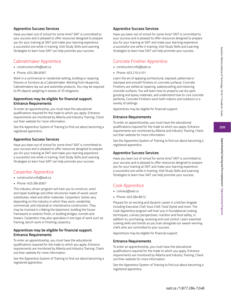# **Apprentice Success Services**

Have you been out of school for some time? SAIT is committed to your success and is pleased to offer resources designed to prepare you for your training at SAIT and make your learning experience a successful one while in training. Visit Study Skills and Learning Strategies to learn how SAIT can help promote your success.

# Cabinetmaker Apprentice

- construction.info@sait.ca
- Phone: 403.284.8367

Work in a commercial or residential setting, building or repairing fixtures or furniture as a Cabinetmaker. Working from blueprints, Cabinetmakers lay out and assemble products. You may be required to lift objects weighing in excess of 25 kilograms.

## **Apprentices may be eligible for financial support. Entrance Requirements**

To enter an apprenticeship, you must have the educational qualifications required for the trade to which you apply. Entrance requirements are monitored by Alberta and Industry Training. Check out their website for more information.

See the Apprentice System of Training to find out about becoming a registered apprentice.

# **Apprentice Success Services**

Have you been out of school for some time? SAIT is committed to your success and is pleased to offer resources designed to prepare you for your training at SAIT and make your learning experience a successful one while in training. Visit Study Skills and Learning Strategies to learn how SAIT can help promote your success.

# Carpenter Apprentice

- construction.info@sait.ca
- Phone: 403.284.8367

This industry-driven program will train you to construct, erect and repair buildings and other structures made of wood, wood substitutes, steel and other materials. Carpenters' duties vary depending on the industry in which they work; residential, commercial, and industrial or maintenance construction. They may be involved in cribbing the basement, building the house framework or exterior finish, or building bridges, tunnels and towers. Carpenters may also specialize in one type of work such as framing, bench work or finishing carpentry.

## **Apprentices may be eligible for financial support. Entrance Requirements**

To enter an apprenticeship, you must have the educational qualifications required for the trade to which you apply. Entrance requirements are monitored by Alberta and Industry Training. Check out their website for more information.

See the Apprentice System of Training to find out about becoming a registered apprentice.

# **Apprentice Success Services**

Have you been out of school for some time? SAIT is committed to your success and is pleased to offer resources designed to prepare you for your training at SAIT and make your learning experience a successful one while in training. Visit Study Skills and Learning Strategies to learn how SAIT can help promote your success.

# Concrete Finisher Apprentice

- construction.info@sait.ca
- Phone: 403.210.4101

Learn the art of applying architectural, exposed, patterned or stamped and smooth finishes on concrete surfaces. Concrete Finishers are skilled at repairing, waterproofing and restoring concrete surfaces. You will learn how to properly use dry pack grouting and epoxy materials, and understand how to cure concrete perfectly. Concrete Finishers work both indoors and outdoors in a variety of settings.

Apprentices may be eligible for financial support.

# **Entrance Requirements**

To enter an apprenticeship, you must have the educational qualifications required for the trade to which you apply. Entrance requirements are monitored by Alberta and Industry Training. Check out their website for more information.

See the Apprentice System of Training to find out about becoming a registered apprentice.

# **Apprentice Success Services**

Have you been out of school for some time? SAIT is committed to your success and is pleased to offer resources designed to prepare you for your training at SAIT and make your learning experience a successful one while in training. Visit Study Skills and Learning Strategies to learn how SAIT can help promote your success.

# Cook Apprentice

- culinary@sait.ca
- Phone: 403.284.8612

Prepare for an exciting and dynamic career in a kitchen brigade including Executive Chef, Sous Chef, Food Stylist and more. The Cook Apprentice program will train you in foundational cooking techniques, culinary perspectives, nutrition and food safety, in addition to, purchasing, receiving and cost control. Learn essential cooking skills and trends as you train alongside our award-winning chefs who are committed to your success.

Apprentices may be eligible for financial support.

# **Entrance Requirements**

To enter an apprenticeship, you must have the educational qualifications required for the trade to which you apply. Entrance requirements are monitored by Alberta and Industry Training. Check out their website for more information.

See the Apprentice System of Training to find out about becoming a registered apprentice.

**Apprenticeship Training and Pre-employment / Apprenticeship Programs**

Apprenticeship Training and Pre-employment / Apprenticeship Programs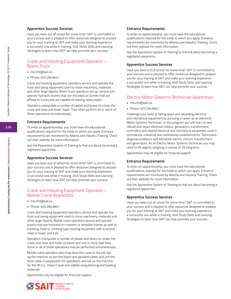#### **Apprentice Success Services**

Have you been out of school for some time? SAIT is committed to your success and is pleased to offer resources designed to prepare you for your training at SAIT and make your learning experience a successful one while in training. Visit Study Skills and Learning Strategies to learn how SAIT can help promote your success.

# Crane and Hoisting Equipment Operator – Boom Truck

- ma.info@sait.ca
- Phone: 403.284.8641

Crane and hoisting equipment operators service and operate the hoist and swing equipment used to move machinery, materials and other large objects. Boom truck operators set up, service and operate hydraulic booms that are mounted on turrets that are affixed to trucks and are capable of moving heavy loads.

Operators manipulate a number of pedals and levers to rotate the crane and raise and lower loads. They often perform all or some of these operations simultaneously.

#### **Entrance Requirements**

To enter an apprenticeship, you must have the educational qualifications required for the trade to which you apply. Entrance requirements are monitored by Alberta and Industry Training. Check out their website for more information.

See the Apprentice System of Training to find out about becoming a registered apprentice.

#### **Apprentice Success Services**

Have you been out of school for some time? SAIT is committed to your success and is pleased to offer resources designed to prepare you for your training at SAIT and make your learning experience a successful one while in training. Visit Study Skills and Learning Strategies to learn how SAIT can help promote your success.

# Crane and Hoisting Equipment Operator – Mobile Crane Apprentice

- ma.info@sait.ca
- Phone: 403.284.8641

Crane and hoisting equipment operators service and operate the hoist and swing equipment used to move machinery, materials and other large objects. Mobile crane operators service and operate booms that are mounted on crawlers or wheeled frames as well as traveling, fixed or climbing type hoisting equipment with a vertical mast or tower and a jib.

Operators manipulate a number of pedals and levers to rotate the crane, and raise and lower its boom and one or more load lines. Some or all of these operations may be performed simultaneously.

Mobile crane operators also may drive the crane to the job site, rig the machine up (pin the boom and pendant cables and pull the hoist cable in preparation for operation), and set up the machine for the lift (i.e., make it level and stable) using blocking and leveling materials.

Apprentices may be eligible for financial support.

#### **Entrance Requirements**

To enter an apprenticeship, you must have the educational qualifications required for the trade to which you apply. Entrance requirements are monitored by Alberta and Industry Training. Check out their website for more information.

See the Apprentice System of Training to find out about becoming a registered apprentice.

#### **Apprentice Success Services**

Have you been out of school for some time? SAIT is committed to your success and is pleased to offer resources designed to prepare you for your training at SAIT and make your learning experience a successful one while in training. Visit Study Skills and Learning Strategies to learn how SAIT can help promote your success.

# Electric Motor Systems Technician Apprentice

- ma.info@sait.ca
- Phone: 403.284.8641

Challenge your skills at taking apart and rebuilding electrical and mechanical equipment by pursuing a career as an electrical Motor Systems Technician. In this program you will learn to test, rebuild and repair electrical motors, generators, transformers, controllers and related electrical and mechanical equipment used in commercial, industrial and institutional establishments. Technicians diagnose problems and dismantle electric motors, transformers and generators. As an Electric Motor Systems Technician you may need to lift objects weighing in excess of 25 kilograms.

Apprentices may be eligible for financial support.

#### **Entrance Requirements**

To enter an apprenticeship, you must have the educational qualifications required for the trade to which you apply. Entrance requirements are monitored by Alberta and Industry Training. Check out their website for more information.

See the Apprentice System of Training to find out about becoming a registered apprentice.

#### **Apprentice Success Services**

Have you been out of school for some time? SAIT is committed to your success and is pleased to offer resources designed to prepare you for your training at SAIT and make your learning experience a successful one while in training. Visit Study Skills and Learning Strategies to learn how SAIT can help promote your success.

**Apprenticeship Training and Pre-employment / Apprenticeship Programs**

Apprenticeship Training and Pre-employment / Apprenticeship Programs

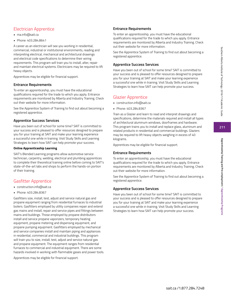# Electrician Apprentice

- ma.info@sait.ca
- Phone: 403.284.8641

A career as an electrician will see you working in residential, commercial, industrial or institutional environments, reading and interpreting electrical, mechanical and architectural drawings and electrical code specifications to determine their wiring requirements. This program will train you to install, alter, repair and maintain electrical systems. Electricians may be required to lift heavy objects.

Apprentices may be eligible for financial support.

# **Entrance Requirements**

To enter an apprenticeship, you must have the educational qualifications required for the trade to which you apply. Entrance requirements are monitored by Alberta and Industry Training. Check out their website for more information.

See the Apprentice System of Training to find out about becoming a registered apprentice.

# **Apprentice Success Services**

Have you been out of school for some time? SAIT is committed to your success and is pleased to offer resources designed to prepare you for your training at SAIT and make your learning experience a successful one while in training. Visit Study Skills and Learning Strategies to learn how SAIT can help promote your success.

## **Online Apprenticeship Learning**

SAIT's Blended Learning programs allow automotive service technician, carpentry, welding, electrical and plumbing apprentices to complete their theoretical training online before coming to SAIT's state-of-the-art labs and shops to perform the hands-on portion of their training.

# Gasfitter Apprentice

- construction.info@sait.ca
- Phone: 403.284.8367

Gasfitters size, install, test, adjust and service natural gas and propane equipment ranging from residential furnaces to industrial boilers. Gasfitters employed by utility companies repair and extend gas mains and install, repair and service pipes and fittings between mains and buildings. Those employed by propane distributors install and service propane vaporizers, temporary heating equipment, propane metering and dispensing equipment, and propane pumping equipment. Gasfitters employed by mechanical and service companies install and maintain piping and appliances in residential, commercial and industrial buildings. This program will train you to size, install, test, adjust and service natural gas and propane equipment. The equipment ranges from residential furnaces to commercial and industrial equipment. There are some hazards involved in working with flammable gases and power tools.

Apprentices may be eligible for financial support.

# **Entrance Requirements**

To enter an apprenticeship, you must have the educational qualifications required for the trade to which you apply. Entrance requirements are monitored by Alberta and Industry Training. Check out their website for more information.

See the Apprentice System of Training to find out about becoming a registered apprentice.

# **Apprentice Success Services**

Have you been out of school for some time? SAIT is committed to your success and is pleased to offer resources designed to prepare you for your training at SAIT and make your learning experience a successful one while in training. Visit Study Skills and Learning Strategies to learn how SAIT can help promote your success.

# Glazier Apprentice

- construction.info@sait.ca
- Phone: 403.284.8367

Train as a Glazier and learn to read and interpret drawings and specifications, determine the materials required and install all types of architectural aluminum windows, doorframes and hardware. This program trains you to install and replace glass, aluminum and related products in residential and commercial buildings. Glaziers may be required to lift heavy objects weighing in excess of 40 kilograms.

Apprentices may be eligible for financial support.

# **Entrance Requirements**

To enter an apprenticeship, you must have the educational qualifications required for the trade to which you apply. Entrance requirements are monitored by Alberta and Industry Training. Check out their website for more information.

See the Apprentice System of Training to find out about becoming a registered apprentice.

# **Apprentice Success Services**

Have you been out of school for some time? SAIT is committed to your success and is pleased to offer resources designed to prepare you for your training at SAIT and make your learning experience a successful one while in training. Visit Study Skills and Learning Strategies to learn how SAIT can help promote your success.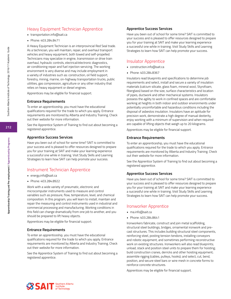# Heavy Equipment Technician Apprentice

- transportation.info@sait.ca
- Phone: 403.284.8471

A Heavy Equipment Technician is an interprovincial Red Seal trade. As a technician, you will maintain, repair, and overhaul transport vehicles and heavy equipment, both towed and self-propelled. Technicians may specialize in engine, transmission or drive train overhaul, hydraulic controls, electrical/electronic diagnostics, air conditioning repair and fuel injection servicing. The working environment is very diverse and may include employment in a variety of industries such as: construction, oil field support, forestry, mining, marine, on-highway transportation trucks, public utilities, gas compression, agriculture or any other industry that relies on heavy equipment or diesel engines.

Apprentices may be eligible for financial support.

#### **Entrance Requirements**

To enter an apprenticeship, you must have the educational qualifications required for the trade to which you apply. Entrance requirements are monitored by Alberta and Industry Training. Check out their website for more information.

See the Apprentice System of Training to find out about becoming a registered apprentice.

#### **Apprentice Success Services**

Have you been out of school for some time? SAIT is committed to your success and is pleased to offer resources designed to prepare you for your training at SAIT and make your learning experience a successful one while in training. Visit Study Skills and Learning Strategies to learn how SAIT can help promote your success.

## Instrument Technician Apprentice

- energy.info@sait.ca
- Phone: 403.284.8922

Work with a wide variety of pneumatic, electronic and microcomputer instruments used to measure and control variables such as pressure, flow, temperature, level, and chemical composition. In this program, you will learn to install, maintain and repair the measuring and control instruments used in industrial and commercial processing and manufacturing. Working conditions in this field can change dramatically from one job to another, and you should be prepared to lift heavy objects.

Apprentices may be eligible for financial support.

#### **Entrance Requirements**

To enter an apprenticeship, you must have the educational qualifications required for the trade to which you apply. Entrance requirements are monitored by Alberta and Industry Training. Check out their website for more information.

See the Apprentice System of Training to find out about becoming a registered apprentice.

#### **Apprentice Success Services**

Have you been out of school for some time? SAIT is committed to your success and is pleased to offer resources designed to prepare you for your training at SAIT and make your learning experience a successful one while in training. Visit Study Skills and Learning Strategies to learn how SAIT can help promote your success.

## Insulator Apprentice

- construction.info@sait.ca
- Phone: 403.284.8367

Insulators read blueprints and specifications to determine job requirements and select, install and secure a variety of insulation materials (calcium silicate, glass foam, mineral wool, Styrofoam, fiberglass) based on the size, surface characteristics and location of pipes, ductwork and other mechanical systems. Insulators possess the agility to work in confined spaces and are comfortable working at heights in both indoor and outdoor environments under potentially uncomfortable and hazardous conditions including the disposal of asbestos insulation. Insulators have an aptitude for precision work, demonstrate a high degree of manual dexterity, enjoy working with a minimum of supervision and when required are capable of lifting objects that weigh up to 20 kilograms.

Apprentices may be eligible for financial support.

#### **Entrance Requirements**

To enter an apprenticeship, you must have the educational qualifications required for the trade to which you apply. Entrance requirements are monitored by Alberta and Industry Training. Check out their website for more information.

See the Apprentice System of Training to find out about becoming a registered apprentice.

#### **Apprentice Success Services**

Have you been out of school for some time? SAIT is committed to your success and is pleased to offer resources designed to prepare you for your training at SAIT and make your learning experience a successful one while in training. Visit Study Skills and Learning Strategies to learn how SAIT can help promote your success.

## Ironworker Apprentice

- ma.info@sait.ca
- Phone: 403.284.8641

Ironworkers fabricate, construct and join metal scaffolding, structural steel buildings, bridges, ornamental ironwork and precast structures. This includes building structural steel components, reinforcing steel, posting tension tendons, installing conveyors and robotic equipment, and sometimes performing reconstructive work on existing structures. Ironworkers will also read blueprints; unload, stack and position steel units to prepare them for hoisting; build construction cranes, derricks and other hoisting equipment; assemble rigging (cables, pulleys, hooks); and select, cut, bend, position, and secure steel bars or wire mesh in concrete forms to reinforce concrete structures.

Apprentices may be eligible for financial support.

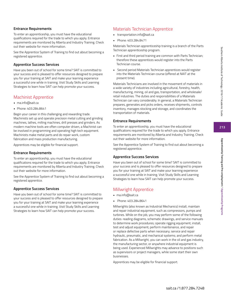# **Entrance Requirements**

To enter an apprenticeship, you must have the educational qualifications required for the trade to which you apply. Entrance requirements are monitored by Alberta and Industry Training. Check out their website for more information.

See the Apprentice System of Training to find out about becoming a registered apprentice.

## **Apprentice Success Services**

Have you been out of school for some time? SAIT is committed to your success and is pleased to offer resources designed to prepare you for your training at SAIT and make your learning experience a successful one while in training. Visit Study Skills and Learning Strategies to learn how SAIT can help promote your success.

# Machinist Apprentice

- ma.info@sait.ca
- Phone: 403.284.8641

Begin your career in this challenging and rewarding trade. Machinists set up and operate precision metal cutting and grinding machines, lathes, milling machines, drill presses and grinders. As modern machine tools are often computer driven, a Machinist can be involved in programming and operating high tech equipment. Machinists make metal parts and do repair work, custom fabrication and mass production manufacturing.

Apprentices may be eligible for financial support.

# **Entrance Requirements**

To enter an apprenticeship, you must have the educational qualifications required for the trade to which you apply. Entrance requirements are monitored by Alberta and Industry Training. Check out their website for more information.

See the Apprentice System of Training to find out about becoming a registered apprentice.

## **Apprentice Success Services**

Have you been out of school for some time? SAIT is committed to your success and is pleased to offer resources designed to prepare you for your training at SAIT and make your learning experience a successful one while in training. Visit Study Skills and Learning Strategies to learn how SAIT can help promote your success.

# Materials Technician Apprentice

- transportation.info@sait.ca
- Phone: 403.284.8471

Materials Technician apprenticeship training is a branch of the Parts Technician apprenticeship program.

- First and third period training are common with Parts Technician; therefore these apprentices would register into the Parts Technician course.
- Second period Materials Technician apprentices would register into the Materials Technician course (offered at NAIT at the present time).

Materials Technicians are involved in the movement of materials in a wide variety of industries including agricultural, forestry, health, manufacturing, mining, oil and gas, transportation, and wholesale/ retail industries. The duties and responsibilities of a Materials Technician can vary considerably. In general, a Materials Technician prepares, generates and picks orders, receives shipments, controls inventory, manages stocking and storage, and coordinates the transportation of materials.

# **Entrance Requirements**

To enter an apprenticeship, you must have the educational qualifications required for the trade to which you apply. Entrance requirements are monitored by Alberta and Industry Training. Check out their website for more information.

See the Apprentice System of Training to find out about becoming a registered apprentice.

# **Apprentice Success Services**

Have you been out of school for some time? SAIT is committed to your success and is pleased to offer resources designed to prepare you for your training at SAIT and make your learning experience a successful one while in training. Visit Study Skills and Learning Strategies to learn how SAIT can help promote your success.

# Millwright Apprentice

- ma.info@sait.ca
- Phone: 403.284.8641

Millwrights (also known as Industrial Mechanics) install, maintain and repair industrial equipment, such as compressors, pumps and turbines. While on the job, you may perform some of the following duties: reading diagrams, schematic drawings, and service manuals to determine work procedures; operate rigging equipment; install, test and adjust equipment; perform maintenance, and repair or replace defective parts when necessary; service and repair hydraulic, pneumatic, and mechanical systems; and perform metal fabrication. As a Millwright, you can work in the oil and gas industry, the manufacturing sector, or anywhere industrial equipment is being used. Experienced Millwrights may advance to positions such as supervisors or project managers, while some start their own businesses.

Apprentices may be eligible for financial support.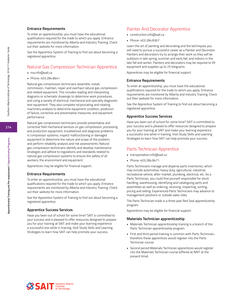#### **Entrance Requirements**

To enter an apprenticeship, you must have the educational qualifications required for the trade to which you apply. Entrance requirements are monitored by Alberta and Industry Training. Check out their website for more information.

See the Apprentice System of Training to find out about becoming a registered apprentice.

## Natural Gas Compression Technician Apprentice

- ma.info@sait.ca
- Phone: 403.284.8641

Natural gas compression technicians assemble, install, commission, maintain, repair and overhaul natural gas compression and related equipment. This includes reading and interpreting diagrams or schematic drawings to determine work procedures, and using a variety of electrical, mechanical and specialty diagnostic test equipment. They also complete reciprocating and rotating machinery analysis to determine equipment condition, prediction of failure, corrective and preventative measures, and equipment performance.

Natural gas compression technicians provide preventative and corrective field mechanical services on gas compression, processing and production equipment; troubleshoot and diagnose problems in compressor systems; inspect malfunctioning or damaged equipment to determine the nature and scope of the problem; and perform reliability analysis and risk assessments. Natural gas compression technicians identify and develop maintenance strategies and adhere to regulations and standards related to natural gas compression systems to ensure the safety of all workers, the environment and equipment.

Apprentices may be eligible for financial support.

#### **Entrance Requirements**

To enter an apprenticeship, you must have the educational qualifications required for the trade to which you apply. Entrance requirements are monitored by Alberta and Industry Training. Check out their website for more information.

See the Apprentice System of Training to find out about becoming a registered apprentice.

#### **Apprentice Success Services**

Have you been out of school for some time? SAIT is committed to your success and is pleased to offer resources designed to prepare you for your training at SAIT and make your learning experience a successful one while in training. Visit Study Skills and Learning Strategies to learn how SAIT can help promote your success.

# Painter And Decorator Apprentice

- construction.info@sait.ca
- Phone: 403.284.8367

Learn the art of painting and decorating and the techniques you will need to pursue a successful career as a Painter and Decorator. Painters and decorators try to arrange their work so they will be outdoors in late spring, summer and early fall, and indoors in the late fall and winter. Painters and decorators may be required to lift equipment and supplies up to 25 kilograms.

Apprentices may be eligible for financial support.

#### **Entrance Requirements**

To enter an apprenticeship, you must have the educational qualifications required for the trade to which you apply. Entrance requirements are monitored by Alberta and Industry Training. Check out their website for more information.

See the Apprentice System of Training to find out about becoming a registered apprentice.

#### **Apprentice Success Services**

Have you been out of school for some time? SAIT is committed to your success and is pleased to offer resources designed to prepare you for your training at SAIT and make your learning experience a successful one while in training. Visit Study Skills and Learning Strategies to learn how SAIT can help promote your success.

#### Parts Technician Apprentice

- transportation.info@sait.ca
- Phone: 403.284.8471

Parts Technicians manage and disperse parts inventories, which may include automotive, heavy duty, agricultural, industrial, recreational vehicle, after-market, plumbing, electrical, etc. As a Parts Technician, you could find yourself responsible for stock handling, warehousing, identifying and cataloguing parts and assemblies as well as ordering, receiving, inspecting, sorting, pricing and selling. Experienced Parts Technicians may advance to management positions or outside sales roles.

The Parts Technician trade is a three year Red Seal apprenticeship program.

Apprentices may be eligible for financial support.

#### **Materials Technician apprenticeship**

- Materials Technician apprenticeship training is a branch of the Parts Technician apprenticeship program.
- First and third period training is common with Parts Technician; therefore these apprentices would register into the Parts Technician course.
- Second period Materials Technician apprentices would register into the Materials Technician course (offered at NAIT at the present time).



**Apprenticeship Training and Pre-employment / Apprenticeship Programs**

Apprenticeship Training and Pre-employment / Apprenticeship Programs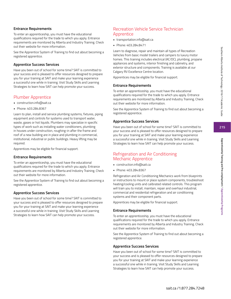# **Entrance Requirements**

To enter an apprenticeship, you must have the educational qualifications required for the trade to which you apply. Entrance requirements are monitored by Alberta and Industry Training. Check out their website for more information.

See the Apprentice System of Training to find out about becoming a registered apprentice.

# **Apprentice Success Services**

Have you been out of school for some time? SAIT is committed to your success and is pleased to offer resources designed to prepare you for your training at SAIT and make your learning experience a successful one while in training. Visit Study Skills and Learning Strategies to learn how SAIT can help promote your success.

# Plumber Apprentice

- construction.info@sait.ca
- Phone: 403.284.8367

Learn to plan, install and service plumbing systems, fixtures, piping equipment and controls for systems used to transport water, waste, gases or hot liquids. Plumbers may specialize in specific types of work such as installing water conditioners, plumbing in houses under construction, roughing-in after the frame and roof of a new building are in place and plumbing in commercial, institutional, industrial or public buildings. Heavy lifting may be required.

Apprentices may be eligible for financial support.

#### **Entrance Requirements**

To enter an apprenticeship, you must have the educational qualifications required for the trade to which you apply. Entrance requirements are monitored by Alberta and Industry Training. Check out their website for more information.

See the Apprentice System of Training to find out about becoming a registered apprentice.

# **Apprentice Success Services**

Have you been out of school for some time? SAIT is committed to your success and is pleased to offer resources designed to prepare you for your training at SAIT and make your learning experience a successful one while in training. Visit Study Skills and Learning Strategies to learn how SAIT can help promote your success.

# Recreation Vehicle Service Technician **Apprentice**

- transportation.info@sait.ca
- Phone: 403.284.8471

Learn to diagnose, repair and maintain all types of Recreation Vehicles from basic model trailers and campers to luxury motor homes. This training includes electrical (AC/DC), plumbing, propane appliances and systems, interior finishing and cabinetry, and exterior structure and components. Training is available at our Calgary RV Excellence Centre location.

Apprentices may be eligible for financial support.

#### **Entrance Requirements**

To enter an apprenticeship, you must have the educational qualifications required for the trade to which you apply. Entrance requirements are monitored by Alberta and Industry Training. Check out their website for more information.

See the Apprentice System of Training to find out about becoming a registered apprentice.

# **Apprentice Success Services**

Have you been out of school for some time? SAIT is committed to your success and is pleased to offer resources designed to prepare you for your training at SAIT and make your learning experience a successful one while in training. Visit Study Skills and Learning Strategies to learn how SAIT can help promote your success.

# Refrigeration and Air Conditioning Mechanic Apprentice

- construction.info@sait.ca
- Phone: 403.284.8367

Refrigeration and Air Conditioning Mechanics work from blueprints or instructions to mount or place system components, troubleshoot heating/cooling units and calibrated related controls. This program will train you to install, maintain, repair and overhaul industrial, commercial and residential refrigeration and air conditioning systems and their component parts.

Apprentices may be eligible for financial support.

#### **Entrance Requirements**

To enter an apprenticeship, you must have the educational qualifications required for the trade to which you apply. Entrance requirements are monitored by Alberta and Industry Training. Check out their website for more information.

See the Apprentice System of Training to find out about becoming a registered apprentice.

#### **Apprentice Success Services**

Have you been out of school for some time? SAIT is committed to your success and is pleased to offer resources designed to prepare you for your training at SAIT and make your learning experience a successful one while in training. Visit Study Skills and Learning Strategies to learn how SAIT can help promote your success.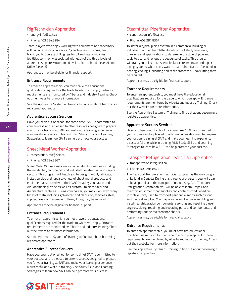# Rig Technician Apprentice

- energy.info@sait.ca
- Phone: 403.284.8284

Team-players who enjoy working with equipment and machinery will find a rewarding career as Rig Technician. This program trains you to operate drilling rigs for oil and gas companies. Job titles commonly associated with each of the three levels of apprenticeship are Motorhand (Level 1), Derrickhand (Level 2) and Driller (Level 3).

Apprentices may be eligible for financial support.

#### **Entrance Requirements**

To enter an apprenticeship, you must have the educational qualifications required for the trade to which you apply. Entrance requirements are monitored by Alberta and Industry Training. Check out their website for more information.

See the Apprentice System of Training to find out about becoming a registered apprentice.

#### **Apprentice Success Services**

Have you been out of school for some time? SAIT is committed to your success and is pleased to offer resources designed to prepare you for your training at SAIT and make your learning experience a successful one while in training. Visit Study Skills and Learning Strategies to learn how SAIT can help promote your success.

# Sheet Metal Worker Apprentice

- construction.info@sait.ca
- Phone: 403.284.8367

Sheet Metal Workers may work in a variety of industries including the residential, commercial and industrial construction and service sectors. This program will teach you to design, layout, fabricate, install, service and repair a variety of sheet metal products and equipment associated with the HVAC (Heating Ventilation and Air Conditioning) trade as well as custom Stainless Steel and Architectural features. During your career, you may work with many types of metal including galvanized and black iron, stainless steel, copper, brass, and aluminum. Heavy lifting may be required.

Apprentices may be eligible for financial support.

#### **Entrance Requirements**

To enter an apprenticeship, you must have the educational qualifications required for the trade to which you apply. Entrance requirements are monitored by Alberta and Industry Training. Check out their website for more information.

See the Apprentice System of Training to find out about becoming a registered apprentice.

#### **Apprentice Success Services**

Have you been out of school for some time? SAIT is committed to your success and is pleased to offer resources designed to prepare you for your training at SAIT and make your learning experience a successful one while in training. Visit Study Skills and Learning Strategies to learn how SAIT can help promote your success.

# Steamfitter-Pipefitter Apprentice

- construction.info@sait.ca
- Phone: 403.284.8367

To install a typical piping system in a commercial building or industrial plant, a Steamfitter-Pipefitter will study blueprints, drawings and specifications to determine the type of pipe and tools to use, and lay out the sequence of tasks. This program will train you to lay out, assemble, fabricate, maintain and repair piping systems which carry water, steam, chemicals or fuel used in heating, cooling, lubricating and other processes. Heavy lifting may be required.

Apprentices may be eligible for financial support.

#### **Entrance Requirements**

To enter an apprenticeship, you must have the educational qualifications required for the trade to which you apply. Entrance requirements are monitored by Alberta and Industry Training. Check out their website for more information.

See the Apprentice System of Training to find out about becoming a registered apprentice.

#### **Apprentice Success Services**

Have you been out of school for some time? SAIT is committed to your success and is pleased to offer resources designed to prepare you for your training at SAIT and make your learning experience a successful one while in training. Visit Study Skills and Learning Strategies to learn how SAIT can help promote your success.

# Transport Refrigeration Technician Apprentice

- transportation.info@sait.ca
- Phone: 403.284.8471

The Transport Refrigeration Technician program is the only program of its kind in Canada. During this three year program, you will train to be a specialist in the transportation industry. As a Transport Refrigeration Technician, you will be able to install, repair and maintain equipment that supplies and contains conditioned air in mobile units, used to transport perishable goods such as food and medical supplies. You may also be involved in assembling and installing refrigeration components, servicing and repairing diesel engines, piping, repairing and replacing parts and components, and performing routine maintenance checks.

Apprentices may be eligible for financial support.

#### **Entrance Requirements**

To enter an apprenticeship, you must have the educational qualifications required for the trade to which you apply. Entrance requirements are monitored by Alberta and Industry Training. Check out their website for more information.

See the Apprentice System of Training to find out about becoming a registered apprentice.

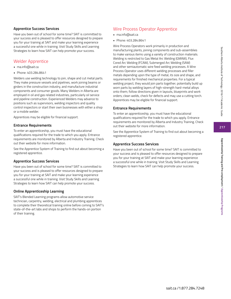**217**

# **Apprentice Success Services**

Have you been out of school for some time? SAIT is committed to your success and is pleased to offer resources designed to prepare you for your training at SAIT and make your learning experience a successful one while in training. Visit Study Skills and Learning Strategies to learn how SAIT can help promote your success.

# Welder Apprentice

- ma.info@sait.ca
- Phone: 403.284.8641

Welders use welding technology to join, shape and cut metal parts. They make pressure vessels and pipelines, work joining beams or girders in the construction industry, and manufacture industrial components and consumer goods. Many Welders in Alberta are employed in oil and gas related industries, particularly oil service and pipeline construction. Experienced Welders may advance to positions such as supervisors, welding inspectors and quality control inspectors or start their own businesses with either a shop or a mobile welder.

Apprentices may be eligible for financial support.

# **Entrance Requirements**

To enter an apprenticeship, you must have the educational qualifications required for the trade to which you apply. Entrance requirements are monitored by Alberta and Industry Training. Check out their website for more information.

See the Apprentice System of Training to find out about becoming a registered apprentice.

# **Apprentice Success Services**

Have you been out of school for some time? SAIT is committed to your success and is pleased to offer resources designed to prepare you for your training at SAIT and make your learning experience a successful one while in training. Visit Study Skills and Learning Strategies to learn how SAIT can help promote your success.

# **Online Apprenticeship Learning**

SAIT's Blended Learning programs allow automotive service technician, carpentry, welding, electrical and plumbing apprentices to complete their theoretical training online before coming to SAIT's state-of-the-art labs and shops to perform the hands-on portion of their training.

# Wire Process Operator Apprentice

- ma.info@sait.ca
- Phone: 403.284.8641

Wire Process Operators work primarily in production and manufacturing plants, joining components and sub-assemblies to make various items using a variety of construction materials. Welding is restricted to Gas Metal Arc Welding (GMAW), Flux Cored Arc Welding (FCAW), Submerged Arc Welding (SAW) and other semiautomatic wire feed welding processes. A Wire Process Operator uses different welding processes and filler metals depending upon the type of metal, its size and shape, and requirements for finished mechanical properties. For a typical welding project, they would join parts together; potentially build up worn parts by welding layers of high-strength hard-metal alloys onto them; follow directions given in layouts, blueprints and work orders; clean welds, check for defects and may use a cutting torch. Apprentices may be eligible for financial support.

# **Entrance Requirements**

To enter an apprenticeship, you must have the educational qualifications required for the trade to which you apply. Entrance requirements are monitored by Alberta and Industry Training. Check out their website for more information.

See the Apprentice System of Training to find out about becoming a registered apprentice.

#### **Apprentice Success Services**

Have you been out of school for some time? SAIT is committed to your success and is pleased to offer resources designed to prepare you for your training at SAIT and make your learning experience a successful one while in training. Visit Study Skills and Learning Strategies to learn how SAIT can help promote your success.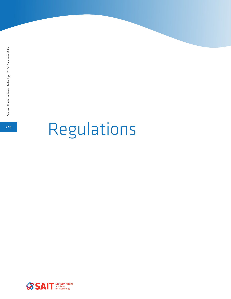# **<sup>218</sup>** Regulations

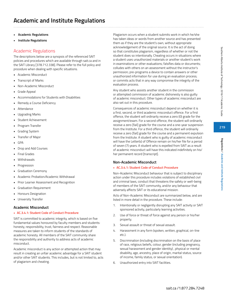- **• Academic Regulations**
- **• Institute Regulations**

# Academic Regulations

The descriptions below are a synopsis of the referenced SAIT policies and procedures which are available through sait.ca and in the SAIT Library [378.712.338]. Please refer to the full policy and procedure when dealing with specific situations.

- Academic Misconduct
- Transcript of Marks
- Non-Academic Misconduct
- **Grade Appeal**
- Accommodations for Students with Disabilities
- Remedy a Course Deficiency
- **Attendance**
- Upgrading Marks
- Student Achievement
- Program Transfer
- Grading System
- Transfer of Major
- GPA
- Drop and Add Courses
- Final Grades
- Withdrawals
- **Progression**
- Graduation Ceremony
- Academic Probation/Academic Withdrawal
- Prior Learner Assessment and Recognition
- Graduation Requirement
- Honours Designation
- University Transfer

#### **Academic Misconduct**

#### **• AC.3.4.1: Student Code of Conduct Procedure**

SAIT is committed to academic integrity, which is based on five fundamental values honoured by faculty members and students: honesty, responsibility, trust, fairness and respect. Reasonable measures are taken to inform students of the standards of academic honesty. All members of the SAIT community share the responsibility and authority to address acts of academic misconduct.

Academic misconduct is any action or attempted action that may result in creating an unfair academic advantage for a SAIT student and/or other SAIT students. This includes, but is not limited to, acts of plagiarism and cheating.

Plagiarism occurs when a student submits work in which he/she has taken ideas or words from another source and has presented them as if they are the student's own, without appropriate acknowledgement of the original source. It is the act of doing so that constitutes plagiarism, regardless of whether or not the student does so intentionally. Cheating occurs in situations where a student uses unauthorized materials or another student's work in examinations or other evaluations; falsifies data or documents; colludes with others on an assessment without the instructor's permission; pre-programs a device to contain answers or other unauthorized information for use during an evaluation process; or commits acts that in any way compromise the integrity of the evaluation process.

Any student who assists another student in the commission or attempted commission of academic dishonesty is also guilty of academic misconduct. Other types of academic misconduct are also set out in this procedure.

Consequences of academic misconduct depend on whether it is a first, second, or third academic misconduct offence. For a first offence, the student will ordinarily receive a zero (0) grade for the assignment/exam. For a second offence, the student will ordinarily receive a zero [fail] grade for the course and a one-year suspension from the Institute. For a third offence, the student will ordinarily receive a zero [fail] grade for the course and a permanent expulsion from the Institute. A student who is guilty of academic misconduct will have the Letter(s) of Offence remain on his/her file for a period of seven (7) years. A student who is expelled from SAIT as a result of academic misconduct will have this indicated indefinitely on his/ her permanent record [transcript].

#### **Non-Academic Misconduct**

#### **• AC.3.4.1: Student Code of Conduct Procedure**

Non-Academic Misconduct behaviour that is subject to disciplinary action under this procedure includes violations of established civil and criminal laws, conduct that threatens the safety or well-being of members of the SAIT community, and/or any behaviour that adversely affects SAIT or its educational mission.

Acts of Non-Academic Misconduct are summarized below, and are listed in more detail in the procedure. These include:

- 1. Intentionally or negligently disrupting any SAIT activity or SAIT sponsored activity, particularly learning activities.
- 2. Use of force or threat of force against any person or his/her property.
- 3. Sexual assault or threat of sexual assault.
- 4. Harassment in any form (spoken, written, graphical, on-line etc.).
- 5. Discrimination (including discrimination on the basis of place of race, religious beliefs, colour, gender (including pregnancy, sexual harassment and gender identity) , physical or mental disability, age, ancestry, place of origin, marital status, source of income, family status, or sexual orientation).
- 6. Unauthorized entry into SAIT facilities.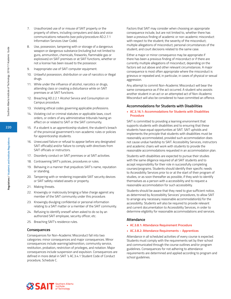- 7. Unauthorized use of or misuse of SAIT property or the property of others, including computers and data and voice communications networks (see policy/procedure AD.2.7.1 Information Services User Code).
- 8. Use, possession, tampering with or storage of a dangerous weapon or dangerous substance (including but not limited to guns, ammunition, chemicals, fireworks, flammable gas or explosives) on SAIT premises or at SAIT functions, whether or not a license has been issued to the possessor.
- 9. Inappropriate use of SAIT computer equipment.
- 10. Unlawful possession, distribution or use of narcotics or illegal drugs.
- 11. While under the influence of alcohol, narcotics or drugs, attending class or creating a disturbance while on SAIT premises or at SAIT functions.
- 12. Breaching AD.2.2.1 Alcohol Service and Consumption on Campus procedure.
- 13. Violating ethical codes governing applicable professions.
- 14. Violating civil or criminal statutes or applicable laws, court orders, or orders of any administrative tribunals having an effect on or related to SAIT or the SAIT community.
- 15. If a student is an apprenticeship student, the student's breach of the provincial government's non-academic rules or policies for apprenticeship students.
- 16. Unexcused failure or refusal to appear before any designated SAIT official(s) and/or failure to comply with directives from SAIT officials or instructors.
- 17. Disorderly conduct on SAIT premises or at SAIT activities.
- 18. Contravening SAIT's policies, procedures or rules.
- 19. Behaving in a manner that prejudices SAIT's name, reputation or standing.
- 20. Tampering with or rendering inoperable SAIT security devices or SAIT safety-related assets or property.
- 21. Making threats.
- 22. Knowingly or maliciously bringing a false charge against any member of the SAIT community under this procedure.
- 23. Knowingly divulging confidential or personal information relating to a SAIT matter or a member of the SAIT community.
- 24. Refusing to identify oneself when asked to do so by an authorized SAIT employee, security officer, etc.
- 25. Breaching SAIT's residence rules.

#### **Consequences**

Consequences for Non-Academic Misconduct fall into two categories: minor consequences and major consequences. Minor consequences include warning/admonition, community service, restitution, probation, restriction of privileges, and notation. Major consequences include suspension and expulsion. Consequences are defined in more detail in SAIT 's AC.3.4.1 Student Code of Conduct procedure, Schedule C.

Factors that SAIT may consider when choosing an appropriate consequence include, but are not limited to, whether there has been a previous finding of academic or non-academic misconduct with respect to the student; the severity of the misconduct; multiple allegations of misconduct; personal circumstances of the student; and court decisions related to the same case.

Either a major or minor consequence may be appropriate if there has been a previous finding of misconduct or if there are currently multiple allegations of misconduct, depending on the factors set out above and other relevant circumstances. A major consequence is most often appropriate where the misconduct is grievous or repeated and, in particular, in cases of physical or sexual aggression.

Any attempt to commit Non-Academic Misconduct will bear the same consequence as if the act occurred. A student who assists another student in an act or an attempted act of Non-Academic Misconduct will also be considered to have committed an offence.

#### **Accommodations for Students with Disabilities**

#### **• AC.3.16.1: Accommodations for Students with Disabilities Procedure**

SAIT is committed to providing a learning environment that supports students with disabilities and to ensuring that these students have equal opportunities at SAIT. SAIT upholds and implements the principle that students with disabilities must be reasonably accommodated, provided such accommodation does not cause undue hardship to SAIT. Accessibility Services, instructors and academic chairs will work with students to provide the reasonable accommodations requested in an accommodation plan.

Students with disabilities are expected to pursue their studies with the same diligence required of all SAIT students and to accept responsibility for their role in successfully completing courses/programs. Students should identify their specific needs to Accessibility Services prior to or at the start of their program of studies, or as soon thereafter as possible, if they wish to identify themselves as a person with a accessibility and to request a reasonable accommodation for such accessibility.

Students should be aware that they need to give sufficient notice, as determined by Accessibility Services' procedures, to allow SAIT to arrange any necessary reasonable accommodation(s) for the accessibility. Students will also be required to provide relevant and current documentation to Accessibility Services, in order to determine eligibility for reasonable accommodations and services.

#### **Attendance**

- **• AC.3.8.1: Attendance Requirement Procedure**
- **• AC.3.8.2: Attendance Requirements Apprentices**

Attendance in all scheduled activities of every course is expected. Students must comply with the requirements set by their school and communicated through the course outlines and/or program guidelines. Consequences for not adhering to attendance requirements are determined and applied according to program and school guidelines.

**SSAIT** Southern Alberta

**220**

**Regulations / Academic and Institute Regulations**

Regulations / Academic and Institute Regulations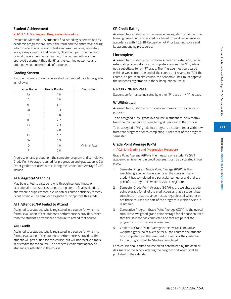# **221**

# **Student Achievement**

# **• AC.3.1.1: Grading and Progression Procedure**

Evaluation Methods – A student's final standing is determined by academic progress throughout the term and the entire year, taking into consideration classroom tests and examinations, laboratory work, essays, reports and projects, classroom participation, and/ or workplace experimental learning. The course outline is the approved document that identifies the learning outcomes and student evaluation methods of a course.

# **Grading System**

A student's grade in each course shall be denoted by a letter grade as follows:

| <b>Letter Grade</b> | <b>Grade Points</b> | Description         |
|---------------------|---------------------|---------------------|
| $A+$                | 4.0                 |                     |
| Α                   | 4.0                 |                     |
| $A-$                | 3.7                 |                     |
| $B+$                | 3.3                 |                     |
| B                   | 3.0                 |                     |
| <b>B-</b>           | 2.7                 |                     |
| $C+$                | 2.3                 |                     |
| C                   | 2.0                 |                     |
| $C-$                | 1.7                 |                     |
| D+                  | 1.3                 |                     |
| D                   | 1.0                 | <b>Minimal Pass</b> |
| F                   | 0.0                 |                     |

Progression and graduation: the semester program and cumulative Grade Point Average required for progression and graduation is 2.0. Other grades not used in calculating the Grade Point Average (GPA) include:

# **AEG Aegrotat Standing**

May be granted to a student who through serious illness or exceptional circumstances cannot complete the final evaluation, and where a supplemental evaluation or course deficiency remedy is not possible. The dean or designate must approve this grade.

# **ATT Attended/FA Failed to Attend**

Assigned to a student who is registered in a course for which no formal evaluation of the student's performance is provided, other than the student's attendance or failure to attend that course.

# **AUD Audit**

Assigned to a student who is registered in a course for which no formal evaluation of the student's performance is provided. The student will pay tuition for this course, but will not receive a mark in or credits for the course. The academic chair must approve a student's registration in the course.

# **CR Credit Rating**

Assigned to a student who has received recognition of his/her prior learning based on transfer credit or based on work experience, in accordance with AC.3.18 Recognition of Prior Learning policy and its accompanying procedures.

# **I Incomplete**

Assigned to a student who has been granted an extension, under extenuating circumstances to complete a course. The "I" grade is not a substitute for an "F" grade. The "I" grade must be cleared within 8 weeks from the end of the course or it reverts to "F." If the course is a pre-requisite course, the Academic Chair must approve the student's registration in the subsequent course(s).

# **P Pass / NP No Pass**

Student performance indicated by either "P" pass or "NP" no pass.

# **W Withdrawal**

Assigned to a student who officially withdraws from a course or program.

To be assigned a "W" grade in a course, a student must withdraw from that course prior to completing 70 per cent of that course.

To be assigned a "W" grade in a program, a student must withdraw from that program prior to completing 70 per cent of the program semester.

# **Grade Point Average (GPA)**

#### **• AC.3.1.1: Grading and Progression Procedure**

Grade Point Average (GPA) is the measure of a student's SAIT academic achievement in credit courses. It can be calculated in four ways.

- 1. Semester Program Grade Point Average (PGPA) is the weighted grade point average for all the courses that a student has completed in a particular semester and that are part of the program in which he/she is registered.
- 2. Semester Grade Point Average (SGPA) is the weighted grade point average for all of the credit courses that a student has completed in a particular semester, regardless of whether or not those courses are part of the program in which he/she is registered.
- 3. Cumulative Program Grade Point Average (CGPA) is the overall cumulative weighted grade point average for all those courses that the student has completed and that are part of the program in which he/she is registered.
- 4. Credential Grade Point Average is the overall cumulative weighted grade point average for all the courses the student has completed and that are used in awarding the credential for the program that he/she has completed.

Each course shall carry a course credit determined by the dean or designate of the school offering the program and which shall be published in the calendar.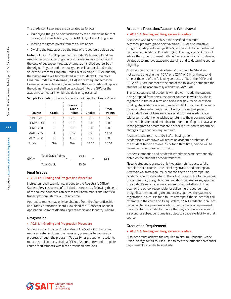The grade point averages are calculated as follows:

- Multiplying the grade point achieved by the credit value for that course, excluding P, NP, I, W, CR, AUD, ATT, FA and AEG grades
- Totaling the grade points from the bullet above
- Dividing the total above by the total of the course credit values

**Note:** Failures "F" will appear on the student's transcript and are used in the calculation of grade point averages as appropriate. In the case of subsequent repeat attempts of a failed course, both the original F grade and the new grades will be calculated in the student's Semester Program Grade Point Average (PGPA), but only the higher grade will be calculated in the student's Cumulative Program Grade Point Average (CPGA) in a subsequent semester. However, when a deficiency is remedied, the new grade will replace the original F grade and shall be calculated into the GPA for the academic semester in which the deficiency occurred.

**Sample Calculation:** Course Grade Points X Credits = Grade Points

| Course   | Grade                                            | Course<br>Grade<br><b>Points</b> | Credits        | Grade<br><b>Points</b> |
|----------|--------------------------------------------------|----------------------------------|----------------|------------------------|
| BCPT-240 | В                                                | 3.00                             | 1.50           | 4.50                   |
| COMM-238 | C                                                | 2.00                             | 3.00           | 6.00                   |
| COMP-220 | F                                                | 0.00                             | 3.00           | 0.00                   |
| MATH-235 | А                                                | 3.67                             | 3.00           | 11.01                  |
| MCMT-230 | D                                                | 1.00                             | 3.00           | 3.00                   |
| Totals   | N/A                                              | N/A                              | 13.50          | 24.51                  |
| $GPA =$  | <b>Total Grade Points</b><br><b>Total Credit</b> |                                  | 24.51<br>13.50 | 1.81                   |

#### **Final Grades**

#### **• AC.3.1.1: Grading and Progression Procedure**

Instructors shall submit final grades to the Registrar's Office/ Student Services by end of the third business day following the end of the course. Students can access their term marks and unofficial transcripts through mySAIT at any time.

Apprentice marks may only be obtained from the Apprenticeship and Trade Certification Board. Download the "Transcript Request Application Form" at Alberta Apprenticeship and Industry Training.

#### **Progression**

#### **• AC.3.1.1: Grading and Progression Procedure**

Students must attain a PGPA and/or a CGPA of 2.0 or better in each semester and pass the necessary prerequisite courses to progress through the program. To qualify for graduation, students must pass all courses, attain a CGPA of 2.0 or better and complete course requirements within the prescribed timelines.

#### **Academic Probation/Academic Withdrawal**

#### **• AC.3.1.1: Grading and Progression Procedure**

A student who fails to achieve the specified minimum semester program grade point average (PGPA) or cumulative program grade point average (CGPA) at the end of a semester will be placed on Academic Probation (AP). The Registrar's Office will advise the student to meet with his/her academic chair to develop strategies to improve academic standing and to determine course eligibility.

A student will remain on Academic Probation if he/she does not achieve one of either PGPA or a CGPA of 2.0 for the second time at the end of the following semester. If both the PGPA and CGPA of 2.0 are not met at the end of the following semester, the student will be academically withdrawn (AW) SAIT.

The consequences of academic withdrawal include the student being dropped from any subsequent courses in which he/she is registered in the next term and being ineligible for student loan funding. An academically withdrawn student must wait 8 calendar months before returning to SAIT. During this waiting period, the student cannot take any courses at SAIT. An academically withdrawn student who wishes to return to the program should meet with his/her academic chair to determine if space is available in the program to accommodate his/her return, and to determine changes to graduation requirements.

A student who returns to SAIT after having been academically withdrawn will return on academic probation. If the student fails to achieve PGPA for a third time, he/she will be permanently withdrawn from SAIT.

Academic probation and academic withdrawals are permanently noted on the student's official transcript.

**Note:** A student is granted only two attempts to successfully complete each course – the initial registration and one repeat. A withdrawal from a course is not considered an attempt. The academic chair/coordinator of the school responsible for delivering the course may, in significant extenuating circumstances, approve the student's registration in a course for a third attempt. The dean of the school responsible for delivering the course may, in significant extenuating circumstances, approve the student's registration in a course for a fourth attempt. If the student fails all attempts in the course or its equivalent, a SAIT credential shall not be issued for any program in which that course is a requirement. It is important to students to note that registration in a course for a second or subsequent time is subject to space availability in that course

#### **Graduation Requirement**

#### **• AC.3.1.1: Grading and Progression Procedure**

A student must achieve the required minimum Credential Grade Point Average for all courses used to meet the student's credential requirements, in order to graduate.



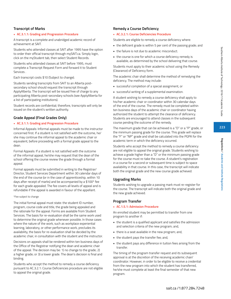# **Transcript of Marks**

#### **• AC.3.1.1: Grading and Progression Procedure**

A transcript is a complete and unabridged academic record of achievement at SAIT.

Students who attended classes at SAIT after 1995 have the option to order their official transcript through mySAIT.ca. Simply login, click on the myStudent tab, then select Student Records.

Students who attended classes at SAIT before 1995, must complete a Transcript Request Form and forward it to Student Services .

Each transcript costs \$10 (Subject to change).

Students sending transcripts from SAIT to an Alberta postsecondary school should request the transcript through ApplyAlberta. The transcript will be issued free of charge to any participating Alberta post-secondary schools (see ApplyAlberta for a list of participating institutions).

Student records are confidential; therefore, transcripts will only be issued on the student's written authority.

# **Grade Appeal (Final Grades Only)**

## **• AC.3.1.1: Grading and Progression Procedure**

Informal Appeals: Informal appeals must be made to the instructor concerned first. If a student is not satisfied with the outcome, he/ she may continue the informal appeal to the academic chair or equivalent, before proceeding with a formal grade appeal to the dean.

Formal Appeals: If a student is not satisfied with the outcome of the informal appeal, he/she may request that the dean of the school offering the course review the grade through a formal appeal.

Formal appeals must be submitted in writing to the Registrar/ Director, Student Services Department within 30 calendar days of the end of the course (or in the case of apprenticeship, within 10 days after receipt of marks) and be accompanied by a \$100\* fee for each grade appealed. The fee covers all levels of appeal and is refundable if the appeal is awarded in favour of the appellant.

#### \*Fee subject to change

The initial formal appeal must state: the student ID number, program, course code and title, the grade being appealed and the rationale for the appeal. Forms are available from Student Services. The basis for re-evaluation shall be the same work used to determine the original grade whenever possible. In those cases where the nature of the work, such as workplace experiential learning, laboratory, or other performance work, precludes its availability, the basis for re-evaluation shall be decided by the academic chair, in consultation with the student and the instructor.

Decisions on appeals shall be rendered within ten business days of the Office of the Registrar notifying the dean and academic chair of the appeal. The decision may be: 1) no change to the grade; 2) a higher grade; or 3) a lower grade. The dean's decision is final and binding.

Students who accept the method to remedy a course deficiency pursuant to AC.3.2.1: Course Deficiencies procedure are not eligible to appeal the original grade.

# **Remedy a Course Deficiency**

# **• AC.3.2.1: Course Deficiencies Procedure**

Students are eligible to remedy a course deficiency where:

- the deficient grade is within 5 per cent of the passing grade; and
- the failure is not due to academic misconduct.
- the course is one for which a course deficiency remedy is available, as determined by the school delivering that course.

Students must apply to their academic school using the Remedy (Clearance) of Deficiency form.

The academic chair shall determine the method of remedying the deficiency. The method may include:

- successful completion of a special assignment, or
- successful writing of a supplemental examination.

A student wishing to remedy a course deficiency shall apply to his/her academic chair or coordinator within 30 calendar days of the end of the course. The remedy must be completed within ten business days of the academic chair or coordinator having authorized the student to attempt the clearance of deficiency. Students are encouraged to attend classes in the subsequent course pending the outcome of the remedy.

The maximum grade that can be achieved is a "D" or a "P" grade, or the minimum passing grade for the course. This grade will replace the "F" or "NP" grade and shall be calculated into the PGPA for the academic term in which the deficiency occurred.

Students who accept the method to remedy a course deficiency are not eligible to appeal the original grade. Students wishing to achieve a grade higher than a "D" or the minimum passing grade for the course must re-take the course. A student's registration in a course for a second or subsequent time is subject to space availability in that course. In this case, the transcript will indicate both the original grade and the new course grade achieved.

# **Upgrading Marks**

Students wishing to upgrade a passing mark must re-register for the course. The transcript will indicate both the original grade and the new grade achieved.

# **Program Transfer**

**• AC.1.5.1: Admission Procedure**

An enrolled student may be permitted to transfer from one program to another if:

- the student is a qualified applicant and satisfies the admission and selection criteria of the new program; and,
- there is a seat available in the new program; and,
- the student pays the transfer fee; and,
- the student pays any difference in tuition fees arising from the transfer.

The timing of the program transfer request and its subsequent approval is at the discretion of the receiving academic chair/ coordinator. However, in order to be eligible to receive a credential from the new program into which the student has transferred, he/she must complete at least the final semester of that new program.

**Regulations / Academic and Institute Regulations**

Regulations / Academic and Institute Regulation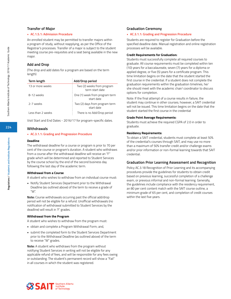#### **Transfer of Major**

#### **• AC.1.5.1: Admission Procedure**

An enrolled student may be permitted to transfer majors within a program of study, without reapplying, as per the Office of the Registrar's processes. Transfer of a major is subject to the student meeting course pre-requisites and a seat being available in the new major.

#### **Add and Drop**

(The drop and add dates for a program are based on the term length)

| Term length       | Add/Drop period                               |
|-------------------|-----------------------------------------------|
| 13 or more weeks  | Two (2) weeks from program<br>term start date |
| 8-12 weeks        | One (1) week from program term<br>start date  |
| 2-7 weeks         | Two (2) days from program term<br>start date  |
| Less than 2 weeks | There is no Add/Drop period                   |

Visit Start and End Dates - 2016/17 for program-specific dates.

#### **Withdrawals**

#### **• AC.3.1.1: Grading and Progression Procedure**

#### **Deadline**

The withdrawal deadline for a course or program is prior to 70 per cent of the course or program's duration. A student who withdraws from a course after the withdrawal deadline will receive an "F" grade which will be determined and reported to Student Services by the course school by the end of the second business day following the last day of the academic term.

#### **Withdrawal from a Course**

A student who wishes to withdraw from an individual course must:

• Notify Student Services Department prior to the Withdrawal Deadline (as outlined above) of the term to receive a grade of "W".

**Note:** Course withdrawals occurring past the official add/drop period will not be eligible for a refund. Unofficial withdrawals (no notification of withdrawal submitted to Student Services by the deadline) will result in 'F' grades.

#### **Withdrawal from the Program**

A student who wishes to withdraw from the program must:

- obtain and complete a Program Withdrawal Form; and,
- submit the completed form to the Student Services Department prior to the Withdrawal Deadline (as outlined above) of the term to receive "W" grades.

**Note:** A student who withdraws from the program without notifying Student Services in writing will not be eligible for any applicable refund of fees, and will be responsible for any fees owing or outstanding. The student's permanent record will show a "Fail" in all courses in which the student was registered.

#### **Graduation Ceremony**

#### **• AC.3.1.1: Grading and Progression Procedure**

Students are required to register for Graduation before the specified deadline date. Manual registration and online registration processes will be available.

#### **Credit Requirements for Graduation:**

Students must successfully complete all required courses to graduate. All course requirements must be completed within ten (10) years for a baccalaureate, seven (7) years for a diploma or applied degree, or five (5) years for a certificate program. This time limitation begins on the date that the student started the first course in the credential. If a student does not complete the graduation requirements within the graduation timelines, he/ she should meet with the academic chair/ coordinator to discuss options for completion.

Note: If the final attempt of a course results in failure, the student may continue in other courses; however, a SAIT credential will not be issued. This time limitation begins on the date that the student started the first course in the credential

#### **Grade Point Average Requirements:**

Students must achieve the required CGPA of 2.0 in order to graduate.

#### **Residency Requirements:**

To obtain a SAIT credential, students must complete at least 50% of the credential's courses through SAIT, and may use no more than a maximum of 50% transfer credit and/or challenge exams and/or prior information or non-formal learning towards that SAIT credential.

#### **Graduation Prior Learning Assessment and Recognition**

Policy AC.3.18 Recognition of Prior Learning and its accompanying procedures provide the guidelines for students to obtain credit based on previous learning, successful completion of a challenge exam, or previous informal and non-formal learning. Generally, the guidelines include compliance with the residency requirement, an 80 per cent content match with the SAIT course outline, a minimum grade of 65 per cent, and completion of credit courses within the last five years.



**224**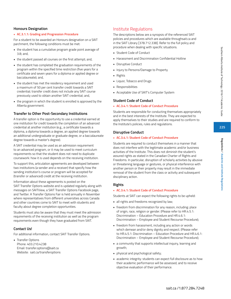# **Honours Designation**

## **• AC.3.1.1: Grading and Progression Procedure**

For a student to be awarded an Honours designation on a SAIT parchment, the following conditions must be met:

- the student has a cumulative program grade point average of 3.8; and,
- the student passed all courses on the first attempt; and,
- the student has completed the graduation requirements of the program within the specified time restriction (five years for a certificate and seven years for a diploma or applied degree or baccalaureate); and,
- the student has met the residency requirement and used a maximum of 50 per cent transfer credit towards a SAIT credential; transfer credit does not include any SAIT course previously used to obtain another SAIT credential; and,
- the program in which the student is enrolled is approved by the Alberta government.

## **Transfer to Other Post-Secondary Institutions**

A transfer option is the opportunity to use a credential earned at one institution for credit towards the completion of an advanced credential at another institution (e.g., a certificate towards a diploma, a diploma towards a degree, an applied degree towards an additional undergraduate or graduate degree, or a baccalaureate degree towards a master's degree).

A SAIT credential may be used as an admission requirement to an advanced program, or it may be used to meet curriculum requirements so that the student does not need to duplicate coursework: how it is used depends on the receiving institution.

To support this, articulation agreements are developed between two institutions (a sender and a receiver) that specify how the sending institution's course or program will be accepted for (transfer or advanced) credit at the receiving institution.

Information about these agreements is posted on the SAIT Transfer Options website and is updated regularly along with messages on SAITView, a SAIT Transfer Options Facebook page, and Twitter. A Transfer Options Fair is held annually in November where representatives from different universities across Canada and other countries come to SAIT to meet with students and faculty about degree completion opportunities.

Students must also be aware that they must meet the admission requirements of the receiving institution as well as the program requirements even though they have graduated from SAIT.

#### **Contact Us!**

For additional information, contact SAIT Transfer Options.

• Transfer Options Phone: 403.210.4238 Email: transfer.options@sait.ca Website: sait.ca/transferoptions

# Institute Regulations

The descriptions below are a synopsis of the referenced SAIT policies and procedures which are available throughsait.ca and in the SAIT Library [378.712.338]. Refer to the full policy and procedure when dealing with specific situations.

- Student Code of Conduct
- Harassment and Discrimination Confidential Hotline
- Disruptive Conduct
- Injury to Persons/Damage to Property
- Rights
- Liquor, Tobacco and Drugs
- Responsibilities
- Acceptable Use of SAIT's Computer System

#### **Student Code of Conduct**

#### **• AC.3.4.1: Student Code of Conduct Procedure**

Students are responsible for conducting themselves appropriately and in the best interests of the Institute. They are expected to apply themselves to their studies and are required to conform to the Institute's policies, rules and regulations.

#### **Disruptive Conduct**

#### **• AC.3.4.1: Student Code of Conduct Procedure**

Students are required to conduct themselves in a manner that does not interfere with the legitimate academic and/or business activities of the Institute. This does not diminish the student's assured rights as stated in the Canadian Charter of Rights and Freedoms. In particular, disruption of scholarly activities by abusive or threatening language or gestures, or physical interference with another person or their property may result in the immediate removal of the student from the class or activity and subsequent disciplinary action.

#### **Rights**

#### **• AC.3.4.1: Student Code of Conduct Procedure**

Students at SAIT can expect the following rights to be upheld:

- all rights and freedoms recognized by law;
- freedom from discrimination for any reason, including: place of origin, race, religion or gender. (Please refer to HR.4.5.1: Discrimination – Education Procedure and HR.4.6.1: Discrimination – Employee and Student Recourse Procedure);
- freedom from harassment, including any action or words which demean and/or deny dignity and respect. (Please refer to HR.4.5.1: Discrimination – Education Procedure and HR.4.6.1: Discrimination – Employee and Student Recourse Procedure);
- a community that supports intellectual inquiry, learning and growth;
- physical and psychological safety;
- academic integrity: students can expect full disclosure as to how their academic performance will be assessed, and to receive objective evaluation of their performance.

**Regulations / Academic and Institute Regulations**

**Regulations / Academic and Institute Regulations**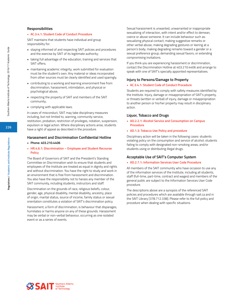#### **Responsibilities**

#### **• AC.3.4.1: Student Code of Conduct Procedure**

SAIT maintains that students have individual and group responsibility for:

- staying informed of and respecting SAIT policies and procedures and the exercise by SAIT of its legitimate authority;
- taking full advantage of the education, training and services that SAIT offers;
- maintaining academic integrity; work submitted for evaluation must be the student's own. Any material or ideas incorporated from other sources must be clearly identified and used sparingly.
- contributing to a working and learning environment free from discrimination, harassment, intimidation, and physical or psychological abuse;
- respecting the property of SAIT and members of the SAIT community;
- complying with applicable laws.

In cases of misconduct, SAIT may take disciplinary measures including, but not limited to, warning, community service, restitution, probation, restriction of privileges, notation, suspension, expulsion or legal action. Where disciplinary actions arise, students have a right of appeal as described in the procedure.

#### **Harassment and Discrimination Confidential Hotline**

**• Phone: 403.210.4406**

#### **• HR.4.6.1: Discrimination – Employee and Student Recourse Policy**

The Board of Governors of SAIT and the President's Standing Committee on Discrimination wish to ensure that students and employees of the Institute are treated as equal in dignity and rights and without discrimination. You have the right to study and work in an environment that is free from harassment and discrimination. You also have the responsibility not to harass any member of the SAIT community, including students, instructors and staff.

Discrimination on the grounds of race, religious beliefs, colour, gender, age, physical disability, mental disability, ancestry, place of origin, marital status, source of income, family status or sexual orientation constitutes a violation of SAIT's discrimination policy.

Harassment, a form of discrimination, is behaviour that disparages, humiliates or harms anyone on any of these grounds. Harassment may be verbal or non-verbal behaviour, occurring as one isolated event or as a series of events.

Sexual harassment is unwanted, unwarranted or inappropriate sexualizing of interaction, with intent and/or effect to demean, coerce or abuse someone. It can include behaviour such as: sexualizing physical contact; making suggestive remarks or other verbal abuse; making degrading gestures or leering at a person's body; making degrading remarks toward a gender or a sexual preference group; demanding sexual favors; or extending compromising invitations.

If you think you are experiencing harassment or discrimination, contact the Discrimination Hotline at 403.210.4406 and arrange to speak with one of SAIT's specially appointed representatives.

#### **Injury to Persons/Damage to Property**

#### **• AC.3.4.1: Student Code of Conduct Procedure**

Students are required to comply with safety measures identified by the Institute. Injury, damage or misappropriation of SAIT's property, or threats (written or verbal) of injury, damage or misappropriation to another person or his/her property may result in disciplinary action.

#### **Liquor, Tobacco and Drugs**

**• AD.2.2.1: Alcohol Service and Consumption on Campus Procedure**

#### **• AD.1.3: Tobacco Use Policy and procedure**

Disciplinary action will be taken in the following cases: students violating policy on the consumption and service of alcohol; students failing to comply with designated non-smoking areas; and/or students using or distributing illegal drugs.

#### **Acceptable Use of SAIT's Computer System**

#### **• AD.2.7.1: Information Services User Code Procedure**

All members of the SAIT community who have occasion to use any of the information services of the Institute, including all students, staff (full-time, part-time, contract and wages) and members of the general public are subject to the Information Services User Code procedure.

The descriptions above are a synopsis of the referenced SAIT policies and procedures which are available through sait.ca and in the SAIT Library [378.712.338]. Please refer to the full policy and procedure when dealing with specific situations.

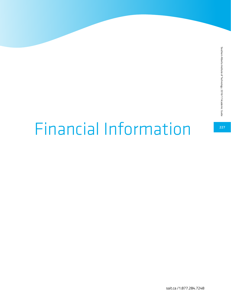# Financial Information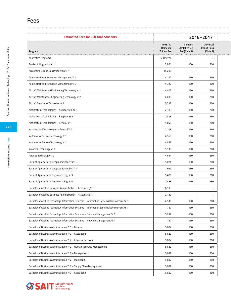# **Fees**

| <b>Estimated Fees for Full Time Students</b>                                              |                     | 2016-2017                |                                  |  |
|-------------------------------------------------------------------------------------------|---------------------|--------------------------|----------------------------------|--|
|                                                                                           | 2016/17<br>Domestic | Campus<br>Athletic/Rec   | Universal<br><b>Transit Pass</b> |  |
| Program                                                                                   | <b>Tuition Fee</b>  | Fee (Note 3)             | (Note 3)                         |  |
| Apprentice Programs                                                                       | \$98/week           | $\overline{\phantom{a}}$ | $\overline{\phantom{a}}$         |  |
| Academic Upgrading Yr 1                                                                   | 2,881               | 160                      | 260                              |  |
| Accounting Oil and Gas Production Yr 1                                                    | 14,200              | $\overline{\phantom{0}}$ | $\overline{\phantom{a}}$         |  |
| Administrative Information Management Yr 1                                                | 4,122               | 160                      | 260                              |  |
| Administrative Information Management Yr 2                                                | 4,328               | 160                      | 260                              |  |
| Aircraft Maintenance Engineering Technology Yr 1                                          | 4,405               | 160                      | 260                              |  |
| Aircraft Maintenance Engineering Technology Yr 2                                          | 4,405               | 160                      | 260                              |  |
| Aircraft Structures Technician Yr 1                                                       | 5,798               | 160                      | 260                              |  |
| Architectural Technologies - Architectural Yr 2                                           | 2,313               | 160                      | 260                              |  |
| Architectural Technologies - Bldg Dev Yr 2                                                | 2,313               | 160                      | 260                              |  |
| Architectural Technologies - General Yr 1                                                 | 5,046               | 160                      | 260                              |  |
| Architectural Technologies - General Yr 2                                                 | 2,103               | 160                      | 260                              |  |
| Automotive Service Technology Yr 1                                                        | 4,569               | 160                      | 260                              |  |
| Automotive Service Technology Yr 2                                                        | 4,569               | 160                      | 260                              |  |
| Avionics Technology Yr 1                                                                  | 5,130               | 160                      | 260                              |  |
| Avionics Technology Yr 2                                                                  | 4,664               | 160                      | 260                              |  |
| Bach. of Applied Tech. Geographic Info Sys Yr 3                                           | 5,074               | 160                      | 260                              |  |
| Bach. of Applied Tech. Geographic Info Sys Yr 4                                           | 969                 | 160                      | 260                              |  |
| Bach. of Applied Tech. Petroleum Eng. Yr 3                                                | 5,489               | 160                      | 260                              |  |
| Bach. of Applied Tech. Petroleum Eng. Yr 4                                                | 1,463               | 160                      | 260                              |  |
| Bachelor of Applied Business Administration - Accounting Yr 3                             | 6,113               | $\overline{\phantom{a}}$ | $\overline{\phantom{a}}$         |  |
| Bachelor of Applied Business Administration - Accounting Yr 4                             | 2,139               | $\overline{\phantom{a}}$ | $\overline{\phantom{m}}$         |  |
| Bachelor of Applied Technology Information Systems - Information Systems Development Yr 3 | 4,536               | 160                      | 260                              |  |
| Bachelor of Applied Technology Information Systems - Information Systems Development Yr 4 | 767                 | 160                      | 260                              |  |
| Bachelor of Applied Technology Information Systems - Network Management Yr 3              | 5,292               | 160                      | 260                              |  |
| Bachelor of Applied Technology Information Systems - Network Management Yr 4              | 767                 | 160                      | 260                              |  |
| Bachelor of Business Administration Yr 1 - General                                        | 5,682               | 160                      | 260                              |  |
| Bachelor of Business Administration Yr 2 - Accounting                                     | 5,682               | 160                      | 260                              |  |
| Bachelor of Business Administration Yr 2 - Financial Services                             | 5,682               | 160                      | 260                              |  |
| Bachelor of Business Administration Yr 2 - Human Resource Management                      | 5,682               | 160                      | 260                              |  |
| Bachelor of Business Administration Yr 2 - Management                                     | 5,682               | 160                      | 260                              |  |
| Bachelor of Business Administration Yr 2 - Marketing                                      | 5,682               | 160                      | 260                              |  |
|                                                                                           |                     |                          |                                  |  |
| Bachelor of Business Administration Yr 2 - Supply Chain Management                        | 5,682               | 160                      | 260                              |  |
| Bachelor of Business Administration Yr 3 - Accounting                                     | 5,682               | 160                      | 260                              |  |

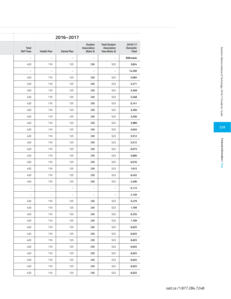|                                     |                                                      |                                    | 2016-2017                |                    |                                  |
|-------------------------------------|------------------------------------------------------|------------------------------------|--------------------------|--------------------|----------------------------------|
| 2016/17<br>Domestic<br><b>Total</b> | <b>Total Student</b><br>Association<br>Fees (Note 3) | Student<br>Association<br>(Note 3) | Dental Plan              | <b>Health Plan</b> | <b>Total</b><br><b>SAIT Fees</b> |
| \$98/week                           | $\equiv$                                             | $\sim$                             | $-$                      | $\sim$             | $\overline{\phantom{a}}$         |
| 3,824                               | 523                                                  | 288                                | 125                      | 110                | 420                              |
| 14,200                              | $\overline{\phantom{a}}$                             | $\sim$                             | $\overline{\phantom{a}}$ | $\sim$             | $\sim$                           |
| 5,065                               | 523                                                  | 288                                | 125                      | 110                | 420                              |
| 5,271                               | 523                                                  | 288                                | 125                      | 110                | 420                              |
| 5,348                               | 523                                                  | 288                                | 125                      | 110                | 420                              |
| 5,348                               | 523                                                  | 288                                | 125                      | 110                | 420                              |
| 6,741                               | 523                                                  | 288                                | 125                      | 110                | 420                              |
| 3,256                               | 523                                                  | 288                                | 125                      | 110                | 420                              |
| 3,256                               | 523                                                  | 288                                | 125                      | 110                | 420                              |
| 5,989                               | 523                                                  | 288                                | 125                      | 110                | 420                              |
| 3,045                               | 523                                                  | 288                                | 125                      | 110                | 420                              |
| 5,512                               | 523                                                  | 288                                | 125                      | 110                | 420                              |
| 5,512                               | 523                                                  | 288                                | 125                      | 110                | 420                              |
| 6,073                               | 523                                                  | 288                                | 125                      | 110                | 420                              |
| 5,606                               | 523                                                  | 288                                | 125                      | 110                | 420                              |
| 6,016                               | 523                                                  | 288                                | 125                      | 110                | 420                              |
| 1,912                               | 523                                                  | 288                                | 125                      | 110                | 420                              |
| 6,432                               | 523                                                  | 288                                | 125                      | 110                | 420                              |
| 2,406                               | 523                                                  | 288                                | 125                      | 110                | 420                              |
| 6,113                               | $\overline{\phantom{a}}$                             | $\sim$                             | $-$                      | $\sim$             | $\overline{\phantom{a}}$         |
| 2,139                               | $\sim$                                               | $\sim$                             | $\sim$                   | $\sim$             | $\sim$                           |
| 5,479                               | 523                                                  | 288                                | 125                      | 110                | 420                              |
| 1,709                               | 523                                                  | 288                                | 125                      | 110                | 420                              |
| 6,235                               | 523                                                  | 288                                | 125                      | 110                | 420                              |
| 1,709                               | 523                                                  | 288                                | 125                      | 110                | 420                              |
| 6,625                               | 523                                                  | 288                                | 125                      | 110                | 420                              |
| 6,625                               | 523                                                  | 288                                | 125                      | 110                | 420                              |
| 6,625                               | 523                                                  | 288                                | 125                      | 110                | 420                              |
| 6,625                               | 523                                                  | 288                                | 125                      | 110                | 420                              |
| 6,625                               | 523                                                  | 288                                | 125                      | 110                | 420                              |
| 6,625                               | 523                                                  | 288                                | 125                      | 110                | 420                              |
| 6,625                               | 523                                                  | 288                                | 125                      | 110                | 420                              |
| 6,625                               | 523                                                  | 288                                | 125                      | 110                | 420                              |
|                                     |                                                      |                                    |                          |                    |                                  |

Financial Information / Fees **Financial Information / Fees**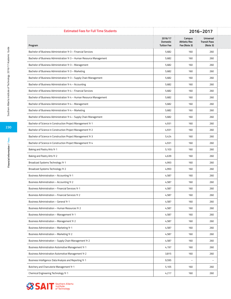| <b>Estimated Fees for Full Time Students</b>                         | 2016-2017           |                          |                                  |  |
|----------------------------------------------------------------------|---------------------|--------------------------|----------------------------------|--|
|                                                                      | 2016/17<br>Domestic | Campus<br>Athletic/Rec   | Universal<br><b>Transit Pass</b> |  |
| Program                                                              | <b>Tuition Fee</b>  | Fee (Note 3)             | (Note 3)                         |  |
| Bachelor of Business Administration Yr 3 - Financial Services        | 5,682               | 160                      | 260                              |  |
| Bachelor of Business Administration Yr 3 - Human Resource Management | 5,682               | 160                      | 260                              |  |
| Bachelor of Business Administration Yr 3 - Management                | 5,682               | 160                      | 260                              |  |
| Bachelor of Business Administration Yr 3 - Marketing                 | 5,682               | 160                      | 260                              |  |
| Bachelor of Business Administration Yr 3 - Supply Chain Management   | 5,682               | 160                      | 260                              |  |
| Bachelor of Business Administration Yr 4 - Accounting                | 5,682               | 160                      | 260                              |  |
| Bachelor of Business Administration Yr 4 - Financial Services        | 5,682               | 160                      | 260                              |  |
| Bachelor of Business Administration Yr 4 - Human Resource Management | 5,682               | 160                      | 260                              |  |
| Bachelor of Business Administration Yr 4 - Management                | 5,682               | 160                      | 260                              |  |
| Bachelor of Business Administration Yr 4 - Marketing                 | 5,682               | 160                      | 260                              |  |
| Bachelor of Business Administration Yr 4 - Supply Chain Management   | 5,682               | 160                      | 260                              |  |
| Bachelor of Science in Construction Project Management Yr 1          | 4,931               | 160                      | 260                              |  |
| Bachelor of Science in Construction Project Management Yr 2          | 4,931               | 160                      | 260                              |  |
| Bachelor of Science in Construction Project Management Yr 3          | 5,424               | 160                      | 260                              |  |
| Bachelor of Science in Construction Project Management Yr 4          | 4,931               | 160                      | 260                              |  |
| Baking and Pastry Arts Yr 1                                          | 5,103               | 160                      | 260                              |  |
| Baking and Pastry Arts Yr 2                                          | 4,639               | 160                      | 260                              |  |
| Broadcast Systems Technology Yr 1                                    | 4,993               | 160                      | 260                              |  |
| Broadcast Systems Technology Yr 2                                    | 4,993               | 160                      | 260                              |  |
| Business Administration - Accounting Yr 1                            | 4,587               | 160                      | 260                              |  |
| Business Administration - Accounting Yr 2                            | 4,587               | 160                      | 260                              |  |
| Business Administration - Financial Services Yr 1                    | 4,587               | 160                      | 260                              |  |
| Business Administration - Financial Services Yr 2                    | 4,587               | 160                      | 260                              |  |
| Business Administration - General Yr 1                               | 4,587               | 160                      | 260                              |  |
| Business Administration - Human Resources Yr 2                       | 4,587               | 160                      | 260                              |  |
| Business Administration - Management Yr 1                            | 4,587               | 160                      | 260                              |  |
| Business Administration - Management Yr 2                            | 4,587               | 160                      | 260                              |  |
| Business Administration - Marketing Yr 1                             | 4,587               | 160                      | 260                              |  |
| Business Administration - Marketing Yr 2                             | 4,587               | 160                      | 260                              |  |
| Business Administration - Supply Chain Management Yr 2               | 4,587               | 160                      | 260                              |  |
| Business Administration Automotive Management Yr 1                   | 4,197               | 160                      | 260                              |  |
| Business Administration Automotive Management Yr 2                   | 3,815               | 160                      | 260                              |  |
| Business Intelligence: Data Analysis and Reporting Yr 1              | 9,595               | $\overline{\phantom{m}}$ | $\overline{\phantom{a}}$         |  |
|                                                                      |                     |                          |                                  |  |
| Butchery and Charcuterie Management Yr 1                             | 5,105               | 160                      | 260                              |  |
| Chemical Engineering Technology Yr 1                                 | 4,217               | 160                      | 260                              |  |



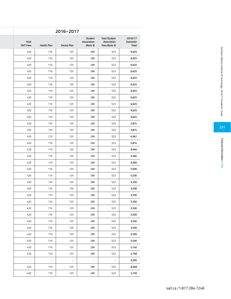|                                     |                                                      |                                    | 2016-2017   |                    |                                  |
|-------------------------------------|------------------------------------------------------|------------------------------------|-------------|--------------------|----------------------------------|
| 2016/17<br>Domestic<br><b>Total</b> | <b>Total Student</b><br>Association<br>Fees (Note 3) | Student<br>Association<br>(Note 3) | Dental Plan | <b>Health Plan</b> | <b>Total</b><br><b>SAIT Fees</b> |
| 523<br>6,625                        |                                                      | 288                                | 125         | 110                | 420                              |
| 523<br>6,625                        |                                                      | 288                                | 125         | 110                | 420                              |
| 523<br>6,625                        |                                                      | 288                                | 125         | 110                | 420                              |
| 523<br>6,625                        |                                                      | 288                                | 125         | 110                | 420                              |
| 523<br>6,625                        |                                                      | 288                                | 125         | 110                | 420                              |
| 523<br>6,625                        |                                                      | 288                                | 125         | 110                | 420                              |
| 523<br>6,625                        |                                                      | 288                                | 125         | 110                | 420                              |
| 523<br>6,625                        |                                                      | 288                                | 125         | 110                | 420                              |
| 523<br>6,625                        |                                                      | 288                                | 125         | 110                | 420                              |
| 523<br>6,625                        |                                                      | 288                                | 125         | 110                | 420                              |
| 6,625<br>523                        |                                                      | 288                                | 125         | 110                | 420                              |
| 523<br>5,874                        |                                                      | 288                                | 125         | 110                | 420                              |
| 523<br>5,874                        |                                                      | 288                                | 125         | 110                | 420                              |
| 523<br>6,367                        |                                                      | 288                                | 125         | 110                | 420                              |
| 523<br>5,874                        |                                                      | 288                                | 125         | 110                | 420                              |
| 523<br>6,046                        |                                                      | 288                                | 125         | 110                | 420                              |
| 523<br>5,582                        |                                                      | 288                                | 125         | 110                | 420                              |
| 523<br>5,936                        |                                                      | 288                                | 125         | 110                | 420                              |
| 523<br>5,936                        |                                                      | 288                                | 125         | 110                | 420                              |
| 523<br>5,530                        |                                                      | 288                                | 125         | 110                | 420                              |
| 523<br>5,530                        |                                                      | 288                                | 125         | 110                | 420                              |
| 523<br>5,530                        |                                                      | 288                                | 125         | 110                | 420                              |
| 523<br>5,530                        |                                                      | 288                                | 125         | 110                | 420                              |
| 523<br>5,530                        |                                                      | 288                                | 125         | 110                | 420                              |
| 523<br>5,530                        |                                                      | 288                                | 125         | 110                | 420                              |
| 523<br>5,530                        |                                                      | 288                                | 125         | 110                | 420                              |
| 523<br>5,530                        |                                                      | 288                                | 125         | 110                | 420                              |
| 523<br>5,530                        |                                                      | 288                                | 125         | 110                | 420                              |
| 523<br>5,530                        |                                                      | 288                                | 125         | 110                | 420                              |
| 523<br>5,530                        |                                                      | 288                                | 125         | 110                | 420                              |
| 523<br>5,140                        |                                                      | 288                                | 125         | 110                | 420                              |
| 4,758<br>523                        |                                                      | 288                                | 125         | 110                | 420                              |
| 9,595<br>$\equiv$                   |                                                      | $\sim$                             | $\equiv$    | $\equiv$           | $\sim$                           |
| 523<br>6,048                        |                                                      | 288                                | 125         | 110                | 420                              |
| 523<br>5,159                        |                                                      | 288                                | 125         | 110                | 420                              |
|                                     |                                                      |                                    |             |                    |                                  |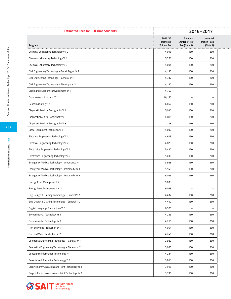| <b>Estimated Fees for Full Time Students</b>     | 2016-2017           |                          |                                  |  |
|--------------------------------------------------|---------------------|--------------------------|----------------------------------|--|
|                                                  | 2016/17<br>Domestic | Campus<br>Athletic/Rec   | Universal<br><b>Transit Pass</b> |  |
| Program                                          | <b>Tuition Fee</b>  | Fee (Note 3)             | (Note 3)                         |  |
| Chemical Engineering Technology Yr 2             | 4,016               | 160                      | 260                              |  |
| Chemical Laboratory Technology Yr 1              | 5,254               | 160                      | 260                              |  |
| Chemical Laboratory Technology Yr 2              | 5,004               | 160                      | 260                              |  |
| Civil Engineering Technology - Const. Mgmt Yr 2  | 4,130               | 160                      | 260                              |  |
| Civil Engineering Technology - General Yr 1      | 4,337               | 160                      | 260                              |  |
| Civil Engineering Technology - Municipal Yr 2    | 4,130               | 160                      | 260                              |  |
| Community Economic Development Yr 1              | 4,752               | $\overline{\phantom{m}}$ |                                  |  |
| Database Administrator Yr 1                      | 16,160              | $-$                      | $\overline{\phantom{a}}$         |  |
| Dental Assisting Yr 1                            | 6,052               | 160                      | 260                              |  |
| Diagnostic Medical Sonography Yr 1               | 5,094               | 160                      | 260                              |  |
| Diagnostic Medical Sonography Yr 2               | 4,881               | 160                      | 260                              |  |
| Diagnostic Medical Sonography Yr 3               | 1,273               | 160                      | 260                              |  |
| Diesel Equipment Technician Yr 1                 | 5,092               | 160                      | 260                              |  |
| Electrical Engineering Technology Yr 1           | 4,613               | 160                      | 260                              |  |
| Electrical Engineering Technology Yr 2           | 4,823               | 160                      | 260                              |  |
| Electronics Engineering Technology Yr 1          | 5,490               | 160                      | 260                              |  |
| Electronics Engineering Technology Yr 2          | 5,490               | 160                      | 260                              |  |
| Emergency Medical Technology - Ambulance Yr 1    | 3,928               | 160                      | 260                              |  |
| Emergency Medical Technology - Paramedic Yr 1    | 5,945               | 160                      | 260                              |  |
| Emergency Medical Technology - Paramedic Yr 2    | 5,096               | 160                      | 260                              |  |
| Energy Asset Management Yr 1                     | 9,033               | $\qquad \qquad -$        | $\qquad \qquad -$                |  |
| Energy Asset Management Yr 2                     | 9,033               | $\overline{\phantom{m}}$ | $\overline{\phantom{a}}$         |  |
| Eng. Design & Drafting Technology - General Yr 1 | 4,492               | 160                      | 260                              |  |
| Eng. Design & Drafting Technology - General Yr 2 | 4,492               | 160                      | 260                              |  |
| English Language Foundations Yr 1                | 6,570               | $\overline{\phantom{a}}$ | $\overline{\phantom{a}}$         |  |
| Environmental Technology Yr 1                    | 4,255               | 160                      | 260                              |  |
| Environmental Technology Yr 2                    | 4,255               | 160                      | 260                              |  |
| Film and Video Production Yr 1                   | 4,044               | 160                      | 260                              |  |
| Film and Video Production Yr 2                   | 4,246               | 160                      | 260                              |  |
| Geomatics Engineering Technology - General Yr 1  | 3,980               | 160                      | 260                              |  |
| Geomatics Engineering Technology - General Yr 2  | 3,980               | 160                      | 260                              |  |
|                                                  |                     | 160                      |                                  |  |
| Geoscience Information Technology Yr 1           | 4,234               |                          | 260                              |  |
| Geoscience Information Technology Yr 2           | 3,811               | 160                      | 260                              |  |
| Graphic Communications and Print Technology Yr 1 | 3,916               | 160                      | 260                              |  |
| Graphic Communications and Print Technology Yr 2 | 3,730               | 160                      | 260                              |  |



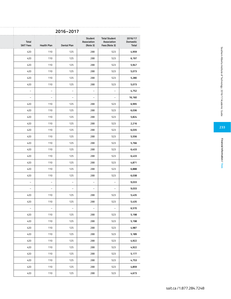|                              |                                                      |                                    | 2016-2017                |                          |                                  |
|------------------------------|------------------------------------------------------|------------------------------------|--------------------------|--------------------------|----------------------------------|
| 2016/17<br>Domestic<br>Total | <b>Total Student</b><br>Association<br>Fees (Note 3) | Student<br>Association<br>(Note 3) | Dental Plan              | <b>Health Plan</b>       | <b>Total</b><br><b>SAIT Fees</b> |
| 4,959                        | 523                                                  | 288                                | 125                      | 110                      | 420                              |
| 6,197                        | 523                                                  | 288                                | 125                      | 110                      | 420                              |
| 5,947                        | 523                                                  | 288                                | 125                      | 110                      | 420                              |
| 5,073                        | 523                                                  | 288                                | 125                      | 110                      | 420                              |
| 5,280                        | 523                                                  | 288                                | 125                      | 110                      | 420                              |
| 5,073                        | 523                                                  | 288                                | 125                      | 110                      | 420                              |
| 4,752                        | $\sim$                                               | $\equiv$                           | $\overline{\phantom{a}}$ | $\equiv$                 | $\sim$                           |
| 16,160                       | $\sim$                                               | $\sim$                             | $\sim$                   | $\overline{\phantom{a}}$ | $\overline{\phantom{a}}$         |
| 6,995                        | 523                                                  | 288                                | 125                      | 110                      | 420                              |
| 6,036                        | 523                                                  | 288                                | 125                      | 110                      | 420                              |
| 5,824                        | 523                                                  | 288                                | 125                      | 110                      | 420                              |
| 2,216                        | 523                                                  | 288                                | 125                      | 110                      | 420                              |
| 6,035                        | 523                                                  | 288                                | 125                      | 110                      | 420                              |
| 5,556                        | 523                                                  | 288                                | 125                      | 110                      | 420                              |
| 5,766                        | 523                                                  | 288                                | 125                      | 110                      | 420                              |
| 6,433                        | 523                                                  | 288                                | 125                      | 110                      | 420                              |
| 6,433                        | 523                                                  | 288                                | 125                      | 110                      | 420                              |
| 4,871                        | 523                                                  | 288                                | 125                      | 110                      | 420                              |
| 6,888                        | 523                                                  | 288                                | 125                      | 110                      | 420                              |
| 6,038                        | 523                                                  | 288                                | 125                      | 110                      | 420                              |
| 9,033                        | $\equiv$                                             | $\equiv$                           | $\equiv$                 | $\overline{\phantom{a}}$ | $\sim$                           |
| 9,033                        | $\sim$                                               | $\sim$                             | $\sim$                   | $ \,$                    | $\overline{\phantom{a}}$         |
| 5,435                        | 523                                                  | 288                                | 125                      | 110                      | 420                              |
| 5,435                        | 523                                                  | 288                                | 125                      | 110                      | 420                              |
| 6,570                        | $\equiv$                                             | $\sim$                             | $\equiv$                 | $\equiv$                 | $\sim$                           |
| 5,198                        | 523                                                  | 288                                | 125                      | 110                      | 420                              |
| 5,198                        | 523                                                  | 288                                | 125                      | 110                      | 420                              |
| 4,987                        | 523                                                  | 288                                | 125                      | 110                      | 420                              |
| 5,189                        | 523                                                  | 288                                | 125                      | 110                      | 420                              |
| 4,922                        | 523                                                  | 288                                | 125                      | 110                      | 420                              |
| 4,922                        | 523                                                  | 288                                | 125                      | 110                      | 420                              |
| 5,177                        | 523                                                  | 288                                | 125                      | 110                      | 420                              |
| 4,753                        | 523                                                  | 288                                | 125                      | 110                      | 420                              |
| 4,859                        | 523                                                  | 288                                | 125                      | 110                      | 420                              |
| 4,673                        | 523                                                  | 288                                | 125                      | 110                      | 420                              |
|                              |                                                      |                                    |                          |                          |                                  |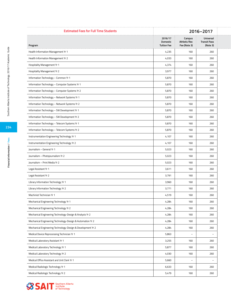| <b>Estimated Fees for Full Time Students</b>                | 2016-2017                                 |                                        |                                              |  |
|-------------------------------------------------------------|-------------------------------------------|----------------------------------------|----------------------------------------------|--|
|                                                             | 2016/17<br>Domestic<br><b>Tuition Fee</b> | Campus<br>Athletic/Rec<br>Fee (Note 3) | Universal<br><b>Transit Pass</b><br>(Note 3) |  |
| Program<br>Health Information Management Yr 1               | 4,235                                     | 160                                    | 260                                          |  |
|                                                             |                                           |                                        |                                              |  |
| Health Information Management Yr 2                          | 4,033                                     | 160                                    | 260                                          |  |
| Hospitality Management Yr 1                                 | 4,374                                     | 160                                    | 260                                          |  |
| Hospitality Management Yr 2                                 | 3,977                                     | 160                                    | 260                                          |  |
| Information Technology - Common Yr 1                        | 5,870                                     | 160                                    | 260                                          |  |
| Information Technology - Computer Systems Yr 1              | 5,870                                     | 160                                    | 260                                          |  |
| Information Technology - Computer Systems Yr 2              | 5,870                                     | 160                                    | 260                                          |  |
| Information Technology - Network Systems Yr 1               | 5,870                                     | 160                                    | 260                                          |  |
| Information Technology - Network Systems Yr 2               | 5,870                                     | 160                                    | 260                                          |  |
| Information Technology - SW Development Yr 1                | 5,870                                     | 160                                    | 260                                          |  |
| Information Technology - SW Development Yr 2                | 5,870                                     | 160                                    | 260                                          |  |
| Information Technology - Telecom Systems Yr 1               | 5,870                                     | 160                                    | 260                                          |  |
| Information Technology - Telecom Systems Yr 2               | 5,870                                     | 160                                    | 260                                          |  |
| Instrumentation Engineering Technology Yr 1                 | 4,107                                     | 160                                    | 260                                          |  |
| Instrumentation Engineering Technology Yr 2                 | 4,107                                     | 160                                    | 260                                          |  |
| Journalism - General Yr 1                                   | 5,023                                     | 160                                    | 260                                          |  |
| Journalism - Photojournalism Yr 2                           | 5,023                                     | 160                                    | 260                                          |  |
| Journalism - Print Media Yr 2                               | 5,023                                     | 160                                    | 260                                          |  |
| Legal Assistant Yr 1                                        | 3,611                                     | 160                                    | 260                                          |  |
| Legal Assistant Yr 2                                        | 3,791                                     | 160                                    | 260                                          |  |
| Library Information Technology Yr 1                         | 3,960                                     | 160                                    | 260                                          |  |
| Library Information Technology Yr 2                         | 3,771                                     | 160                                    | 260                                          |  |
| Machinist Technician Yr 1                                   | 4,519                                     | 160                                    | 260                                          |  |
| Mechanical Engineering Technology Yr 1                      | 4,284                                     | 160                                    | 260                                          |  |
| Mechanical Engineering Technology Yr 2                      | 4,284                                     | 160                                    | 260                                          |  |
| Mechanical Engineering Technology-Design & Analysis Yr 2    | 4,284                                     | 160                                    | 260                                          |  |
| Mechanical Engineering Technology-Design & Automation Yr 2  | 4,284                                     | 160                                    | 260                                          |  |
| Mechanical Engineering Technology-Design & Development Yr 2 | 4,284                                     | 160                                    | 260                                          |  |
| Medical Device Reprocessing Technician Yr 1                 | 5,863                                     | $\overline{\phantom{a}}$               | $\overline{\phantom{0}}$                     |  |
|                                                             |                                           |                                        |                                              |  |
| Medical Laboratory Assistant Yr 1                           | 3,255                                     | 160                                    | 260                                          |  |
| Medical Laboratory Technology Yr 1                          | 5,877                                     | 160                                    | 260                                          |  |
| Medical Laboratory Technology Yr 2                          | 4,030                                     | 160                                    | 260                                          |  |
| Medical Office Assistant and Unit Clerk Yr 1                | 5,660                                     | $\overline{\phantom{a}}$               | $\overline{\phantom{a}}$                     |  |
| Medical Radiologic Technology Yr 1                          | 6,633                                     | 160                                    | 260                                          |  |
| Medical Radiologic Technology Yr 2                          | 5,479                                     | 160                                    | 260                                          |  |

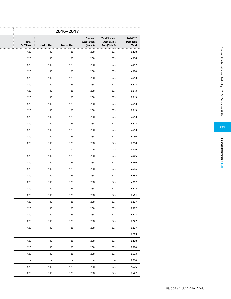|                    |  | 2016-2017   |                                    |                                                      |                                     |
|--------------------|--|-------------|------------------------------------|------------------------------------------------------|-------------------------------------|
| <b>Health Plan</b> |  | Dental Plan | Student<br>Association<br>(Note 3) | <b>Total Student</b><br>Association<br>Fees (Note 3) | 2016/17<br>Domestic<br><b>Total</b> |
| 110                |  | 125         | 288                                | 523                                                  | 5,178                               |
| 110                |  | 125         | 288                                | 523                                                  | 4,976                               |
| 110                |  | 125         | 288                                | 523                                                  | 5,317                               |
| 110                |  | 125         | 288                                | 523                                                  | 4,920                               |
| 110                |  | 125         | 288                                | 523                                                  | 6,813                               |
| 110                |  | 125         | 288                                | 523                                                  | 6,813                               |
| 110                |  | 125         | 288                                | 523                                                  | 6,813                               |
| 110                |  | 125         | 288                                | 523                                                  | 6,813                               |
| 110                |  | 125         | 288                                | 523                                                  | 6,813                               |
| 110                |  | 125         | 288                                | 523                                                  | 6,813                               |
| 110                |  | 125         | 288                                | 523                                                  | 6,813                               |
| 110                |  | 125         | 288                                | 523                                                  | 6,813                               |
| 110                |  | 125         | 288                                | 523                                                  | 6,813                               |
| 110                |  | 125         | 288                                | 523                                                  | 5,050                               |
| 110                |  | 125         | 288                                | 523                                                  | 5,050                               |
| 110                |  | 125         | 288                                | 523                                                  | 5,966                               |
| 110                |  | 125         | 288                                | 523                                                  | 5,966                               |
| 110                |  | 125         | 288                                | 523                                                  | 5,966                               |
| 110                |  | 125         | 288                                | 523                                                  | 4,554                               |
| 110                |  | 125         | 288                                | 523                                                  | 4,734                               |
| 110                |  | 125         | 288                                | 523                                                  | 4,902                               |
| 110                |  | 125         | 288                                | 523                                                  | 4,714                               |
| 110                |  | 125         | 288                                | 523                                                  | 5,461                               |
| 110                |  | 125         | 288                                | 523                                                  | 5,227                               |
| 110                |  | 125         | 288                                | 523                                                  | 5,227                               |
| 110                |  | 125         | 288                                | 523                                                  | 5,227                               |
| 110                |  | 125         | 288                                | 523                                                  | 5,227                               |
| 110                |  | 125         | 288                                | 523                                                  | 5,227                               |
| $\equiv$           |  | $\equiv$    | $\sim$                             | $\equiv$                                             | 5,863                               |
| 110                |  | 125         | 288                                | 523                                                  | 4,198                               |
| 110                |  | 125         | 288                                | 523                                                  | 6,820                               |
| 110                |  | 125         | 288                                | 523                                                  | 4,973                               |
| $\sim$             |  | $\equiv$    | $\sim$                             | $\equiv$                                             | 5,660                               |
| 110                |  | 125         | 288                                | 523                                                  | 7,576                               |
| 110                |  | 125         | 288                                | 523                                                  | 6,422                               |
|                    |  |             |                                    |                                                      |                                     |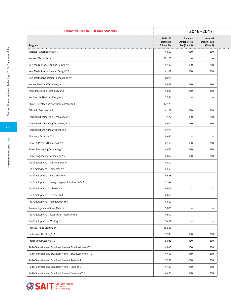| <b>Estimated Fees for Full Time Students</b>              | 2016-2017           |                                        |                                  |  |
|-----------------------------------------------------------|---------------------|----------------------------------------|----------------------------------|--|
|                                                           | 2016/17<br>Domestic | Campus<br>Athletic/Rec<br>Fee (Note 3) | Universal<br><b>Transit Pass</b> |  |
| Program                                                   | <b>Tuition Fee</b>  |                                        | (Note 3)                         |  |
| Medical Transcriptionist Yr 1                             | 4,609               | 160                                    | 260                              |  |
| Network Technician Yr 1                                   | 12,120              | $\overline{\phantom{m}}$               | $\overline{\phantom{0}}$         |  |
| New Media Production and Design Yr 1                      | 4,102               | 160                                    | 260                              |  |
| New Media Production and Design Yr 2                      | 4,102               | 160                                    | 260                              |  |
| Non-Destructive Testing Foundations Yr 1                  | 8,070               | $\qquad \qquad -$                      |                                  |  |
| Nuclear Medicine Technology Yr 1                          | 5,979               | 160                                    | 260                              |  |
| Nuclear Medicine Technology Yr 2                          | 4,829               | 160                                    | 260                              |  |
| Nutrition for Healthy Lifestyles Yr 1                     | 7,534               | $\overline{\phantom{0}}$               | $\overline{\phantom{0}}$         |  |
| Object-Oriented Software Development Yr 1                 | 12,120              | $\overline{\phantom{a}}$               | $\overline{\phantom{a}}$         |  |
| Office Professional Yr 1                                  | 4,122               | 160                                    | 260                              |  |
| Petroleum Engineering Technology Yr 1                     | 3,977               | 160                                    | 260                              |  |
| Petroleum Engineering Technology Yr 2                     | 3,977               | 160                                    | 260                              |  |
| Petroleum Land Administration Yr 1                        | 4,975               | $\qquad \qquad -$                      |                                  |  |
| Pharmacy Assistant Yr 1                                   | 5,667               | $\overline{\phantom{a}}$               | $\overline{\phantom{0}}$         |  |
| Power & Process Operations Yr 1                           | 4,156               | 160                                    | 260                              |  |
| Power Engineering Technology Yr 1                         | 4,630               | 160                                    | 260                              |  |
| Power Engineering Technology Yr 2                         | 4,862               | 160                                    | 260                              |  |
| Pre-Employment - Cabinetmaker Yr 1                        | 4,300               | $\overline{\phantom{m}}$               | $\overline{\phantom{0}}$         |  |
| Pre-Employment - Carpenter Yr 1                           | 4,450               | $\overline{\phantom{a}}$               | $\overline{\phantom{a}}$         |  |
| Pre-Employment - Electrician Yr 1                         | 4,848               | $\overline{\phantom{0}}$               | $\overline{\phantom{0}}$         |  |
| Pre-Employment - Heavy Equipment Technician Yr 1          | 1,342               | $\qquad \qquad -$                      | $\overline{\phantom{m}}$         |  |
| Pre-Employment - Millwright Yr 1                          | 5,909               | $\overline{\phantom{0}}$               | $\overline{\phantom{0}}$         |  |
| Pre-Employment - Plumber Yr 1                             | 4,650               | $\overline{\phantom{a}}$               | $ \,$                            |  |
| Pre-Employment - Refrigeration Yr 1                       | 4,650               | $\overline{\phantom{0}}$               | $-$                              |  |
| Pre-employment - Sheet Metal Yr 1                         | 5,800               | $\qquad \qquad -$                      | $\overline{\phantom{a}}$         |  |
| Pre-Employment - Steamfitter-Pipefitter Yr 1              | 4,800               | $\overline{\phantom{0}}$               | $\overline{\phantom{0}}$         |  |
|                                                           |                     |                                        |                                  |  |
| Pre-Employment - Welding Yr 1                             | 5,454               | $\overline{\phantom{a}}$               | $\overline{\phantom{a}}$         |  |
| Process Piping Drafting Yr 1                              | 15,596              | $-$                                    | $\overline{\phantom{a}}$         |  |
| Professional Cooking Yr 1                                 | 5,539               | 160                                    | 260                              |  |
| Professional Cooking Yr 2                                 | 5,036               | 160                                    | 260                              |  |
| Radio Television and Broadcast News - Broadcast News Yr 1 | 4,843               | 160                                    | 260                              |  |
| Radio Television and Broadcast News - Broadcast News Yr 2 | 4,403               | 160                                    | 260                              |  |
| Radio Television and Broadcast News - Radio Yr 1          | 5,284               | 160                                    | 260                              |  |
| Radio Television and Broadcast News - Radio Yr 2          | 4,183               | 160                                    | 260                              |  |
| Radio Television and Broadcast News - Television Yr 1     | 4,403               | 160                                    | 260                              |  |

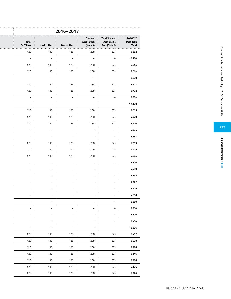|                              |                                                      |                                    | 2016-2017                |                          |                                  |
|------------------------------|------------------------------------------------------|------------------------------------|--------------------------|--------------------------|----------------------------------|
| 2016/17<br>Domestic<br>Total | <b>Total Student</b><br>Association<br>Fees (Note 3) | Student<br>Association<br>(Note 3) | Dental Plan              | <b>Health Plan</b>       | <b>Total</b><br><b>SAIT Fees</b> |
| 5,552                        | 523                                                  | 288                                | 125                      | 110                      | 420                              |
| 12,120                       | $\sim$                                               | $\sim$                             | $\equiv$                 | $\sim$                   | $\sim$                           |
| 5,044                        | 523                                                  | 288                                | 125                      | 110                      | 420                              |
| 5,044                        | 523                                                  | 288                                | 125                      | 110                      | 420                              |
| 8,070                        | $\sim$                                               | $\sim$                             | $\equiv$                 | $\equiv$                 | $\overline{\phantom{a}}$         |
| 6,921                        | 523                                                  | 288                                | 125                      | 110                      | 420                              |
| 5,772                        | 523                                                  | 288                                | 125                      | 110                      | 420                              |
| 7,534                        | $\sim$                                               | $\sim$                             | $\equiv$                 | $\overline{\phantom{a}}$ | $\hspace{0.1mm}-\hspace{0.1mm}$  |
| 12,120                       | $\sim$                                               | $\equiv$                           | $\overline{\phantom{a}}$ | $\overline{\phantom{a}}$ | $\sim$                           |
| 5,065                        | 523                                                  | 288                                | 125                      | 110                      | 420                              |
| 4,920                        | 523                                                  | 288                                | 125                      | 110                      | 420                              |
| 4,920                        | 523                                                  | 288                                | 125                      | 110                      | 420                              |
| 4,975                        | $\sim$                                               | $\hspace{0.1mm}-\hspace{0.1mm}$    | $\equiv$                 | $\overline{\phantom{a}}$ | $\sim$                           |
| 5,667                        | $\sim$                                               | $\sim$                             | $\sim$                   | $\sim$                   | $\sim$                           |
| 5,099                        | 523                                                  | 288                                | 125                      | 110                      | 420                              |
| 5,573                        | 523                                                  | 288                                | 125                      | 110                      | 420                              |
| 5,804                        | 523                                                  | 288                                | 125                      | 110                      | 420                              |
| 4,300                        | $\sim$                                               | $\sim$                             | $\sim$                   | $\overline{\phantom{a}}$ | $\sim$                           |
| 4,450                        | $\sim$                                               | $\equiv$                           | $\sim$                   | $\overline{\phantom{a}}$ | $\overline{\phantom{a}}$         |
| 4,848                        | $\sim$                                               | $\equiv$                           | $\sim$                   | $\equiv$                 | $\equiv$                         |
| 1,342                        | $\equiv$                                             | $\sim$                             | $\overline{\phantom{a}}$ | $\overline{\phantom{a}}$ | $\sim$                           |
| 5,909                        | $\sim$                                               | $\sim$                             | $\sim$                   | $\overline{\phantom{a}}$ | $\sim$                           |
| 4,650                        | $\sim$                                               | $\equiv$                           | $\sim$                   | $ \,$                    | $\overline{\phantom{a}}$         |
| 4,650                        | $\sim$                                               | $\sim$                             | $\sim$                   | $\equiv$                 | $\sim$                           |
| 5,800                        | $\sim$                                               | $\equiv$                           | $\sim$                   | $\equiv$                 | $\sim$                           |
| 4,800                        | $\sim$                                               | $\sim$                             | $\sim$                   | $\equiv$                 | $\sim$                           |
| 5,454                        | $\sim$                                               | $\equiv$                           | $\equiv$                 | $\equiv$                 | $\sim$                           |
| 15,596                       | $\sim$                                               | $\sim$                             | $\sim$                   | $\equiv$                 | $\sim$                           |
| 6,482                        | 523                                                  | 288                                | 125                      | 110                      | 420                              |
| 5,978                        | 523                                                  | 288                                | 125                      | 110                      | 420                              |
| 5,786                        | 523                                                  | 288                                | 125                      | 110                      | 420                              |
| 5,346                        | 523                                                  | 288                                | 125                      | 110                      | 420                              |
| 6,226                        | 523                                                  | 288                                | 125                      | 110                      | 420                              |
| 5,126                        | 523                                                  | 288                                | 125                      | 110                      | 420                              |
| 5,346                        | 523                                                  | 288                                | 125                      | 110                      | 420                              |
|                              |                                                      |                                    |                          |                          |                                  |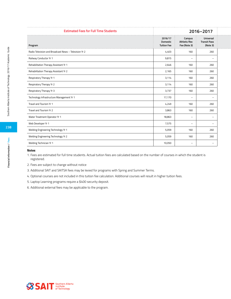| <b>Estimated Fees for Full Time Students</b>          | 2016-2017                                 |                                        |                                              |
|-------------------------------------------------------|-------------------------------------------|----------------------------------------|----------------------------------------------|
| Program                                               | 2016/17<br>Domestic<br><b>Tuition Fee</b> | Campus<br>Athletic/Rec<br>Fee (Note 3) | Universal<br><b>Transit Pass</b><br>(Note 3) |
| Radio Television and Broadcast News - Television Yr 2 | 4,403                                     | 160                                    | 260                                          |
| Railway Conductor Yr 1                                | 9,815                                     | $-$                                    | $\overline{\phantom{0}}$                     |
| Rehabilitation Therapy Assistant Yr 1                 | 2,646                                     | 160                                    | 260                                          |
| Rehabilitation Therapy Assistant Yr 2                 | 2,165                                     | 160                                    | 260                                          |
| Respiratory Therapy Yr 1                              | 3,114                                     | 160                                    | 260                                          |
| Respiratory Therapy Yr 2                              | 3,114                                     | 160                                    | 260                                          |
| Respiratory Therapy Yr 3                              | 3,737                                     | 160                                    | 260                                          |
| Technology Infrastructure Management Yr 1             | 17,170                                    | $-$                                    | $\overline{\phantom{0}}$                     |
| Travel and Tourism Yr 1                               | 4,249                                     | 160                                    | 260                                          |
| Travel and Tourism Yr 2                               | 3,863                                     | 160                                    | 260                                          |
| Water Treatment Operator Yr 1                         | 18,863                                    | $-$                                    | $-$                                          |
| Web Developer Yr 1                                    | 7,575                                     | $\overline{\phantom{0}}$               | $-$                                          |
| Welding Engineering Technology Yr 1                   | 5,059                                     | 160                                    | 260                                          |
| Welding Engineering Technology Yr 2                   | 5,059                                     | 160                                    | 260                                          |
| Welding Technician Yr 1                               | 10,050                                    | $-$                                    | $\overline{\phantom{a}}$                     |

#### **Notes**

- 1. Fees are estimated for full time students. Actual tuition fees are calculated based on the number of courses in which the student is registered.
- 2. Fees are subject to change without notice
- 3. Additional SAIT and SAITSA fees may be levied for programs with Spring and Summer Terms.
- 4. Optional courses are not included in this tuition fee calculation. Additional courses will result in higher tuition fees.
- 5. Laptop Learning programs require a \$400 security deposit.
- 6. Additional external fees may be applicable to the program.

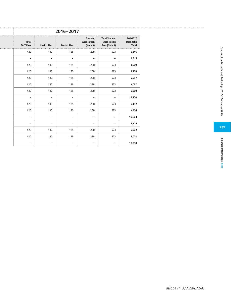|                                     |                                                      |                                    | 2016-2017          |                    |                                  |
|-------------------------------------|------------------------------------------------------|------------------------------------|--------------------|--------------------|----------------------------------|
| 2016/17<br>Domestic<br><b>Total</b> | <b>Total Student</b><br>Association<br>Fees (Note 3) | Student<br>Association<br>(Note 3) | <b>Dental Plan</b> | <b>Health Plan</b> | <b>Total</b><br><b>SAIT Fees</b> |
| 5,346                               | 523                                                  | 288                                | 125                | 110                | 420                              |
| 9,815                               | $\sim$                                               | $\sim$                             | $\sim$             | $\sim$             | $\sim$                           |
| 3,589                               | 523                                                  | 288                                | 125                | 110                | 420                              |
| 3,108                               | 523                                                  | 288                                | 125                | 110                | 420                              |
| 4,057                               | 523                                                  | 288                                | 125                | 110                | 420                              |
| 4,057                               | 523                                                  | 288                                | 125                | 110                | 420                              |
| 4,680                               | 523                                                  | 288                                | 125                | 110                | 420                              |
| 17,170                              | $\sim$                                               | $\sim$                             | $\overline{a}$     | $\sim$             | $ \,$                            |
| 5,192                               | 523                                                  | 288                                | 125                | 110                | 420                              |
| 4,806                               | 523                                                  | 288                                | 125                | 110                | 420                              |
| 18,863                              | $\sim$                                               | $\sim$                             | $\sim$             | $\sim$             | $\sim$                           |
| 7,575                               | $\sim$                                               | $\sim$                             | $\sim$             | $\sim$             | $\sim$                           |
| 6,002                               | 523                                                  | 288                                | 125                | 110                | 420                              |
| 6,002                               | 523                                                  | 288                                | 125                | 110                | 420                              |
| 10,050                              | $\sim$                                               | $\sim$                             | $\sim$             | $\sim$             | $\sim$                           |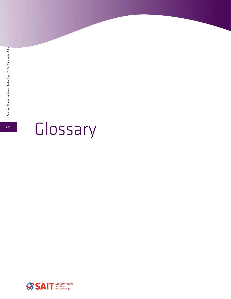

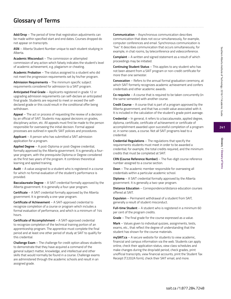**241**

**Glossary / Glossary of Terms**

Glossary / Glossary of Terms

# **Glossary of Terms**

**Add/Drop** – The period of time that registration adjustments can be made within specified start and end dates. Courses dropped do not appear on transcripts.

**ASN** – Alberta Student Number unique to each student studying in Alberta.

**Academic Misconduct** – The commission or attempted commission of any action which falsely indicates the student's level of academic achievement, e.g. plagiarism or cheating.

**Academic Probation** – The status assigned to a student who did not meet the progression requirements set by his/her program.

**Admission Requirements** – The minimum specific subject requirements considered for admission to a SAIT program.

**Anticipated Final Grade** – Applicants registered in grade 12 or upgrading admission requirements can self-declare an anticipated final grade. Students are required to meet or exceed the selfdeclared grade or this could result in the conditional offer being withdrawn.

**Appeal** – The act or process of requesting the review of a decision by an official of SAIT. Students may appeal decisions on grades, disciplinary action, etc. All appeals must first be made to the person responsible for overseeing the initial decision. Formal appeal processes are outlined in specific SAIT policies and procedures.

**Applicant** – A person who has submitted a SAIT admission application for a program.

**Applied Degree** – A post-Diploma or post-Degree credential, formally approved by the Alberta government. It is generally a fouryear program, with the prerequisite Diploma or Degree considered as the first two years of the program. It combines theoretical learning and applied training.

**Audit** – A value assigned to a student who is registered in a course for which no formal evaluation of the student's performance is provided.

**Baccalaureate Degree** – A SAIT credential formally approved by the Alberta government. It is generally a four-year program.

**Certificate** – A SAIT credential formally approved by the Alberta government. It is generally a one-year program.

**Certificate of Achievement** – A SAIT-approved credential to recognize completion of a course or program which includes a formal evaluation of performance, and which is a minimum of 144 hours.

**Certificate of Accomplishment** – A SAIT-approved credential to recognize completion of the technical training portion of an apprenticeship program. The apprentice must complete the final period and at least one other period of study at SAIT to qualify for this credential.

**Challenge Exam** – The challenge for credit option allows students to demonstrate that they have acquired a command of the general subject matter, knowledge, and intellectual and other skills that would normally be found in a course. Challenge exams are administered through the academic schools and result in an assigned grade.

**Communication** – Asynchronous communication describes communication that does not occur simultaneously, for example, computer conferences and email. Synchronous communication is "live." It describes communication that occurs simultaneously, for example, in chat rooms, by teleconference and videoconference.

**Complaint** – A written and signed statement as a result of which proceedings may be initiated.

**Continuing Student Status** – This applies to any student who has not been absent from a SAIT program or non-credit certificate for more than one semester.

**Convocation** – Refers to the annual formal graduation ceremony, at which SAIT formerly recognizes academic achievement and confers credentials and other academic awards.

**Co-requisite** – A course that is required to be taken concurrently (in the same semester) with another course.

**Credit Course** – A course that is part of a program approved by the Alberta government, and that has a credit value associated with it. It is included in the calculation of the student's grade point average.

**Credential** – In general, it refers to a baccalaureate, applied degree, diploma, certificate, certificate of achievement or certificate of accomplishment awarded upon successful completion of a program or, in some cases, a course. Not all SAIT programs lead to a credential.

**Credential Regulations** – The regulations that specify the requirements students must meet in order to be awarded a credential; for example, the total credits required, and the minimum credits that must be completed at SAIT.

**CRN (Course Reference Number)** – The five-digit course reference number assigned to a course section.

**Dean** – The academic member responsible for overseeing all credentials within a particular academic school.

**Diploma** – A SAIT credential formally approved by the Alberta government. It is generally a two-year program.

**Distance Education** – Correspondence/distance education courses offered at SAIT.

**Expulsion** – Permanent withdrawal of a student from SAIT, generally a result of student misconduct.

**Full-time Student** – A student who is registered in a minimum 60 per cent of the program credits.

**Grade** – The final grade for the course expressed as a value.

**Mark** – Values given to individual quizzes, assignments, tests, exams, etc., that reflect the degree of understanding that the student has shown for the course materials.

**mySAIT.ca** – A secure website for students to view academic, financial and campus information via the web. Students can apply online, check their application status, view class schedules and make changes during the drop/add period, check grades, print unofficial transcripts, view financial accounts, print the Student Tax Receipt (T2202A form), check their SAIT email, and more.